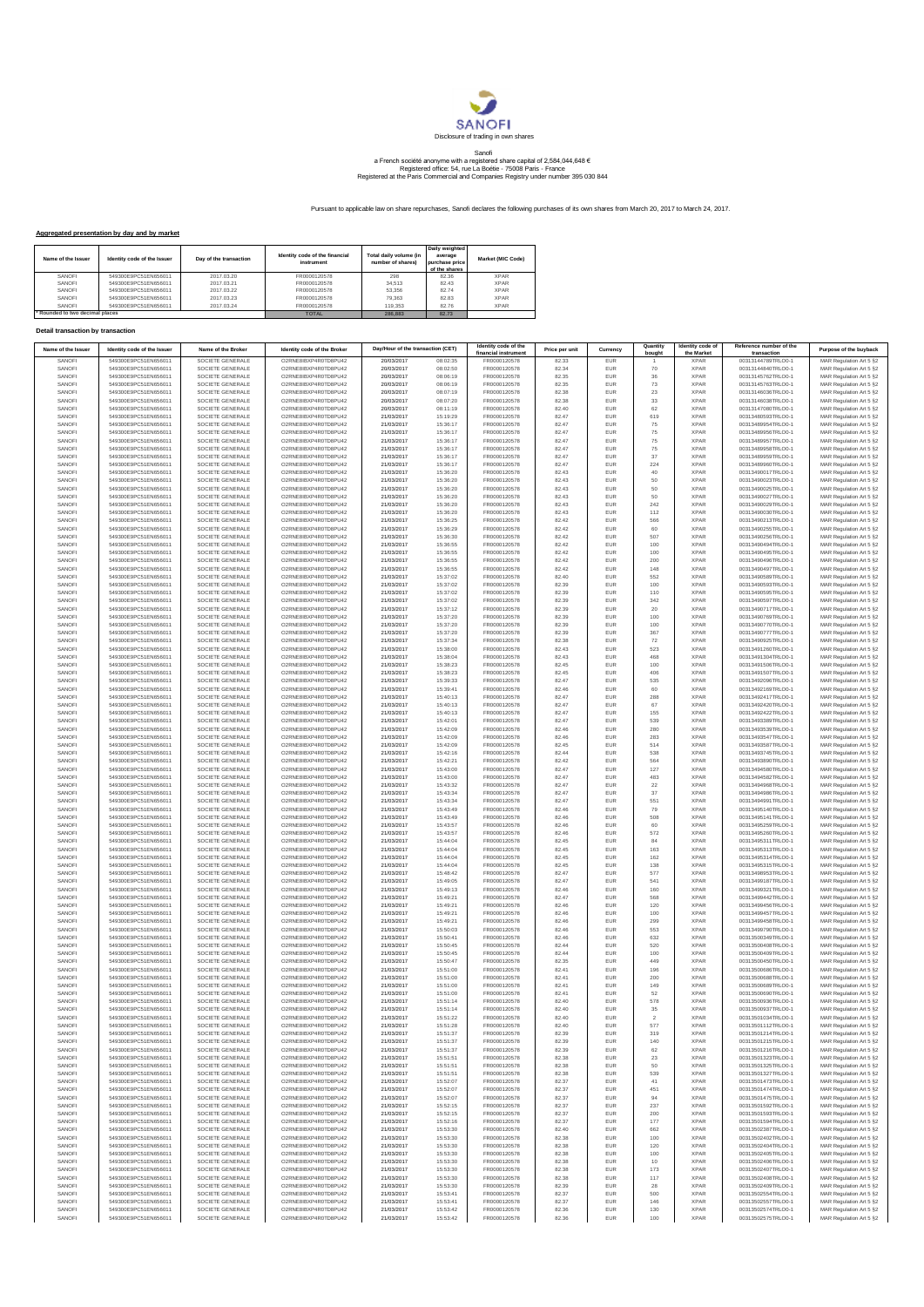

## Sanofi<br>a French société anonyme with a registered share capital of 2,584,044,648 €<br>Registered office: 54, rue La Boétie - 75008 Paris - France<br>Registered at the Paris Commercial and Companies Registry under number 395 030

Pursuant to applicable law on share repurchases, Sanofi declares the following purchases of its own shares from March 20, 2017 to March 24, 2017.

## **Aggregated presentation by day and by market**

| Name of the Issuer            | Identity code of the Issuer | Day of the transaction | Identity code of the financial<br>instrument | Total daily volume (in<br>number of shares) | Daily weighted<br>average<br>purchase price<br>of the shares | Market (MIC Code) |
|-------------------------------|-----------------------------|------------------------|----------------------------------------------|---------------------------------------------|--------------------------------------------------------------|-------------------|
| SANOFI                        | 549300E9PC51EN656011        | 2017 03 20             | FR0000120578                                 | 298                                         | 82.36                                                        | <b>XPAR</b>       |
| SANOFI                        | 549300E9PC51EN656011        | 2017.03.21             | FR0000120578                                 | 34.513                                      | 82 43                                                        | <b>XPAR</b>       |
| SANOFI                        | 549300E9PC51EN656011        | 2017 03 22             | FR0000120578                                 | 53.356                                      | 8274                                                         | <b>XPAR</b>       |
| SANOFI                        | 549300E9PC51EN656011        | 2017.03.23             | FR0000120578                                 | 79.363                                      | 8283                                                         | <b>XPAR</b>       |
| SANOFI                        | 549300E9PC51EN656011        | 2017.03.24             | FR0000120578                                 | 119.353                                     | 8276                                                         | <b>XPAR</b>       |
| Rounded to two decimal places |                             |                        | <b>TOTAL</b>                                 | 286,883                                     | 82.73                                                        |                   |

## **Detail transaction by transaction**

| Name of the Issuer | Identity code of the Issuer                  | Name of the Broker                   | Identity code of the Broker                  | Day/Hour of the transaction (CET) |                      | Identity code of the<br>financial instrument | Price per unit | Currency          | Quantity<br>bough | Identity code of<br>the Market | Reference number of the<br>transaction   | Purpose of the buyback                             |
|--------------------|----------------------------------------------|--------------------------------------|----------------------------------------------|-----------------------------------|----------------------|----------------------------------------------|----------------|-------------------|-------------------|--------------------------------|------------------------------------------|----------------------------------------------------|
| SANOFI<br>SANOFI   | 549300E9PC51EN656011<br>549300E9PC51EN656011 | SOCIETE GENERALE<br>SOCIETE GENERALE | O2RNE8IBXP4R0TD8PU42<br>O2RNE8IBXP4R0TD8PU42 | 20/03/2017<br>20/03/2017          | 08:02:35<br>08:02:50 | FR0000120578<br>FR0000120578                 | 82.33<br>82.34 | EUR<br>EUR        | 70                | <b>XPAF</b><br><b>XPAR</b>     | 00313144789TRLO0-<br>00313144840TRLO0-1  | MAR Regulation Art 5 §2<br>MAR Regulation Art 5 §2 |
| SANOFI             | 549300E9PC51EN656011                         | SOCIETE GENERALE                     | O2RNE8IBXP4R0TD8PU42                         | 20/03/2017                        | 08:06:19             | FR0000120578                                 | 82.35          | EUR               | 36                | <b>XPAR</b>                    | 00313145762TRLO0-1                       | MAR Regulation Art 5 §2                            |
| SANOFI<br>SANOFI   | 549300E9PC51EN656011<br>549300E9PC51EN656011 | SOCIETE GENERALE<br>SOCIETE GENERALE | O2RNE8IBXP4R0TD8PU42<br>O2RNE8IBXP4R0TD8PU42 | 20/03/2017<br>20/03/2017          | 08:06:19<br>08:07:19 | FR0000120578<br>FR0000120578                 | 82.35<br>82.38 | EUR<br>EUR        | 73<br>23          | <b>XPAR</b><br><b>XPAR</b>     | 00313145763TRLO0-1<br>00313146036TRLO0-1 | MAR Regulation Art 5 §2<br>MAR Regulation Art 5 §2 |
| SANOFI             | 549300E9PC51EN656011                         | SOCIETE GENERALE                     | O2RNE8IBXP4R0TD8PU42                         | 20/03/2017                        | 08:07:20             | FR0000120578                                 | 82.38          | EUR               | 33                | <b>XPAR</b>                    | 00313146038TRLO0-1                       | MAR Regulation Art 5 §2                            |
| SANOFI             | 549300E9PC51EN656011                         | SOCIETE GENERALE                     | O2RNE8IBXP4R0TD8PU42                         | 20/03/2017                        | 08:11:19             | FR0000120578                                 | 82.40          | <b>EUR</b>        | 62                | <b>XPAR</b>                    | 00313147080TRLO0-1                       | MAR Regulation Art 5 §2                            |
| SANOFI<br>SANOFI   | 549300E9PC51EN656011<br>549300E9PC51EN656011 | SOCIETE GENERALE<br>SOCIETE GENERALE | O2RNE8IBXP4R0TD8PU42<br>O2RNE8IBXP4R0TD8PU42 | 21/03/2017<br>21/03/2017          | 15:19:29<br>15:36:17 | FR0000120578<br>FR0000120578                 | 82.47<br>82.47 | EUR<br><b>EUR</b> | 619<br>75         | <b>XPAR</b><br><b>XPAR</b>     | 00313480593TRLO0-1<br>00313489954TRLO0-1 | MAR Regulation Art 5 §2<br>MAR Regulation Art 5 §2 |
| SANOFI             | 549300E9PC51EN656011                         | SOCIETE GENERALE                     | O2RNE8IBXP4R0TD8PU42                         | 21/03/2017                        | 15:36:17             | FR0000120578                                 | 82.47          | EUR               | 75                | <b>XPAR</b>                    | 00313489956TRLO0-1                       | MAR Regulation Art 5 §2                            |
| SANOFI<br>SANOFI   | 549300E9PC51EN656011                         | SOCIETE GENERALE<br>SOCIETE GENERALE | O2RNE8IBXP4R0TD8PU42<br>O2RNE8IBXP4R0TD8PU42 | 21/03/2017<br>21/03/2017          | 15:36:17<br>15:36:17 | FR0000120578<br>FR0000120578                 | 82.47<br>82.47 | EUR<br>EUR        | 75                | <b>XPAR</b><br><b>XPAR</b>     | 00313489957TRLO0-1<br>00313489958TRLO0-1 | MAR Regulation Art 5 §2                            |
| SANOFI             | 549300E9PC51EN656011<br>549300E9PC51EN656011 | SOCIETE GENERALE                     | O2RNE8IBXP4R0TD8PU42                         | 21/03/2017                        | 15:36:17             | FR0000120578                                 | 82.47          | EUR               | 75<br>$37\,$      | <b>XPAR</b>                    | 00313489959TRLO0-1                       | MAR Regulation Art 5 §2<br>MAR Regulation Art 5 §2 |
| SANOFI             | 549300E9PC51EN656011                         | SOCIETE GENERALE                     | O2RNE8IBXP4R0TD8PU42                         | 21/03/2017                        | 15:36:17             | FR0000120578                                 | 82.47          | EUR               | 224               | <b>XPAR</b>                    | 00313489960TRLO0-1                       | MAR Regulation Art 5 §2                            |
| SANOFI<br>SANOFI   | 549300E9PC51EN656011<br>549300E9PC51EN656011 | SOCIETE GENERALE<br>SOCIETE GENERALE | O2RNE8IBXP4R0TD8PU42<br>O2RNE8IBXP4R0TD8PU42 | 21/03/2017<br>21/03/2017          | 15:36:20<br>15:36:20 | FR0000120578<br>FR0000120578                 | 82.43<br>82.43 | EUR<br><b>EUR</b> | 40<br>50          | <b>XPAR</b><br><b>XPAR</b>     | 00313490017TRLO0-1<br>00313490023TRLO0-1 | MAR Regulation Art 5 §2<br>MAR Regulation Art 5 §2 |
| SANOFI             | 549300E9PC51EN656011                         | SOCIETE GENERALE                     | O2RNE8IBXP4R0TD8PU42                         | 21/03/2017                        | 15:36:20             | FR0000120578                                 | 82.43          | EUR               | 50                | <b>XPAR</b>                    | 00313490025TRLO0-1                       | MAR Regulation Art 5 §2                            |
| SANOFI<br>SANOFI   | 549300E9PC51EN656011                         | SOCIETE GENERALE                     | O2RNE8IBXP4R0TD8PU42<br>O2RNE8IBXP4R0TD8PU42 | 21/03/2017                        | 15:36:20             | FR0000120578<br>FR0000120578                 | 82.43<br>82.43 | <b>EUR</b><br>EUR | 50<br>242         | <b>XPAR</b><br><b>XPAR</b>     | 00313490027TRLO0-1                       | MAR Regulation Art 5 §2                            |
| SANOFI             | 549300E9PC51EN656011<br>549300E9PC51EN656011 | SOCIETE GENERALE<br>SOCIETE GENERALE | O2RNE8IBXP4R0TD8PU42                         | 21/03/2017<br>21/03/2017          | 15:36:20<br>15:36:20 | FR0000120578                                 | 82.43          | EUR               | 112               | <b>XPAR</b>                    | 00313490029TRLO0-1<br>00313490030TRLO0-1 | MAR Regulation Art 5 §2<br>MAR Regulation Art 5 §2 |
| SANOFI             | 549300E9PC51EN656011                         | SOCIETE GENERALE                     | O2RNE8IBXP4R0TD8PU42                         | 21/03/2017                        | 15:36:25             | FR0000120578                                 | 82.42          | EUR               | 566               | <b>XPAR</b>                    | 00313490213TRLO0-1                       | MAR Regulation Art 5 §2                            |
| SANOFI<br>SANOFI   | 549300E9PC51EN656011<br>549300E9PC51EN656011 | SOCIETE GENERALE<br>SOCIETE GENERALE | O2RNE8IBXP4R0TD8PU42<br>O2RNE8IBXP4R0TD8PU42 | 21/03/2017<br>21/03/2017          | 15:36:29<br>15:36:30 | FR0000120578<br>FR0000120578                 | 82.42<br>82.42 | EUR<br>EUR        | 60<br>507         | <b>XPAR</b><br><b>XPAR</b>     | 00313490255TRLO0-1<br>00313490256TRLO0-1 | MAR Regulation Art 5 §2<br>MAR Regulation Art 5 §2 |
| SANOFI             | 549300E9PC51EN656011                         | SOCIETE GENERALE                     | O2RNE8IBXP4R0TD8PU42                         | 21/03/2017                        | 15:36:55             | FR0000120578                                 | 82.42          | EUR               | 100               | <b>XPAR</b>                    | 00313490494TRLO0-1                       | MAR Regulation Art 5 §2                            |
| SANOFI             | 549300E9PC51EN656011<br>549300E9PC51EN656011 | SOCIETE GENERALE                     | O2RNE8IBXP4R0TD8PU42                         | 21/03/2017                        | 15:36:55             | FR0000120578                                 | 82.42          | <b>EUR</b>        | 100               | <b>XPAR</b>                    | 00313490495TRLO0-1                       | MAR Regulation Art 5 §2                            |
| SANOFI<br>SANOFI   | 549300E9PC51EN656011                         | SOCIETE GENERALE<br>SOCIETE GENERALE | O2RNE8IBXP4R0TD8PU42<br>O2RNE8IBXP4R0TD8PU42 | 21/03/2017<br>21/03/2017          | 15:36:55<br>15:36:55 | FR0000120578<br>FR0000120578                 | 82.42<br>82.42 | EUR<br><b>EUR</b> | 200<br>148        | <b>XPAR</b><br><b>XPAR</b>     | 00313490496TRLO0-1<br>00313490497TRLO0-1 | MAR Regulation Art 5 §2<br>MAR Regulation Art 5 §2 |
| SANOFI             | 549300E9PC51EN656011                         | SOCIETE GENERALE                     | O2RNE8IBXP4R0TD8PU42                         | 21/03/2017                        | 15:37:02             | FR0000120578                                 | 82.40          | EUR               | 552               | <b>XPAR</b>                    | 00313490589TRLO0-1                       | MAR Regulation Art 5 §2                            |
| SANOFI<br>SANOFI   | 549300E9PC51EN656011                         | SOCIETE GENERALE<br>SOCIETE GENERALE | O2RNE8IBXP4R0TD8PU42<br>O2RNE8IBXP4R0TD8PU42 | 21/03/2017<br>21/03/2017          | 15:37:02<br>15:37:02 | FR0000120578<br>FR0000120578                 | 82.39<br>82.39 | EUR               | 100               | <b>XPAR</b><br><b>XPAR</b>     | 00313490593TRLO0-1<br>00313490595TRLO0-1 | MAR Regulation Art 5 §2<br>MAR Regulation Art 5 §2 |
| SANOFI             | 549300E9PC51EN656011<br>549300E9PC51EN656011 | SOCIETE GENERALE                     | O2RNE8IBXP4R0TD8PU42                         | 21/03/2017                        | 15:37:02             | FR0000120578                                 | 82.39          | EUR<br>EUR        | 110<br>342        | <b>XPAR</b>                    | 00313490597TRLO0-1                       | MAR Regulation Art 5 §2                            |
| SANOFI             | 549300E9PC51EN656011                         | SOCIETE GENERALE                     | O2RNE8IBXP4R0TD8PU42                         | 21/03/2017                        | 15:37:12             | FR0000120578                                 | 82.39          | <b>EUR</b>        | 20                | <b>XPAR</b>                    | 00313490717TRLO0-1                       | MAR Regulation Art 5 §2                            |
| SANOFI<br>SANOFI   | 549300E9PC51EN656011<br>549300E9PC51EN656011 | SOCIETE GENERALE<br>SOCIETE GENERALE | O2RNE8IBXP4R0TD8PU42<br>O2RNE8IBXP4R0TD8PU42 | 21/03/2017<br>21/03/2017          | 15:37:20<br>15:37:20 | FR0000120578<br>FR0000120578                 | 82.39<br>82.39 | EUR<br><b>EUR</b> | 100<br>100        | <b>XPAR</b><br><b>XPAR</b>     | 00313490769TRLO0-1<br>00313490770TRLO0-1 | MAR Regulation Art 5 §2<br>MAR Regulation Art 5 §2 |
| SANOFI             | 549300E9PC51EN656011                         | SOCIETE GENERALE                     | O2RNE8IBXP4R0TD8PU42                         | 21/03/2017                        | 15:37:20             | FR0000120578                                 | 82.39          | EUR               | 367               | <b>XPAR</b>                    | 00313490777TRLO0-1                       | MAR Regulation Art 5 §2                            |
| SANOFI             | 549300E9PC51EN656011                         | SOCIETE GENERALE                     | O2RNE8IBXP4R0TD8PU42                         | 21/03/2017                        | 15:37:34             | FR0000120578                                 | 82.38          | EUR               | 72                | <b>XPAR</b>                    | 00313490925TRLO0-1                       | MAR Regulation Art 5 §2                            |
| SANOFI<br>SANOFI   | 549300E9PC51EN656011<br>549300E9PC51EN656011 | SOCIETE GENERALE<br>SOCIETE GENERALE | O2RNE8IBXP4R0TD8PU42<br>O2RNE8IBXP4R0TD8PU42 | 21/03/2017<br>21/03/2017          | 15:38:00<br>15:38:04 | FR0000120578<br>FR0000120578                 | 82.43<br>82.43 | EUR<br>EUR        | 523<br>468        | <b>XPAR</b><br><b>XPAR</b>     | 00313491260TRLO0-1<br>00313491304TRLO0-1 | MAR Regulation Art 5 §2<br>MAR Regulation Art 5 §2 |
| SANOFI             | 549300E9PC51EN656011                         | SOCIETE GENERALE                     | O2RNE8IBXP4R0TD8PU42                         | 21/03/2017                        | 15:38:23             | FR0000120578                                 | 82.45          | EUR               | 100               | <b>XPAR</b>                    | 00313491506TRLO0-1                       | MAR Regulation Art 5 §2                            |
| SANOFI             | 549300E9PC51EN656011                         | SOCIETE GENERALE                     | O2RNE8IBXP4R0TD8PU42                         | 21/03/2017                        | 15:38:23             | FR0000120578                                 | 82.45          | EUR               | 406               | <b>XPAR</b>                    | 00313491507TRLO0-1                       | MAR Regulation Art 5 §2                            |
| SANOFI<br>SANOFI   | 549300E9PC51EN656011<br>549300E9PC51EN656011 | SOCIETE GENERALE<br>SOCIETE GENERALE | O2RNE8IBXP4R0TD8PU42<br>O2RNE8IBXP4R0TD8PU42 | 21/03/2017<br>21/03/2017          | 15:39:33<br>15:39:41 | FR0000120578<br>FR0000120578                 | 82.47<br>82.46 | <b>EUR</b><br>EUR | 535<br>60         | <b>XPAR</b><br><b>XPAR</b>     | 00313492096TRLO0-1<br>00313492169TRLO0-1 | MAR Regulation Art 5 §2<br>MAR Regulation Art 5 §2 |
| SANOFI             | 549300E9PC51EN656011                         | SOCIETE GENERALE                     | O2RNE8IBXP4R0TD8PLI42                        | 21/03/2017                        | 15:40:13             | FR0000120578                                 | 82.47          | <b>EUR</b>        | 288               | <b>XPAR</b>                    | 00313492417TRLO0-1                       | MAR Regulation Art 5 §2                            |
| SANOFI<br>SANOFI   | 549300E9PC51EN656011                         | SOCIETE GENERALE                     | O2RNE8IBXP4R0TD8PU42<br>O2RNE8IBXP4R0TD8PU42 | 21/03/2017                        | 15:40:13<br>15:40:13 | FR0000120578                                 | 82.47<br>82.47 | EUR<br>EUR        | 67<br>155         | <b>XPAR</b><br><b>XPAR</b>     | 00313492420TRLO0-1                       | MAR Regulation Art 5 §2<br>MAR Regulation Art 5 §2 |
| SANOFI             | 549300E9PC51EN656011<br>549300E9PC51EN656011 | SOCIETE GENERALE<br>SOCIETE GENERALE | O2RNE8IBXP4R0TD8PU42                         | 21/03/2017<br>21/03/2017          | 15:42:01             | FR0000120578<br>FR0000120578                 | 82.47          | EUR               | 539               | <b>XPAR</b>                    | 00313492422TRLO0-1<br>00313493389TRLO0-1 | MAR Regulation Art 5 §2                            |
| SANOFI             | 549300E9PC51EN656011                         | SOCIETE GENERALE                     | O2RNE8IBXP4R0TD8PU42                         | 21/03/2017                        | 15:42:09             | FR0000120578                                 | 82.46          | EUR               | 280               | <b>XPAR</b>                    | 00313493539TRLO0-1                       | MAR Regulation Art 5 §2                            |
| SANOFI<br>SANOFI   | 549300E9PC51EN656011<br>549300E9PC51EN656011 | SOCIETE GENERALE<br>SOCIETE GENERALE | O2RNE8IBXP4R0TD8PU42<br>O2RNE8IBXP4R0TD8PU42 | 21/03/2017<br>21/03/2017          | 15:42:09<br>15:42:09 | FR0000120578<br>FR0000120578                 | 82.46<br>82.45 | EUR<br>EUR        | 283<br>514        | <b>XPAR</b><br><b>XPAR</b>     | 00313493547TRLO0-1<br>00313493587TRLO0-1 | MAR Regulation Art 5 §2<br>MAR Regulation Art 5 §2 |
| SANOFI             | 549300E9PC51EN656011                         | SOCIETE GENERALE                     | O2RNE8IBXP4R0TD8PLI42                        | 21/03/2017                        | 15:42:16             | FR0000120578                                 | 82.44          | <b>EUR</b>        | 538               | <b>XPAR</b>                    | 00313493745TRLO0-1                       | MAR Regulation Art 5 §2                            |
| SANOFI             | 549300E9PC51EN656011                         | SOCIETE GENERALE                     | O2RNE8IBXP4R0TD8PU42                         | 21/03/2017                        | 15:42:21             | FR0000120578                                 | 82.42          | EUR               | 564               | <b>XPAR</b>                    | 00313493890TRLO0-1                       | MAR Regulation Art 5 §2                            |
| SANOFI<br>SANOFI   | 549300E9PC51EN656011<br>549300E9PC51EN656011 | SOCIETE GENERALE<br>SOCIETE GENERALE | O2RNE8IBXP4R0TD8PU42<br>O2RNE8IBXP4R0TD8PU42 | 21/03/2017<br>21/03/2017          | 15:43:00<br>15:43:00 | FR0000120578<br>FR0000120578                 | 82.47<br>82.47 | <b>EUR</b><br>EUR | 127<br>483        | <b>XPAR</b><br><b>XPAR</b>     | 00313494580TRLO0-1<br>00313494582TRLO0-1 | MAR Regulation Art 5 §2<br>MAR Regulation Art 5 §2 |
| SANOFI             | 549300E9PC51EN656011                         | SOCIETE GENERALE                     | O2RNE8IBXP4R0TD8PU42                         | 21/03/2017                        | 15:43:32             | FR0000120578                                 | 82.47          | EUR               | $22\,$            | <b>XPAR</b>                    | 00313494968TRLO0-1                       | MAR Regulation Art 5 §2                            |
| SANOFI             | 549300E9PC51EN656011                         | SOCIETE GENERALE                     | O2RNE8IBXP4R0TD8PU42                         | 21/03/2017                        | 15:43:34             | FR0000120578                                 | 82.47          | EUR               | 37                | <b>XPAR</b>                    | 00313494986TRLO0-1                       | MAR Regulation Art 5 §2                            |
| SANOFI<br>SANOFI   | 549300E9PC51EN656011<br>549300E9PC51EN656011 | SOCIETE GENERALE<br>SOCIETE GENERALE | O2RNE8IBXP4R0TD8PU42<br>O2RNE8IBXP4R0TD8PU42 | 21/03/2017<br>21/03/2017          | 15:43:34<br>15:43:49 | FR0000120578<br>FR0000120578                 | 82.47<br>82.46 | EUR<br>EUR        | 551<br>79         | <b>XPAR</b><br><b>XPAR</b>     | 00313494991TRLO0-1<br>00313495140TRLO0-1 | MAR Regulation Art 5 §2<br>MAR Regulation Art 5 §2 |
| SANOFI             | 549300E9PC51EN656011                         | SOCIETE GENERALE                     | O2RNE8IBXP4R0TD8PU42                         | 21/03/2017                        | 15:43:49             | FR0000120578                                 | 82.46          | EUR               | 508               | <b>XPAR</b>                    | 00313495141TRLO0-1                       | MAR Regulation Art 5 §2                            |
| SANOFI<br>SANOFI   | 549300E9PC51EN656011<br>549300E9PC51EN656011 | SOCIETE GENERALE<br>SOCIETE GENERALE | O2RNE8IBXP4R0TD8PU42<br>O2RNE8IBXP4R0TD8PU42 | 21/03/2017<br>21/03/2017          | 15:43:57<br>15:43:57 | FR0000120578<br>FR0000120578                 | 82.46<br>82.46 | <b>EUR</b><br>EUR | 60<br>572         | <b>XPAR</b><br><b>XPAR</b>     | 00313495259TRLO0-1<br>00313495260TRLO0-1 | MAR Regulation Art 5 §2                            |
| SANOFI             | 549300E9PC51EN656011                         | SOCIETE GENERALE                     | O2RNE8IBXP4R0TD8PU42                         | 21/03/2017                        | 15:44:04             | FR0000120578                                 | 82.45          | <b>EUR</b>        | 84                | <b>XPAR</b>                    | 00313495311TRLO0-1                       | MAR Regulation Art 5 §2<br>MAR Regulation Art 5 §2 |
| SANOFI             | 549300E9PC51EN656011                         | SOCIETE GENERALE                     | O2RNE8IBXP4R0TD8PU42                         | 21/03/2017                        | 15:44:04             | FR0000120578                                 | 82.45          | EUR               | 163               | <b>XPAR</b>                    | 00313495313TRLO0-1                       | MAR Regulation Art 5 §2                            |
| SANOFI<br>SANOFI   | 549300E9PC51EN656011<br>549300E9PC51EN656011 | SOCIETE GENERALE<br>SOCIETE GENERALE | O2RNE8IBXP4R0TD8PU42<br>O2RNE8IBXP4R0TD8PU42 | 21/03/2017<br>21/03/2017          | 15:44:04<br>15:44:04 | FR0000120578<br>FR0000120578                 | 82.45<br>82.45 | EUR<br>EUR        | 162<br>138        | <b>XPAR</b><br><b>XPAR</b>     | 00313495314TRLO0-1<br>00313495315TRLO0-1 | MAR Regulation Art 5 §2<br>MAR Regulation Art 5 §2 |
| SANOFI             | 549300E9PC51EN656011                         | SOCIETE GENERALE                     | O2RNE8IBXP4R0TD8PU42                         | 21/03/2017                        | 15:48:42             | FR0000120578                                 | 82.47          | EUR               | 577               | <b>XPAR</b>                    | 00313498953TRLO0-1                       | MAR Regulation Art 5 §2                            |
| SANOFI<br>SANOFI   | 549300E9PC51EN656011<br>549300E9PC51EN656011 | SOCIETE GENERALE<br>SOCIETE GENERALE | O2RNE8IBXP4R0TD8PU42<br>O2RNE8IBXP4R0TD8PU42 | 21/03/2017<br>21/03/2017          | 15:49:05<br>15:49:13 | FR0000120578<br>FR0000120578                 | 82.47<br>82.46 | <b>EUR</b><br>EUR | 541<br>160        | <b>XPAR</b><br><b>XPAR</b>     | 00313499187TRLO0-1<br>00313499321TRLO0-1 | MAR Regulation Art 5 §2                            |
| SANOFI             | 549300E9PC51EN656011                         | SOCIETE GENERALE                     | O2RNE8IBXP4R0TD8PU42                         | 21/03/2017                        | 15:49:21             | FR0000120578                                 | 82.47          | <b>EUR</b>        | 568               | <b>XPAR</b>                    | 00313499442TRLO0-1                       | MAR Regulation Art 5 §2<br>MAR Regulation Art 5 §2 |
| SANOFI             | 549300E9PC51EN656011                         | SOCIETE GENERALE                     | O2RNE8IBXP4R0TD8PU42                         | 21/03/2017                        | 15:49:21             | FR0000120578                                 | 82.46          | EUR               | 120               | <b>XPAR</b>                    | 00313499456TRLO0-1                       | MAR Regulation Art 5 §2                            |
| SANOFI<br>SANOFI   | 549300E9PC51EN656011<br>549300E9PC51EN656011 | SOCIETE GENERALE<br>SOCIETE GENERALE | O2RNE8IBXP4R0TD8PU42<br>O2RNE8IBXP4R0TD8PU42 | 21/03/2017<br>21/03/2017          | 15:49:21<br>15:49:21 | FR0000120578<br>FR0000120578                 | 82.46<br>82.46 | EUR<br>EUR        | 100<br>299        | <b>XPAR</b><br><b>XPAR</b>     | 00313499457TRLO0-1<br>00313499458TRLO0-1 | MAR Regulation Art 5 §2<br>MAR Regulation Art 5 §2 |
| SANOFI             | 549300E9PC51EN656011                         | SOCIETE GENERALE                     | O2RNE8IBXP4R0TD8PU42                         | 21/03/2017                        | 15:50:03             | FR0000120578                                 | 82.46          | EUR               | 553               | <b>XPAR</b>                    | 00313499790TRLO0-1                       | MAR Regulation Art 5 §2                            |
| SANOFI             | 549300E9PC51EN656011                         | SOCIETE GENERALE                     | O2RNE8IBXP4R0TD8PU42                         | 21/03/2017                        | 15:50:41             | FR0000120578                                 | 82.46          | EUR               | 632               | <b>XPAR</b>                    | 00313500349TRLO0-1                       | MAR Regulation Art 5 §2                            |
| SANOFI<br>SANOFI   | 549300E9PC51EN656011<br>549300E9PC51EN656011 | SOCIETE GENERALE<br>SOCIETE GENERALE | O2RNE8IBXP4R0TD8PU42<br>O2RNE8IBXP4R0TD8PU42 | 21/03/2017<br>21/03/2017          | 15:50:45<br>15:50:45 | FR0000120578<br>FR0000120578                 | 82.44<br>82.44 | EUR<br><b>EUR</b> | 520<br>100        | <b>XPAR</b><br><b>XPAR</b>     | 00313500408TRLO0-1<br>00313500409TRLO0-1 | MAR Regulation Art 5 §2<br>MAR Regulation Art 5 §2 |
| SANOFI             | 549300E9PC51EN656011                         | SOCIETE GENERALE                     | O2RNE8IBXP4R0TD8PU42                         | 21/03/2017                        | 15:50:47             | FR0000120578                                 | 82.35          | EUR               | 449               | <b>XPAR</b>                    | 00313500450TRLO0-1                       | MAR Regulation Art 5 §2                            |
| SANOFI<br>SANOFI   | 549300E9PC51EN656011<br>549300E9PC51EN656011 | SOCIETE GENERALE<br>SOCIETE GENERALE | O2RNE8IBXP4R0TD8PU42<br>O2RNE8IBXP4R0TD8PU42 | 21/03/2017<br>21/03/2017          | 15:51:00<br>15:51:00 | FR0000120578<br>FR0000120578                 | 82.41<br>82.41 | <b>EUR</b><br>EUR | 196<br>200        | <b>XPAR</b><br><b>XPAR</b>     | 00313500686TRLO0-1<br>00313500688TRLO0-1 | MAR Regulation Art 5 §2<br>MAR Regulation Art 5 §2 |
| SANOFI             | 549300E9PC51EN656011                         | SOCIETE GENERALE                     | O2RNE8IBXP4R0TD8PU42                         | 21/03/2017                        | 15:51:00             | FR0000120578                                 | 82.41          | EUR               | 149               | <b>XPAR</b>                    | 00313500689TRLO0-1                       | MAR Regulation Art 5 §2                            |
| SANOFI             | 549300E9PC51EN656011                         | SOCIETE GENERALE                     | O2RNE8IBXP4R0TD8PU42                         | 21/03/2017                        | 15:51:00             | FR0000120578                                 | 82.41          | EUR               | 52                | <b>XPAR</b>                    | 00313500690TRLO0-1<br>00313500936TRLO0-1 | MAR Regulation Art 5 §2                            |
| SANOFI<br>SANOFI   | 549300E9PC51EN656011<br>549300E9PC51EN656011 | SOCIETE GENERALE<br>SOCIETE GENERALE | O2RNE8IBXP4R0TD8PU42<br>O2RNE8IBXP4R0TD8PU42 | 21/03/2017<br>21/03/2017          | 15:51:14<br>15:51:14 | FR0000120578<br>FR0000120578                 | 82.40<br>82.40 | EUR<br>EUR        | 578<br>$35\,$     | <b>XPAR</b><br><b>XPAR</b>     | 00313500937TRLO0-1                       | MAR Regulation Art 5 §2<br>MAR Regulation Art 5 §2 |
| SANOFI             | 549300E9PC51EN656011                         | SOCIETE GENERALE                     | O2RNE8IBXP4R0TD8PU42                         | 21/03/2017                        | 15:51:22             | FR0000120578                                 | 82.40          | EUR               | $\overline{2}$    | <b>XPAR</b>                    | 00313501034TRLO0-1                       | MAR Regulation Art 5 §2                            |
| SANOFI<br>SANOFI   | 549300E9PC51EN656011<br>549300E9PC51EN656011 | SOCIETE GENERALE<br>SOCIETE GENERALE | O2RNE8IBXP4R0TD8PU42<br>O2RNE8IBXP4R0TD8PU42 | 21/03/2017<br>21/03/2017          | 15:51:28<br>15:51:37 | FR0000120578<br>FR0000120578                 | 82.40<br>82.39 | <b>EUR</b><br>EUR | 577<br>319        | <b>XPAR</b><br><b>XPAR</b>     | 00313501112TRLO0-1<br>00313501214TRLO0-1 | MAR Regulation Art 5 §2<br>MAR Regulation Art 5 §2 |
| SANOFI             | 549300E9PC51EN656011                         | SOCIETE GENERALE                     | O2RNE8IBXP4R0TD8PU42                         | 21/03/2017                        | 15:51:37             | FR0000120578                                 | 82.39          | EUR               | 140               | <b>XPAR</b>                    | 00313501215TRLO0-1                       | MAR Regulation Art 5 §2                            |
| SANOFI             | 549300E9PC51EN656011                         | SOCIETE GENERALE                     | O2RNE8IBXP4R0TD8PU42                         | 21/03/2017                        | 15:51:37             | FR0000120578                                 | 82.39          | EUR               | 62                | <b>XPAR</b>                    | 00313501216TRLO0-1                       | MAR Regulation Art 5 §2                            |
| SANOFI<br>SANOFI   | 549300E9PC51EN656011<br>549300E9PC51EN656011 | SOCIETE GENERALE<br>SOCIETE GENERALE | O2RNE8IBXP4R0TD8PU42<br>O2RNE8IBXP4R0TD8PU42 | 21/03/2017<br>21/03/2017          | 15:51:51<br>15:51:51 | FR0000120578<br>FR0000120578                 | 82.38<br>82.38 | EUR<br>EUR        | 23<br>50          | <b>XPAR</b><br><b>XPAR</b>     | 00313501323TRLO0-1<br>00313501325TRLO0-1 | MAR Regulation Art 5 §2<br>MAR Regulation Art 5 §2 |
| SANOFI             | 549300E9PC51EN656011                         | SOCIETE GENERALE                     | O2RNE8IBXP4R0TD8PU42                         | 21/03/2017                        | 15:51:51             | FR0000120578                                 | 82.38          | EUR               | 539               | <b>XPAR</b>                    | 00313501327TRLO0-1                       | MAR Regulation Art 5 §2                            |
| SANOFI             | 549300E9PC51EN656011                         | SOCIETE GENERALE                     | O2RNE8IBXP4R0TD8PU42                         | 21/03/2017                        | 15:52:07             | FR0000120578                                 | 82.37          | EUR               | 41                | <b>XPAR</b>                    | 00313501473TRLO0-1                       | MAR Regulation Art 5 §2                            |
| SANOFI<br>SANOFI   | 549300E9PC51EN656011<br>549300E9PC51EN656011 | SOCIETE GENERALE<br>SOCIETE GENERALE | O2RNE8IBXP4R0TD8PU42<br>O2RNE8IBXP4R0TD8PU42 | 21/03/2017<br>21/03/2017          | 15:52:07<br>15:52:07 | FR0000120578<br>FR0000120578                 | 82.37<br>82.37 | EUR<br><b>EUR</b> | 451<br>94         | <b>XPAR</b><br><b>XPAR</b>     | 00313501474TRLO0-1<br>00313501475TRLO0-1 | MAR Regulation Art 5 §2<br>MAR Regulation Art 5 §2 |
| SANOFI             | 549300E9PC51EN656011                         | SOCIETE GENERALE                     | O2RNE8IBXP4R0TD8PU42                         | 21/03/2017                        | 15:52:15             | FR0000120578                                 | 82.37          | EUR               | 237               | <b>XPAR</b>                    | 00313501592TRLO0-1                       | MAR Regulation Art 5 §2                            |
| SANOFI<br>SANOFI   | 549300E9PC51EN656011                         | SOCIETE GENERALE                     | O2RNE8IBXP4R0TD8PU42<br>O2RNE8IBXP4R0TD8PU42 | 21/03/2017                        | 15:52:15<br>15:52:16 | FR0000120578                                 | 82.37          | <b>EUR</b><br>EUR | 200               | <b>XPAR</b><br><b>XPAR</b>     | 00313501593TRLO0-1<br>00313501594TRLO0-1 | MAR Regulation Art 5 §2                            |
| SANOFI             | 549300E9PC51EN656011<br>549300E9PC51EN656011 | SOCIETE GENERALE<br>SOCIETE GENERALE | O2RNE8IBXP4R0TD8PU42                         | 21/03/2017<br>21/03/2017          | 15:53:30             | FR0000120578<br>FR0000120578                 | 82.37<br>82.40 | EUR               | $177\,$<br>662    | <b>XPAR</b>                    | 00313502387TRLO0-1                       | MAR Regulation Art 5 §2<br>MAR Regulation Art 5 §2 |
| SANOFI             | 549300E9PC51EN656011                         | SOCIETE GENERALE                     | O2RNE8IBXP4R0TD8PU42                         | 21/03/2017                        | 15:53:30             | FR0000120578                                 | 82.38          | EUR               | 100               | <b>XPAR</b>                    | 00313502402TRLO0-1                       | MAR Regulation Art 5 §2                            |
| SANOFI<br>SANOFI   | 549300E9PC51EN656011<br>549300E9PC51EN656011 | SOCIETE GENERALE<br>SOCIETE GENERALE | O2RNE8IBXP4R0TD8PU42<br>O2RNE8IBXP4R0TD8PU42 | 21/03/2017<br>21/03/2017          | 15:53:30<br>15:53:30 | FR0000120578<br>FR0000120578                 | 82.38<br>82.38 | EUR<br><b>EUR</b> | 120<br>100        | <b>XPAR</b><br><b>XPAR</b>     | 00313502404TRLO0-1<br>00313502405TRLO0-1 | MAR Regulation Art 5 §2                            |
| SANOFI             | 549300E9PC51EN656011                         | SOCIETE GENERALE                     | O2RNE8IBXP4R0TD8PU42                         | 21/03/2017                        | 15:53:30             | FR0000120578                                 | 82.38          | EUR               | 10                | <b>XPAR</b>                    | 00313502406TRLO0-1                       | MAR Regulation Art 5 §2<br>MAR Regulation Art 5 §2 |
| SANOFI             | 549300E9PC51EN656011                         | SOCIETE GENERALE                     | O2RNE8IBXP4R0TD8PU42                         | 21/03/2017                        | 15:53:30             | FR0000120578                                 | 82.38          | <b>EUR</b>        | 173               | <b>XPAR</b>                    | 00313502407TRLO0-1                       | MAR Regulation Art 5 §2                            |
| SANOFI<br>SANOFI   | 549300E9PC51EN656011<br>549300E9PC51EN656011 | SOCIETE GENERALE<br>SOCIETE GENERALE | O2RNE8IBXP4R0TD8PU42<br>O2RNE8IBXP4R0TD8PU42 | 21/03/2017<br>21/03/2017          | 15:53:30<br>15:53:30 | FR0000120578<br>FR0000120578                 | 82.38<br>82.39 | EUR<br>EUR        | 117<br>28         | <b>XPAR</b><br><b>XPAR</b>     | 00313502408TRLO0-1<br>00313502409TRLO0-1 | MAR Regulation Art 5 §2<br>MAR Regulation Art 5 §2 |
| SANOFI             | 549300E9PC51EN656011                         | SOCIETE GENERALE                     | O2RNE8IBXP4R0TD8PU42                         | 21/03/2017                        | 15:53:41             | FR0000120578                                 | 82.37          | EUR               | 500               | <b>XPAR</b>                    | 00313502554TRLO0-1                       | MAR Regulation Art 5 §2                            |
| SANOFI             | 549300E9PC51EN656011<br>549300E9PC51EN656011 | SOCIETE GENERALE                     | O2RNE8IBXP4R0TD8PU42                         | 21/03/2017                        | 15:53:41             | FR0000120578                                 | 82.37          | EUR               | 146               | <b>XPAR</b><br><b>XPAR</b>     | 00313502557TRLO0-1                       | MAR Regulation Art 5 §2                            |
| SANOFI<br>SANOFI   | 549300E9PC51EN656011                         | SOCIETE GENERALE<br>SOCIETE GENERALE | O2RNE8IBXP4R0TD8PU42<br>O2RNE8IBXP4R0TD8PU42 | 21/03/2017<br>21/03/2017          | 15:53:42<br>15:53:42 | FR0000120578<br>FR0000120578                 | 82.36<br>82.36 | EUR<br>EUR        | 130<br>100        | <b>XPAR</b>                    | 00313502574TRLO0-1<br>00313502575TRLO0-1 | MAR Regulation Art 5 §2<br>MAR Regulation Art 5 §2 |
|                    |                                              |                                      |                                              |                                   |                      |                                              |                |                   |                   |                                |                                          |                                                    |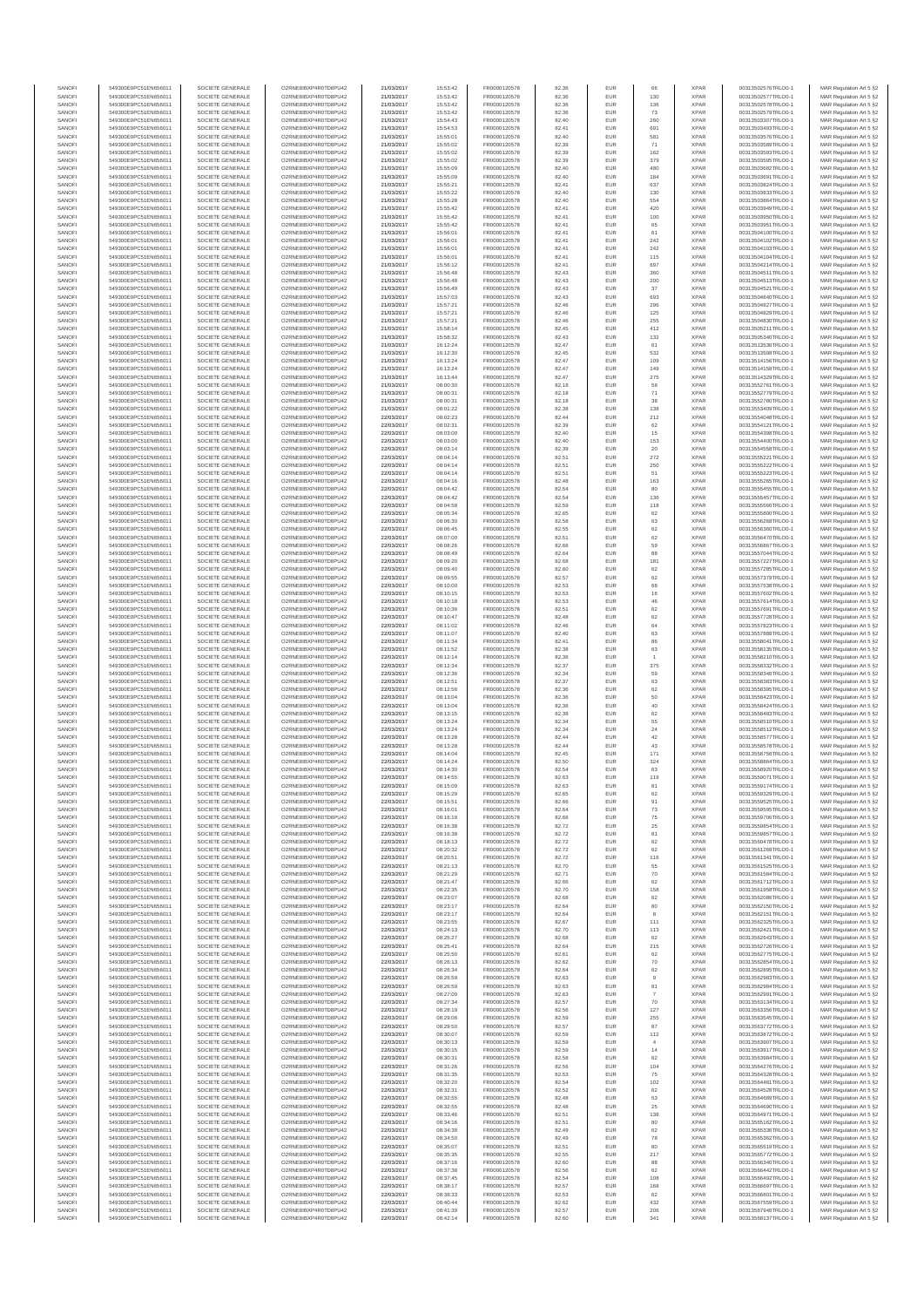| SANOF            | 549300E9PC51EN656011                         | SOCIETE GENERALE                     | O2RNE8IBXP4R0TD8PU42                          | 21/03/2017               | 15:53:42             | FR0000120578                 | 82.36          | EUR               | 66                    | <b>XPAF</b>                | 00313502576TRLO0-1                       | MAR Regulation Art 5 §2                            |
|------------------|----------------------------------------------|--------------------------------------|-----------------------------------------------|--------------------------|----------------------|------------------------------|----------------|-------------------|-----------------------|----------------------------|------------------------------------------|----------------------------------------------------|
| SANOFI           | 549300E9PC51EN656011<br>549300E9PC51EN656011 | SOCIETE GENERALE<br>SOCIETE GENERALE | O2RNE8IBXP4R0TD8PU42                          | 21/03/2017<br>21/03/2017 | 15:53:42<br>15:53:42 | FR0000120578<br>FR0000120578 | 82.36          | EUR<br>EUR        | 130<br>136            | <b>XPAR</b><br><b>XPAR</b> | 00313502577TRLO0-1<br>00313502578TRLO0-1 | MAR Regulation Art 5 §2                            |
| SANOFI<br>SANOFI | 549300E9PC51EN656011                         | SOCIETE GENERALE                     | O2RNE8IBXP4R0TD8PU42<br>O2RNE8IBXP4R0TD8PU42  | 21/03/2017               | 15:53:42             | FR0000120578                 | 82.36<br>82.36 | EUR               | 73                    | <b>XPAR</b>                | 00313502579TRLO0-1                       | MAR Regulation Art 5 §2<br>MAR Regulation Art 5 §2 |
| SANOFI           | 549300E9PC51EN656011                         | SOCIETE GENERALE                     | O2RNE8IBXP4R0TD8PU42                          | 21/03/2017               | 15:54:43             | FR0000120578                 | 82.40          | EUR               | 260                   | <b>XPAR</b>                | 00313503307TRLO0-1                       | MAR Regulation Art 5 §2                            |
| SANOFI           | 549300E9PC51EN656011                         | SOCIETE GENERALE                     | O2RNE8IBXP4R0TD8PU42                          | 21/03/2017               | 15:54:53             | FR0000120578                 | 82.41          | EUR               | 691                   | <b>XPAF</b>                | 00313503493TRLO0-1                       | MAR Regulation Art 5 §2                            |
| SANOFI<br>SANOFI | 549300E9PC51EN656011<br>549300E9PC51EN656011 | SOCIETE GENERALE<br>SOCIETE GENERALE | O2RNE8IBXP4R0TD8PLI42<br>O2RNE8IBXP4R0TD8PU42 | 21/03/2017<br>21/03/2017 | 15:55:01<br>15:55:02 | FR0000120578<br>FR0000120578 | 82.40<br>82.39 | EUR<br>EUR        | 581<br>71             | <b>XPAR</b><br><b>XPAR</b> | 00313503576TRLO0-1<br>00313503589TRLO0-1 | MAR Regulation Art 5 §2<br>MAR Regulation Art 5 §2 |
| SANOFI           | 549300E9PC51EN656011                         | SOCIETE GENERALE                     | O2RNE8IBXP4R0TD8PU42                          | 21/03/2017               | 15:55:02             | FR0000120578                 | 82.39          | EUR               | 162                   | <b>XPAR</b>                | 00313503593TRLO0-1                       | MAR Regulation Art 5 §2                            |
| SANOFI           | 549300E9PC51EN656011                         | SOCIETE GENERALE                     | O2RNE8IBXP4R0TD8PU42                          | 21/03/2017               | 15:55:02             | FR0000120578                 | 82.39          | EUR               | 379                   | <b>XPAR</b>                | 00313503595TRLO0-1                       | MAR Regulation Art 5 §2                            |
| SANOFI<br>SANOFI | 549300E9PC51EN656011<br>549300E9PC51EN656011 | SOCIETE GENERALE<br>SOCIETE GENERALE | O2RNE8IBXP4R0TD8PU42<br>O2RNE8IBXP4R0TD8PU42  | 21/03/2017<br>21/03/2017 | 15:55:09<br>15:55:09 | FR0000120578<br>FR0000120578 | 82.40<br>82.40 | EUR<br>EUR        | 480<br>184            | <b>XPAR</b><br><b>XPAR</b> | 00313503682TRLO0-1<br>00313503691TRLO0-1 | MAR Regulation Art 5 §2<br>MAR Regulation Art 5 §2 |
| SANOFI           | 549300E9PC51EN656011                         | SOCIETE GENERALE                     | O2RNE8IBXP4R0TD8PU42                          | 21/03/2017               | 15:55:21             | FR0000120578                 | 82.41          | EUR               | 637                   | <b>XPAR</b>                | 00313503824TRLO0-1                       | MAR Regulation Art 5 §2                            |
| SANOFI           | 549300E9PC51EN656011                         | SOCIETE GENERALE                     | O2RNE8IBXP4R0TD8PU42                          | 21/03/2017               | 15:55:22             | FR0000120578                 | 82.40          | EUR               | 130                   | <b>XPAR</b>                | 00313503833TRLO0-1                       | MAR Regulation Art 5 §2                            |
| SANOFI           | 549300E9PC51EN656011                         | SOCIETE GENERALE                     | O2RNE8IBXP4R0TD8PU42                          | 21/03/2017               | 15:55:28             | FR0000120578                 | 82.40          | EUR               | 554                   | <b>XPAR</b>                | 00313503864TRLO0-1                       | MAR Regulation Art 5 §2                            |
| SANOFI<br>SANOFI | 549300E9PC51EN656011<br>549300E9PC51EN656011 | SOCIETE GENERALE<br>SOCIETE GENERALE | O2RNE8IBXP4R0TD8PU42<br>O2RNE8IBXP4R0TD8PU42  | 21/03/2017<br>21/03/2017 | 15:55:42<br>15:55:42 | FR0000120578<br>FR0000120578 | 82.41<br>82.41 | EUR<br>EUR        | 420<br>100            | <b>XPAR</b><br><b>XPAR</b> | 00313503949TRLO0-1<br>00313503950TRLO0-1 | MAR Regulation Art 5 §2<br>MAR Regulation Art 5 §2 |
| SANOFI           | 549300E9PC51EN656011                         | SOCIETE GENERALE                     | O2RNE8IBXP4R0TD8PU42                          | 21/03/2017               | 15:55:42             | FR0000120578                 | 82.41          | EUR               | 65                    | <b>XPAR</b>                | 00313503951TRLO0-1                       | MAR Regulation Art 5 §2                            |
| SANOFI           | 549300E9PC51EN656011                         | SOCIETE GENERALE                     | O2RNE8IBXP4R0TD8PU42                          | 21/03/2017               | 15:56:01             | FR0000120578                 | 82.41          | EUR               | 61                    | <b>XPAR</b>                | 00313504100TRLO0-1                       | MAR Regulation Art 5 §2                            |
| SANOFI           | 549300E9PC51EN656011                         | SOCIETE GENERALE                     | O2RNE8IBXP4R0TD8PU42                          | 21/03/2017               | 15:56:01             | FR0000120578<br>FR0000120578 | 82.41          | EUR               | 242                   | <b>XPAR</b>                | 00313504102TRLO0-1                       | MAR Regulation Art 5 §2                            |
| SANOFI<br>SANOFI | 549300E9PC51EN656011<br>549300E9PC51EN656011 | SOCIETE GENERALE<br>SOCIETE GENERALE | O2RNE8IBXP4R0TD8PU42<br>O2RNE8IBXP4R0TD8PU42  | 21/03/2017<br>21/03/2017 | 15:56:01<br>15:56:01 | FR0000120578                 | 82.41<br>82.41 | EUR<br>EUR        | ${\bf 242}$<br>115    | <b>XPAR</b><br><b>XPAR</b> | 00313504103TRLO0-1<br>00313504104TRLO0-1 | MAR Regulation Art 5 §2<br>MAR Regulation Art 5 §2 |
| SANOFI           | 549300E9PC51EN656011                         | SOCIETE GENERALE                     | O2RNE8IBXP4R0TD8PU42                          | 21/03/2017               | 15:56:12             | FR0000120578                 | 82.41          | EUR               | 697                   | <b>XPAR</b>                | 00313504214TRLO0-1                       | MAR Regulation Art 5 §2                            |
| SANOFI           | 549300E9PC51EN656011                         | SOCIETE GENERALE                     | O2RNE8IBXP4R0TD8PU42                          | 21/03/2017               | 15:56:48             | FR0000120578                 | 82.43          | EUR               | 360                   | <b>XPAR</b>                | 00313504511TRLO0-1                       | MAR Regulation Art 5 §2                            |
| SANOFI<br>SANOFI | 549300E9PC51EN656011<br>549300E9PC51EN656011 | SOCIETE GENERALE<br>SOCIETE GENERALE | O2RNE8IBXP4R0TD8PU42<br>O2RNE8IBXP4R0TD8PU42  | 21/03/2017<br>21/03/2017 | 15:56:48<br>15:56:49 | FR0000120578<br>FR0000120578 | 82.43<br>82.43 | EUR<br>EUR        | 200<br>37             | <b>XPAR</b><br><b>XPAF</b> | 00313504513TRLO0-1<br>00313504521TRLO0-1 | MAR Regulation Art 5 §2<br>MAR Regulation Art 5 §2 |
| SANOFI           | 549300E9PC51EN656011                         | SOCIETE GENERALE                     | O2RNE8IBXP4R0TD8PU42                          | 21/03/2017               | 15:57:03             | FR0000120578                 | 82.43          | EUR               | 693                   | <b>XPAR</b>                | 00313504640TRLO0-1                       | MAR Regulation Art 5 \$2                           |
| SANOFI           | 549300E9PC51EN656011                         | SOCIETE GENERALE                     | O2RNE8IBXP4R0TD8PU42                          | 21/03/2017               | 15:57:21             | FR0000120578                 | 82.46          | EUR               | 296                   | <b>XPAR</b>                | 00313504827TRLO0-1                       | MAR Regulation Art 5 §2                            |
| SANOFI           | 549300E9PC51EN656011                         | SOCIETE GENERALE                     | O2RNE8IBXP4R0TD8PU42                          | 21/03/2017               | 15:57:21             | FR0000120578                 | 82.46          | EUR               | 125                   | <b>XPAR</b>                | 00313504829TRLO0-1                       | MAR Regulation Art 5 §2                            |
| SANOFI<br>SANOFI | 549300E9PC51EN656011<br>549300E9PC51EN656011 | SOCIETE GENERALE<br>SOCIETE GENERALE | O2RNE8IBXP4R0TD8PU42<br>O2RNE8IBXP4R0TD8PU42  | 21/03/2017<br>21/03/2017 | 15:57:2<br>15:58:14  | FR0000120578<br>FR0000120578 | 82.46<br>82.45 | EUR<br>EUR        | 255<br>412            | <b>XPAR</b><br><b>XPAR</b> | 00313504830TRLO0-1<br>00313505211TRLO0-1 | MAR Regulation Art 5 §2<br>MAR Regulation Art 5 §2 |
| SANOFI           | 549300E9PC51EN656011                         | SOCIETE GENERALE                     | O2RNE8IBXP4R0TD8PU42                          | 21/03/2017               | 15:58:32             | FR0000120578                 | 82.43          | EUR               | 132                   | <b>XPAR</b>                | 00313505340TRLO0-1                       | MAR Regulation Art 5 §2                            |
| SANOFI           | 549300E9PC51EN656011                         | SOCIETE GENERALE                     | O2RNE8IBXP4R0TD8PU42                          | 21/03/2017               | 16:12:24             | FR0000120578                 | 82.47          | EUR               | 61                    | <b>XPAR</b>                | 00313513536TRLO0-1                       | MAR Regulation Art 5 §2                            |
| SANOFI<br>SANOFI | 549300E9PC51EN656011<br>549300E9PC51EN656011 | SOCIETE GENERALE<br>SOCIETE GENERALE | O2RNE8IBXP4R0TD8PU42<br>O2RNE8IBXP4R0TD8PU42  | 21/03/2017<br>21/03/2017 | 16:12:30<br>16:13:24 | FR0000120578<br>FR0000120578 | 82.45<br>82.47 | EUR<br>EUR        | 532<br>109            | <b>XPAR</b><br><b>XPAF</b> | 00313513598TRLO0-1<br>00313514156TRLO0-1 | MAR Regulation Art 5 §2                            |
| SANOFI           | 549300E9PC51EN656011                         | SOCIETE GENERALE                     | O2RNE8IBXP4R0TD8PU42                          | 21/03/2017               | 16:13:24             | FR0000120578                 | 82.47          | EUR               | 149                   | <b>XPAR</b>                | 00313514158TRLO0-1                       | MAR Regulation Art 5 §2<br>MAR Regulation Art 5 §2 |
| SANOFI           | 549300E9PC51EN656011                         | SOCIETE GENERALE                     | O2RNE8IBXP4R0TD8PU42                          | 21/03/2017               | 16:13:44             | FR0000120578                 | 82.47          | EUR               | 275                   | <b>XPAR</b>                | 00313514329TRLO0-1                       | MAR Regulation Art 5 §2                            |
| SANOFI           | 549300E9PC51EN656011                         | SOCIETE GENERALE                     | O2RNE8IBXP4R0TD8PU42                          | 21/03/2017               | 08:00:30             | FR0000120578                 | 82.18          | EUR               | 58                    | <b>XPAR</b>                | 00313552761TRLO0-1                       | MAR Regulation Art 5 §2                            |
| SANOFI<br>SANOFI | 549300E9PC51EN656011<br>549300E9PC51EN656011 | SOCIETE GENERALE<br>SOCIETE GENERALE | O2RNE8IBXP4R0TD8PU42<br>O2RNE8IBXP4R0TD8PU42  | 21/03/2017<br>21/03/2017 | 08:00:31<br>08:00:31 | FR0000120578<br>FR0000120578 | 82.18<br>82.18 | EUR<br>EUR        | $71\,$<br>38          | <b>XPAR</b><br><b>XPAF</b> | 00313552779TRLO0-1<br>00313552780TRLO0-1 | MAR Regulation Art 5 §2<br>MAR Regulation Art 5 §2 |
| SANOFI           | 549300E9PC51EN656011                         | SOCIETE GENERALE                     | O2RNE8IBXP4R0TD8PLI42                         | 21/03/2017               | 08:01:22             | FR0000120578                 | 82.38          | EUR               | 138                   | <b>XPAR</b>                | 00313553409TRLO0-1                       | MAR Regulation Art 5 \$2                           |
| SANOFI           | 549300E9PC51EN656011                         | SOCIETE GENERALE                     | O2RNE8IBXP4R0TD8PU42                          | 22/03/2017               | 08:02:23             | FR0000120578                 | 82.44          | EUR               | 212                   | <b>XPAR</b>                | 00313554048TRLO0-1                       | MAR Regulation Art 5 §2                            |
| SANOFI           | 549300E9PC51EN656011                         | SOCIETE GENERALE<br>SOCIETE GENERALE | O2RNE8IBXP4R0TD8PU42                          | 22/03/2017               | 08:02:31             | FR0000120578                 | 82.39          | EUR               | 62                    | <b>XPAR</b>                | 00313554121TRLO0-1                       | MAR Regulation Art 5 §2                            |
| SANOFI<br>SANOFI | 549300E9PC51EN656011<br>549300E9PC51EN656011 | SOCIETE GENERALE                     | O2RNE8IBXP4R0TD8PU42<br>O2RNE8IBXP4R0TD8PU42  | 22/03/2017<br>22/03/2017 | 08:03:00<br>08:03:00 | FR0000120578<br>FR0000120578 | 82.40<br>82.40 | EUR<br>EUR        | 15<br>153             | <b>XPAR</b><br><b>XPAR</b> | 00313554398TRLO0-1<br>00313554400TRLO0-1 | MAR Regulation Art 5 §2<br>MAR Regulation Art 5 §2 |
| SANOFI           | 549300E9PC51EN656011                         | SOCIETE GENERALE                     | O2RNE8IBXP4R0TD8PU42                          | 22/03/2017               | 08:03:14             | FR0000120578                 | 82.39          | EUR               | 20                    | <b>XPAR</b>                | 00313554558TRLO0-1                       | MAR Regulation Art 5 §2                            |
| SANOFI           | 549300E9PC51EN656011                         | SOCIETE GENERALE                     | O2RNE8IBXP4R0TD8PU42                          | 22/03/2017               | 08:04:14             | FR0000120578                 | 82.51          | EUR               | 272                   | <b>XPAR</b>                | 00313555221TRLO0-1                       | MAR Regulation Art 5 §2                            |
| SANOFI<br>SANOFI | 549300E9PC51EN656011<br>549300E9PC51EN656011 | SOCIETE GENERALE<br>SOCIETE GENERALE | O2RNE8IBXP4R0TD8PU42<br>O2RNE8IBXP4R0TD8PU42  | 22/03/2017<br>22/03/2017 | 08:04:14<br>08:04:14 | FR0000120578<br>FR0000120578 | 82.51<br>82.51 | EUR<br>EUR        | 250<br>51             | <b>XPAR</b><br><b>XPAF</b> | 00313555222TRLO0-1<br>00313555223TRLO0-1 | MAR Regulation Art 5 §2                            |
| SANOFI           | 549300E9PC51EN656011                         | SOCIETE GENERALE                     | O2RNE8IBXP4R0TD8PU42                          | 22/03/2017               | 08:04:16             | FR0000120578                 | 82.48          | EUR               | 163                   | <b>XPAR</b>                | 00313555265TRLO0-1                       | MAR Regulation Art 5 §2<br>MAR Regulation Art 5 §2 |
| SANOFI           | 549300E9PC51EN656011                         | SOCIETE GENERALE                     | O2RNE8IBXP4R0TD8PU42                          | 22/03/2017               | 08:04:42             | FR0000120578                 | 82.54          | EUR               | 80                    | <b>XPAR</b>                | 00313555455TRLO0-1                       | MAR Regulation Art 5 §2                            |
| SANOFI           | 549300E9PC51EN656011                         | SOCIETE GENERALE                     | O2RNE8IBXP4R0TD8PU42                          | 22/03/2017               | 08:04:42             | FR0000120578                 | 82.54          | EUR               | 136                   | <b>XPAR</b>                | 00313555457TRLO0-1                       | MAR Regulation Art 5 §2                            |
| SANOFI           | 549300E9PC51EN656011<br>549300E9PC51EN656011 | SOCIETE GENERALE                     | O2RNE8IBXP4R0TD8PU42                          | 22/03/2017               | 08:04:58             | FR0000120578                 | 82.59<br>82.65 | EUR<br>EUR        | 118<br>62             | <b>XPAR</b><br><b>XPAR</b> | 00313555566TRLO0-1                       | MAR Regulation Art 5 §2                            |
| SANOFI<br>SANOFI | 549300E9PC51EN656011                         | SOCIETE GENERALE<br>SOCIETE GENERALE | O2RNE8IBXP4R0TD8PU42<br>O2RNE8IBXP4R0TD8PU42  | 22/03/2017<br>22/03/2017 | 08:05:34<br>08:06:30 | FR0000120578<br>FR0000120578 | 82.58          | EUR               | 63                    | <b>XPAR</b>                | 00313555800TRLO0-1<br>00313556268TRLO0-1 | MAR Regulation Art 5 §2<br>MAR Regulation Art 5 §2 |
| SANOFI           | 549300E9PC51EN656011                         | SOCIETE GENERALE                     | O2RNE8IBXP4R0TD8PU42                          | 22/03/2017               | 08:06:45             | FR0000120578                 | 82.55          | EUR               | 62                    | <b>XPAR</b>                | 00313556360TRLO0-1                       | MAR Regulation Art 5 §2                            |
| SANOFI           | 549300E9PC51EN656011                         | SOCIETE GENERALE                     | O2RNE8IBXP4R0TD8PU42                          | 22/03/2017               | 08:07:00             | FR0000120578                 | 82.51          | EUR               | 62                    | <b>XPAR</b>                | 00313556470TRLO0-1                       | MAR Regulation Art 5 §2                            |
| SANOFI<br>SANOFI | 549300E9PC51EN656011<br>549300E9PC51EN656011 | SOCIETE GENERALE<br>SOCIETE GENERALE | O2RNE8IBXP4R0TD8PU42<br>O2RNE8IBXP4R0TD8PU42  | 22/03/2017<br>22/03/2017 | 08:08:26<br>08:08:49 | FR0000120578<br>FR0000120578 | 82.66<br>82.64 | EUR<br>EUR        | 59<br>88              | <b>XPAR</b><br><b>XPAR</b> | 00313556867TRLO0-1<br>00313557044TRLO0-1 | MAR Regulation Art 5 §2<br>MAR Regulation Art 5 §2 |
| SANOFI           | 549300E9PC51EN656011                         | SOCIETE GENERALE                     | O2RNE8IBXP4R0TD8PU42                          | 22/03/2017               | 08:09:20             | FR0000120578                 | 82.68          | EUR               | 181                   | <b>XPAR</b>                | 00313557227TRLO0-1                       | MAR Regulation Art 5 §2                            |
| SANOFI           | 549300E9PC51EN656011                         | SOCIETE GENERALE                     | O2RNE8IBXP4R0TD8PU42                          | 22/03/2017               | 08:09:40             | FR0000120578                 | 82.60          | EUR               | 62                    | <b>XPAR</b>                | 00313557285TRLO0-1                       | MAR Regulation Art 5 §2                            |
| SANOFI           | 549300E9PC51EN656011                         | SOCIETE GENERALE                     | O2RNE8IBXP4R0TD8PU42                          | 22/03/2017               | 08:09:55             | FR0000120578                 | 82.57          | EUR               | 62                    | <b>XPAR</b>                | 00313557379TRLO0-1                       | MAR Regulation Art 5 §2                            |
| SANOFI<br>SANOFI | 549300E9PC51EN656011<br>549300E9PC51EN656011 | SOCIETE GENERALE<br>SOCIETE GENERALE | O2RNE8IBXP4R0TD8PU42<br>O2RNE8IBXP4R0TD8PU42  | 22/03/2017<br>22/03/2017 | 08:10:00<br>08:10:15 | FR0000120578<br>FR0000120578 | 82.53<br>82.53 | EUR<br>EUR        | 68<br>$16\,$          | <b>XPAR</b><br><b>XPAR</b> | 00313557538TRLO0-1<br>00313557602TRLO0-1 | MAR Regulation Art 5 §2<br>MAR Regulation Art 5 §2 |
| SANOFI           | 549300E9PC51EN656011                         | SOCIETE GENERALE                     | O2RNE8IBXP4R0TD8PU42                          | 22/03/2017               | 08:10:18             | FR0000120578                 | 82.53          | EUR               | 46                    | <b>XPAR</b>                | 00313557614TRLO0-1                       | MAR Regulation Art 5 §2                            |
| SANOFI           | 549300E9PC51EN656011                         | SOCIETE GENERALE                     | O2RNE8IBXP4R0TD8PU42                          | 22/03/2017               | 08:10:36             | FR0000120578                 | 82.51          | EUR               | 62                    | <b>XPAR</b>                | 00313557691TRLO0-1                       | MAR Regulation Art 5 §2                            |
| SANOFI           | 549300E9PC51EN656011                         | SOCIETE GENERALE                     | O2RNE8IBXP4R0TD8PU42                          | 22/03/2017               | 08:10:47             | FR0000120578                 | 82.48          | EUR               | 62                    | <b>XPAR</b>                | 00313557728TRLO0-1                       | MAR Regulation Art 5 §2                            |
| SANOFI<br>SANOFI | 549300E9PC51EN656011<br>549300E9PC51EN656011 | SOCIETE GENERALE<br>SOCIETE GENERALE | O2RNE8IBXP4R0TD8PU42<br>O2RNE8IBXP4R0TD8PU42  | 22/03/2017<br>22/03/2017 | 08:11:02<br>08:11:07 | FR0000120578<br>FR0000120578 | 82.46<br>82.40 | EUR<br>EUR        | 64<br>63              | <b>XPAR</b><br><b>XPAF</b> | 00313557823TRLO0-1<br>00313557888TRLO0-1 | MAR Regulation Art 5 §2<br>MAR Regulation Art 5 §2 |
| SANOFI           | 549300E9PC51EN656011                         | SOCIETE GENERALE                     | O2RNE8IBXP4R0TD8PU42                          | 22/03/2017               | 08:11:34             | FR0000120578                 | 82.41          | EUR               | 86                    | <b>XPAR</b>                | 00313558041TRLO0-1                       | MAR Regulation Art 5 §2                            |
| SANOFI           | 549300E9PC51EN656011                         | SOCIETE GENERALE                     | O2RNE8IBXP4R0TD8PU42                          | 22/03/2017               | 08:11:52             | FR0000120578                 | 82.38          | EUR               | 63                    | <b>XPAR</b>                | 00313558135TRLO0-1                       | MAR Regulation Art 5 §2                            |
| SANOFI<br>SANOFI | 549300E9PC51EN656011<br>549300E9PC51EN656011 | SOCIETE GENERALE<br>SOCIETE GENERALE | O2RNE8IBXP4R0TD8PU42<br>O2RNE8IBXP4R0TD8PU42  | 22/03/2017<br>22/03/2017 | 08:12:14<br>08:12:34 | FR0000120578<br>FR0000120578 | 82.36<br>82.37 | EUR<br>EUR        | $\overline{1}$<br>375 | <b>XPAR</b><br><b>XPAR</b> | 00313558210TRLO0-1<br>00313558332TRLO0-1 | MAR Regulation Art 5 §2<br>MAR Regulation Art 5 §2 |
| SANOFI           | 549300E9PC51EN656011                         | SOCIETE GENERALE                     | O2RNE8IBXP4R0TD8PU42                          | 22/03/2017               | 08:12:36             | FR0000120578                 | 82.34          | EUR               | 59                    | <b>XPAR</b>                | 00313558346TRLO0-1                       | MAR Regulation Art 5 §2                            |
| SANOFI           | 549300E9PC51EN656011                         | SOCIETE GENERALE                     | O2RNE8IBXP4R0TD8PU42                          | 22/03/2017               | 08:12:51             | FR0000120578                 | 82.37          | EUR               | 63                    | <b>XPAR</b>                | 00313558383TRLO0-1                       | MAR Regulation Art 5 §2                            |
| SANOFI<br>SANOFI | 549300E9PC51EN656011<br>549300E9PC51EN656011 | SOCIETE GENERALE<br>SOCIETE GENERALE | O2RNE8IBXP4R0TD8PU42<br>O2RNE8IBXP4R0TD8PU42  | 22/03/2017<br>22/03/2017 | 08:12:56<br>08:13:04 | FR0000120578<br>FR0000120578 | 82.36<br>82.36 | EUR<br>EUR        | 62                    | <b>XPAR</b><br><b>XPAR</b> | 00313558395TRLO0-1<br>00313558423TRLO0-1 | MAR Regulation Art 5 §2                            |
| SANOFI           | 549300E9PC51EN656011                         | SOCIETE GENERALE                     | O2RNE8IBXP4R0TD8PU42                          | 22/03/2017               | 08:13:04             | FR0000120578                 | 82.36          | EUR               | 50<br>40              | <b>XPAF</b>                | 00313558424TRLO0-1                       | MAR Regulation Art 5 §2<br>MAR Regulation Art 5 §2 |
| SANOFI           | 549300E9PC51EN656011                         | SOCIETE GENERALE                     | O2RNE8IBXP4R0TD8PU42                          | 22/03/2017               | 08:13:15             | FR0000120578                 | 82.38          | EUR               | 62                    | <b>XPAR</b>                | 00313558483TRLO0-1                       | MAR Regulation Art 5 §2                            |
| SANOFI           | 549300E9PC51EN656011                         | SOCIETE GENERALE                     | O2RNE8IBXP4R0TD8PU42                          | 22/03/2017               | 08:13:24             | FR0000120578                 | 82.34          | EUR               | 55                    | <b>XPAR</b>                | 00313558510TRLO0-1                       | MAR Regulation Art 5 §2                            |
| SANOFI<br>SANOFI | 549300E9PC51EN656011<br>549300E9PC51EN656011 | SOCIETE GENERALE<br>SOCIETE GENERALE | O2RNE8IBXP4R0TD8PU42<br>O2RNE8IBXP4R0TD8PU42  | 22/03/2017               | 08:13:24             | FR0000120578<br>FR0000120578 | 82.34<br>82.44 | EUR<br>EUR        | 24<br>42              | <b>XPAR</b><br><b>XPAR</b> | 00313558512TRLO0-1<br>00313558577TRLO0-1 | MAR Regulation Art 5 §2                            |
| SANOFI           | 549300E9PC51EN656011                         | SOCIETE GENERALE                     | O2RNE8IBXP4R0TD8PU42                          | 22/03/2017<br>22/03/2017 | 08:13:28<br>08:13:28 | FR0000120578                 | 82.44          | EUR               | 43                    | <b>XPAF</b>                | 00313558578TRLO0-1                       | MAR Regulation Art 5 §2<br>MAR Regulation Art 5 §2 |
| SANOFI           | 549300E9PC51EN656011                         | SOCIETE GENERALE                     | O2RNE8IBXP4R0TD8PU42                          | 22/03/2017               | 08:14:04             | FR0000120578                 | 82.45          | EUR               | 171                   | <b>XPAR</b>                | 00313558756TRLO0-1                       | MAR Regulation Art 5 §2                            |
| SANOFI           | 549300E9PC51EN656011<br>549300E9PC51EN656011 | SOCIETE GENERALE                     | O2RNE8IBXP4R0TD8PU42                          | 22/03/2017               | 08:14:24             | FR0000120578                 | 82.50          | EUR               | 324                   | <b>XPAF</b>                | 00313558864TRLO0-1                       | MAR Regulation Art 5 §2                            |
| SANOFI<br>SANOFI | 549300E9PC51EN656011                         | SOCIETE GENERALE<br>SOCIETE GENERALE | O2RNE8IBXP4R0TD8PU42<br>O2RNE8IBXP4R0TD8PU42  | 22/03/2017<br>22/03/2017 | 08:14:30<br>08:14:55 | FR0000120578<br>FR0000120578 | 82.54<br>82.63 | EUR<br>EUR        | 63<br>119             | <b>XPAR</b><br><b>XPAR</b> | 00313558920TRLO0-1<br>00313559071TRLO0-1 | MAR Regulation Art 5 §2<br>MAR Regulation Art 5 §2 |
| SANOFI           | 549300E9PC51EN656011                         | SOCIETE GENERALE                     | O2RNE8IBXP4R0TD8PLI42                         | 22/03/2017               | 08:15:09             | FR0000120578                 | 82.63          | EUR               | 81                    | <b>XPAR</b>                | 00313559174TRLO0-1                       | MAR Regulation Art 5 §2                            |
| SANOFI           | 549300E9PC51EN656011                         | SOCIETE GENERALE                     | O2RNE8IBXP4R0TD8PU42                          | 22/03/2017               | 08:15:29             | FR0000120578                 | 82.65          | EUR               | 62                    | <b>XPAR</b>                | 00313559329TRLO0-1                       | MAR Regulation Art 5 §2                            |
| SANOFI           | 549300E9PC51EN656011                         | SOCIETE GENERALE<br>SOCIETE GENERALE | O2RNE8IBXP4R0TD8PU42<br>O2RNE8IBXP4R0TD8PU42  | 22/03/2017               | 08:15:51             | FR0000120578                 | 82.66          | EUR<br>EUR        | 91                    | <b>XPAR</b><br><b>XPAR</b> | 00313559525TRLO0-1                       | MAR Regulation Art 5 §2                            |
| SANOFI<br>SANOFI | 549300E9PC51EN656011<br>549300E9PC51EN656011 | SOCIETE GENERALE                     | O2RNE8IBXP4R0TD8PU42                          | 22/03/2017<br>22/03/2017 | 08:16:01<br>08:16:19 | FR0000120578<br>FR0000120578 | 82.64<br>82.66 | EUR               | 73<br>75              | <b>XPAR</b>                | 00313559595TRLO0-1<br>00313559706TRLO0-1 | MAR Regulation Art 5 §2<br>MAR Regulation Art 5 §2 |
| SANOFI           | 549300E9PC51EN656011                         | SOCIETE GENERALE                     | O2RNE8IBXP4R0TD8PU42                          | 22/03/2017               | 08:16:38             | FR0000120578                 | 82.72          | EUR               | 25                    | <b>XPAR</b>                | 00313559854TRLO0-1                       | MAR Regulation Art 5 §2                            |
| SANOFI           | 549300E9PC51EN656011                         | SOCIETE GENERALE                     | O2RNE8IBXP4R0TD8PU42                          | 22/03/2017               | 08:16:38             | FR0000120578                 | 82.72          | EUR               | 81                    | <b>XPAR</b>                | 00313559857TRLO0-1                       | MAR Regulation Art 5 §2                            |
| SANOFI<br>SANOFI | 549300E9PC51EN656011<br>549300E9PC51EN656011 | SOCIETE GENERALE<br>SOCIETE GENERALE | O2RNE8IBXP4R0TD8PU42<br>O2RNE8IBXP4R0TD8PU42  | 22/03/2017<br>22/03/2017 | 08:18:13<br>08:20:32 | FR0000120578<br>FR0000120578 | 82.72<br>82.72 | EUR<br>EUR        | 62<br>62              | <b>XPAR</b><br><b>XPAR</b> | 00313560478TRLO0-1<br>00313561268TRLO0-1 | MAR Regulation Art 5 §2<br>MAR Regulation Art 5 §2 |
| SANOFI           | 549300E9PC51EN656011                         | SOCIETE GENERALE                     | O2RNE8IBXP4R0TD8PU42                          | 22/03/2017               | 08:20:51             | FR0000120578                 | 82.72          | EUR               | 116                   | <b>XPAR</b>                | 00313561341TRLO0-1                       | MAR Regulation Art 5 §2                            |
| SANOFI           | 549300E9PC51EN656011                         | SOCIETE GENERALE                     | O2RNE8IBXP4R0TD8PU42                          | 22/03/2017               | 08:21:13             | FR0000120578                 | 82.70          | EUR               | 55                    | <b>XPAR</b>                | 00313561525TRLO0-1                       | MAR Regulation Art 5 §2                            |
| SANOFI<br>SANOFI | 549300E9PC51EN656011<br>549300E9PC51EN656011 | SOCIETE GENERALE<br>SOCIETE GENERALE | O2RNE8IBXP4R0TD8PU42<br>O2RNE8IBXP4R0TD8PU42  | 22/03/2017<br>22/03/2017 | 08:21:29<br>08:21:47 | FR0000120578<br>FR0000120578 | 82.71<br>82.66 | EUR<br><b>EUR</b> | 70<br>62              | <b>XPAR</b><br><b>XPAR</b> | 00313561584TRLO0-1<br>00313561712TRLO0-1 | MAR Regulation Art 5 §2<br>MAR Regulation Art 5 §2 |
| SANOFI           | 549300E9PC51EN656011                         | SOCIETE GENERALE                     | O2RNE8IBXP4R0TD8PU42                          | 22/03/2017               | 08:22:35             | FR0000120578                 | 82.70          | EUR               | 158                   | <b>XPAR</b>                | 00313561958TRLO0-1                       | MAR Regulation Art 5 §2                            |
| SANOFI           | 549300E9PC51EN656011                         | SOCIETE GENERALE                     | O2RNE8IBXP4R0TD8PU42                          | 22/03/2017               | 08:23:07             | FR0000120578                 | 82.68          | <b>EUR</b>        | 62                    | <b>XPAR</b>                | 00313562086TRLO0-1                       | MAR Regulation Art 5 §2                            |
| SANOFI<br>SANOFI | 549300E9PC51EN656011<br>549300E9PC51EN656011 | SOCIETE GENERALE<br>SOCIETE GENERALE | O2RNE8IBXP4R0TD8PU42<br>O2RNE8IBXP4R0TD8PU42  | 22/03/2017<br>22/03/2017 | 08:23:17<br>08:23:17 | FR0000120578<br>FR0000120578 | 82.64<br>82.64 | EUR<br>EUR        | 80<br>8               | <b>XPAR</b><br><b>XPAR</b> | 00313562150TRLO0-1<br>00313562151TRLO0-1 | MAR Regulation Art 5 §2<br>MAR Regulation Art 5 §2 |
| SANOFI           | 549300E9PC51EN656011                         | SOCIETE GENERALE                     | O2RNE8IBXP4R0TD8PU42                          | 22/03/2017               | 08:23:55             | FR0000120578                 | 82.67          | EUR               | 111                   | <b>XPAR</b>                | 00313562325TRLO0-1                       | MAR Regulation Art 5 §2                            |
| SANOFI           | 549300E9PC51EN656011                         | SOCIETE GENERALE                     | O2RNE8IBXP4R0TD8PU42                          | 22/03/2017               | 08:24:13             | FR0000120578                 | 82.70          | EUR               | 113                   | <b>XPAR</b>                | 00313562421TRLO0-1                       | MAR Regulation Art 5 §2                            |
| SANOFI<br>SANOFI | 549300E9PC51EN656011<br>549300E9PC51EN656011 | SOCIETE GENERALE<br>SOCIETE GENERALE | O2RNE8IBXP4R0TD8PU42<br>O2RNE8IBXP4R0TD8PU42  | 22/03/2017<br>22/03/2017 | 08:25:27<br>08:25:41 | FR0000120578<br>FR0000120578 | 82.68<br>82.64 | EUR<br>EUR        | 62<br>215             | <b>XPAR</b><br><b>XPAR</b> | 00313562643TRLO0-1<br>00313562726TRLO0-1 | MAR Regulation Art 5 §2                            |
| SANOFI           | 549300E9PC51EN656011                         | SOCIETE GENERALE                     | O2RNE8IBXP4R0TD8PU42                          | 22/03/2017               | 08:25:50             | FR0000120578                 | 82.61          | <b>EUR</b>        | 62                    | <b>XPAR</b>                | 00313562775TRLO0-1                       | MAR Regulation Art 5 §2<br>MAR Regulation Art 5 §2 |
| SANOFI           | 549300E9PC51EN656011                         | SOCIETE GENERALE                     | O2RNE8IBXP4R0TD8PU42                          | 22/03/2017               | 08:26:13             | FR0000120578                 | 82.62          | EUR               | 70                    | <b>XPAR</b>                | 00313562854TRLO0-1                       | MAR Regulation Art 5 §2                            |
| SANOFI           | 549300E9PC51EN656011                         | SOCIETE GENERALE                     | O2RNE8IBXP4R0TD8PU42                          | 22/03/2017               | 08:26:34             | FR0000120578                 | 82.64          | <b>EUR</b>        | 62                    | <b>XPAR</b>                | 00313562895TRLO0-1                       | MAR Regulation Art 5 §2                            |
| SANOFI<br>SANOFI | 549300E9PC51EN656011<br>549300E9PC51EN656011 | SOCIETE GENERALE<br>SOCIETE GENERALE | O2RNE8IBXP4R0TD8PU42<br>O2RNE8IBXP4R0TD8PU42  | 22/03/2017<br>22/03/2017 | 08:26:59<br>08:26:59 | FR0000120578<br>FR0000120578 | 82.63<br>82.63 | EUR<br>EUR        | 9<br>81               | <b>XPAR</b><br><b>XPAR</b> | 00313562983TRLO0-1<br>00313562984TRLO0-1 | MAR Regulation Art 5 §2<br>MAR Regulation Art 5 §2 |
| SANOFI           | 549300E9PC51EN656011                         | SOCIETE GENERALE                     | O2RNE8IBXP4R0TD8PU42                          | 22/03/2017               | 08:27:00             | FR0000120578                 | 82.63          | EUR               | $\overline{7}$        | <b>XPAR</b>                | 00313562991TRLO0-1                       | MAR Regulation Art 5 §2                            |
| SANOFI           | 549300E9PC51EN656011                         | SOCIETE GENERALE                     | O2RNE8IBXP4R0TD8PU42                          | 22/03/2017               | 08:27:34             | FR0000120578                 | 82.57          | EUR               | 70                    | <b>XPAR</b>                | 00313563134TRLO0-1                       | MAR Regulation Art 5 §2                            |
| SANOFI           | 549300E9PC51EN656011                         | SOCIETE GENERALE                     | O2RNE8IBXP4R0TD8PU42                          | 22/03/2017               | 08:28:19             | FR0000120578                 | 82.56          | EUR               | 127                   | <b>XPAR</b>                | 00313563356TRLO0-1                       | MAR Regulation Art 5 §2                            |
| SANOFI<br>SANOFI | 549300E9PC51EN656011<br>549300E9PC51EN656011 | SOCIETE GENERALE<br>SOCIETE GENERALE | O2RNE8IBXP4R0TD8PU42<br>O2RNE8IBXP4R0TD8PU42  | 22/03/2017<br>22/03/2017 | 08:29:06<br>08:29:50 | FR0000120578<br>FR0000120578 | 82.59<br>82.57 | EUR<br>EUR        | 255<br>87             | <b>XPAR</b><br><b>XPAR</b> | 00313563545TRLO0-1<br>00313563772TRLO0-1 | MAR Regulation Art 5 §2<br>MAR Regulation Art 5 §2 |
| SANOFI           | 549300E9PC51EN656011                         | SOCIETE GENERALE                     | O2RNE8IBXP4R0TD8PU42                          | 22/03/2017               | 08:30:07             | FR0000120578                 | 82.59          | EUR               | 112                   | <b>XPAR</b>                | 00313563872TRLO0-1                       | MAR Regulation Art 5 §2                            |
| SANOFI           | 549300E9PC51EN656011                         | SOCIETE GENERALE                     | O2RNE8IBXP4R0TD8PU42                          | 22/03/2017               | 08:30:13             | FR0000120578                 | 82.59          | <b>EUR</b>        | $\overline{4}$        | <b>XPAR</b>                | 00313563907TRLO0-1                       | MAR Regulation Art 5 §2                            |
| SANOFI<br>SANOFI | 549300E9PC51EN656011<br>549300E9PC51EN656011 | SOCIETE GENERALE<br>SOCIETE GENERALE | O2RNE8IBXP4R0TD8PU42<br>O2RNE8IBXP4R0TD8PU42  | 22/03/2017<br>22/03/2017 | 08:30:15             | FR0000120578<br>FR0000120578 | 82.59<br>82.58 | EUR<br>EUR        | 14<br>62              | <b>XPAR</b><br><b>XPAR</b> | 00313563917TRLO0-1<br>00313563984TRLO0-1 | MAR Regulation Art 5 §2                            |
| SANOFI           | 549300E9PC51EN656011                         | SOCIETE GENERALE                     | O2RNE8IBXP4R0TD8PU42                          | 22/03/2017               | 08:30:31<br>08:31:26 | FR0000120578                 | 82.56          | EUR               | 104                   | <b>XPAR</b>                | 00313564276TRLO0-1                       | MAR Regulation Art 5 §2<br>MAR Regulation Art 5 §2 |
| SANOFI           | 549300E9PC51EN656011                         | SOCIETE GENERALE                     | O2RNE8IBXP4R0TD8PU42                          | 22/03/2017               | 08:31:35             | FR0000120578                 | 82.53          | EUR               | 75                    | <b>XPAR</b>                | 00313564328TRLO0-1                       | MAR Regulation Art 5 §2                            |
| SANOFI           | 549300E9PC51EN656011                         | SOCIETE GENERALE                     | O2RNE8IBXP4R0TD8PU42                          | 22/03/2017               | 08:32:20             | FR0000120578                 | 82.54          | <b>EUR</b>        | 102                   | <b>XPAR</b>                | 00313564481TRLO0-1                       | MAR Regulation Art 5 §2                            |
| SANOFI<br>SANOFI | 549300E9PC51EN656011<br>549300E9PC51EN656011 | SOCIETE GENERALE<br>SOCIETE GENERALE | O2RNE8IBXP4R0TD8PU42<br>O2RNE8IBXP4R0TD8PU42  | 22/03/2017<br>22/03/2017 | 08:32:31<br>08:32:55 | FR0000120578<br>FR0000120578 | 82.52<br>82.48 | EUR<br><b>EUR</b> | 62                    | <b>XPAR</b><br><b>XPAR</b> | 00313564528TRLO0-1<br>00313564689TRLO0-1 | MAR Regulation Art 5 §2                            |
| SANOFI           | 549300E9PC51EN656011                         | SOCIETE GENERALE                     | O2RNE8IBXP4R0TD8PU42                          | 22/03/2017               | 08:32:55             | FR0000120578                 | 82.48          | EUR               | 53<br>25              | <b>XPAR</b>                | 00313564690TRLO0-1                       | MAR Regulation Art 5 §2<br>MAR Regulation Art 5 §2 |
| SANOFI           | 549300E9PC51EN656011                         | SOCIETE GENERALE                     | O2RNE8IBXP4R0TD8PU42                          | 22/03/2017               | 08:33:46             | FR0000120578                 | 82.51          | <b>EUR</b>        | 138                   | <b>XPAR</b>                | 00313564971TRLO0-1                       | MAR Regulation Art 5 §2                            |
| SANOFI           | 549300E9PC51EN656011                         | SOCIETE GENERALE                     | O2RNE8IBXP4R0TD8PU42                          | 22/03/2017               | 08:34:16             | FR0000120578                 | 82.51          | EUR               | 80                    | <b>XPAR</b>                | 00313565162TRLO0-1                       | MAR Regulation Art 5 §2                            |
| SANOFI<br>SANOFI | 549300E9PC51EN656011<br>549300E9PC51EN656011 | SOCIETE GENERALE<br>SOCIETE GENERALE | O2RNE8IBXP4R0TD8PU42<br>O2RNE8IBXP4R0TD8PU42  | 22/03/2017<br>22/03/2017 | 08:34:38<br>08:34:50 | FR0000120578<br>FR0000120578 | 82.49<br>82.49 | EUR<br>EUR        | 62<br>78              | <b>XPAR</b><br><b>XPAR</b> | 00313565336TRLO0-1<br>00313565362TRLO0-1 | MAR Regulation Art 5 §2<br>MAR Regulation Art 5 §2 |
| SANOFI           | 549300E9PC51EN656011                         | SOCIETE GENERALE                     | O2RNE8IBXP4R0TD8PU42                          | 22/03/2017               | 08:35:07             | FR0000120578                 | 82.51          | EUR               | 80                    | <b>XPAR</b>                | 00313565519TRLO0-1                       | MAR Regulation Art 5 §2                            |
| SANOFI           | 549300E9PC51EN656011                         | SOCIETE GENERALE                     | O2RNE8IBXP4R0TD8PU42                          | 22/03/2017               | 08:35:35             | FR0000120578                 | 82.55          | <b>EUR</b>        | 217                   | <b>XPAR</b>                | 00313565772TRLO0-1                       | MAR Regulation Art 5 §2                            |
| SANOFI<br>SANOFI | 549300E9PC51EN656011<br>549300E9PC51EN656011 | SOCIETE GENERALE<br>SOCIETE GENERALE | O2RNE8IBXP4R0TD8PU42<br>O2RNE8IBXP4R0TD8PU42  | 22/03/2017<br>22/03/2017 | 08:37:16<br>08:37:38 | FR0000120578<br>FR0000120578 | 82.60<br>82.56 | EUR<br><b>EUR</b> | 88<br>62              | <b>XPAR</b><br><b>XPAR</b> | 00313566340TRLO0-1<br>00313566442TRLO0-1 | MAR Regulation Art 5 §2                            |
| SANOFI           | 549300E9PC51EN656011                         | SOCIETE GENERALE                     | O2RNE8IBXP4R0TD8PU42                          | 22/03/2017               | 08:37:45             | FR0000120578                 | 82.54          | EUR               | 108                   | <b>XPAR</b>                | 00313566492TRLO0-1                       | MAR Regulation Art 5 §2<br>MAR Regulation Art 5 §2 |
| SANOFI           | 549300E9PC51EN656011                         | SOCIETE GENERALE                     | O2RNE8IBXP4R0TD8PU42                          | 22/03/2017               | 08:38:17             | FR0000120578                 | 82.57          | EUR               | 168                   | <b>XPAR</b>                | 00313566697TRLO0-1                       | MAR Regulation Art 5 §2                            |
| SANOFI           | 549300E9PC51EN656011                         | SOCIETE GENERALE                     | O2RNE8IBXP4R0TD8PU42                          | 22/03/2017               | 08:38:33             | FR0000120578                 | 82.53          | EUR               | 62                    | <b>XPAR</b>                | 00313566801TRLO0-1                       | MAR Regulation Art 5 §2                            |
| SANOFI<br>SANOFI | 549300E9PC51EN656011<br>549300E9PC51EN656011 | SOCIETE GENERALE<br>SOCIETE GENERALE | O2RNE8IBXP4R0TD8PU42<br>O2RNE8IBXP4R0TD8PU42  | 22/03/2017<br>22/03/2017 | 08:40:44<br>08:41:39 | FR0000120578<br>FR0000120578 | 82.62<br>82.57 | EUR<br>EUR        | 432<br>206            | <b>XPAR</b><br><b>XPAR</b> | 00313567559TRLO0-1<br>00313567946TRLO0-1 | MAR Regulation Art 5 §2<br>MAR Regulation Art 5 §2 |
| SANOFI           | 549300E9PC51EN656011                         | SOCIETE GENERALE                     | O2RNE8IBXP4R0TD8PU42                          | 22/03/2017               | 08:42:14             | FR0000120578                 | 82.60          | EUR               | 341                   | <b>XPAR</b>                | 00313568137TRLO0-1                       | MAR Regulation Art 5 §2                            |
|                  |                                              |                                      |                                               |                          |                      |                              |                |                   |                       |                            |                                          |                                                    |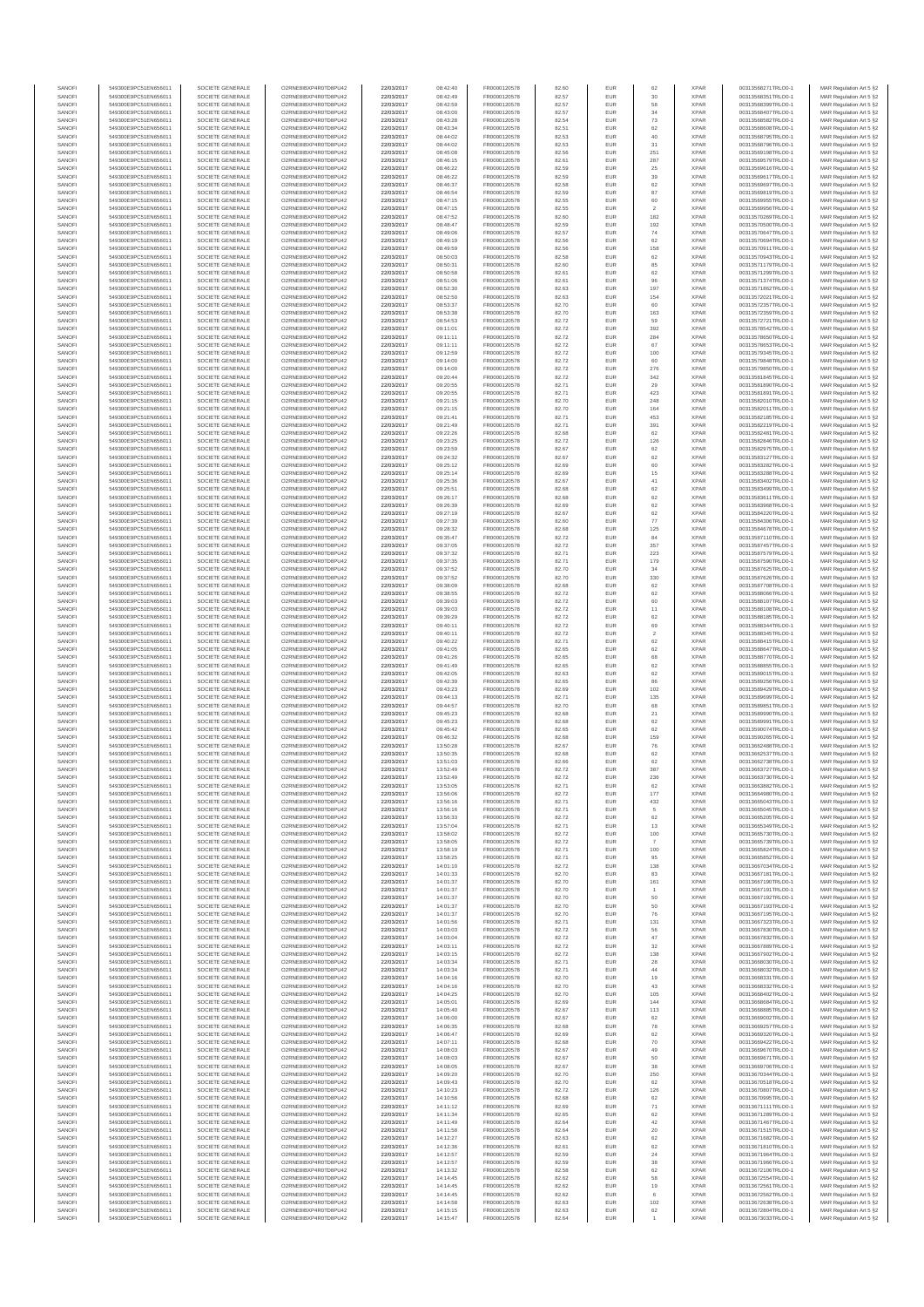| SANOFI           | 549300E9PC51EN656011                         | SOCIETE GENERALE                     | O2RNE8IBXP4R0TD8PU42                          | 22/03/2017               | 08:42:40             | FR0000120578                 | 82.60          | EUR        | 62                    | <b>XPAR</b>                | 00313568271TRLO0-1                       | MAR Regulation Art 5 §2                             |
|------------------|----------------------------------------------|--------------------------------------|-----------------------------------------------|--------------------------|----------------------|------------------------------|----------------|------------|-----------------------|----------------------------|------------------------------------------|-----------------------------------------------------|
| SANOFI<br>SANOFI | 549300E9PC51EN656011<br>549300E9PC51EN656011 | SOCIETE GENERALE<br>SOCIETE GENERALE | O2RNE8IBXP4R0TD8PU42<br>O2RNE8IBXP4R0TD8PU42  | 22/03/2017<br>22/03/2017 | 08:42:49<br>08:42:59 | FR0000120578<br>FR0000120578 | 82.57<br>82.57 | EUR<br>EUR | 30<br>58              | <b>XPAR</b><br><b>XPAR</b> | 00313568351TRLO0-1<br>00313568399TRLO0-1 | MAR Regulation Art 5 §2<br>MAR Regulation Art 5 §2  |
| SANOFI           | 549300E9PC51EN656011                         | SOCIETE GENERALE                     | O2RNE8IBXP4R0TD8PLI42                         | 22/03/2017               | 08:43:00             | FR0000120578                 | 82.57          | EUR        | 34                    | <b>XPAR</b>                | 00313568407TRLO0-1                       | MAR Regulation Art 5 \$2                            |
| SANOFI           | 549300E9PC51EN656011                         | SOCIETE GENERALE                     | O2RNE8IBXP4R0TD8PU42                          | 22/03/2017               | 08:43:28             | FR0000120578                 | 82.54          | EUR        | 73                    | <b>XPAR</b>                | 00313568582TRLO0-1                       | MAR Regulation Art 5 §2                             |
| SANOFI<br>SANOFI | 549300E9PC51EN656011<br>549300E9PC51EN656011 | SOCIETE GENERALE<br>SOCIETE GENERALE | O2RNE8IBXP4R0TD8PU42<br>O2RNE8IBXP4R0TD8PU42  | 22/03/2017<br>22/03/2017 | 08:43:34<br>08:44:02 | FR0000120578<br>FR0000120578 | 82.51<br>82.53 | EUR<br>EUR | 62<br>40              | <b>XPAR</b><br><b>XPAR</b> | 00313568608TRLO0-1<br>00313568795TRLO0-1 | MAR Regulation Art 5 §2<br>MAR Regulation Art 5 §2  |
| SANOFI           | 549300E9PC51EN656011                         | SOCIETE GENERALE                     | O2RNE8IBXP4R0TD8PU42                          | 22/03/2017               | 08:44:02             | FR0000120578                 | 82.53          | EUR        | 31                    | <b>XPAR</b>                | 00313568796TRLO0-1                       | MAR Regulation Art 5 §2                             |
| SANOFI           | 549300E9PC51EN656011                         | SOCIETE GENERALE                     | O2RNE8IBXP4R0TD8PU42                          | 22/03/2017               | 08:45:08             | FR0000120578                 | 82.56          | EUR        | 251                   | <b>XPAR</b>                | 00313569198TRLO0-1                       | MAR Regulation Art 5 §2                             |
| SANOFI<br>SANOFI | 549300E9PC51EN656011<br>549300E9PC51EN656011 | SOCIETE GENERALE<br>SOCIETE GENERALE | O2RNE8IBXP4R0TD8PU42<br>O2RNE8IBXP4R0TD8PU42  | 22/03/2017<br>22/03/2017 | 08:46:15<br>08:46:22 | FR0000120578<br>FR0000120578 | 82.61<br>82.59 | EUR<br>EUR | 287<br>25             | <b>XPAR</b><br><b>XPAR</b> | 00313569579TRLO0-1<br>00313569616TRLO0-1 | MAR Regulation Art 5 §2<br>MAR Regulation Art 5 §2  |
| SANOFI           | 549300E9PC51EN656011                         | SOCIETE GENERALE                     | O2RNE8IBXP4R0TD8PU42                          | 22/03/2017               | 08:46:22             | FR0000120578                 | 82.59          | EUR        | 39                    | <b>XPAR</b>                | 00313569617TRLO0-1                       | MAR Regulation Art 5 §2                             |
| SANOFI           | 549300E9PC51EN656011                         | SOCIETE GENERALE                     | O2RNE8IBXP4R0TD8PU42                          | 22/03/2017               | 08:46:37             | FR0000120578                 | 82.58          | EUR        | 62                    | <b>XPAR</b>                | 00313569697TRLO0-1                       | MAR Regulation Art 5 §2                             |
| SANOFI<br>SANOFI | 549300E9PC51EN656011                         | SOCIETE GENERALE                     | O2RNE8IBXP4R0TD8PU42<br>O2RNE8IBXP4R0TD8PU42  | 22/03/2017               | 08:46:54             | FR0000120578                 | 82.59<br>82.55 | EUR<br>EUR | 87<br>60              | <b>XPAR</b><br><b>XPAR</b> | 00313569819TRLO0-1                       | MAR Regulation Art 5 §2<br>MAR Regulation Art 5 §2  |
| SANOFI           | 549300E9PC51EN656011<br>549300E9PC51EN656011 | SOCIETE GENERALE<br>SOCIETE GENERALE | O2RNE8IBXP4R0TD8PU42                          | 22/03/2017<br>22/03/2017 | 08:47:15<br>08:47:15 | FR0000120578<br>FR0000120578 | 82.55          | EUR        | $\overline{2}$        | <b>XPAR</b>                | 00313569955TRLO0-1<br>00313569956TRLO0-1 | MAR Regulation Art 5 §2                             |
| SANOFI           | 549300E9PC51EN656011                         | SOCIETE GENERALE                     | O2RNE8IBXP4R0TD8PU42                          | 22/03/2017               | 08:47:52             | FR0000120578                 | 82.60          | EUR        | 182                   | <b>XPAR</b>                | 00313570269TRLO0-1                       | MAR Regulation Art 5 §2                             |
| SANOFI           | 549300E9PC51EN656011                         | SOCIETE GENERALE                     | O2RNE8IBXP4R0TD8PU42                          | 22/03/2017               | 08:48:47             | FR0000120578                 | 82.59          | EUR        | 192                   | <b>XPAR</b>                | 00313570500TRLO0-1                       | MAR Regulation Art 5 §2                             |
| SANOFI<br>SANOFI | 549300E9PC51EN656011<br>549300E9PC51EN656011 | SOCIETE GENERALE<br>SOCIETE GENERALE | O2RNE8IBXP4R0TD8PU42<br>O2RNE8IBXP4R0TD8PU42  | 22/03/2017<br>22/03/2017 | 08:49:06<br>08:49:19 | FR0000120578<br>FR0000120578 | 82.57<br>82.56 | EUR<br>EUR | 74<br>62              | <b>XPAR</b><br><b>XPAR</b> | 00313570647TRLO0-1<br>00313570694TRLO0-1 | MAR Regulation Art 5 §2<br>MAR Regulation Art 5 §2  |
| SANOFI           | 549300E9PC51EN656011                         | SOCIETE GENERALE                     | O2RNE8IBXP4R0TD8PU42                          | 22/03/2017               | 08:49:59             | FR0000120578                 | 82.56          | EUR        | 158                   | <b>XPAR</b>                | 00313570911TRLO0-1                       | MAR Regulation Art 5 §2                             |
| SANOFI           | 549300E9PC51EN656011                         | SOCIETE GENERALE                     | O2RNE8IBXP4R0TD8PU42                          | 22/03/2017               | 08:50:03             | FR0000120578                 | 82.58          | EUR        | 62                    | <b>XPAR</b>                | 00313570943TRLO0-1                       | MAR Regulation Art 5 §2                             |
| SANOFI<br>SANOFI | 549300E9PC51EN656011<br>549300E9PC51EN656011 | SOCIETE GENERALE<br>SOCIETE GENERALE | O2RNE8IBXP4R0TD8PU42<br>O2RNE8IBXP4R0TD8PU42  | 22/03/2017<br>22/03/2017 | 08:50:31<br>08:50:58 | FR0000120578<br>FR0000120578 | 82.60<br>82.61 | EUR<br>EUR | 85<br>62              | <b>XPAR</b><br><b>XPAR</b> | 00313571179TRLO0-1<br>00313571299TRLO0-1 | MAR Regulation Art 5 §2<br>MAR Regulation Art 5 §2  |
| SANOFI           | 549300E9PC51EN656011                         | SOCIETE GENERALE                     | O2RNE8IBXP4R0TD8PU42                          | 22/03/2017               | 08:51:06             | FR0000120578                 | 82.61          | EUR        | 96                    | <b>XPAR</b>                | 00313571374TRLO0-1                       | MAR Regulation Art 5 §2                             |
| SANOFI           | 549300E9PC51EN656011                         | SOCIETE GENERALE                     | O2RNE8IBXP4R0TD8PU42                          | 22/03/2017               | 08:52:30             | FR0000120578                 | 82.63          | EUR        | 197                   | <b>XPAR</b>                | 00313571862TRLO0-1                       | MAR Regulation Art 5 §2                             |
| SANOFI<br>SANOFI | 549300E9PC51EN656011<br>549300E9PC51EN656011 | SOCIETE GENERALE<br>SOCIETE GENERALE | O2RNE8IBXP4R0TD8PU42<br>O2RNE8IBXP4R0TD8PU42  | 22/03/2017<br>22/03/2017 | 08:52:50<br>08:53:37 | FR0000120578<br>FR0000120578 | 82.63<br>82.70 | EUR<br>EUR | 154<br>60             | <b>XPAR</b><br><b>XPAR</b> | 00313572021TRLO0-1<br>00313572357TRLO0-1 | MAR Regulation Art 5 §2                             |
| SANOFI           | 549300E9PC51EN656011                         | SOCIETE GENERALE                     | O2RNE8IBXP4R0TD8PU42                          | 22/03/2017               | 08:53:38             | FR0000120578                 | 82.70          | EUR        | 163                   | <b>XPAR</b>                | 00313572359TRLO0-1                       | MAR Regulation Art 5 §2<br>MAR Regulation Art 5 §2  |
| SANOFI           | 549300E9PC51EN656011                         | SOCIETE GENERALE                     | O2RNE8IBXP4R0TD8PU42                          | 22/03/2017               | 08:54:53             | FR0000120578                 | 82.72          | EUR        | 59                    | <b>XPAR</b>                | 00313572721TRLO0-1                       | MAR Regulation Art 5 §2                             |
| SANOFI<br>SANOFI | 549300E9PC51EN656011<br>549300E9PC51EN656011 | SOCIETE GENERALE<br>SOCIETE GENERALE | O2RNE8IBXP4R0TD8PU42<br>O2RNE8IBXP4R0TD8PU42  | 22/03/2017<br>22/03/2017 | 09:11:01<br>09:11:11 | FR0000120578<br>FR0000120578 | 82.72<br>82.72 | EUR<br>EUR | 392<br>284            | <b>XPAR</b><br><b>XPAR</b> | 00313578542TRLO0-1<br>00313578650TRLO0-1 | MAR Regulation Art 5 \$2<br>MAR Regulation Art 5 §2 |
| SANOFI           | 549300E9PC51EN656011                         | SOCIETE GENERALE                     | O2RNE8IBXP4R0TD8PU42                          | 22/03/2017               | 09:11:11             | FR0000120578                 | 82.72          | EUR        | 67                    | <b>XPAR</b>                | 00313578653TRLO0-1                       | MAR Regulation Art 5 §2                             |
| SANOFI           | 549300E9PC51EN656011                         | SOCIETE GENERALE                     | O2RNE8IBXP4R0TD8PU42                          | 22/03/2017               | 09:12:59             | FR0000120578                 | 82.72          | EUR        | 100                   | <b>XPAR</b>                | 00313579345TRLO0-1                       | MAR Regulation Art 5 §2                             |
| SANOFI<br>SANOFI | 549300E9PC51EN656011<br>549300E9PC51EN656011 | SOCIETE GENERALE<br>SOCIETE GENERALE | O2RNE8IBXP4R0TD8PU42<br>O2RNE8IBXP4R0TD8PU42  | 22/03/2017<br>22/03/2017 | 09:14:00<br>09:14:00 | FR0000120578                 | 82.72          | EUR<br>EUR | 60                    | <b>XPAR</b><br><b>XPAR</b> | 00313579848TRLO0-1<br>00313579850TRLO0-1 | MAR Regulation Art 5 §2                             |
| SANOFI           | 549300E9PC51EN656011                         | SOCIETE GENERALE                     | O2RNE8IBXP4R0TD8PU42                          | 22/03/2017               | 09:20:44             | FR0000120578<br>FR0000120578 | 82.72<br>82.72 | EUR        | 276<br>342            | <b>XPAR</b>                | 00313581845TRLO0-1                       | MAR Regulation Art 5 §2<br>MAR Regulation Art 5 §2  |
| SANOFI           | 549300E9PC51EN656011                         | SOCIETE GENERALE                     | O2RNE8IBXP4R0TD8PU42                          | 22/03/2017               | 09:20:55             | FR0000120578                 | 82.71          | EUR        | 29                    | <b>XPAR</b>                | 00313581890TRLO0-1                       | MAR Regulation Art 5 \$2                            |
| SANOFI           | 549300E9PC51EN656011                         | SOCIETE GENERALE                     | O2RNE8IBXP4R0TD8PU42                          | 22/03/2017               | 09:20:55             | FR0000120578                 | 82.71          | EUR        | 423                   | <b>XPAR</b>                | 00313581891TRLO0-1                       | MAR Regulation Art 5 §2                             |
| SANOFI<br>SANOFI | 549300E9PC51EN656011<br>549300E9PC51EN656011 | SOCIETE GENERALE<br>SOCIETE GENERALE | O2RNE8IBXP4R0TD8PU42<br>O2RNE8IBXP4R0TD8PU42  | 22/03/2017<br>22/03/2017 | 09:21:15<br>09:21:15 | FR0000120578<br>FR0000120578 | 82.70<br>82.70 | EUR<br>EUR | 248<br>164            | <b>XPAR</b><br><b>XPAR</b> | 00313582010TRLO0-1<br>00313582011TRLO0-1 | MAR Regulation Art 5 §2<br>MAR Regulation Art 5 §2  |
| SANOFI           | 549300E9PC51EN656011                         | SOCIETE GENERALE                     | O2RNE8IBXP4R0TD8PU42                          | 22/03/2017               | 09:21:41             | FR0000120578                 | 82.71          | EUR        | 453                   | <b>XPAR</b>                | 00313582185TRLO0-1                       | MAR Regulation Art 5 §2                             |
| SANOFI           | 549300E9PC51EN656011                         | SOCIETE GENERALE                     | O2RNE8IBXP4R0TD8PU42                          | 22/03/2017               | 09:21:49             | FR0000120578                 | 82.71          | EUR        | 391                   | <b>XPAR</b>                | 00313582219TRLO0-1                       | MAR Regulation Art 5 §2                             |
| SANOFI<br>SANOFI | 549300E9PC51EN656011<br>549300E9PC51EN656011 | SOCIETE GENERALE<br>SOCIETE GENERALE | O2RNE8IBXP4R0TD8PU42<br>O2RNE8IBXP4R0TD8PU42  | 22/03/2017<br>22/03/2017 | 09:22:26<br>09:23:25 | FR0000120578<br>FR0000120578 | 82.68<br>82.72 | EUR<br>EUR | 62<br>126             | <b>XPAR</b><br><b>XPAR</b> | 00313582481TRLO0-1<br>00313582846TRLO0-1 | MAR Regulation Art 5 §2<br>MAR Regulation Art 5 §2  |
| SANOFI           | 549300E9PC51EN656011                         | SOCIETE GENERALE                     | O2RNE8IBXP4R0TD8PU42                          | 22/03/2017               | 09:23:59             | FR0000120578                 | 82.67          | EUR        | 62                    | <b>XPAR</b>                | 00313582975TRLO0-1                       | MAR Regulation Art 5 §2                             |
| SANOFI           | 549300E9PC51EN656011                         | SOCIETE GENERALE                     | O2RNE8IBXP4R0TD8PU42                          | 22/03/2017               | 09:24:32             | FR0000120578                 | 82.67          | EUR        | 62                    | <b>XPAR</b>                | 00313583127TRLO0-1                       | MAR Regulation Art 5 \$2                            |
| SANOFI<br>SANOFI | 549300E9PC51EN656011                         | SOCIETE GENERALE                     | O2RNE8IBXP4R0TD8PU42<br>O2RNE8IBXP4R0TD8PU42  | 22/03/2017               | 09:25:12             | FR0000120578<br>FR0000120578 | 82.69          | EUR<br>EUR | 60<br>15              | <b>XPAR</b><br><b>XPAR</b> | 00313583282TRLO0-1                       | MAR Regulation Art 5 §2<br>MAR Regulation Art 5 §2  |
| SANOFI           | 549300E9PC51EN656011<br>549300E9PC51EN656011 | SOCIETE GENERALE<br>SOCIETE GENERALE | O2RNE8IBXP4R0TD8PU42                          | 22/03/2017<br>22/03/2017 | 09:25:14<br>09:25:36 | FR0000120578                 | 82.69<br>82.67 | EUR        | 41                    | <b>XPAR</b>                | 00313583288TRLO0-1<br>00313583402TRLO0-1 | MAR Regulation Art 5 §2                             |
| SANOFI           | 549300E9PC51EN656011                         | SOCIETE GENERALE                     | O2RNE8IBXP4R0TD8PU42                          | 22/03/2017               | 09:25:51             | FR0000120578                 | 82.68          | EUR        | 62                    | <b>XPAR</b>                | 00313583499TRLO0-1                       | MAR Regulation Art 5 §2                             |
| SANOFI           | 549300E9PC51EN656011                         | SOCIETE GENERALE                     | O2RNE8IBXP4R0TD8PU42                          | 22/03/2017               | 09:26:17             | FR0000120578                 | 82.68          | EUR        | 62                    | <b>XPAR</b>                | 00313583611TRLO0-1                       | MAR Regulation Art 5 §2                             |
| SANOFI<br>SANOFI | 549300E9PC51EN656011<br>549300E9PC51EN656011 | SOCIETE GENERALE<br>SOCIETE GENERALE | O2RNE8IBXP4R0TD8PU42<br>O2RNE8IBXP4R0TD8PU42  | 22/03/2017<br>22/03/2017 | 09:26:39<br>09:27:19 | FR0000120578<br>FR0000120578 | 82.69<br>82.67 | EUR<br>EUR | 62<br>62              | <b>XPAR</b><br><b>XPAR</b> | 00313583968TRLO0-1<br>00313584220TRLO0-1 | MAR Regulation Art 5 §2<br>MAR Regulation Art 5 §2  |
| SANOFI           | 549300E9PC51EN656011                         | SOCIETE GENERALE                     | O2RNE8IBXP4R0TD8PU42                          | 22/03/2017               | 09:27:39             | FR0000120578                 | 82.60          | EUR        | 77                    | <b>XPAR</b>                | 00313584306TRLO0-1                       | MAR Regulation Art 5 §2                             |
| SANOFI           | 549300E9PC51EN656011                         | SOCIETE GENERALE                     | O2RNE8IBXP4R0TD8PU42                          | 22/03/2017               | 09:28:32             | FR0000120578                 | 82.68          | EUR        | 125                   | <b>XPAR</b>                | 00313584678TRLO0-1                       | MAR Regulation Art 5 62                             |
| SANOFI<br>SANOFI | 549300E9PC51EN656011<br>549300E9PC51EN656011 | SOCIETE GENERALE<br>SOCIETE GENERALE | O2RNE8IBXP4R0TD8PU42<br>O2RNE8IBXP4R0TD8PU42  | 22/03/2017<br>22/03/2017 | 09:35:47<br>09:37:05 | FR0000120578<br>FR0000120578 | 82.72<br>82.72 | EUR<br>EUR | 84<br>357             | <b>XPAR</b><br><b>XPAR</b> | 00313587110TRLO0-1<br>00313587457TRLO0-1 | MAR Regulation Art 5 §2<br>MAR Regulation Art 5 §2  |
| SANOFI           | 549300E9PC51EN656011                         | SOCIETE GENERALE                     | O2RNE8IBXP4R0TD8PU42                          | 22/03/2017               | 09:37:32             | FR0000120578                 | 82.71          | EUR        | 223                   | <b>XPAR</b>                | 00313587579TRLO0-1                       | MAR Regulation Art 5 §2                             |
| SANOFI           | 549300E9PC51EN656011                         | SOCIETE GENERALE                     | O2RNE8IBXP4R0TD8PU42                          | 22/03/2017               | 09:37:35             | FR0000120578                 | 82.71          | EUR        | 179                   | <b>XPAR</b>                | 00313587590TRLO0-1                       | MAR Regulation Art 5 §2                             |
| SANOFI           | 549300E9PC51EN656011                         | SOCIETE GENERALE                     | O2RNE8IBXP4R0TD8PU42                          | 22/03/2017               | 09:37:52             | FR0000120578                 | 82.70          | EUR        | 34                    | <b>XPAR</b>                | 00313587625TRLO0-1                       | MAR Regulation Art 5 §2                             |
| SANOFI<br>SANOFI | 549300E9PC51EN656011<br>549300E9PC51EN656011 | SOCIETE GENERALE<br>SOCIETE GENERALE | O2RNE8IBXP4R0TD8PU42<br>O2RNE8IBXP4R0TD8PU42  | 22/03/2017<br>22/03/2017 | 09:37:52<br>09:38:09 | FR0000120578<br>FR0000120578 | 82.70<br>82.68 | EUR<br>EUR | 330<br>62             | <b>XPAR</b><br><b>XPAR</b> | 00313587626TRLO0-1<br>00313587708TRLO0-1 | MAR Regulation Art 5 §2<br>MAR Regulation Art 5 §2  |
| SANOFI           | 549300E9PC51EN656011                         | SOCIETE GENERALE                     | O2RNE8IBXP4R0TD8PU42                          | 22/03/2017               | 09:38:55             | FR0000120578                 | 82.72          | EUR        | 62                    | <b>XPAR</b>                | 00313588066TRLO0-1                       | MAR Regulation Art 5 §2                             |
| SANOFI           | 549300E9PC51EN656011                         | SOCIETE GENERALE                     | O2RNE8IBXP4R0TD8PU42                          | 22/03/2017               | 09:39:03             | FR0000120578                 | 82.72          | EUR        | 60                    | <b>XPAR</b>                | 00313588107TRLO0-1                       | MAR Regulation Art 5 §2                             |
| SANOFI<br>SANOFI | 549300E9PC51EN656011<br>549300E9PC51EN656011 | SOCIETE GENERALE<br>SOCIETE GENERALE | O2RNE8IBXP4R0TD8PU42<br>O2RNE8IBXP4R0TD8PU42  | 22/03/2017<br>22/03/2017 | 09:39:03<br>09:39:29 | FR0000120578<br>FR0000120578 | 82.72<br>82.72 | EUR<br>EUR | 11<br>62              | <b>XPAR</b><br><b>XPAR</b> | 00313588108TRLO0-1<br>00313588185TRLO0-1 | MAR Regulation Art 5 §2<br>MAR Regulation Art 5 §2  |
| SANOFI           | 549300E9PC51EN656011                         | SOCIETE GENERALE                     | O2RNE8IBXP4R0TD8PU42                          | 22/03/2017               | 09:40:11             | FR0000120578                 | 82.72          | EUR        | 69                    | <b>XPAR</b>                | 00313588344TRLO0-1                       | MAR Regulation Art 5 §2                             |
| SANOFI           | 549300E9PC51EN656011                         | SOCIETE GENERALE                     | O2RNE8IBXP4R0TD8PU42                          | 22/03/2017               | 09:40:11             | FR0000120578                 | 82.72          | EUR        | $\,$ 2 $\,$           | <b>XPAR</b>                | 00313588345TRLO0-1                       | MAR Regulation Art 5 §2                             |
| SANOFI<br>SANOFI | 549300E9PC51EN656011<br>549300E9PC51EN656011 | SOCIETE GENERALE<br>SOCIETE GENERALE | O2RNE8IBXP4R0TD8PU42<br>O2RNE8IBXP4R0TD8PU42  | 22/03/2017<br>22/03/2017 | 09:40:22<br>09:41:05 | FR0000120578<br>FR0000120578 | 82.71<br>82.65 | EUR<br>EUR | 62<br>62              | <b>XPAR</b><br><b>XPAR</b> | 00313588415TRLO0-1<br>00313588647TRLO0-1 | MAR Regulation Art 5 §2<br>MAR Regulation Art 5 §2  |
| SANOFI           | 549300E9PC51EN656011                         | SOCIETE GENERALE                     | O2RNE8IBXP4R0TD8PU42                          | 22/03/2017               | 09:41:26             | FR0000120578                 | 82.65          | EUR        | 68                    | <b>XPAR</b>                | 00313588770TRLO0-1                       | MAR Regulation Art 5 §2                             |
| SANOFI           | 549300E9PC51EN656011                         | SOCIETE GENERALE                     | O2RNE8IBXP4R0TD8PU42                          | 22/03/2017               | 09:41:49             | FR0000120578                 | 82.65          | EUR        | 62                    | <b>XPAR</b>                | 00313588855TRLO0-1                       | MAR Regulation Art 5 §2                             |
| SANOFI           | 549300E9PC51EN656011                         | SOCIETE GENERALE                     | O2RNE8IBXP4R0TD8PU42                          | 22/03/2017               | 09:42:05             | FR0000120578                 | 82.63          | EUR        | 62                    | <b>XPAR</b>                | 00313589015TRLO0-1                       | MAR Regulation Art 5 §2                             |
| SANOFI<br>SANOFI | 549300E9PC51EN656011<br>549300E9PC51EN656011 | SOCIETE GENERALE<br>SOCIETE GENERALE | O2RNE8IBXP4R0TD8PU42<br>O2RNE8IBXP4R0TD8PU42  | 22/03/2017<br>22/03/2017 | 09:42:39<br>09:43:23 | FR0000120578<br>FR0000120578 | 82.65<br>82.69 | EUR<br>EUR | 86<br>102             | <b>XPAR</b><br><b>XPAR</b> | 00313589256TRLO0-1<br>00313589429TRLO0-1 | MAR Regulation Art 5 §2<br>MAR Regulation Art 5 §2  |
| SANOFI           | 549300E9PC51EN656011                         | SOCIETE GENERALE                     | O2RNE8IBXP4R0TD8PU42                          | 22/03/2017               | 09:44:13             | FR0000120578                 | 82.71          | EUR        | 135                   | <b>XPAR</b>                | 00313589699TRLO0-1                       | MAR Regulation Art 5 §2                             |
| SANOFI           | 549300E9PC51EN656011                         | SOCIETE GENERALE                     | O2RNE8IBXP4R0TD8PU42                          | 22/03/2017               | 09:44:57             | FR0000120578                 | 82.70          | EUR        | 68                    | <b>XPAR</b>                | 00313589851TRLO0-1                       | MAR Regulation Art 5 §2                             |
| SANOFI<br>SANOFI | 549300E9PC51EN656011<br>549300E9PC51EN656011 | SOCIETE GENERALE<br>SOCIETE GENERALE | O2RNE8IBXP4R0TD8PLI42<br>O2RNE8IBXP4R0TD8PU42 | 22/03/2017<br>22/03/2017 | 09:45:23<br>09:45:23 | FR0000120578<br>FR0000120578 | 82.68<br>82.68 | EUR<br>EUR | 21<br>62              | <b>XPAR</b><br><b>XPAR</b> | 00313589990TRLO0-1<br>00313589991TRLO0-1 | MAR Regulation Art 5 §2<br>MAR Regulation Art 5 §2  |
| SANOFI           | 549300E9PC51EN656011                         | SOCIETE GENERALE                     | O2RNE8IBXP4R0TD8PU42                          | 22/03/2017               | 09:45:42             | FR0000120578                 | 82.65          | EUR        | 62                    | <b>XPAR</b>                | 00313590074TRLO0-1                       | MAR Regulation Art 5 \$2                            |
| SANOFI           | 549300E9PC51EN656011                         | SOCIETE GENERALE                     | O2RNE8IBXP4R0TD8PU42                          | 22/03/2017               | 09:46:32             | FR0000120578                 | 82.68          | EUR        | 159                   | <b>XPAR</b>                | 00313590265TRLO0-1                       | MAR Regulation Art 5 §2                             |
| SANOFI<br>SANOFI | 549300E9PC51EN656011<br>549300E9PC51EN656011 | SOCIETE GENERALE<br>SOCIETE GENERALE | O2RNE8IBXP4R0TD8PU42<br>O2RNE8IBXP4R0TD8PU42  | 22/03/2017<br>22/03/2017 | 13:50:28<br>13:50:35 | FR0000120578<br>FR0000120578 | 82.67<br>82.68 | EUR<br>EUR | 76                    | <b>XPAR</b><br><b>XPAR</b> | 00313662488TRLO0-1<br>00313662537TRLO0-1 | MAR Regulation Art 5 §2<br>MAR Regulation Art 5 §2  |
| SANOFI           | 549300E9PC51EN656011                         | SOCIETE GENERALE                     | O2RNE8IBXP4R0TD8PU42                          | 22/03/2017               | 13:51:03             | FR0000120578                 | 82.66          | EUR        | 62<br>62              | <b>XPAR</b>                | 00313662738TRLO0-1                       | MAR Regulation Art 5 §2                             |
| SANOFI           | 549300E9PC51EN656011                         | SOCIETE GENERALE                     | O2RNE8IBXP4R0TD8PU42                          | 22/03/2017               | 13:52:49             | FR0000120578                 | 82.72          | EUR        | 387                   | <b>XPAR</b>                | 00313663727TRLO0-1                       | MAR Regulation Art 5 §2                             |
| SANOFI           | 549300E9PC51EN656011                         | SOCIETE GENERALE                     | O2RNE8IBXP4R0TD8PU42                          | 22/03/2017               | 13:52:49             | FR0000120578<br>FR0000120578 | 82.72          | EUR        | 236                   | <b>XPAR</b>                | 00313663730TRLO0-1                       | MAR Regulation Art 5 §2                             |
| SANOFI<br>SANOFI | 549300E9PC51EN656011<br>549300E9PC51EN656011 | SOCIETE GENERALE<br>SOCIETE GENERALE | O2RNE8IBXP4R0TD8PU42<br>O2RNE8IBXP4R0TD8PU42  | 22/03/2017<br>22/03/2017 | 13:53:05<br>13:56:06 | FR0000120578                 | 82.71<br>82.72 | EUR<br>EUR | 62<br>177             | <b>XPAR</b><br><b>XPAR</b> | 00313663882TRLO0-1<br>00313664980TRLO0-1 | MAR Regulation Art 5 §2<br>MAR Regulation Art 5 §2  |
| SANOFI           | 549300E9PC51EN656011                         | SOCIETE GENERALE                     | O2RNE8IBXP4R0TD8PU42                          | 22/03/2017               | 13:56:16             | FR0000120578                 | 82.71          | EUR        | 432                   | <b>XPAR</b>                | 00313665043TRLO0-1                       | MAR Regulation Art 5 §2                             |
| SANOFI           | 549300E9PC51EN656011                         | SOCIETE GENERALE                     | O2RNE8IBXP4R0TD8PU42                          | 22/03/2017               | 13:56:16             | FR0000120578                 | 82.71          | EUR        |                       | <b>XPAR</b>                | 00313665045TRLO0-1                       | MAR Regulation Art 5 §2                             |
| SANOFI<br>SANOFI | 549300E9PC51EN656011<br>549300E9PC51EN656011 | SOCIETE GENERALE<br>SOCIETE GENERALE | O2RNE8IBXP4R0TD8PU42<br>O2RNE8IBXP4R0TD8PU42  | 22/03/2017<br>22/03/2017 | 13:56:33<br>13:57:04 | FR0000120578<br>FR0000120578 | 82.72<br>82.71 | EUR<br>EUR | 62<br>13              | <b>XPAR</b><br><b>XPAR</b> | 00313665205TRLO0-1<br>00313665349TRLO0-1 | MAR Regulation Art 5 §2<br>MAR Regulation Art 5 §2  |
| SANOFI           | 549300E9PC51EN656011                         | SOCIETE GENERALE                     | O2RNE8IBXP4R0TD8PU42                          | 22/03/2017               | 13:58:02             | FR0000120578                 | 82.72          | EUR        | 100                   | <b>XPAR</b>                | 00313665730TRLO0-1                       | MAR Regulation Art 5 §2                             |
| SANOFI           | 549300E9PC51EN656011                         | SOCIETE GENERALE                     | O2RNE8IBXP4R0TD8PU42                          | 22/03/2017               | 13:58:05             | FR0000120578                 | 82.72          | EUR        | $\overline{7}$        | <b>XPAR</b>                | 00313665739TRLO0-1                       | MAR Regulation Art 5 §2                             |
| SANOFI<br>SANOFI | 549300E9PC51EN656011<br>549300E9PC51EN656011 | SOCIETE GENERALE<br>SOCIETE GENERALE | O2RNE8IBXP4R0TD8PU42<br>O2RNE8IBXP4R0TD8PU42  | 22/03/2017<br>22/03/2017 | 13:58:19<br>13:58:25 | FR0000120578<br>FR0000120578 | 82.71<br>82.71 | EUR<br>EUR | 100<br>95             | <b>XPAR</b><br><b>XPAR</b> | 00313665824TRLO0-1<br>00313665852TRLO0-1 | MAR Regulation Art 5 §2<br>MAR Regulation Art 5 §2  |
| SANOFI           | 549300E9PC51EN656011                         | SOCIETE GENERALE                     | O2RNE8IBXP4R0TD8PU42                          | 22/03/2017               | 14:01:10             | FR0000120578                 | 82.72          | EUR        | 138                   | <b>XPAR</b>                | 00313667034TRLO0-1                       | MAR Regulation Art 5 §2                             |
| SANOFI<br>SANOFI | 549300E9PC51EN656011                         | SOCIETE GENERALE<br>SOCIETE GENERALE | O2RNE8IBXP4R0TD8PU42<br>O2RNE8IBXP4R0TD8PU42  | 22/03/2017               | 14:01:33             | FR0000120578                 | 82.70          | EUR        | 83                    | <b>XPAR</b>                | 00313667181TRLO0-1                       | MAR Regulation Art 5 §2                             |
| SANOFI           | 549300E9PC51EN656011<br>549300E9PC51EN656011 | SOCIETE GENERALE                     | O2RNE8IBXP4R0TD8PU42                          | 22/03/2017<br>22/03/2017 | 14:01:37<br>14:01:37 | FR0000120578<br>FR0000120578 | 82.70<br>82.70 | EUR<br>EUR | 161<br>$\overline{1}$ | <b>XPAR</b><br><b>XPAR</b> | 00313667190TRLO0-1<br>00313667191TRLO0-1 | MAR Regulation Art 5 §2<br>MAR Regulation Art 5 §2  |
| SANOFI           | 549300E9PC51EN656011                         | SOCIETE GENERALE                     | O2RNE8IBXP4R0TD8PU42                          | 22/03/2017               | 14:01:37             | FR0000120578                 | 82.70          | EUR        | 50                    | <b>XPAR</b>                | 00313667192TRLO0-1                       | MAR Regulation Art 5 §2                             |
| SANOFI<br>SANOFI | 549300E9PC51EN656011<br>549300E9PC51EN656011 | SOCIETE GENERALE<br>SOCIETE GENERALE | O2RNE8IBXP4R0TD8PU42<br>O2RNE8IBXP4R0TD8PU42  | 22/03/2017<br>22/03/2017 | 14:01:37<br>14:01:37 | FR0000120578<br>FR0000120578 | 82.70<br>82.70 | EUR<br>EUR | 50<br>76              | <b>XPAR</b><br><b>XPAR</b> | 00313667193TRLO0-1<br>00313667195TRLO0-1 | MAR Regulation Art 5 §2<br>MAR Regulation Art 5 §2  |
| SANOFI           | 549300E9PC51EN656011                         | SOCIETE GENERALE                     | O2RNE8IBXP4R0TD8PU42                          | 22/03/2017               | 14:01:56             | FR0000120578                 | 82.71          | EUR        | 131                   | <b>XPAR</b>                | 00313667323TRLO0-1                       | MAR Regulation Art 5 §2                             |
| SANOFI           | 549300E9PC51EN656011                         | SOCIETE GENERALE                     | O2RNE8IBXP4R0TD8PU42                          | 22/03/2017               | 14:03:03             | FR0000120578                 | 82.72          | EUR        | 56                    | <b>XPAR</b>                | 00313667830TRLO0-1                       | MAR Regulation Art 5 §2                             |
| SANOFI           | 549300E9PC51EN656011                         | SOCIETE GENERALE                     | O2RNE8IBXP4R0TD8PU42<br>O2RNE8IBXP4R0TD8PU42  | 22/03/2017               | 14:03:04             | FR0000120578                 | 82.72          | EUR        | 47                    | <b>XPAR</b>                | 00313667832TRLO0-1                       | MAR Regulation Art 5 §2                             |
| SANOFI<br>SANOFI | 549300E9PC51EN656011<br>549300E9PC51EN656011 | SOCIETE GENERALE<br>SOCIETE GENERALE | O2RNE8IBXP4R0TD8PU42                          | 22/03/2017<br>22/03/2017 | 14:03:11<br>14:03:15 | FR0000120578<br>FR0000120578 | 82.72<br>82.72 | EUR<br>EUR | 32<br>138             | <b>XPAR</b><br><b>XPAR</b> | 00313667889TRLO0-1<br>00313667902TRLO0-1 | MAR Regulation Art 5 §2<br>MAR Regulation Art 5 §2  |
| SANOFI           | 549300E9PC51EN656011                         | SOCIETE GENERALE                     | O2RNE8IBXP4R0TD8PU42                          | 22/03/2017               | 14:03:34             | FR0000120578                 | 82.71          | EUR        | 28                    | <b>XPAR</b>                | 00313668030TRLO0-1                       | MAR Regulation Art 5 §2                             |
| SANOFI           | 549300E9PC51EN656011                         | SOCIETE GENERALE                     | O2RNE8IBXP4R0TD8PU42                          | 22/03/2017               | 14:03:34             | FR0000120578                 | 82.71          | EUR<br>EUR | 44                    | <b>XPAR</b><br><b>XPAR</b> | 00313668032TRLO0-1                       | MAR Regulation Art 5 §2                             |
| SANOFI<br>SANOFI | 549300E9PC51EN656011<br>549300E9PC51EN656011 | SOCIETE GENERALE<br>SOCIETE GENERALE | O2RNE8IBXP4R0TD8PU42<br>O2RNE8IBXP4R0TD8PU42  | 22/03/2017<br>22/03/2017 | 14:04:16<br>14:04:16 | FR0000120578<br>FR0000120578 | 82.70<br>82.70 | EUR        | 19<br>43              | <b>XPAR</b>                | 00313668331TRLO0-1<br>00313668332TRLO0-1 | MAR Regulation Art 5 §2<br>MAR Regulation Art 5 §2  |
| SANOFI           | 549300E9PC51EN656011                         | SOCIETE GENERALE                     | O2RNE8IBXP4R0TD8PU42                          | 22/03/2017               | 14:04:25             | FR0000120578                 | 82.70          | EUR        | 105                   | <b>XPAR</b>                | 00313668402TRLO0-1                       | MAR Regulation Art 5 §2                             |
| SANOFI           | 549300E9PC51EN656011                         | SOCIETE GENERALE                     | O2RNE8IBXP4R0TD8PU42                          | 22/03/2017               | 14:05:01             | FR0000120578                 | 82.69          | EUR        | 144                   | <b>XPAR</b>                | 00313668684TRLO0-1                       | MAR Regulation Art 5 §2                             |
| SANOFI<br>SANOFI | 549300E9PC51EN656011<br>549300E9PC51EN656011 | SOCIETE GENERALE<br>SOCIETE GENERALE | O2RNE8IBXP4R0TD8PU42<br>O2RNE8IBXP4R0TD8PU42  | 22/03/2017<br>22/03/2017 | 14:05:40<br>14:06:00 | FR0000120578<br>FR0000120578 | 82.67<br>82.67 | EUR<br>EUR | 113<br>62             | <b>XPAR</b><br><b>XPAR</b> | 00313668885TRLO0-1<br>00313669002TRLO0-1 | MAR Regulation Art 5 §2<br>MAR Regulation Art 5 §2  |
| SANOFI           | 549300E9PC51EN656011                         | SOCIETE GENERALE                     | O2RNE8IBXP4R0TD8PU42                          | 22/03/2017               | 14:06:35             | FR0000120578                 | 82.68          | EUR        | 78                    | <b>XPAR</b>                | 00313669257TRLO0-1                       | MAR Regulation Art 5 §2                             |
| SANOFI           | 549300E9PC51EN656011                         | SOCIETE GENERALE                     | O2RNE8IBXP4R0TD8PU42                          | 22/03/2017               | 14:06:47             | FR0000120578                 | 82.69          | EUR        | 62                    | <b>XPAR</b>                | 00313669320TRLO0-1                       | MAR Regulation Art 5 §2                             |
| SANOFI<br>SANOFI | 549300E9PC51EN656011<br>549300E9PC51EN656011 | SOCIETE GENERALE<br>SOCIETE GENERALE | O2RNE8IBXP4R0TD8PU42<br>O2RNE8IBXP4R0TD8PU42  | 22/03/2017<br>22/03/2017 | 14:07:11<br>14:08:03 | FR0000120578<br>FR0000120578 | 82.68<br>82.67 | EUR<br>EUR | 70<br>49              | <b>XPAR</b><br><b>XPAR</b> | 00313669422TRLO0-1<br>00313669670TRLO0-1 | MAR Regulation Art 5 §2<br>MAR Regulation Art 5 §2  |
| SANOFI           | 549300E9PC51EN656011                         | SOCIETE GENERALE                     | O2RNE8IBXP4R0TD8PU42                          | 22/03/2017               | 14:08:03             | FR0000120578                 | 82.67          | EUR        | 50                    | <b>XPAR</b>                | 00313669671TRLO0-1                       | MAR Regulation Art 5 §2                             |
| SANOFI           | 549300E9PC51EN656011                         | SOCIETE GENERALE                     | O2RNE8IBXP4R0TD8PU42                          | 22/03/2017               | 14:08:05             | FR0000120578                 | 82.67          | EUR        | 38                    | <b>XPAR</b>                | 00313669706TRLO0-1                       | MAR Regulation Art 5 §2                             |
| SANOFI           | 549300E9PC51EN656011                         | SOCIETE GENERALE                     | O2RNE8IBXP4R0TD8PU42                          | 22/03/2017               | 14:09:20             | FR0000120578                 | 82.70          | EUR        | 250                   | <b>XPAR</b>                | 00313670344TRLO0-1                       | MAR Regulation Art 5 §2                             |
| SANOFI<br>SANOFI | 549300E9PC51EN656011<br>549300E9PC51EN656011 | SOCIETE GENERALE<br>SOCIETE GENERALE | O2RNE8IBXP4R0TD8PU42<br>O2RNE8IBXP4R0TD8PU42  | 22/03/2017<br>22/03/2017 | 14:09:43<br>14:10:23 | FR0000120578<br>FR0000120578 | 82.70<br>82.72 | EUR<br>EUR | 62<br>126             | <b>XPAR</b><br><b>XPAR</b> | 00313670518TRLO0-1<br>00313670807TRLO0-1 | MAR Regulation Art 5 §2<br>MAR Regulation Art 5 §2  |
| SANOFI           | 549300E9PC51EN656011                         | SOCIETE GENERALE                     | O2RNE8IBXP4R0TD8PU42                          | 22/03/2017               | 14:10:56             | FR0000120578                 | 82.68          | EUR        | 62                    | <b>XPAR</b>                | 00313670995TRLO0-1                       | MAR Regulation Art 5 §2                             |
| SANOFI           | 549300E9PC51EN656011                         | SOCIETE GENERALE                     | O2RNE8IBXP4R0TD8PU42                          | 22/03/2017               | 14:11:12             | FR0000120578                 | 82.69          | EUR        | 71                    | <b>XPAR</b>                | 00313671111TRLO0-1                       | MAR Regulation Art 5 §2                             |
| SANOFI<br>SANOFI | 549300E9PC51EN656011<br>549300E9PC51EN656011 | SOCIETE GENERALE<br>SOCIETE GENERALE | O2RNE8IBXP4R0TD8PU42<br>O2RNE8IBXP4R0TD8PU42  | 22/03/2017<br>22/03/2017 | 14:11:34<br>14:11:49 | FR0000120578<br>FR0000120578 | 82.65<br>82.64 | EUR<br>EUR | 62<br>42              | <b>XPAR</b><br><b>XPAR</b> | 00313671289TRLO0-1<br>00313671467TRLO0-1 | MAR Regulation Art 5 §2<br>MAR Regulation Art 5 §2  |
| SANOFI           | 549300E9PC51EN656011                         | SOCIETE GENERALE                     | O2RNE8IBXP4R0TD8PU42                          | 22/03/2017               | 14:11:58             | FR0000120578                 | 82.64          | EUR        | 20                    | <b>XPAR</b>                | 00313671515TRLO0-1                       | MAR Regulation Art 5 §2                             |
| SANOFI           | 549300E9PC51EN656011                         | SOCIETE GENERALE                     | O2RNE8IBXP4R0TD8PU42                          | 22/03/2017               | 14:12:27             | FR0000120578                 | 82.63          | EUR        | 62                    | <b>XPAR</b>                | 00313671682TRLO0-1                       | MAR Regulation Art 5 §2                             |
| SANOFI<br>SANOFI | 549300E9PC51EN656011<br>549300E9PC51EN656011 | SOCIETE GENERALE<br>SOCIETE GENERALE | O2RNE8IBXP4R0TD8PU42<br>O2RNE8IBXP4R0TD8PU42  | 22/03/2017<br>22/03/2017 | 14:12:36<br>14:12:57 | FR0000120578<br>FR0000120578 | 82.61<br>82.59 | EUR<br>EUR | 62<br>$\sqrt{24}$     | <b>XPAR</b><br><b>XPAR</b> | 00313671810TRLO0-1<br>00313671964TRLO0-1 | MAR Regulation Art 5 §2<br>MAR Regulation Art 5 §2  |
| SANOFI           | 549300E9PC51EN656011                         | SOCIETE GENERALE                     | O2RNE8IBXP4R0TD8PU42                          | 22/03/2017               | 14:12:57             | FR0000120578                 | 82.59          | EUR        | $_{38}$               | <b>XPAR</b>                | 00313671966TRLO0-1                       | MAR Regulation Art 5 §2                             |
| SANOFI           | 549300E9PC51EN656011                         | SOCIETE GENERALE                     | O2RNE8IBXP4R0TD8PU42                          | 22/03/2017               | 14:13:32             | FR0000120578                 | 82.58          | EUR        | 62                    | <b>XPAR</b>                | 00313672106TRLO0-1                       | MAR Regulation Art 5 §2                             |
| SANOFI<br>SANOFI | 549300E9PC51EN656011<br>549300E9PC51EN656011 | SOCIETE GENERALE<br>SOCIETE GENERALE | O2RNE8IBXP4R0TD8PU42<br>O2RNE8IBXP4R0TD8PU42  | 22/03/2017<br>22/03/2017 | 14:14:45<br>14:14:45 | FR0000120578<br>FR0000120578 | 82.62<br>82.62 | EUR<br>EUR | 58<br>19              | <b>XPAR</b><br><b>XPAR</b> | 00313672554TRLO0-1<br>00313672561TRLO0-1 | MAR Regulation Art 5 §2<br>MAR Regulation Art 5 §2  |
| SANOFI           | 549300E9PC51EN656011                         | SOCIETE GENERALE                     | O2RNE8IBXP4R0TD8PU42                          | 22/03/2017               | 14:14:45             | FR0000120578                 | 82.62          | EUR        | 6                     | <b>XPAR</b>                | 00313672562TRLO0-1                       | MAR Regulation Art 5 §2                             |
| SANOFI           | 549300E9PC51EN656011                         | SOCIETE GENERALE                     | O2RNE8IBXP4R0TD8PU42                          | 22/03/2017               | 14:14:58             | FR0000120578                 | 82.63          | EUR        | 102                   | <b>XPAR</b>                | 00313672638TRLO0-1                       | MAR Regulation Art 5 §2                             |
| SANOFI<br>SANOFI | 549300E9PC51EN656011<br>549300E9PC51EN656011 | SOCIETE GENERALE<br>SOCIETE GENERALE | O2RNE8IBXP4R0TD8PU42<br>O2RNE8IBXP4R0TD8PU42  | 22/03/2017<br>22/03/2017 | 14:15:15<br>14:15:47 | FR0000120578<br>FR0000120578 | 82.63<br>82.64 | EUR<br>EUR | 62                    | <b>XPAR</b><br><b>XPAR</b> | 00313672804TRLO0-1<br>00313673033TRLO0-1 | MAR Regulation Art 5 §2<br>MAR Regulation Art 5 §2  |
|                  |                                              |                                      |                                               |                          |                      |                              |                |            |                       |                            |                                          |                                                     |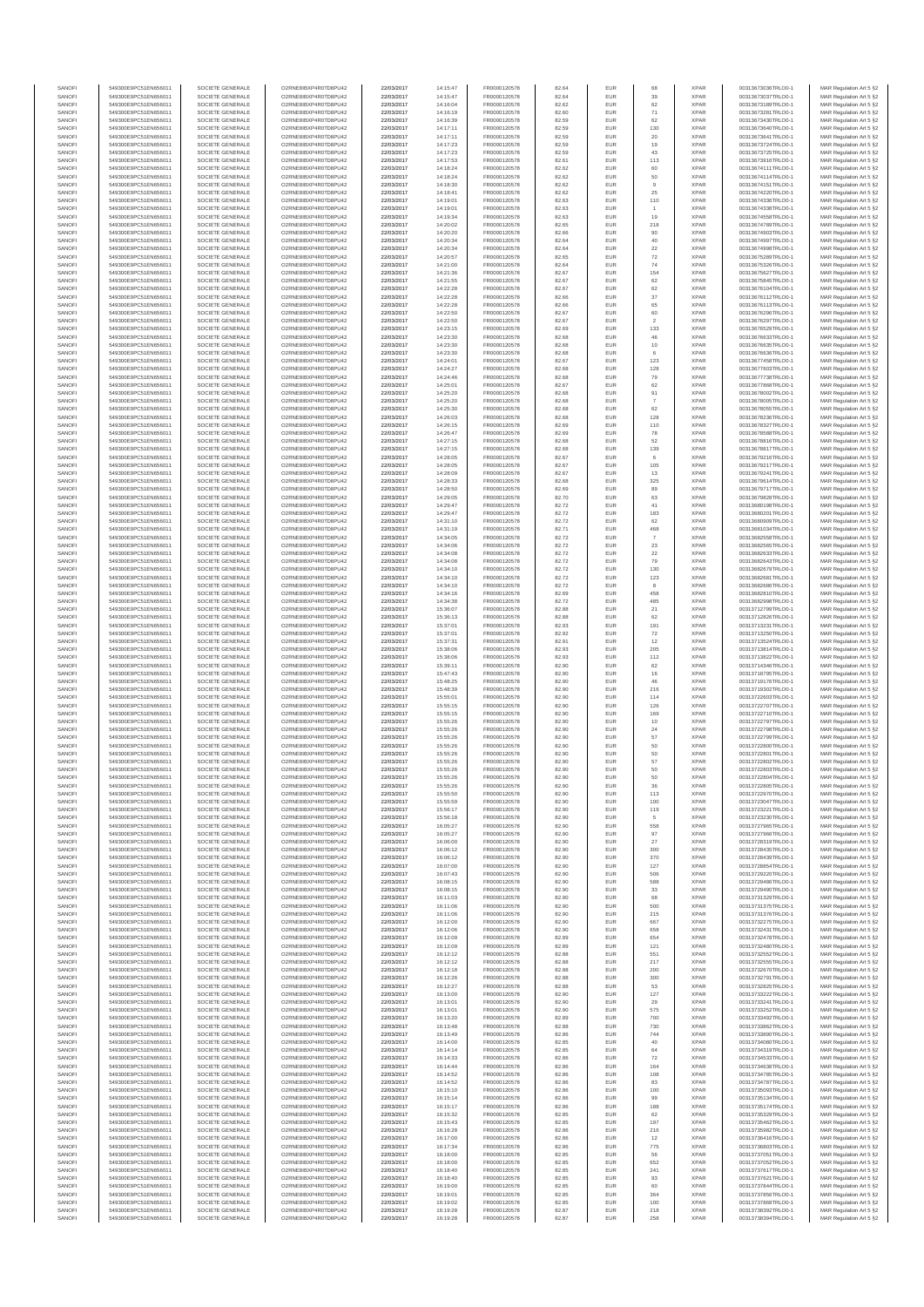| SANOF            | 549300E9PC51EN656011                         | SOCIETE GENERALE                     | O2RNE8IBXP4R0TD8PU42                          | 22/03/2017               | 14:15:47             | FR0000120578                 | 82.64          | EUR               | 68                    | <b>XPAR</b>                | 00313673036TRLO0-1                       | MAR Regulation Art 5 §2                            |
|------------------|----------------------------------------------|--------------------------------------|-----------------------------------------------|--------------------------|----------------------|------------------------------|----------------|-------------------|-----------------------|----------------------------|------------------------------------------|----------------------------------------------------|
| SANOFI<br>SANOFI | 549300E9PC51EN656011<br>549300E9PC51EN656011 | SOCIETE GENERALE<br>SOCIETE GENERALE | O2RNE8IBXP4R0TD8PU42                          | 22/03/2017<br>22/03/2017 | 14:15:47             | FR0000120578<br>FR0000120578 | 82.64<br>82.62 | EUR<br>EUR        | 39<br>62              | <b>XPAR</b><br><b>XPAR</b> | 00313673037TRLO0-1                       | MAR Regulation Art 5 §2                            |
| SANOFI           | 549300E9PC51EN656011                         | SOCIETE GENERALE                     | O2RNE8IBXP4R0TD8PU42<br>O2RNE8IBXP4R0TD8PU42  | 22/03/2017               | 14:16:04<br>14:16:19 | FR0000120578                 | 82.60          | EUR               | 71                    | <b>XPAR</b>                | 00313673189TRLO0-1<br>00313673281TRLO0-1 | MAR Regulation Art 5 §2<br>MAR Regulation Art 5 §2 |
| SANOFI           | 549300E9PC51EN656011                         | SOCIETE GENERALE                     | O2RNE8IBXP4R0TD8PU42                          | 22/03/2017               | 14:16:39             | FR0000120578                 | 82.59          | EUR               | 62                    | <b>XPAR</b>                | 00313673430TRLO0-1                       | MAR Regulation Art 5 §2                            |
| SANOFI           | 549300E9PC51EN656011                         | SOCIETE GENERALE                     | O2RNE8IBXP4R0TD8PU42                          | 22/03/2017               | 14:17:11             | FR0000120578                 | 82.59          | EUR               | 130                   | <b>XPAR</b>                | 00313673640TRLO0-1                       | MAR Regulation Art 5 §2                            |
| SANOFI<br>SANOFI | 549300E9PC51EN656011<br>549300E9PC51EN656011 | SOCIETE GENERALE<br>SOCIETE GENERALE | O2RNE8IBXP4R0TD8PLI42<br>O2RNE8IBXP4R0TD8PU42 | 22/03/2017<br>22/03/2017 | 14:17:11<br>14:17:23 | FR0000120578<br>FR0000120578 | 82.59<br>82.59 | EUR<br>EUR        | 20<br>19              | <b>XPAR</b><br><b>XPAR</b> | 00313673641TRLO0-1<br>00313673724TRLO0-1 | MAR Regulation Art 5 §2<br>MAR Regulation Art 5 §2 |
| SANOFI           | 549300E9PC51EN656011                         | SOCIETE GENERALE                     | O2RNE8IBXP4R0TD8PU42                          | 22/03/2017               | 14:17:23             | FR0000120578                 | 82.59          | EUR               | 43                    | <b>XPAR</b>                | 00313673725TRLO0-1                       | MAR Regulation Art 5 §2                            |
| SANOFI           | 549300E9PC51EN656011                         | SOCIETE GENERALE                     | O2RNE8IBXP4R0TD8PU42                          | 22/03/2017               | 14:17:53             | FR0000120578                 | 82.61          | EUR               | 113                   | <b>XPAR</b>                | 00313673916TRLO0-1                       | MAR Regulation Art 5 §2                            |
| SANOFI<br>SANOFI | 549300E9PC51EN656011<br>549300E9PC51EN656011 | SOCIETE GENERALE<br>SOCIETE GENERALE | O2RNE8IBXP4R0TD8PU42<br>O2RNE8IBXP4R0TD8PU42  | 22/03/2017<br>22/03/2017 | 14:18:24<br>14:18:24 | FR0000120578<br>FR0000120578 | 82.62<br>82.62 | EUR<br>EUR        | 60<br>$50\,$          | <b>XPAR</b><br><b>XPAR</b> | 00313674111TRLO0-1<br>00313674114TRLO0-1 | MAR Regulation Art 5 §2<br>MAR Regulation Art 5 §2 |
| SANOFI           | 549300E9PC51EN656011                         | SOCIETE GENERALE                     | O2RNE8IBXP4R0TD8PU42                          | 22/03/2017               | 14:18:30             | FR0000120578                 | 82.62          | EUR               | 9                     | <b>XPAR</b>                | 00313674151TRLO0-1                       | MAR Regulation Art 5 §2                            |
| SANOFI           | 549300E9PC51EN656011                         | SOCIETE GENERALE                     | O2RNE8IBXP4R0TD8PU42                          | 22/03/2017               | 14:18:41             | FR0000120578                 | 82.62          | EUR               | 25                    | <b>XPAR</b>                | 00313674220TRLO0-1                       | MAR Regulation Art 5 §2                            |
| SANOFI           | 549300E9PC51EN656011                         | SOCIETE GENERALE                     | O2RNE8IBXP4R0TD8PU42                          | 22/03/2017               | 14:19:01             | FR0000120578                 | 82.63          | EUR               | 110                   | <b>XPAR</b>                | 00313674336TRLO0-1                       | MAR Regulation Art 5 §2                            |
| SANOFI<br>SANOFI | 549300E9PC51EN656011<br>549300E9PC51EN656011 | SOCIETE GENERALE<br>SOCIETE GENERALE | O2RNE8IBXP4R0TD8PU42<br>O2RNE8IBXP4R0TD8PU42  | 22/03/2017<br>22/03/2017 | 14:19:01<br>14:19:34 | FR0000120578<br>FR0000120578 | 82.63<br>82.63 | EUR<br>EUR        | $\overline{1}$<br>19  | <b>XPAR</b><br><b>XPAR</b> | 00313674338TRLO0-1<br>00313674558TRLO0-1 | MAR Regulation Art 5 §2<br>MAR Regulation Art 5 §2 |
| SANOFI           | 549300E9PC51EN656011                         | SOCIETE GENERALE                     | O2RNE8IBXP4R0TD8PU42                          | 22/03/2017               | 14:20:02             | FR0000120578                 | 82.65          | EUR               | 218                   | <b>XPAR</b>                | 00313674789TRLO0-1                       | MAR Regulation Art 5 §2                            |
| SANOFI           | 549300E9PC51EN656011                         | SOCIETE GENERALE                     | O2RNE8IBXP4R0TD8PU42                          | 22/03/2017               | 14:20:20             | FR0000120578                 | 82.66          | EUR               | 90                    | <b>XPAR</b>                | 00313674903TRLO0-1                       | MAR Regulation Art 5 §2                            |
| SANOFI           | 549300E9PC51EN656011                         | SOCIETE GENERALE                     | O2RNE8IBXP4R0TD8PU42                          | 22/03/2017               | 14:20:34             | FR0000120578                 | 82.64          | EUR               | 40                    | <b>XPAR</b>                | 00313674997TRLO0-1                       | MAR Regulation Art 5 §2                            |
| SANOFI<br>SANOFI | 549300E9PC51EN656011<br>549300E9PC51EN656011 | SOCIETE GENERALE<br>SOCIETE GENERALE | O2RNE8IBXP4R0TD8PU42<br>O2RNE8IBXP4R0TD8PU42  | 22/03/2017<br>22/03/2017 | 14:20:34<br>14:20:57 | FR0000120578<br>FR0000120578 | 82.64<br>82.65 | EUR<br>EUR        | 22<br>${\bf 72}$      | <b>XPAR</b><br><b>XPAR</b> | 00313674998TRLO0-1<br>00313675289TRLO0-1 | MAR Regulation Art 5 §2<br>MAR Regulation Art 5 §2 |
| SANOFI           | 549300E9PC51EN656011                         | SOCIETE GENERALE                     | O2RNE8IBXP4R0TD8PU42                          | 22/03/2017               | 14:21:00             | FR0000120578                 | 82.64          | EUR               | 74                    | <b>XPAR</b>                | 00313675326TRLO0-1                       | MAR Regulation Art 5 §2                            |
| SANOFI           | 549300E9PC51EN656011                         | SOCIETE GENERALE                     | O2RNE8IBXP4R0TD8PU42                          | 22/03/2017               | 14:21:36             | FR0000120578                 | 82.67          | EUR               | 154                   | <b>XPAR</b>                | 00313675627TRLO0-1                       | MAR Regulation Art 5 §2                            |
| SANOFI<br>SANOFI | 549300E9PC51EN656011<br>549300E9PC51EN656011 | SOCIETE GENERALE<br>SOCIETE GENERALE | O2RNE8IBXP4R0TD8PU42<br>O2RNE8IBXP4R0TD8PU42  | 22/03/2017<br>22/03/2017 | 14:21:55<br>14:22:28 | FR0000120578<br>FR0000120578 | 82.67<br>82.67 | EUR<br>EUR        | 62<br>62              | <b>XPAR</b><br><b>XPAR</b> | 00313675845TRLO0-1<br>00313676104TRLO0-1 | MAR Regulation Art 5 §2<br>MAR Regulation Art 5 §2 |
| SANOFI           | 549300E9PC51EN656011                         | SOCIETE GENERALE                     | O2RNE8IBXP4R0TD8PU42                          | 22/03/2017               | 14:22:28             | FR0000120578                 | 82.66          | EUR               | 37                    | <b>XPAR</b>                | 00313676112TRLO0-1                       | MAR Regulation Art 5 §2                            |
| SANOFI           | 549300E9PC51EN656011                         | SOCIETE GENERALE                     | O2RNE8IBXP4R0TD8PU42                          | 22/03/2017               | 14:22:28             | FR0000120578                 | 82.66          | EUR               | 65                    | <b>XPAR</b>                | 00313676113TRLO0-1                       | MAR Regulation Art 5 §2                            |
| SANOFI           | 549300E9PC51EN656011                         | SOCIETE GENERALE                     | O2RNE8IBXP4R0TD8PU42                          | 22/03/2017               | 14:22:50             | FR0000120578                 | 82.67          | EUR               | 60                    | <b>XPAR</b>                | 00313676296TRLO0-1                       | MAR Regulation Art 5 §2                            |
| SANOFI<br>SANOFI | 549300E9PC51EN656011<br>549300E9PC51EN656011 | SOCIETE GENERALE<br>SOCIETE GENERALE | O2RNE8IBXP4R0TD8PU42<br>O2RNE8IBXP4R0TD8PU42  | 22/03/2017<br>22/03/2017 | 14:22:50<br>14:23:15 | FR0000120578<br>FR0000120578 | 82.67<br>82.69 | EUR<br>EUR        | $\overline{2}$<br>133 | <b>XPAR</b><br><b>XPAR</b> | 00313676297TRLO0-1<br>00313676529TRLO0-1 | MAR Regulation Art 5 §2<br>MAR Regulation Art 5 §2 |
| SANOFI           | 549300E9PC51EN656011                         | SOCIETE GENERALE                     | O2RNE8IBXP4R0TD8PU42                          | 22/03/2017               | 14:23:30             | FR0000120578                 | 82.68          | <b>EUR</b>        | 46                    | <b>XPAR</b>                | 00313676633TRLO0-1                       | MAR Regulation Art 5 §2                            |
| SANOFI           | 549300E9PC51EN656011                         | SOCIETE GENERALE                     | O2RNE8IBXP4R0TD8PU42                          | 22/03/2017               | 14:23:30             | FR0000120578                 | 82.68          | EUR               | 10                    | <b>XPAR</b>                | 00313676635TRLO0-1                       | MAR Regulation Art 5 §2                            |
| SANOFI<br>SANOFI | 549300E9PC51EN656011<br>549300E9PC51EN656011 | SOCIETE GENERALE<br>SOCIETE GENERALE | O2RNE8IBXP4R0TD8PU42<br>O2RNE8IBXP4R0TD8PU42  | 22/03/2017<br>22/03/2017 | 14:23:30<br>14:24:01 | FR0000120578<br>FR0000120578 | 82.68<br>82.67 | EUR<br>EUR        | 6<br>123              | <b>XPAR</b><br><b>XPAR</b> | 00313676636TRLO0-1<br>00313677458TRLO0-1 | MAR Regulation Art 5 §2<br>MAR Regulation Art 5 §2 |
| SANOFI           | 549300E9PC51EN656011                         | SOCIETE GENERALE                     | O2RNE8IBXP4R0TD8PU42                          | 22/03/2017               | 14:24:27             | FR0000120578                 | 82.68          | EUR               | 128                   | <b>XPAR</b>                | 00313677603TRLO0-1                       | MAR Regulation Art 5 §2                            |
| SANOFI           | 549300E9PC51EN656011                         | SOCIETE GENERALE                     | O2RNE8IBXP4R0TD8PU42                          | 22/03/2017               | 14:24:46             | FR0000120578                 | 82.68          | EUR               | 79                    | <b>XPAR</b>                | 00313677738TRLO0-1                       | MAR Regulation Art 5 §2                            |
| SANOFI           | 549300E9PC51EN656011                         | SOCIETE GENERALE                     | O2RNE8IBXP4R0TD8PU42                          | 22/03/2017               | 14:25:01             | FR0000120578                 | 82.67          | EUR               | 62                    | <b>XPAR</b>                | 00313677868TRLO0-1                       | MAR Regulation Art 5 §2                            |
| SANOFI<br>SANOFI | 549300E9PC51EN656011<br>549300E9PC51EN656011 | SOCIETE GENERALE<br>SOCIETE GENERALE | O2RNE8IBXP4R0TD8PU42<br>O2RNE8IBXP4R0TD8PU42  | 22/03/2017<br>22/03/2017 | 14:25:20<br>14:25:20 | FR0000120578<br>FR0000120578 | 82.68<br>82.68 | EUR<br>EUR        | 91                    | <b>XPAR</b><br><b>XPAR</b> | 00313678002TRLO0-1<br>00313678005TRLO0-1 | MAR Regulation Art 5 §2<br>MAR Regulation Art 5 §2 |
| SANOFI           | 549300E9PC51EN656011                         | SOCIETE GENERALE                     | O2RNE8IBXP4R0TD8PU42                          | 22/03/2017               | 14:25:30             | FR0000120578                 | 82.68          | EUR               | 62                    | <b>XPAR</b>                | 00313678055TRLO0-1                       | MAR Regulation Art 5 §2                            |
| SANOFI           | 549300E9PC51EN656011                         | SOCIETE GENERALE                     | O2RNE8IBXP4R0TD8PU42                          | 22/03/2017               | 14:26:03             | FR0000120578                 | 82.68          | EUR               | 128                   | <b>XPAR</b>                | 00313678236TRLO0-1                       | MAR Regulation Art 5 §2                            |
| SANOFI<br>SANOFI | 549300E9PC51EN656011<br>549300E9PC51EN656011 | SOCIETE GENERALE<br>SOCIETE GENERALE | O2RNE8IBXP4R0TD8PU42<br>O2RNE8IBXP4R0TD8PU42  | 22/03/2017<br>22/03/2017 | 14:26:15<br>14:26:47 | FR0000120578<br>FR0000120578 | 82.69<br>82.69 | EUR<br>EUR        | 110<br>78             | <b>XPAR</b><br><b>XPAR</b> | 00313678327TRLO0-1<br>00313678588TRLO0-1 | MAR Regulation Art 5 §2<br>MAR Regulation Art 5 §2 |
| SANOFI           | 549300E9PC51EN656011                         | SOCIETE GENERALE                     | O2RNE8IBXP4R0TD8PU42                          | 22/03/2017               | 14:27:15             | FR0000120578                 | 82.68          | EUR               | 52                    | <b>XPAR</b>                | 00313678816TRLO0-1                       | MAR Regulation Art 5 §2                            |
| SANOFI           | 549300E9PC51EN656011                         | SOCIETE GENERALE                     | O2RNE8IBXP4R0TD8PU42                          | 22/03/2017               | 14:27:15             | FR0000120578                 | 82.68          | EUR               | 139                   | <b>XPAR</b>                | 00313678817TRLO0-1                       | MAR Regulation Art 5 §2                            |
| SANOFI           | 549300E9PC51EN656011                         | SOCIETE GENERALE                     | O2RNE8IBXP4R0TD8PU42                          | 22/03/2017               | 14:28:05             | FR0000120578                 | 82.67          | EUR               | 6                     | <b>XPAR</b>                | 00313679216TRLO0-1                       | MAR Regulation Art 5 §2                            |
| SANOFI<br>SANOFI | 549300E9PC51EN656011<br>549300E9PC51EN656011 | SOCIETE GENERALE<br>SOCIETE GENERALE | O2RNE8IBXP4R0TD8PU42<br>O2RNE8IBXP4R0TD8PU42  | 22/03/2017<br>22/03/2017 | 14:28:05<br>14:28:09 | FR0000120578<br>FR0000120578 | 82.67<br>82.67 | EUR<br>EUR        | 105<br>13             | <b>XPAR</b><br><b>XPAR</b> | 00313679217TRLO0-1<br>00313679241TRLO0-1 | MAR Regulation Art 5 §2<br>MAR Regulation Art 5 §2 |
| SANOFI           | 549300E9PC51EN656011                         | SOCIETE GENERALE                     | O2RNE8IBXP4R0TD8PU42                          | 22/03/2017               | 14:28:33             | FR0000120578                 | 82.68          | EUR               | 325                   | <b>XPAR</b>                | 00313679614TRLO0-1                       | MAR Regulation Art 5 §2                            |
| SANOFI           | 549300E9PC51EN656011                         | SOCIETE GENERALE                     | O2RNE8IBXP4R0TD8PU42                          | 22/03/2017               | 14:28:50             | FR0000120578                 | 82.69          | EUR               | 89                    | <b>XPAR</b>                | 00313679717TRLO0-1                       | MAR Regulation Art 5 §2                            |
| SANOFI           | 549300E9PC51EN656011                         | SOCIETE GENERALE                     | O2RNE8IBXP4R0TD8PU42                          | 22/03/2017               | 14:29:05             | FR0000120578                 | 82.70          | <b>EUR</b>        | 63                    | <b>XPAR</b>                | 00313679828TRLO0-1                       | MAR Regulation Art 5 §2                            |
| SANOFI<br>SANOFI | 549300E9PC51EN656011<br>549300E9PC51EN656011 | SOCIETE GENERALE<br>SOCIETE GENERALE | O2RNE8IBXP4R0TD8PU42<br>O2RNE8IBXP4R0TD8PU42  | 22/03/2017<br>22/03/2017 | 14:29:47<br>14:29:47 | FR0000120578<br>FR0000120578 | 82.72<br>82.72 | EUR<br>EUR        | 41<br>183             | <b>XPAR</b><br><b>XPAR</b> | 00313680198TRLO0-1<br>00313680201TRLO0-1 | MAR Regulation Art 5 §2<br>MAR Regulation Art 5 §2 |
| SANOFI           | 549300E9PC51EN656011                         | SOCIETE GENERALE                     | O2RNE8IBXP4R0TD8PU42                          | 22/03/2017               | 14:31:10             | FR0000120578                 | 82.72          | EUR               | 62                    | <b>XPAR</b>                | 00313680909TRLO0-1                       | MAR Regulation Art 5 §2                            |
| SANOFI           | 549300E9PC51EN656011                         | SOCIETE GENERALE                     | O2RNE8IBXP4R0TD8PU42                          | 22/03/2017               | 14:31:19             | FR0000120578                 | 82.71          | EUR               | 468                   | <b>XPAR</b>                | 00313681034TRLO0-1                       | MAR Regulation Art 5 §2                            |
| SANOFI           | 549300E9PC51EN656011                         | SOCIETE GENERALE                     | O2RNE8IBXP4R0TD8PU42                          | 22/03/2017               | 14:34:05             | FR0000120578                 | 82.72          | EUR               | $\overline{7}$        | <b>XPAR</b>                | 00313682558TRLO0-1                       | MAR Regulation Art 5 §2                            |
| SANOFI<br>SANOFI | 549300E9PC51EN656011<br>549300E9PC51EN656011 | SOCIETE GENERALE<br>SOCIETE GENERALE | O2RNE8IBXP4R0TD8PU42<br>O2RNE8IBXP4R0TD8PU42  | 22/03/2017<br>22/03/2017 | 14:34:06<br>14:34:08 | FR0000120578<br>FR0000120578 | 82.72<br>82.72 | EUR<br><b>EUR</b> | 23<br>22              | <b>XPAR</b><br><b>XPAR</b> | 00313682565TRLO0-1<br>00313682633TRLO0-1 | MAR Regulation Art 5 §2<br>MAR Regulation Art 5 §2 |
| SANOFI           | 549300E9PC51EN656011                         | SOCIETE GENERALE                     | O2RNE8IBXP4R0TD8PU42                          | 22/03/2017               | 14:34:08             | FR0000120578                 | 82.72          | EUR               | 79                    | <b>XPAR</b>                | 00313682643TRLO0-1                       | MAR Regulation Art 5 §2                            |
| SANOFI           | 549300E9PC51EN656011                         | SOCIETE GENERALE                     | O2RNE8IBXP4R0TD8PU42                          | 22/03/2017               | 14:34:10             | FR0000120578                 | 82.72          | <b>EUR</b>        | 130                   | <b>XPAR</b>                | 00313682679TRLO0-1                       | MAR Regulation Art 5 §2                            |
| SANOFI           | 549300E9PC51EN656011                         | SOCIETE GENERALE                     | O2RNE8IBXP4R0TD8PU42<br>O2RNE8IBXP4R0TD8PU42  | 22/03/2017               | 14:34:10             | FR0000120578                 | 82.72          | EUR               | 123                   | <b>XPAR</b>                | 00313682681TRLO0-1                       | MAR Regulation Art 5 §2                            |
| SANOFI<br>SANOFI | 549300E9PC51EN656011<br>549300E9PC51EN656011 | SOCIETE GENERALE<br>SOCIETE GENERALE | O2RNE8IBXP4R0TD8PU42                          | 22/03/2017<br>22/03/2017 | 14:34:10<br>14:34:16 | FR0000120578<br>FR0000120578 | 82.72<br>82.69 | EUR<br>EUR        | 8<br>458              | <b>XPAR</b><br><b>XPAR</b> | 00313682686TRLO0-1<br>00313682810TRLO0-1 | MAR Regulation Art 5 §2<br>MAR Regulation Art 5 §2 |
| SANOFI           | 549300E9PC51EN656011                         | SOCIETE GENERALE                     | O2RNE8IBXP4R0TD8PU42                          | 22/03/2017               | 14:34:38             | FR0000120578                 | 82.72          | EUR               | 485                   | <b>XPAR</b>                | 00313682998TRLO0-1                       | MAR Regulation Art 5 §2                            |
| SANOFI           | 549300E9PC51EN656011                         | SOCIETE GENERALE                     | O2RNE8IBXP4R0TD8PU42                          | 22/03/2017               | 15:36:07             | FR0000120578                 | 82.88          | <b>EUR</b>        | 21                    | <b>XPAR</b>                | 00313712799TRLO0-1                       | MAR Regulation Art 5 §2                            |
| SANOFI<br>SANOFI | 549300E9PC51EN656011<br>549300E9PC51EN656011 | SOCIETE GENERALE<br>SOCIETE GENERALE | O2RNE8IBXP4R0TD8PU42<br>O2RNE8IBXP4R0TD8PU42  | 22/03/2017<br>22/03/2017 | 15:36:13<br>15:37:01 | FR0000120578<br>FR0000120578 | 82.88<br>82.93 | EUR<br>EUR        | 62<br>191             | <b>XPAR</b><br><b>XPAR</b> | 00313712826TRLO0-1<br>00313713231TRLO0-1 | MAR Regulation Art 5 §2                            |
| SANOFI           | 549300E9PC51EN656011                         | SOCIETE GENERALE                     | O2RNE8IBXP4R0TD8PU42                          | 22/03/2017               | 15:37:01             | FR0000120578                 | 82.92          | EUR               | 72                    | <b>XPAR</b>                | 00313713250TRLO0-1                       | MAR Regulation Art 5 §2<br>MAR Regulation Art 5 §2 |
| SANOFI           | 549300E9PC51EN656011                         | SOCIETE GENERALE                     | O2RNE8IBXP4R0TD8PU42                          | 22/03/2017               | 15:37:31             | FR0000120578                 | 82.91          | EUR               | 12                    | <b>XPAR</b>                | 00313713524TRLO0-1                       | MAR Regulation Art 5 §2                            |
| SANOFI           | 549300E9PC51EN656011                         | SOCIETE GENERALE                     | O2RNE8IBXP4R0TD8PU42                          | 22/03/2017               | 15:38:06             | FR0000120578                 | 82.93          | EUR               | 205                   | <b>XPAR</b>                | 00313713814TRLO0-1                       | MAR Regulation Art 5 §2                            |
| SANOFI<br>SANOFI | 549300E9PC51EN656011<br>549300E9PC51EN656011 | SOCIETE GENERALE<br>SOCIETE GENERALE | O2RNE8IBXP4R0TD8PU42<br>O2RNE8IBXP4R0TD8PU42  | 22/03/2017<br>22/03/2017 | 15:38:06<br>15:39:11 | FR0000120578<br>FR0000120578 | 82.93<br>82.90 | EUR<br>EUR        | 112<br>62             | <b>XPAR</b><br><b>XPAR</b> | 00313713822TRLO0-1<br>00313714346TRLO0-1 | MAR Regulation Art 5 §2<br>MAR Regulation Art 5 §2 |
| SANOFI           | 549300E9PC51EN656011                         | SOCIETE GENERALE                     | O2RNE8IBXP4R0TD8PU42                          | 22/03/2017               | 15:47:43             | FR0000120578                 | 82.90          | EUR               | 16                    | <b>XPAR</b>                | 00313718795TRLO0-1                       | MAR Regulation Art 5 §2                            |
| SANOFI           | 549300E9PC51EN656011                         | SOCIETE GENERALE                     | O2RNE8IBXP4R0TD8PU42                          | 22/03/2017               | 15:48:25             | FR0000120578                 | 82.90          | EUR               | 46                    | <b>XPAR</b>                | 00313719176TRLO0-1                       | MAR Regulation Art 5 §2                            |
| SANOFI<br>SANOFI | 549300E9PC51EN656011<br>549300E9PC51EN656011 | SOCIETE GENERALE<br>SOCIETE GENERALE | O2RNE8IBXP4R0TD8PU42<br>O2RNE8IBXP4R0TD8PU42  | 22/03/2017<br>22/03/2017 | 15:48:39<br>15:55:01 | FR0000120578<br>FR0000120578 | 82.90<br>82.90 | EUR<br><b>EUR</b> | 216<br>114            | <b>XPAR</b><br><b>XPAR</b> | 00313719302TRLO0-1<br>00313722603TRLO0-1 | MAR Regulation Art 5 §2                            |
| SANOFI           | 549300E9PC51EN656011                         | SOCIETE GENERALE                     | O2RNE8IBXP4R0TD8PU42                          | 22/03/2017               | 15:55:15             | FR0000120578                 | 82.90          | EUR               | 126                   | <b>XPAR</b>                | 00313722707TRLO0-1                       | MAR Regulation Art 5 §2<br>MAR Regulation Art 5 §2 |
| SANOFI           | 549300E9PC51EN656011                         | SOCIETE GENERALE                     | O2RNE8IBXP4R0TD8PU42                          | 22/03/2017               | 15:55:15             | FR0000120578                 | 82.90          | EUR               | 169                   | <b>XPAR</b>                | 00313722710TRLO0-1                       | MAR Regulation Art 5 §2                            |
| SANOFI           | 549300E9PC51EN656011                         | SOCIETE GENERALE                     | O2RNE8IBXP4R0TD8PU42                          | 22/03/2017               | 15:55:26             | FR0000120578                 | 82.90          | EUR               | $10$                  | <b>XPAR</b>                | 00313722797TRLO0-1                       | MAR Regulation Art 5 §2                            |
| SANOFI<br>SANOFI | 549300E9PC51EN656011<br>549300E9PC51EN656011 | SOCIETE GENERALE<br>SOCIETE GENERALE | O2RNE8IBXP4R0TD8PU42<br>O2RNE8IBXP4R0TD8PU42  | 22/03/2017<br>22/03/2017 | 15:55:26<br>15:55:26 | FR0000120578<br>FR0000120578 | 82.90<br>82.90 | EUR<br>EUR        | 24                    | <b>XPAR</b><br><b>XPAR</b> | 00313722798TRLO0-1<br>00313722799TRLO0-1 | MAR Regulation Art 5 §2                            |
| SANOFI           | 549300E9PC51EN656011                         | SOCIETE GENERALE                     | O2RNE8IBXP4R0TD8PU42                          | 22/03/2017               | 15:55:26             | FR0000120578                 | 82.90          | EUR               | 57<br>50              | <b>XPAR</b>                | 00313722800TRLO0-1                       | MAR Regulation Art 5 §2<br>MAR Regulation Art 5 §2 |
| SANOFI           | 549300E9PC51EN656011                         | SOCIETE GENERALE                     | O2RNE8IBXP4R0TD8PU42                          | 22/03/2017               | 15:55:26             | FR0000120578                 | 82.90          | <b>EUR</b>        | 50                    | <b>XPAR</b>                | 00313722801TRLO0-1                       | MAR Regulation Art 5 §2                            |
| SANOFI           | 549300E9PC51EN656011                         | SOCIETE GENERALE                     | O2RNE8IBXP4R0TD8PU42                          | 22/03/2017               | 15:55:26             | FR0000120578                 | 82.90          | EUR               | 57                    | <b>XPAR</b>                | 00313722802TRLO0-1                       | MAR Regulation Art 5 §2                            |
| SANOFI<br>SANOFI | 549300E9PC51EN656011<br>549300E9PC51EN656011 | SOCIETE GENERALE<br>SOCIETE GENERALE | O2RNE8IBXP4R0TD8PU42<br>O2RNE8IBXP4R0TD8PU42  | 22/03/2017<br>22/03/2017 | 15:55:26<br>15:55:26 | FR0000120578<br>FR0000120578 | 82.90<br>82.90 | EUR<br>EUR        | 50<br>50              | <b>XPAR</b><br><b>XPAR</b> | 00313722803TRLO0-1<br>00313722804TRLO0-1 | MAR Regulation Art 5 §2<br>MAR Regulation Art 5 §2 |
| SANOFI           | 549300E9PC51EN656011                         | SOCIETE GENERALE                     | O2RNE8IBXP4R0TD8PU42                          | 22/03/2017               | 15:55:26             | FR0000120578                 | 82.90          | EUR               | 36                    | <b>XPAR</b>                | 00313722805TRLO0-1                       | MAR Regulation Art 5 §2                            |
| SANOFI           | 549300E9PC51EN656011                         | SOCIETE GENERALE                     | O2RNE8IBXP4R0TD8PU42                          | 22/03/2017               | 15:55:50             | FR0000120578                 | 82.90          | EUR               | 113                   | <b>XPAR</b>                | 00313722970TRLO0-1                       | MAR Regulation Art 5 §2                            |
| SANOFI<br>SANOFI | 549300E9PC51EN656011<br>549300E9PC51EN656011 | SOCIETE GENERALE<br>SOCIETE GENERALE | O2RNE8IBXP4R0TD8PU42<br>O2RNE8IBXP4R0TD8PU42  | 22/03/2017               | 15:55:59             | FR0000120578                 | 82.90          | EUR<br>EUR        | 100                   | <b>XPAR</b><br><b>XPAR</b> | 00313723047TRLO0-1                       | MAR Regulation Art 5 §2                            |
| SANOFI           | 549300E9PC51EN656011                         | SOCIETE GENERALE                     | O2RNE8IBXP4R0TD8PU42                          | 22/03/2017<br>22/03/2017 | 15:56:17<br>15:56:18 | FR0000120578<br>FR0000120578 | 82.90<br>82.90 | EUR               | 119                   | <b>XPAR</b>                | 00313723221TRLO0-1<br>00313723230TRLO0-1 | MAR Regulation Art 5 §2<br>MAR Regulation Art 5 §2 |
| SANOFI           | 549300E9PC51EN656011                         | SOCIETE GENERALE                     | O2RNE8IBXP4R0TD8PU42                          | 22/03/2017               | 16:05:27             | FR0000120578                 | 82.90          | <b>EUR</b>        | 558                   | <b>XPAR</b>                | 00313727965TRLO0-1                       | MAR Regulation Art 5 §2                            |
| SANOFI           | 549300E9PC51EN656011                         | SOCIETE GENERALE                     | O2RNE8IBXP4R0TD8PU42                          | 22/03/2017               | 16:05:27             | FR0000120578                 | 82.90          | EUR               | 97                    | <b>XPAR</b>                | 00313727966TRLO0-1                       | MAR Regulation Art 5 §2                            |
| SANOFI<br>SANOFI | 549300E9PC51EN656011<br>549300E9PC51EN656011 | SOCIETE GENERALE<br>SOCIETE GENERALE | O2RNE8IBXP4R0TD8PU42<br>O2RNE8IBXP4R0TD8PU42  | 22/03/2017<br>22/03/2017 | 16:06:00<br>16:06:12 | FR0000120578<br>FR0000120578 | 82.90<br>82.90 | <b>EUR</b><br>EUR | 27<br>300             | <b>XPAR</b><br><b>XPAR</b> | 00313728319TRLO0-1<br>00313728435TRLO0-1 | MAR Regulation Art 5 §2<br>MAR Regulation Art 5 §2 |
| SANOFI           | 549300E9PC51EN656011                         | SOCIETE GENERALE                     | O2RNE8IBXP4R0TD8PU42                          | 22/03/2017               | 16:06:12             | FR0000120578                 | 82.90          | EUR               | 370                   | <b>XPAR</b>                | 00313728439TRLO0-1                       | MAR Regulation Art 5 §2                            |
| SANOFI           | 549300E9PC51EN656011                         | SOCIETE GENERALE                     | O2RNE8IBXP4R0TD8PU42                          | 22/03/2017               | 16:07:00             | FR0000120578                 | 82.90          | EUR               | 127                   | <b>XPAR</b>                | 00313728854TRLO0-1                       | MAR Regulation Art 5 §2                            |
| SANOFI<br>SANOFI | 549300E9PC51EN656011<br>549300E9PC51EN656011 | SOCIETE GENERALE<br>SOCIETE GENERALE | O2RNE8IBXP4R0TD8PU42<br>O2RNE8IBXP4R0TD8PU42  | 22/03/2017<br>22/03/2017 | 16:07:43<br>16:08:15 | FR0000120578<br>FR0000120578 | 82.90<br>82.90 | EUR<br><b>EUR</b> | 506<br>588            | <b>XPAR</b><br><b>XPAR</b> | 00313729220TRLO0-1<br>00313729486TRLO0-1 | MAR Regulation Art 5 §2<br>MAR Regulation Art 5 §2 |
| SANOFI           | 549300E9PC51EN656011                         | SOCIETE GENERALE                     | O2RNE8IBXP4R0TD8PU42                          | 22/03/2017               | 16:08:15             | FR0000120578                 | 82.90          | EUR               | 33                    | <b>XPAR</b>                | 00313729490TRLO0-1                       | MAR Regulation Art 5 §2                            |
| SANOFI           | 549300E9PC51EN656011                         | SOCIETE GENERALE                     | O2RNE8IBXP4R0TD8PU42                          | 22/03/2017               | 16:11:03             | FR0000120578                 | 82.90          | <b>EUR</b>        | 68                    | <b>XPAR</b>                | 00313731329TRLO0-1                       | MAR Regulation Art 5 §2                            |
| SANOFI<br>SANOFI | 549300E9PC51EN656011<br>549300E9PC51EN656011 | SOCIETE GENERALE<br>SOCIETE GENERALE | O2RNE8IBXP4R0TD8PU42<br>O2RNE8IBXP4R0TD8PU42  | 22/03/2017<br>22/03/2017 | 16:11:06<br>16:11:06 | FR0000120578<br>FR0000120578 | 82.90<br>82.90 | EUR<br>EUR        | 500<br>215            | <b>XPAR</b><br><b>XPAR</b> | 00313731375TRLO0-1<br>00313731376TRLO0-1 | MAR Regulation Art 5 §2<br>MAR Regulation Art 5 §2 |
| SANOFI           | 549300E9PC51EN656011                         | SOCIETE GENERALE                     | O2RNE8IBXP4R0TD8PU42                          | 22/03/2017               | 16:12:00             | FR0000120578                 | 82.90          | EUR               | 667                   | <b>XPAR</b>                | 00313732275TRLO0-1                       | MAR Regulation Art 5 §2                            |
| SANOFI           | 549300E9PC51EN656011                         | SOCIETE GENERALE                     | O2RNE8IBXP4R0TD8PU42                          | 22/03/2017               | 16:12:06             | FR0000120578                 | 82.90          | EUR               | 658                   | <b>XPAR</b>                | 00313732431TRLO0-1                       | MAR Regulation Art 5 §2                            |
| SANOFI<br>SANOFI | 549300E9PC51EN656011<br>549300E9PC51EN656011 | SOCIETE GENERALE<br>SOCIETE GENERALE | O2RNE8IBXP4R0TD8PU42<br>O2RNE8IBXP4R0TD8PU42  | 22/03/2017<br>22/03/2017 | 16:12:09<br>16:12:09 | FR0000120578<br>FR0000120578 | 82.89<br>82.89 | EUR<br>EUR        | 654<br>121            | <b>XPAR</b><br><b>XPAR</b> | 00313732478TRLO0-1<br>00313732480TRLO0-1 | MAR Regulation Art 5 §2                            |
| SANOFI           | 549300E9PC51EN656011                         | SOCIETE GENERALE                     | O2RNE8IBXP4R0TD8PU42                          | 22/03/2017               | 16:12:12             | FR0000120578                 | 82.88          | <b>EUR</b>        | 551                   | <b>XPAR</b>                | 00313732552TRLO0-1                       | MAR Regulation Art 5 §2<br>MAR Regulation Art 5 §2 |
| SANOFI           | 549300E9PC51EN656011                         | SOCIETE GENERALE                     | O2RNE8IBXP4R0TD8PU42                          | 22/03/2017               | 16:12:12             | FR0000120578                 | 82.88          | EUR               | 217                   | <b>XPAR</b>                | 00313732555TRLO0-1                       | MAR Regulation Art 5 §2                            |
| SANOFI           | 549300E9PC51EN656011                         | SOCIETE GENERALE                     | O2RNE8IBXP4R0TD8PU42                          | 22/03/2017               | 16:12:18             | FR0000120578                 | 82.88          | <b>EUR</b>        | 200                   | <b>XPAR</b>                | 00313732670TRLO0-1                       | MAR Regulation Art 5 §2                            |
| SANOFI<br>SANOFI | 549300E9PC51EN656011<br>549300E9PC51EN656011 | SOCIETE GENERALE<br>SOCIETE GENERALE | O2RNE8IBXP4R0TD8PU42<br>O2RNE8IBXP4R0TD8PU42  | 22/03/2017<br>22/03/2017 | 16:12:26<br>16:12:27 | FR0000120578<br>FR0000120578 | 82.88<br>82.88 | EUR<br>EUR        | 300<br>53             | <b>XPAR</b><br><b>XPAR</b> | 00313732791TRLO0-1<br>00313732825TRLO0-1 | MAR Regulation Art 5 §2<br>MAR Regulation Art 5 §2 |
| SANOFI           | 549300E9PC51EN656011                         | SOCIETE GENERALE                     | O2RNE8IBXP4R0TD8PU42                          | 22/03/2017               | 16:13:00             | FR0000120578                 | 82.90          | EUR               | $127\,$               | <b>XPAR</b>                | 00313733222TRLO0-1                       | MAR Regulation Art 5 §2                            |
| SANOFI           | 549300E9PC51EN656011                         | SOCIETE GENERALE                     | O2RNE8IBXP4R0TD8PU42                          | 22/03/2017               | 16:13:01             | FR0000120578                 | 82.90          | EUR               | $29\,$                | <b>XPAR</b>                | 00313733241TRLO0-1                       | MAR Regulation Art 5 §2                            |
| SANOFI<br>SANOFI | 549300E9PC51EN656011<br>549300E9PC51EN656011 | SOCIETE GENERALE<br>SOCIETE GENERALE | O2RNE8IBXP4R0TD8PU42<br>O2RNE8IBXP4R0TD8PU42  | 22/03/2017<br>22/03/2017 | 16:13:01<br>16:13:20 | FR0000120578<br>FR0000120578 | 82.90<br>82.89 | EUR<br>EUR        | 575<br>700            | <b>XPAR</b><br><b>XPAR</b> | 00313733252TRLO0-1<br>00313733492TRLO0-1 | MAR Regulation Art 5 §2                            |
| SANOFI           | 549300E9PC51EN656011                         | SOCIETE GENERALE                     | O2RNE8IBXP4R0TD8PU42                          | 22/03/2017               | 16:13:48             | FR0000120578                 | 82.88          | <b>EUR</b>        | 730                   | <b>XPAR</b>                | 00313733862TRLO0-1                       | MAR Regulation Art 5 §2<br>MAR Regulation Art 5 §2 |
| SANOFI           | 549300E9PC51EN656011                         | SOCIETE GENERALE                     | O2RNE8IBXP4R0TD8PU42                          | 22/03/2017               | 16:13:49             | FR0000120578                 | 82.86          | EUR               | 744                   | <b>XPAR</b>                | 00313733890TRLO0-1                       | MAR Regulation Art 5 §2                            |
| SANOFI           | 549300E9PC51EN656011                         | SOCIETE GENERALE                     | O2RNE8IBXP4R0TD8PU42                          | 22/03/2017               | 16:14:00             | FR0000120578                 | 82.85          | <b>EUR</b>        | 40                    | <b>XPAR</b>                | 00313734080TRLO0-1                       | MAR Regulation Art 5 §2                            |
| SANOFI<br>SANOFI | 549300E9PC51EN656011<br>549300E9PC51EN656011 | SOCIETE GENERALE<br>SOCIETE GENERALE | O2RNE8IBXP4R0TD8PU42<br>O2RNE8IBXP4R0TD8PU42  | 22/03/2017<br>22/03/2017 | 16:14:14<br>16:14:33 | FR0000120578<br>FR0000120578 | 82.85<br>82.86 | EUR<br>EUR        | 64<br>${\bf 72}$      | <b>XPAR</b><br><b>XPAR</b> | 00313734319TRLO0-1<br>00313734533TRLO0-1 | MAR Regulation Art 5 §2<br>MAR Regulation Art 5 §2 |
| SANOFI           | 549300E9PC51EN656011                         | SOCIETE GENERALE                     | O2RNE8IBXP4R0TD8PU42                          | 22/03/2017               | 16:14:44             | FR0000120578                 | 82.86          | EUR               | 164                   | <b>XPAR</b>                | 00313734638TRLO0-1                       | MAR Regulation Art 5 §2                            |
| SANOFI           | 549300E9PC51EN656011                         | SOCIETE GENERALE                     | O2RNE8IBXP4R0TD8PU42                          | 22/03/2017               | 16:14:52             | FR0000120578                 | 82.86          | EUR               | 108                   | <b>XPAR</b>                | 00313734785TRLO0-1                       | MAR Regulation Art 5 §2                            |
| SANOFI           | 549300E9PC51EN656011                         | SOCIETE GENERALE                     | O2RNE8IBXP4R0TD8PU42                          | 22/03/2017               | 16:14:52             | FR0000120578                 | 82.86          | EUR               | 83                    | <b>XPAR</b>                | 00313734787TRLO0-1                       | MAR Regulation Art 5 §2                            |
| SANOFI<br>SANOFI | 549300E9PC51EN656011<br>549300E9PC51EN656011 | SOCIETE GENERALE<br>SOCIETE GENERALE | O2RNE8IBXP4R0TD8PU42<br>O2RNE8IBXP4R0TD8PU42  | 22/03/2017<br>22/03/2017 | 16:15:10<br>16:15:14 | FR0000120578<br>FR0000120578 | 82.86<br>82.86 | EUR<br><b>EUR</b> | 100<br>99             | <b>XPAR</b><br><b>XPAR</b> | 00313735093TRLO0-1<br>00313735134TRLO0-1 | MAR Regulation Art 5 §2<br>MAR Regulation Art 5 §2 |
| SANOFI           | 549300E9PC51EN656011                         | SOCIETE GENERALE                     | O2RNE8IBXP4R0TD8PU42                          | 22/03/2017               | 16:15:17             | FR0000120578                 | 82.86          | EUR               | 188                   | <b>XPAR</b>                | 00313735174TRLO0-1                       | MAR Regulation Art 5 §2                            |
| SANOFI           | 549300E9PC51EN656011                         | SOCIETE GENERALE                     | O2RNE8IBXP4R0TD8PU42                          | 22/03/2017               | 16:15:32             | FR0000120578                 | 82.85          | <b>EUR</b>        | 62                    | <b>XPAR</b>                | 00313735329TRLO0-1                       | MAR Regulation Art 5 §2                            |
| SANOFI<br>SANOFI | 549300E9PC51EN656011<br>549300E9PC51EN656011 | SOCIETE GENERALE<br>SOCIETE GENERALE | O2RNE8IBXP4R0TD8PU42<br>O2RNE8IBXP4R0TD8PU42  | 22/03/2017<br>22/03/2017 | 16:15:43<br>16:16:28 | FR0000120578<br>FR0000120578 | 82.85<br>82.86 | EUR<br>EUR        | 197<br>216            | <b>XPAR</b><br><b>XPAR</b> | 00313735462TRLO0-1<br>00313735982TRLO0-1 | MAR Regulation Art 5 §2<br>MAR Regulation Art 5 §2 |
| SANOFI           | 549300E9PC51EN656011                         | SOCIETE GENERALE                     | O2RNE8IBXP4R0TD8PU42                          | 22/03/2017               | 16:17:00             | FR0000120578                 | 82.86          | EUR               | 12                    | <b>XPAR</b>                | 00313736416TRLO0-1                       | MAR Regulation Art 5 §2                            |
| SANOFI           | 549300E9PC51EN656011                         | SOCIETE GENERALE                     | O2RNE8IBXP4R0TD8PU42                          | 22/03/2017               | 16:17:34             | FR0000120578                 | 82.86          | EUR               | 775                   | <b>XPAR</b>                | 00313736803TRLO0-1                       | MAR Regulation Art 5 §2                            |
| SANOFI           | 549300E9PC51EN656011                         | SOCIETE GENERALE                     | O2RNE8IBXP4R0TD8PU42                          | 22/03/2017               | 16:18:00             | FR0000120578                 | 82.85          | <b>EUR</b>        | 56                    | <b>XPAR</b>                | 00313737051TRLO0-1                       | MAR Regulation Art 5 §2                            |
| SANOFI           | 549300E9PC51EN656011<br>549300E9PC51EN656011 | SOCIETE GENERALE<br>SOCIETE GENERALE | O2RNE8IBXP4R0TD8PU42<br>O2RNE8IBXP4R0TD8PU42  | 22/03/2017<br>22/03/2017 | 16:18:00<br>16:18:40 | FR0000120578<br>FR0000120578 | 82.85<br>82.85 | EUR<br><b>EUR</b> | 652<br>241            | <b>XPAR</b><br><b>XPAR</b> | 00313737052TRLO0-1<br>00313737617TRLO0-1 | MAR Regulation Art 5 §2<br>MAR Regulation Art 5 §2 |
| SANOFI           |                                              | SOCIETE GENERALE                     | O2RNE8IBXP4R0TD8PU42                          | 22/03/2017               | 16:18:40             | FR0000120578                 | 82.85          | EUR               | 93                    | <b>XPAR</b>                | 00313737621TRLO0-1                       | MAR Regulation Art 5 §2                            |
| SANOFI           | 549300E9PC51EN656011                         |                                      |                                               |                          |                      |                              |                |                   |                       |                            |                                          |                                                    |
| SANOFI           | 549300E9PC51EN656011                         | SOCIETE GENERALE                     | O2RNE8IBXP4R0TD8PU42                          | 22/03/2017               | 16:19:00             | FR0000120578                 | 82.85          | EUR               | 60                    | <b>XPAR</b>                | 00313737844TRLO0-1                       | MAR Regulation Art 5 §2                            |
| SANOFI<br>SANOFI | 549300E9PC51EN656011<br>549300E9PC51EN656011 | SOCIETE GENERALE<br>SOCIETE GENERALE | O2RNE8IBXP4R0TD8PU42<br>O2RNE8IBXP4R0TD8PU42  | 22/03/2017<br>22/03/2017 | 16:19:01<br>16:19:02 | FR0000120578<br>FR0000120578 | 82.85<br>82.85 | EUR<br>EUR        | 364<br>100            | <b>XPAR</b><br><b>XPAR</b> | 00313737856TRLO0-1<br>00313737868TRLO0-1 | MAR Regulation Art 5 §2<br>MAR Regulation Art 5 §2 |
| SANOFI<br>SANOFI | 549300E9PC51EN656011<br>549300E9PC51EN656011 | SOCIETE GENERALE<br>SOCIETE GENERALE | O2RNE8IBXP4R0TD8PU42<br>O2RNE8IBXP4R0TD8PU42  | 22/03/2017<br>22/03/2017 | 16:19:28<br>16:19:28 | FR0000120578<br>FR0000120578 | 82.87<br>82.87 | EUR<br>EUR        | 218<br>258            | <b>XPAR</b><br><b>XPAR</b> | 00313738392TRLO0-1<br>00313738394TRLO0-1 | MAR Regulation Art 5 §2<br>MAR Regulation Art 5 §2 |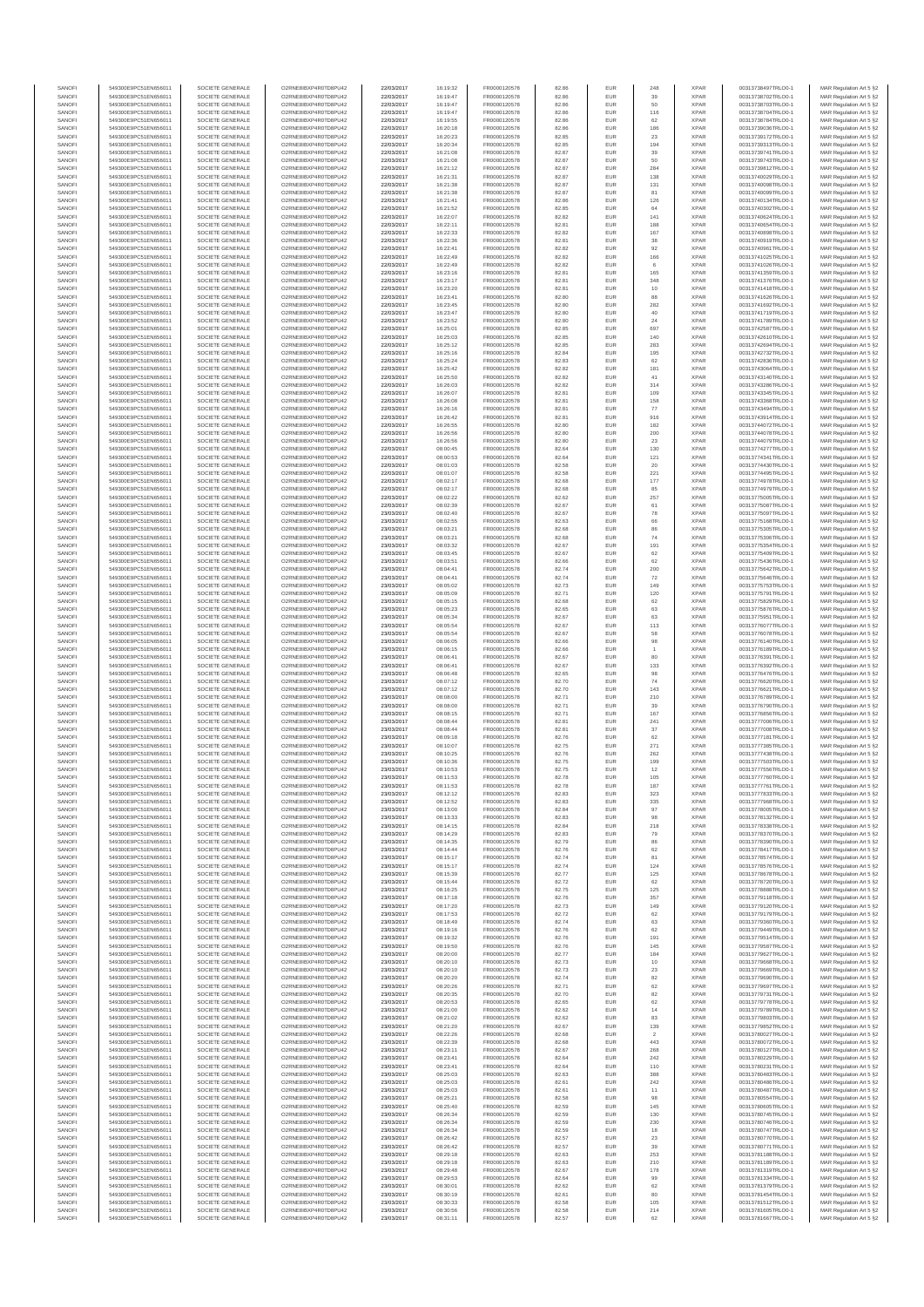| SANOFI           | 549300E9PC51EN656011                         | SOCIETE GENERALE                     | O2RNE8IBXP4R0TD8PU42                          | 22/03/2017               | 16:19:32             | FR0000120578                 | 82.86          | EUR               | 248              | <b>XPAR</b>                | 00313738497TRLO0-1                       | MAR Regulation Art 5 §2                            |
|------------------|----------------------------------------------|--------------------------------------|-----------------------------------------------|--------------------------|----------------------|------------------------------|----------------|-------------------|------------------|----------------------------|------------------------------------------|----------------------------------------------------|
| SANOFI<br>SANOFI | 549300E9PC51EN656011<br>549300E9PC51EN656011 | SOCIETE GENERALE<br>SOCIETE GENERALE | O2RNE8IBXP4R0TD8PU42                          | 22/03/2017<br>22/03/2017 | 16:19:47             | FR0000120578<br>FR0000120578 | 82.86          | EUR<br>EUR        | 39<br>50         | <b>XPAR</b><br><b>XPAR</b> | 00313738702TRLO0-1                       | MAR Regulation Art 5 §2                            |
| SANOFI           | 549300E9PC51EN656011                         | SOCIETE GENERALE                     | O2RNE8IBXP4R0TD8PU42<br>O2RNE8IBXP4R0TD8PU42  | 22/03/2017               | 16:19:47<br>16:19:47 | FR0000120578                 | 82.86<br>82.86 | EUR               | 116              | <b>XPAR</b>                | 00313738703TRLO0-1<br>00313738704TRLO0-1 | MAR Regulation Art 5 §2<br>MAR Regulation Art 5 §2 |
| SANOFI           | 549300E9PC51EN656011                         | SOCIETE GENERALE                     | O2RNE8IBXP4R0TD8PU42                          | 22/03/2017               | 16:19:55             | FR0000120578                 | 82.86          | EUR               | 62               | <b>XPAR</b>                | 00313738784TRLO0-1                       | MAR Regulation Art 5 §2                            |
| SANOFI           | 549300E9PC51EN656011                         | SOCIETE GENERALE                     | O2RNE8IBXP4R0TD8PU42                          | 22/03/2017               | 16:20:18             | FR0000120578                 | 82.86          | EUR               | 186              | <b>XPAR</b>                | 00313739036TRLO0-1                       | MAR Regulation Art 5 §2                            |
| SANOFI<br>SANOFI | 549300E9PC51EN656011<br>549300E9PC51EN656011 | SOCIETE GENERALE<br>SOCIETE GENERALE | O2RNE8IBXP4R0TD8PLI42<br>O2RNE8IBXP4R0TD8PU42 | 22/03/2017<br>22/03/2017 | 16:20:23<br>16:20:34 | FR0000120578<br>FR0000120578 | 82.85<br>82.85 | EUR<br>EUR        | 23<br>194        | <b>XPAR</b><br><b>XPAR</b> | 00313739172TRLO0-1<br>00313739313TRLO0-1 | MAR Regulation Art 5 §2<br>MAR Regulation Art 5 §2 |
| SANOFI           | 549300E9PC51EN656011                         | SOCIETE GENERALE                     | O2RNE8IBXP4R0TD8PU42                          | 22/03/2017               | 16:21:08             | FR0000120578                 | 82.87          | EUR               | 39               | <b>XPAR</b>                | 00313739741TRLO0-1                       | MAR Regulation Art 5 §2                            |
| SANOFI           | 549300E9PC51EN656011                         | SOCIETE GENERALE                     | O2RNE8IBXP4R0TD8PU42                          | 22/03/2017               | 16:21:08             | FR0000120578                 | 82.87          | EUR               | 50               | <b>XPAR</b>                | 00313739743TRLO0-1                       | MAR Regulation Art 5 §2                            |
| SANOFI<br>SANOFI | 549300E9PC51EN656011<br>549300E9PC51EN656011 | SOCIETE GENERALE<br>SOCIETE GENERALE | O2RNE8IBXP4R0TD8PU42<br>O2RNE8IBXP4R0TD8PU42  | 22/03/2017<br>22/03/2017 | 16:21:12<br>16:21:31 | FR0000120578<br>FR0000120578 | 82.87<br>82.87 | EUR<br>EUR        | 284<br>138       | <b>XPAR</b><br><b>XPAR</b> | 00313739812TRLO0-1<br>00313740029TRLO0-1 | MAR Regulation Art 5 §2<br>MAR Regulation Art 5 §2 |
| SANOFI           | 549300E9PC51EN656011                         | SOCIETE GENERALE                     | O2RNE8IBXP4R0TD8PU42                          | 22/03/2017               | 16:21:38             | FR0000120578                 | 82.87          | EUR               | 131              | <b>XPAR</b>                | 00313740098TRLO0-1                       | MAR Regulation Art 5 §2                            |
| SANOFI           | 549300E9PC51EN656011                         | SOCIETE GENERALE                     | O2RNE8IBXP4R0TD8PU42                          | 22/03/2017               | 16:21:38             | FR0000120578                 | 82.87          | EUR               | 81               | <b>XPAR</b>                | 00313740099TRLO0-1                       | MAR Regulation Art 5 §2                            |
| SANOFI           | 549300E9PC51EN656011                         | SOCIETE GENERALE                     | O2RNE8IBXP4R0TD8PU42                          | 22/03/2017               | 16:21:41             | FR0000120578                 | 82.86          | EUR               | 126              | <b>XPAR</b>                | 00313740134TRLO0-1                       | MAR Regulation Art 5 §2                            |
| SANOFI<br>SANOFI | 549300E9PC51EN656011<br>549300E9PC51EN656011 | SOCIETE GENERALE<br>SOCIETE GENERALE | O2RNE8IBXP4R0TD8PU42<br>O2RNE8IBXP4R0TD8PU42  | 22/03/2017<br>22/03/2017 | 16:21:52<br>16:22:07 | FR0000120578<br>FR0000120578 | 82.85<br>82.82 | EUR<br>EUR        | 64<br>141        | <b>XPAR</b><br><b>XPAR</b> | 00313740302TRLO0-1<br>00313740624TRLO0-1 | MAR Regulation Art 5 §2<br>MAR Regulation Art 5 §2 |
| SANOFI           | 549300E9PC51EN656011                         | SOCIETE GENERALE                     | O2RNE8IBXP4R0TD8PU42                          | 22/03/2017               | 16:22:11             | FR0000120578                 | 82.81          | EUR               | 188              | <b>XPAR</b>                | 00313740654TRLO0-1                       | MAR Regulation Art 5 §2                            |
| SANOFI           | 549300E9PC51EN656011                         | SOCIETE GENERALE                     | O2RNE8IBXP4R0TD8PU42                          | 22/03/2017               | 16:22:33             | FR0000120578                 | 82.82          | EUR               | 167              | <b>XPAR</b>                | 00313740898TRLO0-1                       | MAR Regulation Art 5 §2                            |
| SANOFI           | 549300E9PC51EN656011                         | SOCIETE GENERALE                     | O2RNE8IBXP4R0TD8PU42                          | 22/03/2017               | 16:22:36             | FR0000120578                 | 82.81          | EUR               | 38               | <b>XPAR</b>                | 00313740919TRLO0-1                       | MAR Regulation Art 5 §2                            |
| SANOFI<br>SANOFI | 549300E9PC51EN656011<br>549300E9PC51EN656011 | SOCIETE GENERALE<br>SOCIETE GENERALE | O2RNE8IBXP4R0TD8PU42<br>O2RNE8IBXP4R0TD8PU42  | 22/03/2017<br>22/03/2017 | 16:22:41<br>16:22:49 | FR0000120578<br>FR0000120578 | 82.82<br>82.82 | EUR<br>EUR        | 92<br>166        | <b>XPAR</b><br><b>XPAR</b> | 00313740961TRLO0-1<br>00313741025TRLO0-1 | MAR Regulation Art 5 §2<br>MAR Regulation Art 5 §2 |
| SANOFI           | 549300E9PC51EN656011                         | SOCIETE GENERALE                     | O2RNE8IBXP4R0TD8PU42                          | 22/03/2017               | 16:22:49             | FR0000120578                 | 82.82          | <b>EUR</b>        | 6                | <b>XPAR</b>                | 00313741026TRLO0-1                       | MAR Regulation Art 5 §2                            |
| SANOFI           | 549300E9PC51EN656011                         | SOCIETE GENERALE                     | O2RNE8IBXP4R0TD8PU42                          | 22/03/2017               | 16:23:16             | FR0000120578                 | 82.81          | EUR               | 165              | <b>XPAR</b>                | 00313741359TRLO0-1                       | MAR Regulation Art 5 §2                            |
| SANOFI<br>SANOFI | 549300E9PC51EN656011<br>549300E9PC51EN656011 | SOCIETE GENERALE<br>SOCIETE GENERALE | O2RNE8IBXP4R0TD8PU42<br>O2RNE8IBXP4R0TD8PU42  | 22/03/2017<br>22/03/2017 | 16:23:17<br>16:23:20 | FR0000120578<br>FR0000120578 | 82.81<br>82.81 | EUR<br>EUR        | 348<br>10        | <b>XPAR</b><br><b>XPAR</b> | 00313741376TRLO0-1<br>00313741418TRLO0-1 | MAR Regulation Art 5 §2<br>MAR Regulation Art 5 §2 |
| SANOFI           | 549300E9PC51EN656011                         | SOCIETE GENERALE                     | O2RNE8IBXP4R0TD8PU42                          | 22/03/2017               | 16:23:41             | FR0000120578                 | 82.80          | <b>EUR</b>        | 88               | <b>XPAR</b>                | 00313741626TRLO0-1                       | MAR Regulation Art 5 §2                            |
| SANOFI           | 549300E9PC51EN656011                         | SOCIETE GENERALE                     | O2RNE8IBXP4R0TD8PU42                          | 22/03/2017               | 16:23:45             | FR0000120578                 | 82.80          | EUR               | 282              | <b>XPAR</b>                | 00313741692TRLO0-1                       | MAR Regulation Art 5 §2                            |
| SANOFI           | 549300E9PC51EN656011                         | SOCIETE GENERALE                     | O2RNE8IBXP4R0TD8PU42                          | 22/03/2017               | 16:23:47             | FR0000120578                 | 82.80          | EUR               | $40\,$           | <b>XPAR</b>                | 00313741719TRLO0-1                       | MAR Regulation Art 5 §2                            |
| SANOFI<br>SANOFI | 549300E9PC51EN656011<br>549300E9PC51EN656011 | SOCIETE GENERALE<br>SOCIETE GENERALE | O2RNE8IBXP4R0TD8PU42<br>O2RNE8IBXP4R0TD8PU42  | 22/03/2017<br>22/03/2017 | 16:23:52<br>16:25:01 | FR0000120578<br>FR0000120578 | 82.80<br>82.85 | EUR<br>EUR        | 24<br>697        | <b>XPAR</b><br><b>XPAR</b> | 00313741789TRLO0-1<br>00313742587TRLO0-1 | MAR Regulation Art 5 §2<br>MAR Regulation Art 5 §2 |
| SANOFI           | 549300E9PC51EN656011                         | SOCIETE GENERALE                     | O2RNE8IBXP4R0TD8PU42                          | 22/03/2017               | 16:25:03             | FR0000120578                 | 82.85          | EUR               | 140              | <b>XPAR</b>                | 00313742610TRLO0-1                       | MAR Regulation Art 5 §2                            |
| SANOFI           | 549300E9PC51EN656011                         | SOCIETE GENERALE                     | O2RNE8IBXP4R0TD8PU42                          | 22/03/2017               | 16:25:12             | FR0000120578                 | 82.85          | EUR               | 283              | <b>XPAR</b>                | 00313742694TRLO0-1                       | MAR Regulation Art 5 §2                            |
| SANOFI<br>SANOFI | 549300E9PC51EN656011<br>549300E9PC51EN656011 | SOCIETE GENERALE<br>SOCIETE GENERALE | O2RNE8IBXP4R0TD8PU42<br>O2RNE8IBXP4R0TD8PU42  | 22/03/2017<br>22/03/2017 | 16:25:16<br>16:25:24 | FR0000120578<br>FR0000120578 | 82.84<br>82.83 | EUR<br>EUR        | 195<br>62        | <b>XPAR</b><br><b>XPAR</b> | 00313742732TRLO0-1<br>00313742836TRLO0-1 | MAR Regulation Art 5 §2<br>MAR Regulation Art 5 §2 |
| SANOFI           | 549300E9PC51EN656011                         | SOCIETE GENERALE                     | O2RNE8IBXP4R0TD8PU42                          | 22/03/2017               | 16:25:42             | FR0000120578                 | 82.82          | EUR               | 181              | <b>XPAR</b>                | 00313743064TRLO0-1                       | MAR Regulation Art 5 §2                            |
| SANOFI           | 549300E9PC51EN656011                         | SOCIETE GENERALE                     | O2RNE8IBXP4R0TD8PU42                          | 22/03/2017               | 16:25:50             | FR0000120578                 | 82.82          | EUR               | 41               | <b>XPAR</b>                | 00313743140TRLO0-1                       | MAR Regulation Art 5 §2                            |
| SANOFI           | 549300E9PC51EN656011                         | SOCIETE GENERALE                     | O2RNE8IBXP4R0TD8PU42                          | 22/03/2017               | 16:26:03             | FR0000120578                 | 82.82          | EUR               | 314              | <b>XPAR</b>                | 00313743286TRLO0-1                       | MAR Regulation Art 5 §2                            |
| SANOFI<br>SANOFI | 549300E9PC51EN656011<br>549300E9PC51EN656011 | SOCIETE GENERALE<br>SOCIETE GENERALE | O2RNE8IBXP4R0TD8PU42<br>O2RNE8IBXP4R0TD8PU42  | 22/03/2017<br>22/03/2017 | 16:26:07<br>16:26:08 | FR0000120578<br>FR0000120578 | 82.81<br>82.81 | EUR<br>EUR        | 109<br>158       | <b>XPAR</b><br><b>XPAR</b> | 00313743345TRLO0-1<br>00313743368TRLO0-1 | MAR Regulation Art 5 §2<br>MAR Regulation Art 5 §2 |
| SANOFI           | 549300E9PC51EN656011                         | SOCIETE GENERALE                     | O2RNE8IBXP4R0TD8PU42                          | 22/03/2017               | 16:26:16             | FR0000120578                 | 82.81          | <b>EUR</b>        | 77               | <b>XPAR</b>                | 00313743494TRLO0-1                       | MAR Regulation Art 5 §2                            |
| SANOFI           | 549300E9PC51EN656011                         | SOCIETE GENERALE                     | O2RNE8IBXP4R0TD8PU42                          | 22/03/2017               | 16:26:42             | FR0000120578                 | 82.81          | EUR               | 916              | <b>XPAR</b>                | 00313743914TRLO0-1                       | MAR Regulation Art 5 §2                            |
| SANOFI           | 549300E9PC51EN656011                         | SOCIETE GENERALE                     | O2RNE8IBXP4R0TD8PU42                          | 22/03/2017               | 16:26:55             | FR0000120578                 | 82.80          | EUR               | 182              | <b>XPAR</b>                | 00313744072TRLO0-1                       | MAR Regulation Art 5 §2                            |
| SANOFI<br>SANOFI | 549300E9PC51EN656011<br>549300E9PC51EN656011 | SOCIETE GENERALE<br>SOCIETE GENERALE | O2RNE8IBXP4R0TD8PU42<br>O2RNE8IBXP4R0TD8PU42  | 22/03/2017<br>22/03/2017 | 16:26:56<br>16:26:56 | FR0000120578<br>FR0000120578 | 82.80<br>82.80 | EUR<br>EUR        | 200<br>23        | <b>XPAR</b><br><b>XPAR</b> | 00313744078TRLO0-1<br>00313744079TRLO0-1 | MAR Regulation Art 5 §2<br>MAR Regulation Art 5 §2 |
| SANOFI           | 549300E9PC51EN656011                         | SOCIETE GENERALE                     | O2RNE8IBXP4R0TD8PU42                          | 22/03/2017               | 08:00:45             | FR0000120578                 | 82.64          | EUR               | 130              | <b>XPAR</b>                | 00313774277TRLO0-1                       | MAR Regulation Art 5 §2                            |
| SANOFI           | 549300E9PC51EN656011                         | SOCIETE GENERALE                     | O2RNE8IBXP4R0TD8PU42                          | 22/03/2017               | 08:00:53             | FR0000120578                 | 82.64          | EUR               | 121              | <b>XPAR</b>                | 00313774341TRLO0-1                       | MAR Regulation Art 5 §2                            |
| SANOFI           | 549300E9PC51EN656011                         | SOCIETE GENERALE                     | O2RNE8IBXP4R0TD8PU42<br>O2RNE8IBXP4R0TD8PU42  | 22/03/2017               | 08:01:03             | FR0000120578<br>FR0000120578 | 82.58          | EUR               | 20               | <b>XPAR</b>                | 00313774430TRLO0-1                       | MAR Regulation Art 5 §2                            |
| SANOFI<br>SANOFI | 549300E9PC51EN656011<br>549300E9PC51EN656011 | SOCIETE GENERALE<br>SOCIETE GENERALE | O2RNE8IBXP4R0TD8PU42                          | 22/03/2017<br>22/03/2017 | 08:01:07<br>08:02:17 | FR0000120578                 | 82.58<br>82.68 | EUR<br>EUR        | 221<br>177       | <b>XPAR</b><br><b>XPAR</b> | 00313774495TRLO0-1<br>00313774978TRLO0-1 | MAR Regulation Art 5 §2<br>MAR Regulation Art 5 §2 |
| SANOFI           | 549300E9PC51EN656011                         | SOCIETE GENERALE                     | O2RNE8IBXP4R0TD8PU42                          | 22/03/2017               | 08:02:17             | FR0000120578                 | 82.68          | EUR               | 85               | <b>XPAR</b>                | 00313774979TRLO0-1                       | MAR Regulation Art 5 §2                            |
| SANOFI           | 549300E9PC51EN656011                         | SOCIETE GENERALE                     | O2RNE8IBXP4R0TD8PU42                          | 22/03/2017               | 08:02:22             | FR0000120578                 | 82.62          | EUR               | 257              | <b>XPAR</b>                | 00313775005TRLO0-1                       | MAR Regulation Art 5 §2                            |
| SANOFI<br>SANOFI | 549300E9PC51EN656011                         | SOCIETE GENERALE                     | O2RNE8IBXP4R0TD8PU42                          | 22/03/2017               | 08:02:39             | FR0000120578<br>FR0000120578 | 82.67<br>82.67 | EUR<br>EUR        | 61<br>${\bf 78}$ | <b>XPAR</b><br><b>XPAR</b> | 00313775087TRLO0-1<br>00313775097TRLO0-1 | MAR Regulation Art 5 §2<br>MAR Regulation Art 5 §2 |
| SANOFI           | 549300E9PC51EN656011<br>549300E9PC51EN656011 | SOCIETE GENERALE<br>SOCIETE GENERALE | O2RNE8IBXP4R0TD8PU42<br>O2RNE8IBXP4R0TD8PU42  | 23/03/2017<br>23/03/2017 | 08:02:40<br>08:02:55 | FR0000120578                 | 82.63          | EUR               | 66               | <b>XPAR</b>                | 00313775168TRLO0-1                       | MAR Regulation Art 5 §2                            |
| SANOFI           | 549300E9PC51EN656011                         | SOCIETE GENERALE                     | O2RNE8IBXP4R0TD8PU42                          | 23/03/2017               | 08:03:21             | FR0000120578                 | 82.68          | EUR               | 86               | <b>XPAR</b>                | 00313775305TRLO0-1                       | MAR Regulation Art 5 §2                            |
| SANOFI           | 549300E9PC51EN656011                         | SOCIETE GENERALE                     | O2RNE8IBXP4R0TD8PU42                          | 23/03/2017               | 08:03:21             | FR0000120578                 | 82.68          | EUR               | 74               | <b>XPAR</b>                | 00313775306TRLO0-1                       | MAR Regulation Art 5 §2                            |
| SANOFI<br>SANOFI | 549300E9PC51EN656011<br>549300E9PC51EN656011 | SOCIETE GENERALE<br>SOCIETE GENERALE | O2RNE8IBXP4R0TD8PU42<br>O2RNE8IBXP4R0TD8PU42  | 23/03/2017<br>23/03/2017 | 08:03:32<br>08:03:45 | FR0000120578<br>FR0000120578 | 82.67<br>82.67 | EUR<br>EUR        | 191<br>62        | <b>XPAR</b><br><b>XPAR</b> | 00313775354TRLO0-1<br>00313775409TRLO0-1 | MAR Regulation Art 5 §2<br>MAR Regulation Art 5 §2 |
| SANOFI           | 549300E9PC51EN656011                         | SOCIETE GENERALE                     | O2RNE8IBXP4R0TD8PU42                          | 23/03/2017               | 08:03:51             | FR0000120578                 | 82.66          | EUR               | 62               | <b>XPAR</b>                | 00313775436TRLO0-1                       | MAR Regulation Art 5 §2                            |
| SANOFI           | 549300E9PC51EN656011                         | SOCIETE GENERALE                     | O2RNE8IBXP4R0TD8PU42                          | 23/03/2017               | 08:04:41             | FR0000120578                 | 82.74          | EUR               | 200              | <b>XPAR</b>                | 00313775642TRLO0-1                       | MAR Regulation Art 5 §2                            |
| SANOFI           | 549300E9PC51EN656011                         | SOCIETE GENERALE                     | O2RNE8IBXP4R0TD8PU42                          | 23/03/2017               | 08:04:41             | FR0000120578                 | 82.74          | EUR               | 72               | <b>XPAR</b>                | 00313775646TRLO0-1                       | MAR Regulation Art 5 §2                            |
| SANOFI<br>SANOFI | 549300E9PC51EN656011<br>549300E9PC51EN656011 | SOCIETE GENERALE<br>SOCIETE GENERALE | O2RNE8IBXP4R0TD8PU42<br>O2RNE8IBXP4R0TD8PU42  | 23/03/2017               | 08:05:02             | FR0000120578                 | 82.73          | EUR<br>EUR        | 149<br>120       | <b>XPAR</b><br><b>XPAR</b> | 00313775753TRLO0-1                       | MAR Regulation Art 5 §2                            |
| SANOFI           | 549300E9PC51EN656011                         | SOCIETE GENERALE                     | O2RNE8IBXP4R0TD8PU42                          | 23/03/2017<br>23/03/2017 | 08:05:09<br>08:05:15 | FR0000120578<br>FR0000120578 | 82.71<br>82.68 | EUR               | $62\,$           | <b>XPAR</b>                | 00313775791TRLO0-1<br>00313775829TRLO0-1 | MAR Regulation Art 5 §2<br>MAR Regulation Art 5 §2 |
| SANOFI           | 549300E9PC51EN656011                         | SOCIETE GENERALE                     | O2RNE8IBXP4R0TD8PU42                          | 23/03/2017               | 08:05:23             | FR0000120578                 | 82.65          | <b>EUR</b>        | 63               | <b>XPAR</b>                | 00313775876TRLO0-1                       | MAR Regulation Art 5 §2                            |
| SANOFI           | 549300E9PC51EN656011                         | SOCIETE GENERALE                     | O2RNE8IBXP4R0TD8PU42                          | 23/03/2017               | 08:05:34             | FR0000120578                 | 82.67          | EUR               | 63               | <b>XPAR</b>                | 00313775951TRLO0-1                       | MAR Regulation Art 5 §2                            |
| SANOFI<br>SANOFI | 549300E9PC51EN656011<br>549300E9PC51EN656011 | SOCIETE GENERALE<br>SOCIETE GENERALE | O2RNE8IBXP4R0TD8PU42<br>O2RNE8IBXP4R0TD8PU42  | 23/03/2017<br>23/03/2017 | 08:05:54<br>08:05:54 | FR0000120578<br>FR0000120578 | 82.67<br>82.67 | EUR<br>EUR        | 113<br>58        | <b>XPAR</b><br><b>XPAR</b> | 00313776077TRLO0-1<br>00313776078TRLO0-1 | MAR Regulation Art 5 §2<br>MAR Regulation Art 5 §2 |
| SANOFI           | 549300E9PC51EN656011                         | SOCIETE GENERALE                     | O2RNE8IBXP4R0TD8PU42                          | 23/03/2017               | 08:06:05             | FR0000120578                 | 82.66          | EUR               | 98               | <b>XPAR</b>                | 00313776140TRLO0-1                       | MAR Regulation Art 5 §2                            |
| SANOFI           | 549300E9PC51EN656011                         | SOCIETE GENERALE                     | O2RNE8IBXP4R0TD8PU42                          | 23/03/2017               | 08:06:15             | FR0000120578                 | 82.66          | EUR               |                  | <b>XPAR</b>                | 00313776189TRLO0-1                       | MAR Regulation Art 5 §2                            |
| SANOFI<br>SANOFI | 549300E9PC51EN656011<br>549300E9PC51EN656011 | SOCIETE GENERALE<br>SOCIETE GENERALE | O2RNE8IBXP4R0TD8PU42<br>O2RNE8IBXP4R0TD8PU42  | 23/03/2017<br>23/03/2017 | 08:06:41<br>08:06:41 | FR0000120578<br>FR0000120578 | 82.67<br>82.67 | EUR<br>EUR        | 80<br>133        | <b>XPAR</b><br><b>XPAR</b> | 00313776391TRLO0-1<br>00313776392TRLO0-1 | MAR Regulation Art 5 §2                            |
| SANOFI           | 549300E9PC51EN656011                         | SOCIETE GENERALE                     | O2RNE8IBXP4R0TD8PU42                          | 23/03/2017               | 08:06:48             | FR0000120578                 | 82.65          | EUR               | 98               | <b>XPAR</b>                | 00313776476TRLO0-1                       | MAR Regulation Art 5 §2<br>MAR Regulation Art 5 §2 |
| SANOFI           | 549300E9PC51EN656011                         | SOCIETE GENERALE                     | O2RNE8IBXP4R0TD8PU42                          | 23/03/2017               | 08:07:12             | FR0000120578                 | 82.70          | EUR               | 74               | <b>XPAR</b>                | 00313776620TRLO0-1                       | MAR Regulation Art 5 §2                            |
| SANOFI           | 549300E9PC51EN656011                         | SOCIETE GENERALE                     | O2RNE8IBXP4R0TD8PU42                          | 23/03/2017               | 08:07:12             | FR0000120578                 | 82.70          | EUR               | 143              | <b>XPAR</b>                | 00313776621TRLO0-1                       | MAR Regulation Art 5 §2                            |
| SANOFI<br>SANOFI | 549300E9PC51EN656011<br>549300E9PC51EN656011 | SOCIETE GENERALE<br>SOCIETE GENERALE | O2RNE8IBXP4R0TD8PU42<br>O2RNE8IBXP4R0TD8PU42  | 23/03/2017<br>23/03/2017 | 08:08:00<br>08:08:00 | FR0000120578<br>FR0000120578 | 82.71<br>82.71 | <b>EUR</b><br>EUR | 210<br>39        | <b>XPAR</b><br><b>XPAR</b> | 00313776789TRLO0-1<br>00313776790TRLO0-1 | MAR Regulation Art 5 §2<br>MAR Regulation Art 5 §2 |
| SANOFI           | 549300E9PC51EN656011                         | SOCIETE GENERALE                     | O2RNE8IBXP4R0TD8PU42                          | 23/03/2017               | 08:08:15             | FR0000120578                 | 82.71          | EUR               | 167              | <b>XPAR</b>                | 00313776856TRLO0-1                       | MAR Regulation Art 5 §2                            |
| SANOFI           | 549300E9PC51EN656011                         | SOCIETE GENERALE                     | O2RNE8IBXP4R0TD8PU42                          | 23/03/2017               | 08:08:44             | FR0000120578                 | 82.81          | EUR               | 241              | <b>XPAR</b>                | 00313777006TRLO0-1                       | MAR Regulation Art 5 §2                            |
| SANOFI           | 549300E9PC51EN656011                         | SOCIETE GENERALE                     | O2RNE8IBXP4R0TD8PU42                          | 23/03/2017               | 08:08:44             | FR0000120578                 | 82.81          | EUR               | 37               | <b>XPAR</b>                | 00313777008TRLO0-1                       | MAR Regulation Art 5 §2                            |
| SANOFI<br>SANOFI | 549300E9PC51EN656011<br>549300E9PC51EN656011 | SOCIETE GENERALE<br>SOCIETE GENERALE | O2RNE8IBXP4R0TD8PU42<br>O2RNE8IBXP4R0TD8PU42  | 23/03/2017<br>23/03/2017 | 08:09:18<br>08:10:07 | FR0000120578<br>FR0000120578 | 82.76<br>82.75 | EUR<br>EUR        | 62<br>271        | <b>XPAR</b><br><b>XPAR</b> | 00313777181TRLO0-1<br>00313777385TRLO0-1 | MAR Regulation Art 5 §2<br>MAR Regulation Art 5 §2 |
| SANOFI           | 549300E9PC51EN656011                         | SOCIETE GENERALE                     | O2RNE8IBXP4R0TD8PU42                          | 23/03/2017               | 08:10:25             | FR0000120578                 | 82.76          | EUR               | 262              | <b>XPAR</b>                | 00313777438TRLO0-1                       | MAR Regulation Art 5 §2                            |
| SANOFI           | 549300E9PC51EN656011                         | SOCIETE GENERALE                     | O2RNE8IBXP4R0TD8PU42                          | 23/03/2017               | 08:10:36             | FR0000120578                 | 82.75          | EUR               | 199              | <b>XPAR</b>                | 00313777503TRLO0-1                       | MAR Regulation Art 5 §2                            |
| SANOFI<br>SANOFI | 549300E9PC51EN656011<br>549300E9PC51EN656011 | SOCIETE GENERALE<br>SOCIETE GENERALE | O2RNE8IBXP4R0TD8PU42<br>O2RNE8IBXP4R0TD8PU42  | 23/03/2017<br>23/03/2017 | 08:10:53<br>08:11:53 | FR0000120578<br>FR0000120578 | 82.75<br>82.78 | EUR<br>EUR        | 12<br>105        | <b>XPAR</b><br><b>XPAR</b> | 00313777556TRLO0-1<br>00313777760TRLO0-1 | MAR Regulation Art 5 §2<br>MAR Regulation Art 5 §2 |
| SANOFI           | 549300E9PC51EN656011                         | SOCIETE GENERALE                     | O2RNE8IBXP4R0TD8PU42                          | 23/03/2017               | 08:11:53             | FR0000120578                 | 82.78          | EUR               | 187              | <b>XPAR</b>                | 00313777761TRLO0-1                       | MAR Regulation Art 5 §2                            |
| SANOFI           | 549300E9PC51EN656011                         | SOCIETE GENERALE                     | O2RNE8IBXP4R0TD8PU42                          | 23/03/2017               | 08:12:12             | FR0000120578                 | 82.83          | EUR               | 323              | <b>XPAR</b>                | 00313777833TRLO0-1                       | MAR Regulation Art 5 §2                            |
| SANOFI           | 549300E9PC51EN656011                         | SOCIETE GENERALE                     | O2RNE8IBXP4R0TD8PU42                          | 23/03/2017               | 08:12:52             | FR0000120578                 | 82.83          | EUR               | 335              | <b>XPAR</b>                | 00313777968TRLO0-1                       | MAR Regulation Art 5 §2                            |
| SANOFI<br>SANOFI | 549300E9PC51EN656011<br>549300E9PC51EN656011 | SOCIETE GENERALE<br>SOCIETE GENERALE | O2RNE8IBXP4R0TD8PU42<br>O2RNE8IBXP4R0TD8PU42  | 23/03/2017<br>23/03/2017 | 08:13:00<br>08:13:33 | FR0000120578<br>FR0000120578 | 82.84<br>82.83 | EUR<br>EUR        | 97<br>98         | <b>XPAR</b><br><b>XPAR</b> | 00313778005TRLO0-1<br>00313778132TRLO0-1 | MAR Regulation Art 5 §2<br>MAR Regulation Art 5 §2 |
| SANOFI           | 549300E9PC51EN656011                         | SOCIETE GENERALE                     | O2RNE8IBXP4R0TD8PU42                          | 23/03/2017               | 08:14:15             | FR0000120578                 | 82.84          | EUR               | 218              | <b>XPAR</b>                | 00313778338TRLO0-1                       | MAR Regulation Art 5 §2                            |
| SANOFI           | 549300E9PC51EN656011                         | SOCIETE GENERALE                     | O2RNE8IBXP4R0TD8PU42                          | 23/03/2017               | 08:14:29             | FR0000120578                 | 82.83          | EUR               | 79               | <b>XPAR</b>                | 00313778370TRLO0-1                       | MAR Regulation Art 5 §2                            |
| SANOFI<br>SANOFI | 549300E9PC51EN656011                         | SOCIETE GENERALE<br>SOCIETE GENERALE | O2RNE8IBXP4R0TD8PU42                          | 23/03/2017               | 08:14:35             | FR0000120578                 | 82.79          | <b>EUR</b><br>EUR | 86               | <b>XPAR</b><br><b>XPAR</b> | 00313778390TRLO0-1                       | MAR Regulation Art 5 §2                            |
| SANOFI           | 549300E9PC51EN656011<br>549300E9PC51EN656011 | SOCIETE GENERALE                     | O2RNE8IBXP4R0TD8PU42<br>O2RNE8IBXP4R0TD8PU42  | 23/03/2017<br>23/03/2017 | 08:14:44<br>08:15:17 | FR0000120578<br>FR0000120578 | 82.76<br>82.74 | EUR               | 62<br>81         | <b>XPAR</b>                | 00313778417TRLO0-1<br>00313778574TRLO0-1 | MAR Regulation Art 5 §2<br>MAR Regulation Art 5 §2 |
| SANOFI           | 549300E9PC51EN656011                         | SOCIETE GENERALE                     | O2RNE8IBXP4R0TD8PU42                          | 23/03/2017               | 08:15:17             | FR0000120578                 | 82.74          | EUR               | 124              | <b>XPAR</b>                | 00313778576TRLO0-1                       | MAR Regulation Art 5 §2                            |
| SANOFI           | 549300E9PC51EN656011                         | SOCIETE GENERALE                     | O2RNE8IBXP4R0TD8PU42                          | 23/03/2017               | 08:15:39             | FR0000120578                 | 82.77          | EUR               | 125              | <b>XPAR</b>                | 00313778678TRLO0-1                       | MAR Regulation Art 5 §2                            |
| SANOFI<br>SANOFI | 549300E9PC51EN656011<br>549300E9PC51EN656011 | SOCIETE GENERALE<br>SOCIETE GENERALE | O2RNE8IBXP4R0TD8PU42<br>O2RNE8IBXP4R0TD8PU42  | 23/03/2017<br>23/03/2017 | 08:15:44<br>08:16:25 | FR0000120578<br>FR0000120578 | 82.72<br>82.75 | <b>EUR</b><br>EUR | 62<br>125        | <b>XPAR</b><br><b>XPAR</b> | 00313778720TRLO0-1<br>00313778888TRLO0-1 | MAR Regulation Art 5 §2<br>MAR Regulation Art 5 §2 |
| SANOFI           | 549300E9PC51EN656011                         | SOCIETE GENERALE                     | O2RNE8IBXP4R0TD8PU42                          | 23/03/2017               | 08:17:18             | FR0000120578                 | 82.76          | <b>EUR</b>        | 357              | <b>XPAR</b>                | 00313779118TRLO0-1                       | MAR Regulation Art 5 §2                            |
| SANOFI           | 549300E9PC51EN656011                         | SOCIETE GENERALE                     | O2RNE8IBXP4R0TD8PU42                          | 23/03/2017               | 08:17:20             | FR0000120578                 | 82.73          | EUR               | 149              | <b>XPAR</b>                | 00313779120TRLO0-1                       | MAR Regulation Art 5 §2                            |
| SANOFI<br>SANOFI | 549300E9PC51EN656011<br>549300E9PC51EN656011 | SOCIETE GENERALE<br>SOCIETE GENERALE | O2RNE8IBXP4R0TD8PU42<br>O2RNE8IBXP4R0TD8PU42  | 23/03/2017<br>23/03/2017 | 08:17:53<br>08:18:49 | FR0000120578<br>FR0000120578 | 82.72<br>82.74 | EUR<br>EUR        | $62\,$<br>63     | <b>XPAR</b><br><b>XPAR</b> | 00313779179TRLO0-1<br>00313779360TRLO0-1 | MAR Regulation Art 5 §2<br>MAR Regulation Art 5 §2 |
| SANOFI           | 549300E9PC51EN656011                         | SOCIETE GENERALE                     | O2RNE8IBXP4R0TD8PU42                          | 23/03/2017               | 08:19:16             | FR0000120578                 | 82.76          | EUR               | 62               | <b>XPAR</b>                | 00313779449TRLO0-1                       | MAR Regulation Art 5 §2                            |
| SANOFI           | 549300E9PC51EN656011                         | SOCIETE GENERALE                     | O2RNE8IBXP4R0TD8PU42                          | 23/03/2017               | 08:19:32             | FR0000120578                 | 82.76          | EUR               | 191              | <b>XPAR</b>                | 00313779514TRLO0-1                       | MAR Regulation Art 5 §2                            |
| SANOFI<br>SANOFI | 549300E9PC51EN656011<br>549300E9PC51EN656011 | SOCIETE GENERALE<br>SOCIETE GENERALE | O2RNE8IBXP4R0TD8PU42<br>O2RNE8IBXP4R0TD8PU42  | 23/03/2017<br>23/03/2017 | 08:19:50<br>08:20:00 | FR0000120578<br>FR0000120578 | 82.76<br>82.77 | EUR<br><b>EUR</b> | 145<br>184       | <b>XPAR</b><br><b>XPAR</b> | 00313779587TRLO0-1<br>00313779627TRLO0-1 | MAR Regulation Art 5 §2                            |
| SANOFI           | 549300E9PC51EN656011                         | SOCIETE GENERALE                     | O2RNE8IBXP4R0TD8PU42                          | 23/03/2017               | 08:20:10             | FR0000120578                 | 82.73          | EUR               | 10               | <b>XPAR</b>                | 00313779668TRLO0-1                       | MAR Regulation Art 5 §2<br>MAR Regulation Art 5 §2 |
| SANOFI           | 549300E9PC51EN656011                         | SOCIETE GENERALE                     | O2RNE8IBXP4R0TD8PU42                          | 23/03/2017               | 08:20:10             | FR0000120578                 | 82.73          | <b>EUR</b>        | 23               | <b>XPAR</b>                | 00313779669TRLO0-1                       | MAR Regulation Art 5 §2                            |
| SANOFI           | 549300E9PC51EN656011                         | SOCIETE GENERALE                     | O2RNE8IBXP4R0TD8PU42                          | 23/03/2017               | 08:20:20             | FR0000120578                 | 82.74          | EUR               | 82               | <b>XPAR</b>                | 00313779690TRLO0-1                       | MAR Regulation Art 5 §2                            |
| SANOFI<br>SANOFI | 549300E9PC51EN656011<br>549300E9PC51EN656011 | SOCIETE GENERALE<br>SOCIETE GENERALE | O2RNE8IBXP4R0TD8PU42<br>O2RNE8IBXP4R0TD8PU42  | 23/03/2017<br>23/03/2017 | 08:20:26<br>08:20:35 | FR0000120578<br>FR0000120578 | 82.71<br>82.70 | EUR<br>EUR        | 62<br>82         | <b>XPAR</b><br><b>XPAR</b> | 00313779697TRLO0-1<br>00313779731TRLO0-1 | MAR Regulation Art 5 §2<br>MAR Regulation Art 5 §2 |
| SANOFI           | 549300E9PC51EN656011                         | SOCIETE GENERALE                     | O2RNE8IBXP4R0TD8PU42                          | 23/03/2017               | 08:20:53             | FR0000120578                 | 82.65          | EUR               | $62\,$           | <b>XPAR</b>                | 00313779778TRLO0-1                       | MAR Regulation Art 5 §2                            |
| SANOFI           | 549300E9PC51EN656011                         | SOCIETE GENERALE                     | O2RNE8IBXP4R0TD8PU42                          | 23/03/2017               | 08:21:00             | FR0000120578                 | 82.62          | EUR               | 14               | <b>XPAR</b>                | 00313779789TRLO0-1                       | MAR Regulation Art 5 §2                            |
| SANOFI<br>SANOFI | 549300E9PC51EN656011<br>549300E9PC51EN656011 | SOCIETE GENERALE<br>SOCIETE GENERALE | O2RNE8IBXP4R0TD8PU42<br>O2RNE8IBXP4R0TD8PU42  | 23/03/2017<br>23/03/2017 | 08:21:02<br>08:21:20 | FR0000120578<br>FR0000120578 | 82.62<br>82.67 | EUR<br><b>EUR</b> | 83<br>139        | <b>XPAR</b><br><b>XPAR</b> | 00313779803TRLO0-1<br>00313779852TRLO0-1 | MAR Regulation Art 5 §2                            |
| SANOFI           | 549300E9PC51EN656011                         | SOCIETE GENERALE                     | O2RNE8IBXP4R0TD8PU42                          | 23/03/2017               | 08:22:26             | FR0000120578                 | 82.68          | EUR               | $\overline{2}$   | <b>XPAR</b>                | 00313780027TRLO0-1                       | MAR Regulation Art 5 §2<br>MAR Regulation Art 5 §2 |
| SANOFI           | 549300E9PC51EN656011                         | SOCIETE GENERALE                     | O2RNE8IBXP4R0TD8PU42                          | 23/03/2017               | 08:22:39             | FR0000120578                 | 82.68          | <b>EUR</b>        | 443              | <b>XPAR</b>                | 00313780072TRLO0-1                       | MAR Regulation Art 5 §2                            |
| SANOFI           | 549300E9PC51EN656011                         | SOCIETE GENERALE                     | O2RNE8IBXP4R0TD8PU42                          | 23/03/2017               | 08:23:11             | FR0000120578                 | 82.67          | EUR               | 268              | <b>XPAR</b>                | 00313780127TRLO0-1                       | MAR Regulation Art 5 §2                            |
| SANOFI<br>SANOFI | 549300E9PC51EN656011<br>549300E9PC51EN656011 | SOCIETE GENERALE<br>SOCIETE GENERALE | O2RNE8IBXP4R0TD8PU42<br>O2RNE8IBXP4R0TD8PU42  | 23/03/2017<br>23/03/2017 | 08:23:41<br>08:23:41 | FR0000120578<br>FR0000120578 | 82.64<br>82.64 | EUR<br>EUR        | 242<br>110       | <b>XPAR</b><br><b>XPAR</b> | 00313780229TRLO0-1<br>00313780231TRLO0-1 | MAR Regulation Art 5 §2<br>MAR Regulation Art 5 §2 |
| SANOFI           | 549300E9PC51EN656011                         | SOCIETE GENERALE                     | O2RNE8IBXP4R0TD8PU42                          | 23/03/2017               | 08:25:03             | FR0000120578                 | 82.63          | EUR               | 388              | <b>XPAR</b>                | 00313780483TRLO0-1                       | MAR Regulation Art 5 §2                            |
| SANOFI           | 549300E9PC51EN656011                         | SOCIETE GENERALE                     | O2RNE8IBXP4R0TD8PU42                          | 23/03/2017               | 08:25:03             | FR0000120578                 | 82.61          | EUR               | 242              | <b>XPAR</b>                | 00313780486TRLO0-1                       | MAR Regulation Art 5 §2                            |
| SANOFI           | 549300E9PC51EN656011                         | SOCIETE GENERALE                     | O2RNE8IBXP4R0TD8PU42                          | 23/03/2017               | 08:25:03             | FR0000120578                 | 82.61          | EUR               | 11               | <b>XPAR</b>                | 00313780487TRLO0-1                       | MAR Regulation Art 5 §2                            |
| SANOFI<br>SANOFI | 549300E9PC51EN656011<br>549300E9PC51EN656011 | SOCIETE GENERALE<br>SOCIETE GENERALE | O2RNE8IBXP4R0TD8PU42<br>O2RNE8IBXP4R0TD8PU42  | 23/03/2017<br>23/03/2017 | 08:25:21<br>08:25:40 | FR0000120578<br>FR0000120578 | 82.58<br>82.59 | <b>EUR</b><br>EUR | 98<br>145        | <b>XPAR</b><br><b>XPAR</b> | 00313780554TRLO0-1<br>00313780605TRLO0-1 | MAR Regulation Art 5 §2<br>MAR Regulation Art 5 §2 |
| SANOFI           | 549300E9PC51EN656011                         | SOCIETE GENERALE                     | O2RNE8IBXP4R0TD8PU42                          | 23/03/2017               | 08:26:34             | FR0000120578                 | 82.59          | <b>EUR</b>        | 130              | <b>XPAR</b>                | 00313780745TRLO0-1                       | MAR Regulation Art 5 §2                            |
| SANOFI           | 549300E9PC51EN656011                         | SOCIETE GENERALE                     | O2RNE8IBXP4R0TD8PU42                          | 23/03/2017               | 08:26:34             | FR0000120578                 | 82.59          | EUR               | 230              | <b>XPAR</b>                | 00313780746TRLO0-1                       | MAR Regulation Art 5 §2                            |
| SANOFI<br>SANOFI | 549300E9PC51EN656011<br>549300E9PC51EN656011 | SOCIETE GENERALE<br>SOCIETE GENERALE | O2RNE8IBXP4R0TD8PU42<br>O2RNE8IBXP4R0TD8PU42  | 23/03/2017<br>23/03/2017 | 08:26:34<br>08:26:42 | FR0000120578                 | 82.59<br>82.57 | EUR<br>EUR        | 18<br>23         | <b>XPAR</b><br><b>XPAR</b> | 00313780747TRLO0-1                       | MAR Regulation Art 5 §2                            |
| SANOFI           | 549300E9PC51EN656011                         | SOCIETE GENERALE                     | O2RNE8IBXP4R0TD8PU42                          | 23/03/2017               | 08:26:42             | FR0000120578<br>FR0000120578 | 82.57          | EUR               | 39               | <b>XPAR</b>                | 00313780770TRLO0-1<br>00313780771TRLO0-1 | MAR Regulation Art 5 §2<br>MAR Regulation Art 5 §2 |
| SANOFI           | 549300E9PC51EN656011                         | SOCIETE GENERALE                     | O2RNE8IBXP4R0TD8PU42                          | 23/03/2017               | 08:29:18             | FR0000120578                 | 82.63          | <b>EUR</b>        | 253              | <b>XPAR</b>                | 00313781188TRLO0-1                       | MAR Regulation Art 5 §2                            |
| SANOFI           | 549300E9PC51EN656011                         | SOCIETE GENERALE                     | O2RNE8IBXP4R0TD8PU42                          | 23/03/2017               | 08:29:18             | FR0000120578                 | 82.63          | EUR               | 210              | <b>XPAR</b>                | 00313781189TRLO0-1                       | MAR Regulation Art 5 §2                            |
| SANOFI<br>SANOFI | 549300E9PC51EN656011<br>549300E9PC51EN656011 | SOCIETE GENERALE<br>SOCIETE GENERALE | O2RNE8IBXP4R0TD8PU42<br>O2RNE8IBXP4R0TD8PU42  | 23/03/2017<br>23/03/2017 | 08:29:48<br>08:29:53 | FR0000120578<br>FR0000120578 | 82.67<br>82.64 | <b>EUR</b><br>EUR | 178<br>99        | <b>XPAR</b><br><b>XPAR</b> | 00313781319TRLO0-1<br>00313781334TRLO0-1 | MAR Regulation Art 5 §2<br>MAR Regulation Art 5 §2 |
| SANOFI           | 549300E9PC51EN656011                         | SOCIETE GENERALE                     | O2RNE8IBXP4R0TD8PU42                          | 23/03/2017               | 08:30:01             | FR0000120578                 | 82.62          | EUR               | 62               | <b>XPAR</b>                | 00313781379TRLO0-1                       | MAR Regulation Art 5 §2                            |
| SANOFI           | 549300E9PC51EN656011                         | SOCIETE GENERALE                     | O2RNE8IBXP4R0TD8PU42                          | 23/03/2017               | 08:30:19             | FR0000120578                 | 82.61          | EUR               | 80               | <b>XPAR</b>                | 00313781454TRLO0-1                       | MAR Regulation Art 5 §2                            |
| SANOFI           | 549300E9PC51EN656011                         | SOCIETE GENERALE                     | O2RNE8IBXP4R0TD8PU42                          | 23/03/2017               | 08:30:33             | FR0000120578                 | 82.58          | EUR               | 105              | <b>XPAR</b>                | 00313781512TRLO0-1                       | MAR Regulation Art 5 §2                            |
| SANOFI<br>SANOFI | 549300E9PC51EN656011<br>549300E9PC51EN656011 | SOCIETE GENERALE<br>SOCIETE GENERALE | O2RNE8IBXP4R0TD8PU42<br>O2RNE8IBXP4R0TD8PU42  | 23/03/2017<br>23/03/2017 | 08:30:56<br>08:31:11 | FR0000120578<br>FR0000120578 | 82.58<br>82.57 | EUR<br>EUR        | 214<br>62        | <b>XPAR</b><br><b>XPAR</b> | 00313781605TRLO0-1<br>00313781667TRLO0-1 | MAR Regulation Art 5 §2<br>MAR Regulation Art 5 §2 |
|                  |                                              |                                      |                                               |                          |                      |                              |                |                   |                  |                            |                                          |                                                    |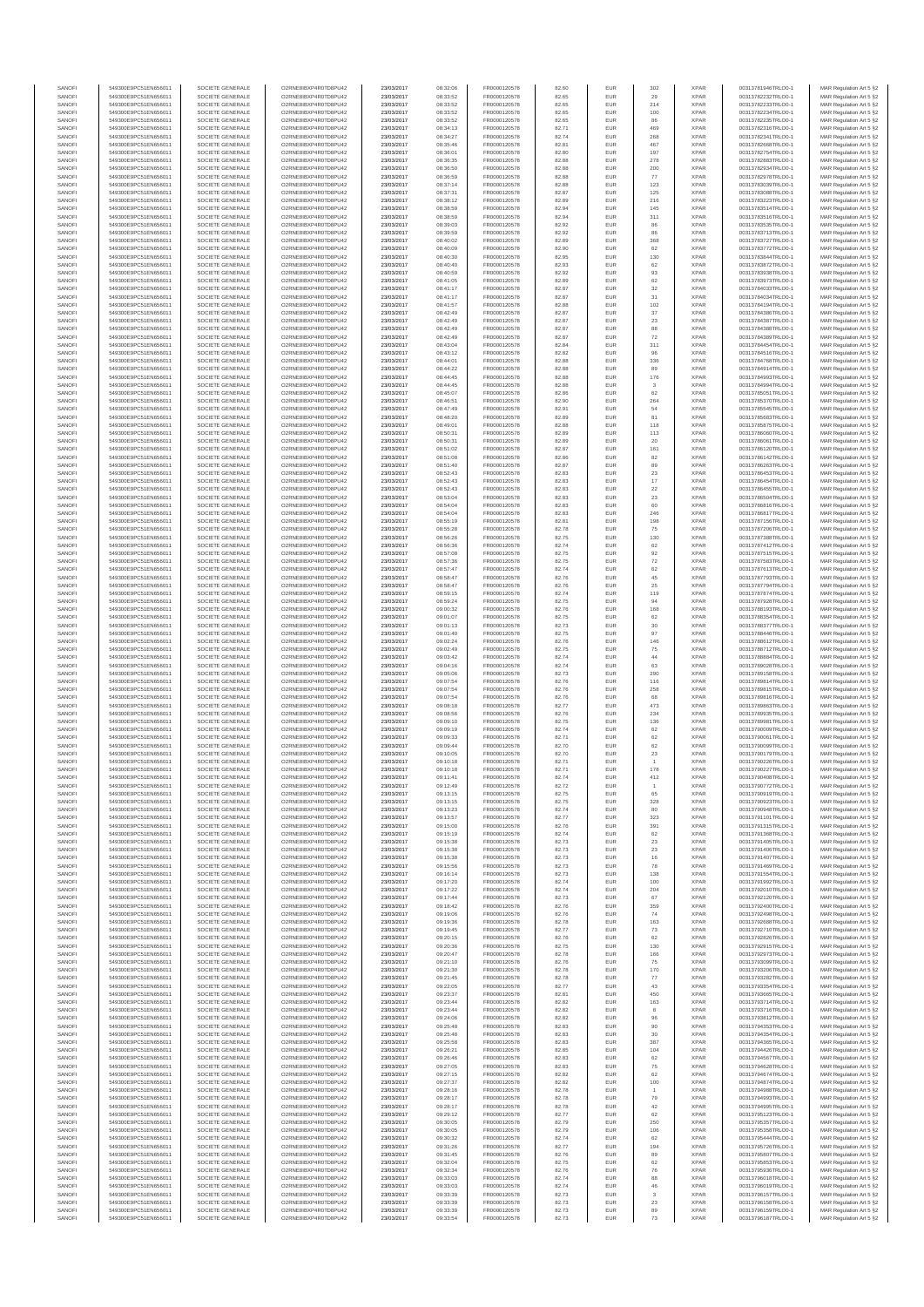| SANOFI           | 549300E9PC51EN656011                         | SOCIETE GENERALE                     | O2RNE8IBXP4R0TD8PLI42                         | 23/03/2017               | 08:32:06             | FR0000120578                 | 82.60          | EUR               | 302                       | <b>XPAR</b>                | 00313781946TRLO0-1                       | MAR Regulation Art 5 §2                             |
|------------------|----------------------------------------------|--------------------------------------|-----------------------------------------------|--------------------------|----------------------|------------------------------|----------------|-------------------|---------------------------|----------------------------|------------------------------------------|-----------------------------------------------------|
| SANOFI<br>SANOFI | 549300E9PC51EN656011<br>549300E9PC51EN656011 | SOCIETE GENERALE<br>SOCIETE GENERALE | O2RNE8IBXP4R0TD8PU42<br>O2RNE8IBXP4R0TD8PU42  | 23/03/2017<br>23/03/2017 | 08:33:52<br>08:33:52 | FR0000120578<br>FR0000120578 | 82.65<br>82.65 | <b>EUR</b><br>EUR | 29<br>214                 | <b>XPAR</b><br><b>XPAR</b> | 00313782232TRLO0-1<br>00313782233TRLO0-1 | MAR Regulation Art 5 §2<br>MAR Regulation Art 5 §2  |
| SANOFI           | 549300E9PC51EN656011                         | SOCIETE GENERALE                     | O2RNE8IBXP4R0TD8PLI42                         | 23/03/2017               | 08:33:52             | FR0000120578                 | 82.65          | EUR               | 100                       | <b>XPAR</b>                | 00313782234TRLO0-1                       | MAR Regulation Art 5 \$2                            |
| SANOFI           | 549300E9PC51EN656011                         | SOCIETE GENERALE                     | O2RNE8IBXP4R0TD8PU42                          | 23/03/2017               | 08:33:52             | FR0000120578                 | 82.65          | EUR               | 86                        | <b>XPAR</b>                | 00313782235TRLO0-1                       | MAR Regulation Art 5 §2                             |
| SANOFI<br>SANOFI | 549300E9PC51EN656011<br>549300E9PC51EN656011 | SOCIETE GENERALE<br>SOCIETE GENERALE | O2RNE8IBXP4R0TD8PU42<br>O2RNE8IBXP4R0TD8PU42  | 23/03/2017<br>23/03/2017 | 08:34:13<br>08:34:27 | FR0000120578<br>FR0000120578 | 82.71<br>82.74 | EUR<br>EUR        | 469<br>268                | <b>XPAR</b><br><b>XPAR</b> | 00313782316TRLO0-1<br>00313782341TRLO0-1 | MAR Regulation Art 5 §2<br>MAR Regulation Art 5 §2  |
| SANOFI           | 549300E9PC51EN656011                         | SOCIETE GENERALE                     | O2RNE8IBXP4R0TD8PU42                          | 23/03/2017               | 08:35:46             | FR0000120578                 | 82.81          | EUR               | 467                       | <b>XPAR</b>                | 00313782668TRLO0-1                       | MAR Regulation Art 5 §2                             |
| SANOFI           | 549300E9PC51EN656011                         | SOCIETE GENERALE                     | O2RNE8IBXP4R0TD8PU42                          | 23/03/2017               | 08:36:01             | FR0000120578                 | 82.80          | EUR               | 197                       | <b>XPAR</b>                | 00313782754TRLO0-1                       | MAR Regulation Art 5 §2                             |
| SANOFI<br>SANOFI | 549300E9PC51EN656011<br>549300E9PC51EN656011 | SOCIETE GENERALE<br>SOCIETE GENERALE | O2RNE8IBXP4R0TD8PU42<br>O2RNE8IBXP4R0TD8PU42  | 23/03/2017<br>23/03/2017 | 08:36:35<br>08:36:50 | FR0000120578<br>FR0000120578 | 82.88<br>82.88 | EUR<br>EUR        | 278<br>200                | <b>XPAR</b><br><b>XPAR</b> | 00313782883TRLO0-1<br>00313782934TRLO0-1 | MAR Regulation Art 5 §2<br>MAR Regulation Art 5 §2  |
| SANOFI           | 549300E9PC51EN656011                         | SOCIETE GENERALE                     | O2RNE8IBXP4R0TD8PU42                          | 23/03/2017               | 08:36:59             | FR0000120578                 | 82.88          | EUR               | 77                        | <b>XPAR</b>                | 00313782978TRLO0-1                       | MAR Regulation Art 5 §2                             |
| SANOFI           | 549300E9PC51EN656011                         | SOCIETE GENERALE                     | O2RNE8IBXP4R0TD8PU42                          | 23/03/2017               | 08:37:14             | FR0000120578                 | 82.88          | EUR               | 123                       | <b>XPAR</b>                | 00313783039TRLO0-1                       | MAR Regulation Art 5 §2                             |
| SANOFI<br>SANOFI | 549300E9PC51EN656011                         | SOCIETE GENERALE                     | O2RNE8IBXP4R0TD8PU42<br>O2RNE8IBXP4R0TD8PU42  | 23/03/2017               | 08:37:31             | FR0000120578                 | 82.87<br>82.89 | EUR<br>EUR        | 125<br>216                | <b>XPAR</b><br><b>XPAR</b> | 00313783088TRLO0-1                       | MAR Regulation Art 5 §2<br>MAR Regulation Art 5 §2  |
| SANOFI           | 549300E9PC51EN656011<br>549300E9PC51EN656011 | SOCIETE GENERALE<br>SOCIETE GENERALE | O2RNE8IBXP4R0TD8PU42                          | 23/03/2017<br>23/03/2017 | 08:38:12<br>08:38:59 | FR0000120578<br>FR0000120578 | 82.94          | EUR               | 145                       | <b>XPAR</b>                | 00313783223TRLO0-1<br>00313783514TRLO0-1 | MAR Regulation Art 5 §2                             |
| SANOFI           | 549300E9PC51EN656011                         | SOCIETE GENERALE                     | O2RNE8IBXP4R0TD8PU42                          | 23/03/2017               | 08:38:59             | FR0000120578                 | 82.94          | EUR               | 311                       | <b>XPAR</b>                | 00313783516TRLO0-1                       | MAR Regulation Art 5 §2                             |
| SANOFI           | 549300E9PC51EN656011                         | SOCIETE GENERALE                     | O2RNE8IBXP4R0TD8PU42                          | 23/03/2017               | 08:39:03             | FR0000120578                 | 82.92          | EUR               | 86                        | <b>XPAR</b>                | 00313783535TRLO0-1                       | MAR Regulation Art 5 §2                             |
| SANOFI<br>SANOFI | 549300E9PC51EN656011<br>549300E9PC51EN656011 | SOCIETE GENERALE<br>SOCIETE GENERALE | O2RNE8IBXP4R0TD8PU42<br>O2RNE8IBXP4R0TD8PU42  | 23/03/2017<br>23/03/2017 | 08:39:59<br>08:40:02 | FR0000120578<br>FR0000120578 | 82.92<br>82.89 | EUR<br>EUR        | 86<br>368                 | <b>XPAR</b><br><b>XPAR</b> | 00313783713TRLO0-1<br>00313783727TRLO0-1 | MAR Regulation Art 5 §2<br>MAR Regulation Art 5 §2  |
| SANOFI           | 549300E9PC51EN656011                         | SOCIETE GENERALE                     | O2RNE8IBXP4R0TD8PU42                          | 23/03/2017               | 08:40:09             | FR0000120578                 | 82.90          | EUR               | 62                        | <b>XPAR</b>                | 00313783772TRLO0-1                       | MAR Regulation Art 5 §2                             |
| SANOFI           | 549300E9PC51EN656011                         | SOCIETE GENERALE                     | O2RNE8IBXP4R0TD8PU42                          | 23/03/2017               | 08:40:30             | FR0000120578                 | 82.95          | EUR               | 130                       | <b>XPAR</b>                | 00313783844TRLO0-1                       | MAR Regulation Art 5 §2                             |
| SANOFI<br>SANOFI | 549300E9PC51EN656011<br>549300E9PC51EN656011 | SOCIETE GENERALE<br>SOCIETE GENERALE | O2RNE8IBXP4R0TD8PU42<br>O2RNE8IBXP4R0TD8PU42  | 23/03/2017<br>23/03/2017 | 08:40:40<br>08:40:59 | FR0000120578<br>FR0000120578 | 82.93<br>82.92 | EUR<br>EUR        | 62<br>93                  | <b>XPAR</b><br><b>XPAR</b> | 00313783872TRLO0-1<br>00313783938TRLO0-1 | MAR Regulation Art 5 §2<br>MAR Regulation Art 5 §2  |
| SANOFI           | 549300E9PC51EN656011                         | SOCIETE GENERALE                     | O2RNE8IBXP4R0TD8PU42                          | 23/03/2017               | 08:41:05             | FR0000120578                 | 82.89          | EUR               | 62                        | <b>XPAR</b>                | 00313783973TRLO0-1                       | MAR Regulation Art 5 §2                             |
| SANOFI           | 549300E9PC51EN656011                         | SOCIETE GENERALE                     | O2RNE8IBXP4R0TD8PU42                          | 23/03/2017               | 08:41:17             | FR0000120578                 | 82.87          | EUR               | 32                        | <b>XPAR</b>                | 00313784033TRLO0-1                       | MAR Regulation Art 5 §2                             |
| SANOFI<br>SANOFI | 549300E9PC51EN656011<br>549300E9PC51EN656011 | SOCIETE GENERALE<br>SOCIETE GENERALE | O2RNE8IBXP4R0TD8PU42<br>O2RNE8IBXP4R0TD8PU42  | 23/03/2017<br>23/03/2017 | 08:41:17<br>08:41:57 | FR0000120578<br>FR0000120578 | 82.87<br>82.88 | EUR<br>EUR        | 31<br>102                 | <b>XPAR</b><br><b>XPAR</b> | 00313784034TRLO0-1<br>00313784194TRLO0-1 | MAR Regulation Art 5 §2                             |
| SANOFI           | 549300E9PC51EN656011                         | SOCIETE GENERALE                     | O2RNE8IBXP4R0TD8PU42                          | 23/03/2017               | 08:42:49             | FR0000120578                 | 82.87          | EUR               | 37                        | <b>XPAR</b>                | 00313784386TRLO0-1                       | MAR Regulation Art 5 §2<br>MAR Regulation Art 5 §2  |
| SANOFI           | 549300E9PC51EN656011                         | SOCIETE GENERALE                     | O2RNE8IBXP4R0TD8PU42                          | 23/03/2017               | 08:42:49             | FR0000120578                 | 82.87          | EUR               | $23\,$                    | <b>XPAR</b>                | 00313784387TRLO0-1                       | MAR Regulation Art 5 §2                             |
| SANOFI           | 549300E9PC51EN656011                         | SOCIETE GENERALE                     | O2RNE8IBXP4R0TD8PU42                          | 23/03/2017               | 08:42:49             | FR0000120578                 | 82.87          | EUR               | 88                        | <b>XPAR</b>                | 00313784388TRLO0-1                       | MAR Regulation Art 5 \$2                            |
| SANOFI<br>SANOFI | 549300E9PC51EN656011<br>549300E9PC51EN656011 | SOCIETE GENERALE<br>SOCIETE GENERALE | O2RNE8IBXP4R0TD8PU42<br>O2RNE8IBXP4R0TD8PU42  | 23/03/2017<br>23/03/2017 | 08:42:49<br>08:43:04 | FR0000120578<br>FR0000120578 | 82.87<br>82.84 | EUR<br>EUR        | $\scriptstyle{72}$<br>311 | <b>XPAR</b><br><b>XPAR</b> | 00313784389TRLO0-1<br>00313784454TRLO0-1 | MAR Regulation Art 5 §2<br>MAR Regulation Art 5 §2  |
| SANOFI           | 549300E9PC51EN656011                         | SOCIETE GENERALE                     | O2RNE8IBXP4R0TD8PU42                          | 23/03/2017               | 08:43:12             | FR0000120578                 | 82.82          | EUR               | 96                        | <b>XPAR</b>                | 00313784516TRLO0-1                       | MAR Regulation Art 5 §2                             |
| SANOFI           | 549300E9PC51EN656011                         | SOCIETE GENERALE                     | O2RNE8IBXP4R0TD8PU42                          | 23/03/2017               | 08:44:01             | FR0000120578                 | 82.88          | EUR               | 336                       | <b>XPAR</b>                | 00313784768TRLO0-1                       | MAR Regulation Art 5 §2                             |
| SANOFI<br>SANOFI | 549300E9PC51EN656011<br>549300E9PC51EN656011 | SOCIETE GENERALE<br>SOCIETE GENERALE | O2RNE8IBXP4R0TD8PU42<br>O2RNE8IBXP4R0TD8PU42  | 23/03/2017<br>23/03/2017 | 08:44:22<br>08:44:45 | FR0000120578<br>FR0000120578 | 82.88<br>82.88 | EUR<br>EUR        | 89<br>176                 | <b>XPAR</b><br><b>XPAR</b> | 00313784914TRLO0-1<br>00313784993TRLO0-1 | MAR Regulation Art 5 §2<br>MAR Regulation Art 5 §2  |
| SANOFI           | 549300E9PC51EN656011                         | SOCIETE GENERALE                     | O2RNE8IBXP4R0TD8PU42                          | 23/03/2017               | 08:44:45             | FR0000120578                 | 82.88          | EUR               | $\mathbf{3}$              | <b>XPAR</b>                | 00313784994TRLO0-1                       | MAR Regulation Art 5 \$2                            |
| SANOFI           | 549300E9PC51EN656011                         | SOCIETE GENERALE                     | O2RNE8IBXP4R0TD8PU42                          | 23/03/2017               | 08:45:07             | FR0000120578                 | 82.86          | EUR               | 62                        | <b>XPAR</b>                | 00313785051TRLO0-1                       | MAR Regulation Art 5 §2                             |
| SANOFI<br>SANOFI | 549300E9PC51EN656011<br>549300E9PC51EN656011 | SOCIETE GENERALE<br>SOCIETE GENERALE | O2RNE8IBXP4R0TD8PU42<br>O2RNE8IBXP4R0TD8PU42  | 23/03/2017<br>23/03/2017 | 08:46:51<br>08:47:49 | FR0000120578<br>FR0000120578 | 82.90<br>82.91 | EUR<br>EUR        | 264                       | <b>XPAR</b><br><b>XPAR</b> | 00313785370TRLO0-1<br>00313785545TRLO0-1 | MAR Regulation Art 5 §2<br>MAR Regulation Art 5 §2  |
| SANOFI           | 549300E9PC51EN656011                         | SOCIETE GENERALE                     | O2RNE8IBXP4R0TD8PU42                          | 23/03/2017               | 08:48:20             | FR0000120578                 | 82.89          | EUR               | 54<br>81                  | <b>XPAR</b>                | 00313785683TRLO0-1                       | MAR Regulation Art 5 §2                             |
| SANOFI           | 549300E9PC51EN656011                         | SOCIETE GENERALE                     | O2RNE8IBXP4R0TD8PU42                          | 23/03/2017               | 08:49:01             | FR0000120578                 | 82.88          | EUR               | 118                       | <b>XPAR</b>                | 00313785875TRLO0-1                       | MAR Regulation Art 5 §2                             |
| SANOFI           | 549300E9PC51EN656011<br>549300E9PC51EN656011 | SOCIETE GENERALE                     | O2RNE8IBXP4R0TD8PU42                          | 23/03/2017               | 08:50:31             | FR0000120578                 | 82.89          | EUR               | 113                       | <b>XPAR</b>                | 00313786060TRLO0-1                       | MAR Regulation Art 5 §2                             |
| SANOFI<br>SANOFI | 549300E9PC51EN656011                         | SOCIETE GENERALE<br>SOCIETE GENERALE | O2RNE8IBXP4R0TD8PU42<br>O2RNE8IBXP4R0TD8PU42  | 23/03/2017<br>23/03/2017 | 08:50:31<br>08:51:02 | FR0000120578<br>FR0000120578 | 82.89<br>82.87 | EUR<br>EUR        | 20<br>161                 | <b>XPAR</b><br><b>XPAR</b> | 00313786061TRLO0-1<br>00313786120TRLO0-1 | MAR Regulation Art 5 §2<br>MAR Regulation Art 5 §2  |
| SANOFI           | 549300E9PC51EN656011                         | SOCIETE GENERALE                     | O2RNE8IBXP4R0TD8PU42                          | 23/03/2017               | 08:51:08             | FR0000120578                 | 82.86          | EUR               | 82                        | <b>XPAR</b>                | 00313786142TRLO0-1                       | MAR Regulation Art 5 \$2                            |
| SANOFI           | 549300E9PC51EN656011                         | SOCIETE GENERALE                     | O2RNE8IBXP4R0TD8PU42                          | 23/03/2017               | 08:51:40             | FR0000120578                 | 82.87          | EUR               | 89                        | <b>XPAR</b>                | 00313786263TRLO0-1                       | MAR Regulation Art 5 §2                             |
| SANOFI<br>SANOFI | 549300E9PC51EN656011<br>549300E9PC51EN656011 | SOCIETE GENERALE<br>SOCIETE GENERALE | O2RNE8IBXP4R0TD8PU42<br>O2RNE8IBXP4R0TD8PU42  | 23/03/2017               | 08:52:43             | FR0000120578                 | 82.83          | EUR<br>EUR        | 23                        | <b>XPAR</b><br><b>XPAR</b> | 00313786453TRLO0-1<br>00313786454TRLO0-1 | MAR Regulation Art 5 §2                             |
| SANOFI           | 549300E9PC51EN656011                         | SOCIETE GENERALE                     | O2RNE8IBXP4R0TD8PU42                          | 23/03/2017<br>23/03/2017 | 08:52:43<br>08:52:43 | FR0000120578<br>FR0000120578 | 82.83<br>82.83 | EUR               | $17$<br>$22\,$            | <b>XPAR</b>                | 00313786455TRLO0-1                       | MAR Regulation Art 5 §2<br>MAR Regulation Art 5 §2  |
| SANOFI           | 549300E9PC51EN656011                         | SOCIETE GENERALE                     | O2RNE8IBXP4R0TD8PU42                          | 23/03/2017               | 08:53:04             | FR0000120578                 | 82.83          | EUR               | 23                        | <b>XPAR</b>                | 00313786504TRLO0-1                       | MAR Regulation Art 5 §2                             |
| SANOFI           | 549300E9PC51EN656011                         | SOCIETE GENERALE                     | O2RNE8IBXP4R0TD8PU42                          | 23/03/2017               | 08:54:04             | FR0000120578                 | 82.83          | EUR               | 60                        | <b>XPAR</b>                | 00313786816TRLO0-1                       | MAR Regulation Art 5 §2                             |
| SANOFI<br>SANOFI | 549300E9PC51EN656011<br>549300E9PC51EN656011 | SOCIETE GENERALE<br>SOCIETE GENERALE | O2RNE8IBXP4R0TD8PU42<br>O2RNE8IBXP4R0TD8PU42  | 23/03/2017<br>23/03/2017 | 08:54:04<br>08:55:19 | FR0000120578<br>FR0000120578 | 82.83<br>82.81 | EUR<br>EUR        | 246<br>198                | <b>XPAR</b><br><b>XPAR</b> | 00313786817TRLO0-1<br>00313787156TRLO0-1 | MAR Regulation Art 5 §2<br>MAR Regulation Art 5 §2  |
| SANOFI           | 549300E9PC51EN656011                         | SOCIETE GENERALE                     | O2RNE8IBXP4R0TD8PU42                          | 23/03/2017               | 08:55:28             | FR0000120578                 | 82.78          | EUR               | 75                        | <b>XPAR</b>                | 00313787206TRLO0-1                       | MAR Regulation Art 5 62                             |
| SANOFI           | 549300E9PC51EN656011                         | SOCIETE GENERALE                     | O2RNE8IBXP4R0TD8PU42                          | 23/03/2017               | 08:56:26             | FR0000120578                 | 82.75          | EUR               | 130                       | <b>XPAR</b>                | 00313787388TRLO0-1                       | MAR Regulation Art 5 §2                             |
| SANOFI<br>SANOFI | 549300E9PC51EN656011<br>549300E9PC51EN656011 | SOCIETE GENERALE<br>SOCIETE GENERALE | O2RNE8IBXP4R0TD8PU42                          | 23/03/2017<br>23/03/2017 | 08:56:36<br>08:57:08 | FR0000120578<br>FR0000120578 | 82.74<br>82.75 | EUR<br>EUR        | 62                        | <b>XPAR</b><br><b>XPAR</b> | 00313787412TRLO0-1<br>00313787515TRLO0-1 | MAR Regulation Art 5 §2<br>MAR Regulation Art 5 §2  |
| SANOFI           | 549300E9PC51EN656011                         | SOCIETE GENERALE                     | O2RNE8IBXP4R0TD8PU42<br>O2RNE8IBXP4R0TD8PU42  | 23/03/2017               | 08:57:36             | FR0000120578                 | 82.75          | EUR               | 92<br>72                  | <b>XPAR</b>                | 00313787583TRLO0-1                       | MAR Regulation Art 5 §2                             |
| SANOFI           | 549300E9PC51EN656011                         | SOCIETE GENERALE                     | O2RNE8IBXP4R0TD8PU42                          | 23/03/2017               | 08:57:47             | FR0000120578                 | 82.74          | EUR               | 62                        | <b>XPAR</b>                | 00313787613TRLO0-1                       | MAR Regulation Art 5 §2                             |
| SANOFI           | 549300E9PC51EN656011                         | SOCIETE GENERALE                     | O2RNE8IBXP4R0TD8PU42                          | 23/03/2017               | 08:58:47             | FR0000120578                 | 82.76          | EUR               | 45                        | <b>XPAR</b>                | 00313787793TRLO0-1                       | MAR Regulation Art 5 §2                             |
| SANOFI<br>SANOFI | 549300E9PC51EN656011<br>549300E9PC51EN656011 | SOCIETE GENERALE<br>SOCIETE GENERALE | O2RNE8IBXP4R0TD8PU42<br>O2RNE8IBXP4R0TD8PU42  | 23/03/2017<br>23/03/2017 | 08:58:47<br>08:59:15 | FR0000120578<br>FR0000120578 | 82.76<br>82.74 | EUR<br>EUR        | 25<br>119                 | <b>XPAR</b><br><b>XPAR</b> | 00313787794TRLO0-1<br>00313787874TRLO0-1 | MAR Regulation Art 5 §2<br>MAR Regulation Art 5 §2  |
| SANOFI           | 549300E9PC51EN656011                         | SOCIETE GENERALE                     | O2RNE8IBXP4R0TD8PU42                          | 23/03/2017               | 08:59:24             | FR0000120578                 | 82.75          | EUR               | 94                        | <b>XPAR</b>                | 00313787928TRLO0-1                       | MAR Regulation Art 5 §2                             |
| SANOFI           | 549300E9PC51EN656011                         | SOCIETE GENERALE                     | O2RNE8IBXP4R0TD8PU42                          | 23/03/2017               | 09:00:32             | FR0000120578                 | 82.76          | EUR               | 168                       | <b>XPAR</b>                | 00313788193TRLO0-1                       | MAR Regulation Art 5 §2                             |
| SANOFI<br>SANOFI | 549300E9PC51EN656011<br>549300E9PC51EN656011 | SOCIETE GENERALE<br>SOCIETE GENERALE | O2RNE8IBXP4R0TD8PU42<br>O2RNE8IBXP4R0TD8PU42  | 23/03/2017<br>23/03/2017 | 09:01:07             | FR0000120578<br>FR0000120578 | 82.75          | EUR<br>EUR        | 62                        | <b>XPAR</b><br><b>XPAR</b> | 00313788354TRLO0-1<br>00313788377TRLO0-1 | MAR Regulation Art 5 §2                             |
| SANOFI           | 549300E9PC51EN656011                         | SOCIETE GENERALE                     | O2RNE8IBXP4R0TD8PU42                          | 23/03/2017               | 09:01:13<br>09:01:40 | FR0000120578                 | 82.73<br>82.75 | EUR               | $30\,$<br>97              | <b>XPAR</b>                | 00313788446TRLO0-1                       | MAR Regulation Art 5 §2<br>MAR Regulation Art 5 §2  |
| SANOFI           | 549300E9PC51EN656011                         | SOCIETE GENERALE                     | O2RNE8IBXP4R0TD8PU42                          | 23/03/2017               | 09:02:24             | FR0000120578                 | 82.76          | EUR               | 146                       | <b>XPAR</b>                | 00313788612TRLO0-1                       | MAR Regulation Art 5 §2                             |
| SANOFI           | 549300E9PC51EN656011                         | SOCIETE GENERALE                     | O2RNE8IBXP4R0TD8PU42                          | 23/03/2017               | 09:02:49             | FR0000120578                 | 82.75          | EUR               | 75                        | <b>XPAR</b>                | 00313788712TRLO0-1                       | MAR Regulation Art 5 §2                             |
| SANOFI<br>SANOFI | 549300E9PC51EN656011<br>549300E9PC51EN656011 | SOCIETE GENERALE<br>SOCIETE GENERALE | O2RNE8IBXP4R0TD8PU42<br>O2RNE8IBXP4R0TD8PU42  | 23/03/2017<br>23/03/2017 | 09:03:42<br>09:04:16 | FR0000120578<br>FR0000120578 | 82.74<br>82.74 | EUR<br>EUR        | 44<br>63                  | <b>XPAR</b><br><b>XPAR</b> | 00313788884TRLO0-1<br>00313789028TRLO0-1 | MAR Regulation Art 5 §2<br>MAR Regulation Art 5 §2  |
| SANOFI           | 549300E9PC51EN656011                         | SOCIETE GENERALE                     | O2RNE8IBXP4R0TD8PU42                          | 23/03/2017               | 09:05:06             | FR0000120578                 | 82.73          | EUR               | 290                       | <b>XPAR</b>                | 00313789158TRLO0-1                       | MAR Regulation Art 5 §2                             |
| SANOFI           | 549300E9PC51EN656011                         | SOCIETE GENERALE                     | O2RNE8IBXP4R0TD8PU42                          | 23/03/2017               | 09:07:54             | FR0000120578                 | 82.76          | EUR               | 116                       | <b>XPAR</b>                | 00313789814TRLO0-1                       | MAR Regulation Art 5 §2                             |
| SANOFI<br>SANOFI | 549300E9PC51EN656011<br>549300E9PC51EN656011 | SOCIETE GENERALE<br>SOCIETE GENERALE | O2RNE8IBXP4R0TD8PU42<br>O2RNE8IBXP4R0TD8PU42  | 23/03/2017<br>23/03/2017 | 09:07:54<br>09:07:54 | FR0000120578<br>FR0000120578 | 82.76<br>82.76 | EUR<br>EUR        | 258<br>68                 | <b>XPAR</b><br><b>XPAR</b> | 00313789815TRLO0-1<br>00313789816TRLO0-1 | MAR Regulation Art 5 §2<br>MAR Regulation Art 5 §2  |
| SANOFI           | 549300E9PC51EN656011                         | SOCIETE GENERALE                     | O2RNE8IBXP4R0TD8PU42                          | 23/03/2017               | 09:08:18             | FR0000120578                 | 82.77          | EUR               | 473                       | <b>XPAR</b>                | 00313789863TRLO0-1                       | MAR Regulation Art 5 §2                             |
| SANOFI           | 549300E9PC51EN656011                         | SOCIETE GENERALE                     | O2RNE8IBXP4R0TD8PLI42                         | 23/03/2017               | 09:08:56             | FR0000120578                 | 82.76          | EUR               | 234                       | <b>XPAR</b>                | 00313789935TRLO0-1                       | MAR Regulation Art 5 §2                             |
| SANOFI           | 549300E9PC51EN656011                         | SOCIETE GENERALE                     | O2RNE8IBXP4R0TD8PU42                          | 23/03/2017               | 09:09:10             | FR0000120578                 | 82.75          | EUR               | 136                       | <b>XPAR</b>                | 00313789981TRLO0-1                       | MAR Regulation Art 5 §2                             |
| SANOFI<br>SANOFI | 549300E9PC51EN656011<br>549300E9PC51EN656011 | SOCIETE GENERALE<br>SOCIETE GENERALE | O2RNE8IBXP4R0TD8PU42<br>O2RNE8IBXP4R0TD8PU42  | 23/03/2017<br>23/03/2017 | 09:09:19<br>09:09:33 | FR0000120578<br>FR0000120578 | 82.74<br>82.71 | EUR<br>EUR        | 62<br>62                  | <b>XPAR</b><br><b>XPAR</b> | 00313790009TRLO0-1<br>00313790061TRLO0-1 | MAR Regulation Art 5 \$2<br>MAR Regulation Art 5 §2 |
| SANOFI           | 549300E9PC51EN656011                         | SOCIETE GENERALE                     | O2RNE8IBXP4R0TD8PU42                          | 23/03/2017               | 09:09:44             | FR0000120578                 | 82.70          | EUR               | 62                        | <b>XPAR</b>                | 00313790099TRLO0-1                       | MAR Regulation Art 5 §2                             |
| SANOFI           | 549300E9PC51EN656011                         | SOCIETE GENERALE                     | O2RNE8IBXP4R0TD8PU42                          | 23/03/2017               | 09:10:05             | FR0000120578                 | 82.70          | EUR               | $23\,$                    | <b>XPAR</b>                | 00313790179TRLO0-1                       | MAR Regulation Art 5 §2                             |
| SANOFI<br>SANOFI | 549300E9PC51EN656011<br>549300E9PC51EN656011 | SOCIETE GENERALE<br>SOCIETE GENERALE | O2RNE8IBXP4R0TD8PU42<br>O2RNE8IBXP4R0TD8PU42  | 23/03/2017<br>23/03/2017 | 09:10:18<br>09:10:18 | FR0000120578<br>FR0000120578 | 82.71<br>82.71 | EUR<br><b>EUR</b> | $\overline{1}$<br>178     | <b>XPAR</b><br><b>XPAR</b> | 00313790226TRLO0-1<br>00313790227TRLO0-1 | MAR Regulation Art 5 §2<br>MAR Regulation Art 5 §2  |
| SANOFI           | 549300E9PC51EN656011                         | SOCIETE GENERALE                     | O2RNE8IBXP4R0TD8PU42                          | 23/03/2017               | 09:11:41             | FR0000120578                 | 82.74          | EUR               | 412                       | <b>XPAR</b>                | 00313790408TRLO0-1                       | MAR Regulation Art 5 §2                             |
| SANOFI           | 549300E9PC51EN656011                         | SOCIETE GENERALE                     | O2RNE8IBXP4R0TD8PU42                          | 23/03/2017               | 09:12:49             | FR0000120578                 | 82.72          | EUR               |                           | <b>XPAR</b>                | 00313790772TRLO0-1                       | MAR Regulation Art 5 §2                             |
| SANOFI           | 549300E9PC51EN656011                         | SOCIETE GENERALE                     | O2RNE8IBXP4R0TD8PU42                          | 23/03/2017               | 09:13:15             | FR0000120578                 | 82.75          | EUR               | 65                        | <b>XPAR</b>                | 00313790919TRLO0-1                       | MAR Regulation Art 5 §2                             |
| SANOFI<br>SANOFI | 549300E9PC51EN656011<br>549300E9PC51EN656011 | SOCIETE GENERALE<br>SOCIETE GENERALE | O2RNE8IBXP4R0TD8PU42<br>O2RNE8IBXP4R0TD8PU42  | 23/03/2017<br>23/03/2017 | 09:13:15<br>09:13:23 | FR0000120578<br>FR0000120578 | 82.75<br>82.74 | EUR<br>EUR        | 328<br>80                 | <b>XPAR</b><br><b>XPAR</b> | 00313790923TRLO0-1<br>00313790948TRLO0-1 | MAR Regulation Art 5 §2<br>MAR Regulation Art 5 §2  |
| SANOFI           | 549300E9PC51EN656011                         | SOCIETE GENERALE                     | O2RNE8IBXP4R0TD8PU42                          | 23/03/2017               | 09:13:57             | FR0000120578                 | 82.77          | EUR               | 323                       | <b>XPAR</b>                | 00313791101TRLO0-1                       | MAR Regulation Art 5 §2                             |
| SANOFI           | 549300E9PC51EN656011                         | SOCIETE GENERALE                     | O2RNE8IBXP4R0TD8PU42<br>O2RNESIBXP4R0TD8PLI42 | 23/03/2017               | 09:15:00             | FR0000120578                 | 82.76          | EUR               | 391                       | <b>XPAR</b>                | 00313791315TRLO0-1                       | MAR Regulation Art 5 §2                             |
| SANOFI<br>SANOFI | 549300E9PC51EN656011<br>549300E9PC51EN656011 | SOCIETE GENERALE<br>SOCIETE GENERALE | O2RNE8IBXP4R0TD8PU42                          | 23/03/2017<br>23/03/2017 | 09:15:19<br>09:15:38 | FR0000120578<br>FR0000120578 | 82.74<br>82.73 | EUR<br>EUR        | 62<br>23                  | <b>XPAR</b><br><b>XPAR</b> | 00313791368TRLO0-1<br>00313791405TRLO0-1 | MAR Regulation Art 5 §2<br>MAR Regulation Art 5 §2  |
| SANOFI           | 549300E9PC51EN656011                         | SOCIETE GENERALE                     | O2RNE8IBXP4R0TD8PU42                          | 23/03/2017               | 09:15:38             | FR0000120578                 | 82.73          | EUR               | 23                        | <b>XPAR</b>                | 00313791406TRLO0-1                       | MAR Regulation Art 5 §2                             |
| SANOFI           | 549300E9PC51EN656011                         | SOCIETE GENERALE                     | O2RNE8IBXP4R0TD8PU42                          | 23/03/2017               | 09:15:38             | FR0000120578                 | 82.73          | EUR               | 16                        | <b>XPAR</b>                | 00313791407TRLO0-1                       | MAR Regulation Art 5 §2                             |
| SANOFI<br>SANOFI | 549300E9PC51EN656011<br>549300E9PC51EN656011 | SOCIETE GENERALE<br>SOCIETE GENERALE | O2RNE8IBXP4R0TD8PU42<br>O2RNE8IBXP4R0TD8PU42  | 23/03/2017<br>23/03/2017 | 09:15:56<br>09:16:14 | FR0000120578<br>FR0000120578 | 82.73<br>82.73 | EUR<br>EUR        | 78<br>138                 | <b>XPAR</b><br><b>XPAR</b> | 00313791469TRLO0-1<br>00313791554TRLO0-1 | MAR Regulation Art 5 §2<br>MAR Regulation Art 5 §2  |
| SANOFI           | 549300E9PC51EN656011                         | SOCIETE GENERALE                     | O2RNE8IBXP4R0TD8PU42                          | 23/03/2017               | 09:17:20             | FR0000120578                 | 82.74          | EUR               | 100                       | <b>XPAR</b>                | 00313791992TRLO0-1                       | MAR Regulation Art 5 §2                             |
| SANOFI           | 549300E9PC51EN656011                         | SOCIETE GENERALE                     | O2RNE8IBXP4R0TD8PU42                          | 23/03/2017               | 09:17:22             | FR0000120578                 | 82.74          | EUR               | 204                       | <b>XPAR</b>                | 00313792010TRLO0-1                       | MAR Regulation Art 5 §2                             |
| SANOFI<br>SANOFI | 549300E9PC51EN656011<br>549300E9PC51EN656011 | SOCIETE GENERALE<br>SOCIETE GENERALE | O2RNE8IBXP4R0TD8PU42<br>O2RNE8IBXP4R0TD8PU42  | 23/03/2017<br>23/03/2017 | 09:17:44<br>09:18:42 | FR0000120578<br>FR0000120578 | 82.73<br>82.76 | EUR<br>EUR        | 67<br>359                 | <b>XPAR</b><br><b>XPAR</b> | 00313792120TRLO0-1<br>00313792400TRLO0-1 | MAR Regulation Art 5 §2<br>MAR Regulation Art 5 §2  |
| SANOFI           | 549300E9PC51EN656011                         | SOCIETE GENERALE                     | O2RNE8IBXP4R0TD8PU42                          | 23/03/2017               | 09:19:06             | FR0000120578                 | 82.76          | EUR               | 74                        | <b>XPAR</b>                | 00313792498TRLO0-1                       | MAR Regulation Art 5 §2                             |
| SANOFI           | 549300E9PC51EN656011                         | SOCIETE GENERALE                     | O2RNE8IBXP4R0TD8PU42                          | 23/03/2017               | 09:19:36             | FR0000120578                 | 82.78          | EUR               | 163                       | <b>XPAR</b>                | 00313792688TRLO0-1                       | MAR Regulation Art 5 §2                             |
| SANOFI<br>SANOFI | 549300E9PC51EN656011<br>549300E9PC51EN656011 | SOCIETE GENERALE<br>SOCIETE GENERALE | O2RNE8IBXP4R0TD8PU42<br>O2RNE8IBXP4R0TD8PU42  | 23/03/2017<br>23/03/2017 | 09:19:45<br>09:20:15 | FR0000120578<br>FR0000120578 | 82.77<br>82.76 | EUR<br>EUR        | 73<br>62                  | <b>XPAR</b><br><b>XPAR</b> | 00313792710TRLO0-1<br>00313792826TRLO0-1 | MAR Regulation Art 5 §2<br>MAR Regulation Art 5 §2  |
| SANOFI           | 549300E9PC51EN656011                         | SOCIETE GENERALE                     | O2RNE8IBXP4R0TD8PU42                          | 23/03/2017               | 09:20:36             | FR0000120578                 | 82.75          | EUR               | 130                       | <b>XPAR</b>                | 00313792915TRLO0-1                       | MAR Regulation Art 5 §2                             |
| SANOFI           | 549300E9PC51EN656011                         | SOCIETE GENERALE                     | O2RNE8IBXP4R0TD8PU42                          | 23/03/2017               | 09:20:47             | FR0000120578                 | 82.78          | EUR               | 166                       | <b>XPAR</b>                | 00313792973TRLO0-1                       | MAR Regulation Art 5 §2                             |
| SANOFI<br>SANOFI | 549300E9PC51EN656011<br>549300E9PC51EN656011 | SOCIETE GENERALE<br>SOCIETE GENERALE | O2RNE8IBXP4R0TD8PU42<br>O2RNE8IBXP4R0TD8PU42  | 23/03/2017<br>23/03/2017 | 09:21:10<br>09:21:30 | FR0000120578<br>FR0000120578 | 82.76<br>82.78 | EUR<br>EUR        | 75<br>170                 | <b>XPAR</b><br><b>XPAR</b> | 00313793099TRLO0-1<br>00313793206TRLO0-1 | MAR Regulation Art 5 §2<br>MAR Regulation Art 5 §2  |
| SANOFI           | 549300E9PC51EN656011                         | SOCIETE GENERALE                     | O2RNE8IBXP4R0TD8PU42                          | 23/03/2017               | 09:21:45             | FR0000120578                 | 82.78          | EUR               | $77\,$                    | <b>XPAR</b>                | 00313793282TRLO0-1                       | MAR Regulation Art 5 §2                             |
| SANOFI           | 549300E9PC51EN656011                         | SOCIETE GENERALE                     | O2RNE8IBXP4R0TD8PU42                          | 23/03/2017               | 09:22:05             | FR0000120578                 | 82.77          | EUR               | 43                        | <b>XPAR</b>                | 00313793354TRLO0-1                       | MAR Regulation Art 5 §2                             |
| SANOFI           | 549300E9PC51EN656011                         | SOCIETE GENERALE                     | O2RNE8IBXP4R0TD8PU42                          | 23/03/2017               | 09:23:37             | FR0000120578                 | 82.81          | EUR               | 450                       | <b>XPAR</b>                | 00313793665TRLO0-1                       | MAR Regulation Art 5 §2                             |
| SANOFI<br>SANOFI | 549300E9PC51EN656011<br>549300E9PC51EN656011 | SOCIETE GENERALE<br>SOCIETE GENERALE | O2RNE8IBXP4R0TD8PU42<br>O2RNE8IBXP4R0TD8PU42  | 23/03/2017<br>23/03/2017 | 09:23:44<br>09:23:44 | FR0000120578<br>FR0000120578 | 82.82<br>82.82 | EUR<br>EUR        | 163<br>$\bf8$             | <b>XPAR</b><br><b>XPAR</b> | 00313793714TRLO0-1<br>00313793716TRLO0-1 | MAR Regulation Art 5 §2<br>MAR Regulation Art 5 §2  |
| SANOFI           | 549300E9PC51EN656011                         | SOCIETE GENERALE                     | O2RNE8IBXP4R0TD8PU42                          | 23/03/2017               | 09:24:06             | FR0000120578                 | 82.82          | EUR               | 96                        | <b>XPAR</b>                | 00313793812TRLO0-1                       | MAR Regulation Art 5 §2                             |
| SANOFI           | 549300E9PC51EN656011                         | SOCIETE GENERALE                     | O2RNE8IBXP4R0TD8PU42                          | 23/03/2017               | 09:25:48             | FR0000120578                 | 82.83          | EUR               | 90                        | <b>XPAR</b>                | 00313794353TRLO0-1                       | MAR Regulation Art 5 §2                             |
| SANOFI<br>SANOFI | 549300E9PC51EN656011<br>549300E9PC51EN656011 | SOCIETE GENERALE<br>SOCIETE GENERALE | O2RNE8IBXP4R0TD8PU42<br>O2RNE8IBXP4R0TD8PU42  | 23/03/2017<br>23/03/2017 | 09:25:48<br>09:25:58 | FR0000120578<br>FR0000120578 | 82.83<br>82.83 | EUR<br>EUR        | $30\,$<br>387             | <b>XPAR</b><br><b>XPAR</b> | 00313794354TRLO0-1<br>00313794365TRLO0-1 | MAR Regulation Art 5 §2<br>MAR Regulation Art 5 §2  |
| SANOFI           | 549300E9PC51EN656011                         | SOCIETE GENERALE                     | O2RNE8IBXP4R0TD8PU42                          | 23/03/2017               | 09:26:21             | FR0000120578                 | 82.85          | EUR               | 104                       | <b>XPAR</b>                | 00313794426TRLO0-1                       | MAR Regulation Art 5 §2                             |
| SANOFI           | 549300E9PC51EN656011                         | SOCIETE GENERALE                     | O2RNE8IBXP4R0TD8PU42                          | 23/03/2017               | 09:26:46             | FR0000120578                 | 82.83          | EUR               | 62                        | <b>XPAR</b>                | 00313794567TRLO0-1                       | MAR Regulation Art 5 §2                             |
| SANOFI<br>SANOFI | 549300E9PC51EN656011<br>549300E9PC51EN656011 | SOCIETE GENERALE<br>SOCIETE GENERALE | O2RNE8IBXP4R0TD8PU42<br>O2RNE8IBXP4R0TD8PU42  | 23/03/2017<br>23/03/2017 | 09:27:05<br>09:27:15 | FR0000120578<br>FR0000120578 | 82.83<br>82.82 | EUR<br>EUR        | 75<br>62                  | <b>XPAR</b><br><b>XPAR</b> | 00313794628TRLO0-1<br>00313794674TRLO0-1 | MAR Regulation Art 5 §2                             |
| SANOFI           | 549300E9PC51EN656011                         | SOCIETE GENERALE                     | O2RNE8IBXP4R0TD8PU42                          | 23/03/2017               | 09:27:37             | FR0000120578                 | 82.82          | EUR               | 100                       | <b>XPAR</b>                | 00313794874TRLO0-1                       | MAR Regulation Art 5 §2<br>MAR Regulation Art 5 §2  |
| SANOFI           | 549300E9PC51EN656011                         | SOCIETE GENERALE                     | O2RNE8IBXP4R0TD8PU42                          | 23/03/2017               | 09:28:16             | FR0000120578                 | 82.78          | EUR               | $\mathbf{1}$              | <b>XPAR</b>                | 00313794988TRLO0-1                       | MAR Regulation Art 5 §2                             |
| SANOFI           | 549300E9PC51EN656011                         | SOCIETE GENERALE                     | O2RNE8IBXP4R0TD8PU42                          | 23/03/2017               | 09:28:17             | FR0000120578                 | 82.78          | EUR               | 79                        | <b>XPAR</b>                | 00313794993TRLO0-1                       | MAR Regulation Art 5 §2                             |
| SANOFI<br>SANOFI | 549300E9PC51EN656011<br>549300E9PC51EN656011 | SOCIETE GENERALE<br>SOCIETE GENERALE | O2RNE8IBXP4R0TD8PU42<br>O2RNE8IBXP4R0TD8PU42  | 23/03/2017<br>23/03/2017 | 09:28:17<br>09:29:12 | FR0000120578<br>FR0000120578 | 82.78<br>82.77 | EUR<br>EUR        | 42<br>62                  | <b>XPAR</b><br><b>XPAR</b> | 00313794995TRLO0-1<br>00313795123TRLO0-1 | MAR Regulation Art 5 §2<br>MAR Regulation Art 5 §2  |
| SANOFI           | 549300E9PC51EN656011                         | SOCIETE GENERALE                     | O2RNE8IBXP4R0TD8PU42                          | 23/03/2017               | 09:30:05             | FR0000120578                 | 82.79          | EUR               | 250                       | <b>XPAR</b>                | 00313795357TRLO0-1                       | MAR Regulation Art 5 §2                             |
| SANOFI           | 549300E9PC51EN656011                         | SOCIETE GENERALE                     | O2RNE8IBXP4R0TD8PU42                          | 23/03/2017               | 09:30:05             | FR0000120578                 | 82.79          | EUR               | 106                       | <b>XPAR</b>                | 00313795358TRLO0-1                       | MAR Regulation Art 5 §2                             |
| SANOFI<br>SANOFI | 549300E9PC51EN656011<br>549300E9PC51EN656011 | SOCIETE GENERALE<br>SOCIETE GENERALE | O2RNE8IBXP4R0TD8PU42<br>O2RNE8IBXP4R0TD8PU42  | 23/03/2017<br>23/03/2017 | 09:30:32<br>09:31:26 | FR0000120578<br>FR0000120578 | 82.74<br>82.77 | EUR<br>EUR        | 62<br>194                 | <b>XPAR</b><br><b>XPAR</b> | 00313795444TRLO0-1<br>00313795726TRLO0-1 | MAR Regulation Art 5 §2<br>MAR Regulation Art 5 §2  |
| SANOFI           | 549300E9PC51EN656011                         | SOCIETE GENERALE                     | O2RNE8IBXP4R0TD8PU42                          | 23/03/2017               | 09:31:45             | FR0000120578                 | 82.76          | EUR               | 89                        | <b>XPAR</b>                | 00313795807TRLO0-1                       | MAR Regulation Art 5 §2                             |
| SANOFI           | 549300E9PC51EN656011                         | SOCIETE GENERALE                     | O2RNE8IBXP4R0TD8PU42                          | 23/03/2017               | 09:32:04             | FR0000120578                 | 82.75          | EUR               | 62                        | <b>XPAR</b>                | 00313795853TRLO0-1                       | MAR Regulation Art 5 §2                             |
| SANOFI<br>SANOFI | 549300E9PC51EN656011<br>549300E9PC51EN656011 | SOCIETE GENERALE<br>SOCIETE GENERALE | O2RNE8IBXP4R0TD8PU42<br>O2RNE8IBXP4R0TD8PU42  | 23/03/2017<br>23/03/2017 | 09:32:34<br>09:33:03 | FR0000120578<br>FR0000120578 | 82.76<br>82.74 | EUR<br>EUR        | 76<br>88                  | <b>XPAR</b><br><b>XPAR</b> | 00313795936TRLO0-1<br>00313796018TRLO0-1 | MAR Regulation Art 5 §2<br>MAR Regulation Art 5 §2  |
| SANOFI           | 549300E9PC51EN656011                         | SOCIETE GENERALE                     | O2RNE8IBXP4R0TD8PU42                          | 23/03/2017               | 09:33:03             | FR0000120578                 | 82.74          | EUR               | 46                        | <b>XPAR</b>                | 00313796019TRLO0-1                       | MAR Regulation Art 5 §2                             |
| SANOFI           | 549300E9PC51EN656011                         | SOCIETE GENERALE                     | O2RNE8IBXP4R0TD8PU42                          | 23/03/2017               | 09:33:39             | FR0000120578                 | 82.73          | EUR               | 3                         | <b>XPAR</b>                | 00313796157TRLO0-1                       | MAR Regulation Art 5 §2                             |
| SANOFI<br>SANOFI | 549300E9PC51EN656011<br>549300E9PC51EN656011 | SOCIETE GENERALE<br>SOCIETE GENERALE | O2RNE8IBXP4R0TD8PU42<br>O2RNE8IBXP4R0TD8PU42  | 23/03/2017<br>23/03/2017 | 09:33:39<br>09:33:39 | FR0000120578<br>FR0000120578 | 82.73<br>82.73 | EUR<br>EUR        | 23<br>89                  | <b>XPAR</b><br><b>XPAR</b> | 00313796158TRLO0-1<br>00313796159TRLO0-1 | MAR Regulation Art 5 §2                             |
| SANOFI           | 549300E9PC51EN656011                         | SOCIETE GENERALE                     | O2RNE8IBXP4R0TD8PU42                          | 23/03/2017               | 09:33:54             | FR0000120578                 | 82.73          | EUR               | $\mathbf{73}$             | <b>XPAR</b>                | 00313796187TRLO0-1                       | MAR Regulation Art 5 §2<br>MAR Regulation Art 5 §2  |
|                  |                                              |                                      |                                               |                          |                      |                              |                |                   |                           |                            |                                          |                                                     |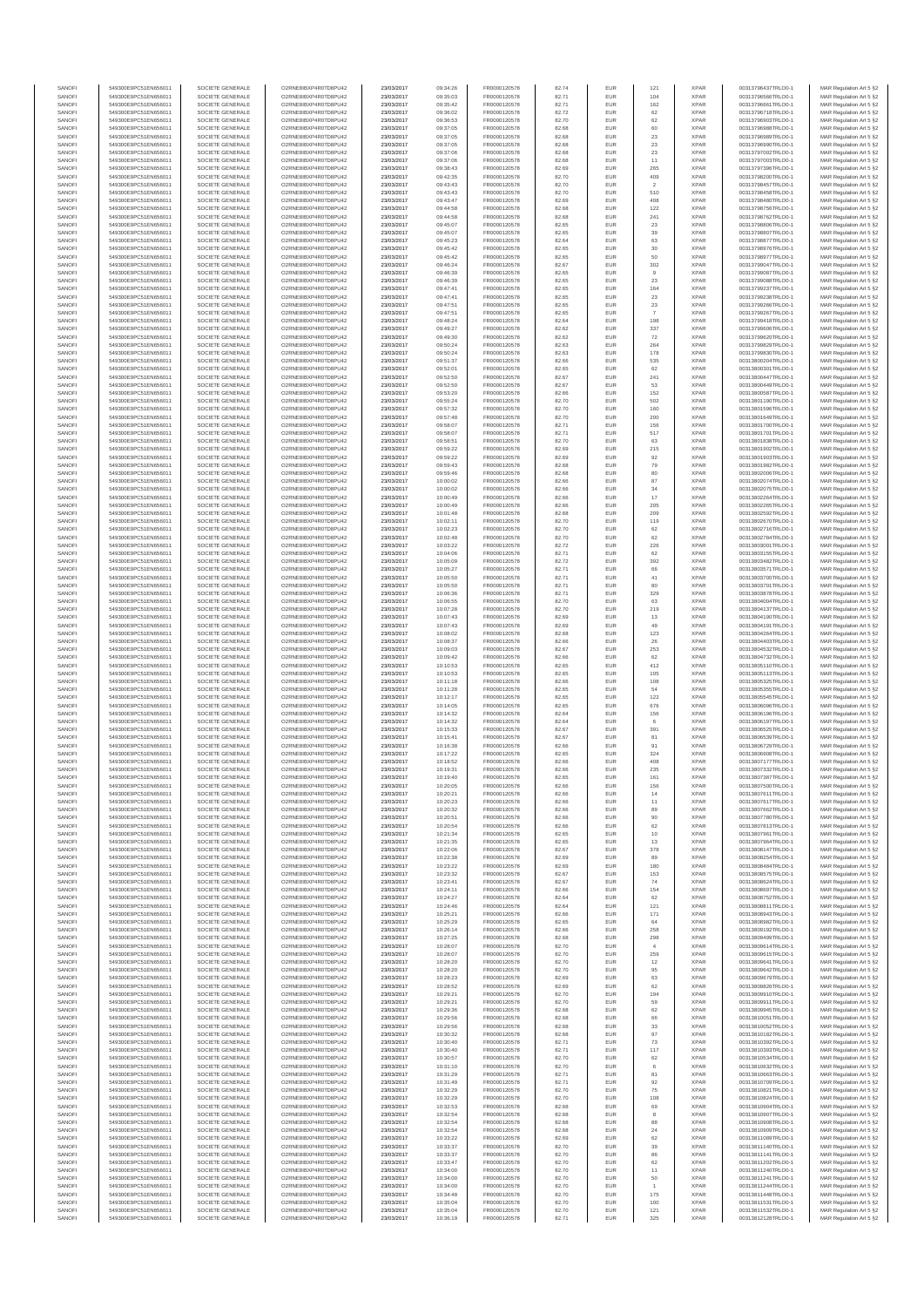| SANOFI           | 549300E9PC51EN656011                         | SOCIETE GENERALE                     | O2RNE8IBXP4R0TD8PU42                          | 23/03/2017               | 09:34:26             | FR0000120578                 | 82.74          | EUR               | 121                      | <b>XPAR</b>                | 00313796437TRLO0-1                       | MAR Regulation Art 5 §2                            |
|------------------|----------------------------------------------|--------------------------------------|-----------------------------------------------|--------------------------|----------------------|------------------------------|----------------|-------------------|--------------------------|----------------------------|------------------------------------------|----------------------------------------------------|
| SANOFI<br>SANOFI | 549300E9PC51EN656011<br>549300E9PC51EN656011 | SOCIETE GENERALE<br>SOCIETE GENERALE | O2RNE8IBXP4R0TD8PLI42<br>O2RNE8IBXP4R0TD8PU42 | 23/03/2017<br>23/03/2017 | 09:35:03<br>09:35:42 | FR0000120578<br>FR0000120578 | 82.71<br>82.71 | <b>EUR</b><br>EUR | 104<br>162               | <b>XPAR</b><br><b>XPAR</b> | 00313796566TRLO0-1<br>00313796661TRLO0-1 | MAR Regulation Art 5 §2<br>MAR Regulation Art 5 §2 |
| SANOFI           | 549300E9PC51EN656011                         | SOCIETE GENERALE                     | O2RNE8IBXP4R0TD8PU42                          | 23/03/2017               | 09:36:02             | FR0000120578                 | 82.72          | EUR               | 62                       | <b>XPAR</b>                | 00313796718TRLO0-1                       | MAR Regulation Art 5 §2                            |
| SANOFI           | 549300E9PC51EN656011                         | SOCIETE GENERALE                     | O2RNE8IBXP4R0TD8PU42                          | 23/03/2017               | 09:36:53             | FR0000120578                 | 82.70          | EUR               | 62                       | <b>XPAR</b>                | 00313796903TRLO0-1                       | MAR Regulation Art 5 §2                            |
| SANOFI<br>SANOFI | 549300E9PC51EN656011<br>549300E9PC51EN656011 | SOCIETE GENERALE<br>SOCIETE GENERALE | O2RNE8IBXP4R0TD8PU42<br>O2RNE8IBXP4R0TD8PU42  | 23/03/2017<br>23/03/2017 | 09:37:05<br>09:37:05 | FR0000120578<br>FR0000120578 | 82.68<br>82.68 | EUR<br>EUR        | 60<br>23                 | <b>XPAR</b><br><b>XPAR</b> | 00313796988TRLO0-1<br>00313796989TRLO0-1 | MAR Regulation Art 5 §2<br>MAR Regulation Art 5 §2 |
| SANOFI           | 549300E9PC51EN656011                         | SOCIETE GENERALE                     | O2RNE8IBXP4R0TD8PU42                          | 23/03/2017               | 09:37:05             | FR0000120578                 | 82.68          | EUR               | $23\,$                   | <b>XPAR</b>                | 00313796990TRLO0-1                       | MAR Regulation Art 5 §2                            |
| SANOFI           | 549300E9PC51EN656011                         | SOCIETE GENERALE                     | O2RNE8IBXP4R0TD8PU42                          | 23/03/2017               | 09:37:06             | FR0000120578                 | 82.68          | EUR               | $23\,$                   | <b>XPAR</b>                | 00313797002TRLO0-1                       | MAR Regulation Art 5 §2                            |
| SANOFI<br>SANOFI | 549300E9PC51EN656011<br>549300E9PC51EN656011 | SOCIETE GENERALE<br>SOCIETE GENERALE | O2RNE8IBXP4R0TD8PU42<br>O2RNE8IBXP4R0TD8PU42  | 23/03/2017<br>23/03/2017 | 09:37:06<br>09:38:43 | FR0000120578<br>FR0000120578 | 82.68<br>82.69 | EUR<br>EUR        | 11<br>265                | <b>XPAR</b><br><b>XPAR</b> | 00313797003TRLO0-1<br>00313797396TRLO0-1 | MAR Regulation Art 5 §2<br>MAR Regulation Art 5 §2 |
| SANOFI           | 549300E9PC51EN656011                         | SOCIETE GENERALE                     | O2RNE8IBXP4R0TD8PU42                          | 23/03/2017               | 09:42:35             | FR0000120578                 | 82.70          | EUR               | 409                      | <b>XPAR</b>                | 00313798200TRLO0-1                       | MAR Regulation Art 5 §2                            |
| SANOFI           | 549300E9PC51EN656011                         | SOCIETE GENERALE                     | O2RNE8IBXP4R0TD8PU42                          | 23/03/2017               | 09:43:43             | FR0000120578                 | 82.70          | EUR               | $\overline{2}$           | <b>XPAR</b>                | 00313798457TRLO0-1                       | MAR Regulation Art 5 §2                            |
| SANOFI<br>SANOFI | 549300E9PC51EN656011                         | SOCIETE GENERALE                     | O2RNE8IBXP4R0TD8PU42                          | 23/03/2017               | 09:43:43             | FR0000120578                 | 82.70          | EUR<br>EUR        | 510<br>408               | <b>XPAR</b><br><b>XPAR</b> | 00313798458TRLO0-1                       | MAR Regulation Art 5 §2                            |
| SANOFI           | 549300E9PC51EN656011<br>549300E9PC51EN656011 | SOCIETE GENERALE<br>SOCIETE GENERALE | O2RNE8IBXP4R0TD8PU42<br>O2RNE8IBXP4R0TD8PU42  | 23/03/2017<br>23/03/2017 | 09:43:47<br>09:44:58 | FR0000120578<br>FR0000120578 | 82.69<br>82.68 | EUR               | 122                      | <b>XPAR</b>                | 00313798480TRLO0-1<br>00313798756TRLO0-1 | MAR Regulation Art 5 §2<br>MAR Regulation Art 5 §2 |
| SANOFI           | 549300E9PC51EN656011                         | SOCIETE GENERALE                     | O2RNE8IBXP4R0TD8PU42                          | 23/03/2017               | 09:44:58             | FR0000120578                 | 82.68          | EUR               | 241                      | <b>XPAR</b>                | 00313798762TRLO0-1                       | MAR Regulation Art 5 §2                            |
| SANOFI           | 549300E9PC51EN656011                         | SOCIETE GENERALE                     | O2RNE8IBXP4R0TD8PU42                          | 23/03/2017               | 09:45:07             | FR0000120578                 | 82.65          | EUR               | $23\,$                   | <b>XPAR</b>                | 00313798806TRLO0-1                       | MAR Regulation Art 5 §2                            |
| SANOFI<br>SANOFI | 549300E9PC51EN656011<br>549300E9PC51EN656011 | SOCIETE GENERALE<br>SOCIETE GENERALE | O2RNE8IBXP4R0TD8PU42<br>O2RNE8IBXP4R0TD8PU42  | 23/03/2017<br>23/03/2017 | 09:45:07<br>09:45:23 | FR0000120578<br>FR0000120578 | 82.65<br>82.64 | EUR<br><b>EUR</b> | 39<br>63                 | <b>XPAR</b><br><b>XPAR</b> | 00313798807TRLO0-1<br>00313798877TRLO0-1 | MAR Regulation Art 5 §2<br>MAR Regulation Art 5 §2 |
| SANOFI           | 549300E9PC51EN656011                         | SOCIETE GENERALE                     | O2RNE8IBXP4R0TD8PU42                          | 23/03/2017               | 09:45:42             | FR0000120578                 | 82.65          | EUR               | 30                       | <b>XPAR</b>                | 00313798976TRLO0-1                       | MAR Regulation Art 5 §2                            |
| SANOFI           | 549300E9PC51EN656011                         | SOCIETE GENERALE                     | O2RNE8IBXP4R0TD8PU42                          | 23/03/2017               | 09:45:42             | FR0000120578                 | 82.65          | EUR               | 50                       | <b>XPAR</b>                | 00313798977TRLO0-1                       | MAR Regulation Art 5 §2                            |
| SANOFI<br>SANOFI | 549300E9PC51EN656011<br>549300E9PC51EN656011 | SOCIETE GENERALE<br>SOCIETE GENERALE | O2RNE8IBXP4R0TD8PU42<br>O2RNE8IBXP4R0TD8PU42  | 23/03/2017<br>23/03/2017 | 09:46:24<br>09:46:39 | FR0000120578<br>FR0000120578 | 82.67<br>82.65 | EUR<br>EUR        | 302<br>9                 | <b>XPAR</b><br><b>XPAR</b> | 00313799047TRLO0-1<br>00313799087TRLO0-1 | MAR Regulation Art 5 §2<br>MAR Regulation Art 5 §2 |
| SANOFI           | 549300E9PC51EN656011                         | SOCIETE GENERALE                     | O2RNE8IBXP4R0TD8PU42                          | 23/03/2017               | 09:46:39             | FR0000120578                 | 82.65          | EUR               | 23                       | <b>XPAR</b>                | 00313799088TRLO0-1                       | MAR Regulation Art 5 §2                            |
| SANOFI           | 549300E9PC51EN656011                         | SOCIETE GENERALE                     | O2RNE8IBXP4R0TD8PU42                          | 23/03/2017               | 09:47:41             | FR0000120578                 | 82.65          | EUR               | 164                      | <b>XPAR</b>                | 00313799237TRLO0-1                       | MAR Regulation Art 5 §2                            |
| SANOFI<br>SANOFI | 549300E9PC51EN656011<br>549300E9PC51EN656011 | SOCIETE GENERALE<br>SOCIETE GENERALE | O2RNE8IBXP4R0TD8PU42<br>O2RNE8IBXP4R0TD8PU42  | 23/03/2017<br>23/03/2017 | 09:47:41<br>09:47:51 | FR0000120578<br>FR0000120578 | 82.65<br>82.65 | EUR<br>EUR        | $23\,$                   | <b>XPAR</b><br><b>XPAR</b> | 00313799238TRLO0-1<br>00313799266TRLO0-1 | MAR Regulation Art 5 §2<br>MAR Regulation Art 5 §2 |
| SANOFI           | 549300E9PC51EN656011                         | SOCIETE GENERALE                     | O2RNE8IBXP4R0TD8PU42                          | 23/03/2017               | 09:47:51             | FR0000120578                 | 82.65          | EUR               | $23\,$<br>$\overline{7}$ | <b>XPAR</b>                | 00313799267TRLO0-1                       | MAR Regulation Art 5 §2                            |
| SANOFI           | 549300E9PC51EN656011                         | SOCIETE GENERALE                     | O2RNE8IBXP4R0TD8PU42                          | 23/03/2017               | 09:48:24             | FR0000120578                 | 82.64          | EUR               | 198                      | <b>XPAR</b>                | 00313799418TRLO0-1                       | MAR Regulation Art 5 §2                            |
| SANOFI           | 549300E9PC51EN656011                         | SOCIETE GENERALE                     | O2RNE8IBXP4R0TD8PU42                          | 23/03/2017               | 09:49:27             | FR0000120578                 | 82.62          | <b>EUR</b>        | 337                      | <b>XPAR</b>                | 00313799606TRLO0-1                       | MAR Regulation Art 5 §2                            |
| SANOFI<br>SANOFI | 549300E9PC51EN656011<br>549300E9PC51EN656011 | SOCIETE GENERALE<br>SOCIETE GENERALE | O2RNE8IBXP4R0TD8PU42<br>O2RNE8IBXP4R0TD8PU42  | 23/03/2017<br>23/03/2017 | 09:49:30<br>09:50:24 | FR0000120578<br>FR0000120578 | 82.62<br>82.63 | EUR<br>EUR        | 72<br>264                | <b>XPAR</b><br><b>XPAR</b> | 00313799620TRLO0-1<br>00313799829TRLO0-1 | MAR Regulation Art 5 §2<br>MAR Regulation Art 5 §2 |
| SANOFI           | 549300E9PC51EN656011                         | SOCIETE GENERALE                     | O2RNE8IBXP4R0TD8PU42                          | 23/03/2017               | 09:50:24             | FR0000120578                 | 82.63          | EUR               | 178                      | <b>XPAR</b>                | 00313799830TRLO0-1                       | MAR Regulation Art 5 §2                            |
| SANOFI           | 549300E9PC51EN656011                         | SOCIETE GENERALE                     | O2RNE8IBXP4R0TD8PU42                          | 23/03/2017               | 09:51:37             | FR0000120578                 | 82.66          | EUR               | 535                      | <b>XPAR</b>                | 00313800204TRLO0-1                       | MAR Regulation Art 5 §2                            |
| SANOFI           | 549300E9PC51EN656011                         | SOCIETE GENERALE                     | O2RNE8IBXP4R0TD8PU42                          | 23/03/2017               | 09:52:01             | FR0000120578                 | 82.65          | EUR               | 62                       | <b>XPAR</b>                | 00313800301TRLO0-1                       | MAR Regulation Art 5 §2                            |
| SANOFI<br>SANOFI | 549300E9PC51EN656011<br>549300E9PC51EN656011 | SOCIETE GENERALE<br>SOCIETE GENERALE | O2RNE8IBXP4R0TD8PU42<br>O2RNE8IBXP4R0TD8PU42  | 23/03/2017<br>23/03/2017 | 09:52:50<br>09:52:50 | FR0000120578<br>FR0000120578 | 82.67<br>82.67 | EUR<br><b>EUR</b> | 241<br>53                | <b>XPAR</b><br><b>XPAR</b> | 00313800447TRLO0-1<br>00313800449TRLO0-1 | MAR Regulation Art 5 §2<br>MAR Regulation Art 5 §2 |
| SANOFI           | 549300E9PC51EN656011                         | SOCIETE GENERALE                     | O2RNE8IBXP4R0TD8PU42                          | 23/03/2017               | 09:53:20             | FR0000120578                 | 82.66          | EUR               | 152                      | <b>XPAR</b>                | 00313800587TRLO0-1                       | MAR Regulation Art 5 §2                            |
| SANOFI           | 549300E9PC51EN656011                         | SOCIETE GENERALE                     | O2RNE8IBXP4R0TD8PU42                          | 23/03/2017               | 09:55:24             | FR0000120578                 | 82.70          | EUR               | 502                      | <b>XPAR</b>                | 00313801190TRLO0-1                       | MAR Regulation Art 5 §2                            |
| SANOFI<br>SANOFI | 549300E9PC51EN656011<br>549300E9PC51EN656011 | SOCIETE GENERALE<br>SOCIETE GENERALE | O2RNE8IBXP4R0TD8PU42<br>O2RNE8IBXP4R0TD8PU42  | 23/03/2017<br>23/03/2017 | 09:57:32<br>09:57:48 | FR0000120578<br>FR0000120578 | 82.70<br>82.70 | EUR<br>EUR        | 160<br>200               | <b>XPAR</b><br><b>XPAR</b> | 00313801596TRLO0-1<br>00313801649TRLO0-1 | MAR Regulation Art 5 §2<br>MAR Regulation Art 5 §2 |
| SANOFI           | 549300E9PC51EN656011                         | SOCIETE GENERALE                     | O2RNE8IBXP4R0TD8PU42                          | 23/03/2017               | 09:58:07             | FR0000120578                 | 82.71          | EUR               | 156                      | <b>XPAR</b>                | 00313801700TRLO0-1                       | MAR Regulation Art 5 §2                            |
| SANOFI           | 549300E9PC51EN656011                         | SOCIETE GENERALE                     | O2RNE8IBXP4R0TD8PU42                          | 23/03/2017               | 09:58:07             | FR0000120578                 | 82.71          | EUR               | 517                      | <b>XPAR</b>                | 00313801701TRLO0-1                       | MAR Regulation Art 5 §2                            |
| SANOFI           | 549300E9PC51EN656011                         | SOCIETE GENERALE                     | O2RNE8IBXP4R0TD8PU42                          | 23/03/2017               | 09:58:51             | FR0000120578                 | 82.70          | EUR               | 63                       | <b>XPAR</b>                | 00313801838TRLO0-1                       | MAR Regulation Art 5 §2                            |
| SANOFI<br>SANOFI | 549300E9PC51EN656011<br>549300E9PC51EN656011 | SOCIETE GENERALE<br>SOCIETE GENERALE | O2RNE8IBXP4R0TD8PU42<br>O2RNE8IBXP4R0TD8PU42  | 23/03/2017<br>23/03/2017 | 09:59:22<br>09:59:22 | FR0000120578<br>FR0000120578 | 82.69<br>82.69 | EUR<br>EUR        | 215<br>92                | <b>XPAR</b><br><b>XPAR</b> | 00313801902TRLO0-1<br>00313801903TRLO0-1 | MAR Regulation Art 5 §2<br>MAR Regulation Art 5 §2 |
| SANOFI           | 549300E9PC51EN656011                         | SOCIETE GENERALE                     | O2RNE8IBXP4R0TD8PU42                          | 23/03/2017               | 09:59:43             | FR0000120578                 | 82.68          | EUR               | 79                       | <b>XPAR</b>                | 00313801982TRLO0-1                       | MAR Regulation Art 5 §2                            |
| SANOFI           | 549300E9PC51EN656011                         | SOCIETE GENERALE                     | O2RNE8IBXP4R0TD8PU42                          | 23/03/2017               | 09:59:46             | FR0000120578                 | 82.68          | EUR               | 80                       | <b>XPAR</b>                | 00313802006TRLO0-1                       | MAR Regulation Art 5 §2                            |
| SANOFI           | 549300E9PC51EN656011                         | SOCIETE GENERALE                     | O2RNE8IBXP4R0TD8PU42                          | 23/03/2017               | 10:00:02             | FR0000120578                 | 82.66          | EUR               | 87                       | <b>XPAR</b>                | 00313802074TRLO0-1                       | MAR Regulation Art 5 §2                            |
| SANOFI<br>SANOFI | 549300E9PC51EN656011<br>549300E9PC51EN656011 | SOCIETE GENERALE<br>SOCIETE GENERALE | O2RNE8IBXP4R0TD8PU42<br>O2RNE8IBXP4R0TD8PU42  | 23/03/2017<br>23/03/2017 | 10:00:02<br>10:00:49 | FR0000120578<br>FR0000120578 | 82.66<br>82.66 | EUR<br>EUR        | 34<br>17                 | <b>XPAR</b><br><b>XPAR</b> | 00313802075TRLO0-1<br>00313802264TRLO0-1 | MAR Regulation Art 5 §2                            |
| SANOFI           | 549300E9PC51EN656011                         | SOCIETE GENERALE                     | O2RNE8IBXP4R0TD8PU42                          | 23/03/2017               | 10:00:49             | FR0000120578                 | 82.66          | EUR               | 205                      | <b>XPAR</b>                | 00313802265TRLO0-1                       | MAR Regulation Art 5 §2<br>MAR Regulation Art 5 §2 |
| SANOFI           | 549300E9PC51EN656011                         | SOCIETE GENERALE                     | O2RNE8IBXP4R0TD8PU42                          | 23/03/2017               | 10:01:48             | FR0000120578                 | 82.68          | EUR               | 209                      | <b>XPAR</b>                | 00313802592TRLO0-1                       | MAR Regulation Art 5 §2                            |
| SANOFI           | 549300E9PC51EN656011                         | SOCIETE GENERALE                     | O2RNE8IBXP4R0TD8PU42                          | 23/03/2017               | 10:02:11             | FR0000120578                 | 82.70          | EUR               | 119                      | <b>XPAR</b>                | 00313802670TRLO0-1                       | MAR Regulation Art 5 §2                            |
| SANOFI<br>SANOFI | 549300E9PC51EN656011<br>549300E9PC51EN656011 | SOCIETE GENERALE<br>SOCIETE GENERALE | O2RNE8IBXP4R0TD8PU42<br>O2RNE8IBXP4R0TD8PU42  | 23/03/2017<br>23/03/2017 | 10:02:23<br>10:02:48 | FR0000120578<br>FR0000120578 | 82.70<br>82.70 | EUR<br>EUR        | 62<br>62                 | <b>XPAR</b><br><b>XPAR</b> | 00313802716TRLO0-1<br>00313802784TRLO0-1 | MAR Regulation Art 5 §2<br>MAR Regulation Art 5 §2 |
| SANOFI           | 549300E9PC51EN656011                         | SOCIETE GENERALE                     | O2RNE8IBXP4R0TD8PU42                          | 23/03/2017               | 10:03:22             | FR0000120578                 | 82.72          | EUR               | 226                      | <b>XPAR</b>                | 00313803001TRLO0-1                       | MAR Regulation Art 5 §2                            |
| SANOFI           | 549300E9PC51EN656011                         | SOCIETE GENERALE                     | O2RNE8IBXP4R0TD8PU42                          | 23/03/2017               | 10:04:06             | FR0000120578                 | 82.71          | EUR               | 62                       | <b>XPAR</b>                | 00313803155TRLO0-1                       | MAR Regulation Art 5 §2                            |
| SANOFI           | 549300E9PC51EN656011                         | SOCIETE GENERALE                     | O2RNE8IBXP4R0TD8PU42                          | 23/03/2017               | 10:05:09             | FR0000120578                 | 82.72          | EUR               | 392                      | <b>XPAR</b>                | 00313803482TRLO0-1                       | MAR Regulation Art 5 §2                            |
| SANOFI<br>SANOFI | 549300E9PC51EN656011<br>549300E9PC51EN656011 | SOCIETE GENERALE<br>SOCIETE GENERALE | O2RNE8IBXP4R0TD8PU42<br>O2RNE8IBXP4R0TD8PU42  | 23/03/2017<br>23/03/2017 | 10:05:27<br>10:05:50 | FR0000120578<br>FR0000120578 | 82.71<br>82.71 | EUR<br>EUR        | 66<br>41                 | <b>XPAR</b><br><b>XPAR</b> | 00313803571TRLO0-1<br>00313803700TRLO0-1 | MAR Regulation Art 5 §2<br>MAR Regulation Art 5 §2 |
| SANOFI           | 549300E9PC51EN656011                         | SOCIETE GENERALE                     | O2RNE8IBXP4R0TD8PU42                          | 23/03/2017               | 10:05:50             | FR0000120578                 | 82.71          | EUR               | 80                       | <b>XPAR</b>                | 00313803701TRLO0-1                       | MAR Regulation Art 5 §2                            |
| SANOFI           | 549300E9PC51EN656011                         | SOCIETE GENERALE                     | O2RNE8IBXP4R0TD8PU42                          | 23/03/2017               | 10:06:36             | FR0000120578                 | 82.71          | EUR               | 329                      | <b>XPAR</b>                | 00313803878TRLO0-1                       | MAR Regulation Art 5 §2                            |
| SANOFI<br>SANOFI | 549300E9PC51EN656011<br>549300E9PC51EN656011 | SOCIETE GENERALE<br>SOCIETE GENERALE | O2RNE8IBXP4R0TD8PU42<br>O2RNE8IBXP4R0TD8PU42  | 23/03/2017<br>23/03/2017 | 10:06:55<br>10:07:28 | FR0000120578<br>FR0000120578 | 82.70<br>82.70 | EUR<br>EUR        | 63<br>219                | <b>XPAR</b><br><b>XPAR</b> | 00313804004TRLO0-1<br>00313804137TRLO0-1 | MAR Regulation Art 5 §2<br>MAR Regulation Art 5 §2 |
| SANOFI           | 549300E9PC51EN656011                         | SOCIETE GENERALE                     | O2RNE8IBXP4R0TD8PU42                          | 23/03/2017               | 10:07:43             | FR0000120578                 | 82.69          | EUR               | 13                       | <b>XPAR</b>                | 00313804190TRLO0-1                       | MAR Regulation Art 5 §2                            |
| SANOFI           | 549300E9PC51EN656011                         | SOCIETE GENERALE                     | O2RNE8IBXP4R0TD8PU42                          | 23/03/2017               | 10:07:43             | FR0000120578                 | 82.69          | EUR               | 49                       | <b>XPAR</b>                | 00313804191TRLO0-1                       | MAR Regulation Art 5 §2                            |
| SANOFI           | 549300E9PC51EN656011                         | SOCIETE GENERALE                     | O2RNE8IBXP4R0TD8PU42                          | 23/03/2017               | 10:08:02             | FR0000120578                 | 82.68          | EUR               | 123                      | <b>XPAR</b>                | 00313804264TRLO0-1                       | MAR Regulation Art 5 §2                            |
| SANOFI<br>SANOFI | 549300E9PC51EN656011<br>549300E9PC51EN656011 | SOCIETE GENERALE<br>SOCIETE GENERALE | O2RNE8IBXP4R0TD8PU42<br>O2RNE8IBXP4R0TD8PU42  | 23/03/2017<br>23/03/2017 | 10:08:37<br>10:09:03 | FR0000120578<br>FR0000120578 | 82.66<br>82.67 | <b>EUR</b><br>EUR | 26<br>253                | <b>XPAR</b><br><b>XPAR</b> | 00313804403TRLO0-1<br>00313804532TRLO0-1 | MAR Regulation Art 5 §2<br>MAR Regulation Art 5 §2 |
| SANOFI           | 549300E9PC51EN656011                         | SOCIETE GENERALE                     | O2RNE8IBXP4R0TD8PU42                          | 23/03/2017               | 10:09:42             | FR0000120578                 | 82.66          | EUR               | 62                       | <b>XPAR</b>                | 00313804732TRLO0-1                       | MAR Regulation Art 5 §2                            |
| SANOFI           | 549300E9PC51EN656011                         | SOCIETE GENERALE                     | O2RNE8IBXP4R0TD8PU42                          | 23/03/2017               | 10:10:53             | FR0000120578                 | 82.65          | EUR               | 412                      | <b>XPAR</b>                | 00313805110TRLO0-1                       | MAR Regulation Art 5 §2                            |
| SANOFI<br>SANOFI | 549300E9PC51EN656011<br>549300E9PC51EN656011 | SOCIETE GENERALE<br>SOCIETE GENERALE | O2RNE8IBXP4R0TD8PU42<br>O2RNE8IBXP4R0TD8PU42  | 23/03/2017               | 10:10:53             | FR0000120578                 | 82.65<br>82.66 | EUR<br>EUR        | 105<br>108               | <b>XPAR</b><br><b>XPAR</b> | 00313805113TRLO0-1                       | MAR Regulation Art 5 §2                            |
| SANOFI           | 549300E9PC51EN656011                         | SOCIETE GENERALE                     | O2RNE8IBXP4R0TD8PU42                          | 23/03/2017<br>23/03/2017 | 10:11:18<br>10:11:28 | FR0000120578<br>FR0000120578 | 82.65          | EUR               | 54                       | <b>XPAR</b>                | 00313805325TRLO0-1<br>00313805355TRLO0-1 | MAR Regulation Art 5 §2<br>MAR Regulation Art 5 §2 |
| SANOFI           | 549300E9PC51EN656011                         | SOCIETE GENERALE                     | O2RNE8IBXP4R0TD8PU42                          | 23/03/2017               | 10:12:17             | FR0000120578                 | 82.65          | EUR               | $122\,$                  | <b>XPAR</b>                | 00313805545TRLO0-1                       | MAR Regulation Art 5 §2                            |
| SANOFI           | 549300E9PC51EN656011                         | SOCIETE GENERALE                     | O2RNE8IBXP4R0TD8PU42                          | 23/03/2017               | 10:14:05             | FR0000120578                 | 82.65          | EUR               | 676                      | <b>XPAR</b>                | 00313806096TRLO0-1                       | MAR Regulation Art 5 §2                            |
| SANOFI<br>SANOFI | 549300E9PC51EN656011<br>549300E9PC51EN656011 | SOCIETE GENERALE<br>SOCIETE GENERALE | O2RNE8IBXP4R0TD8PU42<br>O2RNE8IBXP4R0TD8PU42  | 23/03/2017<br>23/03/2017 | 10:14:32<br>10:14:32 | FR0000120578<br>FR0000120578 | 82.64<br>82.64 | EUR<br>EUR        | 156<br>$_{\rm 6}$        | <b>XPAR</b><br><b>XPAR</b> | 00313806196TRLO0-1<br>00313806197TRLO0-1 | MAR Regulation Art 5 §2<br>MAR Regulation Art 5 §2 |
| SANOFI           | 549300E9PC51EN656011                         | SOCIETE GENERALE                     | O2RNE8IBXP4R0TD8PU42                          | 23/03/2017               | 10:15:33             | FR0000120578                 | 82.67          | <b>EUR</b>        | 391                      | <b>XPAR</b>                | 00313806525TRLO0-1                       | MAR Regulation Art 5 §2                            |
| SANOFI           | 549300E9PC51EN656011                         | SOCIETE GENERALE                     | O2RNE8IBXP4R0TD8PU42                          | 23/03/2017               | 10:15:41             | FR0000120578                 | 82.67          | EUR               | 81                       | <b>XPAR</b>                | 00313806539TRLO0-1                       | MAR Regulation Art 5 §2                            |
| SANOFI<br>SANOFI | 549300E9PC51EN656011<br>549300E9PC51EN656011 | SOCIETE GENERALE<br>SOCIETE GENERALE | O2RNE8IBXP4R0TD8PU42<br>O2RNE8IBXP4R0TD8PU42  | 23/03/2017<br>23/03/2017 | 10:16:38<br>10:17:22 | FR0000120578<br>FR0000120578 | 82.66<br>82.65 | EUR<br>EUR        | 91<br>324                | <b>XPAR</b><br><b>XPAR</b> | 00313806729TRLO0-1<br>00313806908TRLO0-1 | MAR Regulation Art 5 §2                            |
| SANOFI           | 549300E9PC51EN656011                         | SOCIETE GENERALE                     | O2RNE8IBXP4R0TD8PU42                          | 23/03/2017               | 10:18:52             | FR0000120578                 | 82.66          | EUR               | 408                      | <b>XPAR</b>                | 00313807177TRLO0-1                       | MAR Regulation Art 5 §2<br>MAR Regulation Art 5 §2 |
| SANOFI           | 549300E9PC51EN656011                         | SOCIETE GENERALE                     | O2RNE8IBXP4R0TD8PU42                          | 23/03/2017               | 10:19:31             | FR0000120578                 | 82.66          | EUR               | 235                      | <b>XPAR</b>                | 00313807332TRLO0-1                       | MAR Regulation Art 5 §2                            |
| SANOFI           | 549300E9PC51EN656011                         | SOCIETE GENERALE                     | O2RNE8IBXP4R0TD8PU42                          | 23/03/2017               | 10:19:40             | FR0000120578                 | 82.65          | EUR               | 161                      | <b>XPAR</b>                | 00313807387TRLO0-1                       | MAR Regulation Art 5 §2                            |
| SANOFI<br>SANOFI | 549300E9PC51EN656011<br>549300E9PC51EN656011 | SOCIETE GENERALE<br>SOCIETE GENERALE | O2RNE8IBXP4R0TD8PU42<br>O2RNE8IBXP4R0TD8PU42  | 23/03/2017<br>23/03/2017 | 10:20:05<br>10:20:21 | FR0000120578<br>FR0000120578 | 82.66<br>82.66 | EUR<br>EUR        | 156<br>14                | <b>XPAR</b><br><b>XPAR</b> | 00313807500TRLO0-1<br>00313807611TRLO0-1 | MAR Regulation Art 5 §2<br>MAR Regulation Art 5 §2 |
| SANOFI           | 549300E9PC51EN656011                         | SOCIETE GENERALE                     | O2RNE8IBXP4R0TD8PU42                          | 23/03/2017               | 10:20:23             | FR0000120578                 | 82.66          | <b>EUR</b>        | 11                       | <b>XPAR</b>                | 00313807617TRLO0-1                       | MAR Regulation Art 5 §2                            |
| SANOFI           | 549300E9PC51EN656011                         | SOCIETE GENERALE                     | O2RNE8IBXP4R0TD8PU42                          | 23/03/2017               | 10:20:32             | FR0000120578                 | 82.66          | EUR               | 89                       | <b>XPAR</b>                | 00313807662TRLO0-1                       | MAR Regulation Art 5 §2                            |
| SANOFI<br>SANOFI | 549300E9PC51EN656011                         | SOCIETE GENERALE                     | O2RNE8IBXP4R0TD8PU42<br>O2RNE8IBXP4R0TD8PU42  | 23/03/2017               | 10:20:51             | FR0000120578                 | 82.66          | EUR               | 90                       | <b>XPAR</b>                | 00313807780TRLO0-1                       | MAR Regulation Art 5 §2                            |
| SANOFI           | 549300E9PC51EN656011<br>549300E9PC51EN656011 | SOCIETE GENERALE<br>SOCIETE GENERALE | O2RNE8IBXP4R0TD8PU42                          | 23/03/2017<br>23/03/2017 | 10:20:54<br>10:21:34 | FR0000120578<br>FR0000120578 | 82.66<br>82.65 | EUR<br>EUR        | 62<br>$10$               | <b>XPAR</b><br><b>XPAR</b> | 00313807813TRLO0-1<br>00313807961TRLO0-1 | MAR Regulation Art 5 §2<br>MAR Regulation Art 5 §2 |
| SANOFI           | 549300E9PC51EN656011                         | SOCIETE GENERALE                     | O2RNE8IBXP4R0TD8PU42                          | 23/03/2017               | 10:21:35             | FR0000120578                 | 82.65          | EUR               | 13                       | <b>XPAR</b>                | 00313807964TRLO0-1                       | MAR Regulation Art 5 §2                            |
| SANOFI           | 549300E9PC51EN656011                         | SOCIETE GENERALE                     | O2RNE8IBXP4R0TD8PU42                          | 23/03/2017               | 10:22:06             | FR0000120578                 | 82.67          | EUR               | 378                      | <b>XPAR</b>                | 00313808147TRLO0-1                       | MAR Regulation Art 5 §2                            |
| SANOFI<br>SANOFI | 549300E9PC51EN656011<br>549300E9PC51EN656011 | SOCIETE GENERALE<br>SOCIETE GENERALE | O2RNE8IBXP4R0TD8PU42<br>O2RNE8IBXP4R0TD8PU42  | 23/03/2017<br>23/03/2017 | 10:22:38<br>10:23:22 | FR0000120578<br>FR0000120578 | 82.69<br>82.69 | <b>EUR</b><br>EUR | 89<br>180                | <b>XPAR</b><br><b>XPAR</b> | 00313808254TRLO0-1<br>00313808484TRLO0-1 | MAR Regulation Art 5 §2<br>MAR Regulation Art 5 §2 |
| SANOFI           | 549300E9PC51EN656011                         | SOCIETE GENERALE                     | O2RNE8IBXP4R0TD8PU42                          | 23/03/2017               | 10:23:32             | FR0000120578                 | 82.67          | <b>EUR</b>        | 153                      | <b>XPAR</b>                | 00313808575TRLO0-1                       | MAR Regulation Art 5 §2                            |
| SANOFI           | 549300E9PC51EN656011                         | SOCIETE GENERALE                     | O2RNE8IBXP4R0TD8PU42<br>O2RNESIBXP4R0TD8PLI42 | 23/03/2017               | 10:23:41             | FR0000120578                 | 82.67          | EUR               | 74                       | <b>XPAR</b>                | 00313808624TRLO0-1                       | MAR Regulation Art 5 §2                            |
| SANOFI<br>SANOFI | 549300E9PC51EN656011<br>549300E9PC51EN656011 | SOCIETE GENERALE<br>SOCIETE GENERALE | O2RNE8IBXP4R0TD8PU42                          | 23/03/2017<br>23/03/2017 | 10:24:11<br>10:24:27 | FR0000120578<br>FR0000120578 | 82.66<br>82.64 | EUR<br>EUR        | 154<br>62                | XPAR<br><b>XPAR</b>        | 00313808697TRLO0-1<br>00313808752TRLO0-1 | MAR Regulation Art 5 §2<br>MAR Regulation Art 5 §2 |
| SANOFI           | 549300E9PC51EN656011                         | SOCIETE GENERALE                     | O2RNE8IBXP4R0TD8PU42                          | 23/03/2017               | 10:24:46             | FR0000120578                 | 82.64          | EUR               | 121                      | <b>XPAR</b>                | 00313808811TRLO0-1                       | MAR Regulation Art 5 §2                            |
| SANOFI           | 549300E9PC51EN656011                         | SOCIETE GENERALE                     | O2RNE8IBXP4R0TD8PU42                          | 23/03/2017               | 10:25:21             | FR0000120578                 | 82.66          | <b>EUR</b>        | 171                      | <b>XPAR</b>                | 00313808943TRLO0-1                       | MAR Regulation Art 5 §2                            |
| SANOFI<br>SANOFI | 549300E9PC51EN656011<br>549300E9PC51EN656011 | SOCIETE GENERALE<br>SOCIETE GENERALE | O2RNE8IBXP4R0TD8PU42<br>O2RNE8IBXP4R0TD8PU42  | 23/03/2017<br>23/03/2017 | 10:25:29<br>10:26:14 | FR0000120578<br>FR0000120578 | 82.65<br>82.66 | EUR<br><b>EUR</b> | 64<br>258                | <b>XPAR</b><br><b>XPAR</b> | 00313808982TRLO0-1<br>00313809192TRLO0-1 | MAR Regulation Art 5 §2<br>MAR Regulation Art 5 §2 |
| SANOFI           | 549300E9PC51EN656011                         | SOCIETE GENERALE                     | O2RNE8IBXP4R0TD8PU42                          | 23/03/2017               | 10:27:25             | FR0000120578                 | 82.68          | EUR               | 298                      | <b>XPAR</b>                | 00313809499TRLO0-1                       | MAR Regulation Art 5 §2                            |
| SANOFI           | 549300E9PC51EN656011                         | SOCIETE GENERALE                     | O2RNE8IBXP4R0TD8PU42                          | 23/03/2017               | 10:28:07             | FR0000120578                 | 82.70          | EUR               | $\overline{4}$           | <b>XPAR</b>                | 00313809614TRLO0-1                       | MAR Regulation Art 5 §2                            |
| SANOFI           | 549300E9PC51EN656011                         | SOCIETE GENERALE                     | O2RNE8IBXP4R0TD8PU42                          | 23/03/2017               | 10:28:07             | FR0000120578                 | 82.70          | EUR<br>EUR        | 259                      | <b>XPAR</b>                | 00313809615TRLO0-1                       | MAR Regulation Art 5 §2                            |
| SANOFI<br>SANOFI | 549300E9PC51EN656011<br>549300E9PC51EN656011 | SOCIETE GENERALE<br>SOCIETE GENERALE | O2RNE8IBXP4R0TD8PU42<br>O2RNE8IBXP4R0TD8PU42  | 23/03/2017<br>23/03/2017 | 10:28:20<br>10:28:20 | FR0000120578<br>FR0000120578 | 82.70<br>82.70 | EUR               | 12<br>95                 | <b>XPAR</b><br><b>XPAR</b> | 00313809641TRLO0-1<br>00313809642TRLO0-1 | MAR Regulation Art 5 §2<br>MAR Regulation Art 5 §2 |
| SANOFI           | 549300E9PC51EN656011                         | SOCIETE GENERALE                     | O2RNE8IBXP4R0TD8PU42                          | 23/03/2017               | 10:28:23             | FR0000120578                 | 82.69          | EUR               | 63                       | <b>XPAR</b>                | 00313809679TRLO0-1                       | MAR Regulation Art 5 §2                            |
| SANOFI           | 549300E9PC51EN656011                         | SOCIETE GENERALE                     | O2RNE8IBXP4R0TD8PU42                          | 23/03/2017               | 10:28:52             | FR0000120578                 | 82.69          | <b>EUR</b>        | 62                       | <b>XPAR</b>                | 00313809826TRLO0-1                       | MAR Regulation Art 5 §2                            |
| SANOFI<br>SANOFI | 549300E9PC51EN656011<br>549300E9PC51EN656011 | SOCIETE GENERALE<br>SOCIETE GENERALE | O2RNE8IBXP4R0TD8PU42<br>O2RNE8IBXP4R0TD8PU42  | 23/03/2017<br>23/03/2017 | 10:29:21<br>10:29:21 | FR0000120578<br>FR0000120578 | 82.70<br>82.70 | EUR<br><b>EUR</b> | 194<br>59                | <b>XPAR</b><br><b>XPAR</b> | 00313809910TRLO0-1<br>00313809911TRLO0-1 | MAR Regulation Art 5 §2<br>MAR Regulation Art 5 §2 |
| SANOFI           | 549300E9PC51EN656011                         | SOCIETE GENERALE                     | O2RNE8IBXP4R0TD8PU42                          | 23/03/2017               | 10:29:36             | FR0000120578                 | 82.68          | EUR               | 62                       | <b>XPAR</b>                | 00313809945TRLO0-1                       | MAR Regulation Art 5 §2                            |
| SANOFI           | 549300E9PC51EN656011                         | SOCIETE GENERALE                     | O2RNE8IBXP4R0TD8PU42                          | 23/03/2017               | 10:29:56             | FR0000120578                 | 82.68          | EUR               | 66                       | <b>XPAR</b>                | 00313810051TRLO0-1                       | MAR Regulation Art 5 §2                            |
| SANOFI           | 549300E9PC51EN656011                         | SOCIETE GENERALE                     | O2RNE8IBXP4R0TD8PU42                          | 23/03/2017               | 10:29:56             | FR0000120578                 | 82.68          | EUR               | 33                       | <b>XPAR</b>                | 00313810052TRLO0-1                       | MAR Regulation Art 5 §2                            |
| SANOFI<br>SANOFI | 549300E9PC51EN656011<br>549300E9PC51EN656011 | SOCIETE GENERALE<br>SOCIETE GENERALE | O2RNE8IBXP4R0TD8PU42<br>O2RNE8IBXP4R0TD8PU42  | 23/03/2017<br>23/03/2017 | 10:30:32<br>10:30:40 | FR0000120578<br>FR0000120578 | 82.68<br>82.71 | EUR<br>EUR        | 97<br>73                 | XPAR<br><b>XPAR</b>        | 00313810182TRLO0-1<br>00313810392TRLO0-1 | MAR Regulation Art 5 §2<br>MAR Regulation Art 5 §2 |
| SANOFI           | 549300E9PC51EN656011                         | SOCIETE GENERALE                     | O2RNE8IBXP4R0TD8PU42                          | 23/03/2017               | 10:30:40             | FR0000120578                 | 82.71          | EUR               | 117                      | <b>XPAR</b>                | 00313810393TRLO0-1                       | MAR Regulation Art 5 §2                            |
| SANOFI           | 549300E9PC51EN656011                         | SOCIETE GENERALE                     | O2RNE8IBXP4R0TD8PU42                          | 23/03/2017               | 10:30:57             | FR0000120578                 | 82.70          | <b>EUR</b>        | 62                       | <b>XPAR</b>                | 00313810534TRLO0-1                       | MAR Regulation Art 5 §2                            |
| SANOFI<br>SANOFI | 549300E9PC51EN656011<br>549300E9PC51EN656011 | SOCIETE GENERALE<br>SOCIETE GENERALE | O2RNE8IBXP4R0TD8PU42<br>O2RNE8IBXP4R0TD8PU42  | 23/03/2017<br>23/03/2017 | 10:31:10<br>10:31:29 | FR0000120578<br>FR0000120578 | 82.70<br>82.71 | EUR<br><b>EUR</b> | $_{\rm 6}$<br>81         | <b>XPAR</b><br><b>XPAR</b> | 00313810632TRLO0-1<br>00313810663TRLO0-1 | MAR Regulation Art 5 §2                            |
| SANOFI           | 549300E9PC51EN656011                         | SOCIETE GENERALE                     | O2RNE8IBXP4R0TD8PU42                          | 23/03/2017               | 10:31:49             | FR0000120578                 | 82.71          | EUR               | 92                       | <b>XPAR</b>                | 00313810709TRLO0-1                       | MAR Regulation Art 5 §2<br>MAR Regulation Art 5 §2 |
| SANOFI           | 549300E9PC51EN656011                         | SOCIETE GENERALE                     | O2RNE8IBXP4R0TD8PU42                          | 23/03/2017               | 10:32:29             | FR0000120578                 | 82.70          | EUR               | 75                       | <b>XPAR</b>                | 00313810821TRLO0-1                       | MAR Regulation Art 5 §2                            |
| SANOFI           | 549300E9PC51EN656011                         | SOCIETE GENERALE                     | O2RNE8IBXP4R0TD8PU42                          | 23/03/2017               | 10:32:29             | FR0000120578                 | 82.70          | EUR               | 108                      | <b>XPAR</b>                | 00313810824TRLO0-1                       | MAR Regulation Art 5 §2                            |
| SANOFI<br>SANOFI | 549300E9PC51EN656011<br>549300E9PC51EN656011 | SOCIETE GENERALE<br>SOCIETE GENERALE | O2RNE8IBXP4R0TD8PU42<br>O2RNE8IBXP4R0TD8PU42  | 23/03/2017<br>23/03/2017 | 10:32:53<br>10:32:54 | FR0000120578<br>FR0000120578 | 82.68<br>82.68 | EUR<br>EUR        | 69<br>8                  | <b>XPAR</b><br><b>XPAR</b> | 00313810904TRLO0-1<br>00313810907TRLO0-1 | MAR Regulation Art 5 §2<br>MAR Regulation Art 5 §2 |
| SANOFI           | 549300E9PC51EN656011                         | SOCIETE GENERALE                     | O2RNE8IBXP4R0TD8PU42                          | 23/03/2017               | 10:32:54             | FR0000120578                 | 82.68          | EUR               | 88                       | <b>XPAR</b>                | 00313810908TRLO0-1                       | MAR Regulation Art 5 §2                            |
| SANOFI           | 549300E9PC51EN656011                         | SOCIETE GENERALE                     | O2RNE8IBXP4R0TD8PU42                          | 23/03/2017               | 10:32:54             | FR0000120578                 | 82.68          | <b>EUR</b>        | 24                       | <b>XPAR</b>                | 00313810909TRLO0-1                       | MAR Regulation Art 5 §2                            |
| SANOFI<br>SANOFI | 549300E9PC51EN656011<br>549300E9PC51EN656011 | SOCIETE GENERALE<br>SOCIETE GENERALE | O2RNE8IBXP4R0TD8PU42<br>O2RNE8IBXP4R0TD8PU42  | 23/03/2017<br>23/03/2017 | 10:33:22<br>10:33:37 | FR0000120578<br>FR0000120578 | 82.69<br>82.70 | EUR<br><b>EUR</b> | 62<br>39                 | <b>XPAR</b><br><b>XPAR</b> | 00313811089TRLO0-1<br>00313811140TRLO0-1 | MAR Regulation Art 5 §2<br>MAR Regulation Art 5 §2 |
| SANOFI           | 549300E9PC51EN656011                         | SOCIETE GENERALE                     | O2RNE8IBXP4R0TD8PU42                          | 23/03/2017               | 10:33:37             | FR0000120578                 | 82.70          | EUR               | 86                       | <b>XPAR</b>                | 00313811141TRLO0-1                       | MAR Regulation Art 5 §2                            |
| SANOFI           | 549300E9PC51EN656011                         | SOCIETE GENERALE                     | O2RNE8IBXP4R0TD8PU42                          | 23/03/2017               | 10:33:47             | FR0000120578                 | 82.70          | EUR               | 62                       | <b>XPAR</b>                | 00313811202TRLO0-1                       | MAR Regulation Art 5 §2                            |
| SANOFI           | 549300E9PC51EN656011                         | SOCIETE GENERALE                     | O2RNE8IBXP4R0TD8PU42                          | 23/03/2017               | 10:34:00             | FR0000120578                 | 82.70          | EUR               | 11                       | <b>XPAR</b>                | 00313811240TRLO0-1                       | MAR Regulation Art 5 §2                            |
| SANOFI<br>SANOFI | 549300E9PC51EN656011<br>549300E9PC51EN656011 | SOCIETE GENERALE<br>SOCIETE GENERALE | O2RNE8IBXP4R0TD8PU42<br>O2RNE8IBXP4R0TD8PU42  | 23/03/2017<br>23/03/2017 | 10:34:00<br>10:34:00 | FR0000120578<br>FR0000120578 | 82.70<br>82.70 | EUR<br><b>EUR</b> | $50\,$<br>$\overline{1}$ | <b>XPAR</b><br><b>XPAR</b> | 00313811241TRLO0-1<br>00313811244TRLO0-1 | MAR Regulation Art 5 §2<br>MAR Regulation Art 5 §2 |
| SANOFI           | 549300E9PC51EN656011                         | SOCIETE GENERALE                     | O2RNE8IBXP4R0TD8PU42                          | 23/03/2017               | 10:34:48             | FR0000120578                 | 82.70          | EUR               | 175                      | <b>XPAR</b>                | 00313811448TRLO0-1                       | MAR Regulation Art 5 §2                            |
| SANOFI           | 549300E9PC51EN656011                         | SOCIETE GENERALE                     | O2RNE8IBXP4R0TD8PU42                          | 23/03/2017               | 10:35:04             | FR0000120578                 | 82.70          | <b>EUR</b>        | 100                      | <b>XPAR</b>                | 00313811531TRLO0-1                       | MAR Regulation Art 5 §2                            |
| SANOFI<br>SANOFI | 549300E9PC51EN656011<br>549300E9PC51EN656011 | SOCIETE GENERALE<br>SOCIETE GENERALE | O2RNE8IBXP4R0TD8PU42<br>O2RNE8IBXP4R0TD8PU42  | 23/03/2017<br>23/03/2017 | 10:35:04<br>10:36:19 | FR0000120578<br>FR0000120578 | 82.70<br>82.71 | EUR<br>EUR        | 121<br>325               | <b>XPAR</b><br><b>XPAR</b> | 00313811532TRLO0-1<br>00313812128TRLO0-1 | MAR Regulation Art 5 §2<br>MAR Regulation Art 5 §2 |
|                  |                                              |                                      |                                               |                          |                      |                              |                |                   |                          |                            |                                          |                                                    |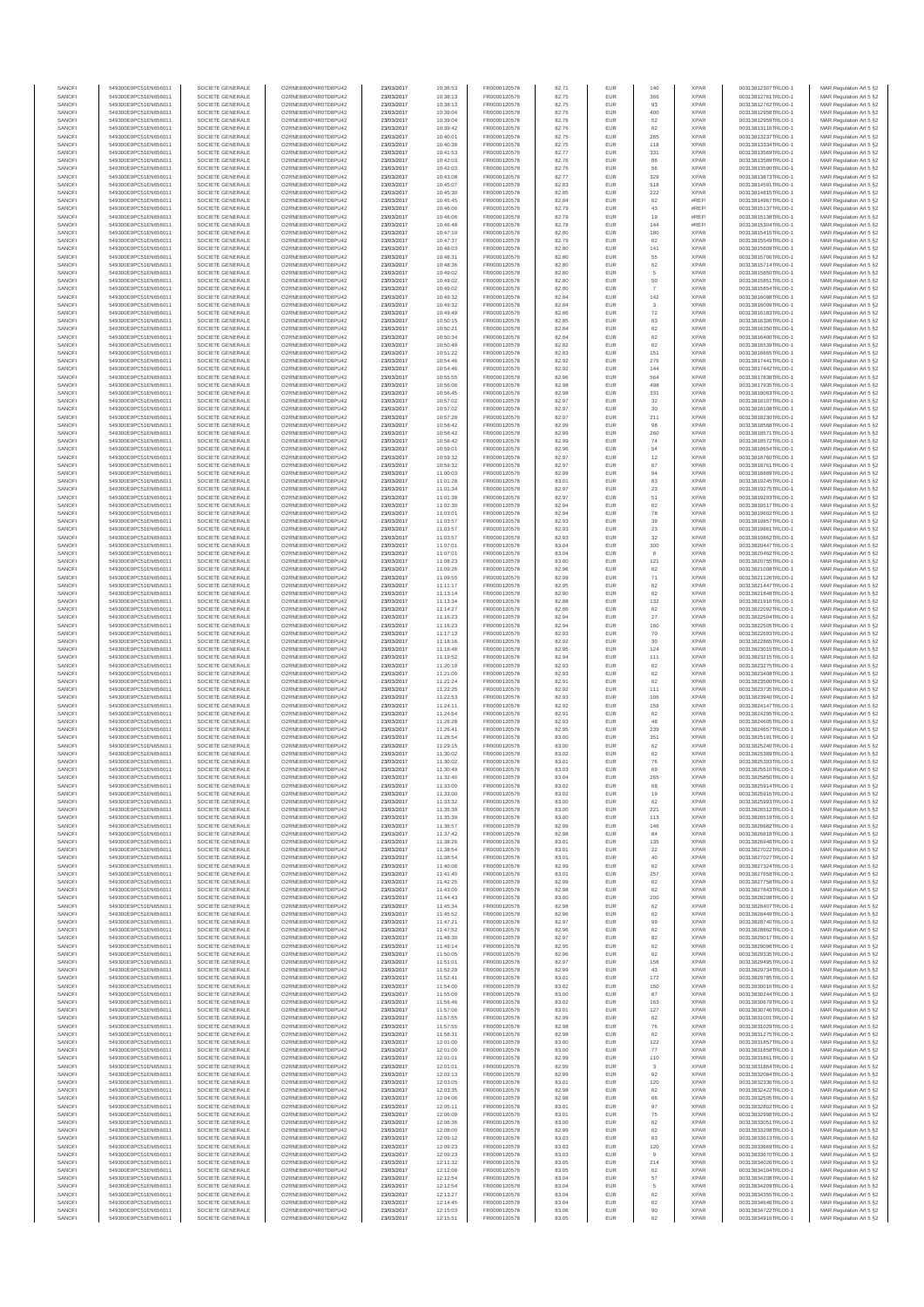| SANOFI           | 549300E9PC51EN656011                         | SOCIETE GENERALE                     | O2RNE8IBXP4R0TD8PU42                          | 23/03/2017               | 10:36:53             | FR0000120578                 | 82.71          | EUR               | 140              | <b>XPAR</b>                | 00313812307TRLO0-1                       | MAR Regulation Art 5 §2                            |
|------------------|----------------------------------------------|--------------------------------------|-----------------------------------------------|--------------------------|----------------------|------------------------------|----------------|-------------------|------------------|----------------------------|------------------------------------------|----------------------------------------------------|
| SANOFI<br>SANOFI | 549300E9PC51EN656011<br>549300E9PC51EN656011 | SOCIETE GENERALE<br>SOCIETE GENERALE | O2RNE8IBXP4R0TD8PLI42<br>O2RNE8IBXP4R0TD8PU42 | 23/03/2017<br>23/03/2017 | 10:38:13<br>10:38:13 | FR0000120578<br>FR0000120578 | 82.75<br>82.75 | <b>EUR</b><br>EUR | 366<br>93        | <b>XPAR</b><br><b>XPAR</b> | 00313812761TRLO0-1<br>00313812762TRLO0-1 | MAR Regulation Art 5 §2<br>MAR Regulation Art 5 §2 |
| SANOFI           | 549300E9PC51EN656011                         | SOCIETE GENERALE                     | O2RNE8IBXP4R0TD8PU42                          | 23/03/2017               | 10:39:04             | FR0000120578                 | 82.76          | <b>EUR</b>        | 400              | <b>XPAR</b>                | 00313812958TRLO0-1                       | MAR Regulation Art 5 §2                            |
| SANOFI           | 549300E9PC51EN656011                         | SOCIETE GENERALE                     | O2RNE8IBXP4R0TD8PU42                          | 23/03/2017               | 10:39:04             | FR0000120578                 | 82.76          | EUR               | 52               | <b>XPAR</b>                | 00313812959TRLO0-1                       | MAR Regulation Art 5 §2                            |
| SANOFI<br>SANOFI | 549300E9PC51EN656011<br>549300E9PC51EN656011 | SOCIETE GENERALE<br>SOCIETE GENERALE | O2RNE8IBXP4R0TD8PU42<br>O2RNE8IBXP4R0TD8PU42  | 23/03/2017<br>23/03/2017 | 10:39:42<br>10:40:01 | FR0000120578<br>FR0000120578 | 82.76<br>82.75 | EUR<br>EUR        | 62<br>265        | <b>XPAR</b><br><b>XPAR</b> | 00313813116TRLO0-1<br>00313813237TRLO0-1 | MAR Regulation Art 5 §2<br>MAR Regulation Art 5 §2 |
| SANOFI           | 549300E9PC51EN656011                         | SOCIETE GENERALE                     | O2RNE8IBXP4R0TD8PU42                          | 23/03/2017               | 10:40:38             | FR0000120578                 | 82.75          | EUR               | 118              | <b>XPAR</b>                | 00313813334TRLO0-1                       | MAR Regulation Art 5 §2                            |
| SANOFI           | 549300E9PC51EN656011                         | SOCIETE GENERALE                     | O2RNE8IBXP4R0TD8PU42                          | 23/03/2017               | 10:41:53             | FR0000120578                 | 82.77          | EUR               | 331              | <b>XPAR</b>                | 00313813569TRLO0-1                       | MAR Regulation Art 5 §2                            |
| SANOFI<br>SANOFI | 549300E9PC51EN656011<br>549300E9PC51EN656011 | SOCIETE GENERALE<br>SOCIETE GENERALE | O2RNE8IBXP4R0TD8PU42<br>O2RNE8IBXP4R0TD8PU42  | 23/03/2017<br>23/03/2017 | 10:42:03<br>10:42:03 | FR0000120578<br>FR0000120578 | 82.76<br>82.76 | EUR<br>EUR        | 86<br>56         | <b>XPAR</b><br><b>XPAR</b> | 00313813589TRLO0-1<br>00313813590TRLO0-1 | MAR Regulation Art 5 §2<br>MAR Regulation Art 5 §2 |
| SANOFI           | 549300E9PC51EN656011                         | SOCIETE GENERALE                     | O2RNE8IBXP4R0TD8PU42                          | 23/03/2017               | 10:43:08             | FR0000120578                 | 82.77          | EUR               | 329              | <b>XPAR</b>                | 00313813873TRLO0-1                       | MAR Regulation Art 5 §2                            |
| SANOFI           | 549300E9PC51EN656011                         | SOCIETE GENERALE                     | O2RNE8IBXP4R0TD8PU42                          | 23/03/2017               | 10:45:07             | FR0000120578                 | 82.83          | EUR               | 518              | <b>XPAR</b>                | 00313814591TRLO0-1                       | MAR Regulation Art 5 §2                            |
| SANOFI<br>SANOFI | 549300E9PC51EN656011                         | SOCIETE GENERALE                     | O2RNE8IBXP4R0TD8PU42                          | 23/03/2017               | 10:45:30             | FR0000120578                 | 82.85<br>82.84 | EUR<br>EUR        | 222<br>$62\,$    | <b>XPAR</b><br>#REF        | 00313814815TRLO0-1                       | MAR Regulation Art 5 §2<br>MAR Regulation Art 5 §2 |
| SANOFI           | 549300E9PC51EN656011<br>549300E9PC51EN656011 | SOCIETE GENERALE<br>SOCIETE GENERALE | O2RNE8IBXP4R0TD8PU42<br>O2RNE8IBXP4R0TD8PU42  | 23/03/2017<br>23/03/2017 | 10:45:45<br>10:46:06 | FR0000120578<br>FR0000120578 | 82.79          | EUR               | 43               | #REF!                      | 00313814967TRLO0-1<br>00313815137TRLO0-1 | MAR Regulation Art 5 §2                            |
| SANOFI           | 549300E9PC51EN656011                         | SOCIETE GENERALE                     | O2RNE8IBXP4R0TD8PU42                          | 23/03/2017               | 10:46:06             | FR0000120578                 | 82.79          | EUR               | 19               | #REF!                      | 00313815138TRLO0-1                       | MAR Regulation Art 5 §2                            |
| SANOFI           | 549300E9PC51EN656011                         | SOCIETE GENERALE                     | O2RNE8IBXP4R0TD8PU42                          | 23/03/2017               | 10:46:48             | FR0000120578                 | 82.78          | EUR               | 144              | #REF                       | 00313815304TRLO0-1                       | MAR Regulation Art 5 §2                            |
| SANOFI<br>SANOFI | 549300E9PC51EN656011<br>549300E9PC51EN656011 | SOCIETE GENERALE<br>SOCIETE GENERALE | O2RNE8IBXP4R0TD8PU42<br>O2RNE8IBXP4R0TD8PU42  | 23/03/2017<br>23/03/2017 | 10:47:10<br>10:47:37 | FR0000120578<br>FR0000120578 | 82.80<br>82.79 | EUR<br>EUR        | 180<br>62        | <b>XPAR</b><br><b>XPAR</b> | 00313815415TRLO0-1<br>00313815549TRLO0-1 | MAR Regulation Art 5 §2<br>MAR Regulation Art 5 §2 |
| SANOFI           | 549300E9PC51EN656011                         | SOCIETE GENERALE                     | O2RNE8IBXP4R0TD8PU42                          | 23/03/2017               | 10:48:03             | FR0000120578                 | 82.80          | EUR               | 141              | <b>XPAR</b>                | 00313815609TRLO0-1                       | MAR Regulation Art 5 §2                            |
| SANOFI           | 549300E9PC51EN656011                         | SOCIETE GENERALE                     | O2RNE8IBXP4R0TD8PU42                          | 23/03/2017               | 10:48:31             | FR0000120578                 | 82.80          | EUR               | 55               | <b>XPAR</b>                | 00313815706TRLO0-1                       | MAR Regulation Art 5 §2                            |
| SANOFI<br>SANOFI | 549300E9PC51EN656011<br>549300E9PC51EN656011 | SOCIETE GENERALE<br>SOCIETE GENERALE | O2RNE8IBXP4R0TD8PU42<br>O2RNE8IBXP4R0TD8PU42  | 23/03/2017<br>23/03/2017 | 10:48:36<br>10:49:02 | FR0000120578<br>FR0000120578 | 82.80<br>82.80 | EUR<br>EUR        | $62\,$<br>5      | <b>XPAR</b><br><b>XPAR</b> | 00313815714TRLO0-1<br>00313815850TRLO0-1 | MAR Regulation Art 5 §2<br>MAR Regulation Art 5 §2 |
| SANOFI           | 549300E9PC51EN656011                         | SOCIETE GENERALE                     | O2RNE8IBXP4R0TD8PU42                          | 23/03/2017               | 10:49:02             | FR0000120578                 | 82.80          | EUR               | $50\,$           | <b>XPAR</b>                | 00313815851TRLO0-1                       | MAR Regulation Art 5 §2                            |
| SANOFI           | 549300E9PC51EN656011                         | SOCIETE GENERALE                     | O2RNE8IBXP4R0TD8PU42                          | 23/03/2017               | 10:49:02             | FR0000120578                 | 82.80          | EUR               | $\overline{7}$   | <b>XPAR</b>                | 00313815854TRLO0-1                       | MAR Regulation Art 5 §2                            |
| SANOFI           | 549300E9PC51EN656011                         | SOCIETE GENERALE                     | O2RNE8IBXP4R0TD8PU42<br>O2RNE8IBXP4R0TD8PU42  | 23/03/2017               | 10:49:32             | FR0000120578<br>FR0000120578 | 82.84          | EUR               | $142\,$          | <b>XPAR</b>                | 00313816098TRLO0-1                       | MAR Regulation Art 5 §2                            |
| SANOFI<br>SANOFI | 549300E9PC51EN656011<br>549300E9PC51EN656011 | SOCIETE GENERALE<br>SOCIETE GENERALE | O2RNE8IBXP4R0TD8PU42                          | 23/03/2017<br>23/03/2017 | 10:49:32<br>10:49:49 | FR0000120578                 | 82.84<br>82.86 | EUR<br>EUR        | ${\bf 72}$       | <b>XPAR</b><br><b>XPAR</b> | 00313816099TRLO0-1<br>00313816183TRLO0-1 | MAR Regulation Art 5 §2<br>MAR Regulation Art 5 §2 |
| SANOFI           | 549300E9PC51EN656011                         | SOCIETE GENERALE                     | O2RNE8IBXP4R0TD8PU42                          | 23/03/2017               | 10:50:15             | FR0000120578                 | 82.85          | EUR               | 63               | <b>XPAR</b>                | 00313816306TRLO0-1                       | MAR Regulation Art 5 §2                            |
| SANOFI           | 549300E9PC51EN656011                         | SOCIETE GENERALE                     | O2RNE8IBXP4R0TD8PU42                          | 23/03/2017               | 10:50:21             | FR0000120578                 | 82.84          | <b>EUR</b>        | 62               | <b>XPAR</b>                | 00313816350TRLO0-1                       | MAR Regulation Art 5 62                            |
| SANOFI<br>SANOFI | 549300E9PC51EN656011<br>549300E9PC51EN656011 | SOCIETE GENERALE<br>SOCIETE GENERALE | O2RNE8IBXP4R0TD8PU42<br>O2RNE8IBXP4R0TD8PU42  | 23/03/2017<br>23/03/2017 | 10:50:34<br>10:50:49 | FR0000120578<br>FR0000120578 | 82.84<br>82.82 | EUR<br>EUR        | 62<br>$62\,$     | <b>XPAR</b><br><b>XPAR</b> | 00313816400TRLO0-1<br>00313816539TRLO0-1 | MAR Regulation Art 5 §2<br>MAR Regulation Art 5 §2 |
| SANOFI           | 549300E9PC51EN656011                         | SOCIETE GENERALE                     | O2RNE8IBXP4R0TD8PU42                          | 23/03/2017               | 10:51:22             | FR0000120578                 | 82.83          | EUR               | 151              | <b>XPAR</b>                | 00313816665TRLO0-1                       | MAR Regulation Art 5 §2                            |
| SANOFI           | 549300E9PC51EN656011                         | SOCIETE GENERALE                     | O2RNE8IBXP4R0TD8PU42                          | 23/03/2017               | 10:54:46             | FR0000120578                 | 82.92          | EUR               | 276              | <b>XPAR</b>                | 00313817441TRLO0-1                       | MAR Regulation Art 5 §2                            |
| SANOFI           | 549300E9PC51EN656011                         | SOCIETE GENERALE                     | O2RNE8IBXP4R0TD8PU42                          | 23/03/2017               | 10:54:46             | FR0000120578                 | 82.92          | EUR               | 144              | <b>XPAR</b>                | 00313817442TRLO0-1                       | MAR Regulation Art 5 §2                            |
| SANOFI<br>SANOFI | 549300E9PC51EN656011<br>549300E9PC51EN656011 | SOCIETE GENERALE<br>SOCIETE GENERALE | O2RNE8IBXP4R0TD8PU42<br>O2RNE8IBXP4R0TD8PU42  | 23/03/2017<br>23/03/2017 | 10:55:55<br>10:56:06 | FR0000120578<br>FR0000120578 | 82.96<br>82.98 | EUR<br><b>EUR</b> | 564<br>498       | <b>XPAR</b><br><b>XPAR</b> | 00313817838TRLO0-1<br>00313817935TRLO0-1 | MAR Regulation Art 5 §2<br>MAR Regulation Art 5 §2 |
| SANOFI           | 549300E9PC51EN656011                         | SOCIETE GENERALE                     | O2RNE8IBXP4R0TD8PU42                          | 23/03/2017               | 10:56:45             | FR0000120578                 | 82.98          | EUR               | 331              | <b>XPAR</b>                | 00313818063TRLO0-1                       | MAR Regulation Art 5 §2                            |
| SANOFI           | 549300E9PC51EN656011                         | SOCIETE GENERALE                     | O2RNE8IBXP4R0TD8PU42                          | 23/03/2017               | 10:57:02             | FR0000120578                 | 82.97          | EUR               | 32               | <b>XPAR</b>                | 00313818107TRLO0-1                       | MAR Regulation Art 5 §2                            |
| SANOFI<br>SANOFI | 549300E9PC51EN656011<br>549300E9PC51EN656011 | SOCIETE GENERALE<br>SOCIETE GENERALE | O2RNE8IBXP4R0TD8PU42<br>O2RNE8IBXP4R0TD8PU42  | 23/03/2017<br>23/03/2017 | 10:57:02<br>10:57:28 | FR0000120578<br>FR0000120578 | 82.97<br>82.97 | EUR<br>EUR        | 30<br>211        | <b>XPAR</b><br><b>XPAR</b> | 00313818108TRLO0-1<br>00313818230TRLO0-1 | MAR Regulation Art 5 §2<br>MAR Regulation Art 5 §2 |
| SANOFI           | 549300E9PC51EN656011                         | SOCIETE GENERALE                     | O2RNE8IBXP4R0TD8PU42                          | 23/03/2017               | 10:58:42             | FR0000120578                 | 82.99          | EUR               | 98               | <b>XPAR</b>                | 00313818568TRLO0-1                       | MAR Regulation Art 5 §2                            |
| SANOFI           | 549300E9PC51EN656011                         | SOCIETE GENERALE                     | O2RNE8IBXP4R0TD8PU42                          | 23/03/2017               | 10:58:42             | FR0000120578                 | 82.99          | EUR               | 260              | <b>XPAR</b>                | 00313818571TRLO0-1                       | MAR Regulation Art 5 §2                            |
| SANOFI           | 549300E9PC51EN656011                         | SOCIETE GENERALE                     | O2RNE8IBXP4R0TD8PU42                          | 23/03/2017               | 10:58:42             | FR0000120578                 | 82.99          | <b>EUR</b>        | 74               | <b>XPAR</b>                | 00313818572TRLO0-1                       | MAR Regulation Art 5 §2                            |
| SANOFI<br>SANOFI | 549300E9PC51EN656011<br>549300E9PC51EN656011 | SOCIETE GENERALE<br>SOCIETE GENERALE | O2RNE8IBXP4R0TD8PU42<br>O2RNE8IBXP4R0TD8PU42  | 23/03/2017<br>23/03/2017 | 10:59:01<br>10:59:32 | FR0000120578<br>FR0000120578 | 82.96<br>82.97 | EUR<br>EUR        | 54<br>12         | <b>XPAR</b><br><b>XPAR</b> | 00313818654TRLO0-1<br>00313818760TRLO0-1 | MAR Regulation Art 5 §2<br>MAR Regulation Art 5 §2 |
| SANOFI           | 549300E9PC51EN656011                         | SOCIETE GENERALE                     | O2RNE8IBXP4R0TD8PU42                          | 23/03/2017               | 10:59:32             | FR0000120578                 | 82.97          | EUR               | 67               | <b>XPAR</b>                | 00313818761TRLO0-1                       | MAR Regulation Art 5 §2                            |
| SANOFI           | 549300E9PC51EN656011                         | SOCIETE GENERALE                     | O2RNE8IBXP4R0TD8PU42                          | 23/03/2017               | 11:00:03             | FR0000120578                 | 82.99          | EUR               | 94               | <b>XPAR</b>                | 00313818889TRLO0-1                       | MAR Regulation Art 5 §2                            |
| SANOFI           | 549300E9PC51EN656011                         | SOCIETE GENERALE                     | O2RNE8IBXP4R0TD8PU42                          | 23/03/2017               | 11:01:28             | FR0000120578                 | 83.01          | EUR               | 83               | <b>XPAR</b>                | 00313819245TRLO0-1                       | MAR Regulation Art 5 §2                            |
| SANOFI<br>SANOFI | 549300E9PC51EN656011<br>549300E9PC51EN656011 | SOCIETE GENERALE<br>SOCIETE GENERALE | O2RNE8IBXP4R0TD8PU42<br>O2RNE8IBXP4R0TD8PU42  | 23/03/2017<br>23/03/2017 | 11:01:34<br>11:01:38 | FR0000120578<br>FR0000120578 | 82.97<br>82.97 | EUR<br>EUR        | $23\,$<br>51     | <b>XPAR</b><br><b>XPAR</b> | 00313819275TRLO0-1<br>00313819293TRLO0-1 | MAR Regulation Art 5 §2<br>MAR Regulation Art 5 §2 |
| SANOFI           | 549300E9PC51EN656011                         | SOCIETE GENERALE                     | O2RNE8IBXP4R0TD8PU42                          | 23/03/2017               | 11:02:30             | FR0000120578                 | 82.94          | EUR               | 62               | <b>XPAR</b>                | 00313819517TRLO0-1                       | MAR Regulation Art 5 §2                            |
| SANOFI           | 549300E9PC51EN656011                         | SOCIETE GENERALE                     | O2RNE8IBXP4R0TD8PU42                          | 23/03/2017               | 11:03:01             | FR0000120578                 | 82.94          | EUR               | 78               | <b>XPAR</b>                | 00313819602TRLO0-1                       | MAR Regulation Art 5 §2                            |
| SANOFI<br>SANOFI | 549300E9PC51EN656011<br>549300E9PC51EN656011 | SOCIETE GENERALE<br>SOCIETE GENERALE | O2RNE8IBXP4R0TD8PU42<br>O2RNE8IBXP4R0TD8PU42  | 23/03/2017<br>23/03/2017 | 11:03:57<br>11:03:57 | FR0000120578<br>FR0000120578 | 82.93<br>82.93 | EUR<br>EUR        | 39               | <b>XPAR</b><br><b>XPAR</b> | 00313819857TRLO0-1<br>00313819861TRLO0-1 | MAR Regulation Art 5 §2                            |
| SANOFI           | 549300E9PC51EN656011                         | SOCIETE GENERALE                     | O2RNE8IBXP4R0TD8PU42                          | 23/03/2017               | 11:03:57             | FR0000120578                 | 82.93          | EUR               | 23<br>32         | <b>XPAR</b>                | 00313819862TRLO0-1                       | MAR Regulation Art 5 §2<br>MAR Regulation Art 5 §2 |
| SANOFI           | 549300E9PC51EN656011                         | SOCIETE GENERALE                     | O2RNE8IBXP4R0TD8PU42                          | 23/03/2017               | 11:07:01             | FR0000120578                 | 83.04          | EUR               | 300              | <b>XPAR</b>                | 00313820447TRLO0-1                       | MAR Regulation Art 5 §2                            |
| SANOFI           | 549300E9PC51EN656011                         | SOCIETE GENERALE                     | O2RNE8IBXP4R0TD8PU42                          | 23/03/2017               | 11:07:01             | FR0000120578                 | 83.04          | EUR               | 8                | <b>XPAR</b>                | 00313820462TRLO0-1                       | MAR Regulation Art 5 §2                            |
| SANOFI<br>SANOFI | 549300E9PC51EN656011<br>549300E9PC51EN656011 | SOCIETE GENERALE<br>SOCIETE GENERALE | O2RNE8IBXP4R0TD8PU42<br>O2RNE8IBXP4R0TD8PU42  | 23/03/2017<br>23/03/2017 | 11:08:23<br>11:09:26 | FR0000120578<br>FR0000120578 | 83.00<br>82.96 | EUR<br>EUR        | 121<br>62        | <b>XPAR</b><br><b>XPAR</b> | 00313820755TRLO0-1<br>00313821008TRLO0-1 | MAR Regulation Art 5 §2<br>MAR Regulation Art 5 §2 |
| SANOFI           | 549300E9PC51EN656011                         | SOCIETE GENERALE                     | O2RNE8IBXP4R0TD8PU42                          | 23/03/2017               | 11:09:55             | FR0000120578                 | 82.99          | EUR               | $71\,$           | <b>XPAR</b>                | 00313821126TRLO0-1                       | MAR Regulation Art 5 §2                            |
| SANOFI           | 549300E9PC51EN656011                         | SOCIETE GENERALE                     | O2RNE8IBXP4R0TD8PU42                          | 23/03/2017               | 11:11:17             | FR0000120578                 | 82.95          | EUR               | 62               | <b>XPAR</b>                | 00313821447TRLO0-1                       | MAR Regulation Art 5 §2                            |
| SANOFI<br>SANOFI | 549300E9PC51EN656011<br>549300E9PC51EN656011 | SOCIETE GENERALE<br>SOCIETE GENERALE | O2RNE8IBXP4R0TD8PU42<br>O2RNE8IBXP4R0TD8PU42  | 23/03/2017<br>23/03/2017 | 11:13:14<br>11:13:34 | FR0000120578<br>FR0000120578 | 82.90<br>82.88 | EUR<br>EUR        | 62<br>132        | <b>XPAR</b><br><b>XPAR</b> | 00313821848TRLO0-1<br>00313821916TRLO0-1 | MAR Regulation Art 5 §2<br>MAR Regulation Art 5 §2 |
| SANOFI           | 549300E9PC51EN656011                         | SOCIETE GENERALE                     | O2RNE8IBXP4R0TD8PU42                          | 23/03/2017               | 11:14:27             | FR0000120578                 | 82.86          | EUR               | 62               | <b>XPAR</b>                | 00313822092TRLO0-1                       | MAR Regulation Art 5 §2                            |
| SANOFI           | 549300E9PC51EN656011                         | SOCIETE GENERALE                     | O2RNE8IBXP4R0TD8PU42                          | 23/03/2017               | 11:16:23             | FR0000120578                 | 82.94          | EUR               | 27               | <b>XPAR</b>                | 00313822504TRLO0-1                       | MAR Regulation Art 5 §2                            |
| SANOFI           | 549300E9PC51EN656011                         | SOCIETE GENERALE                     | O2RNE8IBXP4R0TD8PU42                          | 23/03/2017               | 11:16:23             | FR0000120578                 | 82.94          | EUR               | 160              | <b>XPAR</b>                | 00313822505TRLO0-1                       | MAR Regulation Art 5 §2                            |
| SANOFI<br>SANOFI | 549300E9PC51EN656011<br>549300E9PC51EN656011 | SOCIETE GENERALE<br>SOCIETE GENERALE | O2RNE8IBXP4R0TD8PU42<br>O2RNE8IBXP4R0TD8PU42  | 23/03/2017<br>23/03/2017 | 11:17:13<br>11:18:16 | FR0000120578<br>FR0000120578 | 82.93<br>82.92 | EUR<br>EUR        | 70<br>30         | <b>XPAR</b><br><b>XPAR</b> | 00313822693TRLO0-1<br>00313822865TRLO0-1 | MAR Regulation Art 5 §2<br>MAR Regulation Art 5 §2 |
| SANOFI           | 549300E9PC51EN656011                         | SOCIETE GENERALE                     | O2RNE8IBXP4R0TD8PU42                          | 23/03/2017               | 11:18:48             | FR0000120578                 | 82.95          | EUR               | 124              | <b>XPAR</b>                | 00313823015TRLO0-1                       | MAR Regulation Art 5 §2                            |
| SANOFI           | 549300E9PC51EN656011                         | SOCIETE GENERALE                     | O2RNE8IBXP4R0TD8PU42                          | 23/03/2017               | 11:19:52             | FR0000120578                 | 82.94          | EUR               | 111              | <b>XPAR</b>                | 00313823215TRLO0-1                       | MAR Regulation Art 5 §2                            |
| SANOFI<br>SANOFI | 549300E9PC51EN656011<br>549300E9PC51EN656011 | SOCIETE GENERALE<br>SOCIETE GENERALE | O2RNE8IBXP4R0TD8PU42<br>O2RNE8IBXP4R0TD8PU42  | 23/03/2017<br>23/03/2017 | 11:20:19<br>11:21:00 | FR0000120578<br>FR0000120578 | 82.93<br>82.93 | EUR<br>EUR        | 62<br>62         | <b>XPAR</b><br><b>XPAR</b> | 00313823275TRLO0-1<br>00313823408TRLO0-1 | MAR Regulation Art 5 §2<br>MAR Regulation Art 5 §2 |
| SANOFI           | 549300E9PC51EN656011                         | SOCIETE GENERALE                     | O2RNE8IBXP4R0TD8PU42                          | 23/03/2017               | 11:21:24             | FR0000120578                 | 82.91          | EUR               | 62               | <b>XPAR</b>                | 00313823500TRLO0-1                       | MAR Regulation Art 5 §2                            |
| SANOFI           | 549300E9PC51EN656011                         | SOCIETE GENERALE                     | O2RNE8IBXP4R0TD8PU42                          | 23/03/2017               | 11:22:25             | FR0000120578                 | 82.92          | EUR               | 111              | <b>XPAR</b>                | 00313823735TRLO0-1                       | MAR Regulation Art 5 §2                            |
| SANOFI           | 549300E9PC51EN656011                         | SOCIETE GENERALE                     | O2RNE8IBXP4R0TD8PU42                          | 23/03/2017               | 11:22:53             | FR0000120578                 | 82.93          | EUR               | 106              | <b>XPAR</b>                | 00313823940TRLO0-1                       | MAR Regulation Art 5 §2                            |
| SANOFI<br>SANOFI | 549300E9PC51EN656011<br>549300E9PC51EN656011 | SOCIETE GENERALE<br>SOCIETE GENERALE | O2RNE8IBXP4R0TD8PU42<br>O2RNE8IBXP4R0TD8PU42  | 23/03/2017<br>23/03/2017 | 11:24:11<br>11:24:54 | FR0000120578<br>FR0000120578 | 82.92<br>82.91 | EUR<br>EUR        | 159<br>62        | <b>XPAR</b><br><b>XPAR</b> | 00313824147TRLO0-1<br>00313824295TRLO0-1 | MAR Regulation Art 5 §2<br>MAR Regulation Art 5 §2 |
| SANOFI           | 549300E9PC51EN656011                         | SOCIETE GENERALE                     | O2RNE8IBXP4R0TD8PU42                          | 23/03/2017               | 11:26:28             | FR0000120578                 | 82.93          | EUR               | 48               | <b>XPAR</b>                | 00313824605TRLO0-1                       | MAR Regulation Art 5 §2                            |
| SANOFI           | 549300E9PC51EN656011                         | SOCIETE GENERALE                     | O2RNE8IBXP4R0TD8PU42                          | 23/03/2017               | 11:26:41             | FR0000120578                 | 82.95          | <b>EUR</b>        | 239              | <b>XPAR</b>                | 00313824657TRLO0-1                       | MAR Regulation Art 5 §2                            |
| SANOFI<br>SANOFI | 549300E9PC51EN656011<br>549300E9PC51EN656011 | SOCIETE GENERALE<br>SOCIETE GENERALE | O2RNE8IBXP4R0TD8PU42<br>O2RNE8IBXP4R0TD8PU42  | 23/03/2017<br>23/03/2017 | 11:28:54<br>11:29:15 | FR0000120578<br>FR0000120578 | 83.00<br>83.00 | EUR<br>EUR        | 351<br>$62\,$    | <b>XPAR</b><br><b>XPAR</b> | 00313825191TRLO0-1<br>00313825240TRLO0-1 | MAR Regulation Art 5 §2<br>MAR Regulation Art 5 §2 |
| SANOFI           | 549300E9PC51EN656011                         | SOCIETE GENERALE                     | O2RNE8IBXP4R0TD8PU42                          | 23/03/2017               | 11:30:02             | FR0000120578                 | 83.02          | EUR               | 62               | <b>XPAR</b>                | 00313825389TRLO0-1                       | MAR Regulation Art 5 §2                            |
| SANOFI           | 549300E9PC51EN656011                         | SOCIETE GENERALE                     | O2RNE8IBXP4R0TD8PU42                          | 23/03/2017               | 11:30:02             | FR0000120578                 | 83.01          | EUR               | 76               | <b>XPAR</b>                | 00313825393TRLO0-1                       | MAR Regulation Art 5 §2                            |
| SANOFI           | 549300E9PC51EN656011                         | SOCIETE GENERALE                     | O2RNE8IBXP4R0TD8PU42                          | 23/03/2017               | 11:30:49             | FR0000120578                 | 83.03          | EUR               | 69               | <b>XPAR</b>                | 00313825510TRLO0-1<br>00313825850TRLO0-1 | MAR Regulation Art 5 §2                            |
| SANOFI<br>SANOFI | 549300E9PC51EN656011<br>549300E9PC51EN656011 | SOCIETE GENERALE<br>SOCIETE GENERALE | O2RNE8IBXP4R0TD8PU42<br>O2RNE8IBXP4R0TD8PU42  | 23/03/2017<br>23/03/2017 | 11:32:40<br>11:33:00 | FR0000120578<br>FR0000120578 | 83.04<br>83.02 | EUR<br>EUR        | 265<br>68        | <b>XPAR</b><br><b>XPAR</b> | 00313825914TRLO0-1                       | MAR Regulation Art 5 §2<br>MAR Regulation Art 5 §2 |
| SANOFI           | 549300E9PC51EN656011                         | SOCIETE GENERALE                     | O2RNE8IBXP4R0TD8PU42                          | 23/03/2017               | 11:33:00             | FR0000120578                 | 83.02          | EUR               | 19               | <b>XPAR</b>                | 00313825915TRLO0-1                       | MAR Regulation Art 5 §2                            |
| SANOFI           | 549300E9PC51EN656011                         | SOCIETE GENERALE                     | O2RNE8IBXP4R0TD8PU42                          | 23/03/2017               | 11:33:32             | FR0000120578                 | 83.00          | <b>EUR</b>        | 62               | <b>XPAR</b>                | 00313825993TRLO0-1                       | MAR Regulation Art 5 §2                            |
| SANOFI<br>SANOFI | 549300E9PC51EN656011<br>549300E9PC51EN656011 | SOCIETE GENERALE<br>SOCIETE GENERALE | O2RNE8IBXP4R0TD8PU42<br>O2RNE8IBXP4R0TD8PU42  | 23/03/2017<br>23/03/2017 | 11:35:39<br>11:35:39 | FR0000120578<br>FR0000120578 | 83.00<br>83.00 | EUR<br>EUR        | 221<br>113       | <b>XPAR</b><br><b>XPAR</b> | 00313826512TRLO0-1<br>00313826519TRLO0-1 | MAR Regulation Art 5 §2<br>MAR Regulation Art 5 §2 |
| SANOFI           | 549300E9PC51EN656011                         | SOCIETE GENERALE                     | O2RNE8IBXP4R0TD8PU42                          | 23/03/2017               | 11:36:57             | FR0000120578                 | 82.99          | EUR               | 146              | <b>XPAR</b>                | 00313826682TRLO0-1                       | MAR Regulation Art 5 §2                            |
| SANOFI           | 549300E9PC51EN656011                         | SOCIETE GENERALE                     | O2RNE8IBXP4R0TD8PU42                          | 23/03/2017               | 11:37:42             | FR0000120578                 | 82.98          | EUR               | 84               | XPAR                       | 00313826818TRLO0-1                       | MAR Regulation Art 5 §2                            |
| SANOFI<br>SANOFI | 549300E9PC51EN656011<br>549300E9PC51EN656011 | SOCIETE GENERALE<br>SOCIETE GENERALE | O2RNE8IBXP4R0TD8PU42<br>O2RNE8IBXP4R0TD8PU42  | 23/03/2017<br>23/03/2017 | 11:38:26<br>11:38:54 | FR0000120578<br>FR0000120578 | 83.01<br>83.01 | EUR<br>EUR        | 135<br>22        | <b>XPAR</b><br><b>XPAR</b> | 00313826948TRLO0-1<br>00313827022TRLO0-1 | MAR Regulation Art 5 §2<br>MAR Regulation Art 5 §2 |
| SANOFI           | 549300E9PC51EN656011                         | SOCIETE GENERALE                     | O2RNE8IBXP4R0TD8PU42                          | 23/03/2017               | 11:38:54             | FR0000120578                 | 83.01          | <b>EUR</b>        | 40               | <b>XPAR</b>                | 00313827027TRLO0-1                       | MAR Regulation Art 5 §2                            |
| SANOFI           | 549300E9PC51EN656011                         | SOCIETE GENERALE                     | O2RNE8IBXP4R0TD8PU42                          | 23/03/2017               | 11:40:06             | FR0000120578                 | 82.99          | EUR               | 62               | <b>XPAR</b>                | 00313827324TRLO0-1                       | MAR Regulation Art 5 §2                            |
| SANOFI<br>SANOFI | 549300E9PC51EN656011<br>549300E9PC51EN656011 | SOCIETE GENERALE<br>SOCIETE GENERALE | O2RNE8IBXP4R0TD8PU42<br>O2RNE8IBXP4R0TD8PU42  | 23/03/2017<br>23/03/2017 | 11:41:40<br>11:42:25 | FR0000120578<br>FR0000120578 | 83.01<br>82.99 | <b>EUR</b><br>EUR | 257<br>62        | <b>XPAR</b><br><b>XPAR</b> | 00313827658TRLO0-1<br>00313827758TRLO0-1 | MAR Regulation Art 5 §2<br>MAR Regulation Art 5 §2 |
| SANOFI           | 549300E9PC51EN656011                         | SOCIETE GENERALE                     | O2RNESIBXP4R0TD8PLI42                         | 23/03/2017               | 11:43:00             | FR0000120578                 | 82.98          | EUR               | $62\,$           | XPAR                       | 00313827843TRLO0-1                       | MAR Regulation Art 5 §2                            |
| SANOFI           | 549300E9PC51EN656011                         | SOCIETE GENERALE                     | O2RNE8IBXP4R0TD8PU42                          | 23/03/2017               | 11:44:43             | FR0000120578                 | 83.00          | EUR               | 200              | <b>XPAR</b>                | 00313828208TRLO0-1                       | MAR Regulation Art 5 §2                            |
| SANOFI<br>SANOFI | 549300E9PC51EN656011<br>549300E9PC51EN656011 | SOCIETE GENERALE<br>SOCIETE GENERALE | O2RNE8IBXP4R0TD8PU42<br>O2RNE8IBXP4R0TD8PU42  | 23/03/2017<br>23/03/2017 | 11:45:34<br>11:45:52 | FR0000120578<br>FR0000120578 | 82.98<br>82.96 | EUR<br><b>EUR</b> | 62<br>62         | <b>XPAR</b><br><b>XPAR</b> | 00313828407TRLO0-1<br>00313828449TRLO0-1 | MAR Regulation Art 5 §2                            |
| SANOFI           | 549300E9PC51EN656011                         | SOCIETE GENERALE                     | O2RNE8IBXP4R0TD8PU42                          | 23/03/2017               | 11:47:21             | FR0000120578                 | 82.97          | EUR               | 99               | <b>XPAR</b>                | 00313828740TRLO0-1                       | MAR Regulation Art 5 §2<br>MAR Regulation Art 5 §2 |
| SANOFI           | 549300E9PC51EN656011                         | SOCIETE GENERALE                     | O2RNE8IBXP4R0TD8PU42                          | 23/03/2017               | 11:47:52             | FR0000120578                 | 82.96          | <b>EUR</b>        | 62               | <b>XPAR</b>                | 00313828862TRLO0-1                       | MAR Regulation Art 5 §2                            |
| SANOFI<br>SANOFI | 549300E9PC51EN656011<br>549300E9PC51EN656011 | SOCIETE GENERALE<br>SOCIETE GENERALE | O2RNE8IBXP4R0TD8PU42<br>O2RNE8IBXP4R0TD8PU42  | 23/03/2017<br>23/03/2017 | 11:48:30<br>11:49:14 | FR0000120578<br>FR0000120578 | 82.97<br>82.95 | EUR<br>EUR        | 82<br>$62\,$     | <b>XPAR</b><br><b>XPAR</b> | 00313829017TRLO0-1<br>00313829096TRLO0-1 | MAR Regulation Art 5 §2<br>MAR Regulation Art 5 §2 |
| SANOFI           | 549300E9PC51EN656011                         | SOCIETE GENERALE                     | O2RNE8IBXP4R0TD8PU42                          | 23/03/2017               | 11:50:05             | FR0000120578                 | 82.96          | EUR               | 62               | <b>XPAR</b>                | 00313829335TRLO0-1                       | MAR Regulation Art 5 §2                            |
| SANOFI           | 549300E9PC51EN656011                         | SOCIETE GENERALE                     | O2RNE8IBXP4R0TD8PU42                          | 23/03/2017               | 11:51:01             | FR0000120578                 | 82.97          | EUR               | 156              | <b>XPAR</b>                | 00313829495TRLO0-1                       | MAR Regulation Art 5 §2                            |
| SANOFI           | 549300E9PC51EN656011                         | SOCIETE GENERALE                     | O2RNE8IBXP4R0TD8PU42                          | 23/03/2017               | 11:52:29             | FR0000120578                 | 82.99          | EUR               | 43               | <b>XPAR</b>                | 00313829734TRLO0-1                       | MAR Regulation Art 5 §2                            |
| SANOFI<br>SANOFI | 549300E9PC51EN656011<br>549300E9PC51EN656011 | SOCIETE GENERALE<br>SOCIETE GENERALE | O2RNE8IBXP4R0TD8PU42<br>O2RNE8IBXP4R0TD8PU42  | 23/03/2017<br>23/03/2017 | 11:52:41<br>11:54:00 | FR0000120578<br>FR0000120578 | 83.01<br>83.02 | EUR<br><b>EUR</b> | 172<br>150       | <b>XPAR</b><br><b>XPAR</b> | 00313829785TRLO0-1<br>00313830016TRLO0-1 | MAR Regulation Art 5 §2<br>MAR Regulation Art 5 §2 |
| SANOFI           | 549300E9PC51EN656011                         | SOCIETE GENERALE                     | O2RNE8IBXP4R0TD8PU42                          | 23/03/2017               | 11:55:09             | FR0000120578                 | 83.00          | EUR               | 87               | <b>XPAR</b>                | 00313830244TRLO0-1                       | MAR Regulation Art 5 §2                            |
| SANOFI           | 549300E9PC51EN656011                         | SOCIETE GENERALE                     | O2RNE8IBXP4R0TD8PU42                          | 23/03/2017               | 11:56:46             | FR0000120578                 | 83.02          | <b>EUR</b>        | 163              | <b>XPAR</b>                | 00313830679TRLO0-1                       | MAR Regulation Art 5 §2                            |
| SANOFI<br>SANOFI | 549300E9PC51EN656011<br>549300E9PC51EN656011 | SOCIETE GENERALE<br>SOCIETE GENERALE | O2RNE8IBXP4R0TD8PU42<br>O2RNE8IBXP4R0TD8PU42  | 23/03/2017<br>23/03/2017 | 11:57:06<br>11:57:55 | FR0000120578<br>FR0000120578 | 83.01<br>82.99 | EUR<br>EUR        | 127<br>62        | <b>XPAR</b><br><b>XPAR</b> | 00313830746TRLO0-1<br>00313831001TRLO0-1 | MAR Regulation Art 5 §2<br>MAR Regulation Art 5 §2 |
| SANOFI           | 549300E9PC51EN656011                         | SOCIETE GENERALE                     | O2RNE8IBXP4R0TD8PU42                          | 23/03/2017               | 11:57:55             | FR0000120578                 | 82.98          | EUR               | ${\bf 76}$       | <b>XPAR</b>                | 00313831029TRLO0-1                       | MAR Regulation Art 5 §2                            |
| SANOFI           | 549300E9PC51EN656011                         | SOCIETE GENERALE                     | O2RNE8IBXP4R0TD8PU42                          | 23/03/2017               | 11:58:31             | FR0000120578                 | 82.98          | EUR               | $62\,$           | XPAR                       | 00313831275TRLO0-1                       | MAR Regulation Art 5 §2                            |
| SANOFI<br>SANOFI | 549300E9PC51EN656011<br>549300E9PC51EN656011 | SOCIETE GENERALE<br>SOCIETE GENERALE | O2RNE8IBXP4R0TD8PU42<br>O2RNE8IBXP4R0TD8PU42  | 23/03/2017<br>23/03/2017 | 12:01:00<br>12:01:00 | FR0000120578<br>FR0000120578 | 83.00<br>83.00 | EUR<br>EUR        | 122<br>77        | <b>XPAR</b><br><b>XPAR</b> | 00313831857TRLO0-1<br>00313831858TRLO0-1 | MAR Regulation Art 5 §2                            |
| SANOFI           | 549300E9PC51EN656011                         | SOCIETE GENERALE                     | O2RNE8IBXP4R0TD8PU42                          | 23/03/2017               | 12:01:01             | FR0000120578                 | 82.99          | <b>EUR</b>        | 110              | <b>XPAR</b>                | 00313831861TRLO0-1                       | MAR Regulation Art 5 §2<br>MAR Regulation Art 5 §2 |
| SANOFI           | 549300E9PC51EN656011                         | SOCIETE GENERALE                     | O2RNE8IBXP4R0TD8PU42                          | 23/03/2017               | 12:01:01             | FR0000120578                 | 82.99          | EUR               | $_{3}$           | <b>XPAR</b>                | 00313831864TRLO0-1                       | MAR Regulation Art 5 §2                            |
| SANOFI           | 549300E9PC51EN656011                         | SOCIETE GENERALE                     | O2RNE8IBXP4R0TD8PU42                          | 23/03/2017               | 12:02:13             | FR0000120578                 | 82.99          | <b>EUR</b>        | 92               | <b>XPAR</b>                | 00313832084TRLO0-1                       | MAR Regulation Art 5 §2                            |
| SANOFI<br>SANOFI | 549300E9PC51EN656011<br>549300E9PC51EN656011 | SOCIETE GENERALE<br>SOCIETE GENERALE | O2RNE8IBXP4R0TD8PU42<br>O2RNE8IBXP4R0TD8PU42  | 23/03/2017<br>23/03/2017 | 12:03:05<br>12:03:35 | FR0000120578<br>FR0000120578 | 83.01<br>82.98 | EUR<br>EUR        | 120<br>$62\,$    | <b>XPAR</b><br><b>XPAR</b> | 00313832336TRLO0-1<br>00313832422TRLO0-1 | MAR Regulation Art 5 §2<br>MAR Regulation Art 5 §2 |
| SANOFI           | 549300E9PC51EN656011                         | SOCIETE GENERALE                     | O2RNE8IBXP4R0TD8PU42                          | 23/03/2017               | 12:04:06             | FR0000120578                 | 82.98          | EUR               | 66               | <b>XPAR</b>                | 00313832505TRLO0-1                       | MAR Regulation Art 5 §2                            |
| SANOFI           | 549300E9PC51EN656011                         | SOCIETE GENERALE                     | O2RNE8IBXP4R0TD8PU42                          | 23/03/2017               | 12:05:11             | FR0000120578                 | 83.01          | EUR               | 97               | <b>XPAR</b>                | 00313832802TRLO0-1                       | MAR Regulation Art 5 §2                            |
| SANOFI<br>SANOFI | 549300E9PC51EN656011<br>549300E9PC51EN656011 | SOCIETE GENERALE<br>SOCIETE GENERALE | O2RNE8IBXP4R0TD8PU42<br>O2RNE8IBXP4R0TD8PU42  | 23/03/2017<br>23/03/2017 | 12:06:09<br>12:06:36 | FR0000120578<br>FR0000120578 | 83.01<br>83.00 | EUR<br>EUR        | ${\bf 75}$<br>62 | <b>XPAR</b><br><b>XPAR</b> | 00313832998TRLO0-1<br>00313833051TRLO0-1 | MAR Regulation Art 5 §2<br>MAR Regulation Art 5 §2 |
| SANOFI           | 549300E9PC51EN656011                         | SOCIETE GENERALE                     | O2RNE8IBXP4R0TD8PU42                          | 23/03/2017               | 12:08:00             | FR0000120578                 | 82.99          | <b>EUR</b>        | 62               | <b>XPAR</b>                | 00313833298TRLO0-1                       | MAR Regulation Art 5 §2                            |
| SANOFI           | 549300E9PC51EN656011                         | SOCIETE GENERALE                     | O2RNE8IBXP4R0TD8PU42                          | 23/03/2017               | 12:09:12             | FR0000120578                 | 83.03          | EUR               | 63               | <b>XPAR</b>                | 00313833613TRLO0-1                       | MAR Regulation Art 5 §2                            |
| SANOFI<br>SANOFI | 549300E9PC51EN656011<br>549300E9PC51EN656011 | SOCIETE GENERALE<br>SOCIETE GENERALE | O2RNE8IBXP4R0TD8PU42<br>O2RNE8IBXP4R0TD8PU42  | 23/03/2017<br>23/03/2017 | 12:09:23<br>12:09:23 | FR0000120578                 | 83.03<br>83.03 | <b>EUR</b><br>EUR | 120              | <b>XPAR</b><br><b>XPAR</b> | 00313833669TRLO0-1<br>00313833670TRLO0-1 | MAR Regulation Art 5 §2                            |
| SANOFI           | 549300E9PC51EN656011                         | SOCIETE GENERALE                     | O2RNE8IBXP4R0TD8PU42                          | 23/03/2017               | 12:11:32             | FR0000120578<br>FR0000120578 | 83.05          | EUR               | 214              | <b>XPAR</b>                | 00313834026TRLO0-1                       | MAR Regulation Art 5 §2<br>MAR Regulation Art 5 §2 |
| SANOFI           | 549300E9PC51EN656011                         | SOCIETE GENERALE                     | O2RNE8IBXP4R0TD8PU42                          | 23/03/2017               | 12:12:08             | FR0000120578                 | 83.05          | EUR               | 62               | <b>XPAR</b>                | 00313834104TRLO0-1                       | MAR Regulation Art 5 §2                            |
| SANOFI           | 549300E9PC51EN656011                         | SOCIETE GENERALE                     | O2RNE8IBXP4R0TD8PU42                          | 23/03/2017               | 12:12:54             | FR0000120578                 | 83.04          | EUR               | 57               | <b>XPAR</b>                | 00313834208TRLO0-1                       | MAR Regulation Art 5 §2                            |
| SANOFI<br>SANOFI | 549300E9PC51EN656011<br>549300E9PC51EN656011 | SOCIETE GENERALE<br>SOCIETE GENERALE | O2RNE8IBXP4R0TD8PU42<br>O2RNE8IBXP4R0TD8PU42  | 23/03/2017<br>23/03/2017 | 12:12:54<br>12:13:27 | FR0000120578<br>FR0000120578 | 83.04<br>83.04 | <b>EUR</b><br>EUR | 5<br>62          | <b>XPAR</b><br><b>XPAR</b> | 00313834209TRLO0-1<br>00313834355TRLO0-1 | MAR Regulation Art 5 §2<br>MAR Regulation Art 5 §2 |
| SANOFI           | 549300E9PC51EN656011                         | SOCIETE GENERALE                     | O2RNE8IBXP4R0TD8PU42                          | 23/03/2017               | 12:14:45             | FR0000120578                 | 83.04          | EUR               | 62               | <b>XPAR</b>                | 00313834646TRLO0-1                       | MAR Regulation Art 5 §2                            |
|                  | 549300E9PC51EN656011                         | SOCIETE GENERALE                     | O2RNE8IBXP4R0TD8PU42                          | 23/03/2017               | 12:15:03             | FR0000120578<br>FR0000120578 | 83.06<br>83.05 | EUR<br>EUR        | 90<br>62         | <b>XPAR</b><br><b>XPAR</b> | 00313834722TRLO0-1<br>00313834916TRLO0-1 | MAR Regulation Art 5 §2<br>MAR Regulation Art 5 §2 |
| SANOFI<br>SANOFI | 549300E9PC51EN656011                         | SOCIETE GENERALE                     | O2RNE8IBXP4R0TD8PU42                          | 23/03/2017               | 12:15:51             |                              |                |                   |                  |                            |                                          |                                                    |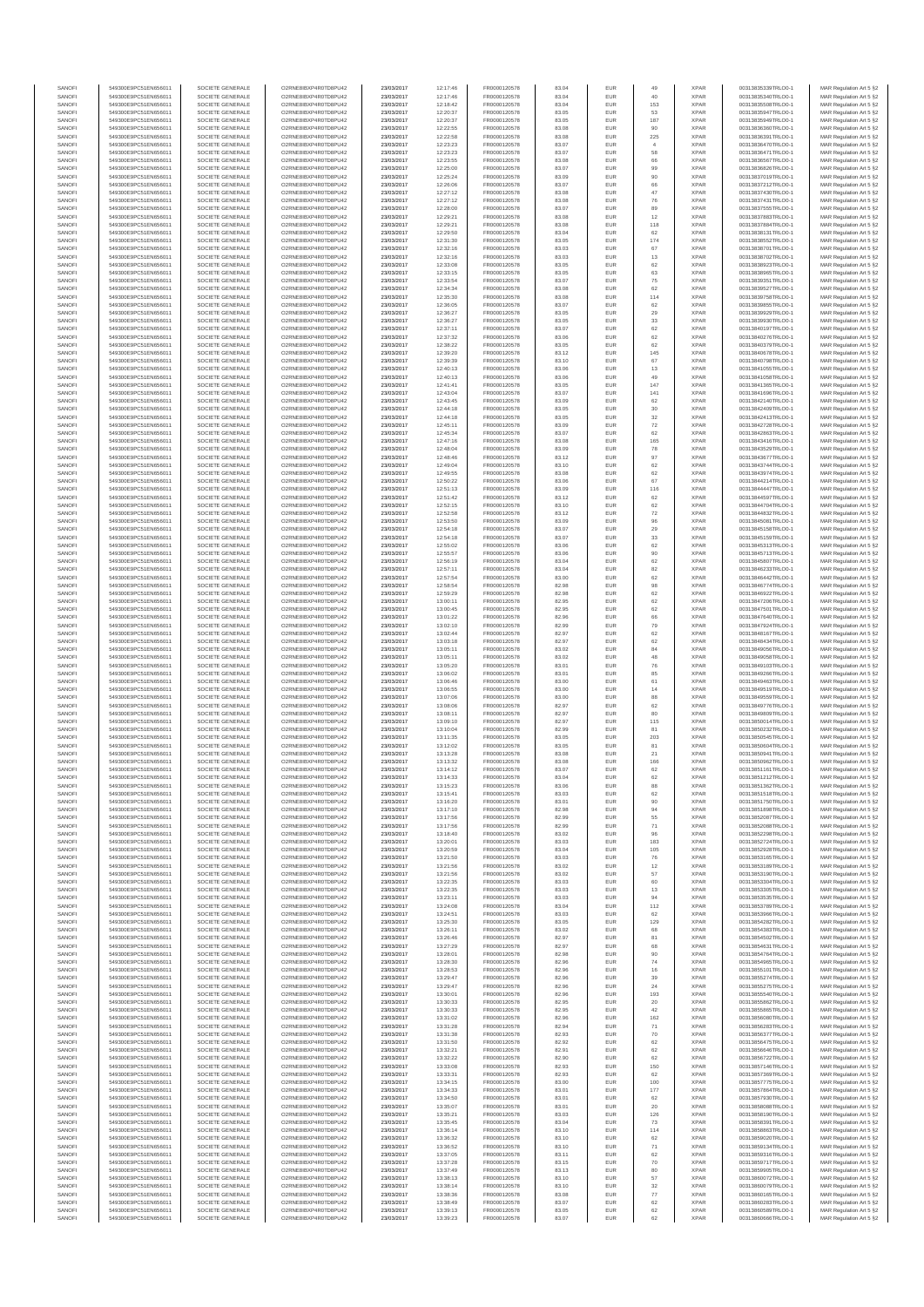| SANOFI           | 549300E9PC51EN656011                         | SOCIETE GENERALE                     | O2RNE8IBXP4R0TD8PLI42                         | 23/03/2017               | 12:17:46             | FR0000120578                 | 83.04          | <b>EUR</b>                         | 49                    | <b>XPAR</b>                | 00313835339TRLO0-1                       | MAR Regulation Art 5 §2                            |
|------------------|----------------------------------------------|--------------------------------------|-----------------------------------------------|--------------------------|----------------------|------------------------------|----------------|------------------------------------|-----------------------|----------------------------|------------------------------------------|----------------------------------------------------|
| SANOFI<br>SANOFI | 549300E9PC51EN656011<br>549300E9PC51EN656011 | SOCIETE GENERALE<br>SOCIETE GENERALE | O2RNE8IBXP4R0TD8PU42<br>O2RNE8IBXP4R0TD8PU42  | 23/03/2017<br>23/03/2017 | 12:17:46<br>12:18:42 | FR0000120578<br>FR0000120578 | 83.04<br>83.04 | <b>EUR</b><br>EUR                  | 40<br>153             | <b>XPAR</b><br><b>XPAR</b> | 00313835340TRLO0-1<br>00313835508TRLO0-1 | MAR Regulation Art 5 §2<br>MAR Regulation Art 5 §2 |
| SANOFI           | 549300E9PC51EN656011                         | SOCIETE GENERALE                     | O2RNE8IBXP4R0TD8PU42                          | 23/03/2017               | 12:20:37             | FR0000120578                 | 83.05          | <b>EUR</b>                         | 53                    | <b>XPAR</b>                | 00313835947TRLO0-1                       | MAR Regulation Art 5 §2                            |
| SANOFI           | 549300E9PC51EN656011                         | SOCIETE GENERALE                     | O2RNE8IBXP4R0TD8PU42                          | 23/03/2017               | 12:20:37             | FR0000120578                 | 83.05          | EUR                                | 187                   | <b>XPAR</b>                | 00313835949TRLO0-1                       | MAR Regulation Art 5 §2                            |
| SANOFI           | 549300E9PC51EN656011                         | SOCIETE GENERALE                     | O2RNE8IBXP4R0TD8PU42                          | 23/03/2017               | 12:22:55             | FR0000120578                 | 83.08          | EUR                                | 90                    | <b>XPAR</b>                | 00313836360TRLO0-1                       | MAR Regulation Art 5 §2                            |
| SANOFI<br>SANOFI | 549300E9PC51EN656011<br>549300E9PC51EN656011 | SOCIETE GENERALE<br>SOCIETE GENERALE | O2RNE8IBXP4R0TD8PU42<br>O2RNE8IBXP4R0TD8PU42  | 23/03/2017<br>23/03/2017 | 12:22:58<br>12:23:23 | FR0000120578<br>FR0000120578 | 83.08<br>83.07 | EUR<br>EUR                         | 225<br>$\overline{4}$ | <b>XPAR</b><br><b>XPAR</b> | 00313836391TRLO0-1<br>00313836470TRLO0-1 | MAR Regulation Art 5 §2<br>MAR Regulation Art 5 §2 |
| SANOFI           | 549300E9PC51EN656011                         | SOCIETE GENERALE                     | O2RNE8IBXP4R0TD8PU42                          | 23/03/2017               | 12:23:23             | FR0000120578                 | 83.07          | EUR                                | 58                    | <b>XPAR</b>                | 00313836471TRLO0-1                       | MAR Regulation Art 5 §2                            |
| SANOFI           | 549300E9PC51EN656011                         | SOCIETE GENERALE                     | O2RNE8IBXP4R0TD8PU42                          | 23/03/2017               | 12:23:55             | FR0000120578                 | 83.08          | EUR                                |                       | <b>XPAR</b>                | 00313836567TRLO0-1                       | MAR Regulation Art 5 §2                            |
| SANOFI<br>SANOFI | 549300E9PC51EN656011<br>549300E9PC51EN656011 | SOCIETE GENERALE<br>SOCIETE GENERALE | O2RNE8IBXP4R0TD8PLI42<br>O2RNE8IBXP4R0TD8PU42 | 23/03/2017<br>23/03/2017 | 12:25:00<br>12:25:24 | FR0000120578<br>FR0000120578 | 83.07<br>83.09 | <b>EUR</b><br>EUR                  | 99<br>90              | <b>XPAR</b><br><b>XPAR</b> | 00313836826TRLO0-1<br>00313837019TRLO0-1 | MAR Regulation Art 5 §2<br>MAR Regulation Art 5 §2 |
| SANOFI           | 549300E9PC51EN656011                         | SOCIETE GENERALE                     | O2RNE8IBXP4R0TD8PU42                          | 23/03/2017               | 12:26:06             | FR0000120578                 | 83.07          | <b>EUR</b>                         | 66                    | <b>XPAR</b>                | 00313837212TRLO0-1                       | MAR Regulation Art 5 §2                            |
| SANOFI           | 549300E9PC51EN656011                         | SOCIETE GENERALE                     | O2RNE8IBXP4R0TD8PU42                          | 23/03/2017               | 12:27:12             | FR0000120578                 | 83.08          | EUR                                | 47                    | <b>XPAR</b>                | 00313837430TRLO0-1                       | MAR Regulation Art 5 §2                            |
| SANOFI           | 549300E9PC51EN656011                         | SOCIETE GENERALE                     | O2RNE8IBXP4R0TD8PU42                          | 23/03/2017               | 12:27:12             | FR0000120578                 | 83.08          | EUR                                | 76                    | <b>XPAR</b>                | 00313837431TRLO0-1                       | MAR Regulation Art 5 §2                            |
| SANOFI<br>SANOFI | 549300E9PC51EN656011<br>549300E9PC51EN656011 | SOCIETE GENERALE<br>SOCIETE GENERALE | O2RNE8IBXP4R0TD8PU42<br>O2RNE8IBXP4R0TD8PU42  | 23/03/2017<br>23/03/2017 | 12:28:00<br>12:29:21 | FR0000120578<br>FR0000120578 | 83.07<br>83.08 | EUR<br>EUR                         | 89<br>12              | <b>XPAR</b><br><b>XPAR</b> | 00313837555TRLO0-1<br>00313837883TRLO0-1 | MAR Regulation Art 5 §2<br>MAR Regulation Art 5 §2 |
| SANOFI           | 549300E9PC51EN656011                         | SOCIETE GENERALE                     | O2RNE8IBXP4R0TD8PU42                          | 23/03/2017               | 12:29:21             | FR0000120578                 | 83.08          | EUR                                | 118                   | <b>XPAR</b>                | 00313837884TRLO0-1                       | MAR Regulation Art 5 §2                            |
| SANOFI           | 549300E9PC51EN656011                         | SOCIETE GENERALE                     | O2RNE8IBXP4R0TD8PU42                          | 23/03/2017               | 12:29:50             | FR0000120578                 | 83.04          | EUR                                | 62                    | <b>XPAR</b>                | 00313838131TRLO0-1                       | MAR Regulation Art 5 §2                            |
| SANOFI           | 549300E9PC51EN656011                         | SOCIETE GENERALE                     | O2RNE8IBXP4R0TD8PLI42                         | 23/03/2017               | 12:31:30             | FR0000120578                 | 83.05          | <b>EUR</b>                         | 174                   | <b>XPAR</b>                | 00313838552TRLO0-1                       | MAR Regulation Art 5 §2                            |
| SANOFI<br>SANOFI | 549300E9PC51EN656011<br>549300E9PC51EN656011 | SOCIETE GENERALE<br>SOCIETE GENERALE | O2RNE8IBXP4R0TD8PU42<br>O2RNE8IBXP4R0TD8PU42  | 23/03/2017<br>23/03/2017 | 12:32:16<br>12:32:16 | FR0000120578<br>FR0000120578 | 83.03<br>83.03 | EUR<br><b>EUR</b>                  | 67<br>13              | <b>XPAR</b><br><b>XPAR</b> | 00313838701TRLO0-1<br>00313838702TRLO0-1 | MAR Regulation Art 5 §2<br>MAR Regulation Art 5 §2 |
| SANOFI           | 549300E9PC51EN656011                         | SOCIETE GENERALE                     | O2RNE8IBXP4R0TD8PU42                          | 23/03/2017               | 12:33:08             | FR0000120578                 | 83.05          | EUR                                | 62                    | <b>XPAR</b>                | 00313838923TRLO0-1                       | MAR Regulation Art 5 §2                            |
| SANOFI           | 549300E9PC51EN656011                         | SOCIETE GENERALE                     | O2RNESIBXP4R0TD8PLI42                         | 23/03/2017               | 12:33:15             | FR0000120578                 | 83.05          | EUR                                | 63                    | <b>XPAR</b>                | 00313838965TRLO0-1                       | MAR Regulation Art 5 §2                            |
| SANOFI           | 549300E9PC51EN656011                         | SOCIETE GENERALE                     | O2RNE8IBXP4R0TD8PU42                          | 23/03/2017               | 12:33:54             | FR0000120578                 | 83.07          | EUR                                | $\rm 75$              | <b>XPAR</b>                | 00313839351TRLO0-1                       | MAR Regulation Art 5 §2                            |
| SANOFI<br>SANOFI | 549300E9PC51EN656011<br>549300E9PC51EN656011 | SOCIETE GENERALE<br>SOCIETE GENERALE | O2RNE8IBXP4R0TD8PU42<br>O2RNE8IBXP4R0TD8PU42  | 23/03/2017<br>23/03/2017 | 12:34:34<br>12:35:30 | FR0000120578<br>FR0000120578 | 83.08<br>83.08 | EUR<br>EUR                         | 62<br>114             | <b>XPAR</b><br><b>XPAR</b> | 00313839527TRLO0-1<br>00313839758TRLO0-1 | MAR Regulation Art 5 §2<br>MAR Regulation Art 5 §2 |
| SANOFI           | 549300E9PC51EN656011                         | SOCIETE GENERALE                     | O2RNE8IBXP4R0TD8PU42                          | 23/03/2017               | 12:36:05             | FR0000120578                 | 83.07          | EUR                                | 62                    | <b>XPAR</b>                | 00313839855TRLO0-1                       | MAR Regulation Art 5 §2                            |
| SANOFI           | 549300E9PC51EN656011                         | SOCIETE GENERALE                     | O2RNE8IBXP4R0TD8PU42                          | 23/03/2017               | 12:36:27             | FR0000120578                 | 83.05          | EUR                                | 29                    | <b>XPAR</b>                | 00313839929TRLO0-1                       | MAR Regulation Art 5 §2                            |
| SANOFI<br>SANOFI | 549300E9PC51EN656011<br>549300E9PC51EN656011 | SOCIETE GENERALE<br>SOCIETE GENERALE | O2RNE8IBXP4R0TD8PU42<br>O2RNE8IBXP4R0TD8PU42  | 23/03/2017<br>23/03/2017 | 12:36:27<br>12:37:11 | FR0000120578<br>FR0000120578 | 83.05<br>83.07 | EUR<br><b>EUR</b>                  | 33<br>62              | <b>XPAR</b><br><b>XPAR</b> | 00313839930TRLO0-1<br>00313840197TRLO0-1 | MAR Regulation Art 5 §2<br>MAR Regulation Art 5 §2 |
| SANOFI           | 549300E9PC51EN656011                         | SOCIETE GENERALE                     | O2RNE8IBXP4R0TD8PU42                          | 23/03/2017               | 12:37:32             | FR0000120578                 | 83.06          | EUR                                | 62                    | <b>XPAR</b>                | 00313840276TRLO0-1                       | MAR Regulation Art 5 §2                            |
| SANOFI           | 549300E9PC51EN656011                         | SOCIETE GENERALE                     | O2RNE8IBXP4R0TD8PU42                          | 23/03/2017               | 12:38:22             | FR0000120578                 | 83.05          | EUR                                | 62                    | <b>XPAR</b>                | 00313840379TRLO0-1                       | MAR Regulation Art 5 §2                            |
| SANOFI           | 549300E9PC51EN656011                         | SOCIETE GENERALE                     | O2RNE8IBXP4R0TD8PU42                          | 23/03/2017               | 12:39:20             | FR0000120578                 | 83.12          | EUR                                | 145                   | <b>XPAR</b>                | 00313840678TRLO0-1                       | MAR Regulation Art 5 §2                            |
| SANOFI<br>SANOFI | 549300E9PC51EN656011<br>549300E9PC51EN656011 | SOCIETE GENERALE<br>SOCIETE GENERALE | O2RNE8IBXP4R0TD8PU42<br>O2RNE8IBXP4R0TD8PU42  | 23/03/2017<br>23/03/2017 | 12:39:39<br>12:40:13 | FR0000120578<br>FR0000120578 | 83.10<br>83.06 | EUR<br><b>EUR</b>                  | 67<br>13              | <b>XPAR</b><br><b>XPAR</b> | 00313840798TRLO0-1<br>00313841055TRLO0-1 | MAR Regulation Art 5 §2<br>MAR Regulation Art 5 §2 |
| SANOFI           | 549300E9PC51EN656011                         | SOCIETE GENERALE                     | O2RNE8IBXP4R0TD8PU42                          | 23/03/2017               | 12:40:13             | FR0000120578                 | 83.06          | EUR                                | 49                    | <b>XPAR</b>                | 00313841058TRLO0-1                       | MAR Regulation Art 5 §2                            |
| SANOFI           | 549300E9PC51EN656011                         | SOCIETE GENERALE                     | O2RNE8IBXP4R0TD8PU42                          | 23/03/2017               | 12:41:41             | FR0000120578                 | 83.05          | <b>EUR</b>                         | 147                   | <b>XPAR</b>                | 00313841365TRLO0-1                       | MAR Regulation Art 5 §2                            |
| SANOFI<br>SANOFI | 549300E9PC51EN656011<br>549300E9PC51EN656011 | SOCIETE GENERALE<br>SOCIETE GENERALE | O2RNE8IBXP4R0TD8PU42<br>O2RNE8IBXP4R0TD8PU42  | 23/03/2017<br>23/03/2017 | 12:43:04<br>12:43:45 | FR0000120578<br>FR0000120578 | 83.07<br>83.09 | EUR<br>EUR                         | 141<br>62             | <b>XPAR</b><br><b>XPAR</b> | 00313841696TRLO0-1<br>00313842140TRLO0-1 | MAR Regulation Art 5 §2<br>MAR Regulation Art 5 §2 |
| SANOFI           | 549300E9PC51EN656011                         | SOCIETE GENERALE                     | O2RNE8IBXP4R0TD8PU42                          | 23/03/2017               | 12:44:18             | FR0000120578                 | 83.05          | EUR                                | $30\,$                | <b>XPAR</b>                | 00313842409TRLO0-1                       | MAR Regulation Art 5 §2                            |
| SANOFI           | 549300E9PC51EN656011                         | SOCIETE GENERALE                     | O2RNE8IBXP4R0TD8PU42                          | 23/03/2017               | 12:44:18             | FR0000120578                 | 83.05          | EUR                                | 32                    | <b>XPAR</b>                | 00313842413TRLO0-1                       | MAR Regulation Art 5 §2                            |
| SANOFI           | 549300E9PC51EN656011                         | SOCIETE GENERALE                     | O2RNE8IBXP4R0TD8PU42                          | 23/03/2017               | 12:45:11             | FR0000120578                 | 83.09          | EUR                                | $\scriptstyle{72}$    | <b>XPAR</b>                | 00313842728TRLO0-1                       | MAR Regulation Art 5 §2                            |
| SANOFI<br>SANOFI | 549300E9PC51EN656011<br>549300E9PC51EN656011 | SOCIETE GENERALE<br>SOCIETE GENERALE | O2RNE8IBXP4R0TD8PLI42<br>O2RNE8IBXP4R0TD8PU42 | 23/03/2017<br>23/03/2017 | 12:45:34<br>12:47:16 | FR0000120578<br>FR0000120578 | 83.07<br>83.08 | EUR<br><b>EUR</b>                  | 62<br>165             | <b>XPAR</b><br><b>XPAR</b> | 00313842863TRLO0-1<br>00313843416TRLO0-1 | MAR Regulation Art 5 §2<br>MAR Regulation Art 5 §2 |
| SANOFI           | 549300E9PC51EN656011                         | SOCIETE GENERALE                     | O2RNE8IBXP4R0TD8PU42                          | 23/03/2017               | 12:48:04             | FR0000120578                 | 83.09          | EUR                                | 78                    | <b>XPAR</b>                | 00313843529TRLO0-1                       | MAR Regulation Art 5 §2                            |
| SANOFI           | 549300E9PC51EN656011                         | SOCIETE GENERALE                     | O2RNE8IBXP4R0TD8PU42                          | 23/03/2017               | 12:48:46             | FR0000120578                 | 83.12          | <b>EUR</b>                         | 97                    | <b>XPAR</b>                | 00313843677TRLO0-1                       | MAR Regulation Art 5 §2                            |
| SANOFI           | 549300E9PC51EN656011                         | SOCIETE GENERALE                     | O2RNE8IBXP4R0TD8PU42                          | 23/03/2017               | 12:49:04             | FR0000120578                 | 83.10          | EUR                                | 62                    | <b>XPAR</b>                | 00313843744TRLO0-1                       | MAR Regulation Art 5 §2                            |
| SANOFI<br>SANOFI | 549300E9PC51EN656011<br>549300E9PC51EN656011 | SOCIETE GENERALE<br>SOCIETE GENERALE | O2RNE8IBXP4R0TD8PU42<br>O2RNE8IBXP4R0TD8PU42  | 23/03/2017<br>23/03/2017 | 12:49:55<br>12:50:22 | FR0000120578<br>FR0000120578 | 83.08<br>83.06 | EUR<br>EUR                         | 62<br>67              | <b>XPAR</b><br><b>XPAR</b> | 00313843974TRLO0-1<br>00313844214TRLO0-1 | MAR Regulation Art 5 §2<br>MAR Regulation Art 5 §2 |
| SANOFI           | 549300E9PC51EN656011                         | SOCIETE GENERALE                     | O2RNE8IBXP4R0TD8PLI42                         | 23/03/2017               | 12:51:13             | FR0000120578                 | 83.09          | EUR                                | 116                   | <b>XPAR</b>                | 00313844447TRLO0-1                       | MAR Regulation Art 5 §2                            |
| SANOFI           | 549300E9PC51EN656011                         | SOCIETE GENERALE                     | O2RNE8IBXP4R0TD8PU42                          | 23/03/2017               | 12:51:42             | FR0000120578                 | 83.12          | EUR                                | 62                    | <b>XPAR</b>                | 00313844597TRLO0-1                       | MAR Regulation Art 5 §2                            |
| SANOFI           | 549300E9PC51EN656011                         | SOCIETE GENERALE                     | O2RNE8IBXP4R0TD8PU42                          | 23/03/2017               | 12:52:15             | FR0000120578                 | 83.10          | EUR                                | 62                    | <b>XPAR</b>                | 00313844704TRLO0-1                       | MAR Regulation Art 5 §2                            |
| SANOFI<br>SANOFI | 549300E9PC51EN656011<br>549300E9PC51EN656011 | SOCIETE GENERALE<br>SOCIETE GENERALE | O2RNE8IBXP4R0TD8PU42<br>O2RNE8IBXP4R0TD8PU42  | 23/03/2017<br>23/03/2017 | 12:52:58<br>12:53:50 | FR0000120578<br>FR0000120578 | 83.12<br>83.09 | <b>EUR</b><br>EUR                  | 72<br>96              | <b>XPAR</b><br><b>XPAR</b> | 00313844832TRLO0-1<br>00313845081TRLO0-1 | MAR Regulation Art 5 §2<br>MAR Regulation Art 5 §2 |
| SANOFI           | 549300E9PC51EN656011                         | SOCIETE GENERALE                     | O2RNE8IBXP4R0TD8PU42                          | 23/03/2017               | 12:54:18             | FR0000120578                 | 83.07          | <b>EUR</b>                         | 29                    | <b>XPAR</b>                | 00313845158TRLO0-1                       | MAR Regulation Art 5 §2                            |
| SANOFI           | 549300E9PC51EN656011                         | SOCIETE GENERALE                     | O2RNE8IBXP4R0TD8PU42                          | 23/03/2017               | 12:54:18             | FR0000120578                 | 83.07          | EUR                                | $33\,$                | <b>XPAR</b>                | 00313845159TRLO0-1                       | MAR Regulation Art 5 §2                            |
| SANOFI           | 549300E9PC51EN656011                         | SOCIETE GENERALE                     | O2RNE8IBXP4R0TD8PU42                          | 23/03/2017               | 12:55:02             | FR0000120578                 | 83.06          | EUR                                | 62                    | <b>XPAR</b>                | 00313845313TRLO0-1                       | MAR Regulation Art 5 §2                            |
| SANOFI<br>SANOFI | 549300E9PC51EN656011<br>549300E9PC51EN656011 | SOCIETE GENERALE<br>SOCIETE GENERALE | O2RNE8IBXP4R0TD8PU42<br>O2RNE8IBXP4R0TD8PU42  | 23/03/2017<br>23/03/2017 | 12:55:57<br>12:56:19 | FR0000120578<br>FR0000120578 | 83.06<br>83.04 | EUR<br>EUR                         | 90<br>62              | <b>XPAR</b><br><b>XPAR</b> | 00313845713TRLO0-1<br>00313845807TRLO0-1 | MAR Regulation Art 5 §2<br>MAR Regulation Art 5 §2 |
| SANOFI           | 549300E9PC51EN656011                         | SOCIETE GENERALE                     | O2RNE8IBXP4R0TD8PU42                          | 23/03/2017               | 12:57:11             | FR0000120578                 | 83.04          | EUR                                | 82                    | <b>XPAR</b>                | 00313846233TRLO0-1                       | MAR Regulation Art 5 §2                            |
| SANOFI           | 549300E9PC51EN656011                         | SOCIETE GENERALE                     | O2RNE8IBXP4R0TD8PU42                          | 23/03/2017               | 12:57:54             | FR0000120578                 | 83.00          | EUR                                | 62                    | <b>XPAR</b>                | 00313846442TRLO0-1                       | MAR Regulation Art 5 §2                            |
| SANOFI<br>SANOFI | 549300E9PC51EN656011<br>549300E9PC51EN656011 | SOCIETE GENERALE<br>SOCIETE GENERALE | O2RNE8IBXP4R0TD8PU42<br>O2RNE8IBXP4R0TD8PU42  | 23/03/2017<br>23/03/2017 | 12:58:54<br>12:59:29 | FR0000120578<br>FR0000120578 | 82.98<br>82.98 | <b>EUR</b><br>EUR                  | 98<br>62              | <b>XPAR</b><br><b>XPAR</b> | 00313846774TRLO0-1<br>00313846922TRLO0-1 | MAR Regulation Art 5 §2                            |
| SANOFI           | 549300E9PC51EN656011                         | SOCIETE GENERALE                     | O2RNE8IBXP4R0TD8PU42                          | 23/03/2017               | 13:00:11             | FR0000120578                 | 82.95          | <b>EUR</b>                         | 62                    | <b>XPAR</b>                | 00313847206TRLO0-1                       | MAR Regulation Art 5 §2<br>MAR Regulation Art 5 §2 |
| SANOFI           | 549300E9PC51EN656011                         | SOCIETE GENERALE                     | O2RNE8IBXP4R0TD8PU42                          | 23/03/2017               | 13:00:45             | FR0000120578                 | 82.95          | EUR                                | 62                    | <b>XPAR</b>                | 00313847501TRLO0-1                       | MAR Regulation Art 5 §2                            |
| SANOFI           | 549300E9PC51EN656011                         | SOCIETE GENERALE                     | O2RNE8IBXP4R0TD8PU42                          | 23/03/2017               | 13:01:22             | FR0000120578                 | 82.96          | EUR                                | 66                    | <b>XPAR</b>                | 00313847640TRLO0-1                       | MAR Regulation Art 5 §2                            |
| SANOFI<br>SANOFI | 549300E9PC51EN656011<br>549300E9PC51EN656011 | SOCIETE GENERALE<br>SOCIETE GENERALE | O2RNE8IBXP4R0TD8PU42<br>O2RNE8IBXP4R0TD8PU42  | 23/03/2017<br>23/03/2017 | 13:02:10<br>13:02:44 | FR0000120578<br>FR0000120578 | 82.99<br>82.97 | EUR<br>EUR                         | 79<br>62              | <b>XPAR</b><br><b>XPAR</b> | 00313847924TRLO0-1<br>00313848167TRLO0-1 | MAR Regulation Art 5 §2<br>MAR Regulation Art 5 §2 |
| SANOFI           | 549300E9PC51EN656011                         | SOCIETE GENERALE                     | O2RNE8IBXP4R0TD8PU42                          | 23/03/2017               | 13:03:18             | FR0000120578                 | 82.97          | <b>EUR</b>                         | 62                    | <b>XPAR</b>                | 00313848434TRLO0-1                       | MAR Regulation Art 5 §2                            |
| SANOFI           | 549300E9PC51EN656011                         | SOCIETE GENERALE                     | O2RNE8IBXP4R0TD8PU42                          | 23/03/2017               | 13:05:11             | FR0000120578                 | 83.02          | EUR                                | 84                    | <b>XPAR</b>                | 00313849056TRLO0-1                       | MAR Regulation Art 5 §2                            |
| SANOFI           | 549300E9PC51EN656011                         | SOCIETE GENERALE                     | O2RNE8IBXP4R0TD8PU42                          | 23/03/2017               | 13:05:11             | FR0000120578                 | 83.02          | EUR                                | 48                    | <b>XPAR</b>                | 00313849058TRLO0-1                       | MAR Regulation Art 5 §2                            |
| SANOFI<br>SANOFI | 549300E9PC51EN656011<br>549300E9PC51EN656011 | SOCIETE GENERALE<br>SOCIETE GENERALE | O2RNE8IBXP4R0TD8PU42<br>O2RNE8IBXP4R0TD8PU42  | 23/03/2017<br>23/03/2017 | 13:05:20<br>13:06:02 | FR0000120578<br>FR0000120578 | 83.01<br>83.01 | EUR<br><b>EUR</b>                  | 76<br>85              | <b>XPAR</b><br><b>XPAR</b> | 00313849103TRLO0-1<br>00313849266TRLO0-1 | MAR Regulation Art 5 §2<br>MAR Regulation Art 5 §2 |
| SANOFI           | 549300E9PC51EN656011                         | SOCIETE GENERALE                     | O2RNE8IBXP4R0TD8PU42                          | 23/03/2017               | 13:06:46             | FR0000120578                 | 83.00          | EUR                                | 61                    | <b>XPAR</b>                | 00313849463TRLO0-1                       | MAR Regulation Art 5 §2                            |
| SANOFI           | 549300E9PC51EN656011                         | SOCIETE GENERALE                     | O2RNE8IBXP4R0TD8PLI42                         | 23/03/2017               | 13:06:55             | FR0000120578                 | 83.00          | EUR                                | 14                    | <b>XPAR</b>                | 00313849519TRLO0-1                       | MAR Regulation Art 5 §2                            |
| SANOFI<br>SANOFI | 549300E9PC51EN656011<br>549300E9PC51EN656011 | SOCIETE GENERALE<br>SOCIETE GENERALE | O2RNE8IBXP4R0TD8PU42<br>O2RNE8IBXP4R0TD8PU42  | 23/03/2017<br>23/03/2017 | 13:07:06<br>13:08:06 | FR0000120578<br>FR0000120578 | 83.00<br>82.97 | EUR<br>EUR                         | 88<br>62              | <b>XPAR</b><br><b>XPAR</b> | 00313849559TRLO0-1<br>00313849776TRLO0-1 | MAR Regulation Art 5 §2<br>MAR Regulation Art 5 §2 |
| SANOFI           | 549300E9PC51EN656011                         | SOCIETE GENERALE                     | O2RNE8IBXP4R0TD8PU42                          | 23/03/2017               | 13:08:11             | FR0000120578                 | 82.97          | <b>EUR</b>                         | 80                    | <b>XPAR</b>                | 00313849809TRLO0-1                       | MAR Regulation Art 5 §2                            |
| SANOFI           | 549300E9PC51EN656011                         | SOCIETE GENERALE                     | O2RNE8IBXP4R0TD8PU42                          | 23/03/2017               | 13:09:10             | FR0000120578                 | 82.97          | EUR                                | 115                   | <b>XPAR</b>                | 00313850014TRLO0-1                       | MAR Regulation Art 5 §2                            |
| SANOFI           | 549300E9PC51EN656011                         | SOCIETE GENERALE                     | O2RNE8IBXP4R0TD8PU42                          | 23/03/2017               | 13:10:04             | FR0000120578                 | 82.99          | <b>EUR</b>                         | 81                    | <b>XPAR</b>                | 00313850232TRLO0-1                       | MAR Regulation Art 5 §2                            |
| SANOFI<br>SANOFI | 549300E9PC51EN656011<br>549300E9PC51EN656011 | SOCIETE GENERALE<br>SOCIETE GENERALE | O2RNE8IBXP4R0TD8PU42<br>O2RNE8IBXP4R0TD8PU42  | 23/03/2017<br>23/03/2017 | 13:11:35<br>13:12:02 | FR0000120578<br>FR0000120578 | 83.05<br>83.05 | EUR<br>EUR                         | 203<br>81             | <b>XPAR</b><br><b>XPAR</b> | 00313850545TRLO0-1<br>00313850604TRLO0-1 | MAR Regulation Art 5 §2<br>MAR Regulation Art 5 §2 |
| SANOFI           | 549300E9PC51EN656011                         | SOCIETE GENERALE                     | O2RNE8IBXP4R0TD8PU42                          | 23/03/2017               | 13:13:28             | FR0000120578                 | 83.08          | EUR                                | $21\,$                | <b>XPAR</b>                | 00313850941TRLO0-1                       | MAR Regulation Art 5 §2                            |
| SANOFI           | 549300E9PC51EN656011                         | SOCIETE GENERALE                     | O2RNESIBXP4R0TD8PLI42                         | 23/03/2017               | 13:13:32             | FR0000120578                 | 83.08          | EUR                                | 166                   | <b>XPAR</b>                | 00313850962TRLO0-1                       | MAR Regulation Art 5 §2                            |
| SANOFI           | 549300E9PC51EN656011                         | SOCIETE GENERALE                     | O2RNE8IBXP4R0TD8PU42                          | 23/03/2017               | 13:14:12             | FR0000120578                 | 83.07          | EUR                                | 62                    | <b>XPAR</b>                | 00313851161TRLO0-1                       | MAR Regulation Art 5 §2                            |
| SANOFI<br>SANOFI | 549300E9PC51EN656011<br>549300E9PC51EN656011 | SOCIETE GENERALE<br>SOCIETE GENERALE | O2RNE8IBXP4R0TD8PU42<br>O2RNE8IBXP4R0TD8PU42  | 23/03/2017<br>23/03/2017 | 13:14:33<br>13:15:23 | FR0000120578<br>FR0000120578 | 83.04<br>83.06 | EUR<br><b>EUR</b>                  | 62<br>88              | <b>XPAR</b><br><b>XPAR</b> | 00313851212TRLO0-1<br>00313851362TRLO0-1 | MAR Regulation Art 5 §2<br>MAR Regulation Art 5 §2 |
| SANOFI           | 549300E9PC51EN656011                         | SOCIETE GENERALE                     | O2RNE8IBXP4R0TD8PU42                          | 23/03/2017               | 13:15:41             | FR0000120578                 | 83.03          | EUR                                | 62                    | <b>XPAR</b>                | 00313851518TRLO0-1                       | MAR Regulation Art 5 §2                            |
| SANOFI           | 549300E9PC51EN656011                         | SOCIETE GENERALE                     | O2RNE8IBXP4R0TD8PU42                          | 23/03/2017               | 13:16:20             | FR0000120578                 | 83.01          | <b>EUR</b>                         | 90                    | <b>XPAR</b>                | 00313851750TRLO0-1                       | MAR Regulation Art 5 §2                            |
| SANOFI           | 549300E9PC51EN656011                         | SOCIETE GENERALE                     | O2RNE8IBXP4R0TD8PU42                          | 23/03/2017               | 13:17:10             | FR0000120578                 | 82.98          | EUR                                | 94                    | <b>XPAR</b>                | 00313851898TRLO0-1                       | MAR Regulation Art 5 §2                            |
| SANOFI<br>SANOFI | 549300E9PC51EN656011<br>549300E9PC51EN656011 | SOCIETE GENERALE<br>SOCIETE GENERALE | O2RNE8IBXP4R0TD8PU42<br>O2RNE8IBXP4R0TD8PU42  | 23/03/2017<br>23/03/2017 | 13:17:56<br>13:17:56 | FR0000120578<br>FR0000120578 | 82.99<br>82.99 | EUR<br>EUR                         | 55<br>71              | <b>XPAR</b><br><b>XPAR</b> | 00313852087TRLO0-1<br>00313852088TRLO0-1 | MAR Regulation Art 5 §2<br>MAR Regulation Art 5 §2 |
| SANOFI           | 549300E9PC51EN656011                         | SOCIETE GENERALE                     | O2RNESIBXP4R0TD8PLI42                         | 23/03/2017               | 13:18:40             | FR0000120578                 | 83.02          | EUR                                | 96                    | <b>XPAR</b>                | 00313852298TRLO0-1                       | MAR Regulation Art 5 §2                            |
| SANOFI           | 549300E9PC51EN656011                         | SOCIETE GENERALE                     | O2RNE8IBXP4R0TD8PU42                          | 23/03/2017               | 13:20:01             | FR0000120578                 | 83.03          | EUR                                | 183                   | <b>XPAR</b>                | 00313852724TRLO0-1                       | MAR Regulation Art 5 §2                            |
| SANOFI<br>SANOFI | 549300E9PC51EN656011<br>549300E9PC51EN656011 | SOCIETE GENERALE<br>SOCIETE GENERALE | O2RNE8IBXP4R0TD8PU42<br>O2RNE8IBXP4R0TD8PLI42 | 23/03/2017<br>23/03/2017 | 13:20:59<br>13:21:50 | FR0000120578<br>FR0000120578 | 83.04<br>83.03 | EUR<br><b>EUR</b>                  | 105<br>76             | <b>XPAR</b><br><b>XPAR</b> | 00313852928TRLO0-1<br>00313853165TRLO0-1 | MAR Regulation Art 5 §2                            |
| SANOFI           | 549300E9PC51EN656011                         | SOCIETE GENERALE                     | O2RNE8IBXP4R0TD8PU42                          | 23/03/2017               | 13:21:56             | FR0000120578                 | 83.02          | EUR                                | 12                    | <b>XPAR</b>                | 00313853189TRLO0-1                       | MAR Regulation Art 5 §2<br>MAR Regulation Art 5 §2 |
| SANOFI           | 549300E9PC51EN656011                         | SOCIETE GENERALE                     | O2RNE8IBXP4R0TD8PU42                          | 23/03/2017               | 13:21:56             | FR0000120578                 | 83.02          | <b>EUR</b>                         | 57                    | <b>XPAR</b>                | 00313853190TRLO0-1                       | MAR Regulation Art 5 §2                            |
| SANOFI<br>SANOFI | 549300E9PC51EN656011<br>549300E9PC51EN656011 | SOCIETE GENERALE<br>SOCIETE GENERALE | O2RNE8IBXP4R0TD8PU42<br>O2RNE8IBXP4R0TD8PU42  | 23/03/2017<br>23/03/2017 | 13:22:35<br>13:22:35 | FR0000120578<br>FR0000120578 | 83.03<br>83.03 | EUR<br>$\ensuremath{\mathsf{EUR}}$ | 60<br>$13\,$          | <b>XPAR</b><br><b>XPAR</b> | 00313853304TRLO0-1<br>00313853305TRLO0-1 | MAR Regulation Art 5 §2<br>MAR Regulation Art 5 §2 |
| SANOFI           | 549300E9PC51EN656011                         | SOCIETE GENERALE                     | O2RNE8IBXP4R0TD8PU42                          | 23/03/2017               | 13:23:11             | FR0000120578                 | 83.03          | EUR                                | 94                    | <b>XPAR</b>                | 00313853535TRLO0-1                       | MAR Regulation Art 5 §2                            |
| SANOFI           | 549300E9PC51EN656011                         | SOCIETE GENERALE                     | O2RNE8IBXP4R0TD8PU42                          | 23/03/2017               | 13:24:08             | FR0000120578                 | 83.04          | EUR                                | 112                   | <b>XPAR</b>                | 00313853789TRLO0-1                       | MAR Regulation Art 5 §2                            |
| SANOFI           | 549300E9PC51EN656011                         | SOCIETE GENERALE                     | O2RNE8IBXP4R0TD8PLI42                         | 23/03/2017               | 13:24:51             | FR0000120578                 | 83.03          | <b>EUR</b>                         | 62                    | <b>XPAR</b>                | 00313853966TRLO0-1                       | MAR Regulation Art 5 §2                            |
| SANOFI<br>SANOFI | 549300E9PC51EN656011<br>549300E9PC51EN656011 | SOCIETE GENERALE<br>SOCIETE GENERALE | O2RNE8IBXP4R0TD8PU42<br>O2RNE8IBXP4R0TD8PU42  | 23/03/2017<br>23/03/2017 | 13:25:30<br>13:26:11 | FR0000120578<br>FR0000120578 | 83.05<br>83.02 | EUR<br><b>EUR</b>                  | 129<br>68             | <b>XPAR</b><br><b>XPAR</b> | 00313854282TRLO0-1<br>00313854383TRLO0-1 | MAR Regulation Art 5 §2<br>MAR Regulation Art 5 §2 |
| SANOFI           | 549300E9PC51EN656011                         | SOCIETE GENERALE                     | O2RNE8IBXP4R0TD8PU42                          | 23/03/2017               | 13:26:46             | FR0000120578                 | 82.97          | EUR                                | 81                    | <b>XPAR</b>                | 00313854502TRLO0-1                       | MAR Regulation Art 5 §2                            |
| SANOFI           | 549300E9PC51EN656011                         | SOCIETE GENERALE                     | O2RNE8IBXP4R0TD8PU42                          | 23/03/2017               | 13:27:29             | FR0000120578                 | 82.97          | EUR                                | 68                    | <b>XPAR</b>                | 00313854631TRLO0-1                       | MAR Regulation Art 5 §2                            |
| SANOFI           | 549300E9PC51EN656011                         | SOCIETE GENERALE                     | O2RNE8IBXP4R0TD8PU42                          | 23/03/2017               | 13:28:01             | FR0000120578                 | 82.98          | EUR                                | 90                    | <b>XPAR</b>                | 00313854764TRLO0-1                       | MAR Regulation Art 5 §2                            |
| SANOFI<br>SANOFI | 549300E9PC51EN656011<br>549300E9PC51EN656011 | SOCIETE GENERALE<br>SOCIETE GENERALE | O2RNE8IBXP4R0TD8PU42<br>O2RNE8IBXP4R0TD8PU42  | 23/03/2017<br>23/03/2017 | 13:28:30<br>13:28:53 | FR0000120578<br>FR0000120578 | 82.96<br>82.96 | EUR<br>EUR                         | 74<br>16              | <b>XPAR</b><br><b>XPAR</b> | 00313854965TRLO0-1<br>00313855101TRLO0-1 | MAR Regulation Art 5 §2<br>MAR Regulation Art 5 §2 |
| SANOFI           | 549300E9PC51EN656011                         | SOCIETE GENERALE                     | O2RNE8IBXP4R0TD8PU42                          | 23/03/2017               | 13:29:47             | FR0000120578                 | 82.96          | EUR                                | 39                    | <b>XPAR</b>                | 00313855274TRLO0-1                       | MAR Regulation Art 5 §2                            |
| SANOFI           | 549300E9PC51EN656011                         | SOCIETE GENERALE                     | O2RNE8IBXP4R0TD8PU42                          | 23/03/2017               | 13:29:47             | FR0000120578                 | 82.96          | <b>EUR</b>                         | 24                    | <b>XPAR</b>                | 00313855275TRLO0-1                       | MAR Regulation Art 5 §2                            |
| SANOFI           | 549300E9PC51EN656011                         | SOCIETE GENERALE                     | O2RNE8IBXP4R0TD8PU42                          | 23/03/2017               | 13:30:01             | FR0000120578                 | 82.96          | EUR                                | 193                   | <b>XPAR</b>                | 00313855540TRLO0-1                       | MAR Regulation Art 5 §2                            |
| SANOFI<br>SANOFI | 549300E9PC51EN656011<br>549300E9PC51EN656011 | SOCIETE GENERALE<br>SOCIETE GENERALE | O2RNE8IBXP4R0TD8PU42<br>O2RNE8IBXP4R0TD8PU42  | 23/03/2017<br>23/03/2017 | 13:30:33<br>13:30:33 | FR0000120578<br>FR0000120578 | 82.95<br>82.95 | <b>EUR</b><br>EUR                  | 20<br>42              | <b>XPAR</b><br><b>XPAR</b> | 00313855862TRLO0-1<br>00313855865TRLO0-1 | MAR Regulation Art 5 §2<br>MAR Regulation Art 5 §2 |
| SANOFI           | 549300E9PC51EN656011                         | SOCIETE GENERALE                     | O2RNE8IBXP4R0TD8PU42                          | 23/03/2017               | 13:31:02             | FR0000120578                 | 82.96          | EUR                                | 162                   | <b>XPAR</b>                | 00313856080TRLO0-1                       | MAR Regulation Art 5 §2                            |
| SANOFI           | 549300E9PC51EN656011                         | SOCIETE GENERALE                     | O2RNE8IBXP4R0TD8PU42                          | 23/03/2017               | 13:31:28             | FR0000120578                 | 82.94          | EUR                                | 71                    | <b>XPAR</b>                | 00313856283TRLO0-1                       | MAR Regulation Art 5 §2                            |
| SANOFI           | 549300E9PC51EN656011                         | SOCIETE GENERALE                     | O2RNE8IBXP4R0TD8PU42                          | 23/03/2017               | 13:31:38             | FR0000120578                 | 82.93          | EUR                                | 70                    | <b>XPAR</b>                | 00313856377TRLO0-1                       | MAR Regulation Art 5 §2                            |
| SANOFI<br>SANOFI | 549300E9PC51EN656011<br>549300E9PC51EN656011 | SOCIETE GENERALE<br>SOCIETE GENERALE | O2RNE8IBXP4R0TD8PU42<br>O2RNE8IBXP4R0TD8PU42  | 23/03/2017<br>23/03/2017 | 13:31:50<br>13:32:21 | FR0000120578<br>FR0000120578 | 82.92<br>82.91 | EUR<br>EUR                         | 62<br>62              | <b>XPAR</b><br><b>XPAR</b> | 00313856475TRLO0-1<br>00313856646TRLO0-1 | MAR Regulation Art 5 §2<br>MAR Regulation Art 5 §2 |
| SANOFI           | 549300E9PC51EN656011                         | SOCIETE GENERALE                     | O2RNE8IBXP4R0TD8PU42                          | 23/03/2017               | 13:32:22             | FR0000120578                 | 82.90          | <b>EUR</b>                         | 62                    | <b>XPAR</b>                | 00313856722TRLO0-1                       | MAR Regulation Art 5 §2                            |
| SANOFI           | 549300E9PC51EN656011                         | SOCIETE GENERALE                     | O2RNE8IBXP4R0TD8PU42                          | 23/03/2017               | 13:33:08             | FR0000120578                 | 82.93          | EUR                                | 150                   | <b>XPAR</b>                | 00313857146TRLO0-1                       | MAR Regulation Art 5 §2                            |
| SANOFI           | 549300E9PC51EN656011                         | SOCIETE GENERALE                     | O2RNE8IBXP4R0TD8PU42                          | 23/03/2017               | 13:33:31             | FR0000120578                 | 82.93          | <b>EUR</b>                         | 62                    | <b>XPAR</b>                | 00313857369TRLO0-1                       | MAR Regulation Art 5 §2                            |
| SANOFI<br>SANOFI | 549300E9PC51EN656011<br>549300E9PC51EN656011 | SOCIETE GENERALE<br>SOCIETE GENERALE | O2RNE8IBXP4R0TD8PU42<br>O2RNE8IBXP4R0TD8PU42  | 23/03/2017<br>23/03/2017 | 13:34:15<br>13:34:33 | FR0000120578<br>FR0000120578 | 83.00<br>83.01 | EUR<br>EUR                         | 100<br>177            | <b>XPAR</b><br><b>XPAR</b> | 00313857775TRLO0-1<br>00313857864TRLO0-1 | MAR Regulation Art 5 §2<br>MAR Regulation Art 5 §2 |
| SANOFI           | 549300E9PC51EN656011                         | SOCIETE GENERALE                     | O2RNE8IBXP4R0TD8PU42                          | 23/03/2017               | 13:34:50             | FR0000120578                 | 83.01          | EUR                                | 62                    | <b>XPAR</b>                | 00313857930TRLO0-1                       | MAR Regulation Art 5 §2                            |
| SANOFI           | 549300E9PC51EN656011                         | SOCIETE GENERALE                     | O2RNE8IBXP4R0TD8PU42                          | 23/03/2017               | 13:35:07             | FR0000120578                 | 83.01          | EUR                                | 20                    | <b>XPAR</b>                | 00313858088TRLO0-1                       | MAR Regulation Art 5 §2                            |
| SANOFI<br>SANOFI | 549300E9PC51EN656011<br>549300E9PC51EN656011 | SOCIETE GENERALE<br>SOCIETE GENERALE | O2RNE8IBXP4R0TD8PU42<br>O2RNE8IBXP4R0TD8PU42  | 23/03/2017<br>23/03/2017 | 13:35:21<br>13:35:45 | FR0000120578<br>FR0000120578 | 83.03<br>83.04 | EUR<br>EUR                         | 126<br>73             | <b>XPAR</b><br><b>XPAR</b> | 00313858190TRLO0-1<br>00313858391TRLO0-1 | MAR Regulation Art 5 §2                            |
| SANOFI           | 549300E9PC51EN656011                         | SOCIETE GENERALE                     | O2RNE8IBXP4R0TD8PU42                          | 23/03/2017               | 13:36:14             | FR0000120578                 | 83.10          | <b>EUR</b>                         | 114                   | <b>XPAR</b>                | 00313858863TRLO0-1                       | MAR Regulation Art 5 §2<br>MAR Regulation Art 5 §2 |
| SANOFI           | 549300E9PC51EN656011                         | SOCIETE GENERALE                     | O2RNE8IBXP4R0TD8PU42                          | 23/03/2017               | 13:36:32             | FR0000120578                 | 83.10          | EUR                                | 62                    | <b>XPAR</b>                | 00313859020TRLO0-1                       | MAR Regulation Art 5 §2                            |
| SANOFI           | 549300E9PC51EN656011                         | SOCIETE GENERALE                     | O2RNE8IBXP4R0TD8PU42                          | 23/03/2017               | 13:36:52             | FR0000120578                 | 83.10          | <b>EUR</b>                         | 71                    | <b>XPAR</b>                | 00313859134TRLO0-1                       | MAR Regulation Art 5 §2                            |
| SANOFI<br>SANOFI | 549300E9PC51EN656011<br>549300E9PC51EN656011 | SOCIETE GENERALE<br>SOCIETE GENERALE | O2RNE8IBXP4R0TD8PU42<br>O2RNE8IBXP4R0TD8PU42  | 23/03/2017<br>23/03/2017 | 13:37:05<br>13:37:28 | FR0000120578<br>FR0000120578 | 83.11<br>83.15 | EUR<br>EUR                         | 62<br>70              | <b>XPAR</b><br><b>XPAR</b> | 00313859316TRLO0-1<br>00313859717TRLO0-1 | MAR Regulation Art 5 §2<br>MAR Regulation Art 5 §2 |
| SANOFI           | 549300E9PC51EN656011                         | SOCIETE GENERALE                     | O2RNE8IBXP4R0TD8PU42                          | 23/03/2017               | 13:37:49             | FR0000120578                 | 83.13          | EUR                                | 80                    | <b>XPAR</b>                | 00313859905TRLO0-1                       | MAR Regulation Art 5 §2                            |
| SANOFI           | 549300E9PC51EN656011                         | SOCIETE GENERALE                     | O2RNE8IBXP4R0TD8PU42                          | 23/03/2017               | 13:38:13             | FR0000120578                 | 83.10          | EUR                                | 57                    | <b>XPAR</b>                | 00313860072TRLO0-1                       | MAR Regulation Art 5 §2                            |
| SANOFI           | 549300E9PC51EN656011                         | SOCIETE GENERALE                     | O2RNE8IBXP4R0TD8PU42                          | 23/03/2017               | 13:38:14             | FR0000120578                 | 83.10          | <b>EUR</b>                         | 32                    | <b>XPAR</b>                | 00313860079TRLO0-1                       | MAR Regulation Art 5 §2                            |
| SANOFI<br>SANOFI | 549300E9PC51EN656011<br>549300E9PC51EN656011 | SOCIETE GENERALE<br>SOCIETE GENERALE | O2RNE8IBXP4R0TD8PU42<br>O2RNE8IBXP4R0TD8PU42  | 23/03/2017<br>23/03/2017 | 13:38:36<br>13:38:49 | FR0000120578<br>FR0000120578 | 83.08<br>83.07 | EUR<br><b>EUR</b>                  | 77<br>62              | <b>XPAR</b><br><b>XPAR</b> | 00313860165TRLO0-1<br>00313860283TRLO0-1 | MAR Regulation Art 5 §2<br>MAR Regulation Art 5 §2 |
| SANOFI           | 549300E9PC51EN656011                         | SOCIETE GENERALE                     | O2RNE8IBXP4R0TD8PU42                          | 23/03/2017               | 13:39:13             | FR0000120578                 | 83.05          | EUR                                | $62\,$                | <b>XPAR</b>                | 00313860589TRLO0-1                       | MAR Regulation Art 5 §2                            |
| SANOFI           | 549300E9PC51EN656011                         | SOCIETE GENERALE                     | O2RNE8IBXP4R0TD8PU42                          | 23/03/2017               | 13:39:23             | FR0000120578                 | 83.07          | EUR                                | 62                    | <b>XPAR</b>                | 00313860666TRLO0-1                       | MAR Regulation Art 5 §2                            |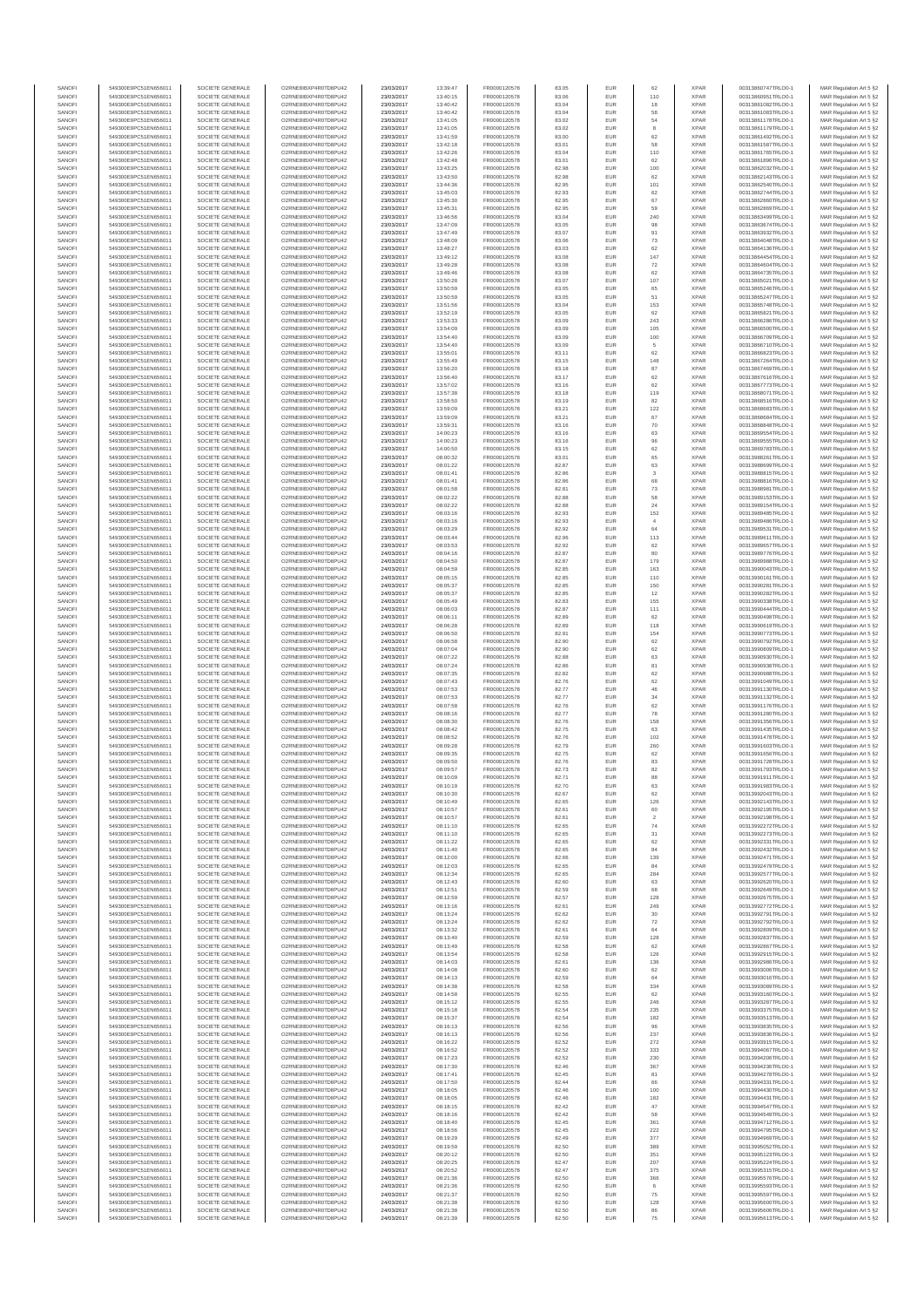| SANOF            | 549300E9PC51EN656011                         | SOCIETE GENERALE                     | O2RNE8IBXP4R0TD8PU42                          | 23/03/2017               | 13:39:47             | FR0000120578                 | 83.05          | EUR               | 62                            | <b>XPAR</b>                | 00313860747TRLO0-1                       | MAR Regulation Art 5 §2                            |
|------------------|----------------------------------------------|--------------------------------------|-----------------------------------------------|--------------------------|----------------------|------------------------------|----------------|-------------------|-------------------------------|----------------------------|------------------------------------------|----------------------------------------------------|
| SANOFI<br>SANOFI | 549300E9PC51EN656011<br>549300E9PC51EN656011 | SOCIETE GENERALE<br>SOCIETE GENERALE | O2RNE8IBXP4R0TD8PU42                          | 23/03/2017<br>23/03/2017 | 13:40:15<br>13:40:42 | FR0000120578<br>FR0000120578 | 83.06          | EUR<br>EUR        | 110<br>18                     | <b>XPAR</b><br><b>XPAR</b> | 00313860951TRLO0-1<br>00313861082TRLO0-1 | MAR Regulation Art 5 §2                            |
| SANOFI           | 549300E9PC51EN656011                         | SOCIETE GENERALE                     | O2RNE8IBXP4R0TD8PU42<br>O2RNE8IBXP4R0TD8PU42  | 23/03/2017               | 13:40:42             | FR0000120578                 | 83.04<br>83.04 | EUR               | 58                            | <b>XPAR</b>                | 00313861083TRLO0-1                       | MAR Regulation Art 5 §2<br>MAR Regulation Art 5 §2 |
| SANOFI           | 549300E9PC51EN656011                         | SOCIETE GENERALE                     | O2RNE8IBXP4R0TD8PU42                          | 23/03/2017               | 13:41:05             | FR0000120578                 | 83.02          | EUR               | 54                            | <b>XPAR</b>                | 00313861178TRLO0-1                       | MAR Regulation Art 5 §2                            |
| SANOFI           | 549300E9PC51EN656011                         | SOCIETE GENERALE                     | O2RNE8IBXP4R0TD8PU42                          | 23/03/2017               | 13:41:05             | FR0000120578                 | 83.02          | EUR               | 8                             | <b>XPAR</b>                | 00313861179TRLO0-1                       | MAR Regulation Art 5 §2                            |
| SANOFI<br>SANOFI | 549300E9PC51EN656011<br>549300E9PC51EN656011 | SOCIETE GENERALE<br>SOCIETE GENERALE | O2RNE8IBXP4R0TD8PLI42<br>O2RNE8IBXP4R0TD8PU42 | 23/03/2017<br>23/03/2017 | 13:41:59<br>13:42:18 | FR0000120578<br>FR0000120578 | 83.00<br>83.01 | EUR<br>EUR        | 62<br>58                      | <b>XPAR</b><br><b>XPAR</b> | 00313861492TRLO0-1<br>00313861587TRLO0-1 | MAR Regulation Art 5 §2<br>MAR Regulation Art 5 §2 |
| SANOFI           | 549300E9PC51EN656011                         | SOCIETE GENERALE                     | O2RNE8IBXP4R0TD8PU42                          | 23/03/2017               | 13:42:26             | FR0000120578                 | 83.04          | EUR               | 110                           | <b>XPAR</b>                | 00313861765TRLO0-1                       | MAR Regulation Art 5 §2                            |
| SANOFI           | 549300E9PC51EN656011                         | SOCIETE GENERALE                     | O2RNE8IBXP4R0TD8PU42                          | 23/03/2017               | 13:42:48             | FR0000120578                 | 83.01          | EUR               | 62                            | <b>XPAR</b>                | 00313861896TRLO0-1                       | MAR Regulation Art 5 §2                            |
| SANOFI<br>SANOFI | 549300E9PC51EN656011<br>549300E9PC51EN656011 | SOCIETE GENERALE<br>SOCIETE GENERALE | O2RNE8IBXP4R0TD8PU42<br>O2RNE8IBXP4R0TD8PU42  | 23/03/2017<br>23/03/2017 | 13:43:25<br>13:43:50 | FR0000120578<br>FR0000120578 | 82.98<br>82.98 | EUR<br>EUR        | 100<br>62                     | <b>XPAR</b><br><b>XPAR</b> | 00313862032TRLO0-1<br>00313862143TRLO0-1 | MAR Regulation Art 5 §2<br>MAR Regulation Art 5 §2 |
| SANOFI           | 549300E9PC51EN656011                         | SOCIETE GENERALE                     | O2RNE8IBXP4R0TD8PU42                          | 23/03/2017               | 13:44:36             | FR0000120578                 | 82.95          | EUR               | 101                           | <b>XPAR</b>                | 00313862540TRLO0-1                       | MAR Regulation Art 5 §2                            |
| SANOFI           | 549300E9PC51EN656011                         | SOCIETE GENERALE                     | O2RNE8IBXP4R0TD8PU42                          | 23/03/2017               | 13:45:03             | FR0000120578                 | 82.93          | EUR               | 62                            | <b>XPAR</b>                | 00313862744TRLO0-1                       | MAR Regulation Art 5 §2                            |
| SANOFI           | 549300E9PC51EN656011                         | SOCIETE GENERALE                     | O2RNE8IBXP4R0TD8PU42                          | 23/03/2017               | 13:45:30             | FR0000120578                 | 82.95          | EUR               | 67                            | <b>XPAR</b>                | 00313862860TRLO0-1                       | MAR Regulation Art 5 §2                            |
| SANOFI<br>SANOFI | 549300E9PC51EN656011<br>549300E9PC51EN656011 | SOCIETE GENERALE<br>SOCIETE GENERALE | O2RNE8IBXP4R0TD8PU42<br>O2RNE8IBXP4R0TD8PU42  | 23/03/2017<br>23/03/2017 | 13:45:31<br>13:46:56 | FR0000120578<br>FR0000120578 | 82.95<br>83.04 | EUR<br>EUR        | 59<br>240                     | <b>XPAR</b><br><b>XPAR</b> | 00313862869TRLO0-1<br>00313863499TRLO0-1 | MAR Regulation Art 5 §2<br>MAR Regulation Art 5 §2 |
| SANOFI           | 549300E9PC51EN656011                         | SOCIETE GENERALE                     | O2RNE8IBXP4R0TD8PU42                          | 23/03/2017               | 13:47:09             | FR0000120578                 | 83.05          | EUR               | 98                            | <b>XPAR</b>                | 00313863674TRLO0-1                       | MAR Regulation Art 5 §2                            |
| SANOFI           | 549300E9PC51EN656011                         | SOCIETE GENERALE                     | O2RNE8IBXP4R0TD8PU42                          | 23/03/2017               | 13:47:49             | FR0000120578                 | 83.07          | EUR               | 91                            | <b>XPAR</b>                | 00313863932TRLO0-1                       | MAR Regulation Art 5 §2                            |
| SANOFI           | 549300E9PC51EN656011                         | SOCIETE GENERALE                     | O2RNE8IBXP4R0TD8PU42                          | 23/03/2017               | 13:48:09             | FR0000120578                 | 83.06          | EUR               | 73                            | <b>XPAR</b>                | 00313864048TRLO0-1                       | MAR Regulation Art 5 §2                            |
| SANOFI<br>SANOFI | 549300E9PC51EN656011<br>549300E9PC51EN656011 | SOCIETE GENERALE<br>SOCIETE GENERALE | O2RNE8IBXP4R0TD8PU42<br>O2RNE8IBXP4R0TD8PU42  | 23/03/2017<br>23/03/2017 | 13:48:27<br>13:49:12 | FR0000120578<br>FR0000120578 | 83.03<br>83.08 | EUR<br>EUR        | 62<br>147                     | <b>XPAR</b><br><b>XPAR</b> | 00313864136TRLO0-1<br>00313864454TRLO0-1 | MAR Regulation Art 5 §2<br>MAR Regulation Art 5 §2 |
| SANOFI           | 549300E9PC51EN656011                         | SOCIETE GENERALE                     | O2RNE8IBXP4R0TD8PU42                          | 23/03/2017               | 13:49:28             | FR0000120578                 | 83.08          | EUR               | 72                            | <b>XPAR</b>                | 00313864604TRLO0-1                       | MAR Regulation Art 5 §2                            |
| SANOFI           | 549300E9PC51EN656011                         | SOCIETE GENERALE                     | O2RNE8IBXP4R0TD8PU42                          | 23/03/2017               | 13:49:46             | FR0000120578                 | 83.08          | EUR               | 62                            | <b>XPAR</b>                | 00313864735TRLO0-1                       | MAR Regulation Art 5 §2                            |
| SANOFI<br>SANOFI | 549300E9PC51EN656011<br>549300E9PC51EN656011 | SOCIETE GENERALE<br>SOCIETE GENERALE | O2RNE8IBXP4R0TD8PU42<br>O2RNE8IBXP4R0TD8PU42  | 23/03/2017<br>23/03/2017 | 13:50:28<br>13:50:59 | FR0000120578<br>FR0000120578 | 83.07<br>83.05 | EUR<br>EUR        | 107<br>65                     | <b>XPAR</b><br><b>XPAR</b> | 00313865021TRLO0-1<br>00313865246TRLO0-1 | MAR Regulation Art 5 §2<br>MAR Regulation Art 5 §2 |
| SANOFI           | 549300E9PC51EN656011                         | SOCIETE GENERALE                     | O2RNE8IBXP4R0TD8PU42                          | 23/03/2017               | 13:50:59             | FR0000120578                 | 83.05          | EUR               | 51                            | <b>XPAR</b>                | 00313865247TRLO0-1                       | MAR Regulation Art 5 §2                            |
| SANOFI           | 549300E9PC51EN656011                         | SOCIETE GENERALE                     | O2RNE8IBXP4R0TD8PU42                          | 23/03/2017               | 13:51:56             | FR0000120578                 | 83.04          | EUR               | 153                           | <b>XPAR</b>                | 00313865748TRLO0-1                       | MAR Regulation Art 5 §2                            |
| SANOFI           | 549300E9PC51EN656011                         | SOCIETE GENERALE                     | O2RNE8IBXP4R0TD8PU42                          | 23/03/2017               | 13:52:19             | FR0000120578                 | 83.05          | EUR               | $62\,$                        | <b>XPAR</b>                | 00313865821TRLO0-1                       | MAR Regulation Art 5 §2                            |
| SANOFI<br>SANOFI | 549300E9PC51EN656011<br>549300E9PC51EN656011 | SOCIETE GENERALE<br>SOCIETE GENERALE | O2RNE8IBXP4R0TD8PU42<br>O2RNE8IBXP4R0TD8PU42  | 23/03/2017<br>23/03/2017 | 13:53:33<br>13:54:09 | FR0000120578<br>FR0000120578 | 83.09<br>83.09 | EUR<br>EUR        | 243<br>105                    | <b>XPAR</b><br><b>XPAR</b> | 00313866286TRLO0-1<br>00313866500TRLO0-1 | MAR Regulation Art 5 §2<br>MAR Regulation Art 5 §2 |
| SANOFI           | 549300E9PC51EN656011                         | SOCIETE GENERALE                     | O2RNE8IBXP4R0TD8PU42                          | 23/03/2017               | 13:54:40             | FR0000120578                 | 83.09          | EUR               | 100                           | <b>XPAR</b>                | 00313866709TRLO0-1                       | MAR Regulation Art 5 §2                            |
| SANOFI           | 549300E9PC51EN656011                         | SOCIETE GENERALE                     | O2RNE8IBXP4R0TD8PU42                          | 23/03/2017               | 13:54:40             | FR0000120578                 | 83.09          | EUR               | 5                             | <b>XPAR</b>                | 00313866710TRLO0-1                       | MAR Regulation Art 5 §2                            |
| SANOFI<br>SANOFI | 549300E9PC51EN656011<br>549300E9PC51EN656011 | SOCIETE GENERALE<br>SOCIETE GENERALE | O2RNE8IBXP4R0TD8PU42<br>O2RNE8IBXP4R0TD8PU42  | 23/03/2017<br>23/03/2017 | 13:55:01<br>13:55:49 | FR0000120578<br>FR0000120578 | 83.11<br>83.15 | EUR<br>EUR        | 62<br>148                     | <b>XPAR</b><br><b>XPAR</b> | 00313866823TRLO0-1<br>00313867264TRLO0-1 | MAR Regulation Art 5 §2                            |
| SANOFI           | 549300E9PC51EN656011                         | SOCIETE GENERALE                     | O2RNE8IBXP4R0TD8PU42                          | 23/03/2017               | 13:56:20             | FR0000120578                 | 83.18          | EUR               | 87                            | <b>XPAR</b>                | 00313867469TRLO0-1                       | MAR Regulation Art 5 §2<br>MAR Regulation Art 5 §2 |
| SANOFI           | 549300E9PC51EN656011                         | SOCIETE GENERALE                     | O2RNE8IBXP4R0TD8PU42                          | 23/03/2017               | 13:56:40             | FR0000120578                 | 83.17          | EUR               | 62                            | <b>XPAR</b>                | 00313867616TRLO0-1                       | MAR Regulation Art 5 §2                            |
| SANOFI           | 549300E9PC51EN656011                         | SOCIETE GENERALE                     | O2RNE8IBXP4R0TD8PU42                          | 23/03/2017               | 13:57:02             | FR0000120578                 | 83.16          | EUR               | 62                            | <b>XPAR</b>                | 00313867773TRLO0-1                       | MAR Regulation Art 5 §2                            |
| SANOFI<br>SANOFI | 549300E9PC51EN656011<br>549300E9PC51EN656011 | SOCIETE GENERALE<br>SOCIETE GENERALE | O2RNE8IBXP4R0TD8PU42<br>O2RNE8IBXP4R0TD8PU42  | 23/03/2017<br>23/03/2017 | 13:57:38<br>13:58:50 | FR0000120578<br>FR0000120578 | 83.18<br>83.19 | EUR<br>EUR        | 119<br>82                     | <b>XPAR</b><br><b>XPAR</b> | 00313868071TRLO0-1<br>00313868516TRLO0-1 | MAR Regulation Art 5 §2<br>MAR Regulation Art 5 §2 |
| SANOFI           | 549300E9PC51EN656011                         | SOCIETE GENERALE                     | O2RNE8IBXP4R0TD8PU42                          | 23/03/2017               | 13:59:09             | FR0000120578                 | 83.21          | EUR               | 122                           | <b>XPAR</b>                | 00313868683TRLO0-1                       | MAR Regulation Art 5 §2                            |
| SANOFI           | 549300E9PC51EN656011                         | SOCIETE GENERALE                     | O2RNE8IBXP4R0TD8PU42                          | 23/03/2017               | 13:59:09             | FR0000120578                 | 83.21          | EUR               | 67                            | <b>XPAR</b>                | 00313868684TRLO0-1                       | MAR Regulation Art 5 §2                            |
| SANOFI           | 549300E9PC51EN656011                         | SOCIETE GENERALE<br>SOCIETE GENERALE | O2RNE8IBXP4R0TD8PU42                          | 23/03/2017               | 13:59:31             | FR0000120578                 | 83.16          | EUR               | 70                            | <b>XPAR</b>                | 00313868848TRLO0-1                       | MAR Regulation Art 5 §2                            |
| SANOFI<br>SANOFI | 549300E9PC51EN656011<br>549300E9PC51EN656011 | SOCIETE GENERALE                     | O2RNE8IBXP4R0TD8PU42<br>O2RNE8IBXP4R0TD8PU42  | 23/03/2017<br>23/03/2017 | 14:00:23<br>14:00:23 | FR0000120578<br>FR0000120578 | 83.16<br>83.16 | EUR<br>EUR        | 63<br>96                      | <b>XPAR</b><br><b>XPAR</b> | 00313869554TRLO0-1<br>00313869555TRLO0-1 | MAR Regulation Art 5 §2<br>MAR Regulation Art 5 §2 |
| SANOFI           | 549300E9PC51EN656011                         | SOCIETE GENERALE                     | O2RNE8IBXP4R0TD8PU42                          | 23/03/2017               | 14:00:50             | FR0000120578                 | 83.15          | EUR               | 62                            | <b>XPAR</b>                | 00313869783TRLO0-1                       | MAR Regulation Art 5 §2                            |
| SANOFI           | 549300E9PC51EN656011                         | SOCIETE GENERALE                     | O2RNE8IBXP4R0TD8PU42                          | 23/03/2017               | 08:00:32             | FR0000120578                 | 83.01          | EUR               | 65                            | <b>XPAR</b>                | 00313988261TRLO0-1                       | MAR Regulation Art 5 §2                            |
| SANOFI           | 549300E9PC51EN656011                         | SOCIETE GENERALE                     | O2RNE8IBXP4R0TD8PU42<br>O2RNE8IBXP4R0TD8PU42  | 23/03/2017               | 08:01:22             | FR0000120578                 | 82.87          | EUR               | 63                            | <b>XPAR</b>                | 00313988699TRLO0-1                       | MAR Regulation Art 5 §2                            |
| SANOFI<br>SANOFI | 549300E9PC51EN656011<br>549300E9PC51EN656011 | SOCIETE GENERALE<br>SOCIETE GENERALE | O2RNE8IBXP4R0TD8PU42                          | 23/03/2017<br>23/03/2017 | 08:01:41<br>08:01:41 | FR0000120578<br>FR0000120578 | 82.86<br>82.86 | EUR<br>EUR        | 3<br>68                       | <b>XPAR</b><br><b>XPAR</b> | 00313988815TRLO0-1<br>00313988816TRLO0-1 | MAR Regulation Art 5 §2<br>MAR Regulation Art 5 §2 |
| SANOFI           | 549300E9PC51EN656011                         | SOCIETE GENERALE                     | O2RNE8IBXP4R0TD8PU42                          | 23/03/2017               | 08:01:58             | FR0000120578                 | 82.81          | EUR               | 73                            | <b>XPAR</b>                | 00313988981TRLO0-1                       | MAR Regulation Art 5 §2                            |
| SANOFI           | 549300E9PC51EN656011                         | SOCIETE GENERALE                     | O2RNE8IBXP4R0TD8PU42                          | 23/03/2017               | 08:02:22             | FR0000120578                 | 82.88          | EUR               | 58                            | <b>XPAR</b>                | 00313989153TRLO0-1                       | MAR Regulation Art 5 §2                            |
| SANOFI<br>SANOFI | 549300E9PC51EN656011                         | SOCIETE GENERALE                     | O2RNE8IBXP4R0TD8PU42                          | 23/03/2017               | 08:02:22             | FR0000120578<br>FR0000120578 | 82.88<br>82.93 | EUR<br>EUR        | 24<br>152                     | <b>XPAR</b><br><b>XPAR</b> | 00313989154TRLO0-1                       | MAR Regulation Art 5 §2<br>MAR Regulation Art 5 §2 |
| SANOFI           | 549300E9PC51EN656011<br>549300E9PC51EN656011 | SOCIETE GENERALE<br>SOCIETE GENERALE | O2RNE8IBXP4R0TD8PU42<br>O2RNE8IBXP4R0TD8PU42  | 23/03/2017<br>23/03/2017 | 08:03:16<br>08:03:16 | FR0000120578                 | 82.93          | EUR               | $\overline{4}$                | <b>XPAR</b>                | 00313989485TRLO0-1<br>00313989486TRLO0-1 | MAR Regulation Art 5 §2                            |
| SANOFI           | 549300E9PC51EN656011                         | SOCIETE GENERALE                     | O2RNE8IBXP4R0TD8PU42                          | 23/03/2017               | 08:03:29             | FR0000120578                 | 82.92          | EUR               | 64                            | <b>XPAR</b>                | 00313989531TRLO0-1                       | MAR Regulation Art 5 §2                            |
| SANOFI           | 549300E9PC51EN656011                         | SOCIETE GENERALE                     | O2RNE8IBXP4R0TD8PU42                          | 23/03/2017               | 08:03:44             | FR0000120578                 | 82.96          | EUR               | 113                           | <b>XPAR</b>                | 00313989611TRLO0-1                       | MAR Regulation Art 5 §2                            |
| SANOFI<br>SANOFI | 549300E9PC51EN656011<br>549300E9PC51EN656011 | SOCIETE GENERALE<br>SOCIETE GENERALE | O2RNE8IBXP4R0TD8PU42<br>O2RNE8IBXP4R0TD8PU42  | 23/03/2017<br>24/03/2017 | 08:03:53<br>08:04:16 | FR0000120578<br>FR0000120578 | 82.92<br>82.87 | EUR<br>EUR        | 62<br>80                      | <b>XPAR</b><br><b>XPAR</b> | 00313989657TRLO0-1<br>00313989776TRLO0-1 | MAR Regulation Art 5 §2<br>MAR Regulation Art 5 §2 |
| SANOFI           | 549300E9PC51EN656011                         | SOCIETE GENERALE                     | O2RNE8IBXP4R0TD8PU42                          | 24/03/2017               | 08:04:50             | FR0000120578                 | 82.87          | EUR               | 179                           | <b>XPAR</b>                | 00313989988TRLO0-1                       | MAR Regulation Art 5 §2                            |
| SANOFI           | 549300E9PC51EN656011                         | SOCIETE GENERALE                     | O2RNE8IBXP4R0TD8PU42                          | 24/03/2017               | 08:04:59             | FR0000120578                 | 82.85          | EUR               | 163                           | <b>XPAR</b>                | 00313990043TRLO0-1                       | MAR Regulation Art 5 §2                            |
| SANOFI           | 549300E9PC51EN656011                         | SOCIETE GENERALE                     | O2RNE8IBXP4R0TD8PU42                          | 24/03/2017               | 08:05:15             | FR0000120578                 | 82.85          | EUR               | 110                           | <b>XPAR</b>                | 00313990161TRLO0-1                       | MAR Regulation Art 5 §2                            |
| SANOFI<br>SANOFI | 549300E9PC51EN656011<br>549300E9PC51EN656011 | SOCIETE GENERALE<br>SOCIETE GENERALE | O2RNE8IBXP4R0TD8PU42<br>O2RNE8IBXP4R0TD8PU42  | 24/03/2017<br>24/03/2017 | 08:05:37<br>08:05:37 | FR0000120578<br>FR0000120578 | 82.85<br>82.85 | EUR<br>EUR        | 150<br>$12\,$                 | <b>XPAR</b><br><b>XPAR</b> | 00313990281TRLO0-1<br>00313990282TRLO0-1 | MAR Regulation Art 5 §2<br>MAR Regulation Art 5 §2 |
| SANOFI           | 549300E9PC51EN656011                         | SOCIETE GENERALE                     | O2RNE8IBXP4R0TD8PU42                          | 24/03/2017               | 08:05:49             | FR0000120578                 | 82.83          | EUR               | 155                           | <b>XPAR</b>                | 00313990338TRLO0-1                       | MAR Regulation Art 5 §2                            |
| SANOFI           | 549300E9PC51EN656011                         | SOCIETE GENERALE                     | O2RNE8IBXP4R0TD8PU42                          | 24/03/2017               | 08:06:03             | FR0000120578                 | 82.87          | EUR               | 111                           | <b>XPAR</b>                | 00313990444TRLO0-1                       | MAR Regulation Art 5 §2                            |
| SANOFI           | 549300E9PC51EN656011                         | SOCIETE GENERALE                     | O2RNE8IBXP4R0TD8PU42                          | 24/03/2017               | 08:06:11             | FR0000120578                 | 82.89          | EUR               | 62                            | <b>XPAR</b>                | 00313990498TRLO0-1                       | MAR Regulation Art 5 §2                            |
| SANOFI<br>SANOFI | 549300E9PC51EN656011<br>549300E9PC51EN656011 | SOCIETE GENERALE<br>SOCIETE GENERALE | O2RNE8IBXP4R0TD8PU42<br>O2RNE8IBXP4R0TD8PU42  | 24/03/2017<br>24/03/2017 | 08:06:28<br>08:06:50 | FR0000120578<br>FR0000120578 | 82.89<br>82.91 | EUR<br>EUR        | 118<br>154                    | <b>XPAR</b><br><b>XPAR</b> | 00313990619TRLO0-1<br>00313990773TRLO0-1 | MAR Regulation Art 5 §2<br>MAR Regulation Art 5 §2 |
| SANOFI           | 549300E9PC51EN656011                         | SOCIETE GENERALE                     | O2RNE8IBXP4R0TD8PU42                          | 24/03/2017               | 08:06:58             | FR0000120578                 | 82.90          | EUR               | 62                            | <b>XPAR</b>                | 00313990792TRLO0-1                       | MAR Regulation Art 5 §2                            |
| SANOFI           | 549300E9PC51EN656011                         | SOCIETE GENERALE                     | O2RNE8IBXP4R0TD8PU42                          | 24/03/2017               | 08:07:04             | FR0000120578                 | 82.90          | EUR               | 62                            | <b>XPAR</b>                | 00313990809TRLO0-1                       | MAR Regulation Art 5 §2                            |
| SANOFI<br>SANOFI | 549300E9PC51EN656011<br>549300E9PC51EN656011 | SOCIETE GENERALE<br>SOCIETE GENERALE | O2RNE8IBXP4R0TD8PU42<br>O2RNE8IBXP4R0TD8PU42  | 24/03/2017<br>24/03/2017 | 08:07:22<br>08:07:24 | FR0000120578<br>FR0000120578 | 82.88<br>82.86 | EUR<br>EUR        | 63<br>81                      | <b>XPAR</b><br><b>XPAR</b> | 00313990930TRLO0-1<br>00313990938TRLO0-1 | MAR Regulation Art 5 §2<br>MAR Regulation Art 5 §2 |
| SANOFI           | 549300E9PC51EN656011                         | SOCIETE GENERALE                     | O2RNE8IBXP4R0TD8PU42                          | 24/03/2017               | 08:07:35             | FR0000120578                 | 82.82          | EUR               | 62                            | <b>XPAR</b>                | 00313990988TRLO0-1                       | MAR Regulation Art 5 §2                            |
| SANOFI           | 549300E9PC51EN656011                         | SOCIETE GENERALE                     | O2RNE8IBXP4R0TD8PU42                          | 24/03/2017               | 08:07:43             | FR0000120578                 | 82.76          | EUR               | 62                            | <b>XPAR</b>                | 00313991049TRLO0-1                       | MAR Regulation Art 5 §2                            |
| SANOFI<br>SANOFI | 549300E9PC51EN656011<br>549300E9PC51EN656011 | SOCIETE GENERALE<br>SOCIETE GENERALE | O2RNE8IBXP4R0TD8PU42<br>O2RNE8IBXP4R0TD8PU42  | 24/03/2017<br>24/03/2017 | 08:07:53<br>08:07:53 | FR0000120578<br>FR0000120578 | 82.77<br>82.77 | EUR<br>EUR        | 46                            | <b>XPAR</b><br><b>XPAR</b> | 00313991130TRLO0-1<br>00313991132TRLO0-1 | MAR Regulation Art 5 §2                            |
| SANOFI           | 549300E9PC51EN656011                         | SOCIETE GENERALE                     | O2RNE8IBXP4R0TD8PU42                          | 24/03/2017               | 08:07:58             | FR0000120578                 | 82.76          | EUR               | 34<br>62                      | <b>XPAR</b>                | 00313991176TRLO0-1                       | MAR Regulation Art 5 §2<br>MAR Regulation Art 5 §2 |
| SANOFI           | 549300E9PC51EN656011                         | SOCIETE GENERALE                     | O2RNE8IBXP4R0TD8PU42                          | 24/03/2017               | 08:08:16             | FR0000120578                 | 82.77          | EUR               | ${\bf 78}$                    | <b>XPAR</b>                | 00313991280TRLO0-1                       | MAR Regulation Art 5 §2                            |
| SANOFI           | 549300E9PC51EN656011                         | SOCIETE GENERALE                     | O2RNE8IBXP4R0TD8PU42                          | 24/03/2017               | 08:08:30             | FR0000120578                 | 82.76          | EUR               | 158                           | <b>XPAR</b>                | 00313991356TRLO0-1                       | MAR Regulation Art 5 §2                            |
| SANOFI<br>SANOFI | 549300E9PC51EN656011<br>549300E9PC51EN656011 | SOCIETE GENERALE<br>SOCIETE GENERALE | O2RNE8IBXP4R0TD8PU42<br>O2RNE8IBXP4R0TD8PU42  | 24/03/2017<br>24/03/2017 | 08:08:42<br>08:08:52 | FR0000120578<br>FR0000120578 | 82.75          | EUR<br>EUR        | 63<br>102                     | <b>XPAR</b><br><b>XPAR</b> | 00313991435TRLO0-1<br>00313991478TRLO0-1 | MAR Regulation Art 5 §2<br>MAR Regulation Art 5 §2 |
| SANOFI           | 549300E9PC51EN656011                         | SOCIETE GENERALE                     | O2RNE8IBXP4R0TD8PU42                          | 24/03/2017               | 08:09:28             | FR0000120578                 | 82.76<br>82.79 | EUR               | 260                           | <b>XPAR</b>                | 00313991603TRLO0-1                       | MAR Regulation Art 5 §2                            |
| SANOFI           | 549300E9PC51EN656011                         | SOCIETE GENERALE                     | O2RNE8IBXP4R0TD8PU42                          | 24/03/2017               | 08:09:35             | FR0000120578                 | 82.75          | EUR               | 62                            | <b>XPAR</b>                | 00313991656TRLO0-1                       | MAR Regulation Art 5 §2                            |
| SANOFI           | 549300E9PC51EN656011                         | SOCIETE GENERALE                     | O2RNE8IBXP4R0TD8PU42                          | 24/03/2017               | 08:09:50             | FR0000120578                 | 82.76          | EUR               | 83                            | <b>XPAR</b>                | 00313991728TRLO0-1                       | MAR Regulation Art 5 §2                            |
| SANOFI<br>SANOFI | 549300E9PC51EN656011<br>549300E9PC51EN656011 | SOCIETE GENERALE<br>SOCIETE GENERALE | O2RNE8IBXP4R0TD8PU42<br>O2RNE8IBXP4R0TD8PU42  | 24/03/2017<br>24/03/2017 | 08:09:57<br>08:10:09 | FR0000120578<br>FR0000120578 | 82.73<br>82.71 | EUR<br>EUR        | 82<br>88                      | <b>XPAR</b><br><b>XPAR</b> | 00313991793TRLO0-1<br>00313991911TRLO0-1 | MAR Regulation Art 5 §2<br>MAR Regulation Art 5 §2 |
| SANOFI           | 549300E9PC51EN656011                         | SOCIETE GENERALE                     | O2RNE8IBXP4R0TD8PU42                          | 24/03/2017               | 08:10:19             | FR0000120578                 | 82.70          | EUR               | 63                            | <b>XPAR</b>                | 00313991983TRLO0-1                       | MAR Regulation Art 5 §2                            |
| SANOFI           | 549300E9PC51EN656011                         | SOCIETE GENERALE                     | O2RNE8IBXP4R0TD8PU42                          | 24/03/2017               | 08:10:30             | FR0000120578                 | 82.67          | EUR               | 62                            | <b>XPAR</b>                | 00313992043TRLO0-1                       | MAR Regulation Art 5 §2                            |
| SANOFI<br>SANOFI | 549300E9PC51EN656011<br>549300E9PC51EN656011 | SOCIETE GENERALE<br>SOCIETE GENERALE | O2RNE8IBXP4R0TD8PU42<br>O2RNE8IBXP4R0TD8PU42  | 24/03/2017               | 08:10:49             | FR0000120578                 | 82.65          | EUR<br>EUR        | 126                           | <b>XPAR</b><br><b>XPAR</b> | 00313992143TRLO0-1                       | MAR Regulation Art 5 §2                            |
| SANOFI           | 549300E9PC51EN656011                         | SOCIETE GENERALE                     | O2RNE8IBXP4R0TD8PU42                          | 24/03/2017<br>24/03/2017 | 08:10:57<br>08:10:57 | FR0000120578<br>FR0000120578 | 82.61<br>82.61 | EUR               | 60<br>$\overline{\mathbf{2}}$ | <b>XPAR</b>                | 00313992195TRLO0-1<br>00313992198TRLO0-1 | MAR Regulation Art 5 §2<br>MAR Regulation Art 5 §2 |
| SANOFI           | 549300E9PC51EN656011                         | SOCIETE GENERALE                     | O2RNE8IBXP4R0TD8PU42                          | 24/03/2017               | 08:11:10             | FR0000120578                 | 82.65          | EUR               | 74                            | <b>XPAR</b>                | 00313992272TRLO0-1                       | MAR Regulation Art 5 §2                            |
| SANOFI           | 549300E9PC51EN656011                         | SOCIETE GENERALE                     | O2RNE8IBXP4R0TD8PU42                          | 24/03/2017               | 08:11:10             | FR0000120578                 | 82.65          | EUR               | 31                            | <b>XPAR</b>                | 00313992273TRLO0-1                       | MAR Regulation Art 5 §2                            |
| SANOFI<br>SANOFI | 549300E9PC51EN656011<br>549300E9PC51EN656011 | SOCIETE GENERALE<br>SOCIETE GENERALE | O2RNE8IBXP4R0TD8PU42<br>O2RNE8IBXP4R0TD8PU42  | 24/03/2017<br>24/03/2017 | 08:11:22<br>08:11:40 | FR0000120578<br>FR0000120578 | 82.65<br>82.65 | <b>EUR</b><br>EUR | 62<br>84                      | <b>XPAR</b><br><b>XPAR</b> | 00313992331TRLO0-1<br>00313992432TRLO0-1 | MAR Regulation Art 5 §2<br>MAR Regulation Art 5 §2 |
| SANOFI           | 549300E9PC51EN656011                         | SOCIETE GENERALE                     | O2RNE8IBXP4R0TD8PU42                          | 24/03/2017               | 08:12:00             | FR0000120578                 | 82.66          | EUR               | 139                           | <b>XPAR</b>                | 00313992471TRLO0-1                       | MAR Regulation Art 5 §2                            |
| SANOFI           | 549300E9PC51EN656011                         | SOCIETE GENERALE                     | O2RNE8IBXP4R0TD8PU42                          | 24/03/2017               | 08:12:03             | FR0000120578                 | 82.65          | EUR               | 84                            | <b>XPAR</b>                | 00313992479TRLO0-1                       | MAR Regulation Art 5 §2                            |
| SANOFI<br>SANOFI | 549300E9PC51EN656011<br>549300E9PC51EN656011 | SOCIETE GENERALE<br>SOCIETE GENERALE | O2RNE8IBXP4R0TD8PU42<br>O2RNE8IBXP4R0TD8PU42  | 24/03/2017<br>24/03/2017 | 08:12:34<br>08:12:43 | FR0000120578<br>FR0000120578 | 82.65<br>82.60 | EUR<br><b>EUR</b> | 284<br>63                     | <b>XPAR</b><br><b>XPAR</b> | 00313992577TRLO0-1<br>00313992620TRLO0-1 | MAR Regulation Art 5 §2<br>MAR Regulation Art 5 §2 |
| SANOFI           | 549300E9PC51EN656011                         | SOCIETE GENERALE                     | O2RNE8IBXP4R0TD8PU42                          | 24/03/2017               | 08:12:51             | FR0000120578                 | 82.59          | EUR               | 68                            | <b>XPAR</b>                | 00313992649TRLO0-1                       | MAR Regulation Art 5 §2                            |
| SANOFI           | 549300E9PC51EN656011                         | SOCIETE GENERALE                     | O2RNE8IBXP4R0TD8PU42                          | 24/03/2017               | 08:12:59             | FR0000120578                 | 82.57          | <b>EUR</b>        | 128                           | <b>XPAR</b>                | 00313992675TRLO0-1                       | MAR Regulation Art 5 §2                            |
| SANOFI<br>SANOFI | 549300E9PC51EN656011<br>549300E9PC51EN656011 | SOCIETE GENERALE<br>SOCIETE GENERALE | O2RNE8IBXP4R0TD8PU42<br>O2RNE8IBXP4R0TD8PU42  | 24/03/2017<br>24/03/2017 | 08:13:16<br>08:13:24 | FR0000120578<br>FR0000120578 | 82.61<br>82.62 | EUR<br>EUR        | 249<br>30                     | <b>XPAR</b><br><b>XPAR</b> | 00313992772TRLO0-1<br>00313992791TRLO0-1 | MAR Regulation Art 5 §2<br>MAR Regulation Art 5 §2 |
| SANOFI           | 549300E9PC51EN656011                         | SOCIETE GENERALE                     | O2RNE8IBXP4R0TD8PU42                          | 24/03/2017               | 08:13:24             | FR0000120578                 | 82.62          | EUR               | $\scriptstyle{72}$            | <b>XPAR</b>                | 00313992792TRLO0-1                       | MAR Regulation Art 5 §2                            |
| SANOFI           | 549300E9PC51EN656011                         | SOCIETE GENERALE                     | O2RNE8IBXP4R0TD8PU42                          | 24/03/2017               | 08:13:32             | FR0000120578                 | 82.61          | EUR               | 64                            | <b>XPAR</b>                | 00313992809TRLO0-1                       | MAR Regulation Art 5 §2                            |
| SANOFI<br>SANOFI | 549300E9PC51EN656011<br>549300E9PC51EN656011 | SOCIETE GENERALE<br>SOCIETE GENERALE | O2RNE8IBXP4R0TD8PU42<br>O2RNE8IBXP4R0TD8PU42  | 24/03/2017<br>24/03/2017 | 08:13:40<br>08:13:49 | FR0000120578<br>FR0000120578 | 82.59<br>82.58 | EUR<br>EUR        | 128<br>62                     | <b>XPAR</b><br><b>XPAR</b> | 00313992837TRLO0-1<br>00313992867TRLO0-1 | MAR Regulation Art 5 §2                            |
| SANOFI           | 549300E9PC51EN656011                         | SOCIETE GENERALE                     | O2RNE8IBXP4R0TD8PU42                          | 24/03/2017               | 08:13:54             | FR0000120578                 | 82.58          | <b>EUR</b>        | 126                           | <b>XPAR</b>                | 00313992915TRLO0-1                       | MAR Regulation Art 5 §2<br>MAR Regulation Art 5 §2 |
| SANOFI           | 549300E9PC51EN656011                         | SOCIETE GENERALE                     | O2RNE8IBXP4R0TD8PU42                          | 24/03/2017               | 08:14:03             | FR0000120578                 | 82.61          | EUR               | 136                           | <b>XPAR</b>                | 00313992986TRLO0-1                       | MAR Regulation Art 5 §2                            |
| SANOFI           | 549300E9PC51EN656011                         | SOCIETE GENERALE                     | O2RNE8IBXP4R0TD8PU42                          | 24/03/2017               | 08:14:08             | FR0000120578                 | 82.60          | <b>EUR</b>        | 62                            | <b>XPAR</b>                | 00313993006TRLO0-1                       | MAR Regulation Art 5 §2                            |
| SANOFI<br>SANOFI | 549300E9PC51EN656011<br>549300E9PC51EN656011 | SOCIETE GENERALE                     | O2RNE8IBXP4R0TD8PU42<br>O2RNE8IBXP4R0TD8PU42  | 24/03/2017               | 08:14:13<br>08:14:38 | FR0000120578                 | 82.59<br>82.58 | EUR               | 64<br>334                     | <b>XPAR</b><br><b>XPAR</b> | 00313993016TRLO0-1                       | MAR Regulation Art 5 §2<br>MAR Regulation Art 5 §2 |
| SANOFI           | 549300E9PC51EN656011                         | SOCIETE GENERALE<br>SOCIETE GENERALE | O2RNE8IBXP4R0TD8PU42                          | 24/03/2017<br>24/03/2017 | 08:14:58             | FR0000120578<br>FR0000120578 | 82.55          | EUR<br>EUR        | 62                            | <b>XPAR</b>                | 00313993089TRLO0-1<br>00313993160TRLO0-1 | MAR Regulation Art 5 §2                            |
| SANOFI           | 549300E9PC51EN656011                         | SOCIETE GENERALE                     | O2RNE8IBXP4R0TD8PU42                          | 24/03/2017               | 08:15:12             | FR0000120578                 | 82.55          | EUR               | 246                           | <b>XPAR</b>                | 00313993287TRLO0-1                       | MAR Regulation Art 5 §2                            |
| SANOFI           | 549300E9PC51EN656011                         | SOCIETE GENERALE                     | O2RNE8IBXP4R0TD8PU42                          | 24/03/2017               | 08:15:18             | FR0000120578                 | 82.54          | EUR               | 235                           | <b>XPAR</b>                | 00313993375TRLO0-1                       | MAR Regulation Art 5 §2                            |
| SANOFI<br>SANOFI | 549300E9PC51EN656011<br>549300E9PC51EN656011 | SOCIETE GENERALE<br>SOCIETE GENERALE | O2RNE8IBXP4R0TD8PU42<br>O2RNE8IBXP4R0TD8PU42  | 24/03/2017<br>24/03/2017 | 08:15:37<br>08:16:13 | FR0000120578<br>FR0000120578 | 82.54<br>82.56 | EUR<br><b>EUR</b> | 182<br>96                     | <b>XPAR</b><br><b>XPAR</b> | 00313993513TRLO0-1<br>00313993835TRLO0-1 | MAR Regulation Art 5 §2<br>MAR Regulation Art 5 §2 |
| SANOFI           | 549300E9PC51EN656011                         | SOCIETE GENERALE                     | O2RNE8IBXP4R0TD8PU42                          | 24/03/2017               | 08:16:13             | FR0000120578                 | 82.56          | EUR               | 237                           | <b>XPAR</b>                | 00313993836TRLO0-1                       | MAR Regulation Art 5 §2                            |
| SANOFI           | 549300E9PC51EN656011                         | SOCIETE GENERALE                     | O2RNE8IBXP4R0TD8PU42                          | 24/03/2017               | 08:16:22             | FR0000120578                 | 82.52          | <b>EUR</b>        | 272                           | <b>XPAR</b>                | 00313993915TRLO0-1                       | MAR Regulation Art 5 §2                            |
| SANOFI<br>SANOFI | 549300E9PC51EN656011<br>549300E9PC51EN656011 | SOCIETE GENERALE<br>SOCIETE GENERALE | O2RNE8IBXP4R0TD8PU42<br>O2RNE8IBXP4R0TD8PU42  | 24/03/2017<br>24/03/2017 | 08:16:52<br>08:17:23 | FR0000120578<br>FR0000120578 | 82.52<br>82.52 | EUR<br>EUR        | 333<br>230                    | <b>XPAR</b><br><b>XPAR</b> | 00313994067TRLO0-1<br>00313994206TRLO0-1 | MAR Regulation Art 5 §2                            |
| SANOFI           | 549300E9PC51EN656011                         | SOCIETE GENERALE                     | O2RNE8IBXP4R0TD8PU42                          | 24/03/2017               | 08:17:30             | FR0000120578                 | 82.46          | EUR               | 367                           | <b>XPAR</b>                | 00313994236TRLO0-1                       | MAR Regulation Art 5 §2<br>MAR Regulation Art 5 §2 |
| SANOFI           | 549300E9PC51EN656011                         | SOCIETE GENERALE                     | O2RNE8IBXP4R0TD8PU42                          | 24/03/2017               | 08:17:41             | FR0000120578                 | 82.45          | EUR               | 81                            | <b>XPAR</b>                | 00313994278TRLO0-1                       | MAR Regulation Art 5 §2                            |
| SANOFI           | 549300E9PC51EN656011                         | SOCIETE GENERALE                     | O2RNE8IBXP4R0TD8PU42                          | 24/03/2017               | 08:17:50             | FR0000120578                 | 82.44          | EUR               | 66                            | <b>XPAR</b>                | 00313994331TRLO0-1                       | MAR Regulation Art 5 §2                            |
| SANOFI<br>SANOFI | 549300E9PC51EN656011<br>549300E9PC51EN656011 | SOCIETE GENERALE<br>SOCIETE GENERALE | O2RNE8IBXP4R0TD8PU42<br>O2RNE8IBXP4R0TD8PU42  | 24/03/2017<br>24/03/2017 | 08:18:05<br>08:18:05 | FR0000120578<br>FR0000120578 | 82.46<br>82.46 | EUR<br><b>EUR</b> | 100                           | <b>XPAR</b><br><b>XPAR</b> | 00313994430TRLO0-1<br>00313994431TRLO0-1 | MAR Regulation Art 5 §2                            |
| SANOFI           | 549300E9PC51EN656011                         | SOCIETE GENERALE                     | O2RNE8IBXP4R0TD8PU42                          | 24/03/2017               | 08:18:15             | FR0000120578                 | 82.42          | EUR               | 182<br>47                     | <b>XPAR</b>                | 00313994547TRLO0-1                       | MAR Regulation Art 5 §2<br>MAR Regulation Art 5 §2 |
| SANOFI           | 549300E9PC51EN656011                         | SOCIETE GENERALE                     | O2RNE8IBXP4R0TD8PU42                          | 24/03/2017               | 08:18:16             | FR0000120578                 | 82.42          | <b>EUR</b>        | 58                            | <b>XPAR</b>                | 00313994549TRLO0-1                       | MAR Regulation Art 5 §2                            |
| SANOFI           | 549300E9PC51EN656011                         | SOCIETE GENERALE                     | O2RNE8IBXP4R0TD8PU42                          | 24/03/2017               | 08:18:40             | FR0000120578                 | 82.45          | EUR               | 361                           | <b>XPAR</b>                | 00313994712TRLO0-1                       | MAR Regulation Art 5 §2                            |
| SANOFI<br>SANOFI | 549300E9PC51EN656011<br>549300E9PC51EN656011 | SOCIETE GENERALE<br>SOCIETE GENERALE | O2RNE8IBXP4R0TD8PU42<br>O2RNE8IBXP4R0TD8PU42  | 24/03/2017<br>24/03/2017 | 08:18:56<br>08:19:29 | FR0000120578<br>FR0000120578 | 82.45<br>82.49 | EUR<br>EUR        | 222<br>377                    | <b>XPAR</b><br><b>XPAR</b> | 00313994795TRLO0-1<br>00313994969TRLO0-1 | MAR Regulation Art 5 §2<br>MAR Regulation Art 5 §2 |
| SANOFI           | 549300E9PC51EN656011                         | SOCIETE GENERALE                     | O2RNE8IBXP4R0TD8PU42                          | 24/03/2017               | 08:19:59             | FR0000120578                 | 82.50          | EUR               | 389                           | <b>XPAR</b>                | 00313995052TRLO0-1                       | MAR Regulation Art 5 §2                            |
| SANOFI           | 549300E9PC51EN656011                         | SOCIETE GENERALE                     | O2RNE8IBXP4R0TD8PU42                          | 24/03/2017               | 08:20:12             | FR0000120578                 | 82.50          | <b>EUR</b>        | 351                           | <b>XPAR</b>                | 00313995123TRLO0-1                       | MAR Regulation Art 5 §2                            |
| SANOFI<br>SANOFI | 549300E9PC51EN656011<br>549300E9PC51EN656011 | SOCIETE GENERALE<br>SOCIETE GENERALE | O2RNE8IBXP4R0TD8PU42<br>O2RNE8IBXP4R0TD8PU42  | 24/03/2017<br>24/03/2017 | 08:20:25<br>08:20:52 | FR0000120578<br>FR0000120578 | 82.47<br>82.47 | EUR<br><b>EUR</b> | 207<br>375                    | <b>XPAR</b><br><b>XPAR</b> | 00313995224TRLO0-1<br>00313995315TRLO0-1 | MAR Regulation Art 5 §2                            |
| SANOFI           | 549300E9PC51EN656011                         | SOCIETE GENERALE                     | O2RNE8IBXP4R0TD8PU42                          | 24/03/2017               | 08:21:36             | FR0000120578                 | 82.50          | EUR               | 366                           | <b>XPAR</b>                | 00313995576TRLO0-1                       | MAR Regulation Art 5 §2<br>MAR Regulation Art 5 §2 |
| SANOFI           | 549300E9PC51EN656011                         | SOCIETE GENERALE                     | O2RNE8IBXP4R0TD8PU42                          | 24/03/2017               | 08:21:36             | FR0000120578                 | 82.50          | EUR               | 6                             | <b>XPAR</b>                | 00313995593TRLO0-1                       | MAR Regulation Art 5 §2                            |
| SANOFI           | 549300E9PC51EN656011                         | SOCIETE GENERALE                     | O2RNE8IBXP4R0TD8PU42                          | 24/03/2017               | 08:21:37             | FR0000120578                 | 82.50          | EUR<br>EUR        | 75                            | <b>XPAR</b>                | 00313995597TRLO0-1                       | MAR Regulation Art 5 §2                            |
| SANOFI<br>SANOFI | 549300E9PC51EN656011<br>549300E9PC51EN656011 | SOCIETE GENERALE<br>SOCIETE GENERALE | O2RNE8IBXP4R0TD8PU42<br>O2RNE8IBXP4R0TD8PU42  | 24/03/2017<br>24/03/2017 | 08:21:38<br>08:21:38 | FR0000120578<br>FR0000120578 | 82.50<br>82.50 | EUR               | 128<br>86                     | <b>XPAR</b><br><b>XPAR</b> | 00313995600TRLO0-1<br>00313995606TRLO0-1 | MAR Regulation Art 5 §2<br>MAR Regulation Art 5 §2 |
| SANOFI           | 549300E9PC51EN656011                         | SOCIETE GENERALE                     | O2RNE8IBXP4R0TD8PU42                          | 24/03/2017               | 08:21:39             | FR0000120578                 | 82.50          | EUR               | 75                            | <b>XPAR</b>                | 00313995613TRLO0-1                       | MAR Regulation Art 5 §2                            |
|                  |                                              |                                      |                                               |                          |                      |                              |                |                   |                               |                            |                                          |                                                    |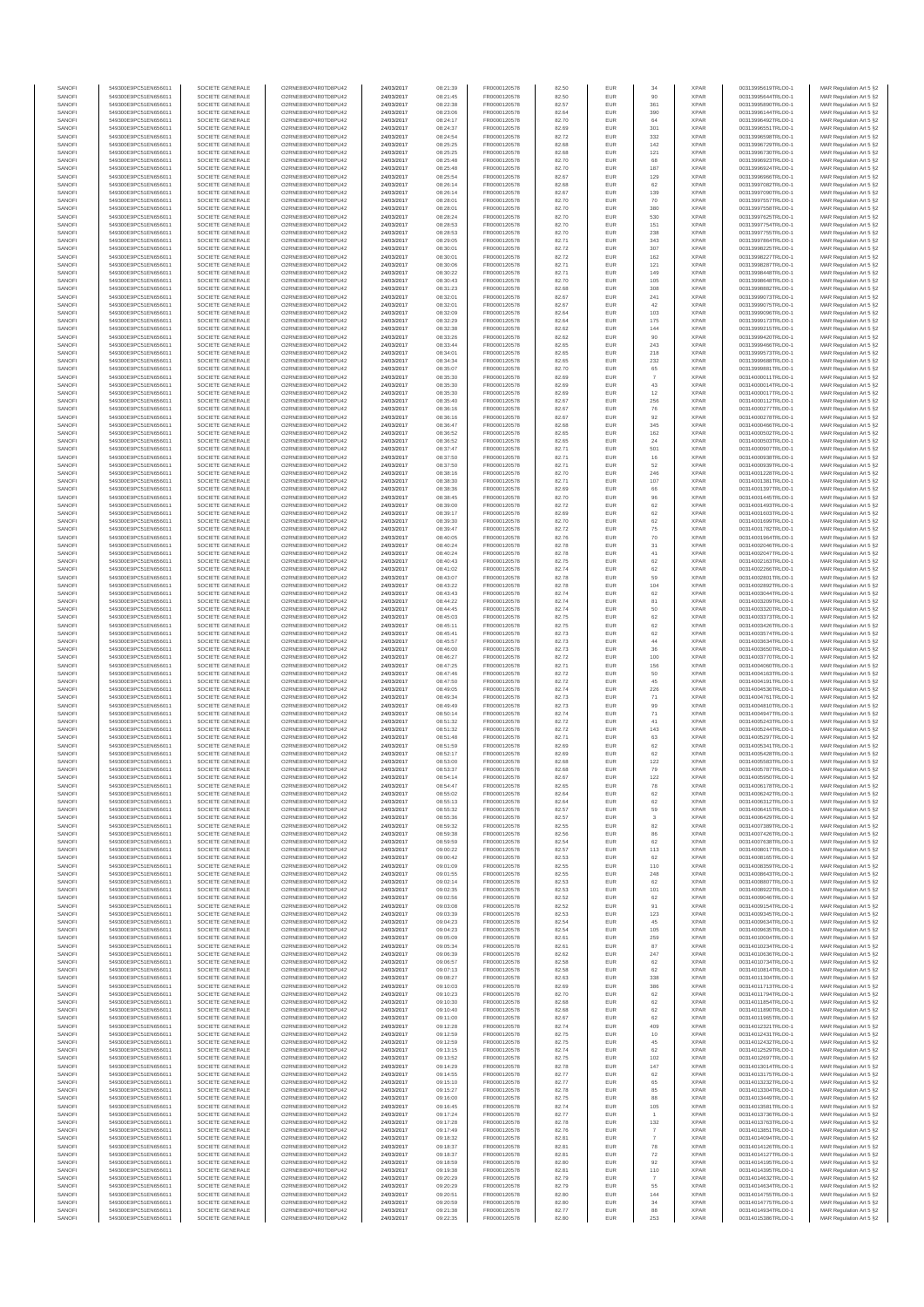| SANOF            | 549300E9PC51EN656011                         | SOCIETE GENERALE                     | O2RNE8IBXP4R0TD8PU42                          | 24/03/2017               | 08:21:39             | FR0000120578                 | 82.50          | EUR               | 34                    | <b>XPAR</b>                | 00313995619TRLO0-1                       | MAR Regulation Art 5 §2                            |
|------------------|----------------------------------------------|--------------------------------------|-----------------------------------------------|--------------------------|----------------------|------------------------------|----------------|-------------------|-----------------------|----------------------------|------------------------------------------|----------------------------------------------------|
| SANOFI<br>SANOFI | 549300E9PC51EN656011<br>549300E9PC51EN656011 | SOCIETE GENERALE<br>SOCIETE GENERALE | O2RNE8IBXP4R0TD8PU42                          | 24/03/2017<br>24/03/2017 | 08:21:45             | FR0000120578<br>FR0000120578 | 82.50          | EUR<br>EUR        | 90<br>361             | <b>XPAR</b><br><b>XPAR</b> | 00313995644TRLO0-1<br>00313995890TRLO0-1 | MAR Regulation Art 5 §2                            |
| SANOFI           | 549300E9PC51EN656011                         | SOCIETE GENERALE                     | O2RNE8IBXP4R0TD8PU42<br>O2RNE8IBXP4R0TD8PU42  | 24/03/2017               | 08:22:38<br>08:23:06 | FR0000120578                 | 82.57<br>82.64 | EUR               | 390                   | <b>XPAR</b>                | 00313996144TRLO0-1                       | MAR Regulation Art 5 §2<br>MAR Regulation Art 5 §2 |
| SANOFI           | 549300E9PC51EN656011                         | SOCIETE GENERALE                     | O2RNE8IBXP4R0TD8PU42                          | 24/03/2017               | 08:24:17             | FR0000120578                 | 82.70          | EUR               | 64                    | <b>XPAR</b>                | 00313996492TRLO0-1                       | MAR Regulation Art 5 §2                            |
| SANOFI           | 549300E9PC51EN656011                         | SOCIETE GENERALE                     | O2RNE8IBXP4R0TD8PU42                          | 24/03/2017               | 08:24:37             | FR0000120578                 | 82.69          | EUR               | 301                   | <b>XPAR</b>                | 00313996551TRLO0-1                       | MAR Regulation Art 5 §2                            |
| SANOFI<br>SANOFI | 549300E9PC51EN656011<br>549300E9PC51EN656011 | SOCIETE GENERALE<br>SOCIETE GENERALE | O2RNE8IBXP4R0TD8PLI42<br>O2RNE8IBXP4R0TD8PU42 | 24/03/2017<br>24/03/2017 | 08:24:54<br>08:25:25 | FR0000120578<br>FR0000120578 | 82.72<br>82.68 | EUR<br>EUR        | 332<br>142            | <b>XPAR</b><br><b>XPAR</b> | 00313996598TRLO0-1<br>00313996729TRLO0-1 | MAR Regulation Art 5 §2<br>MAR Regulation Art 5 §2 |
| SANOFI           | 549300E9PC51EN656011                         | SOCIETE GENERALE                     | O2RNE8IBXP4R0TD8PU42                          | 24/03/2017               | 08:25:25             | FR0000120578                 | 82.68          | EUR               | 121                   | <b>XPAR</b>                | 00313996730TRLO0-1                       | MAR Regulation Art 5 §2                            |
| SANOFI           | 549300E9PC51EN656011                         | SOCIETE GENERALE                     | O2RNE8IBXP4R0TD8PU42                          | 24/03/2017               | 08:25:48             | FR0000120578                 | 82.70          | EUR               | 68                    | <b>XPAR</b>                | 00313996923TRLO0-1                       | MAR Regulation Art 5 §2                            |
| SANOFI<br>SANOFI | 549300E9PC51EN656011<br>549300E9PC51EN656011 | SOCIETE GENERALE<br>SOCIETE GENERALE | O2RNE8IBXP4R0TD8PU42<br>O2RNE8IBXP4R0TD8PU42  | 24/03/2017<br>24/03/2017 | 08:25:48<br>08:25:54 | FR0000120578<br>FR0000120578 | 82.70<br>82.67 | EUR<br>EUR        | 187<br>129            | <b>XPAR</b><br><b>XPAR</b> | 00313996924TRLO0-1<br>00313996966TRLO0-1 | MAR Regulation Art 5 §2<br>MAR Regulation Art 5 §2 |
| SANOFI           | 549300E9PC51EN656011                         | SOCIETE GENERALE                     | O2RNE8IBXP4R0TD8PU42                          | 24/03/2017               | 08:26:14             | FR0000120578                 | 82.68          | EUR               | 62                    | <b>XPAR</b>                | 00313997082TRLO0-1                       | MAR Regulation Art 5 §2                            |
| SANOFI           | 549300E9PC51EN656011                         | SOCIETE GENERALE                     | O2RNE8IBXP4R0TD8PU42                          | 24/03/2017               | 08:26:14             | FR0000120578                 | 82.67          | EUR               | 139                   | <b>XPAR</b>                | 00313997090TRLO0-1                       | MAR Regulation Art 5 §2                            |
| SANOFI           | 549300E9PC51EN656011                         | SOCIETE GENERALE                     | O2RNE8IBXP4R0TD8PU42                          | 24/03/2017               | 08:28:01             | FR0000120578                 | 82.70          | EUR               | 70                    | <b>XPAR</b>                | 00313997557TRLO0-1                       | MAR Regulation Art 5 §2                            |
| SANOFI<br>SANOFI | 549300E9PC51EN656011<br>549300E9PC51EN656011 | SOCIETE GENERALE<br>SOCIETE GENERALE | O2RNE8IBXP4R0TD8PU42<br>O2RNE8IBXP4R0TD8PU42  | 24/03/2017<br>24/03/2017 | 08:28:01<br>08:28:24 | FR0000120578<br>FR0000120578 | 82.70<br>82.70 | EUR<br>EUR        | 380<br>530            | <b>XPAR</b><br><b>XPAR</b> | 00313997558TRLO0-1<br>00313997625TRLO0-1 | MAR Regulation Art 5 §2<br>MAR Regulation Art 5 §2 |
| SANOFI           | 549300E9PC51EN656011                         | SOCIETE GENERALE                     | O2RNE8IBXP4R0TD8PU42                          | 24/03/2017               | 08:28:53             | FR0000120578                 | 82.70          | EUR               | 151                   | <b>XPAR</b>                | 00313997754TRLO0-1                       | MAR Regulation Art 5 §2                            |
| SANOFI           | 549300E9PC51EN656011                         | SOCIETE GENERALE                     | O2RNE8IBXP4R0TD8PU42                          | 24/03/2017               | 08:28:53             | FR0000120578                 | 82.70          | EUR               | 238                   | <b>XPAR</b>                | 00313997755TRLO0-1                       | MAR Regulation Art 5 §2                            |
| SANOFI           | 549300E9PC51EN656011<br>549300E9PC51EN656011 | SOCIETE GENERALE                     | O2RNE8IBXP4R0TD8PU42                          | 24/03/2017               | 08:29:05             | FR0000120578                 | 82.71          | EUR               | 343                   | <b>XPAR</b>                | 00313997864TRLO0-1                       | MAR Regulation Art 5 §2                            |
| SANOFI<br>SANOFI | 549300E9PC51EN656011                         | SOCIETE GENERALE<br>SOCIETE GENERALE | O2RNE8IBXP4R0TD8PU42<br>O2RNE8IBXP4R0TD8PU42  | 24/03/2017<br>24/03/2017 | 08:30:01<br>08:30:01 | FR0000120578<br>FR0000120578 | 82.72<br>82.72 | EUR<br>EUR        | 307<br>162            | <b>XPAR</b><br><b>XPAR</b> | 00313998225TRLO0-1<br>00313998227TRLO0-1 | MAR Regulation Art 5 §2<br>MAR Regulation Art 5 §2 |
| SANOFI           | 549300E9PC51EN656011                         | SOCIETE GENERALE                     | O2RNE8IBXP4R0TD8PU42                          | 24/03/2017               | 08:30:06             | FR0000120578                 | 82.71          | EUR               | 121                   | <b>XPAR</b>                | 00313998287TRLO0-1                       | MAR Regulation Art 5 §2                            |
| SANOFI           | 549300E9PC51EN656011                         | SOCIETE GENERALE                     | O2RNE8IBXP4R0TD8PU42                          | 24/03/2017               | 08:30:22             | FR0000120578                 | 82.71          | EUR               | 149                   | <b>XPAR</b>                | 00313998448TRLO0-1                       | MAR Regulation Art 5 §2                            |
| SANOFI<br>SANOFI | 549300E9PC51EN656011<br>549300E9PC51EN656011 | SOCIETE GENERALE<br>SOCIETE GENERALE | O2RNE8IBXP4R0TD8PU42<br>O2RNE8IBXP4R0TD8PU42  | 24/03/2017<br>24/03/2017 | 08:30:43<br>08:31:23 | FR0000120578<br>FR0000120578 | 82.70<br>82.68 | EUR<br>EUR        | 105<br>308            | <b>XPAR</b><br><b>XPAR</b> | 00313998648TRLO0-1<br>00313998882TRLO0-1 | MAR Regulation Art 5 §2<br>MAR Regulation Art 5 §2 |
| SANOFI           | 549300E9PC51EN656011                         | SOCIETE GENERALE                     | O2RNE8IBXP4R0TD8PU42                          | 24/03/2017               | 08:32:01             | FR0000120578                 | 82.67          | EUR               | 241                   | <b>XPAR</b>                | 00313999073TRLO0-1                       | MAR Regulation Art 5 §2                            |
| SANOFI           | 549300E9PC51EN656011                         | SOCIETE GENERALE                     | O2RNE8IBXP4R0TD8PU42                          | 24/03/2017               | 08:32:01             | FR0000120578                 | 82.67          | EUR               | 42                    | <b>XPAR</b>                | 00313999075TRLO0-1                       | MAR Regulation Art 5 §2                            |
| SANOFI           | 549300E9PC51EN656011                         | SOCIETE GENERALE                     | O2RNE8IBXP4R0TD8PU42                          | 24/03/2017               | 08:32:09             | FR0000120578                 | 82.64          | EUR               | 103                   | <b>XPAR</b>                | 00313999096TRLO0-1                       | MAR Regulation Art 5 §2                            |
| SANOFI<br>SANOFI | 549300E9PC51EN656011<br>549300E9PC51EN656011 | SOCIETE GENERALE<br>SOCIETE GENERALE | O2RNE8IBXP4R0TD8PU42<br>O2RNE8IBXP4R0TD8PU42  | 24/03/2017<br>24/03/2017 | 08:32:29<br>08:32:38 | FR0000120578<br>FR0000120578 | 82.64<br>82.62 | EUR<br>EUR        | 175<br>144            | <b>XPAR</b><br><b>XPAR</b> | 00313999173TRLO0-1<br>00313999215TRLO0-1 | MAR Regulation Art 5 §2<br>MAR Regulation Art 5 §2 |
| SANOFI           | 549300E9PC51EN656011                         | SOCIETE GENERALE                     | O2RNE8IBXP4R0TD8PU42                          | 24/03/2017               | 08:33:26             | FR0000120578                 | 82.62          | EUR               | 90                    | <b>XPAR</b>                | 00313999420TRLO0-1                       | MAR Regulation Art 5 §2                            |
| SANOFI           | 549300E9PC51EN656011                         | SOCIETE GENERALE                     | O2RNE8IBXP4R0TD8PU42                          | 24/03/2017               | 08:33:44             | FR0000120578                 | 82.65          | EUR               | 243                   | <b>XPAR</b>                | 00313999466TRLO0-1                       | MAR Regulation Art 5 §2                            |
| SANOFI<br>SANOFI | 549300E9PC51EN656011<br>549300E9PC51EN656011 | SOCIETE GENERALE<br>SOCIETE GENERALE | O2RNE8IBXP4R0TD8PU42<br>O2RNE8IBXP4R0TD8PU42  | 24/03/2017<br>24/03/2017 | 08:34:01<br>08:34:34 | FR0000120578<br>FR0000120578 | 82.65<br>82.65 | EUR<br>EUR        | 218<br>232            | <b>XPAR</b><br><b>XPAR</b> | 00313999573TRLO0-1<br>00313999688TRLO0-1 | MAR Regulation Art 5 §2<br>MAR Regulation Art 5 §2 |
| SANOFI           | 549300E9PC51EN656011                         | SOCIETE GENERALE                     | O2RNE8IBXP4R0TD8PU42                          | 24/03/2017               | 08:35:07             | FR0000120578                 | 82.70          | EUR               | 65                    | <b>XPAR</b>                | 00313999881TRLO0-1                       | MAR Regulation Art 5 §2                            |
| SANOFI           | 549300E9PC51EN656011                         | SOCIETE GENERALE                     | O2RNE8IBXP4R0TD8PU42                          | 24/03/2017               | 08:35:30             | FR0000120578                 | 82.69          | EUR               | $\overline{7}$        | <b>XPAR</b>                | 00314000011TRLO0-1                       | MAR Regulation Art 5 §2                            |
| SANOFI           | 549300E9PC51EN656011                         | SOCIETE GENERALE                     | O2RNE8IBXP4R0TD8PU42                          | 24/03/2017               | 08:35:30             | FR0000120578                 | 82.69          | EUR               | $43\,$                | <b>XPAR</b>                | 00314000014TRLO0-1                       | MAR Regulation Art 5 §2                            |
| SANOFI<br>SANOFI | 549300E9PC51EN656011<br>549300E9PC51EN656011 | SOCIETE GENERALE<br>SOCIETE GENERALE | O2RNE8IBXP4R0TD8PU42<br>O2RNE8IBXP4R0TD8PU42  | 24/03/2017<br>24/03/2017 | 08:35:30<br>08:35:40 | FR0000120578<br>FR0000120578 | 82.69<br>82.67 | EUR<br>EUR        | 12<br>256             | <b>XPAR</b><br><b>XPAR</b> | 00314000017TRLO0-1<br>00314000112TRLO0-1 | MAR Regulation Art 5 §2<br>MAR Regulation Art 5 §2 |
| SANOFI           | 549300E9PC51EN656011                         | SOCIETE GENERALE                     | O2RNE8IBXP4R0TD8PU42                          | 24/03/2017               | 08:36:16             | FR0000120578                 | 82.67          | <b>EUR</b>        | 76                    | <b>XPAR</b>                | 00314000277TRLO0-1                       | MAR Regulation Art 5 §2                            |
| SANOFI           | 549300E9PC51EN656011                         | SOCIETE GENERALE                     | O2RNE8IBXP4R0TD8PU42                          | 24/03/2017               | 08:36:16             | FR0000120578                 | 82.67          | EUR               | 92                    | <b>XPAR</b>                | 00314000278TRLO0-1                       | MAR Regulation Art 5 §2                            |
| SANOFI<br>SANOFI | 549300E9PC51EN656011<br>549300E9PC51EN656011 | SOCIETE GENERALE<br>SOCIETE GENERALE | O2RNE8IBXP4R0TD8PU42<br>O2RNE8IBXP4R0TD8PU42  | 24/03/2017<br>24/03/2017 | 08:36:47<br>08:36:52 | FR0000120578<br>FR0000120578 | 82.68<br>82.65 | EUR<br>EUR        | 345<br>162            | <b>XPAR</b><br><b>XPAR</b> | 00314000466TRLO0-1<br>00314000502TRLO0-1 | MAR Regulation Art 5 §2<br>MAR Regulation Art 5 §2 |
| SANOFI           | 549300E9PC51EN656011                         | SOCIETE GENERALE                     | O2RNE8IBXP4R0TD8PU42                          | 24/03/2017               | 08:36:52             | FR0000120578                 | 82.65          | EUR               | 24                    | <b>XPAR</b>                | 00314000503TRLO0-1                       | MAR Regulation Art 5 §2                            |
| SANOFI           | 549300E9PC51EN656011                         | SOCIETE GENERALE                     | O2RNE8IBXP4R0TD8PU42                          | 24/03/2017               | 08:37:47             | FR0000120578                 | 82.71          | EUR               | 501                   | <b>XPAR</b>                | 00314000907TRLO0-1                       | MAR Regulation Art 5 §2                            |
| SANOFI           | 549300E9PC51EN656011                         | SOCIETE GENERALE                     | O2RNE8IBXP4R0TD8PU42                          | 24/03/2017               | 08:37:50             | FR0000120578                 | 82.71          | EUR               | $16\,$                | <b>XPAR</b>                | 00314000938TRLO0-1                       | MAR Regulation Art 5 §2                            |
| SANOFI<br>SANOFI | 549300E9PC51EN656011<br>549300E9PC51EN656011 | SOCIETE GENERALE<br>SOCIETE GENERALE | O2RNE8IBXP4R0TD8PU42<br>O2RNE8IBXP4R0TD8PU42  | 24/03/2017<br>24/03/2017 | 08:37:50<br>08:38:16 | FR0000120578<br>FR0000120578 | 82.71<br>82.70 | EUR<br>EUR        | 52<br>246             | <b>XPAR</b><br><b>XPAR</b> | 00314000939TRLO0-1<br>00314001228TRLO0-1 | MAR Regulation Art 5 §2<br>MAR Regulation Art 5 §2 |
| SANOFI           | 549300E9PC51EN656011                         | SOCIETE GENERALE                     | O2RNE8IBXP4R0TD8PU42                          | 24/03/2017               | 08:38:30             | FR0000120578                 | 82.71          | EUR               | 107                   | <b>XPAR</b>                | 00314001381TRLO0-1                       | MAR Regulation Art 5 §2                            |
| SANOFI           | 549300E9PC51EN656011                         | SOCIETE GENERALE                     | O2RNE8IBXP4R0TD8PU42                          | 24/03/2017               | 08:38:36             | FR0000120578                 | 82.69          | EUR               | 66                    | <b>XPAR</b>                | 00314001397TRLO0-1                       | MAR Regulation Art 5 §2                            |
| SANOFI           | 549300E9PC51EN656011                         | SOCIETE GENERALE                     | O2RNE8IBXP4R0TD8PU42                          | 24/03/2017               | 08:38:45             | FR0000120578                 | 82.70          | EUR               | 96                    | <b>XPAR</b>                | 00314001445TRLO0-1                       | MAR Regulation Art 5 §2                            |
| SANOFI<br>SANOFI | 549300E9PC51EN656011<br>549300E9PC51EN656011 | SOCIETE GENERALE<br>SOCIETE GENERALE | O2RNE8IBXP4R0TD8PU42<br>O2RNE8IBXP4R0TD8PU42  | 24/03/2017<br>24/03/2017 | 08:39:00<br>08:39:17 | FR0000120578<br>FR0000120578 | 82.72<br>82.69 | EUR<br>EUR        | 62<br>$62\,$          | <b>XPAR</b><br><b>XPAR</b> | 00314001493TRLO0-1<br>00314001603TRLO0-1 | MAR Regulation Art 5 §2<br>MAR Regulation Art 5 §2 |
| SANOFI           | 549300E9PC51EN656011                         | SOCIETE GENERALE                     | O2RNE8IBXP4R0TD8PU42                          | 24/03/2017               | 08:39:30             | FR0000120578                 | 82.70          | EUR               | 62                    | <b>XPAR</b>                | 00314001699TRLO0-1                       | MAR Regulation Art 5 §2                            |
| SANOFI           | 549300E9PC51EN656011                         | SOCIETE GENERALE                     | O2RNE8IBXP4R0TD8PU42                          | 24/03/2017               | 08:39:47             | FR0000120578                 | 82.72          | EUR               | 75                    | <b>XPAR</b>                | 00314001782TRLO0-1                       | MAR Regulation Art 5 §2                            |
| SANOFI           | 549300E9PC51EN656011                         | SOCIETE GENERALE                     | O2RNE8IBXP4R0TD8PU42                          | 24/03/2017               | 08:40:05             | FR0000120578                 | 82.76          | EUR               | 70                    | <b>XPAR</b>                | 00314001964TRLO0-1                       | MAR Regulation Art 5 §2                            |
| SANOFI<br>SANOFI | 549300E9PC51EN656011<br>549300E9PC51EN656011 | SOCIETE GENERALE<br>SOCIETE GENERALE | O2RNE8IBXP4R0TD8PU42<br>O2RNE8IBXP4R0TD8PU42  | 24/03/2017<br>24/03/2017 | 08:40:24<br>08:40:24 | FR0000120578<br>FR0000120578 | 82.78<br>82.78 | EUR<br>EUR        | 31<br>41              | <b>XPAR</b><br><b>XPAR</b> | 00314002046TRLO0-1<br>00314002047TRLO0-1 | MAR Regulation Art 5 §2<br>MAR Regulation Art 5 §2 |
| SANOFI           | 549300E9PC51EN656011                         | SOCIETE GENERALE                     | O2RNE8IBXP4R0TD8PU42                          | 24/03/2017               | 08:40:43             | FR0000120578                 | 82.75          | EUR               | 62                    | <b>XPAR</b>                | 00314002163TRLO0-1                       | MAR Regulation Art 5 §2                            |
| SANOFI           | 549300E9PC51EN656011                         | SOCIETE GENERALE                     | O2RNE8IBXP4R0TD8PU42                          | 24/03/2017               | 08:41:02             | FR0000120578                 | 82.74          | EUR               | 62                    | <b>XPAR</b>                | 00314002266TRLO0-1                       | MAR Regulation Art 5 §2                            |
| SANOFI           | 549300E9PC51EN656011                         | SOCIETE GENERALE                     | O2RNE8IBXP4R0TD8PU42<br>O2RNE8IBXP4R0TD8PU42  | 24/03/2017               | 08:43:07             | FR0000120578                 | 82.78          | EUR               | 59                    | <b>XPAR</b>                | 00314002801TRLO0-1                       | MAR Regulation Art 5 §2                            |
| SANOFI<br>SANOFI | 549300E9PC51EN656011<br>549300E9PC51EN656011 | SOCIETE GENERALE<br>SOCIETE GENERALE | O2RNE8IBXP4R0TD8PU42                          | 24/03/2017<br>24/03/2017 | 08:43:22<br>08:43:43 | FR0000120578<br>FR0000120578 | 82.78<br>82.74 | EUR<br>EUR        | 104<br>62             | <b>XPAR</b><br><b>XPAR</b> | 00314002892TRLO0-1<br>00314003044TRLO0-1 | MAR Regulation Art 5 §2<br>MAR Regulation Art 5 §2 |
| SANOFI           | 549300E9PC51EN656011                         | SOCIETE GENERALE                     | O2RNE8IBXP4R0TD8PU42                          | 24/03/2017               | 08:44:22             | FR0000120578                 | 82.74          | EUR               | 81                    | <b>XPAR</b>                | 00314003209TRLO0-1                       | MAR Regulation Art 5 §2                            |
| SANOFI           | 549300E9PC51EN656011                         | SOCIETE GENERALE                     | O2RNE8IBXP4R0TD8PU42                          | 24/03/2017               | 08:44:45             | FR0000120578                 | 82.74          | EUR               | 50                    | <b>XPAR</b>                | 00314003320TRLO0-1                       | MAR Regulation Art 5 §2                            |
| SANOFI<br>SANOFI | 549300E9PC51EN656011<br>549300E9PC51EN656011 | SOCIETE GENERALE<br>SOCIETE GENERALE | O2RNE8IBXP4R0TD8PU42<br>O2RNE8IBXP4R0TD8PU42  | 24/03/2017<br>24/03/2017 | 08:45:03<br>08:45:11 | FR0000120578<br>FR0000120578 | 82.75<br>82.75 | EUR<br>EUR        | 62<br>62              | <b>XPAR</b><br><b>XPAR</b> | 00314003373TRLO0-1<br>00314003426TRLO0-1 | MAR Regulation Art 5 §2<br>MAR Regulation Art 5 §2 |
| SANOFI           | 549300E9PC51EN656011                         | SOCIETE GENERALE                     | O2RNE8IBXP4R0TD8PU42                          | 24/03/2017               | 08:45:41             | FR0000120578                 | 82.73          | EUR               | 62                    | <b>XPAR</b>                | 00314003574TRLO0-1                       | MAR Regulation Art 5 §2                            |
| SANOFI           | 549300E9PC51EN656011                         | SOCIETE GENERALE                     | O2RNE8IBXP4R0TD8PU42                          | 24/03/2017               | 08:45:57             | FR0000120578                 | 82.73          | EUR               | 44                    | <b>XPAR</b>                | 00314003634TRLO0-1                       | MAR Regulation Art 5 §2                            |
| SANOFI           | 549300E9PC51EN656011                         | SOCIETE GENERALE                     | O2RNE8IBXP4R0TD8PU42                          | 24/03/2017               | 08:46:00             | FR0000120578                 | 82.73          | EUR               | 36                    | <b>XPAR</b>                | 00314003650TRLO0-1                       | MAR Regulation Art 5 §2                            |
| SANOFI<br>SANOFI | 549300E9PC51EN656011<br>549300E9PC51EN656011 | SOCIETE GENERALE<br>SOCIETE GENERALE | O2RNE8IBXP4R0TD8PU42<br>O2RNE8IBXP4R0TD8PU42  | 24/03/2017<br>24/03/2017 | 08:46:27<br>08:47:25 | FR0000120578<br>FR0000120578 | 82.72<br>82.71 | EUR<br>EUR        | 100<br>156            | <b>XPAR</b><br><b>XPAR</b> | 00314003770TRLO0-1<br>00314004060TRLO0-1 | MAR Regulation Art 5 §2<br>MAR Regulation Art 5 §2 |
| SANOFI           | 549300E9PC51EN656011                         | SOCIETE GENERALE                     | O2RNE8IBXP4R0TD8PU42                          | 24/03/2017               | 08:47:46             | FR0000120578                 | 82.72          | EUR               | 50                    | <b>XPAR</b>                | 00314004163TRLO0-1                       | MAR Regulation Art 5 §2                            |
| SANOFI           | 549300E9PC51EN656011                         | SOCIETE GENERALE                     | O2RNE8IBXP4R0TD8PU42                          | 24/03/2017               | 08:47:50             | FR0000120578                 | 82.72          | EUR               | 45                    | <b>XPAR</b>                | 00314004191TRLO0-1                       | MAR Regulation Art 5 §2                            |
| SANOFI<br>SANOFI | 549300E9PC51EN656011<br>549300E9PC51EN656011 | SOCIETE GENERALE<br>SOCIETE GENERALE | O2RNE8IBXP4R0TD8PU42<br>O2RNE8IBXP4R0TD8PU42  | 24/03/2017<br>24/03/2017 | 08:49:05<br>08:49:34 | FR0000120578<br>FR0000120578 | 82.74          | EUR<br><b>EUR</b> | 226                   | <b>XPAR</b><br><b>XPAR</b> | 00314004536TRLO0-1<br>00314004761TRLO0-1 | MAR Regulation Art 5 §2                            |
| SANOFI           | 549300E9PC51EN656011                         | SOCIETE GENERALE                     | O2RNE8IBXP4R0TD8PU42                          | 24/03/2017               | 08:49:49             | FR0000120578                 | 82.73<br>82.73 | EUR               | 71<br>99              | <b>XPAR</b>                | 00314004810TRLO0-1                       | MAR Regulation Art 5 §2<br>MAR Regulation Art 5 §2 |
| SANOFI           | 549300E9PC51EN656011                         | SOCIETE GENERALE                     | O2RNE8IBXP4R0TD8PU42                          | 24/03/2017               | 08:50:14             | FR0000120578                 | 82.74          | EUR               | 71                    | <b>XPAR</b>                | 00314004947TRLO0-1                       | MAR Regulation Art 5 §2                            |
| SANOFI           | 549300E9PC51EN656011                         | SOCIETE GENERALE                     | O2RNE8IBXP4R0TD8PU42                          | 24/03/2017               | 08:51:32             | FR0000120578                 | 82.72          | EUR               | 41                    | <b>XPAR</b>                | 00314005243TRLO0-1                       | MAR Regulation Art 5 §2                            |
| SANOFI<br>SANOFI | 549300E9PC51EN656011<br>549300E9PC51EN656011 | SOCIETE GENERALE<br>SOCIETE GENERALE | O2RNE8IBXP4R0TD8PU42<br>O2RNE8IBXP4R0TD8PU42  | 24/03/2017<br>24/03/2017 | 08:51:32<br>08:51:48 | FR0000120578<br>FR0000120578 | 82.72<br>82.71 | EUR<br>EUR        | 143<br>63             | <b>XPAR</b><br><b>XPAR</b> | 00314005244TRLO0-1<br>00314005297TRLO0-1 | MAR Regulation Art 5 §2                            |
| SANOFI           | 549300E9PC51EN656011                         | SOCIETE GENERALE                     | O2RNE8IBXP4R0TD8PU42                          | 24/03/2017               | 08:51:59             | FR0000120578                 | 82.69          | EUR               | 62                    | <b>XPAR</b>                | 00314005341TRLO0-1                       | MAR Regulation Art 5 §2<br>MAR Regulation Art 5 §2 |
| SANOFI           | 549300E9PC51EN656011                         | SOCIETE GENERALE                     | O2RNE8IBXP4R0TD8PU42                          | 24/03/2017               | 08:52:17             | FR0000120578                 | 82.69          | EUR               | 62                    | <b>XPAR</b>                | 00314005428TRLO0-1                       | MAR Regulation Art 5 §2                            |
| SANOFI           | 549300E9PC51EN656011                         | SOCIETE GENERALE                     | O2RNE8IBXP4R0TD8PU42                          | 24/03/2017               | 08:53:00             | FR0000120578                 | 82.68          | EUR               | 122                   | <b>XPAR</b>                | 00314005583TRLO0-1                       | MAR Regulation Art 5 §2                            |
| SANOFI<br>SANOFI | 549300E9PC51EN656011<br>549300E9PC51EN656011 | SOCIETE GENERALE<br>SOCIETE GENERALE | O2RNE8IBXP4R0TD8PU42<br>O2RNE8IBXP4R0TD8PU42  | 24/03/2017<br>24/03/2017 | 08:53:37<br>08:54:14 | FR0000120578<br>FR0000120578 | 82.68<br>82.67 | EUR<br>EUR        | 79<br>122             | <b>XPAR</b><br><b>XPAR</b> | 00314005787TRLO0-1<br>00314005950TRLO0-1 | MAR Regulation Art 5 §2<br>MAR Regulation Art 5 §2 |
| SANOFI           | 549300E9PC51EN656011                         | SOCIETE GENERALE                     | O2RNE8IBXP4R0TD8PU42                          | 24/03/2017               | 08:54:47             | FR0000120578                 | 82.65          | EUR               | 78                    | <b>XPAR</b>                | 00314006178TRLO0-1                       | MAR Regulation Art 5 §2                            |
| SANOFI           | 549300E9PC51EN656011                         | SOCIETE GENERALE                     | O2RNE8IBXP4R0TD8PU42                          | 24/03/2017               | 08:55:02             | FR0000120578                 | 82.64          | EUR               | 62                    | <b>XPAR</b>                | 00314006242TRLO0-1                       | MAR Regulation Art 5 §2                            |
| SANOFI<br>SANOFI | 549300E9PC51EN656011<br>549300E9PC51EN656011 | SOCIETE GENERALE<br>SOCIETE GENERALE | O2RNE8IBXP4R0TD8PU42<br>O2RNE8IBXP4R0TD8PU42  | 24/03/2017               | 08:55:13<br>08:55:32 | FR0000120578                 | 82.64<br>82.57 | EUR<br>EUR        | $62\,$                | <b>XPAR</b><br><b>XPAR</b> | 00314006312TRLO0-1                       | MAR Regulation Art 5 §2                            |
| SANOFI           | 549300E9PC51EN656011                         | SOCIETE GENERALE                     | O2RNE8IBXP4R0TD8PU42                          | 24/03/2017<br>24/03/2017 | 08:55:36             | FR0000120578<br>FR0000120578 | 82.57          | EUR               | 59<br>3               | <b>XPAR</b>                | 00314006415TRLO0-1<br>00314006429TRLO0-1 | MAR Regulation Art 5 §2<br>MAR Regulation Art 5 §2 |
| SANOFI           | 549300E9PC51EN656011                         | SOCIETE GENERALE                     | O2RNE8IBXP4R0TD8PU42                          | 24/03/2017               | 08:59:32             | FR0000120578                 | 82.55          | EUR               | 82                    | <b>XPAR</b>                | 00314007389TRLO0-1                       | MAR Regulation Art 5 §2                            |
| SANOFI           | 549300E9PC51EN656011                         | SOCIETE GENERALE                     | O2RNE8IBXP4R0TD8PU42                          | 24/03/2017               | 08:59:38             | FR0000120578                 | 82.56          | EUR               | 86                    | <b>XPAR</b>                | 00314007426TRLO0-1                       | MAR Regulation Art 5 §2                            |
| SANOFI<br>SANOFI | 549300E9PC51EN656011<br>549300E9PC51EN656011 | SOCIETE GENERALE<br>SOCIETE GENERALE | O2RNE8IBXP4R0TD8PU42<br>O2RNE8IBXP4R0TD8PU42  | 24/03/2017<br>24/03/2017 | 08:59:59<br>09:00:22 | FR0000120578<br>FR0000120578 | 82.54<br>82.57 | <b>EUR</b><br>EUR | 62<br>113             | <b>XPAR</b><br><b>XPAR</b> | 00314007638TRLO0-1<br>00314008017TRLO0-1 | MAR Regulation Art 5 §2<br>MAR Regulation Art 5 §2 |
| SANOFI           | 549300E9PC51EN656011                         | SOCIETE GENERALE                     | O2RNE8IBXP4R0TD8PU42                          | 24/03/2017               | 09:00:42             | FR0000120578                 | 82.53          | EUR               | 62                    | <b>XPAR</b>                | 00314008165TRLO0-1                       | MAR Regulation Art 5 §2                            |
| SANOFI           | 549300E9PC51EN656011                         | SOCIETE GENERALE                     | O2RNE8IBXP4R0TD8PU42                          | 24/03/2017               | 09:01:09             | FR0000120578                 | 82.55          | EUR               | 110                   | <b>XPAR</b>                | 00314008359TRLO0-1                       | MAR Regulation Art 5 §2                            |
| SANOFI<br>SANOFI | 549300E9PC51EN656011<br>549300E9PC51EN656011 | SOCIETE GENERALE<br>SOCIETE GENERALE | O2RNE8IBXP4R0TD8PU42<br>O2RNE8IBXP4R0TD8PU42  | 24/03/2017<br>24/03/2017 | 09:01:55<br>09:02:14 | FR0000120578<br>FR0000120578 | 82.55<br>82.53 | EUR<br><b>EUR</b> | 248<br>62             | <b>XPAR</b><br><b>XPAR</b> | 00314008643TRLO0-1<br>00314008807TRLO0-1 | MAR Regulation Art 5 §2<br>MAR Regulation Art 5 §2 |
| SANOFI           | 549300E9PC51EN656011                         | SOCIETE GENERALE                     | O2RNE8IBXP4R0TD8PU42                          | 24/03/2017               | 09:02:35             | FR0000120578                 | 82.53          | EUR               | 101                   | <b>XPAR</b>                | 00314008922TRLO0-1                       | MAR Regulation Art 5 §2                            |
| SANOFI           | 549300E9PC51EN656011                         | SOCIETE GENERALE                     | O2RNE8IBXP4R0TD8PU42                          | 24/03/2017               | 09:02:56             | FR0000120578                 | 82.52          | <b>EUR</b>        | 62                    | <b>XPAR</b>                | 00314009046TRLO0-1                       | MAR Regulation Art 5 §2                            |
| SANOFI<br>SANOFI | 549300E9PC51EN656011<br>549300E9PC51EN656011 | SOCIETE GENERALE<br>SOCIETE GENERALE | O2RNE8IBXP4R0TD8PU42<br>O2RNE8IBXP4R0TD8PU42  | 24/03/2017<br>24/03/2017 | 09:03:08<br>09:03:39 | FR0000120578<br>FR0000120578 | 82.52<br>82.53 | EUR<br>EUR        | 91<br>123             | <b>XPAR</b><br><b>XPAR</b> | 00314009154TRLO0-1<br>00314009345TRLO0-1 | MAR Regulation Art 5 §2<br>MAR Regulation Art 5 §2 |
| SANOFI           | 549300E9PC51EN656011                         | SOCIETE GENERALE                     | O2RNE8IBXP4R0TD8PU42                          | 24/03/2017               | 09:04:23             | FR0000120578                 | 82.54          | EUR               | 45                    | <b>XPAR</b>                | 00314009634TRLO0-1                       | MAR Regulation Art 5 §2                            |
| SANOFI           | 549300E9PC51EN656011                         | SOCIETE GENERALE                     | O2RNE8IBXP4R0TD8PU42                          | 24/03/2017               | 09:04:23             | FR0000120578                 | 82.54          | EUR               | 105                   | <b>XPAR</b>                | 00314009635TRLO0-1                       | MAR Regulation Art 5 §2                            |
| SANOFI<br>SANOFI | 549300E9PC51EN656011<br>549300E9PC51EN656011 | SOCIETE GENERALE<br>SOCIETE GENERALE | O2RNE8IBXP4R0TD8PU42<br>O2RNE8IBXP4R0TD8PU42  | 24/03/2017<br>24/03/2017 | 09:05:09<br>09:05:34 | FR0000120578<br>FR0000120578 | 82.61<br>82.61 | EUR<br>EUR        | 259<br>87             | <b>XPAR</b><br><b>XPAR</b> | 00314010004TRLO0-1<br>00314010234TRLO0-1 | MAR Regulation Art 5 §2                            |
| SANOFI           | 549300E9PC51EN656011                         | SOCIETE GENERALE                     | O2RNE8IBXP4R0TD8PU42                          | 24/03/2017               | 09:06:39             | FR0000120578                 | 82.62          | <b>EUR</b>        | 247                   | <b>XPAR</b>                | 00314010636TRLO0-1                       | MAR Regulation Art 5 §2<br>MAR Regulation Art 5 §2 |
| SANOFI           | 549300E9PC51EN656011                         | SOCIETE GENERALE                     | O2RNE8IBXP4R0TD8PU42                          | 24/03/2017               | 09:06:57             | FR0000120578                 | 82.58          | EUR               | 62                    | <b>XPAR</b>                | 00314010734TRLO0-1                       | MAR Regulation Art 5 §2                            |
| SANOFI           | 549300E9PC51EN656011                         | SOCIETE GENERALE                     | O2RNE8IBXP4R0TD8PU42                          | 24/03/2017               | 09:07:13             | FR0000120578                 | 82.58          | <b>EUR</b>        | 62                    | <b>XPAR</b>                | 00314010814TRLO0-1                       | MAR Regulation Art 5 §2                            |
| SANOFI<br>SANOFI | 549300E9PC51EN656011<br>549300E9PC51EN656011 | SOCIETE GENERALE<br>SOCIETE GENERALE | O2RNE8IBXP4R0TD8PU42<br>O2RNE8IBXP4R0TD8PU42  | 24/03/2017<br>24/03/2017 | 09:08:27<br>09:10:03 | FR0000120578<br>FR0000120578 | 82.63<br>82.69 | EUR<br>EUR        | 338<br>386            | <b>XPAR</b><br><b>XPAR</b> | 00314011304TRLO0-1<br>00314011713TRLO0-1 | MAR Regulation Art 5 §2<br>MAR Regulation Art 5 §2 |
| SANOFI           | 549300E9PC51EN656011                         | SOCIETE GENERALE                     | O2RNE8IBXP4R0TD8PU42                          | 24/03/2017               | 09:10:23             | FR0000120578                 | 82.70          | EUR               | 62                    | <b>XPAR</b>                | 00314011794TRLO0-1                       | MAR Regulation Art 5 §2                            |
| SANOFI           | 549300E9PC51EN656011                         | SOCIETE GENERALE                     | O2RNE8IBXP4R0TD8PU42                          | 24/03/2017               | 09:10:30             | FR0000120578                 | 82.68          | EUR               | $62\,$                | <b>XPAR</b>                | 00314011854TRLO0-1                       | MAR Regulation Art 5 §2                            |
| SANOFI           | 549300E9PC51EN656011                         | SOCIETE GENERALE                     | O2RNE8IBXP4R0TD8PU42                          | 24/03/2017               | 09:10:40             | FR0000120578                 | 82.68          | EUR               | 62                    | <b>XPAR</b>                | 00314011890TRLO0-1                       | MAR Regulation Art 5 §2                            |
| SANOFI<br>SANOFI | 549300E9PC51EN656011<br>549300E9PC51EN656011 | SOCIETE GENERALE<br>SOCIETE GENERALE | O2RNE8IBXP4R0TD8PU42<br>O2RNE8IBXP4R0TD8PU42  | 24/03/2017<br>24/03/2017 | 09:11:00<br>09:12:28 | FR0000120578<br>FR0000120578 | 82.67<br>82.74 | EUR<br><b>EUR</b> | 62<br>409             | <b>XPAR</b><br><b>XPAR</b> | 00314011965TRLO0-1<br>00314012321TRLO0-1 | MAR Regulation Art 5 §2<br>MAR Regulation Art 5 §2 |
| SANOFI           | 549300E9PC51EN656011                         | SOCIETE GENERALE                     | O2RNE8IBXP4R0TD8PU42                          | 24/03/2017               | 09:12:59             | FR0000120578                 | 82.75          | EUR               | 10                    | <b>XPAR</b>                | 00314012431TRLO0-1                       | MAR Regulation Art 5 §2                            |
| SANOFI           | 549300E9PC51EN656011                         | SOCIETE GENERALE                     | O2RNE8IBXP4R0TD8PU42                          | 24/03/2017               | 09:12:59             | FR0000120578                 | 82.75          | <b>EUR</b>        | 45                    | <b>XPAR</b>                | 00314012432TRLO0-1                       | MAR Regulation Art 5 §2                            |
| SANOFI<br>SANOFI | 549300E9PC51EN656011<br>549300E9PC51EN656011 | SOCIETE GENERALE<br>SOCIETE GENERALE | O2RNE8IBXP4R0TD8PU42<br>O2RNE8IBXP4R0TD8PU42  | 24/03/2017<br>24/03/2017 | 09:13:15<br>09:13:52 | FR0000120578<br>FR0000120578 | 82.74<br>82.75 | EUR<br>EUR        | 62<br>102             | <b>XPAR</b><br><b>XPAR</b> | 00314012529TRLO0-1<br>00314012697TRLO0-1 | MAR Regulation Art 5 §2                            |
| SANOFI           | 549300E9PC51EN656011                         | SOCIETE GENERALE                     | O2RNE8IBXP4R0TD8PU42                          | 24/03/2017               | 09:14:29             | FR0000120578                 | 82.78          | EUR               | 147                   | <b>XPAR</b>                | 00314013014TRLO0-1                       | MAR Regulation Art 5 §2<br>MAR Regulation Art 5 §2 |
| SANOFI           | 549300E9PC51EN656011                         | SOCIETE GENERALE                     | O2RNE8IBXP4R0TD8PU42                          | 24/03/2017               | 09:14:55             | FR0000120578                 | 82.77          | EUR               | 62                    | <b>XPAR</b>                | 00314013175TRLO0-1                       | MAR Regulation Art 5 §2                            |
| SANOFI           | 549300E9PC51EN656011                         | SOCIETE GENERALE                     | O2RNE8IBXP4R0TD8PU42                          | 24/03/2017               | 09:15:10             | FR0000120578                 | 82.77          | EUR               | 65                    | <b>XPAR</b>                | 00314013232TRLO0-1                       | MAR Regulation Art 5 §2                            |
| SANOFI<br>SANOFI | 549300E9PC51EN656011<br>549300E9PC51EN656011 | SOCIETE GENERALE<br>SOCIETE GENERALE | O2RNE8IBXP4R0TD8PU42<br>O2RNE8IBXP4R0TD8PU42  | 24/03/2017<br>24/03/2017 | 09:15:27<br>09:16:00 | FR0000120578<br>FR0000120578 | 82.78<br>82.75 | EUR<br><b>EUR</b> | 85<br>88              | <b>XPAR</b><br><b>XPAR</b> | 00314013304TRLO0-1<br>00314013449TRLO0-1 | MAR Regulation Art 5 §2<br>MAR Regulation Art 5 §2 |
| SANOFI           | 549300E9PC51EN656011                         | SOCIETE GENERALE                     | O2RNE8IBXP4R0TD8PU42                          | 24/03/2017               | 09:16:45             | FR0000120578                 | 82.74          | EUR               | 105                   | <b>XPAR</b>                | 00314013581TRLO0-1                       | MAR Regulation Art 5 §2                            |
| SANOFI           | 549300E9PC51EN656011                         | SOCIETE GENERALE                     | O2RNE8IBXP4R0TD8PU42                          | 24/03/2017               | 09:17:24             | FR0000120578                 | 82.77          | <b>EUR</b>        | $\overline{1}$        | <b>XPAR</b>                | 00314013736TRLO0-1                       | MAR Regulation Art 5 §2                            |
| SANOFI<br>SANOFI | 549300E9PC51EN656011<br>549300E9PC51EN656011 | SOCIETE GENERALE<br>SOCIETE GENERALE | O2RNE8IBXP4R0TD8PU42<br>O2RNE8IBXP4R0TD8PU42  | 24/03/2017<br>24/03/2017 | 09:17:28<br>09:17:49 | FR0000120578<br>FR0000120578 | 82.78          | EUR<br>EUR        | 132<br>$\overline{7}$ | <b>XPAR</b><br><b>XPAR</b> | 00314013763TRLO0-1<br>00314013851TRLO0-1 | MAR Regulation Art 5 §2<br>MAR Regulation Art 5 §2 |
| SANOFI           | 549300E9PC51EN656011                         | SOCIETE GENERALE                     | O2RNE8IBXP4R0TD8PU42                          | 24/03/2017               | 09:18:32             | FR0000120578                 | 82.76<br>82.81 | EUR               | $\overline{7}$        | <b>XPAR</b>                | 00314014094TRLO0-1                       | MAR Regulation Art 5 §2                            |
| SANOFI           | 549300E9PC51EN656011                         | SOCIETE GENERALE                     | O2RNE8IBXP4R0TD8PU42                          | 24/03/2017               | 09:18:37             | FR0000120578                 | 82.81          | EUR               | ${\bf 78}$            | <b>XPAR</b>                | 00314014126TRLO0-1                       | MAR Regulation Art 5 §2                            |
| SANOFI           | 549300E9PC51EN656011                         | SOCIETE GENERALE                     | O2RNE8IBXP4R0TD8PU42                          | 24/03/2017               | 09:18:37             | FR0000120578                 | 82.81          | <b>EUR</b>        | 72                    | <b>XPAR</b>                | 00314014127TRLO0-1                       | MAR Regulation Art 5 §2                            |
| SANOFI<br>SANOFI | 549300E9PC51EN656011<br>549300E9PC51EN656011 | SOCIETE GENERALE<br>SOCIETE GENERALE | O2RNE8IBXP4R0TD8PU42<br>O2RNE8IBXP4R0TD8PU42  | 24/03/2017<br>24/03/2017 | 09:18:59<br>09:19:38 | FR0000120578<br>FR0000120578 | 82.80<br>82.81 | EUR<br><b>EUR</b> | 92<br>110             | <b>XPAR</b><br><b>XPAR</b> | 00314014195TRLO0-1<br>00314014395TRLO0-1 | MAR Regulation Art 5 §2                            |
| SANOFI           | 549300E9PC51EN656011                         | SOCIETE GENERALE                     | O2RNE8IBXP4R0TD8PU42                          | 24/03/2017               | 09:20:29             | FR0000120578                 | 82.79          | EUR               |                       | <b>XPAR</b>                | 00314014632TRLO0-1                       | MAR Regulation Art 5 §2<br>MAR Regulation Art 5 §2 |
| SANOFI           | 549300E9PC51EN656011                         | SOCIETE GENERALE                     | O2RNE8IBXP4R0TD8PU42                          | 24/03/2017               | 09:20:29             | FR0000120578                 | 82.79          | EUR               | 55                    | <b>XPAR</b>                | 00314014634TRLO0-1                       | MAR Regulation Art 5 §2                            |
| SANOFI<br>SANOFI | 549300E9PC51EN656011                         | SOCIETE GENERALE                     | O2RNE8IBXP4R0TD8PU42<br>O2RNE8IBXP4R0TD8PU42  | 24/03/2017               | 09:20:51             | FR0000120578                 | 82.80          | EUR<br>EUR        | 144                   | <b>XPAR</b><br><b>XPAR</b> | 00314014755TRLO0-1                       | MAR Regulation Art 5 §2                            |
| SANOFI           | 549300E9PC51EN656011<br>549300E9PC51EN656011 | SOCIETE GENERALE<br>SOCIETE GENERALE | O2RNE8IBXP4R0TD8PU42                          | 24/03/2017<br>24/03/2017 | 09:20:59<br>09:21:38 | FR0000120578<br>FR0000120578 | 82.80<br>82.77 | EUR               | $_{\rm 34}$<br>88     | <b>XPAR</b>                | 00314014775TRLO0-1<br>00314014934TRLO0-1 | MAR Regulation Art 5 §2<br>MAR Regulation Art 5 §2 |
| SANOFI           | 549300E9PC51EN656011                         | SOCIETE GENERALE                     | O2RNE8IBXP4R0TD8PU42                          | 24/03/2017               | 09:22:35             | FR0000120578                 | 82.80          | EUR               | 253                   | <b>XPAR</b>                | 00314015386TRLO0-1                       | MAR Regulation Art 5 §2                            |
|                  |                                              |                                      |                                               |                          |                      |                              |                |                   |                       |                            |                                          |                                                    |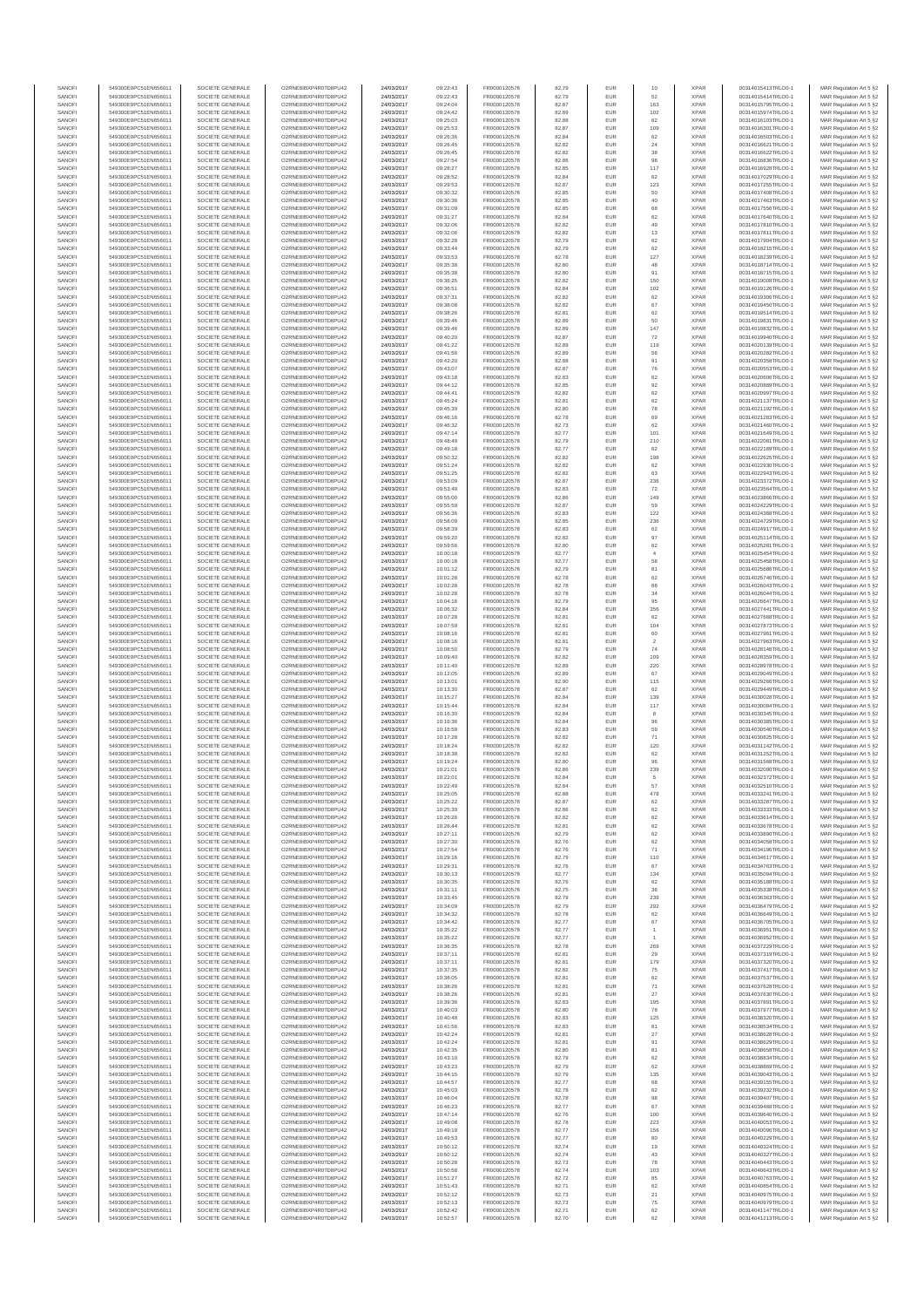| SANOFI           | 549300E9PC51EN656011                         | SOCIETE GENERALE                     | O2RNE8IBXP4R0TD8PU42                          | 24/03/2017               | 09:22:43             | FR0000120578                 | 82.79          | EUR               | 10                   | <b>XPAR</b>                | 00314015413TRLO0-1                       | MAR Regulation Art 5 §2                            |
|------------------|----------------------------------------------|--------------------------------------|-----------------------------------------------|--------------------------|----------------------|------------------------------|----------------|-------------------|----------------------|----------------------------|------------------------------------------|----------------------------------------------------|
| SANOFI<br>SANOFI | 549300E9PC51EN656011<br>549300E9PC51EN656011 | SOCIETE GENERALE<br>SOCIETE GENERALE | O2RNE8IBXP4R0TD8PLI42<br>O2RNE8IBXP4R0TD8PU42 | 24/03/2017<br>24/03/2017 | 09:22:43<br>09:24:04 | FR0000120578<br>FR0000120578 | 82.79<br>82.87 | <b>EUR</b><br>EUR | 52<br>163            | <b>XPAR</b><br><b>XPAR</b> | 00314015414TRLO0-1<br>00314015795TRLO0-1 | MAR Regulation Art 5 §2<br>MAR Regulation Art 5 §2 |
| SANOFI           | 549300E9PC51EN656011                         | SOCIETE GENERALE                     | O2RNE8IBXP4R0TD8PU42                          | 24/03/2017               | 09:24:42             | FR0000120578                 | 82.89          | EUR               | 102                  | <b>XPAR</b>                | 00314015974TRLO0-1                       | MAR Regulation Art 5 §2                            |
| SANOFI           | 549300E9PC51EN656011                         | SOCIETE GENERALE                     | O2RNE8IBXP4R0TD8PU42                          | 24/03/2017               | 09:25:03             | FR0000120578                 | 82.88          | EUR               | 62                   | <b>XPAR</b>                | 00314016103TRLO0-1                       | MAR Regulation Art 5 §2                            |
| SANOFI<br>SANOFI | 549300E9PC51EN656011<br>549300E9PC51EN656011 | SOCIETE GENERALE<br>SOCIETE GENERALE | O2RNE8IBXP4R0TD8PU42<br>O2RNE8IBXP4R0TD8PU42  | 24/03/2017<br>24/03/2017 | 09:25:53<br>09:26:36 | FR0000120578<br>FR0000120578 | 82.87<br>82.84 | EUR<br>EUR        | 109<br>62            | <b>XPAR</b><br><b>XPAR</b> | 00314016301TRLO0-1<br>00314016503TRLO0-1 | MAR Regulation Art 5 §2<br>MAR Regulation Art 5 §2 |
| SANOFI           | 549300E9PC51EN656011                         | SOCIETE GENERALE                     | O2RNE8IBXP4R0TD8PU42                          | 24/03/2017               | 09:26:45             | FR0000120578                 | 82.82          | EUR               | $\sqrt{24}$          | <b>XPAR</b>                | 00314016621TRLO0-1                       | MAR Regulation Art 5 §2                            |
| SANOFI           | 549300E9PC51EN656011                         | SOCIETE GENERALE                     | O2RNE8IBXP4R0TD8PU42                          | 24/03/2017               | 09:26:45             | FR0000120578                 | 82.82          | EUR               | $_{38}$              | <b>XPAR</b>                | 00314016622TRLO0-1                       | MAR Regulation Art 5 §2                            |
| SANOFI<br>SANOFI | 549300E9PC51EN656011<br>549300E9PC51EN656011 | SOCIETE GENERALE<br>SOCIETE GENERALE | O2RNE8IBXP4R0TD8PU42<br>O2RNE8IBXP4R0TD8PU42  | 24/03/2017<br>24/03/2017 | 09:27:54<br>09:28:27 | FR0000120578<br>FR0000120578 | 82.86<br>82.85 | EUR<br>EUR        | 98<br>117            | <b>XPAR</b><br><b>XPAR</b> | 00314016836TRLO0-1<br>00314016928TRLO0-1 | MAR Regulation Art 5 §2<br>MAR Regulation Art 5 §2 |
| SANOFI           | 549300E9PC51EN656011                         | SOCIETE GENERALE                     | O2RNE8IBXP4R0TD8PU42                          | 24/03/2017               | 09:28:52             | FR0000120578                 | 82.84          | EUR               | 62                   | <b>XPAR</b>                | 00314017029TRLO0-1                       | MAR Regulation Art 5 §2                            |
| SANOFI           | 549300E9PC51EN656011                         | SOCIETE GENERALE                     | O2RNE8IBXP4R0TD8PU42                          | 24/03/2017               | 09:29:53             | FR0000120578                 | 82.87          | EUR               | 123                  | <b>XPAR</b>                | 00314017255TRLO0-1                       | MAR Regulation Art 5 §2                            |
| SANOFI<br>SANOFI | 549300E9PC51EN656011                         | SOCIETE GENERALE                     | O2RNE8IBXP4R0TD8PU42                          | 24/03/2017               | 09:30:32             | FR0000120578                 | 82.85<br>82.85 | EUR<br>EUR        | 50<br>$40\,$         | <b>XPAR</b><br><b>XPAR</b> | 00314017408TRLO0-1                       | MAR Regulation Art 5 §2<br>MAR Regulation Art 5 §2 |
| SANOFI           | 549300E9PC51EN656011<br>549300E9PC51EN656011 | SOCIETE GENERALE<br>SOCIETE GENERALE | O2RNE8IBXP4R0TD8PU42<br>O2RNE8IBXP4R0TD8PU42  | 24/03/2017<br>24/03/2017 | 09:30:36<br>09:31:09 | FR0000120578<br>FR0000120578 | 82.85          | EUR               | 68                   | <b>XPAR</b>                | 00314017463TRLO0-1<br>00314017556TRLO0-1 | MAR Regulation Art 5 §2                            |
| SANOFI           | 549300E9PC51EN656011                         | SOCIETE GENERALE                     | O2RNE8IBXP4R0TD8PU42                          | 24/03/2017               | 09:31:27             | FR0000120578                 | 82.84          | EUR               | 62                   | <b>XPAR</b>                | 00314017640TRLO0-1                       | MAR Regulation Art 5 §2                            |
| SANOFI           | 549300E9PC51EN656011                         | SOCIETE GENERALE                     | O2RNE8IBXP4R0TD8PU42                          | 24/03/2017               | 09:32:06             | FR0000120578                 | 82.82          | EUR               | 49                   | <b>XPAR</b>                | 00314017810TRLO0-1                       | MAR Regulation Art 5 §2                            |
| SANOFI<br>SANOFI | 549300E9PC51EN656011<br>549300E9PC51EN656011 | SOCIETE GENERALE<br>SOCIETE GENERALE | O2RNE8IBXP4R0TD8PU42<br>O2RNE8IBXP4R0TD8PU42  | 24/03/2017<br>24/03/2017 | 09:32:06<br>09:32:28 | FR0000120578<br>FR0000120578 | 82.82<br>82.79 | EUR<br>EUR        | 13<br>62             | <b>XPAR</b><br><b>XPAR</b> | 00314017811TRLO0-1<br>00314017904TRLO0-1 | MAR Regulation Art 5 §2<br>MAR Regulation Art 5 §2 |
| SANOFI           | 549300E9PC51EN656011                         | SOCIETE GENERALE                     | O2RNE8IBXP4R0TD8PU42                          | 24/03/2017               | 09:33:44             | FR0000120578                 | 82.79          | EUR               | 62                   | <b>XPAR</b>                | 00314018215TRLO0-1                       | MAR Regulation Art 5 §2                            |
| SANOFI           | 549300E9PC51EN656011                         | SOCIETE GENERALE                     | O2RNE8IBXP4R0TD8PU42                          | 24/03/2017               | 09:33:53             | FR0000120578                 | 82.78          | EUR               | 127                  | <b>XPAR</b>                | 00314018239TRLO0-1                       | MAR Regulation Art 5 §2                            |
| SANOFI<br>SANOFI | 549300E9PC51EN656011<br>549300E9PC51EN656011 | SOCIETE GENERALE<br>SOCIETE GENERALE | O2RNE8IBXP4R0TD8PU42<br>O2RNE8IBXP4R0TD8PU42  | 24/03/2017<br>24/03/2017 | 09:35:38<br>09:35:38 | FR0000120578<br>FR0000120578 | 82.80<br>82.80 | EUR<br>EUR        | 48<br>91             | <b>XPAR</b><br><b>XPAR</b> | 00314018714TRLO0-1<br>00314018715TRLO0-1 | MAR Regulation Art 5 §2<br>MAR Regulation Art 5 §2 |
| SANOFI           | 549300E9PC51EN656011                         | SOCIETE GENERALE                     | O2RNE8IBXP4R0TD8PU42                          | 24/03/2017               | 09:36:25             | FR0000120578                 | 82.82          | EUR               | 150                  | <b>XPAR</b>                | 00314019008TRLO0-1                       | MAR Regulation Art 5 §2                            |
| SANOFI           | 549300E9PC51EN656011                         | SOCIETE GENERALE                     | O2RNE8IBXP4R0TD8PU42                          | 24/03/2017               | 09:36:51             | FR0000120578                 | 82.84          | EUR               | 102                  | <b>XPAR</b>                | 00314019126TRLO0-1                       | MAR Regulation Art 5 §2                            |
| SANOFI           | 549300E9PC51EN656011                         | SOCIETE GENERALE                     | O2RNE8IBXP4R0TD8PU42<br>O2RNE8IBXP4R0TD8PU42  | 24/03/2017               | 09:37:31             | FR0000120578                 | 82.82          | EUR               | 62                   | <b>XPAR</b>                | 00314019306TRLO0-1                       | MAR Regulation Art 5 §2                            |
| SANOFI<br>SANOFI | 549300E9PC51EN656011<br>549300E9PC51EN656011 | SOCIETE GENERALE<br>SOCIETE GENERALE | O2RNE8IBXP4R0TD8PU42                          | 24/03/2017<br>24/03/2017 | 09:38:08<br>09:38:26 | FR0000120578<br>FR0000120578 | 82.82<br>82.81 | EUR<br>EUR        | 67<br>62             | <b>XPAR</b><br><b>XPAR</b> | 00314019450TRLO0-1<br>00314019514TRLO0-1 | MAR Regulation Art 5 §2<br>MAR Regulation Art 5 §2 |
| SANOFI           | 549300E9PC51EN656011                         | SOCIETE GENERALE                     | O2RNE8IBXP4R0TD8PU42                          | 24/03/2017               | 09:39:46             | FR0000120578                 | 82.89          | EUR               | 50                   | <b>XPAR</b>                | 00314019831TRLO0-1                       | MAR Regulation Art 5 §2                            |
| SANOFI           | 549300E9PC51EN656011                         | SOCIETE GENERALE                     | O2RNE8IBXP4R0TD8PU42                          | 24/03/2017               | 09:39:46             | FR0000120578                 | 82.89          | EUR               | 147                  | <b>XPAR</b>                | 00314019832TRLO0-1                       | MAR Regulation Art 5 62                            |
| SANOFI<br>SANOFI | 549300E9PC51EN656011<br>549300E9PC51EN656011 | SOCIETE GENERALE<br>SOCIETE GENERALE | O2RNE8IBXP4R0TD8PU42<br>O2RNE8IBXP4R0TD8PU42  | 24/03/2017<br>24/03/2017 | 09:40:20<br>09:41:22 | FR0000120578<br>FR0000120578 | 82.87<br>82.89 | EUR<br>EUR        | 72<br>119            | <b>XPAR</b><br><b>XPAR</b> | 00314019940TRLO0-1<br>00314020139TRLO0-1 | MAR Regulation Art 5 §2<br>MAR Regulation Art 5 §2 |
| SANOFI           | 549300E9PC51EN656011                         | SOCIETE GENERALE                     | O2RNE8IBXP4R0TD8PU42                          | 24/03/2017               | 09:41:56             | FR0000120578                 | 82.89          | EUR               | 56                   | <b>XPAR</b>                | 00314020282TRLO0-1                       | MAR Regulation Art 5 §2                            |
| SANOFI           | 549300E9PC51EN656011                         | SOCIETE GENERALE                     | O2RNE8IBXP4R0TD8PU42                          | 24/03/2017               | 09:42:20             | FR0000120578                 | 82.88          | EUR               | 91                   | <b>XPAR</b>                | 00314020358TRLO0-1                       | MAR Regulation Art 5 §2                            |
| SANOFI<br>SANOFI | 549300E9PC51EN656011<br>549300E9PC51EN656011 | SOCIETE GENERALE<br>SOCIETE GENERALE | O2RNE8IBXP4R0TD8PU42<br>O2RNE8IBXP4R0TD8PU42  | 24/03/2017<br>24/03/2017 | 09:43:07<br>09:43:18 | FR0000120578<br>FR0000120578 | 82.87<br>82.83 | EUR<br>EUR        | 76<br>62             | <b>XPAR</b><br><b>XPAR</b> | 00314020553TRLO0-1<br>00314020606TRLO0-1 | MAR Regulation Art 5 §2                            |
| SANOFI           | 549300E9PC51EN656011                         | SOCIETE GENERALE                     | O2RNE8IBXP4R0TD8PU42                          | 24/03/2017               | 09:44:12             | FR0000120578                 | 82.85          | EUR               | 92                   | <b>XPAR</b>                | 00314020889TRLO0-1                       | MAR Regulation Art 5 §2<br>MAR Regulation Art 5 §2 |
| SANOFI           | 549300E9PC51EN656011                         | SOCIETE GENERALE                     | O2RNE8IBXP4R0TD8PU42                          | 24/03/2017               | 09:44:41             | FR0000120578                 | 82.82          | EUR               | 62                   | <b>XPAR</b>                | 00314020997TRLO0-1                       | MAR Regulation Art 5 §2                            |
| SANOFI           | 549300E9PC51EN656011                         | SOCIETE GENERALE                     | O2RNE8IBXP4R0TD8PU42                          | 24/03/2017               | 09:45:24             | FR0000120578                 | 82.81          | EUR               | $62\,$               | <b>XPAR</b>                | 00314021137TRLO0-1                       | MAR Regulation Art 5 §2                            |
| SANOFI<br>SANOFI | 549300E9PC51EN656011<br>549300E9PC51EN656011 | SOCIETE GENERALE<br>SOCIETE GENERALE | O2RNE8IBXP4R0TD8PU42<br>O2RNE8IBXP4R0TD8PU42  | 24/03/2017<br>24/03/2017 | 09:45:39<br>09:46:16 | FR0000120578<br>FR0000120578 | 82.80<br>82.78 | EUR<br>EUR        | 78<br>69             | <b>XPAR</b><br><b>XPAR</b> | 00314021192TRLO0-1<br>00314021283TRLO0-1 | MAR Regulation Art 5 §2<br>MAR Regulation Art 5 §2 |
| SANOFI           | 549300E9PC51EN656011                         | SOCIETE GENERALE                     | O2RNE8IBXP4R0TD8PU42                          | 24/03/2017               | 09:46:32             | FR0000120578                 | 82.73          | EUR               | 62                   | <b>XPAR</b>                | 00314021460TRLO0-1                       | MAR Regulation Art 5 §2                            |
| SANOFI           | 549300E9PC51EN656011                         | SOCIETE GENERALE                     | O2RNE8IBXP4R0TD8PU42                          | 24/03/2017               | 09:47:14             | FR0000120578                 | 82.77          | EUR               | 101                  | <b>XPAR</b>                | 00314021649TRLO0-1                       | MAR Regulation Art 5 §2                            |
| SANOFI<br>SANOFI | 549300E9PC51EN656011<br>549300E9PC51EN656011 | SOCIETE GENERALE<br>SOCIETE GENERALE | O2RNE8IBXP4R0TD8PU42<br>O2RNE8IBXP4R0TD8PU42  | 24/03/2017<br>24/03/2017 | 09:48:49<br>09:49:18 | FR0000120578<br>FR0000120578 | 82.79<br>82.77 | EUR<br>EUR        | 210<br>62            | <b>XPAR</b><br><b>XPAR</b> | 00314022081TRLO0-1<br>00314022189TRLO0-1 | MAR Regulation Art 5 §2<br>MAR Regulation Art 5 §2 |
| SANOFI           | 549300E9PC51EN656011                         | SOCIETE GENERALE                     | O2RNE8IBXP4R0TD8PU42                          | 24/03/2017               | 09:50:32             | FR0000120578                 | 82.82          | EUR               | 198                  | <b>XPAR</b>                | 00314022625TRLO0-1                       | MAR Regulation Art 5 §2                            |
| SANOFI           | 549300E9PC51EN656011                         | SOCIETE GENERALE                     | O2RNE8IBXP4R0TD8PU42                          | 24/03/2017               | 09:51:24             | FR0000120578                 | 82.82          | EUR               | 62                   | <b>XPAR</b>                | 00314022930TRLO0-1                       | MAR Regulation Art 5 §2                            |
| SANOFI           | 549300E9PC51EN656011                         | SOCIETE GENERALE                     | O2RNE8IBXP4R0TD8PU42                          | 24/03/2017               | 09:51:25             | FR0000120578                 | 82.82          | EUR               | 63                   | <b>XPAR</b>                | 00314022943TRLO0-1                       | MAR Regulation Art 5 §2                            |
| SANOFI<br>SANOFI | 549300E9PC51EN656011<br>549300E9PC51EN656011 | SOCIETE GENERALE<br>SOCIETE GENERALE | O2RNE8IBXP4R0TD8PU42<br>O2RNE8IBXP4R0TD8PU42  | 24/03/2017<br>24/03/2017 | 09:53:09<br>09:53:49 | FR0000120578<br>FR0000120578 | 82.87<br>82.83 | EUR<br>EUR        | 236<br>${\bf 72}$    | <b>XPAR</b><br><b>XPAR</b> | 00314023372TRLO0-1<br>00314023564TRLO0-1 | MAR Regulation Art 5 §2<br>MAR Regulation Art 5 §2 |
| SANOFI           | 549300E9PC51EN656011                         | SOCIETE GENERALE                     | O2RNE8IBXP4R0TD8PU42                          | 24/03/2017               | 09:55:00             | FR0000120578                 | 82.86          | EUR               | 149                  | <b>XPAR</b>                | 00314023866TRLO0-1                       | MAR Regulation Art 5 §2                            |
| SANOFI           | 549300E9PC51EN656011                         | SOCIETE GENERALE                     | O2RNE8IBXP4R0TD8PU42                          | 24/03/2017               | 09:55:59             | FR0000120578                 | 82.87          | EUR               | 59                   | <b>XPAR</b>                | 00314024229TRLO0-1                       | MAR Regulation Art 5 §2                            |
| SANOFI           | 549300E9PC51EN656011                         | SOCIETE GENERALE                     | O2RNE8IBXP4R0TD8PU42                          | 24/03/2017               | 09:56:36             | FR0000120578                 | 82.83          | EUR               | 122                  | <b>XPAR</b>                | 00314024368TRLO0-1                       | MAR Regulation Art 5 §2                            |
| SANOFI<br>SANOFI | 549300E9PC51EN656011<br>549300E9PC51EN656011 | SOCIETE GENERALE<br>SOCIETE GENERALE | O2RNE8IBXP4R0TD8PU42<br>O2RNE8IBXP4R0TD8PU42  | 24/03/2017<br>24/03/2017 | 09:58:09<br>09:58:39 | FR0000120578<br>FR0000120578 | 82.85<br>82.83 | EUR<br>EUR        | 236<br>62            | <b>XPAR</b><br><b>XPAR</b> | 00314024729TRLO0-1<br>00314024917TRLO0-1 | MAR Regulation Art 5 §2<br>MAR Regulation Art 5 §2 |
| SANOFI           | 549300E9PC51EN656011                         | SOCIETE GENERALE                     | O2RNE8IBXP4R0TD8PU42                          | 24/03/2017               | 09:59:20             | FR0000120578                 | 82.82          | EUR               | 97                   | <b>XPAR</b>                | 00314025114TRLO0-1                       | MAR Regulation Art 5 §2                            |
| SANOFI           | 549300E9PC51EN656011                         | SOCIETE GENERALE                     | O2RNE8IBXP4R0TD8PU42                          | 24/03/2017               | 09:59:56             | FR0000120578                 | 82.80          | EUR               | $62\,$               | <b>XPAR</b>                | 00314025281TRLO0-1                       | MAR Regulation Art 5 §2                            |
| SANOFI<br>SANOFI | 549300E9PC51EN656011<br>549300E9PC51EN656011 | SOCIETE GENERALE<br>SOCIETE GENERALE | O2RNE8IBXP4R0TD8PU42<br>O2RNE8IBXP4R0TD8PU42  | 24/03/2017<br>24/03/2017 | 10:00:18<br>10:00:18 | FR0000120578<br>FR0000120578 | 82.77<br>82.77 | EUR<br>EUR        | $\overline{4}$<br>58 | <b>XPAR</b><br><b>XPAR</b> | 00314025454TRLO0-1<br>00314025458TRLO0-1 | MAR Regulation Art 5 §2<br>MAR Regulation Art 5 §2 |
| SANOFI           | 549300E9PC51EN656011                         | SOCIETE GENERALE                     | O2RNE8IBXP4R0TD8PU42                          | 24/03/2017               | 10:01:12             | FR0000120578                 | 82.79          | EUR               | 81                   | <b>XPAR</b>                | 00314025686TRLO0-1                       | MAR Regulation Art 5 §2                            |
| SANOFI           | 549300E9PC51EN656011                         | SOCIETE GENERALE                     | O2RNE8IBXP4R0TD8PU42                          | 24/03/2017               | 10:01:28             | FR0000120578                 | 82.78          | EUR               | 62                   | <b>XPAR</b>                | 00314025746TRLO0-1                       | MAR Regulation Art 5 §2                            |
| SANOFI<br>SANOFI | 549300E9PC51EN656011<br>549300E9PC51EN656011 | SOCIETE GENERALE<br>SOCIETE GENERALE | O2RNE8IBXP4R0TD8PU42<br>O2RNE8IBXP4R0TD8PU42  | 24/03/2017<br>24/03/2017 | 10:02:28<br>10:02:28 | FR0000120578<br>FR0000120578 | 82.78<br>82.78 | EUR<br>EUR        | 88<br>34             | <b>XPAR</b><br><b>XPAR</b> | 00314026043TRLO0-1<br>00314026044TRLO0-1 | MAR Regulation Art 5 §2                            |
| SANOFI           | 549300E9PC51EN656011                         | SOCIETE GENERALE                     | O2RNE8IBXP4R0TD8PU42                          | 24/03/2017               | 10:04:16             | FR0000120578                 | 82.79          | EUR               | 95                   | <b>XPAR</b>                | 00314026647TRLO0-1                       | MAR Regulation Art 5 §2<br>MAR Regulation Art 5 §2 |
| SANOFI           | 549300E9PC51EN656011                         | SOCIETE GENERALE                     | O2RNE8IBXP4R0TD8PU42                          | 24/03/2017               | 10:06:32             | FR0000120578                 | 82.84          | EUR               | 356                  | <b>XPAR</b>                | 00314027441TRLO0-1                       | MAR Regulation Art 5 §2                            |
| SANOFI           | 549300E9PC51EN656011                         | SOCIETE GENERALE                     | O2RNE8IBXP4R0TD8PU42                          | 24/03/2017               | 10:07:28             | FR0000120578                 | 82.81          | EUR               | 62                   | <b>XPAR</b>                | 00314027668TRLO0-1                       | MAR Regulation Art 5 §2                            |
| SANOFI<br>SANOFI | 549300E9PC51EN656011<br>549300E9PC51EN656011 | SOCIETE GENERALE<br>SOCIETE GENERALE | O2RNE8IBXP4R0TD8PU42<br>O2RNE8IBXP4R0TD8PU42  | 24/03/2017<br>24/03/2017 | 10:07:59<br>10:08:16 | FR0000120578<br>FR0000120578 | 82.81<br>82.81 | EUR<br>EUR        | 104<br>60            | <b>XPAR</b><br><b>XPAR</b> | 00314027873TRLO0-1<br>00314027961TRLO0-1 | MAR Regulation Art 5 §2<br>MAR Regulation Art 5 §2 |
| SANOFI           | 549300E9PC51EN656011                         | SOCIETE GENERALE                     | O2RNE8IBXP4R0TD8PU42                          | 24/03/2017               | 10:08:16             | FR0000120578                 | 82.81          | EUR               | $\overline{2}$       | <b>XPAR</b>                | 00314027963TRLO0-1                       | MAR Regulation Art 5 §2                            |
| SANOFI           | 549300E9PC51EN656011                         | SOCIETE GENERALE                     | O2RNE8IBXP4R0TD8PU42                          | 24/03/2017               | 10:08:50             | FR0000120578                 | 82.79          | EUR               | 74                   | <b>XPAR</b>                | 00314028148TRLO0-1                       | MAR Regulation Art 5 §2                            |
| SANOFI<br>SANOFI | 549300E9PC51EN656011<br>549300E9PC51EN656011 | SOCIETE GENERALE<br>SOCIETE GENERALE | O2RNE8IBXP4R0TD8PU42<br>O2RNE8IBXP4R0TD8PU42  | 24/03/2017<br>24/03/2017 | 10:09:40<br>10:11:40 | FR0000120578<br>FR0000120578 | 82.82<br>82.89 | EUR<br>EUR        | 109<br>220           | <b>XPAR</b><br><b>XPAR</b> | 00314028359TRLO0-1<br>00314028978TRLO0-1 | MAR Regulation Art 5 §2<br>MAR Regulation Art 5 §2 |
| SANOFI           | 549300E9PC51EN656011                         | SOCIETE GENERALE                     | O2RNE8IBXP4R0TD8PU42                          | 24/03/2017               | 10:12:05             | FR0000120578                 | 82.89          | EUR               | 67                   | <b>XPAR</b>                | 00314029049TRLO0-1                       | MAR Regulation Art 5 §2                            |
| SANOFI           | 549300E9PC51EN656011                         | SOCIETE GENERALE                     | O2RNE8IBXP4R0TD8PU42                          | 24/03/2017               | 10:13:01             | FR0000120578                 | 82.90          | EUR               | 115                  | <b>XPAR</b>                | 00314029266TRLO0-1                       | MAR Regulation Art 5 §2                            |
| SANOFI           | 549300E9PC51EN656011                         | SOCIETE GENERALE                     | O2RNE8IBXP4R0TD8PU42<br>O2RNE8IBXP4R0TD8PU42  | 24/03/2017               | 10:13:30             | FR0000120578                 | 82.87          | EUR               | 62                   | <b>XPAR</b>                | 00314029449TRLO0-1<br>00314030028TRLO0-1 | MAR Regulation Art 5 §2                            |
| SANOFI<br>SANOFI | 549300E9PC51EN656011<br>549300E9PC51EN656011 | SOCIETE GENERALE<br>SOCIETE GENERALE | O2RNE8IBXP4R0TD8PU42                          | 24/03/2017<br>24/03/2017 | 10:15:27<br>10:15:44 | FR0000120578<br>FR0000120578 | 82.84<br>82.84 | EUR<br>EUR        | 139<br>117           | <b>XPAR</b><br><b>XPAR</b> | 00314030084TRLO0-1                       | MAR Regulation Art 5 §2<br>MAR Regulation Art 5 §2 |
| SANOFI           | 549300E9PC51EN656011                         | SOCIETE GENERALE                     | O2RNE8IBXP4R0TD8PU42                          | 24/03/2017               | 10:16:30             | FR0000120578                 | 82.84          | EUR               | 8                    | <b>XPAR</b>                | 00314030345TRLO0-1                       | MAR Regulation Art 5 §2                            |
| SANOFI           | 549300E9PC51EN656011                         | SOCIETE GENERALE                     | O2RNE8IBXP4R0TD8PU42                          | 24/03/2017               | 10:16:36             | FR0000120578                 | 82.84          | EUR               | 96                   | <b>XPAR</b>                | 00314030385TRLO0-1                       | MAR Regulation Art 5 §2                            |
| SANOFI<br>SANOFI | 549300E9PC51EN656011<br>549300E9PC51EN656011 | SOCIETE GENERALE<br>SOCIETE GENERALE | O2RNE8IBXP4R0TD8PU42<br>O2RNE8IBXP4R0TD8PU42  | 24/03/2017<br>24/03/2017 | 10:16:58<br>10:17:28 | FR0000120578<br>FR0000120578 | 82.83<br>82.82 | <b>EUR</b><br>EUR | 59<br>71             | <b>XPAR</b><br><b>XPAR</b> | 00314030540TRLO0-1<br>00314030825TRLO0-1 | MAR Regulation Art 5 §2<br>MAR Regulation Art 5 §2 |
| SANOFI           | 549300E9PC51EN656011                         | SOCIETE GENERALE                     | O2RNE8IBXP4R0TD8PU42                          | 24/03/2017               | 10:18:24             | FR0000120578                 | 82.82          | EUR               | 120                  | <b>XPAR</b>                | 00314031142TRLO0-1                       | MAR Regulation Art 5 §2                            |
| SANOFI           | 549300E9PC51EN656011                         | SOCIETE GENERALE                     | O2RNE8IBXP4R0TD8PU42                          | 24/03/2017               | 10:18:38             | FR0000120578                 | 82.82          | EUR               | 62                   | <b>XPAR</b>                | 00314031252TRLO0-1                       | MAR Regulation Art 5 §2                            |
| SANOFI<br>SANOFI | 549300E9PC51EN656011<br>549300E9PC51EN656011 | SOCIETE GENERALE<br>SOCIETE GENERALE | O2RNE8IBXP4R0TD8PU42<br>O2RNESIBXP4R0TD8PLI42 | 24/03/2017<br>24/03/2017 | 10:19:24<br>10:21:01 | FR0000120578<br>FR0000120578 | 82.80<br>82.86 | EUR<br>EUR        | 96<br>239            | <b>XPAR</b><br><b>XPAR</b> | 00314031568TRLO0-1<br>00314032090TRLO0-1 | MAR Regulation Art 5 §2<br>MAR Regulation Art 5 §2 |
| SANOFI           | 549300E9PC51EN656011                         | SOCIETE GENERALE                     | O2RNE8IBXP4R0TD8PU42                          | 24/03/2017               | 10:22:01             | FR0000120578                 | 82.84          | EUR               |                      | <b>XPAR</b>                | 00314032372TRLO0-1                       | MAR Regulation Art 5 §2                            |
| SANOFI           | 549300E9PC51EN656011                         | SOCIETE GENERALE                     | O2RNE8IBXP4R0TD8PU42                          | 24/03/2017               | 10:22:49             | FR0000120578                 | 82.84          | EUR               | 57                   | <b>XPAR</b>                | 00314032510TRLO0-1                       | MAR Regulation Art 5 §2                            |
| SANOFI           | 549300E9PC51EN656011                         | SOCIETE GENERALE                     | O2RNE8IBXP4R0TD8PU42                          | 24/03/2017               | 10:25:05             | FR0000120578                 | 82.88          | EUR               | 478                  | <b>XPAR</b>                | 00314033241TRLO0-1                       | MAR Regulation Art 5 §2                            |
| SANOFI<br>SANOFI | 549300E9PC51EN656011<br>549300E9PC51EN656011 | SOCIETE GENERALE<br>SOCIETE GENERALE | O2RNE8IBXP4R0TD8PU42<br>O2RNE8IBXP4R0TD8PU42  | 24/03/2017<br>24/03/2017 | 10:25:22<br>10:25:39 | FR0000120578<br>FR0000120578 | 82.87<br>82.86 | <b>EUR</b><br>EUR | 62<br>62             | <b>XPAR</b><br><b>XPAR</b> | 00314033287TRLO0-1<br>00314033333TRLO0-1 | MAR Regulation Art 5 §2<br>MAR Regulation Art 5 §2 |
| SANOFI           | 549300E9PC51EN656011                         | SOCIETE GENERALE                     | O2RNE8IBXP4R0TD8PU42                          | 24/03/2017               | 10:26:26             | FR0000120578                 | 82.82          | EUR               | 62                   | <b>XPAR</b>                | 00314033614TRLO0-1                       | MAR Regulation Art 5 §2                            |
| SANOFI           | 549300E9PC51EN656011                         | SOCIETE GENERALE                     | O2RNE8IBXP4R0TD8PU42                          | 24/03/2017               | 10:26:44             | FR0000120578                 | 82.81          | EUR               | 62                   | <b>XPAR</b>                | 00314033678TRLO0-1                       | MAR Regulation Art 5 §2                            |
| SANOFI<br>SANOFI | 549300E9PC51EN656011<br>549300E9PC51EN656011 | SOCIETE GENERALE<br>SOCIETE GENERALE | O2RNE8IBXP4R0TD8PU42<br>O2RNE8IBXP4R0TD8PU42  | 24/03/2017<br>24/03/2017 | 10:27:11<br>10:27:30 | FR0000120578<br>FR0000120578 | 82.79<br>82.76 | EUR<br>EUR        | $62\,$<br>62         | <b>XPAR</b><br><b>XPAR</b> | 00314033890TRLO0-1<br>00314034058TRLO0-1 | MAR Regulation Art 5 §2<br>MAR Regulation Art 5 §2 |
| SANOFI           | 549300E9PC51EN656011                         | SOCIETE GENERALE                     | O2RNE8IBXP4R0TD8PU42                          | 24/03/2017               | 10:27:54             | FR0000120578                 | 82.76          | EUR               | 71                   | <b>XPAR</b>                | 00314034196TRLO0-1                       | MAR Regulation Art 5 §2                            |
| SANOFI           | 549300E9PC51EN656011                         | SOCIETE GENERALE                     | O2RNE8IBXP4R0TD8PU42                          | 24/03/2017               | 10:29:16             | FR0000120578                 | 82.79          | <b>EUR</b>        | 110                  | <b>XPAR</b>                | 00314034617TRLO0-1                       | MAR Regulation Art 5 §2                            |
| SANOFI<br>SANOFI | 549300E9PC51EN656011<br>549300E9PC51EN656011 | SOCIETE GENERALE<br>SOCIETE GENERALE | O2RNE8IBXP4R0TD8PU42<br>O2RNE8IBXP4R0TD8PU42  | 24/03/2017<br>24/03/2017 | 10:29:31<br>10:30:13 | FR0000120578<br>FR0000120578 | 82.76<br>82.77 | EUR<br><b>EUR</b> | 67<br>134            | <b>XPAR</b><br><b>XPAR</b> | 00314034763TRLO0-1<br>00314035094TRLO0-1 | MAR Regulation Art 5 §2<br>MAR Regulation Art 5 §2 |
| SANOFI           | 549300E9PC51EN656011                         | SOCIETE GENERALE                     | O2RNE8IBXP4R0TD8PU42                          | 24/03/2017               | 10:30:35             | FR0000120578                 | 82.76          | EUR               | 62                   | <b>XPAR</b>                | 00314035188TRLO0-1                       | MAR Regulation Art 5 §2                            |
| SANOFI           | 549300E9PC51EN656011                         | SOCIETE GENERALE                     | O2RNE8IBXP4R0TD8PU42                          | 24/03/2017               | 10:31:11             | FR0000120578                 | 82.75          | EUR               | $_{36}$              | <b>XPAR</b>                | 00314035338TRLO0-1                       | MAR Regulation Art 5 §2                            |
| SANOFI<br>SANOFI | 549300E9PC51EN656011<br>549300E9PC51EN656011 | SOCIETE GENERALE<br>SOCIETE GENERALE | O2RNE8IBXP4R0TD8PU42<br>O2RNE8IBXP4R0TD8PU42  | 24/03/2017<br>24/03/2017 | 10:33:45<br>10:34:09 | FR0000120578<br>FR0000120578 | 82.79<br>82.79 | EUR<br>EUR        | 239<br>292           | <b>XPAR</b><br><b>XPAR</b> | 00314036363TRLO0-1<br>00314036479TRLO0-1 | MAR Regulation Art 5 §2<br>MAR Regulation Art 5 §2 |
| SANOFI           | 549300E9PC51EN656011                         | SOCIETE GENERALE                     | O2RNE8IBXP4R0TD8PU42                          | 24/03/2017               | 10:34:32             | FR0000120578                 | 82.78          | <b>EUR</b>        | 62                   | <b>XPAR</b>                | 00314036649TRLO0-1                       | MAR Regulation Art 5 §2                            |
| SANOFI           | 549300E9PC51EN656011                         | SOCIETE GENERALE                     | O2RNE8IBXP4R0TD8PU42                          | 24/03/2017               | 10:34:42             | FR0000120578                 | 82.77          | EUR               | 67                   | <b>XPAR</b>                | 00314036705TRLO0-1                       | MAR Regulation Art 5 §2                            |
| SANOFI<br>SANOFI | 549300E9PC51EN656011<br>549300E9PC51EN656011 | SOCIETE GENERALE<br>SOCIETE GENERALE | O2RNE8IBXP4R0TD8PU42<br>O2RNE8IBXP4R0TD8PU42  | 24/03/2017<br>24/03/2017 | 10:35:22<br>10:35:22 | FR0000120578<br>FR0000120578 | 82.77<br>82.77 | <b>EUR</b><br>EUR | $\overline{1}$       | <b>XPAR</b><br><b>XPAR</b> | 00314036951TRLO0-1<br>00314036952TRLO0-1 | MAR Regulation Art 5 §2<br>MAR Regulation Art 5 §2 |
| SANOFI           | 549300E9PC51EN656011                         | SOCIETE GENERALE                     | O2RNE8IBXP4R0TD8PU42                          | 24/03/2017               | 10:36:35             | FR0000120578                 | 82.78          | EUR               | 269                  | <b>XPAR</b>                | 00314037229TRLO0-1                       | MAR Regulation Art 5 §2                            |
| SANOFI           | 549300E9PC51EN656011                         | SOCIETE GENERALE                     | O2RNE8IBXP4R0TD8PU42                          | 24/03/2017               | 10:37:11             | FR0000120578                 | 82.81          | EUR               | 29                   | <b>XPAR</b>                | 00314037319TRLO0-1                       | MAR Regulation Art 5 §2                            |
| SANOFI<br>SANOFI | 549300E9PC51EN656011<br>549300E9PC51EN656011 | SOCIETE GENERALE<br>SOCIETE GENERALE | O2RNE8IBXP4R0TD8PU42<br>O2RNE8IBXP4R0TD8PU42  | 24/03/2017<br>24/03/2017 | 10:37:11<br>10:37:35 | FR0000120578<br>FR0000120578 | 82.81<br>82.82 | EUR<br>EUR        | 179<br>${\bf 75}$    | <b>XPAR</b><br><b>XPAR</b> | 00314037320TRLO0-1<br>00314037417TRLO0-1 | MAR Regulation Art 5 §2<br>MAR Regulation Art 5 §2 |
| SANOFI           | 549300E9PC51EN656011                         | SOCIETE GENERALE                     | O2RNE8IBXP4R0TD8PU42                          | 24/03/2017               | 10:38:05             | FR0000120578                 | 82.81          | EUR               | $62\,$               | <b>XPAR</b>                | 00314037537TRLO0-1                       | MAR Regulation Art 5 §2                            |
| SANOFI           | 549300E9PC51EN656011                         | SOCIETE GENERALE                     | O2RNE8IBXP4R0TD8PU42                          | 24/03/2017               | 10:38:26             | FR0000120578                 | 82.81          | <b>EUR</b>        | 71                   | <b>XPAR</b>                | 00314037628TRLO0-1                       | MAR Regulation Art 5 §2                            |
| SANOFI<br>SANOFI | 549300E9PC51EN656011<br>549300E9PC51EN656011 | SOCIETE GENERALE<br>SOCIETE GENERALE | O2RNE8IBXP4R0TD8PU42<br>O2RNE8IBXP4R0TD8PU42  | 24/03/2017<br>24/03/2017 | 10:38:26<br>10:39:36 | FR0000120578<br>FR0000120578 | 82.81<br>82.83 | EUR<br><b>EUR</b> | 27<br>195            | <b>XPAR</b><br><b>XPAR</b> | 00314037630TRLO0-1<br>00314037891TRLO0-1 | MAR Regulation Art 5 §2                            |
| SANOFI           | 549300E9PC51EN656011                         | SOCIETE GENERALE                     | O2RNE8IBXP4R0TD8PU42                          | 24/03/2017               | 10:40:03             | FR0000120578                 | 82.80          | EUR               | 78                   | <b>XPAR</b>                | 00314037977TRLO0-1                       | MAR Regulation Art 5 §2<br>MAR Regulation Art 5 §2 |
| SANOFI           | 549300E9PC51EN656011                         | SOCIETE GENERALE                     | O2RNE8IBXP4R0TD8PU42                          | 24/03/2017               | 10:40:48             | FR0000120578                 | 82.83          | EUR               | 125                  | <b>XPAR</b>                | 00314038320TRLO0-1                       | MAR Regulation Art 5 §2                            |
| SANOFI           | 549300E9PC51EN656011                         | SOCIETE GENERALE                     | O2RNE8IBXP4R0TD8PU42                          | 24/03/2017               | 10:41:56             | FR0000120578                 | 82.83          | EUR<br>EUR        | 81                   | <b>XPAR</b>                | 00314038534TRLO0-1                       | MAR Regulation Art 5 §2                            |
| SANOFI<br>SANOFI | 549300E9PC51EN656011<br>549300E9PC51EN656011 | SOCIETE GENERALE<br>SOCIETE GENERALE | O2RNE8IBXP4R0TD8PU42<br>O2RNE8IBXP4R0TD8PU42  | 24/03/2017<br>24/03/2017 | 10:42:24<br>10:42:24 | FR0000120578<br>FR0000120578 | 82.81<br>82.81 | EUR               | 27<br>91             | <b>XPAR</b><br><b>XPAR</b> | 00314038628TRLO0-1<br>00314038629TRLO0-1 | MAR Regulation Art 5 §2<br>MAR Regulation Art 5 §2 |
| SANOFI           | 549300E9PC51EN656011                         | SOCIETE GENERALE                     | O2RNE8IBXP4R0TD8PU42                          | 24/03/2017               | 10:42:35             | FR0000120578                 | 82.80          | EUR               | 81                   | <b>XPAR</b>                | 00314038658TRLO0-1                       | MAR Regulation Art 5 §2                            |
| SANOFI           | 549300E9PC51EN656011                         | SOCIETE GENERALE                     | O2RNE8IBXP4R0TD8PU42                          | 24/03/2017               | 10:43:10             | FR0000120578                 | 82.79          | <b>EUR</b>        | 62                   | <b>XPAR</b>                | 00314038834TRLO0-1                       | MAR Regulation Art 5 §2                            |
| SANOFI<br>SANOFI | 549300E9PC51EN656011<br>549300E9PC51EN656011 | SOCIETE GENERALE<br>SOCIETE GENERALE | O2RNE8IBXP4R0TD8PU42<br>O2RNE8IBXP4R0TD8PU42  | 24/03/2017<br>24/03/2017 | 10:43:23<br>10:44:15 | FR0000120578<br>FR0000120578 | 82.79<br>82.79 | EUR<br><b>EUR</b> | 62<br>135            | <b>XPAR</b><br><b>XPAR</b> | 00314038869TRLO0-1<br>00314039043TRLO0-1 | MAR Regulation Art 5 §2<br>MAR Regulation Art 5 §2 |
| SANOFI           | 549300E9PC51EN656011                         | SOCIETE GENERALE                     | O2RNE8IBXP4R0TD8PU42                          | 24/03/2017               | 10:44:57             | FR0000120578                 | 82.77          | EUR               | 68                   | <b>XPAR</b>                | 00314039155TRLO0-1                       | MAR Regulation Art 5 §2                            |
| SANOFI           | 549300E9PC51EN656011                         | SOCIETE GENERALE                     | O2RNE8IBXP4R0TD8PU42                          | 24/03/2017               | 10:45:03             | FR0000120578                 | 82.78          | EUR               | $62\,$               | <b>XPAR</b>                | 00314039232TRLO0-1                       | MAR Regulation Art 5 §2                            |
| SANOFI           | 549300E9PC51EN656011                         | SOCIETE GENERALE                     | O2RNE8IBXP4R0TD8PU42                          | 24/03/2017               | 10:46:04             | FR0000120578                 | 82.78          | EUR               | 98                   | <b>XPAR</b>                | 00314039407TRLO0-1                       | MAR Regulation Art 5 §2                            |
| SANOFI<br>SANOFI | 549300E9PC51EN656011<br>549300E9PC51EN656011 | SOCIETE GENERALE<br>SOCIETE GENERALE | O2RNE8IBXP4R0TD8PU42<br>O2RNE8IBXP4R0TD8PU42  | 24/03/2017<br>24/03/2017 | 10:46:23<br>10:47:14 | FR0000120578<br>FR0000120578 | 82.77<br>82.76 | EUR<br>EUR        | 67<br>100            | <b>XPAR</b><br><b>XPAR</b> | 00314039468TRLO0-1<br>00314039640TRLO0-1 | MAR Regulation Art 5 §2<br>MAR Regulation Art 5 §2 |
| SANOFI           | 549300E9PC51EN656011                         | SOCIETE GENERALE                     | O2RNE8IBXP4R0TD8PU42                          | 24/03/2017               | 10:49:08             | FR0000120578                 | 82.78          | EUR               | 223                  | <b>XPAR</b>                | 00314040053TRLO0-1                       | MAR Regulation Art 5 §2                            |
| SANOFI           | 549300E9PC51EN656011                         | SOCIETE GENERALE                     | O2RNE8IBXP4R0TD8PU42                          | 24/03/2017               | 10:49:19             | FR0000120578                 | 82.77          | <b>EUR</b>        | 156                  | <b>XPAR</b>                | 00314040096TRLO0-1                       | MAR Regulation Art 5 §2                            |
| SANOFI<br>SANOFI | 549300E9PC51EN656011<br>549300E9PC51EN656011 | SOCIETE GENERALE<br>SOCIETE GENERALE | O2RNE8IBXP4R0TD8PU42<br>O2RNE8IBXP4R0TD8PU42  | 24/03/2017<br>24/03/2017 | 10:49:53<br>10:50:12 | FR0000120578<br>FR0000120578 | 82.77<br>82.74 | EUR<br><b>EUR</b> | 80<br>19             | <b>XPAR</b><br><b>XPAR</b> | 00314040229TRLO0-1<br>00314040324TRLO0-1 | MAR Regulation Art 5 §2<br>MAR Regulation Art 5 §2 |
| SANOFI           | 549300E9PC51EN656011                         | SOCIETE GENERALE                     | O2RNE8IBXP4R0TD8PU42                          | 24/03/2017               | 10:50:12             | FR0000120578                 | 82.74          | EUR               | 43                   | <b>XPAR</b>                | 00314040327TRLO0-1                       | MAR Regulation Art 5 §2                            |
| SANOFI           | 549300E9PC51EN656011                         | SOCIETE GENERALE                     | O2RNE8IBXP4R0TD8PU42                          | 24/03/2017               | 10:50:28             | FR0000120578                 | 82.73          | EUR               | 78                   | <b>XPAR</b>                | 00314040443TRLO0-1                       | MAR Regulation Art 5 §2                            |
| SANOFI<br>SANOFI | 549300E9PC51EN656011<br>549300E9PC51EN656011 | SOCIETE GENERALE<br>SOCIETE GENERALE | O2RNE8IBXP4R0TD8PU42<br>O2RNE8IBXP4R0TD8PU42  | 24/03/2017<br>24/03/2017 | 10:50:58<br>10:51:27 | FR0000120578<br>FR0000120578 | 82.74<br>82.72 | EUR<br>EUR        | 103<br>85            | <b>XPAR</b><br><b>XPAR</b> | 00314040643TRLO0-1<br>00314040763TRLO0-1 | MAR Regulation Art 5 §2<br>MAR Regulation Art 5 §2 |
| SANOFI           | 549300E9PC51EN656011                         | SOCIETE GENERALE                     | O2RNE8IBXP4R0TD8PU42                          | 24/03/2017               | 10:51:43             | FR0000120578                 | 82.71          | <b>EUR</b>        | 62                   | <b>XPAR</b>                | 00314040854TRLO0-1                       | MAR Regulation Art 5 §2                            |
| SANOFI           | 549300E9PC51EN656011                         | SOCIETE GENERALE                     | O2RNE8IBXP4R0TD8PU42                          | 24/03/2017               | 10:52:12             | FR0000120578                 | 82.73          | EUR               | 21                   | <b>XPAR</b>                | 00314040975TRLO0-1                       | MAR Regulation Art 5 §2                            |
| SANOFI<br>SANOFI | 549300E9PC51EN656011<br>549300E9PC51EN656011 | SOCIETE GENERALE<br>SOCIETE GENERALE | O2RNE8IBXP4R0TD8PU42<br>O2RNE8IBXP4R0TD8PU42  | 24/03/2017<br>24/03/2017 | 10:52:13<br>10:52:42 | FR0000120578<br>FR0000120578 | 82.73<br>82.71 | <b>EUR</b><br>EUR | 75<br>62             | <b>XPAR</b><br><b>XPAR</b> | 00314040979TRLO0-1<br>00314041147TRLO0-1 | MAR Regulation Art 5 §2<br>MAR Regulation Art 5 §2 |
| SANOFI           | 549300E9PC51EN656011                         | SOCIETE GENERALE                     | O2RNE8IBXP4R0TD8PU42                          | 24/03/2017               | 10:52:57             | FR0000120578                 | 82.70          | EUR               | 62                   | <b>XPAR</b>                | 00314041213TRLO0-1                       | MAR Regulation Art 5 §2                            |
|                  |                                              |                                      |                                               |                          |                      |                              |                |                   |                      |                            |                                          |                                                    |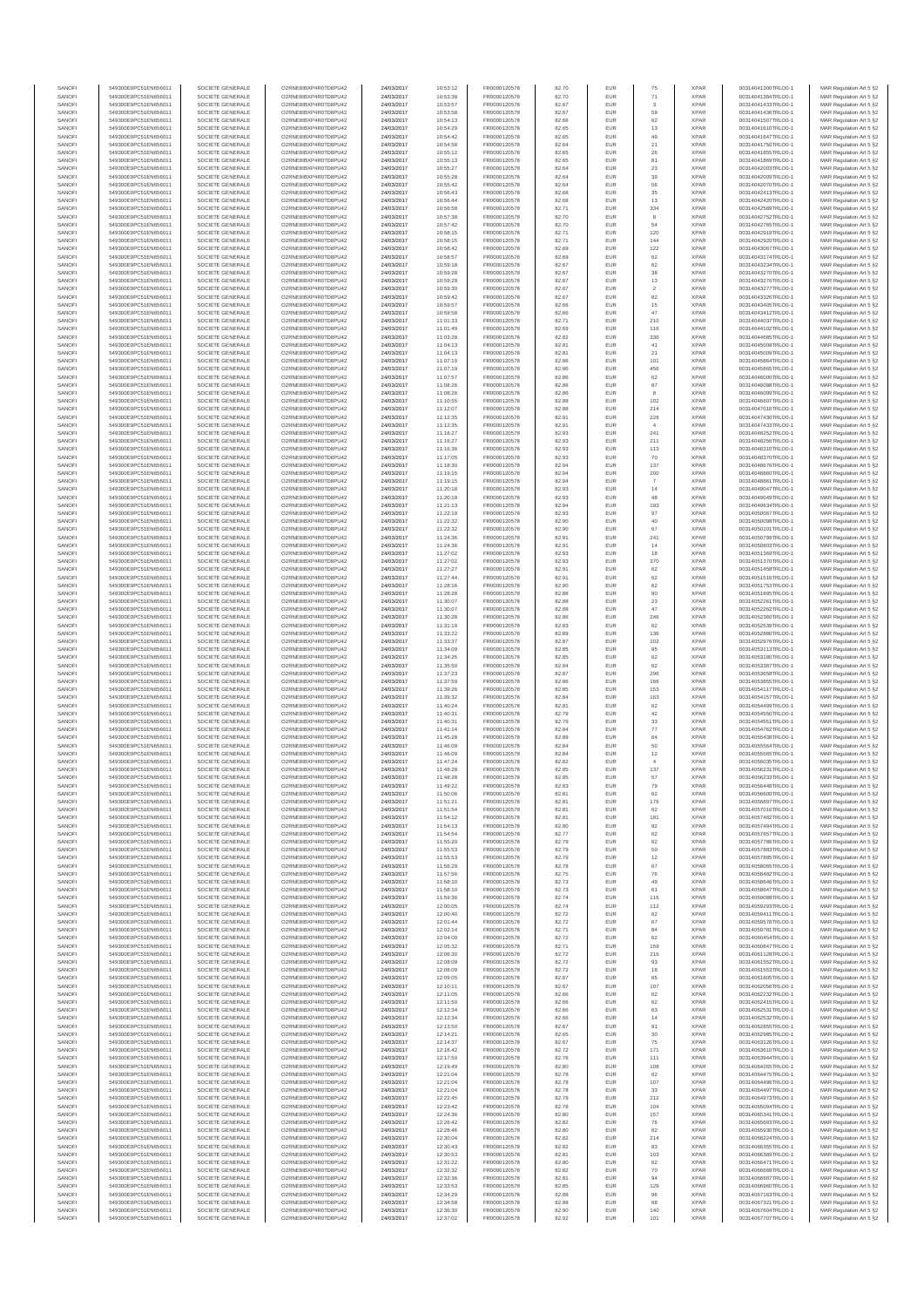| SANOF            | 549300E9PC51EN656011                         | SOCIETE GENERALE                     | O2RNE8IBXP4R0TD8PU42                          | 24/03/2017               | 10:53:12             | FR0000120578                 | 82.70          | EUR               | 75                       | <b>XPAR</b>                | 00314041300TRLO0-1                       | MAR Regulation Art 5 §2                            |
|------------------|----------------------------------------------|--------------------------------------|-----------------------------------------------|--------------------------|----------------------|------------------------------|----------------|-------------------|--------------------------|----------------------------|------------------------------------------|----------------------------------------------------|
| SANOFI<br>SANOFI | 549300E9PC51EN656011<br>549300E9PC51EN656011 | SOCIETE GENERALE<br>SOCIETE GENERALE | O2RNE8IBXP4R0TD8PU42                          | 24/03/2017<br>24/03/2017 | 10:53:38<br>10:53:57 | FR0000120578<br>FR0000120578 | 82.70          | EUR<br>EUR        | 71                       | <b>XPAR</b><br><b>XPAR</b> | 00314041384TRLO0-1<br>00314041433TRLO0-1 | MAR Regulation Art 5 §2                            |
| SANOFI           | 549300E9PC51EN656011                         | SOCIETE GENERALE                     | O2RNE8IBXP4R0TD8PU42<br>O2RNE8IBXP4R0TD8PU42  | 24/03/2017               | 10:53:58             | FR0000120578                 | 82.67<br>82.67 | EUR               | 3<br>59                  | <b>XPAR</b>                | 00314041436TRLO0-1                       | MAR Regulation Art 5 §2<br>MAR Regulation Art 5 §2 |
| SANOFI           | 549300E9PC51EN656011                         | SOCIETE GENERALE                     | O2RNE8IBXP4R0TD8PU42                          | 24/03/2017               | 10:54:13             | FR0000120578                 | 82.66          | EUR               | 62                       | <b>XPAR</b>                | 00314041507TRLO0-1                       | MAR Regulation Art 5 §2                            |
| SANOFI           | 549300E9PC51EN656011                         | SOCIETE GENERALE                     | O2RNE8IBXP4R0TD8PU42                          | 24/03/2017               | 10:54:29             | FR0000120578                 | 82.65          | EUR               | 13                       | <b>XPAR</b>                | 00314041610TRLO0-1                       | MAR Regulation Art 5 §2                            |
| SANOFI<br>SANOFI | 549300E9PC51EN656011<br>549300E9PC51EN656011 | SOCIETE GENERALE<br>SOCIETE GENERALE | O2RNE8IBXP4R0TD8PLI42<br>O2RNE8IBXP4R0TD8PU42 | 24/03/2017<br>24/03/2017 | 10:54:42<br>10:54:58 | FR0000120578<br>FR0000120578 | 82.65<br>82.64 | EUR<br>EUR        | 49<br>21                 | <b>XPAR</b><br><b>XPAR</b> | 00314041647TRLO0-1<br>00314041750TRLO0-1 | MAR Regulation Art 5 §2<br>MAR Regulation Art 5 §2 |
| SANOFI           | 549300E9PC51EN656011                         | SOCIETE GENERALE                     | O2RNE8IBXP4R0TD8PU42                          | 24/03/2017               | 10:55:12             | FR0000120578                 | 82.65          | EUR               | 26                       | <b>XPAR</b>                | 00314041855TRLO0-1                       | MAR Regulation Art 5 §2                            |
| SANOFI           | 549300E9PC51EN656011                         | SOCIETE GENERALE                     | O2RNE8IBXP4R0TD8PU42                          | 24/03/2017               | 10:55:13             | FR0000120578                 | 82.65          | EUR               | 81                       | <b>XPAR</b>                | 00314041869TRLO0-1                       | MAR Regulation Art 5 §2                            |
| SANOFI<br>SANOFI | 549300E9PC51EN656011<br>549300E9PC51EN656011 | SOCIETE GENERALE<br>SOCIETE GENERALE | O2RNE8IBXP4R0TD8PU42<br>O2RNE8IBXP4R0TD8PU42  | 24/03/2017<br>24/03/2017 | 10:55:27<br>10:55:28 | FR0000120578<br>FR0000120578 | 82.64<br>82.64 | EUR<br>EUR        | $23\,$<br>39             | <b>XPAR</b><br><b>XPAR</b> | 00314042003TRLO0-1<br>00314042009TRLO0-1 | MAR Regulation Art 5 §2<br>MAR Regulation Art 5 §2 |
| SANOFI           | 549300E9PC51EN656011                         | SOCIETE GENERALE                     | O2RNE8IBXP4R0TD8PU42                          | 24/03/2017               | 10:55:42             | FR0000120578                 | 82.64          | EUR               | 56                       | <b>XPAR</b>                | 00314042070TRLO0-1                       | MAR Regulation Art 5 §2                            |
| SANOFI           | 549300E9PC51EN656011                         | SOCIETE GENERALE                     | O2RNE8IBXP4R0TD8PU42                          | 24/03/2017               | 10:56:43             | FR0000120578                 | 82.68          | EUR               | 35                       | <b>XPAR</b>                | 00314042413TRLO0-1                       | MAR Regulation Art 5 §2                            |
| SANOFI           | 549300E9PC51EN656011                         | SOCIETE GENERALE                     | O2RNE8IBXP4R0TD8PU42                          | 24/03/2017               | 10:56:44             | FR0000120578                 | 82.68          | EUR               | 13                       | <b>XPAR</b>                | 00314042420TRLO0-1                       | MAR Regulation Art 5 §2                            |
| SANOFI<br>SANOFI | 549300E9PC51EN656011<br>549300E9PC51EN656011 | SOCIETE GENERALE<br>SOCIETE GENERALE | O2RNE8IBXP4R0TD8PU42<br>O2RNE8IBXP4R0TD8PU42  | 24/03/2017<br>24/03/2017 | 10:56:58<br>10:57:38 | FR0000120578<br>FR0000120578 | 82.71<br>82.70 | EUR<br>EUR        | 334<br>8                 | <b>XPAR</b><br><b>XPAR</b> | 00314042589TRLO0-1<br>00314042752TRLO0-1 | MAR Regulation Art 5 §2<br>MAR Regulation Art 5 §2 |
| SANOFI           | 549300E9PC51EN656011                         | SOCIETE GENERALE                     | O2RNE8IBXP4R0TD8PU42                          | 24/03/2017               | 10:57:42             | FR0000120578                 | 82.70          | EUR               | 54                       | <b>XPAR</b>                | 00314042765TRLO0-1                       | MAR Regulation Art 5 §2                            |
| SANOFI           | 549300E9PC51EN656011                         | SOCIETE GENERALE                     | O2RNE8IBXP4R0TD8PU42                          | 24/03/2017               | 10:58:15             | FR0000120578                 | 82.71          | EUR               | 120                      | <b>XPAR</b>                | 00314042919TRLO0-1                       | MAR Regulation Art 5 §2                            |
| SANOFI           | 549300E9PC51EN656011                         | SOCIETE GENERALE                     | O2RNE8IBXP4R0TD8PU42                          | 24/03/2017               | 10:58:15             | FR0000120578                 | 82.71          | EUR               | 144                      | <b>XPAR</b>                | 00314042920TRLO0-1                       | MAR Regulation Art 5 §2                            |
| SANOFI<br>SANOFI | 549300E9PC51EN656011<br>549300E9PC51EN656011 | SOCIETE GENERALE<br>SOCIETE GENERALE | O2RNE8IBXP4R0TD8PU42<br>O2RNE8IBXP4R0TD8PU42  | 24/03/2017<br>24/03/2017 | 10:58:42<br>10:58:57 | FR0000120578<br>FR0000120578 | 82.69<br>82.69 | EUR<br>EUR        | 122<br>$62\,$            | <b>XPAR</b><br><b>XPAR</b> | 00314043067TRLO0-1<br>00314043174TRLO0-1 | MAR Regulation Art 5 §2<br>MAR Regulation Art 5 §2 |
| SANOFI           | 549300E9PC51EN656011                         | SOCIETE GENERALE                     | O2RNE8IBXP4R0TD8PU42                          | 24/03/2017               | 10:59:18             | FR0000120578                 | 82.67          | EUR               | 62                       | <b>XPAR</b>                | 00314043234TRLO0-1                       | MAR Regulation Art 5 §2                            |
| SANOFI           | 549300E9PC51EN656011                         | SOCIETE GENERALE                     | O2RNE8IBXP4R0TD8PU42                          | 24/03/2017               | 10:59:28             | FR0000120578                 | 82.67          | EUR               | 38                       | <b>XPAR</b>                | 00314043270TRLO0-1                       | MAR Regulation Art 5 §2                            |
| SANOFI<br>SANOFI | 549300E9PC51EN656011<br>549300E9PC51EN656011 | SOCIETE GENERALE<br>SOCIETE GENERALE | O2RNE8IBXP4R0TD8PU42<br>O2RNE8IBXP4R0TD8PU42  | 24/03/2017<br>24/03/2017 | 10:59:29<br>10:59:30 | FR0000120578<br>FR0000120578 | 82.67<br>82.67 | EUR<br>EUR        | $13\,$<br>$\overline{2}$ | <b>XPAR</b><br><b>XPAR</b> | 00314043276TRLO0-1<br>00314043277TRLO0-1 | MAR Regulation Art 5 §2<br>MAR Regulation Art 5 §2 |
| SANOFI           | 549300E9PC51EN656011                         | SOCIETE GENERALE                     | O2RNE8IBXP4R0TD8PU42                          | 24/03/2017               | 10:59:42             | FR0000120578                 | 82.67          | EUR               | 82                       | <b>XPAR</b>                | 00314043326TRLO0-1                       | MAR Regulation Art 5 §2                            |
| SANOFI           | 549300E9PC51EN656011                         | SOCIETE GENERALE                     | O2RNE8IBXP4R0TD8PU42                          | 24/03/2017               | 10:59:57             | FR0000120578                 | 82.66          | EUR               | 15                       | <b>XPAR</b>                | 00314043405TRLO0-1                       | MAR Regulation Art 5 §2                            |
| SANOFI           | 549300E9PC51EN656011                         | SOCIETE GENERALE                     | O2RNE8IBXP4R0TD8PU42                          | 24/03/2017               | 10:59:58             | FR0000120578                 | 82.66          | EUR               | 47                       | <b>XPAR</b>                | 00314043412TRLO0-1                       | MAR Regulation Art 5 §2                            |
| SANOFI<br>SANOFI | 549300E9PC51EN656011<br>549300E9PC51EN656011 | SOCIETE GENERALE<br>SOCIETE GENERALE | O2RNE8IBXP4R0TD8PU42<br>O2RNE8IBXP4R0TD8PU42  | 24/03/2017<br>24/03/2017 | 11:01:33<br>11:01:49 | FR0000120578<br>FR0000120578 | 82.71<br>82.69 | EUR<br>EUR        | 210<br>116               | <b>XPAR</b><br><b>XPAR</b> | 00314044037TRLO0-1<br>00314044102TRLO0-1 | MAR Regulation Art 5 §2<br>MAR Regulation Art 5 §2 |
| SANOFI           | 549300E9PC51EN656011                         | SOCIETE GENERALE                     | O2RNE8IBXP4R0TD8PU42                          | 24/03/2017               | 11:03:28             | FR0000120578                 | 82.82          | EUR               | 336                      | <b>XPAR</b>                | 00314044685TRLO0-1                       | MAR Regulation Art 5 §2                            |
| SANOFI           | 549300E9PC51EN656011                         | SOCIETE GENERALE                     | O2RNE8IBXP4R0TD8PU42                          | 24/03/2017               | 11:04:13             | FR0000120578                 | 82.81          | EUR               | 41                       | <b>XPAR</b>                | 00314045008TRLO0-1                       | MAR Regulation Art 5 §2                            |
| SANOFI<br>SANOFI | 549300E9PC51EN656011<br>549300E9PC51EN656011 | SOCIETE GENERALE<br>SOCIETE GENERALE | O2RNE8IBXP4R0TD8PU42<br>O2RNE8IBXP4R0TD8PU42  | 24/03/2017<br>24/03/2017 | 11:04:13<br>11:07:19 | FR0000120578<br>FR0000120578 | 82.81<br>82.86 | EUR<br>EUR        | 21<br>101                | <b>XPAR</b><br><b>XPAR</b> | 00314045009TRLO0-1<br>00314045864TRLO0-1 | MAR Regulation Art 5 §2<br>MAR Regulation Art 5 §2 |
| SANOFI           | 549300E9PC51EN656011                         | SOCIETE GENERALE                     | O2RNE8IBXP4R0TD8PU42                          | 24/03/2017               | 11:07:19             | FR0000120578                 | 82.86          | EUR               | 456                      | <b>XPAR</b>                | 00314045865TRLO0-1                       | MAR Regulation Art 5 §2                            |
| SANOFI           | 549300E9PC51EN656011                         | SOCIETE GENERALE                     | O2RNE8IBXP4R0TD8PU42                          | 24/03/2017               | 11:07:57             | FR0000120578                 | 82.86          | EUR               | 62                       | <b>XPAR</b>                | 00314046000TRLO0-1                       | MAR Regulation Art 5 §2                            |
| SANOFI           | 549300E9PC51EN656011                         | SOCIETE GENERALE                     | O2RNE8IBXP4R0TD8PU42                          | 24/03/2017               | 11:08:26             | FR0000120578                 | 82.86          | EUR               | 87                       | <b>XPAR</b>                | 00314046098TRLO0-1                       | MAR Regulation Art 5 §2                            |
| SANOFI<br>SANOFI | 549300E9PC51EN656011<br>549300E9PC51EN656011 | SOCIETE GENERALE<br>SOCIETE GENERALE | O2RNE8IBXP4R0TD8PU42<br>O2RNE8IBXP4R0TD8PU42  | 24/03/2017<br>24/03/2017 | 11:08:26<br>11:10:55 | FR0000120578<br>FR0000120578 | 82.86<br>82.88 | EUR<br>EUR        | 8<br>102                 | <b>XPAR</b><br><b>XPAR</b> | 00314046099TRLO0-1<br>00314046607TRLO0-1 | MAR Regulation Art 5 §2<br>MAR Regulation Art 5 §2 |
| SANOFI           | 549300E9PC51EN656011                         | SOCIETE GENERALE                     | O2RNE8IBXP4R0TD8PU42                          | 24/03/2017               | 11:12:07             | FR0000120578                 | 82.88          | <b>EUR</b>        | 214                      | <b>XPAR</b>                | 00314047016TRLO0-1                       | MAR Regulation Art 5 §2                            |
| SANOFI           | 549300E9PC51EN656011                         | SOCIETE GENERALE                     | O2RNE8IBXP4R0TD8PU42                          | 24/03/2017               | 11:12:35             | FR0000120578                 | 82.91          | EUR               | 228                      | <b>XPAR</b>                | 00314047430TRLO0-1                       | MAR Regulation Art 5 §2                            |
| SANOFI           | 549300E9PC51EN656011                         | SOCIETE GENERALE<br>SOCIETE GENERALE | O2RNE8IBXP4R0TD8PU42                          | 24/03/2017               | 11:12:35             | FR0000120578                 | 82.91          | EUR               | $\sim$                   | <b>XPAR</b>                | 00314047433TRLO0-1                       | MAR Regulation Art 5 §2                            |
| SANOFI<br>SANOFI | 549300E9PC51EN656011<br>549300E9PC51EN656011 | SOCIETE GENERALE                     | O2RNE8IBXP4R0TD8PU42<br>O2RNE8IBXP4R0TD8PU42  | 24/03/2017<br>24/03/2017 | 11:16:27<br>11:16:27 | FR0000120578<br>FR0000120578 | 82.93<br>82.93 | EUR<br>EUR        | 241<br>211               | <b>XPAR</b><br><b>XPAR</b> | 00314048252TRLO0-1<br>00314048256TRLO0-1 | MAR Regulation Art 5 §2<br>MAR Regulation Art 5 §2 |
| SANOFI           | 549300E9PC51EN656011                         | SOCIETE GENERALE                     | O2RNE8IBXP4R0TD8PU42                          | 24/03/2017               | 11:16:36             | FR0000120578                 | 82.93          | EUR               | 113                      | <b>XPAR</b>                | 00314048310TRLO0-1                       | MAR Regulation Art 5 §2                            |
| SANOFI           | 549300E9PC51EN656011                         | SOCIETE GENERALE                     | O2RNE8IBXP4R0TD8PU42                          | 24/03/2017               | 11:17:05             | FR0000120578                 | 82.93          | EUR               | 70                       | <b>XPAR</b>                | 00314048370TRLO0-1                       | MAR Regulation Art 5 §2                            |
| SANOFI           | 549300E9PC51EN656011<br>549300E9PC51EN656011 | SOCIETE GENERALE                     | O2RNE8IBXP4R0TD8PU42<br>O2RNE8IBXP4R0TD8PU42  | 24/03/2017               | 11:18:30             | FR0000120578<br>FR0000120578 | 82.94          | EUR               | 137                      | <b>XPAR</b>                | 00314048676TRLO0-1                       | MAR Regulation Art 5 §2                            |
| SANOFI<br>SANOFI | 549300E9PC51EN656011                         | SOCIETE GENERALE<br>SOCIETE GENERALE | O2RNE8IBXP4R0TD8PU42                          | 24/03/2017<br>24/03/2017 | 11:19:15<br>11:19:15 | FR0000120578                 | 82.94<br>82.94 | EUR<br>EUR        | 200<br>$\overline{7}$    | <b>XPAR</b><br><b>XPAR</b> | 00314048860TRLO0-1<br>00314048861TRLO0-1 | MAR Regulation Art 5 §2<br>MAR Regulation Art 5 §2 |
| SANOFI           | 549300E9PC51EN656011                         | SOCIETE GENERALE                     | O2RNE8IBXP4R0TD8PU42                          | 24/03/2017               | 11:20:18             | FR0000120578                 | 82.93          | EUR               | 14                       | <b>XPAR</b>                | 00314049047TRLO0-1                       | MAR Regulation Art 5 §2                            |
| SANOFI           | 549300E9PC51EN656011                         | SOCIETE GENERALE                     | O2RNE8IBXP4R0TD8PU42                          | 24/03/2017               | 11:20:18             | FR0000120578                 | 82.93          | EUR               | 48                       | <b>XPAR</b>                | 00314049049TRLO0-1                       | MAR Regulation Art 5 §2                            |
| SANOFI<br>SANOFI | 549300E9PC51EN656011                         | SOCIETE GENERALE                     | O2RNE8IBXP4R0TD8PU42                          | 24/03/2017               | 11:21:13             | FR0000120578<br>FR0000120578 | 82.94<br>82.93 | EUR<br>EUR        | 193<br>97                | <b>XPAR</b><br><b>XPAR</b> | 00314049634TRLO0-1                       | MAR Regulation Art 5 §2<br>MAR Regulation Art 5 §2 |
| SANOFI           | 549300E9PC51EN656011<br>549300E9PC51EN656011 | SOCIETE GENERALE<br>SOCIETE GENERALE | O2RNE8IBXP4R0TD8PU42<br>O2RNE8IBXP4R0TD8PU42  | 24/03/2017<br>24/03/2017 | 11:22:19<br>11:22:32 | FR0000120578                 | 82.90          | EUR               | 40                       | <b>XPAR</b>                | 00314050067TRLO0-1<br>00314050098TRLO0-1 | MAR Regulation Art 5 §2                            |
| SANOFI           | 549300E9PC51EN656011                         | SOCIETE GENERALE                     | O2RNE8IBXP4R0TD8PU42                          | 24/03/2017               | 11:22:32             | FR0000120578                 | 82.90          | EUR               | 67                       | <b>XPAR</b>                | 00314050101TRLO0-1                       | MAR Regulation Art 5 §2                            |
| SANOFI           | 549300E9PC51EN656011                         | SOCIETE GENERALE                     | O2RNE8IBXP4R0TD8PU42                          | 24/03/2017               | 11:24:36             | FR0000120578                 | 82.91          | EUR               | 241                      | <b>XPAR</b>                | 00314050799TRLO0-1                       | MAR Regulation Art 5 §2                            |
| SANOFI<br>SANOFI | 549300E9PC51EN656011<br>549300E9PC51EN656011 | SOCIETE GENERALE<br>SOCIETE GENERALE | O2RNE8IBXP4R0TD8PU42<br>O2RNE8IBXP4R0TD8PU42  | 24/03/2017<br>24/03/2017 | 11:24:36<br>11:27:02 | FR0000120578<br>FR0000120578 | 82.91<br>82.93 | EUR<br>EUR        | 14<br>18                 | <b>XPAR</b><br><b>XPAR</b> | 00314050803TRLO0-1<br>00314051369TRLO0-1 | MAR Regulation Art 5 §2<br>MAR Regulation Art 5 §2 |
| SANOFI           | 549300E9PC51EN656011                         | SOCIETE GENERALE                     | O2RNE8IBXP4R0TD8PU42                          | 24/03/2017               | 11:27:02             | FR0000120578                 | 82.93          | EUR               | 370                      | <b>XPAR</b>                | 00314051370TRLO0-1                       | MAR Regulation Art 5 §2                            |
| SANOFI           | 549300E9PC51EN656011                         | SOCIETE GENERALE                     | O2RNE8IBXP4R0TD8PU42                          | 24/03/2017               | 11:27:27             | FR0000120578                 | 82.91          | EUR               | 62                       | <b>XPAR</b>                | 00314051458TRLO0-1                       | MAR Regulation Art 5 §2                            |
| SANOFI           | 549300E9PC51EN656011                         | SOCIETE GENERALE                     | O2RNE8IBXP4R0TD8PU42                          | 24/03/2017               | 11:27:44             | FR0000120578                 | 82.91          | EUR               | 62                       | <b>XPAR</b>                | 00314051516TRLO0-1                       | MAR Regulation Art 5 §2                            |
| SANOFI<br>SANOFI | 549300E9PC51EN656011<br>549300E9PC51EN656011 | SOCIETE GENERALE<br>SOCIETE GENERALE | O2RNE8IBXP4R0TD8PU42<br>O2RNE8IBXP4R0TD8PU42  | 24/03/2017               | 11:28:16             | FR0000120578                 | 82.90          | EUR<br>EUR        | 62                       | <b>XPAR</b><br><b>XPAR</b> | 00314051753TRLO0-1<br>00314051895TRLO0-1 | MAR Regulation Art 5 §2                            |
| SANOFI           | 549300E9PC51EN656011                         | SOCIETE GENERALE                     | O2RNE8IBXP4R0TD8PU42                          | 24/03/2017<br>24/03/2017 | 11:28:28<br>11:30:07 | FR0000120578<br>FR0000120578 | 82.88<br>82.88 | EUR               | 80<br>$23\,$             | <b>XPAR</b>                | 00314052261TRLO0-1                       | MAR Regulation Art 5 §2<br>MAR Regulation Art 5 §2 |
| SANOFI           | 549300E9PC51EN656011                         | SOCIETE GENERALE                     | O2RNE8IBXP4R0TD8PU42                          | 24/03/2017               | 11:30:07             | FR0000120578                 | 82.88          | <b>EUR</b>        | 47                       | <b>XPAR</b>                | 00314052262TRLO0-1                       | MAR Regulation Art 5 §2                            |
| SANOFI           | 549300E9PC51EN656011                         | SOCIETE GENERALE                     | O2RNE8IBXP4R0TD8PU42                          | 24/03/2017               | 11:30:28             | FR0000120578                 | 82.86          | EUR               | 246                      | <b>XPAR</b>                | 00314052360TRLO0-1                       | MAR Regulation Art 5 §2                            |
| SANOFI<br>SANOFI | 549300E9PC51EN656011<br>549300E9PC51EN656011 | SOCIETE GENERALE<br>SOCIETE GENERALE | O2RNE8IBXP4R0TD8PU42<br>O2RNE8IBXP4R0TD8PU42  | 24/03/2017<br>24/03/2017 | 11:31:19<br>11:33:22 | FR0000120578<br>FR0000120578 | 82.83<br>82.89 | EUR<br>EUR        | 62<br>136                | <b>XPAR</b><br><b>XPAR</b> | 00314052539TRLO0-1<br>00314052880TRLO0-1 | MAR Regulation Art 5 §2<br>MAR Regulation Art 5 §2 |
| SANOFI           | 549300E9PC51EN656011                         | SOCIETE GENERALE                     | O2RNE8IBXP4R0TD8PU42                          | 24/03/2017               | 11:33:37             | FR0000120578                 | 82.87          | EUR               | 102                      | <b>XPAR</b>                | 00314052976TRLO0-1                       | MAR Regulation Art 5 §2                            |
| SANOFI           | 549300E9PC51EN656011                         | SOCIETE GENERALE                     | O2RNE8IBXP4R0TD8PU42                          | 24/03/2017               | 11:34:09             | FR0000120578                 | 82.85          | EUR               | 95                       | <b>XPAR</b>                | 00314053113TRLO0-1                       | MAR Regulation Art 5 §2                            |
| SANOFI<br>SANOFI | 549300E9PC51EN656011<br>549300E9PC51EN656011 | SOCIETE GENERALE<br>SOCIETE GENERALE | O2RNE8IBXP4R0TD8PU42<br>O2RNE8IBXP4R0TD8PU42  | 24/03/2017<br>24/03/2017 | 11:34:25             | FR0000120578<br>FR0000120578 | 82.85<br>82.84 | EUR<br>EUR        | $62\,$<br>62             | <b>XPAR</b><br><b>XPAR</b> | 00314053180TRLO0-1<br>00314053387TRLO0-1 | MAR Regulation Art 5 §2                            |
| SANOFI           | 549300E9PC51EN656011                         | SOCIETE GENERALE                     | O2RNE8IBXP4R0TD8PU42                          | 24/03/2017               | 11:35:50<br>11:37:23 | FR0000120578                 | 82.87          | EUR               | 296                      | <b>XPAR</b>                | 00314053658TRLO0-1                       | MAR Regulation Art 5 §2<br>MAR Regulation Art 5 §2 |
| SANOFI           | 549300E9PC51EN656011                         | SOCIETE GENERALE                     | O2RNE8IBXP4R0TD8PU42                          | 24/03/2017               | 11:37:59             | FR0000120578                 | 82.86          | EUR               | 166                      | <b>XPAR</b>                | 00314053855TRLO0-1                       | MAR Regulation Art 5 §2                            |
| SANOFI           | 549300E9PC51EN656011                         | SOCIETE GENERALE                     | O2RNE8IBXP4R0TD8PU42                          | 24/03/2017               | 11:39:26             | FR0000120578                 | 82.85          | EUR               | 153                      | <b>XPAR</b>                | 00314054117TRLO0-1                       | MAR Regulation Art 5 §2                            |
| SANOFI<br>SANOFI | 549300E9PC51EN656011<br>549300E9PC51EN656011 | SOCIETE GENERALE<br>SOCIETE GENERALE | O2RNE8IBXP4R0TD8PU42<br>O2RNE8IBXP4R0TD8PU42  | 24/03/2017<br>24/03/2017 | 11:39:32<br>11:40:24 | FR0000120578<br>FR0000120578 | 82.84<br>82.81 | EUR<br>EUR        | 163<br>62                | <b>XPAR</b><br><b>XPAR</b> | 00314054157TRLO0-1<br>00314054499TRLO0-1 | MAR Regulation Art 5 §2<br>MAR Regulation Art 5 §2 |
| SANOFI           | 549300E9PC51EN656011                         | SOCIETE GENERALE                     | O2RNE8IBXP4R0TD8PU42                          | 24/03/2017               | 11:40:31             | FR0000120578                 | 82.79          | EUR               | $42\,$                   | <b>XPAR</b>                | 00314054550TRLO0-1                       | MAR Regulation Art 5 §2                            |
| SANOFI           | 549300E9PC51EN656011                         | SOCIETE GENERALE                     | O2RNE8IBXP4R0TD8PU42                          | 24/03/2017               | 11:40:31             | FR0000120578                 | 82.79          | EUR               | $33\,$                   | <b>XPAR</b>                | 00314054551TRLO0-1                       | MAR Regulation Art 5 §2                            |
| SANOFI           | 549300E9PC51EN656011                         | SOCIETE GENERALE                     | O2RNE8IBXP4R0TD8PU42                          | 24/03/2017               | 11:41:14             | FR0000120578                 | 82.84          | EUR               | 77                       | <b>XPAR</b>                | 00314054762TRLO0-1                       | MAR Regulation Art 5 §2                            |
| SANOFI<br>SANOFI | 549300E9PC51EN656011<br>549300E9PC51EN656011 | SOCIETE GENERALE<br>SOCIETE GENERALE | O2RNE8IBXP4R0TD8PU42<br>O2RNE8IBXP4R0TD8PU42  | 24/03/2017<br>24/03/2017 | 11:45:28<br>11:46:09 | FR0000120578<br>FR0000120578 | 82.89<br>82.84 | EUR<br>EUR        | 64<br>50                 | <b>XPAR</b><br><b>XPAR</b> | 00314055438TRLO0-1<br>00314055564TRLO0-1 | MAR Regulation Art 5 §2<br>MAR Regulation Art 5 §2 |
| SANOFI           | 549300E9PC51EN656011                         | SOCIETE GENERALE                     | O2RNE8IBXP4R0TD8PU42                          | 24/03/2017               | 11:46:09             | FR0000120578                 | 82.84          | EUR               | 12                       | <b>XPAR</b>                | 00314055565TRLO0-1                       | MAR Regulation Art 5 §2                            |
| SANOFI           | 549300E9PC51EN656011                         | SOCIETE GENERALE                     | O2RNE8IBXP4R0TD8PU42                          | 24/03/2017               | 11:47:24             | FR0000120578                 | 82.82          | EUR               | $\ddot{4}$               | <b>XPAR</b>                | 00314056035TRLO0-1                       | MAR Regulation Art 5 §2                            |
| SANOFI<br>SANOFI | 549300E9PC51EN656011<br>549300E9PC51EN656011 | SOCIETE GENERALE<br>SOCIETE GENERALE | O2RNE8IBXP4R0TD8PU42<br>O2RNE8IBXP4R0TD8PU42  | 24/03/2017<br>24/03/2017 | 11:48:28<br>11:48:28 | FR0000120578<br>FR0000120578 | 82.85<br>82.85 | EUR<br>EUR        | 137<br>57                | <b>XPAR</b><br><b>XPAR</b> | 00314056231TRLO0-1<br>00314056233TRLO0-1 | MAR Regulation Art 5 §2<br>MAR Regulation Art 5 §2 |
| SANOFI           | 549300E9PC51EN656011                         | SOCIETE GENERALE                     | O2RNE8IBXP4R0TD8PU42                          | 24/03/2017               | 11:49:22             | FR0000120578                 | 82.83          | EUR               | 79                       | <b>XPAR</b>                | 00314056448TRLO0-1                       | MAR Regulation Art 5 §2                            |
| SANOFI           | 549300E9PC51EN656011                         | SOCIETE GENERALE                     | O2RNE8IBXP4R0TD8PU42                          | 24/03/2017               | 11:50:06             | FR0000120578                 | 82.81          | EUR               | 62                       | <b>XPAR</b>                | 00314056600TRLO0-1                       | MAR Regulation Art 5 §2                            |
| SANOFI           | 549300E9PC51EN656011                         | SOCIETE GENERALE                     | O2RNE8IBXP4R0TD8PU42                          | 24/03/2017               | 11:51:21             | FR0000120578                 | 82.81          | EUR               | 176                      | <b>XPAR</b>                | 00314056897TRLO0-1                       | MAR Regulation Art 5 §2                            |
| SANOFI<br>SANOFI | 549300E9PC51EN656011<br>549300E9PC51EN656011 | SOCIETE GENERALE<br>SOCIETE GENERALE | O2RNE8IBXP4R0TD8PU42<br>O2RNE8IBXP4R0TD8PU42  | 24/03/2017<br>24/03/2017 | 11:51:54<br>11:54:12 | FR0000120578<br>FR0000120578 | 82.81<br>82.81 | EUR<br>EUR        | 62<br>181                | <b>XPAR</b><br><b>XPAR</b> | 00314057016TRLO0-1<br>00314057482TRLO0-1 | MAR Regulation Art 5 §2<br>MAR Regulation Art 5 §2 |
| SANOFI           | 549300E9PC51EN656011                         | SOCIETE GENERALE                     | O2RNE8IBXP4R0TD8PU42                          | 24/03/2017               | 11:54:13             | FR0000120578                 | 82.80          | EUR               | 92                       | <b>XPAR</b>                | 00314057494TRLO0-1                       | MAR Regulation Art 5 §2                            |
| SANOFI           | 549300E9PC51EN656011                         | SOCIETE GENERALE                     | O2RNE8IBXP4R0TD8PU42                          | 24/03/2017               | 11:54:54             | FR0000120578                 | 82.77          | EUR               | 62                       | <b>XPAR</b>                | 00314057657TRLO0-1                       | MAR Regulation Art 5 §2                            |
| SANOFI<br>SANOFI | 549300E9PC51EN656011                         | SOCIETE GENERALE<br>SOCIETE GENERALE | O2RNE8IBXP4R0TD8PU42<br>O2RNE8IBXP4R0TD8PU42  | 24/03/2017               | 11:55:20<br>11:55:53 | FR0000120578                 | 82.79          | <b>EUR</b><br>EUR | 62<br>50                 | <b>XPAR</b><br><b>XPAR</b> | 00314057786TRLO0-1<br>00314057883TRLO0-1 | MAR Regulation Art 5 §2                            |
| SANOFI           | 549300E9PC51EN656011<br>549300E9PC51EN656011 | SOCIETE GENERALE                     | O2RNE8IBXP4R0TD8PU42                          | 24/03/2017<br>24/03/2017 | 11:55:53             | FR0000120578<br>FR0000120578 | 82.79<br>82.79 | EUR               | $12\,$                   | <b>XPAR</b>                | 00314057885TRLO0-1                       | MAR Regulation Art 5 §2<br>MAR Regulation Art 5 §2 |
| SANOFI           | 549300E9PC51EN656011                         | SOCIETE GENERALE                     | O2RNE8IBXP4R0TD8PU42                          | 24/03/2017               | 11:56:29             | FR0000120578                 | 82.78          | EUR               | 67                       | <b>XPAR</b>                | 00314058065TRLO0-1                       | MAR Regulation Art 5 §2                            |
| SANOFI           | 549300E9PC51EN656011                         | SOCIETE GENERALE                     | O2RNE8IBXP4R0TD8PU42                          | 24/03/2017               | 11:57:56             | FR0000120578                 | 82.75          | EUR               | 76                       | <b>XPAR</b>                | 00314058482TRLO0-1                       | MAR Regulation Art 5 §2                            |
| SANOFI<br>SANOFI | 549300E9PC51EN656011<br>549300E9PC51EN656011 | SOCIETE GENERALE<br>SOCIETE GENERALE | O2RNE8IBXP4R0TD8PU42<br>O2RNE8IBXP4R0TD8PU42  | 24/03/2017<br>24/03/2017 | 11:58:10<br>11:58:10 | FR0000120578<br>FR0000120578 | 82.73<br>82.73 | <b>EUR</b><br>EUR | 49<br>61                 | <b>XPAR</b><br><b>XPAR</b> | 00314058646TRLO0-1<br>00314058647TRLO0-1 | MAR Regulation Art 5 §2<br>MAR Regulation Art 5 §2 |
| SANOFI           | 549300E9PC51EN656011                         | SOCIETE GENERALE                     | O2RNE8IBXP4R0TD8PU42                          | 24/03/2017               | 11:59:36             | FR0000120578                 | 82.74          | <b>EUR</b>        | 116                      | <b>XPAR</b>                | 00314059088TRLO0-1                       | MAR Regulation Art 5 §2                            |
| SANOFI           | 549300E9PC51EN656011                         | SOCIETE GENERALE                     | O2RNE8IBXP4R0TD8PU42                          | 24/03/2017               | 12:00:05             | FR0000120578                 | 82.74          | EUR               | 112                      | <b>XPAR</b>                | 00314059293TRLO0-1                       | MAR Regulation Art 5 §2                            |
| SANOFI<br>SANOFI | 549300E9PC51EN656011<br>549300E9PC51EN656011 | SOCIETE GENERALE<br>SOCIETE GENERALE | O2RNE8IBXP4R0TD8PU42<br>O2RNE8IBXP4R0TD8PU42  | 24/03/2017<br>24/03/2017 | 12:00:40<br>12:01:44 | FR0000120578<br>FR0000120578 | 82.72<br>82.72 | EUR<br>EUR        | 62<br>67                 | <b>XPAR</b><br><b>XPAR</b> | 00314059411TRLO0-1<br>00314059578TRLO0-1 | MAR Regulation Art 5 §2<br>MAR Regulation Art 5 §2 |
| SANOFI           | 549300E9PC51EN656011                         | SOCIETE GENERALE                     | O2RNE8IBXP4R0TD8PU42                          | 24/03/2017               | 12:02:14             | FR0000120578                 | 82.71          | EUR               | 84                       | <b>XPAR</b>                | 00314059781TRLO0-1                       | MAR Regulation Art 5 §2                            |
| SANOFI           | 549300E9PC51EN656011                         | SOCIETE GENERALE                     | O2RNE8IBXP4R0TD8PU42                          | 24/03/2017               | 12:04:00             | FR0000120578                 | 82.72          | EUR               | 62                       | <b>XPAR</b>                | 00314060454TRLO0-1                       | MAR Regulation Art 5 §2                            |
| SANOFI           | 549300E9PC51EN656011                         | SOCIETE GENERALE                     | O2RNE8IBXP4R0TD8PU42                          | 24/03/2017               | 12:05:32             | FR0000120578                 | 82.71          | EUR               | 159                      | <b>XPAR</b>                | 00314060847TRLO0-1                       | MAR Regulation Art 5 §2                            |
| SANOFI<br>SANOFI | 549300E9PC51EN656011<br>549300E9PC51EN656011 | SOCIETE GENERALE<br>SOCIETE GENERALE | O2RNE8IBXP4R0TD8PU42<br>O2RNE8IBXP4R0TD8PU42  | 24/03/2017<br>24/03/2017 | 12:06:30<br>12:08:09 | FR0000120578<br>FR0000120578 | 82.72<br>82.72 | <b>EUR</b><br>EUR | 216<br>93                | <b>XPAR</b><br><b>XPAR</b> | 00314061128TRLO0-1<br>00314061552TRLO0-1 | MAR Regulation Art 5 §2<br>MAR Regulation Art 5 §2 |
| SANOFI           | 549300E9PC51EN656011                         | SOCIETE GENERALE                     | O2RNE8IBXP4R0TD8PU42                          | 24/03/2017               | 12:08:09             | FR0000120578                 | 82.72          | <b>EUR</b>        | 18                       | <b>XPAR</b>                | 00314061553TRLO0-1                       | MAR Regulation Art 5 §2                            |
| SANOFI           | 549300E9PC51EN656011                         | SOCIETE GENERALE                     | O2RNE8IBXP4R0TD8PU42                          | 24/03/2017               | 12:09:05             | FR0000120578                 | 82.67          | EUR               | 65                       | <b>XPAR</b>                | 00314061805TRLO0-1                       | MAR Regulation Art 5 §2                            |
| SANOFI           | 549300E9PC51EN656011                         | SOCIETE GENERALE                     | O2RNE8IBXP4R0TD8PU42                          | 24/03/2017               | 12:10:11             | FR0000120578                 | 82.67          | EUR               | 107                      | <b>XPAR</b>                | 00314062056TRLO0-1                       | MAR Regulation Art 5 §2                            |
| SANOFI<br>SANOFI | 549300E9PC51EN656011<br>549300E9PC51EN656011 | SOCIETE GENERALE<br>SOCIETE GENERALE | O2RNE8IBXP4R0TD8PU42<br>O2RNE8IBXP4R0TD8PU42  | 24/03/2017<br>24/03/2017 | 12:11:05<br>12:11:50 | FR0000120578<br>FR0000120578 | 82.66<br>82.66 | EUR<br>EUR        | 62<br>$62\,$             | <b>XPAR</b><br><b>XPAR</b> | 00314062232TRLO0-1<br>00314062415TRLO0-1 | MAR Regulation Art 5 §2<br>MAR Regulation Art 5 §2 |
| SANOFI           | 549300E9PC51EN656011                         | SOCIETE GENERALE                     | O2RNE8IBXP4R0TD8PU42                          | 24/03/2017               | 12:12:34             | FR0000120578                 | 82.66          | EUR               | 63                       | <b>XPAR</b>                | 00314062531TRLO0-1                       | MAR Regulation Art 5 §2                            |
| SANOFI           | 549300E9PC51EN656011                         | SOCIETE GENERALE                     | O2RNE8IBXP4R0TD8PU42                          | 24/03/2017               | 12:12:34             | FR0000120578                 | 82.66          | EUR               | 14                       | <b>XPAR</b>                | 00314062532TRLO0-1                       | MAR Regulation Art 5 §2                            |
| SANOFI           | 549300E9PC51EN656011                         | SOCIETE GENERALE                     | O2RNE8IBXP4R0TD8PU42                          | 24/03/2017               | 12:13:50             | FR0000120578                 | 82.67          | <b>EUR</b>        | 91                       | <b>XPAR</b>                | 00314062855TRLO0-1                       | MAR Regulation Art 5 §2                            |
| SANOFI<br>SANOFI | 549300E9PC51EN656011<br>549300E9PC51EN656011 | SOCIETE GENERALE<br>SOCIETE GENERALE | O2RNE8IBXP4R0TD8PU42<br>O2RNE8IBXP4R0TD8PU42  | 24/03/2017<br>24/03/2017 | 12:14:21<br>12:14:37 | FR0000120578<br>FR0000120578 | 82.65<br>82.67 | EUR<br><b>EUR</b> | 30<br>75                 | <b>XPAR</b><br><b>XPAR</b> | 00314062985TRLO0-1<br>00314063126TRLO0-1 | MAR Regulation Art 5 §2<br>MAR Regulation Art 5 §2 |
| SANOFI           | 549300E9PC51EN656011                         | SOCIETE GENERALE                     | O2RNE8IBXP4R0TD8PU42                          | 24/03/2017               | 12:16:42             | FR0000120578                 | 82.72          | EUR               | 171                      | <b>XPAR</b>                | 00314063610TRLO0-1                       | MAR Regulation Art 5 §2                            |
| SANOFI           | 549300E9PC51EN656011                         | SOCIETE GENERALE                     | O2RNE8IBXP4R0TD8PU42                          | 24/03/2017               | 12:17:50             | FR0000120578                 | 82.76          | EUR               | 111                      | <b>XPAR</b>                | 00314063944TRLO0-1                       | MAR Regulation Art 5 §2                            |
| SANOFI           | 549300E9PC51EN656011                         | SOCIETE GENERALE                     | O2RNE8IBXP4R0TD8PU42                          | 24/03/2017               | 12:19:49             | FR0000120578                 | 82.80          | EUR               | 108                      | <b>XPAR</b>                | 00314064265TRLO0-1                       | MAR Regulation Art 5 §2                            |
| SANOFI<br>SANOFI | 549300E9PC51EN656011<br>549300E9PC51EN656011 | SOCIETE GENERALE<br>SOCIETE GENERALE | O2RNE8IBXP4R0TD8PU42<br>O2RNE8IBXP4R0TD8PU42  | 24/03/2017<br>24/03/2017 | 12:21:04<br>12:21:04 | FR0000120578<br>FR0000120578 | 82.78<br>82.78 | EUR<br>EUR        | 62<br>107                | <b>XPAR</b><br><b>XPAR</b> | 00314064475TRLO0-1<br>00314064496TRLO0-1 | MAR Regulation Art 5 §2<br>MAR Regulation Art 5 §2 |
| SANOFI           | 549300E9PC51EN656011                         | SOCIETE GENERALE                     | O2RNE8IBXP4R0TD8PU42                          | 24/03/2017               | 12:21:04             | FR0000120578                 | 82.78          | EUR               | 33                       | <b>XPAR</b>                | 00314064497TRLO0-1                       | MAR Regulation Art 5 §2                            |
| SANOFI           | 549300E9PC51EN656011                         | SOCIETE GENERALE                     | O2RNE8IBXP4R0TD8PU42                          | 24/03/2017               | 12:22:45             | FR0000120578                 | 82.79          | <b>EUR</b>        | 212                      | <b>XPAR</b>                | 00314064973TRLO0-1                       | MAR Regulation Art 5 §2                            |
| SANOFI           | 549300E9PC51EN656011                         | SOCIETE GENERALE                     | O2RNE8IBXP4R0TD8PU42                          | 24/03/2017               | 12:23:42             | FR0000120578                 | 82.78          | EUR               | 104                      | <b>XPAR</b>                | 00314065094TRLO0-1                       | MAR Regulation Art 5 §2                            |
| SANOFI<br>SANOFI | 549300E9PC51EN656011<br>549300E9PC51EN656011 | SOCIETE GENERALE<br>SOCIETE GENERALE | O2RNE8IBXP4R0TD8PU42<br>O2RNE8IBXP4R0TD8PU42  | 24/03/2017<br>24/03/2017 | 12:24:36<br>12:26:42 | FR0000120578<br>FR0000120578 | 82.80<br>82.82 | <b>EUR</b><br>EUR | 157<br>76                | <b>XPAR</b><br><b>XPAR</b> | 00314065341TRLO0-1<br>00314065693TRLO0-1 | MAR Regulation Art 5 §2<br>MAR Regulation Art 5 §2 |
| SANOFI           | 549300E9PC51EN656011                         | SOCIETE GENERALE                     | O2RNE8IBXP4R0TD8PU42                          | 24/03/2017               | 12:28:46             | FR0000120578                 | 82.80          | EUR               | 62                       | <b>XPAR</b>                | 00314065930TRLO0-1                       | MAR Regulation Art 5 §2                            |
| SANOFI           | 549300E9PC51EN656011                         | SOCIETE GENERALE                     | O2RNE8IBXP4R0TD8PU42                          | 24/03/2017               | 12:30:04             | FR0000120578                 | 82.82          | EUR               | 214                      | <b>XPAR</b>                | 00314066224TRLO0-1                       | MAR Regulation Art 5 §2                            |
| SANOFI<br>SANOFI | 549300E9PC51EN656011<br>549300E9PC51EN656011 | SOCIETE GENERALE<br>SOCIETE GENERALE | O2RNE8IBXP4R0TD8PU42<br>O2RNE8IBXP4R0TD8PU42  | 24/03/2017<br>24/03/2017 | 12:30:43<br>12:30:53 | FR0000120578<br>FR0000120578 | 82.82<br>82.81 | EUR<br><b>EUR</b> | 83<br>103                | <b>XPAR</b><br><b>XPAR</b> | 00314066355TRLO0-1<br>00314066389TRLO0-1 | MAR Regulation Art 5 §2<br>MAR Regulation Art 5 §2 |
| SANOFI           | 549300E9PC51EN656011                         | SOCIETE GENERALE                     | O2RNE8IBXP4R0TD8PU42                          | 24/03/2017               | 12:31:22             | FR0000120578                 | 82.80          | EUR               | 62                       | <b>XPAR</b>                | 00314066471TRLO0-1                       | MAR Regulation Art 5 §2                            |
| SANOFI           | 549300E9PC51EN656011                         | SOCIETE GENERALE                     | O2RNE8IBXP4R0TD8PU42                          | 24/03/2017               | 12:32:32             | FR0000120578                 | 82.82          | <b>EUR</b>        | 70                       | <b>XPAR</b>                | 00314066668TRLO0-1                       | MAR Regulation Art 5 §2                            |
| SANOFI<br>SANOFI | 549300E9PC51EN656011<br>549300E9PC51EN656011 | SOCIETE GENERALE<br>SOCIETE GENERALE | O2RNE8IBXP4R0TD8PU42<br>O2RNE8IBXP4R0TD8PU42  | 24/03/2017<br>24/03/2017 | 12:32:36<br>12:33:53 | FR0000120578<br>FR0000120578 | 82.81<br>82.85 | EUR<br>EUR        | 94<br>129                | <b>XPAR</b><br><b>XPAR</b> | 00314066687TRLO0-1<br>00314066960TRLO0-1 | MAR Regulation Art 5 §2                            |
| SANOFI           | 549300E9PC51EN656011                         | SOCIETE GENERALE                     | O2RNE8IBXP4R0TD8PU42                          | 24/03/2017               | 12:34:29             | FR0000120578                 | 82.88          | EUR               | 96                       | <b>XPAR</b>                | 00314067163TRLO0-1                       | MAR Regulation Art 5 §2<br>MAR Regulation Art 5 §2 |
| SANOFI           | 549300E9PC51EN656011                         | SOCIETE GENERALE                     | O2RNE8IBXP4R0TD8PU42                          | 24/03/2017               | 12:34:58             | FR0000120578                 | 82.88          | EUR               | 68                       | <b>XPAR</b>                | 00314067321TRLO0-1                       | MAR Regulation Art 5 §2                            |
| SANOFI<br>SANOFI | 549300E9PC51EN656011<br>549300E9PC51EN656011 | SOCIETE GENERALE<br>SOCIETE GENERALE | O2RNE8IBXP4R0TD8PU42<br>O2RNE8IBXP4R0TD8PU42  | 24/03/2017<br>24/03/2017 | 12:36:30<br>12:37:02 | FR0000120578                 | 82.90<br>82.92 | EUR<br>EUR        | 140<br>101               | <b>XPAR</b><br><b>XPAR</b> | 00314067604TRLO0-1<br>00314067707TRLO0-1 | MAR Regulation Art 5 §2                            |
|                  |                                              |                                      |                                               |                          |                      | FR0000120578                 |                |                   |                          |                            |                                          | MAR Regulation Art 5 §2                            |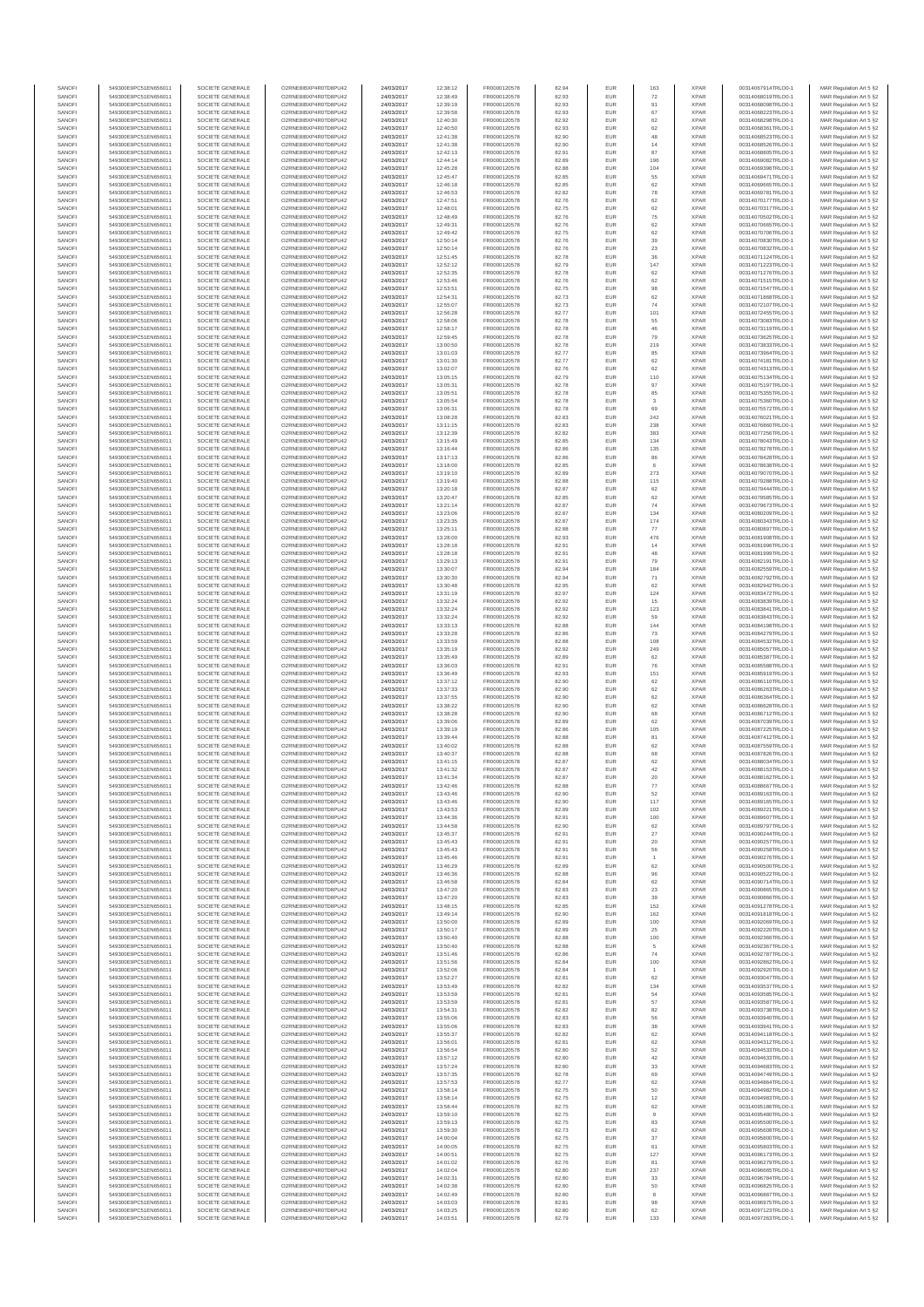| SANOFI           | 549300E9PC51EN656011                         | SOCIETE GENERALE                     | O2RNE8IBXP4R0TD8PU42                          | 24/03/2017               | 12:38:12             | FR0000120578                 | 82.94          | EUR               | 163                  | <b>XPAR</b>                | 00314067914TRLO0-1                       | MAR Regulation Art 5 §2                            |
|------------------|----------------------------------------------|--------------------------------------|-----------------------------------------------|--------------------------|----------------------|------------------------------|----------------|-------------------|----------------------|----------------------------|------------------------------------------|----------------------------------------------------|
| SANOFI<br>SANOFI | 549300E9PC51EN656011<br>549300E9PC51EN656011 | SOCIETE GENERALE<br>SOCIETE GENERALE | O2RNE8IBXP4R0TD8PLI42<br>O2RNE8IBXP4R0TD8PU42 | 24/03/2017<br>24/03/2017 | 12:38:49<br>12:39:19 | FR0000120578<br>FR0000120578 | 82.93<br>82.93 | <b>EUR</b><br>EUR | 72<br>91             | <b>XPAR</b><br><b>XPAR</b> | 00314068019TRLO0-1<br>00314068098TRLO0-1 | MAR Regulation Art 5 §2<br>MAR Regulation Art 5 §2 |
| SANOFI           | 549300E9PC51EN656011                         | SOCIETE GENERALE                     | O2RNE8IBXP4R0TD8PU42                          | 24/03/2017               | 12:39:58             | FR0000120578                 | 82.93          | EUR               | 67                   | <b>XPAR</b>                | 00314068223TRLO0-1                       | MAR Regulation Art 5 §2                            |
| SANOFI           | 549300E9PC51EN656011                         | SOCIETE GENERALE                     | O2RNE8IBXP4R0TD8PU42                          | 24/03/2017               | 12:40:30             | FR0000120578                 | 82.92          | EUR               | 62                   | <b>XPAR</b>                | 00314068298TRLO0-1                       | MAR Regulation Art 5 §2                            |
| SANOFI<br>SANOFI | 549300E9PC51EN656011<br>549300E9PC51EN656011 | SOCIETE GENERALE<br>SOCIETE GENERALE | O2RNE8IBXP4R0TD8PU42<br>O2RNE8IBXP4R0TD8PU42  | 24/03/2017<br>24/03/2017 | 12:40:50<br>12:41:38 | FR0000120578<br>FR0000120578 | 82.93<br>82.90 | EUR<br>EUR        | 62<br>48             | <b>XPAR</b><br><b>XPAR</b> | 00314068361TRLO0-1<br>00314068523TRLO0-1 | MAR Regulation Art 5 §2<br>MAR Regulation Art 5 §2 |
| SANOFI           | 549300E9PC51EN656011                         | SOCIETE GENERALE                     | O2RNE8IBXP4R0TD8PU42                          | 24/03/2017               | 12:41:38             | FR0000120578                 | 82.90          | EUR               | 14                   | <b>XPAR</b>                | 00314068526TRLO0-1                       | MAR Regulation Art 5 §2                            |
| SANOFI           | 549300E9PC51EN656011                         | SOCIETE GENERALE                     | O2RNE8IBXP4R0TD8PU42                          | 24/03/2017               | 12:42:13             | FR0000120578                 | 82.91          | EUR               | 87                   | <b>XPAR</b>                | 00314068805TRLO0-1                       | MAR Regulation Art 5 §2                            |
| SANOFI<br>SANOFI | 549300E9PC51EN656011<br>549300E9PC51EN656011 | SOCIETE GENERALE<br>SOCIETE GENERALE | O2RNE8IBXP4R0TD8PU42<br>O2RNE8IBXP4R0TD8PU42  | 24/03/2017<br>24/03/2017 | 12:44:14<br>12:45:28 | FR0000120578<br>FR0000120578 | 82.89<br>82.88 | EUR<br>EUR        | 196<br>104           | <b>XPAR</b><br><b>XPAR</b> | 00314069082TRLO0-1<br>00314069398TRLO0-1 | MAR Regulation Art 5 §2<br>MAR Regulation Art 5 §2 |
| SANOFI           | 549300E9PC51EN656011                         | SOCIETE GENERALE                     | O2RNE8IBXP4R0TD8PU42                          | 24/03/2017               | 12:45:47             | FR0000120578                 | 82.85          | EUR               | 55                   | <b>XPAR</b>                | 00314069471TRLO0-1                       | MAR Regulation Art 5 §2                            |
| SANOFI           | 549300E9PC51EN656011                         | SOCIETE GENERALE                     | O2RNE8IBXP4R0TD8PU42                          | 24/03/2017               | 12:46:18             | FR0000120578                 | 82.85          | EUR               | 62                   | <b>XPAR</b>                | 00314069665TRLO0-1                       | MAR Regulation Art 5 §2                            |
| SANOFI<br>SANOFI | 549300E9PC51EN656011                         | SOCIETE GENERALE                     | O2RNE8IBXP4R0TD8PU42                          | 24/03/2017               | 12:46:53             | FR0000120578                 | 82.82<br>82.76 | EUR<br>EUR        | 78<br>62             | <b>XPAR</b><br><b>XPAR</b> | 00314069781TRLO0-1                       | MAR Regulation Art 5 §2<br>MAR Regulation Art 5 §2 |
| SANOFI           | 549300E9PC51EN656011<br>549300E9PC51EN656011 | SOCIETE GENERALE<br>SOCIETE GENERALE | O2RNE8IBXP4R0TD8PU42<br>O2RNE8IBXP4R0TD8PU42  | 24/03/2017<br>24/03/2017 | 12:47:51<br>12:48:01 | FR0000120578<br>FR0000120578 | 82.75          | EUR               | 62                   | <b>XPAR</b>                | 00314070177TRLO0-1<br>00314070317TRLO0-1 | MAR Regulation Art 5 §2                            |
| SANOFI           | 549300E9PC51EN656011                         | SOCIETE GENERALE                     | O2RNE8IBXP4R0TD8PU42                          | 24/03/2017               | 12:48:49             | FR0000120578                 | 82.76          | EUR               | 75                   | <b>XPAR</b>                | 00314070502TRLO0-1                       | MAR Regulation Art 5 §2                            |
| SANOFI           | 549300E9PC51EN656011                         | SOCIETE GENERALE                     | O2RNE8IBXP4R0TD8PU42                          | 24/03/2017               | 12:49:31             | FR0000120578                 | 82.76          | EUR               | 62                   | <b>XPAR</b>                | 00314070665TRLO0-1                       | MAR Regulation Art 5 §2                            |
| SANOFI<br>SANOFI | 549300E9PC51EN656011<br>549300E9PC51EN656011 | SOCIETE GENERALE<br>SOCIETE GENERALE | O2RNE8IBXP4R0TD8PU42<br>O2RNE8IBXP4R0TD8PU42  | 24/03/2017<br>24/03/2017 | 12:49:42<br>12:50:14 | FR0000120578<br>FR0000120578 | 82.75<br>82.76 | EUR<br>EUR        | 62<br>39             | <b>XPAR</b><br><b>XPAR</b> | 00314070706TRLO0-1<br>00314070830TRLO0-1 | MAR Regulation Art 5 §2<br>MAR Regulation Art 5 §2 |
| SANOFI           | 549300E9PC51EN656011                         | SOCIETE GENERALE                     | O2RNE8IBXP4R0TD8PU42                          | 24/03/2017               | 12:50:14             | FR0000120578                 | 82.76          | EUR               | 23                   | <b>XPAR</b>                | 00314070832TRLO0-1                       | MAR Regulation Art 5 §2                            |
| SANOFI           | 549300E9PC51EN656011                         | SOCIETE GENERALE                     | O2RNE8IBXP4R0TD8PU42                          | 24/03/2017               | 12:51:45             | FR0000120578                 | 82.78          | EUR               | 36                   | <b>XPAR</b>                | 00314071124TRLO0-1                       | MAR Regulation Art 5 §2                            |
| SANOFI<br>SANOFI | 549300E9PC51EN656011<br>549300E9PC51EN656011 | SOCIETE GENERALE<br>SOCIETE GENERALE | O2RNE8IBXP4R0TD8PU42<br>O2RNE8IBXP4R0TD8PU42  | 24/03/2017<br>24/03/2017 | 12:52:12<br>12:52:35 | FR0000120578<br>FR0000120578 | 82.79<br>82.78 | EUR<br>EUR        | 147<br>62            | <b>XPAR</b><br><b>XPAR</b> | 00314071223TRLO0-1<br>00314071276TRLO0-1 | MAR Regulation Art 5 §2<br>MAR Regulation Art 5 §2 |
| SANOFI           | 549300E9PC51EN656011                         | SOCIETE GENERALE                     | O2RNE8IBXP4R0TD8PU42                          | 24/03/2017               | 12:53:46             | FR0000120578                 | 82.76          | EUR               | 62                   | <b>XPAR</b>                | 00314071515TRLO0-1                       | MAR Regulation Art 5 §2                            |
| SANOFI           | 549300E9PC51EN656011                         | SOCIETE GENERALE                     | O2RNE8IBXP4R0TD8PU42                          | 24/03/2017               | 12:53:51             | FR0000120578                 | 82.75          | EUR               | 98                   | <b>XPAR</b>                | 00314071547TRLO0-1                       | MAR Regulation Art 5 §2                            |
| SANOFI           | 549300E9PC51EN656011                         | SOCIETE GENERALE                     | O2RNE8IBXP4R0TD8PU42<br>O2RNE8IBXP4R0TD8PU42  | 24/03/2017               | 12:54:31             | FR0000120578<br>FR0000120578 | 82.73          | EUR               | 62                   | <b>XPAR</b>                | 00314071868TRLO0-1                       | MAR Regulation Art 5 §2                            |
| SANOFI<br>SANOFI | 549300E9PC51EN656011<br>549300E9PC51EN656011 | SOCIETE GENERALE<br>SOCIETE GENERALE | O2RNE8IBXP4R0TD8PU42                          | 24/03/2017<br>24/03/2017 | 12:55:07<br>12:56:28 | FR0000120578                 | 82.73<br>82.77 | EUR<br>EUR        | 74<br>101            | <b>XPAR</b><br><b>XPAR</b> | 00314072107TRLO0-1<br>00314072455TRLO0-1 | MAR Regulation Art 5 §2<br>MAR Regulation Art 5 §2 |
| SANOFI           | 549300E9PC51EN656011                         | SOCIETE GENERALE                     | O2RNE8IBXP4R0TD8PU42                          | 24/03/2017               | 12:58:06             | FR0000120578                 | 82.78          | EUR               | 55                   | <b>XPAR</b>                | 00314073083TRLO0-1                       | MAR Regulation Art 5 §2                            |
| SANOFI           | 549300E9PC51EN656011                         | SOCIETE GENERALE                     | O2RNE8IBXP4R0TD8PU42                          | 24/03/2017               | 12:58:17             | FR0000120578                 | 82.78          | EUR               | 46                   | <b>XPAR</b>                | 00314073119TRLO0-1                       | MAR Regulation Art 5 62                            |
| SANOFI<br>SANOFI | 549300E9PC51EN656011<br>549300E9PC51EN656011 | SOCIETE GENERALE<br>SOCIETE GENERALE | O2RNE8IBXP4R0TD8PU42<br>O2RNE8IBXP4R0TD8PU42  | 24/03/2017<br>24/03/2017 | 12:59:45<br>13:00:50 | FR0000120578<br>FR0000120578 | 82.78<br>82.78 | EUR<br>EUR        | 79<br>219            | <b>XPAR</b><br><b>XPAR</b> | 00314073625TRLO0-1<br>00314073833TRLO0-1 | MAR Regulation Art 5 §2<br>MAR Regulation Art 5 §2 |
| SANOFI           | 549300E9PC51EN656011                         | SOCIETE GENERALE                     | O2RNE8IBXP4R0TD8PU42                          | 24/03/2017               | 13:01:03             | FR0000120578                 | 82.77          | EUR               | 85                   | <b>XPAR</b>                | 00314073964TRLO0-1                       | MAR Regulation Art 5 §2                            |
| SANOFI           | 549300E9PC51EN656011                         | SOCIETE GENERALE                     | O2RNE8IBXP4R0TD8PU42                          | 24/03/2017               | 13:01:30             | FR0000120578                 | 82.77          | EUR               | 62                   | <b>XPAR</b>                | 00314074181TRLO0-1                       | MAR Regulation Art 5 §2                            |
| SANOFI           | 549300E9PC51EN656011                         | SOCIETE GENERALE                     | O2RNE8IBXP4R0TD8PU42                          | 24/03/2017               | 13:02:07             | FR0000120578                 | 82.76          | EUR               | 62                   | <b>XPAR</b>                | 00314074313TRLO0-1                       | MAR Regulation Art 5 §2                            |
| SANOFI<br>SANOFI | 549300E9PC51EN656011<br>549300E9PC51EN656011 | SOCIETE GENERALE<br>SOCIETE GENERALE | O2RNE8IBXP4R0TD8PU42<br>O2RNE8IBXP4R0TD8PU42  | 24/03/2017<br>24/03/2017 | 13:05:15<br>13:05:31 | FR0000120578<br>FR0000120578 | 82.79<br>82.78 | EUR<br>EUR        | 110<br>97            | <b>XPAR</b><br><b>XPAR</b> | 00314075134TRLO0-1<br>00314075197TRLO0-1 | MAR Regulation Art 5 §2<br>MAR Regulation Art 5 §2 |
| SANOFI           | 549300E9PC51EN656011                         | SOCIETE GENERALE                     | O2RNE8IBXP4R0TD8PU42                          | 24/03/2017               | 13:05:51             | FR0000120578                 | 82.78          | EUR               | 85                   | <b>XPAR</b>                | 00314075355TRLO0-1                       | MAR Regulation Art 5 §2                            |
| SANOFI           | 549300E9PC51EN656011                         | SOCIETE GENERALE                     | O2RNE8IBXP4R0TD8PU42                          | 24/03/2017               | 13:05:54             | FR0000120578                 | 82.78          | EUR               | $_{3}$               | <b>XPAR</b>                | 00314075360TRLO0-1                       | MAR Regulation Art 5 §2                            |
| SANOFI<br>SANOFI | 549300E9PC51EN656011<br>549300E9PC51EN656011 | SOCIETE GENERALE<br>SOCIETE GENERALE | O2RNE8IBXP4R0TD8PU42<br>O2RNE8IBXP4R0TD8PU42  | 24/03/2017<br>24/03/2017 | 13:06:31<br>13:08:28 | FR0000120578<br>FR0000120578 | 82.78<br>82.83 | EUR<br>EUR        | 69<br>242            | <b>XPAR</b><br><b>XPAR</b> | 00314075572TRLO0-1<br>00314076021TRLO0-1 | MAR Regulation Art 5 §2<br>MAR Regulation Art 5 §2 |
| SANOFI           | 549300E9PC51EN656011                         | SOCIETE GENERALE                     | O2RNE8IBXP4R0TD8PU42                          | 24/03/2017               | 13:11:15             | FR0000120578                 | 82.83          | EUR               | 238                  | <b>XPAR</b>                | 00314076860TRLO0-1                       | MAR Regulation Art 5 §2                            |
| SANOFI           | 549300E9PC51EN656011                         | SOCIETE GENERALE                     | O2RNE8IBXP4R0TD8PU42                          | 24/03/2017               | 13:12:39             | FR0000120578                 | 82.82          | EUR               | 383                  | <b>XPAR</b>                | 00314077256TRLO0-1                       | MAR Regulation Art 5 §2                            |
| SANOFI           | 549300E9PC51EN656011                         | SOCIETE GENERALE                     | O2RNE8IBXP4R0TD8PU42                          | 24/03/2017               | 13:15:49             | FR0000120578                 | 82.85          | <b>EUR</b>        | 134                  | <b>XPAR</b>                | 00314078043TRLO0-1                       | MAR Regulation Art 5 §2                            |
| SANOFI<br>SANOFI | 549300E9PC51EN656011<br>549300E9PC51EN656011 | SOCIETE GENERALE<br>SOCIETE GENERALE | O2RNE8IBXP4R0TD8PU42<br>O2RNE8IBXP4R0TD8PU42  | 24/03/2017<br>24/03/2017 | 13:16:44<br>13:17:13 | FR0000120578<br>FR0000120578 | 82.86<br>82.86 | EUR<br>EUR        | 135<br>86            | <b>XPAR</b><br><b>XPAR</b> | 00314078278TRLO0-1<br>00314078428TRLO0-1 | MAR Regulation Art 5 §2<br>MAR Regulation Art 5 §2 |
| SANOFI           | 549300E9PC51EN656011                         | SOCIETE GENERALE                     | O2RNE8IBXP4R0TD8PU42                          | 24/03/2017               | 13:18:00             | FR0000120578                 | 82.85          | EUR               |                      | <b>XPAR</b>                | 00314078638TRLO0-1                       | MAR Regulation Art 5 §2                            |
| SANOFI           | 549300E9PC51EN656011                         | SOCIETE GENERALE                     | O2RNE8IBXP4R0TD8PU42                          | 24/03/2017               | 13:19:10             | FR0000120578                 | 82.89          | EUR               | 273                  | <b>XPAR</b>                | 00314079070TRLO0-1                       | MAR Regulation Art 5 §2                            |
| SANOFI           | 549300E9PC51EN656011                         | SOCIETE GENERALE                     | O2RNE8IBXP4R0TD8PU42                          | 24/03/2017               | 13:19:40             | FR0000120578                 | 82.88          | EUR               | 115                  | <b>XPAR</b>                | 00314079288TRLO0-1                       | MAR Regulation Art 5 §2                            |
| SANOFI<br>SANOFI | 549300E9PC51EN656011<br>549300E9PC51EN656011 | SOCIETE GENERALE<br>SOCIETE GENERALE | O2RNE8IBXP4R0TD8PU42<br>O2RNE8IBXP4R0TD8PU42  | 24/03/2017<br>24/03/2017 | 13:20:18<br>13:20:47 | FR0000120578<br>FR0000120578 | 82.87<br>82.85 | EUR<br>EUR        | $62\,$<br>62         | <b>XPAR</b><br><b>XPAR</b> | 00314079444TRLO0-1<br>00314079585TRLO0-1 | MAR Regulation Art 5 §2<br>MAR Regulation Art 5 §2 |
| SANOFI           | 549300E9PC51EN656011                         | SOCIETE GENERALE                     | O2RNE8IBXP4R0TD8PU42                          | 24/03/2017               | 13:21:14             | FR0000120578                 | 82.87          | EUR               | 74                   | <b>XPAR</b>                | 00314079673TRLO0-1                       | MAR Regulation Art 5 §2                            |
| SANOFI           | 549300E9PC51EN656011                         | SOCIETE GENERALE                     | O2RNE8IBXP4R0TD8PU42                          | 24/03/2017               | 13:23:06             | FR0000120578                 | 82.87          | EUR               | 134                  | <b>XPAR</b>                | 00314080209TRLO0-1                       | MAR Regulation Art 5 §2                            |
| SANOFI<br>SANOFI | 549300E9PC51EN656011<br>549300E9PC51EN656011 | SOCIETE GENERALE<br>SOCIETE GENERALE | O2RNE8IBXP4R0TD8PU42<br>O2RNE8IBXP4R0TD8PU42  | 24/03/2017<br>24/03/2017 | 13:23:35<br>13:25:11 | FR0000120578<br>FR0000120578 | 82.87<br>82.88 | EUR<br>EUR        | 174<br>77            | <b>XPAR</b><br><b>XPAR</b> | 00314080343TRLO0-1<br>00314080897TRLO0-1 | MAR Regulation Art 5 §2                            |
| SANOFI           | 549300E9PC51EN656011                         | SOCIETE GENERALE                     | O2RNE8IBXP4R0TD8PU42                          | 24/03/2017               | 13:28:00             | FR0000120578                 | 82.93          | EUR               | 476                  | <b>XPAR</b>                | 00314081908TRLO0-1                       | MAR Regulation Art 5 §2<br>MAR Regulation Art 5 §2 |
| SANOFI           | 549300E9PC51EN656011                         | SOCIETE GENERALE                     | O2RNE8IBXP4R0TD8PU42                          | 24/03/2017               | 13:28:18             | FR0000120578                 | 82.91          | EUR               | $14\,$               | <b>XPAR</b>                | 00314081996TRLO0-1                       | MAR Regulation Art 5 §2                            |
| SANOFI           | 549300E9PC51EN656011                         | SOCIETE GENERALE                     | O2RNE8IBXP4R0TD8PU42                          | 24/03/2017               | 13:28:18             | FR0000120578                 | 82.91          | EUR               | 48                   | <b>XPAR</b>                | 00314081999TRLO0-1                       | MAR Regulation Art 5 §2                            |
| SANOFI<br>SANOFI | 549300E9PC51EN656011<br>549300E9PC51EN656011 | SOCIETE GENERALE<br>SOCIETE GENERALE | O2RNE8IBXP4R0TD8PU42<br>O2RNE8IBXP4R0TD8PU42  | 24/03/2017<br>24/03/2017 | 13:29:13<br>13:30:07 | FR0000120578<br>FR0000120578 | 82.91<br>82.94 | EUR<br>EUR        | 79<br>184            | <b>XPAR</b><br><b>XPAR</b> | 00314082191TRLO0-1<br>00314082559TRLO0-1 | MAR Regulation Art 5 §2<br>MAR Regulation Art 5 §2 |
| SANOFI           | 549300E9PC51EN656011                         | SOCIETE GENERALE                     | O2RNE8IBXP4R0TD8PU42                          | 24/03/2017               | 13:30:30             | FR0000120578                 | 82.94          | EUR               | 71                   | <b>XPAR</b>                | 00314082792TRLO0-1                       | MAR Regulation Art 5 §2                            |
| SANOFI           | 549300E9PC51EN656011                         | SOCIETE GENERALE                     | O2RNE8IBXP4R0TD8PU42                          | 24/03/2017               | 13:30:48             | FR0000120578                 | 82.95          | EUR               | 62                   | <b>XPAR</b>                | 00314082942TRLO0-1                       | MAR Regulation Art 5 §2                            |
| SANOFI<br>SANOFI | 549300E9PC51EN656011<br>549300E9PC51EN656011 | SOCIETE GENERALE<br>SOCIETE GENERALE | O2RNE8IBXP4R0TD8PU42<br>O2RNE8IBXP4R0TD8PU42  | 24/03/2017<br>24/03/2017 | 13:31:19<br>13:32:24 | FR0000120578<br>FR0000120578 | 82.97<br>82.92 | EUR<br>EUR        | 124<br>15            | <b>XPAR</b><br><b>XPAR</b> | 00314083472TRLO0-1<br>00314083839TRLO0-1 | MAR Regulation Art 5 §2<br>MAR Regulation Art 5 §2 |
| SANOFI           | 549300E9PC51EN656011                         | SOCIETE GENERALE                     | O2RNE8IBXP4R0TD8PU42                          | 24/03/2017               | 13:32:24             | FR0000120578                 | 82.92          | EUR               | 123                  | <b>XPAR</b>                | 00314083841TRLO0-1                       | MAR Regulation Art 5 §2                            |
| SANOFI           | 549300E9PC51EN656011                         | SOCIETE GENERALE                     | O2RNE8IBXP4R0TD8PU42                          | 24/03/2017               | 13:32:24             | FR0000120578                 | 82.92          | EUR               | 59                   | <b>XPAR</b>                | 00314083843TRLO0-1                       | MAR Regulation Art 5 §2                            |
| SANOFI           | 549300E9PC51EN656011                         | SOCIETE GENERALE                     | O2RNE8IBXP4R0TD8PU42                          | 24/03/2017               | 13:33:13             | FR0000120578                 | 82.88          | EUR               | 144                  | <b>XPAR</b>                | 00314084198TRLO0-1                       | MAR Regulation Art 5 §2                            |
| SANOFI<br>SANOFI | 549300E9PC51EN656011<br>549300E9PC51EN656011 | SOCIETE GENERALE<br>SOCIETE GENERALE | O2RNE8IBXP4R0TD8PU42<br>O2RNE8IBXP4R0TD8PU42  | 24/03/2017<br>24/03/2017 | 13:33:28<br>13:33:59 | FR0000120578<br>FR0000120578 | 82.86<br>82.88 | EUR<br>EUR        | 73<br>108            | <b>XPAR</b><br><b>XPAR</b> | 00314084279TRLO0-1<br>00314084532TRLO0-1 | MAR Regulation Art 5 §2<br>MAR Regulation Art 5 §2 |
| SANOFI           | 549300E9PC51EN656011                         | SOCIETE GENERALE                     | O2RNE8IBXP4R0TD8PU42                          | 24/03/2017               | 13:35:19             | FR0000120578                 | 82.92          | EUR               | 249                  | <b>XPAR</b>                | 00314085057TRLO0-1                       | MAR Regulation Art 5 §2                            |
| SANOFI           | 549300E9PC51EN656011                         | SOCIETE GENERALE                     | O2RNE8IBXP4R0TD8PU42                          | 24/03/2017               | 13:35:49             | FR0000120578                 | 82.89          | EUR               | 62                   | <b>XPAR</b>                | 00314085387TRLO0-1                       | MAR Regulation Art 5 §2                            |
| SANOFI<br>SANOFI | 549300E9PC51EN656011<br>549300E9PC51EN656011 | SOCIETE GENERALE<br>SOCIETE GENERALE | O2RNE8IBXP4R0TD8PU42<br>O2RNE8IBXP4R0TD8PU42  | 24/03/2017<br>24/03/2017 | 13:36:03<br>13:36:49 | FR0000120578<br>FR0000120578 | 82.91<br>82.93 | EUR<br>EUR        | 76<br>151            | <b>XPAR</b><br><b>XPAR</b> | 00314085588TRLO0-1<br>00314085919TRLO0-1 | MAR Regulation Art 5 §2<br>MAR Regulation Art 5 §2 |
| SANOFI           | 549300E9PC51EN656011                         | SOCIETE GENERALE                     | O2RNE8IBXP4R0TD8PU42                          | 24/03/2017               | 13:37:12             | FR0000120578                 | 82.90          | EUR               | 62                   | <b>XPAR</b>                | 00314086110TRLO0-1                       | MAR Regulation Art 5 §2                            |
| SANOFI           | 549300E9PC51EN656011                         | SOCIETE GENERALE                     | O2RNE8IBXP4R0TD8PU42                          | 24/03/2017               | 13:37:33             | FR0000120578                 | 82.90          | EUR               | $62\,$               | <b>XPAR</b>                | 00314086263TRLO0-1                       | MAR Regulation Art 5 §2                            |
| SANOFI           | 549300E9PC51EN656011                         | SOCIETE GENERALE                     | O2RNE8IBXP4R0TD8PU42                          | 24/03/2017               | 13:37:55             | FR0000120578                 | 82.90          | EUR               | 62                   | <b>XPAR</b>                | 00314086364TRLO0-1                       | MAR Regulation Art 5 §2                            |
| SANOFI<br>SANOFI | 549300E9PC51EN656011<br>549300E9PC51EN656011 | SOCIETE GENERALE<br>SOCIETE GENERALE | O2RNE8IBXP4R0TD8PU42<br>O2RNE8IBXP4R0TD8PU42  | 24/03/2017<br>24/03/2017 | 13:38:22<br>13:38:28 | FR0000120578<br>FR0000120578 | 82.90<br>82.90 | EUR<br>EUR        | 62<br>68             | <b>XPAR</b><br><b>XPAR</b> | 00314086628TRLO0-1<br>00314086712TRLO0-1 | MAR Regulation Art 5 §2<br>MAR Regulation Art 5 §2 |
| SANOFI           | 549300E9PC51EN656011                         | SOCIETE GENERALE                     | O2RNE8IBXP4R0TD8PU42                          | 24/03/2017               | 13:39:06             | FR0000120578                 | 82.89          | EUR               | 62                   | <b>XPAR</b>                | 00314087039TRLO0-1                       | MAR Regulation Art 5 §2                            |
| SANOFI           | 549300E9PC51EN656011                         | SOCIETE GENERALE                     | O2RNE8IBXP4R0TD8PU42                          | 24/03/2017               | 13:39:19             | FR0000120578                 | 82.86          | <b>EUR</b>        | 105                  | <b>XPAR</b>                | 00314087225TRLO0-1                       | MAR Regulation Art 5 §2                            |
| SANOFI<br>SANOFI | 549300E9PC51EN656011<br>549300E9PC51EN656011 | SOCIETE GENERALE<br>SOCIETE GENERALE | O2RNE8IBXP4R0TD8PU42<br>O2RNE8IBXP4R0TD8PU42  | 24/03/2017<br>24/03/2017 | 13:39:44<br>13:40:02 | FR0000120578<br>FR0000120578 | 82.88<br>82.88 | EUR<br>EUR        | 81<br>62             | <b>XPAR</b><br><b>XPAR</b> | 00314087412TRLO0-1<br>00314087559TRLO0-1 | MAR Regulation Art 5 §2<br>MAR Regulation Art 5 §2 |
| SANOFI           | 549300E9PC51EN656011                         | SOCIETE GENERALE                     | O2RNE8IBXP4R0TD8PU42                          | 24/03/2017               | 13:40:37             | FR0000120578                 | 82.88          | EUR               | 68                   | <b>XPAR</b>                | 00314087826TRLO0-1                       | MAR Regulation Art 5 §2                            |
| SANOFI           | 549300E9PC51EN656011                         | SOCIETE GENERALE                     | O2RNE8IBXP4R0TD8PU42                          | 24/03/2017               | 13:41:15             | FR0000120578                 | 82.87          | EUR               | 62                   | <b>XPAR</b>                | 00314088034TRLO0-1                       | MAR Regulation Art 5 §2                            |
| SANOFI           | 549300E9PC51EN656011                         | SOCIETE GENERALE                     | O2RNESIBXP4R0TD8PLI42                         | 24/03/2017               | 13:41:32             | FR0000120578                 | 82.87          | EUR               | 42                   | <b>XPAR</b>                | 00314088153TRLO0-1                       | MAR Regulation Art 5 §2                            |
| SANOFI<br>SANOFI | 549300E9PC51EN656011<br>549300E9PC51EN656011 | SOCIETE GENERALE<br>SOCIETE GENERALE | O2RNE8IBXP4R0TD8PU42<br>O2RNE8IBXP4R0TD8PU42  | 24/03/2017<br>24/03/2017 | 13:41:34<br>13:42:46 | FR0000120578<br>FR0000120578 | 82.87<br>82.88 | EUR<br><b>EUR</b> | 20<br>77             | <b>XPAR</b><br><b>XPAR</b> | 00314088162TRLO0-1<br>00314088667TRLO0-1 | MAR Regulation Art 5 §2<br>MAR Regulation Art 5 §2 |
| SANOFI           | 549300E9PC51EN656011                         | SOCIETE GENERALE                     | O2RNE8IBXP4R0TD8PU42                          | 24/03/2017               | 13:43:46             | FR0000120578                 | 82.90          | EUR               | 52                   | <b>XPAR</b>                | 00314089163TRLO0-1                       | MAR Regulation Art 5 §2                            |
| SANOFI           | 549300E9PC51EN656011                         | SOCIETE GENERALE                     | O2RNE8IBXP4R0TD8PU42                          | 24/03/2017               | 13:43:46             | FR0000120578                 | 82.90          | <b>EUR</b>        | 117                  | <b>XPAR</b>                | 00314089165TRLO0-1                       | MAR Regulation Art 5 §2                            |
| SANOFI<br>SANOFI | 549300E9PC51EN656011<br>549300E9PC51EN656011 | SOCIETE GENERALE<br>SOCIETE GENERALE | O2RNE8IBXP4R0TD8PU42<br>O2RNE8IBXP4R0TD8PU42  | 24/03/2017<br>24/03/2017 | 13:43:53<br>13:44:36 | FR0000120578<br>FR0000120578 | 82.89<br>82.91 | EUR<br>EUR        | 102<br>100           | <b>XPAR</b><br><b>XPAR</b> | 00314089221TRLO0-1<br>00314089607TRLO0-1 | MAR Regulation Art 5 §2<br>MAR Regulation Art 5 §2 |
| SANOFI           | 549300E9PC51EN656011                         | SOCIETE GENERALE                     | O2RNE8IBXP4R0TD8PU42                          | 24/03/2017               | 13:44:58             | FR0000120578                 | 82.90          | EUR               | 62                   | <b>XPAR</b>                | 00314089797TRLO0-1                       | MAR Regulation Art 5 §2                            |
| SANOFI           | 549300E9PC51EN656011                         | SOCIETE GENERALE                     | O2RNE8IBXP4R0TD8PU42                          | 24/03/2017               | 13:45:37             | FR0000120578                 | 82.91          | EUR               | $27\,$               | XPAR                       | 00314090244TRLO0-1                       | MAR Regulation Art 5 §2                            |
| SANOFI<br>SANOFI | 549300E9PC51EN656011<br>549300E9PC51EN656011 | SOCIETE GENERALE<br>SOCIETE GENERALE | O2RNE8IBXP4R0TD8PU42<br>O2RNE8IBXP4R0TD8PU42  | 24/03/2017<br>24/03/2017 | 13:45:43<br>13:45:43 | FR0000120578<br>FR0000120578 | 82.91<br>82.91 | EUR<br>EUR        | 20<br>56             | <b>XPAR</b><br><b>XPAR</b> | 00314090257TRLO0-1<br>00314090258TRLO0-1 | MAR Regulation Art 5 §2<br>MAR Regulation Art 5 §2 |
| SANOFI           | 549300E9PC51EN656011                         | SOCIETE GENERALE                     | O2RNE8IBXP4R0TD8PU42                          | 24/03/2017               | 13:45:46             | FR0000120578                 | 82.91          | <b>EUR</b>        | $\overline{1}$       | <b>XPAR</b>                | 00314090276TRLO0-1                       | MAR Regulation Art 5 §2                            |
| SANOFI           | 549300E9PC51EN656011                         | SOCIETE GENERALE                     | O2RNE8IBXP4R0TD8PU42                          | 24/03/2017               | 13:46:29             | FR0000120578                 | 82.89          | EUR               | 62                   | <b>XPAR</b>                | 00314090500TRLO0-1                       | MAR Regulation Art 5 §2                            |
| SANOFI<br>SANOFI | 549300E9PC51EN656011<br>549300E9PC51EN656011 | SOCIETE GENERALE<br>SOCIETE GENERALE | O2RNE8IBXP4R0TD8PU42<br>O2RNE8IBXP4R0TD8PU42  | 24/03/2017<br>24/03/2017 | 13:46:36<br>13:46:58 | FR0000120578<br>FR0000120578 | 82.88<br>82.84 | <b>EUR</b><br>EUR | 96<br>62             | <b>XPAR</b><br><b>XPAR</b> | 00314090522TRLO0-1<br>00314090714TRLO0-1 | MAR Regulation Art 5 §2<br>MAR Regulation Art 5 §2 |
| SANOFI           | 549300E9PC51EN656011                         | SOCIETE GENERALE                     | O2RNE8IBXP4R0TD8PU42                          | 24/03/2017               | 13:47:20             | FR0000120578                 | 82.83          | EUR               | $23\,$               | XPAR                       | 00314090865TRLO0-1                       | MAR Regulation Art 5 §2                            |
| SANOFI           | 549300E9PC51EN656011                         | SOCIETE GENERALE                     | O2RNE8IBXP4R0TD8PU42                          | 24/03/2017               | 13:47:20             | FR0000120578                 | 82.83          | EUR               | 39                   | <b>XPAR</b>                | 00314090866TRLO0-1                       | MAR Regulation Art 5 §2                            |
| SANOFI<br>SANOFI | 549300E9PC51EN656011<br>549300E9PC51EN656011 | SOCIETE GENERALE<br>SOCIETE GENERALE | O2RNE8IBXP4R0TD8PU42<br>O2RNE8IBXP4R0TD8PU42  | 24/03/2017<br>24/03/2017 | 13:48:15<br>13:49:14 | FR0000120578<br>FR0000120578 | 82.85<br>82.90 | EUR<br><b>EUR</b> | 152<br>162           | <b>XPAR</b><br><b>XPAR</b> | 00314091278TRLO0-1<br>00314091818TRLO0-1 | MAR Regulation Art 5 §2                            |
| SANOFI           | 549300E9PC51EN656011                         | SOCIETE GENERALE                     | O2RNE8IBXP4R0TD8PU42                          | 24/03/2017               | 13:50:00             | FR0000120578                 | 82.89          | EUR               | 100                  | <b>XPAR</b>                | 00314092069TRLO0-1                       | MAR Regulation Art 5 §2<br>MAR Regulation Art 5 §2 |
| SANOFI           | 549300E9PC51EN656011                         | SOCIETE GENERALE                     | O2RNE8IBXP4R0TD8PU42                          | 24/03/2017               | 13:50:17             | FR0000120578                 | 82.89          | <b>EUR</b>        | 25                   | <b>XPAR</b>                | 00314092220TRLO0-1                       | MAR Regulation Art 5 §2                            |
| SANOFI<br>SANOFI | 549300E9PC51EN656011<br>549300E9PC51EN656011 | SOCIETE GENERALE<br>SOCIETE GENERALE | O2RNE8IBXP4R0TD8PU42<br>O2RNE8IBXP4R0TD8PU42  | 24/03/2017<br>24/03/2017 | 13:50:40<br>13:50:40 | FR0000120578<br>FR0000120578 | 82.88<br>82.88 | EUR<br>EUR        | 100<br>5             | <b>XPAR</b><br><b>XPAR</b> | 00314092366TRLO0-1<br>00314092367TRLO0-1 | MAR Regulation Art 5 §2<br>MAR Regulation Art 5 §2 |
| SANOFI           | 549300E9PC51EN656011                         | SOCIETE GENERALE                     | O2RNE8IBXP4R0TD8PU42                          | 24/03/2017               | 13:51:46             | FR0000120578                 | 82.86          | EUR               | 74                   | <b>XPAR</b>                | 00314092787TRLO0-1                       | MAR Regulation Art 5 §2                            |
| SANOFI           | 549300E9PC51EN656011                         | SOCIETE GENERALE                     | O2RNE8IBXP4R0TD8PU42                          | 24/03/2017               | 13:51:56             | FR0000120578                 | 82.84          | EUR               | 100                  | <b>XPAR</b>                | 00314092862TRLO0-1                       | MAR Regulation Art 5 §2                            |
| SANOFI           | 549300E9PC51EN656011                         | SOCIETE GENERALE                     | O2RNE8IBXP4R0TD8PU42                          | 24/03/2017               | 13:52:06             | FR0000120578                 | 82.84          | EUR               |                      | <b>XPAR</b>                | 00314092920TRLO0-1                       | MAR Regulation Art 5 §2                            |
| SANOFI<br>SANOFI | 549300E9PC51EN656011<br>549300E9PC51EN656011 | SOCIETE GENERALE<br>SOCIETE GENERALE | O2RNE8IBXP4R0TD8PU42<br>O2RNE8IBXP4R0TD8PU42  | 24/03/2017<br>24/03/2017 | 13:52:27<br>13:53:49 | FR0000120578<br>FR0000120578 | 82.81<br>82.82 | EUR<br><b>EUR</b> | 62<br>134            | <b>XPAR</b><br><b>XPAR</b> | 00314093047TRLO0-1<br>00314093537TRLO0-1 | MAR Regulation Art 5 §2<br>MAR Regulation Art 5 §2 |
| SANOFI           | 549300E9PC51EN656011                         | SOCIETE GENERALE                     | O2RNE8IBXP4R0TD8PU42                          | 24/03/2017               | 13:53:59             | FR0000120578                 | 82.81          | EUR               | 54                   | <b>XPAR</b>                | 00314093585TRLO0-1                       | MAR Regulation Art 5 §2                            |
| SANOFI           | 549300E9PC51EN656011                         | SOCIETE GENERALE                     | O2RNE8IBXP4R0TD8PU42                          | 24/03/2017               | 13:53:59             | FR0000120578                 | 82.81          | <b>EUR</b>        | 57                   | <b>XPAR</b>                | 00314093587TRLO0-1                       | MAR Regulation Art 5 §2                            |
| SANOFI<br>SANOFI | 549300E9PC51EN656011<br>549300E9PC51EN656011 | SOCIETE GENERALE<br>SOCIETE GENERALE | O2RNE8IBXP4R0TD8PU42<br>O2RNE8IBXP4R0TD8PU42  | 24/03/2017<br>24/03/2017 | 13:54:31<br>13:55:06 | FR0000120578<br>FR0000120578 | 82.82<br>82.83 | EUR<br>EUR        | 82<br>56             | <b>XPAR</b><br><b>XPAR</b> | 00314093738TRLO0-1<br>00314093940TRLO0-1 | MAR Regulation Art 5 §2<br>MAR Regulation Art 5 §2 |
| SANOFI           | 549300E9PC51EN656011                         | SOCIETE GENERALE                     | O2RNE8IBXP4R0TD8PU42                          | 24/03/2017               | 13:55:06             | FR0000120578                 | 82.83          | EUR               | 38                   | <b>XPAR</b>                | 00314093941TRLO0-1                       | MAR Regulation Art 5 §2                            |
| SANOFI           | 549300E9PC51EN656011                         | SOCIETE GENERALE                     | O2RNE8IBXP4R0TD8PU42                          | 24/03/2017               | 13:55:37             | FR0000120578                 | 82.82          | EUR               | $62\,$               | XPAR                       | 00314094118TRLO0-1                       | MAR Regulation Art 5 §2                            |
| SANOFI<br>SANOFI | 549300E9PC51EN656011<br>549300E9PC51EN656011 | SOCIETE GENERALE<br>SOCIETE GENERALE | O2RNE8IBXP4R0TD8PU42<br>O2RNE8IBXP4R0TD8PU42  | 24/03/2017<br>24/03/2017 | 13:56:01<br>13:56:54 | FR0000120578<br>FR0000120578 | 82.81<br>82.80 | EUR<br>EUR        | 62<br>52             | <b>XPAR</b><br><b>XPAR</b> | 00314094312TRLO0-1<br>00314094533TRLO0-1 | MAR Regulation Art 5 §2                            |
| SANOFI           | 549300E9PC51EN656011                         | SOCIETE GENERALE                     | O2RNE8IBXP4R0TD8PU42                          | 24/03/2017               | 13:57:12             | FR0000120578                 | 82.80          | <b>EUR</b>        | 42                   | <b>XPAR</b>                | 00314094633TRLO0-1                       | MAR Regulation Art 5 §2<br>MAR Regulation Art 5 §2 |
| SANOFI           | 549300E9PC51EN656011                         | SOCIETE GENERALE                     | O2RNE8IBXP4R0TD8PU42                          | 24/03/2017               | 13:57:24             | FR0000120578                 | 82.80          | EUR               | 33                   | <b>XPAR</b>                | 00314094683TRLO0-1                       | MAR Regulation Art 5 §2                            |
| SANOFI           | 549300E9PC51EN656011                         | SOCIETE GENERALE                     | O2RNE8IBXP4R0TD8PU42                          | 24/03/2017               | 13:57:35             | FR0000120578                 | 82.78          | <b>EUR</b>        | 69                   | <b>XPAR</b>                | 00314094749TRLO0-1                       | MAR Regulation Art 5 §2                            |
| SANOFI<br>SANOFI | 549300E9PC51EN656011<br>549300E9PC51EN656011 | SOCIETE GENERALE<br>SOCIETE GENERALE | O2RNE8IBXP4R0TD8PU42<br>O2RNE8IBXP4R0TD8PU42  | 24/03/2017<br>24/03/2017 | 13:57:53<br>13:58:14 | FR0000120578<br>FR0000120578 | 82.77<br>82.75 | EUR<br>EUR        | 62<br>$50\,$         | <b>XPAR</b><br><b>XPAR</b> | 00314094864TRLO0-1<br>00314094982TRLO0-1 | MAR Regulation Art 5 §2<br>MAR Regulation Art 5 §2 |
| SANOFI           | 549300E9PC51EN656011                         | SOCIETE GENERALE                     | O2RNE8IBXP4R0TD8PU42                          | 24/03/2017               | 13:58:14             | FR0000120578                 | 82.75          | EUR               | $12\,$               | <b>XPAR</b>                | 00314094983TRLO0-1                       | MAR Regulation Art 5 §2                            |
| SANOFI           | 549300E9PC51EN656011                         | SOCIETE GENERALE                     | O2RNE8IBXP4R0TD8PU42                          | 24/03/2017               | 13:58:44             | FR0000120578                 | 82.75          | EUR               | 62                   | <b>XPAR</b>                | 00314095186TRLO0-1                       | MAR Regulation Art 5 §2                            |
| SANOFI<br>SANOFI | 549300E9PC51EN656011<br>549300E9PC51EN656011 | SOCIETE GENERALE<br>SOCIETE GENERALE | O2RNE8IBXP4R0TD8PU42<br>O2RNE8IBXP4R0TD8PU42  | 24/03/2017<br>24/03/2017 | 13:59:10<br>13:59:13 | FR0000120578<br>FR0000120578 | 82.75<br>82.75 | EUR<br>EUR        | $\overline{9}$<br>83 | <b>XPAR</b><br><b>XPAR</b> | 00314095480TRLO0-1<br>00314095500TRLO0-1 | MAR Regulation Art 5 §2<br>MAR Regulation Art 5 §2 |
| SANOFI           | 549300E9PC51EN656011                         | SOCIETE GENERALE                     | O2RNE8IBXP4R0TD8PU42                          | 24/03/2017               | 13:59:30             | FR0000120578                 | 82.73          | <b>EUR</b>        | 62                   | <b>XPAR</b>                | 00314095608TRLO0-1                       | MAR Regulation Art 5 §2                            |
| SANOFI           | 549300E9PC51EN656011                         | SOCIETE GENERALE                     | O2RNE8IBXP4R0TD8PU42                          | 24/03/2017               | 14:00:04             | FR0000120578                 | 82.75          | EUR               | 37                   | <b>XPAR</b>                | 00314095800TRLO0-1                       | MAR Regulation Art 5 §2                            |
| SANOFI<br>SANOFI | 549300E9PC51EN656011<br>549300E9PC51EN656011 | SOCIETE GENERALE<br>SOCIETE GENERALE | O2RNE8IBXP4R0TD8PU42<br>O2RNE8IBXP4R0TD8PU42  | 24/03/2017               | 14:00:05<br>14:00:51 | FR0000120578                 | 82.75<br>82.75 | <b>EUR</b><br>EUR | 61                   | <b>XPAR</b><br><b>XPAR</b> | 00314095803TRLO0-1                       | MAR Regulation Art 5 §2                            |
| SANOFI           | 549300E9PC51EN656011                         | SOCIETE GENERALE                     | O2RNE8IBXP4R0TD8PU42                          | 24/03/2017<br>24/03/2017 | 14:01:02             | FR0000120578<br>FR0000120578 | 82.76          | EUR               | $127\,$<br>81        | <b>XPAR</b>                | 00314096173TRLO0-1<br>00314096279TRLO0-1 | MAR Regulation Art 5 §2<br>MAR Regulation Art 5 §2 |
| SANOFI           | 549300E9PC51EN656011                         | SOCIETE GENERALE                     | O2RNE8IBXP4R0TD8PU42                          | 24/03/2017               | 14:02:04             | FR0000120578                 | 82.80          | EUR               | 237                  | <b>XPAR</b>                | 00314096665TRLO0-1                       | MAR Regulation Art 5 §2                            |
| SANOFI           | 549300E9PC51EN656011                         | SOCIETE GENERALE                     | O2RNE8IBXP4R0TD8PU42                          | 24/03/2017               | 14:02:31             | FR0000120578                 | 82.80          | EUR               | $_{33}$              | <b>XPAR</b>                | 00314096784TRLO0-1                       | MAR Regulation Art 5 §2                            |
| SANOFI<br>SANOFI | 549300E9PC51EN656011<br>549300E9PC51EN656011 | SOCIETE GENERALE<br>SOCIETE GENERALE | O2RNE8IBXP4R0TD8PU42<br>O2RNE8IBXP4R0TD8PU42  | 24/03/2017<br>24/03/2017 | 14:02:38<br>14:02:49 | FR0000120578<br>FR0000120578 | 82.80<br>82.80 | <b>EUR</b><br>EUR | 50<br>8              | <b>XPAR</b><br><b>XPAR</b> | 00314096825TRLO0-1<br>00314096887TRLO0-1 | MAR Regulation Art 5 §2<br>MAR Regulation Art 5 §2 |
| SANOFI           |                                              | SOCIETE GENERALE                     | O2RNE8IBXP4R0TD8PU42                          | 24/03/2017               | 14:03:03             | FR0000120578                 | 82.81          | <b>EUR</b>        | 98                   | <b>XPAR</b>                | 00314096975TRLO0-1                       | MAR Regulation Art 5 §2                            |
|                  | 549300E9PC51EN656011                         |                                      |                                               |                          |                      |                              |                |                   |                      |                            |                                          |                                                    |
| SANOFI<br>SANOFI | 549300E9PC51EN656011<br>549300E9PC51EN656011 | SOCIETE GENERALE<br>SOCIETE GENERALE | O2RNE8IBXP4R0TD8PU42<br>O2RNE8IBXP4R0TD8PU42  | 24/03/2017<br>24/03/2017 | 14:03:25<br>14:03:51 | FR0000120578<br>FR0000120578 | 82.80<br>82.79 | EUR<br>EUR        | 62<br>133            | <b>XPAR</b><br><b>XPAR</b> | 00314097123TRLO0-1<br>00314097263TRLO0-1 | MAR Regulation Art 5 §2<br>MAR Regulation Art 5 §2 |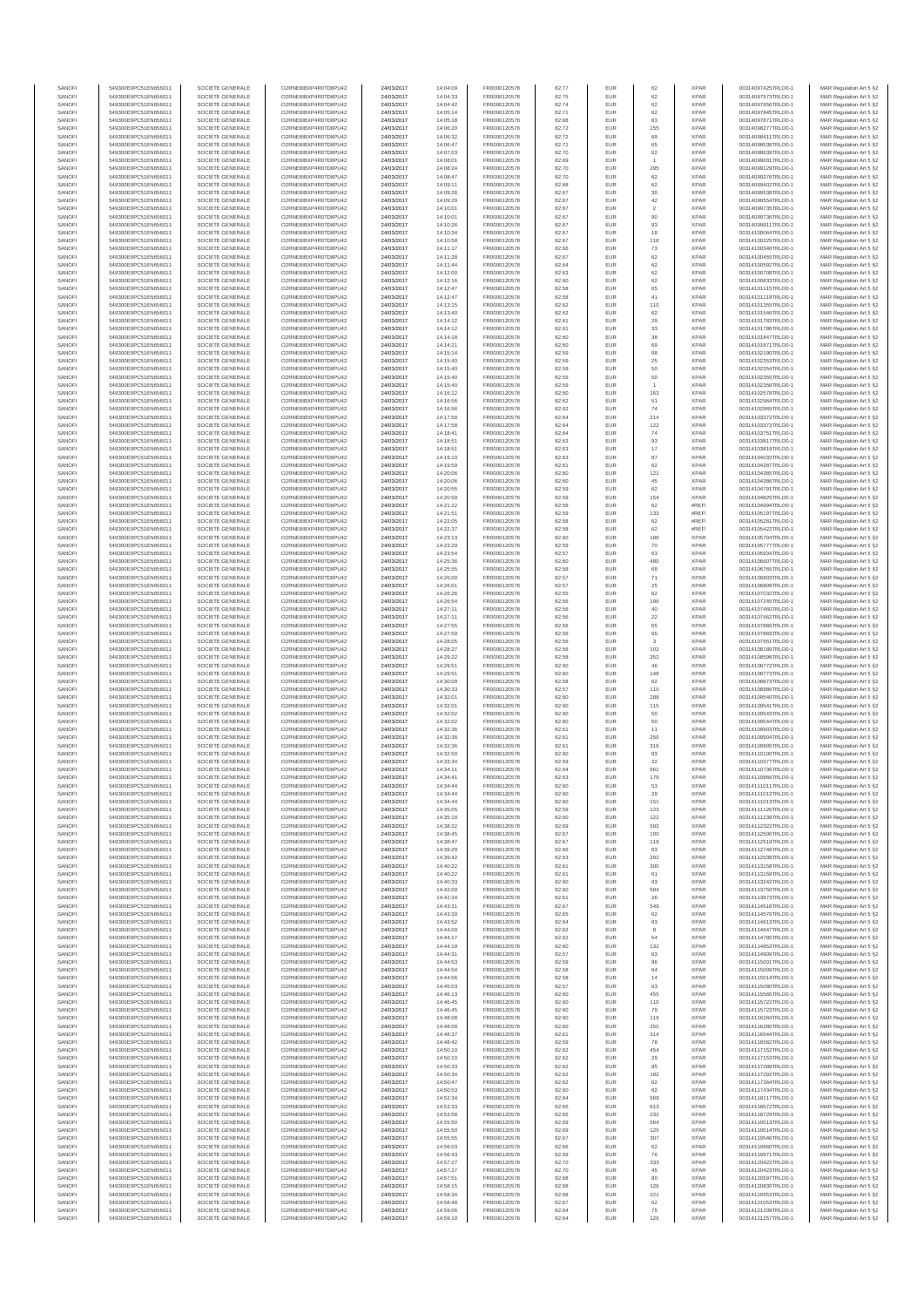| SANOF            | 549300E9PC51EN656011                         | SOCIETE GENERALE                     | O2RNE8IBXP4R0TD8PU42                          | 24/03/2017               | 14:04:09             | FR0000120578                 | 82.77          | EUR               | 62                    | <b>XPAR</b>                | 00314097425TRLO0-1                       | MAR Regulation Art 5 §2                            |
|------------------|----------------------------------------------|--------------------------------------|-----------------------------------------------|--------------------------|----------------------|------------------------------|----------------|-------------------|-----------------------|----------------------------|------------------------------------------|----------------------------------------------------|
| SANOFI<br>SANOFI | 549300E9PC51EN656011<br>549300E9PC51EN656011 | SOCIETE GENERALE<br>SOCIETE GENERALE | O2RNE8IBXP4R0TD8PU42                          | 24/03/2017<br>24/03/2017 | 14:04:33<br>14:04:42 | FR0000120578<br>FR0000120578 | 82.75<br>82.74 | EUR<br>EUR        | 62<br>62              | <b>XPAR</b><br><b>XPAR</b> | 00314097573TRLO0-1<br>00314097656TRLO0-1 | MAR Regulation Art 5 §2                            |
| SANOFI           | 549300E9PC51EN656011                         | SOCIETE GENERALE                     | O2RNE8IBXP4R0TD8PU42<br>O2RNE8IBXP4R0TD8PU42  | 24/03/2017               | 14:05:14             | FR0000120578                 | 82.71          | EUR               | $62\,$                | <b>XPAR</b>                | 00314097845TRLO0-1                       | MAR Regulation Art 5 §2<br>MAR Regulation Art 5 §2 |
| SANOFI           | 549300E9PC51EN656011                         | SOCIETE GENERALE                     | O2RNE8IBXP4R0TD8PU42                          | 24/03/2017               | 14:05:18             | FR0000120578                 | 82.68          | EUR               | 83                    | <b>XPAR</b>                | 00314097871TRLO0-1                       | MAR Regulation Art 5 §2                            |
| SANOFI           | 549300E9PC51EN656011                         | SOCIETE GENERALE                     | O2RNE8IBXP4R0TD8PU42                          | 24/03/2017               | 14:06:20             | FR0000120578                 | 82.72          | EUR               | 155                   | <b>XPAR</b>                | 00314098277TRLO0-1                       | MAR Regulation Art 5 §2                            |
| SANOFI<br>SANOFI | 549300E9PC51EN656011<br>549300E9PC51EN656011 | SOCIETE GENERALE<br>SOCIETE GENERALE | O2RNE8IBXP4R0TD8PLI42<br>O2RNE8IBXP4R0TD8PU42 | 24/03/2017<br>24/03/2017 | 14:06:32<br>14:06:47 | FR0000120578<br>FR0000120578 | 82.72<br>82.71 | EUR<br>EUR        | 69<br>65              | <b>XPAR</b><br><b>XPAR</b> | 00314098411TRLO0-1<br>00314098538TRLO0-1 | MAR Regulation Art 5 §2<br>MAR Regulation Art 5 §2 |
| SANOFI           | 549300E9PC51EN656011                         | SOCIETE GENERALE                     | O2RNE8IBXP4R0TD8PU42                          | 24/03/2017               | 14:07:03             | FR0000120578                 | 82.70          | EUR               | 62                    | <b>XPAR</b>                | 00314098639TRLO0-1                       | MAR Regulation Art 5 §2                            |
| SANOFI           | 549300E9PC51EN656011                         | SOCIETE GENERALE                     | O2RNE8IBXP4R0TD8PU42                          | 24/03/2017               | 14:08:01             | FR0000120578                 | 82.69          | EUR               |                       | <b>XPAR</b>                | 00314099001TRLO0-1                       | MAR Regulation Art 5 §2                            |
| SANOFI<br>SANOFI | 549300E9PC51EN656011<br>549300E9PC51EN656011 | SOCIETE GENERALE<br>SOCIETE GENERALE | O2RNE8IBXP4R0TD8PU42<br>O2RNE8IBXP4R0TD8PU42  | 24/03/2017<br>24/03/2017 | 14:08:24<br>14:08:47 | FR0000120578<br>FR0000120578 | 82.70<br>82.70 | EUR<br>EUR        | 295<br>62             | <b>XPAR</b><br><b>XPAR</b> | 00314099129TRLO0-1<br>00314099276TRLO0-1 | MAR Regulation Art 5 §2<br>MAR Regulation Art 5 §2 |
| SANOFI           | 549300E9PC51EN656011                         | SOCIETE GENERALE                     | O2RNE8IBXP4R0TD8PU42                          | 24/03/2017               | 14:09:11             | FR0000120578                 | 82.68          | EUR               | 62                    | <b>XPAR</b>                | 00314099402TRLO0-1                       | MAR Regulation Art 5 §2                            |
| SANOFI           | 549300E9PC51EN656011                         | SOCIETE GENERALE                     | O2RNE8IBXP4R0TD8PU42                          | 24/03/2017               | 14:09:26             | FR0000120578                 | 82.67          | EUR               | $30\,$                | <b>XPAR</b>                | 00314099538TRLO0-1                       | MAR Regulation Art 5 §2                            |
| SANOFI           | 549300E9PC51EN656011                         | SOCIETE GENERALE                     | O2RNE8IBXP4R0TD8PU42                          | 24/03/2017               | 14:09:29             | FR0000120578                 | 82.67          | EUR               | 42                    | <b>XPAR</b>                | 00314099554TRLO0-1                       | MAR Regulation Art 5 §2                            |
| SANOFI<br>SANOFI | 549300E9PC51EN656011<br>549300E9PC51EN656011 | SOCIETE GENERALE<br>SOCIETE GENERALE | O2RNE8IBXP4R0TD8PU42<br>O2RNE8IBXP4R0TD8PU42  | 24/03/2017<br>24/03/2017 | 14:10:01<br>14:10:01 | FR0000120578<br>FR0000120578 | 82.67<br>82.67 | EUR<br>EUR        | $\overline{2}$<br>90  | <b>XPAR</b><br><b>XPAR</b> | 00314099735TRLO0-1<br>00314099736TRLO0-1 | MAR Regulation Art 5 §2<br>MAR Regulation Art 5 §2 |
| SANOFI           | 549300E9PC51EN656011                         | SOCIETE GENERALE                     | O2RNE8IBXP4R0TD8PU42                          | 24/03/2017               | 14:10:26             | FR0000120578                 | 82.67          | EUR               | 93                    | <b>XPAR</b>                | 00314099911TRLO0-1                       | MAR Regulation Art 5 §2                            |
| SANOFI           | 549300E9PC51EN656011                         | SOCIETE GENERALE                     | O2RNE8IBXP4R0TD8PU42                          | 24/03/2017               | 14:10:34             | FR0000120578                 | 82.67          | EUR               | 18                    | <b>XPAR</b>                | 00314100064TRLO0-1                       | MAR Regulation Art 5 §2                            |
| SANOFI           | 549300E9PC51EN656011                         | SOCIETE GENERALE                     | O2RNE8IBXP4R0TD8PU42                          | 24/03/2017               | 14:10:58             | FR0000120578                 | 82.67          | EUR               | 118                   | <b>XPAR</b>                | 00314100225TRLO0-1                       | MAR Regulation Art 5 §2                            |
| SANOFI<br>SANOFI | 549300E9PC51EN656011<br>549300E9PC51EN656011 | SOCIETE GENERALE<br>SOCIETE GENERALE | O2RNE8IBXP4R0TD8PU42<br>O2RNE8IBXP4R0TD8PU42  | 24/03/2017<br>24/03/2017 | 14:11:17<br>14:11:28 | FR0000120578<br>FR0000120578 | 82.66<br>82.67 | EUR<br>EUR        | $\sqrt{73}$<br>$62\,$ | <b>XPAR</b><br><b>XPAR</b> | 00314100340TRLO0-1<br>00314100455TRLO0-1 | MAR Regulation Art 5 §2<br>MAR Regulation Art 5 §2 |
| SANOFI           | 549300E9PC51EN656011                         | SOCIETE GENERALE                     | O2RNE8IBXP4R0TD8PU42                          | 24/03/2017               | 14:11:44             | FR0000120578                 | 82.64          | EUR               | 62                    | <b>XPAR</b>                | 00314100592TRLO0-1                       | MAR Regulation Art 5 §2                            |
| SANOFI           | 549300E9PC51EN656011                         | SOCIETE GENERALE                     | O2RNE8IBXP4R0TD8PU42                          | 24/03/2017               | 14:12:00             | FR0000120578                 | 82.63          | EUR               | 62                    | <b>XPAR</b>                | 00314100708TRLO0-1                       | MAR Regulation Art 5 §2                            |
| SANOFI<br>SANOFI | 549300E9PC51EN656011<br>549300E9PC51EN656011 | SOCIETE GENERALE<br>SOCIETE GENERALE | O2RNE8IBXP4R0TD8PU42<br>O2RNE8IBXP4R0TD8PU42  | 24/03/2017<br>24/03/2017 | 14:12:16<br>14:12:47 | FR0000120578<br>FR0000120578 | 82.60<br>82.58 | EUR<br>EUR        | 62<br>65              | <b>XPAR</b><br><b>XPAR</b> | 00314100833TRLO0-1<br>00314101115TRLO0-1 | MAR Regulation Art 5 §2<br>MAR Regulation Art 5 §2 |
| SANOFI           | 549300E9PC51EN656011                         | SOCIETE GENERALE                     | O2RNE8IBXP4R0TD8PU42                          | 24/03/2017               | 14:12:47             | FR0000120578                 | 82.58          | EUR               | 41                    | <b>XPAR</b>                | 00314101119TRLO0-1                       | MAR Regulation Art 5 §2                            |
| SANOFI           | 549300E9PC51EN656011                         | SOCIETE GENERALE                     | O2RNE8IBXP4R0TD8PU42                          | 24/03/2017               | 14:13:15             | FR0000120578                 | 82.62          | EUR               | 110                   | <b>XPAR</b>                | 00314101355TRLO0-1                       | MAR Regulation Art 5 §2                            |
| SANOFI           | 549300E9PC51EN656011                         | SOCIETE GENERALE                     | O2RNE8IBXP4R0TD8PU42                          | 24/03/2017               | 14:13:40             | FR0000120578                 | 82.62          | EUR               | $62\,$                | <b>XPAR</b>                | 00314101546TRLO0-1                       | MAR Regulation Art 5 §2                            |
| SANOFI<br>SANOFI | 549300E9PC51EN656011<br>549300E9PC51EN656011 | SOCIETE GENERALE<br>SOCIETE GENERALE | O2RNE8IBXP4R0TD8PU42<br>O2RNE8IBXP4R0TD8PU42  | 24/03/2017<br>24/03/2017 | 14:14:12<br>14:14:12 | FR0000120578<br>FR0000120578 | 82.61<br>82.61 | EUR<br>EUR        | 29<br>33              | <b>XPAR</b><br><b>XPAR</b> | 00314101783TRLO0-1<br>00314101786TRLO0-1 | MAR Regulation Art 5 §2<br>MAR Regulation Art 5 §2 |
| SANOFI           | 549300E9PC51EN656011                         | SOCIETE GENERALE                     | O2RNE8IBXP4R0TD8PU42                          | 24/03/2017               | 14:14:18             | FR0000120578                 | 82.60          | EUR               | 38                    | <b>XPAR</b>                | 00314101847TRLO0-1                       | MAR Regulation Art 5 §2                            |
| SANOFI           | 549300E9PC51EN656011                         | SOCIETE GENERALE                     | O2RNE8IBXP4R0TD8PU42                          | 24/03/2017               | 14:14:21             | FR0000120578                 | 82.60          | EUR               | 69                    | <b>XPAR</b>                | 00314101871TRLO0-1                       | MAR Regulation Art 5 §2                            |
| SANOFI<br>SANOFI | 549300E9PC51EN656011<br>549300E9PC51EN656011 | SOCIETE GENERALE<br>SOCIETE GENERALE | O2RNE8IBXP4R0TD8PU42<br>O2RNE8IBXP4R0TD8PU42  | 24/03/2017<br>24/03/2017 | 14:15:14<br>14:15:40 | FR0000120578<br>FR0000120578 | 82.59<br>82.59 | EUR<br>EUR        | 98<br>25              | <b>XPAR</b><br><b>XPAR</b> | 00314102190TRLO0-1<br>00314102353TRLO0-1 | MAR Regulation Art 5 §2                            |
| SANOFI           | 549300E9PC51EN656011                         | SOCIETE GENERALE                     | O2RNE8IBXP4R0TD8PU42                          | 24/03/2017               | 14:15:40             | FR0000120578                 | 82.59          | EUR               | $50\,$                | <b>XPAR</b>                | 00314102354TRLO0-1                       | MAR Regulation Art 5 §2<br>MAR Regulation Art 5 §2 |
| SANOFI           | 549300E9PC51EN656011                         | SOCIETE GENERALE                     | O2RNE8IBXP4R0TD8PU42                          | 24/03/2017               | 14:15:40             | FR0000120578                 | 82.59          | EUR               | 50                    | <b>XPAR</b>                | 00314102355TRLO0-1                       | MAR Regulation Art 5 §2                            |
| SANOFI           | 549300E9PC51EN656011                         | SOCIETE GENERALE                     | O2RNE8IBXP4R0TD8PU42                          | 24/03/2017               | 14:15:40             | FR0000120578                 | 82.59          | EUR               |                       | <b>XPAR</b>                | 00314102356TRLO0-1                       | MAR Regulation Art 5 §2                            |
| SANOFI<br>SANOFI | 549300E9PC51EN656011<br>549300E9PC51EN656011 | SOCIETE GENERALE<br>SOCIETE GENERALE | O2RNE8IBXP4R0TD8PU42<br>O2RNE8IBXP4R0TD8PU42  | 24/03/2017<br>24/03/2017 | 14:16:12<br>14:16:56 | FR0000120578<br>FR0000120578 | 82.60<br>82.62 | EUR<br>EUR        | 163<br>51             | <b>XPAR</b><br><b>XPAF</b> | 00314102578TRLO0-1<br>00314102964TRLO0-1 | MAR Regulation Art 5 §2<br>MAR Regulation Art 5 §2 |
| SANOFI           | 549300E9PC51EN656011                         | SOCIETE GENERALE                     | O2RNE8IBXP4R0TD8PU42                          | 24/03/2017               | 14:16:56             | FR0000120578                 | 82.62          | <b>EUR</b>        | 74                    | <b>XPAR</b>                | 00314102965TRLO0-1                       | MAR Regulation Art 5 §2                            |
| SANOFI           | 549300E9PC51EN656011                         | SOCIETE GENERALE                     | O2RNE8IBXP4R0TD8PU42                          | 24/03/2017               | 14:17:58             | FR0000120578                 | 82.64          | EUR               | 214                   | <b>XPAR</b>                | 00314103372TRLO0-1                       | MAR Regulation Art 5 §2                            |
| SANOFI           | 549300E9PC51EN656011                         | SOCIETE GENERALE<br>SOCIETE GENERALE | O2RNE8IBXP4R0TD8PU42                          | 24/03/2017               | 14:17:58             | FR0000120578                 | 82.64          | EUR               | 122                   | <b>XPAR</b>                | 00314103373TRLO0-1                       | MAR Regulation Art 5 §2                            |
| SANOFI<br>SANOFI | 549300E9PC51EN656011<br>549300E9PC51EN656011 | SOCIETE GENERALE                     | O2RNE8IBXP4R0TD8PU42<br>O2RNE8IBXP4R0TD8PU42  | 24/03/2017<br>24/03/2017 | 14:18:41<br>14:18:51 | FR0000120578<br>FR0000120578 | 82.64<br>82.63 | EUR<br>EUR        | 74<br>93              | <b>XPAR</b><br><b>XPAR</b> | 00314103751TRLO0-1<br>00314103817TRLO0-1 | MAR Regulation Art 5 §2<br>MAR Regulation Art 5 §2 |
| SANOFI           | 549300E9PC51EN656011                         | SOCIETE GENERALE                     | O2RNE8IBXP4R0TD8PU42                          | 24/03/2017               | 14:18:51             | FR0000120578                 | 82.63          | EUR               | $17\,$                | <b>XPAR</b>                | 00314103819TRLO0-1                       | MAR Regulation Art 5 §2                            |
| SANOFI           | 549300E9PC51EN656011                         | SOCIETE GENERALE                     | O2RNE8IBXP4R0TD8PU42                          | 24/03/2017               | 14:19:10             | FR0000120578                 | 82.63          | EUR               | 87                    | <b>XPAR</b>                | 00314104033TRLO0-1                       | MAR Regulation Art 5 §2                            |
| SANOFI           | 549300E9PC51EN656011<br>549300E9PC51EN656011 | SOCIETE GENERALE                     | O2RNE8IBXP4R0TD8PU42<br>O2RNE8IBXP4R0TD8PU42  | 24/03/2017               | 14:19:59             | FR0000120578                 | 82.61          | EUR               | 62                    | <b>XPAR</b>                | 00314104287TRLO0-1                       | MAR Regulation Art 5 §2                            |
| SANOFI<br>SANOFI | 549300E9PC51EN656011                         | SOCIETE GENERALE<br>SOCIETE GENERALE | O2RNE8IBXP4R0TD8PU42                          | 24/03/2017<br>24/03/2017 | 14:20:06<br>14:20:06 | FR0000120578<br>FR0000120578 | 82.60<br>82.60 | EUR<br>EUR        | 121<br>45             | <b>XPAR</b><br><b>XPAR</b> | 00314104385TRLO0-1<br>00314104386TRLO0-1 | MAR Regulation Art 5 §2<br>MAR Regulation Art 5 §2 |
| SANOFI           | 549300E9PC51EN656011                         | SOCIETE GENERALE                     | O2RNE8IBXP4R0TD8PU42                          | 24/03/2017               | 14:20:55             | FR0000120578                 | 82.59          | EUR               | 62                    | <b>XPAR</b>                | 00314104791TRLO0-1                       | MAR Regulation Art 5 §2                            |
| SANOFI           | 549300E9PC51EN656011                         | SOCIETE GENERALE                     | O2RNE8IBXP4R0TD8PU42                          | 24/03/2017               | 14:20:59             | FR0000120578                 | 82.59          | EUR               | 154                   | <b>XPAR</b>                | 00314104825TRLO0-1                       | MAR Regulation Art 5 §2                            |
| SANOFI<br>SANOFI | 549300E9PC51EN656011                         | SOCIETE GENERALE                     | O2RNE8IBXP4R0TD8PU42                          | 24/03/2017               | 14:21:22             | FR0000120578<br>FR0000120578 | 82.56<br>82.59 | EUR<br>EUR        | 62<br>133             | #REF<br>#REF               | 00314104994TRLO0-1                       | MAR Regulation Art 5 §2<br>MAR Regulation Art 5 §2 |
| SANOFI           | 549300E9PC51EN656011<br>549300E9PC51EN656011 | SOCIETE GENERALE<br>SOCIETE GENERALE | O2RNE8IBXP4R0TD8PU42<br>O2RNE8IBXP4R0TD8PU42  | 24/03/2017<br>24/03/2017 | 14:21:51<br>14:22:05 | FR0000120578                 | 82.58          | EUR               | 62                    | #REF                       | 00314105197TRLO0-1<br>00314105281TRLO0-1 | MAR Regulation Art 5 §2                            |
| SANOFI           | 549300E9PC51EN656011                         | SOCIETE GENERALE                     | O2RNE8IBXP4R0TD8PU42                          | 24/03/2017               | 14:22:37             | FR0000120578                 | 82.58          | EUR               | 62                    | #REF                       | 00314105422TRLO0-1                       | MAR Regulation Art 5 §2                            |
| SANOFI           | 549300E9PC51EN656011                         | SOCIETE GENERALE                     | O2RNE8IBXP4R0TD8PU42                          | 24/03/2017               | 14:23:13             | FR0000120578                 | 82.60          | EUR               | 186                   | <b>XPAR</b>                | 00314105704TRLO0-1                       | MAR Regulation Art 5 §2                            |
| SANOFI<br>SANOFI | 549300E9PC51EN656011<br>549300E9PC51EN656011 | SOCIETE GENERALE<br>SOCIETE GENERALE | O2RNE8IBXP4R0TD8PU42<br>O2RNE8IBXP4R0TD8PU42  | 24/03/2017<br>24/03/2017 | 14:23:29<br>14:23:54 | FR0000120578<br>FR0000120578 | 82.59<br>82.57 | EUR<br>EUR        | 70<br>63              | <b>XPAR</b><br><b>XPAR</b> | 00314105777TRLO0-1<br>00314105934TRLO0-1 | MAR Regulation Art 5 §2<br>MAR Regulation Art 5 §2 |
| SANOFI           | 549300E9PC51EN656011                         | SOCIETE GENERALE                     | O2RNE8IBXP4R0TD8PU42                          | 24/03/2017               | 14:25:36             | FR0000120578                 | 82.60          | EUR               | 480                   | <b>XPAR</b>                | 00314106607TRLO0-1                       | MAR Regulation Art 5 §2                            |
| SANOFI           | 549300E9PC51EN656011                         | SOCIETE GENERALE                     | O2RNE8IBXP4R0TD8PU42                          | 24/03/2017               | 14:25:55             | FR0000120578                 | 82.58          | EUR               | 68                    | <b>XPAR</b>                | 00314106765TRLO0-1                       | MAR Regulation Art 5 §2                            |
| SANOFI           | 549300E9PC51EN656011                         | SOCIETE GENERALE                     | O2RNE8IBXP4R0TD8PU42                          | 24/03/2017               | 14:26:00             | FR0000120578                 | 82.57          | EUR               | $71\,$                | <b>XPAR</b>                | 00314106803TRLO0-1                       | MAR Regulation Art 5 §2                            |
| SANOFI<br>SANOFI | 549300E9PC51EN656011<br>549300E9PC51EN656011 | SOCIETE GENERALE<br>SOCIETE GENERALE | O2RNE8IBXP4R0TD8PU42<br>O2RNE8IBXP4R0TD8PU42  | 24/03/2017<br>24/03/2017 | 14:26:01<br>14:26:26 | FR0000120578<br>FR0000120578 | 82.57<br>82.55 | EUR<br>EUR        | 25<br>62              | <b>XPAR</b><br><b>XPAR</b> | 00314106809TRLO0-1<br>00314107032TRLO0-1 | MAR Regulation Art 5 §2<br>MAR Regulation Art 5 §2 |
| SANOFI           | 549300E9PC51EN656011                         | SOCIETE GENERALE                     | O2RNE8IBXP4R0TD8PU42                          | 24/03/2017               | 14:26:54             | FR0000120578                 | 82.56          | EUR               | 196                   | <b>XPAR</b>                | 00314107245TRLO0-1                       | MAR Regulation Art 5 §2                            |
| SANOFI           | 549300E9PC51EN656011                         | SOCIETE GENERALE                     | O2RNE8IBXP4R0TD8PU42                          | 24/03/2017               | 14:27:11             | FR0000120578                 | 82.56          | EUR               | 40                    | <b>XPAR</b>                | 00314107460TRLO0-1                       | MAR Regulation Art 5 §2                            |
| SANOFI           | 549300E9PC51EN656011                         | SOCIETE GENERALE                     | O2RNE8IBXP4R0TD8PU42                          | 24/03/2017               | 14:27:11             | FR0000120578                 | 82.56          | EUR               | 22                    | <b>XPAR</b>                | 00314107462TRLO0-1                       | MAR Regulation Art 5 §2                            |
| SANOFI<br>SANOFI | 549300E9PC51EN656011<br>549300E9PC51EN656011 | SOCIETE GENERALE<br>SOCIETE GENERALE | O2RNE8IBXP4R0TD8PU42<br>O2RNE8IBXP4R0TD8PU42  | 24/03/2017<br>24/03/2017 | 14:27:55<br>14:27:59 | FR0000120578<br>FR0000120578 | 82.56<br>82.56 | EUR<br>EUR        | 65<br>65              | <b>XPAR</b><br><b>XPAR</b> | 00314107865TRLO0-1<br>00314107883TRLO0-1 | MAR Regulation Art 5 §2<br>MAR Regulation Art 5 §2 |
| SANOFI           | 549300E9PC51EN656011                         | SOCIETE GENERALE                     | O2RNE8IBXP4R0TD8PU42                          | 24/03/2017               | 14:28:05             | FR0000120578                 | 82.56          | EUR               | 3                     | <b>XPAR</b>                | 00314107951TRLO0-1                       | MAR Regulation Art 5 §2                            |
| SANOFI           | 549300E9PC51EN656011                         | SOCIETE GENERALE                     | O2RNE8IBXP4R0TD8PU42                          | 24/03/2017               | 14:28:27             | FR0000120578                 | 82.56          | EUR               | 102                   | <b>XPAR</b>                | 00314108189TRLO0-1                       | MAR Regulation Art 5 §2                            |
| SANOFI<br>SANOFI | 549300E9PC51EN656011<br>549300E9PC51EN656011 | SOCIETE GENERALE<br>SOCIETE GENERALE | O2RNE8IBXP4R0TD8PU42<br>O2RNE8IBXP4R0TD8PU42  | 24/03/2017<br>24/03/2017 | 14:29:22<br>14:29:51 | FR0000120578<br>FR0000120578 | 82.58<br>82.60 | EUR<br>EUR        | 352<br>46             | <b>XPAR</b><br><b>XPAR</b> | 00314108596TRLO0-1<br>00314108772TRLO0-1 | MAR Regulation Art 5 §2<br>MAR Regulation Art 5 §2 |
| SANOFI           | 549300E9PC51EN656011                         | SOCIETE GENERALE                     | O2RNE8IBXP4R0TD8PU42                          | 24/03/2017               | 14:29:51             | FR0000120578                 | 82.60          | EUR               | 148                   | <b>XPAR</b>                | 00314108773TRLO0-1                       | MAR Regulation Art 5 §2                            |
| SANOFI           | 549300E9PC51EN656011                         | SOCIETE GENERALE                     | O2RNE8IBXP4R0TD8PU42                          | 24/03/2017               | 14:30:09             | FR0000120578                 | 82.58          | EUR               | 62                    | <b>XPAR</b>                | 00314108873TRLO0-1                       | MAR Regulation Art 5 §2                            |
| SANOFI<br>SANOFI | 549300E9PC51EN656011<br>549300E9PC51EN656011 | SOCIETE GENERALE<br>SOCIETE GENERALE | O2RNE8IBXP4R0TD8PU42<br>O2RNE8IBXP4R0TD8PU42  | 24/03/2017<br>24/03/2017 | 14:30:33<br>14:32:01 | FR0000120578<br>FR0000120578 | 82.57<br>82.60 | EUR<br><b>EUR</b> | 110<br>288            | <b>XPAR</b><br><b>XPAR</b> | 00314108986TRLO0-1<br>00314109540TRLO0-1 | MAR Regulation Art 5 §2                            |
| SANOFI           | 549300E9PC51EN656011                         | SOCIETE GENERALE                     | O2RNE8IBXP4R0TD8PU42                          | 24/03/2017               | 14:32:01             | FR0000120578                 | 82.60          | EUR               | 115                   | <b>XPAR</b>                | 00314109541TRLO0-1                       | MAR Regulation Art 5 §2<br>MAR Regulation Art 5 §2 |
| SANOFI           | 549300E9PC51EN656011                         | SOCIETE GENERALE                     | O2RNE8IBXP4R0TD8PU42                          | 24/03/2017               | 14:32:02             | FR0000120578                 | 82.60          | EUR               | 50                    | <b>XPAR</b>                | 00314109543TRLO0-1                       | MAR Regulation Art 5 §2                            |
| SANOFI           | 549300E9PC51EN656011                         | SOCIETE GENERALE                     | O2RNE8IBXP4R0TD8PU42                          | 24/03/2017               | 14:32:02             | FR0000120578                 | 82.60          | EUR               | 50                    | <b>XPAR</b>                | 00314109544TRLO0-1                       | MAR Regulation Art 5 §2                            |
| SANOFI<br>SANOFI | 549300E9PC51EN656011<br>549300E9PC51EN656011 | SOCIETE GENERALE<br>SOCIETE GENERALE | O2RNE8IBXP4R0TD8PU42<br>O2RNE8IBXP4R0TD8PU42  | 24/03/2017<br>24/03/2017 | 14:32:36<br>14:32:36 | FR0000120578<br>FR0000120578 | 82.61<br>82.61 | EUR<br>EUR        | 11<br>250             | <b>XPAR</b><br><b>XPAR</b> | 00314109903TRLO0-1<br>00314109904TRLO0-1 | MAR Regulation Art 5 §2                            |
| SANOFI           | 549300E9PC51EN656011                         | SOCIETE GENERALE                     | O2RNE8IBXP4R0TD8PU42                          | 24/03/2017               | 14:32:36             | FR0000120578                 | 82.61          | EUR               | 316                   | <b>XPAR</b>                | 00314109905TRLO0-1                       | MAR Regulation Art 5 §2<br>MAR Regulation Art 5 §2 |
| SANOFI           | 549300E9PC51EN656011                         | SOCIETE GENERALE                     | O2RNE8IBXP4R0TD8PU42                          | 24/03/2017               | 14:32:50             | FR0000120578                 | 82.60          | EUR               | 93                    | <b>XPAR</b>                | 00314110100TRLO0-1                       | MAR Regulation Art 5 §2                            |
| SANOFI           | 549300E9PC51EN656011                         | SOCIETE GENERALE                     | O2RNE8IBXP4R0TD8PU42                          | 24/03/2017               | 14:33:34             | FR0000120578                 | 82.59          | EUR               | 22                    | <b>XPAR</b>                | 00314110377TRLO0-1                       | MAR Regulation Art 5 §2                            |
| SANOFI<br>SANOFI | 549300E9PC51EN656011<br>549300E9PC51EN656011 | SOCIETE GENERALE<br>SOCIETE GENERALE | O2RNE8IBXP4R0TD8PU42<br>O2RNE8IBXP4R0TD8PU42  | 24/03/2017<br>24/03/2017 | 14:34:11<br>14:34:41 | FR0000120578<br>FR0000120578 | 82.64<br>82.63 | EUR<br>EUR        | 561<br>179            | <b>XPAR</b><br><b>XPAR</b> | 00314110736TRLO0-1<br>00314110966TRLO0-1 | MAR Regulation Art 5 §2<br>MAR Regulation Art 5 §2 |
| SANOFI           | 549300E9PC51EN656011                         | SOCIETE GENERALE                     | O2RNE8IBXP4R0TD8PU42                          | 24/03/2017               | 14:34:44             | FR0000120578                 | 82.60          | EUR               | 53                    | <b>XPAR</b>                | 00314111011TRLO0-1                       | MAR Regulation Art 5 §2                            |
| SANOFI           | 549300E9PC51EN656011                         | SOCIETE GENERALE                     | O2RNE8IBXP4R0TD8PU42                          | 24/03/2017               | 14:34:44             | FR0000120578                 | 82.60          | EUR               | 29                    | <b>XPAR</b>                | 00314111012TRLO0-1                       | MAR Regulation Art 5 §2                            |
| SANOFI<br>SANOFI | 549300E9PC51EN656011<br>549300E9PC51EN656011 | SOCIETE GENERALE<br>SOCIETE GENERALE | O2RNE8IBXP4R0TD8PU42<br>O2RNE8IBXP4R0TD8PU42  | 24/03/2017               | 14:34:44             | FR0000120578                 | 82.60<br>82.59 | EUR<br>EUR        | 151                   | <b>XPAR</b><br><b>XPAR</b> | 00314111013TRLO0-1<br>00314111126TRLO0-1 | MAR Regulation Art 5 §2                            |
| SANOFI           | 549300E9PC51EN656011                         | SOCIETE GENERALE                     | O2RNE8IBXP4R0TD8PU42                          | 24/03/2017<br>24/03/2017 | 14:35:05<br>14:35:18 | FR0000120578<br>FR0000120578 | 82.60          | EUR               | 123<br>122            | <b>XPAR</b>                | 00314111239TRLO0-1                       | MAR Regulation Art 5 §2<br>MAR Regulation Art 5 §2 |
| SANOFI           | 549300E9PC51EN656011                         | SOCIETE GENERALE                     | O2RNE8IBXP4R0TD8PU42                          | 24/03/2017               | 14:38:22             | FR0000120578                 | 82.69          | EUR               | 592                   | <b>XPAR</b>                | 00314112322TRLO0-1                       | MAR Regulation Art 5 §2                            |
| SANOFI           | 549300E9PC51EN656011                         | SOCIETE GENERALE                     | O2RNE8IBXP4R0TD8PU42                          | 24/03/2017               | 14:38:45             | FR0000120578                 | 82.67          | EUR               | 100                   | <b>XPAR</b>                | 00314112506TRLO0-1                       | MAR Regulation Art 5 §2                            |
| SANOFI<br>SANOFI | 549300E9PC51EN656011<br>549300E9PC51EN656011 | SOCIETE GENERALE<br>SOCIETE GENERALE | O2RNE8IBXP4R0TD8PU42<br>O2RNE8IBXP4R0TD8PU42  | 24/03/2017<br>24/03/2017 | 14:38:47<br>14:39:29 | FR0000120578<br>FR0000120578 | 82.67<br>82.66 | <b>EUR</b><br>EUR | 119<br>63             | <b>XPAR</b><br><b>XPAR</b> | 00314112519TRLO0-1<br>00314112746TRLO0-1 | MAR Regulation Art 5 §2<br>MAR Regulation Art 5 §2 |
| SANOFI           | 549300E9PC51EN656011                         | SOCIETE GENERALE                     | O2RNE8IBXP4R0TD8PU42                          | 24/03/2017               | 14:39:42             | FR0000120578                 | 82.63          | EUR               | 292                   | <b>XPAR</b>                | 00314112938TRLO0-1                       | MAR Regulation Art 5 §2                            |
| SANOFI           | 549300E9PC51EN656011                         | SOCIETE GENERALE                     | O2RNE8IBXP4R0TD8PU42                          | 24/03/2017               | 14:40:22             | FR0000120578                 | 82.61          | EUR               | 300                   | <b>XPAR</b>                | 00314113158TRLO0-1                       | MAR Regulation Art 5 §2                            |
| SANOFI<br>SANOFI | 549300E9PC51EN656011<br>549300E9PC51EN656011 | SOCIETE GENERALE<br>SOCIETE GENERALE | O2RNE8IBXP4R0TD8PU42<br>O2RNE8IBXP4R0TD8PU42  | 24/03/2017<br>24/03/2017 | 14:40:22<br>14:40:33 | FR0000120578<br>FR0000120578 | 82.61<br>82.60 | EUR<br><b>EUR</b> | 61<br>63              | <b>XPAR</b><br><b>XPAR</b> | 00314113159TRLO0-1<br>00314113242TRLO0-1 | MAR Regulation Art 5 §2<br>MAR Regulation Art 5 §2 |
| SANOFI           | 549300E9PC51EN656011                         | SOCIETE GENERALE                     | O2RNE8IBXP4R0TD8PU42                          | 24/03/2017               | 14:42:09             | FR0000120578                 | 82.60          | EUR               | 584                   | <b>XPAR</b>                | 00314113750TRLO0-1                       | MAR Regulation Art 5 §2                            |
| SANOFI           | 549300E9PC51EN656011                         | SOCIETE GENERALE                     | O2RNE8IBXP4R0TD8PU42                          | 24/03/2017               | 14:42:24             | FR0000120578                 | 82.61          | <b>EUR</b>        | 26                    | <b>XPAR</b>                | 00314113873TRLO0-1                       | MAR Regulation Art 5 §2                            |
| SANOFI<br>SANOFI | 549300E9PC51EN656011<br>549300E9PC51EN656011 | SOCIETE GENERALE<br>SOCIETE GENERALE | O2RNE8IBXP4R0TD8PU42<br>O2RNE8IBXP4R0TD8PU42  | 24/03/2017<br>24/03/2017 | 14:43:31<br>14:43:39 | FR0000120578<br>FR0000120578 | 82.67<br>82.65 | EUR<br>EUR        | 549<br>$62\,$         | <b>XPAR</b><br><b>XPAR</b> | 00314114518TRLO0-1<br>00314114576TRLO0-1 | MAR Regulation Art 5 §2<br>MAR Regulation Art 5 §2 |
| SANOFI           | 549300E9PC51EN656011                         | SOCIETE GENERALE                     | O2RNE8IBXP4R0TD8PU42                          | 24/03/2017               | 14:43:52             | FR0000120578                 | 82.64          | EUR               | 63                    | <b>XPAR</b>                | 00314114613TRLO0-1                       | MAR Regulation Art 5 §2                            |
| SANOFI           | 549300E9PC51EN656011                         | SOCIETE GENERALE                     | O2RNE8IBXP4R0TD8PU42                          | 24/03/2017               | 14:44:00             | FR0000120578                 | 82.62          | EUR               | 8                     | <b>XPAR</b>                | 00314114647TRLO0-1                       | MAR Regulation Art 5 §2                            |
| SANOFI<br>SANOFI | 549300E9PC51EN656011<br>549300E9PC51EN656011 | SOCIETE GENERALE<br>SOCIETE GENERALE | O2RNE8IBXP4R0TD8PU42<br>O2RNE8IBXP4R0TD8PU42  | 24/03/2017<br>24/03/2017 | 14:44:17<br>14:44:19 | FR0000120578<br>FR0000120578 | 82.62<br>82.60 | EUR<br>EUR        | 54<br>132             | <b>XPAR</b><br><b>XPAR</b> | 00314114785TRLO0-1<br>00314114853TRLO0-1 | MAR Regulation Art 5 §2                            |
| SANOFI           | 549300E9PC51EN656011                         | SOCIETE GENERALE                     | O2RNE8IBXP4R0TD8PU42                          | 24/03/2017               | 14:44:31             | FR0000120578                 | 82.57          | <b>EUR</b>        | 63                    | <b>XPAR</b>                | 00314114909TRLO0-1                       | MAR Regulation Art 5 §2<br>MAR Regulation Art 5 §2 |
| SANOFI           | 549300E9PC51EN656011                         | SOCIETE GENERALE                     | O2RNE8IBXP4R0TD8PU42                          | 24/03/2017               | 14:44:53             | FR0000120578                 | 82.59          | EUR               | 96                    | <b>XPAR</b>                | 00314115001TRLO0-1                       | MAR Regulation Art 5 §2                            |
| SANOFI           | 549300E9PC51EN656011                         | SOCIETE GENERALE                     | O2RNE8IBXP4R0TD8PU42                          | 24/03/2017               | 14:44:54             | FR0000120578                 | 82.58          | <b>EUR</b>        | 64                    | <b>XPAR</b>                | 00314115009TRLO0-1                       | MAR Regulation Art 5 §2                            |
| SANOFI<br>SANOFI | 549300E9PC51EN656011<br>549300E9PC51EN656011 | SOCIETE GENERALE<br>SOCIETE GENERALE | O2RNE8IBXP4R0TD8PU42<br>O2RNE8IBXP4R0TD8PU42  | 24/03/2017<br>24/03/2017 | 14:44:56<br>14:45:03 | FR0000120578<br>FR0000120578 | 82.58<br>82.57 | EUR<br>EUR        | 14<br>63              | <b>XPAR</b><br><b>XPAR</b> | 00314115014TRLO0-1<br>00314115080TRLO0-1 | MAR Regulation Art 5 §2<br>MAR Regulation Art 5 §2 |
| SANOFI           | 549300E9PC51EN656011                         | SOCIETE GENERALE                     | O2RNE8IBXP4R0TD8PU42                          | 24/03/2017               | 14:46:13             | FR0000120578                 | 82.60          | EUR               | 455                   | <b>XPAR</b>                | 00314115565TRLO0-1                       | MAR Regulation Art 5 §2                            |
| SANOFI           | 549300E9PC51EN656011                         | SOCIETE GENERALE                     | O2RNE8IBXP4R0TD8PU42                          | 24/03/2017               | 14:46:45             | FR0000120578                 | 82.60          | EUR               | 110                   | <b>XPAR</b>                | 00314115722TRLO0-1                       | MAR Regulation Art 5 §2                            |
| SANOFI           | 549300E9PC51EN656011                         | SOCIETE GENERALE                     | O2RNE8IBXP4R0TD8PU42                          | 24/03/2017               | 14:46:45             | FR0000120578                 | 82.60          | EUR               | 79                    | <b>XPAR</b>                | 00314115723TRLO0-1                       | MAR Regulation Art 5 §2                            |
| SANOFI<br>SANOFI | 549300E9PC51EN656011<br>549300E9PC51EN656011 | SOCIETE GENERALE<br>SOCIETE GENERALE | O2RNE8IBXP4R0TD8PU42<br>O2RNE8IBXP4R0TD8PU42  | 24/03/2017<br>24/03/2017 | 14:48:08<br>14:48:08 | FR0000120578<br>FR0000120578 | 82.60<br>82.60 | EUR<br><b>EUR</b> | 119<br>250            | <b>XPAR</b><br><b>XPAR</b> | 00314116284TRLO0-1<br>00314116285TRLO0-1 | MAR Regulation Art 5 §2<br>MAR Regulation Art 5 §2 |
| SANOFI           | 549300E9PC51EN656011                         | SOCIETE GENERALE                     | O2RNE8IBXP4R0TD8PU42                          | 24/03/2017               | 14:48:37             | FR0000120578                 | 82.61          | EUR               | 314                   | <b>XPAR</b>                | 00314116544TRLO0-1                       | MAR Regulation Art 5 §2                            |
| SANOFI           | 549300E9PC51EN656011                         | SOCIETE GENERALE                     | O2RNE8IBXP4R0TD8PU42                          | 24/03/2017               | 14:48:42             | FR0000120578                 | 82.59          | <b>EUR</b>        | 78                    | <b>XPAR</b>                | 00314116582TRLO0-1                       | MAR Regulation Art 5 §2                            |
| SANOFI<br>SANOFI | 549300E9PC51EN656011<br>549300E9PC51EN656011 | SOCIETE GENERALE<br>SOCIETE GENERALE | O2RNE8IBXP4R0TD8PU42<br>O2RNE8IBXP4R0TD8PU42  | 24/03/2017<br>24/03/2017 | 14:50:10<br>14:50:10 | FR0000120578<br>FR0000120578 | 82.62<br>82.62 | EUR<br>EUR        | 454<br>$29\,$         | <b>XPAR</b><br><b>XPAR</b> | 00314117152TRLO0-1<br>00314117153TRLO0-1 | MAR Regulation Art 5 §2                            |
| SANOFI           | 549300E9PC51EN656011                         | SOCIETE GENERALE                     | O2RNE8IBXP4R0TD8PU42                          | 24/03/2017               | 14:50:33             | FR0000120578                 | 82.62          | EUR               | 85                    | <b>XPAR</b>                | 00314117289TRLO0-1                       | MAR Regulation Art 5 §2<br>MAR Regulation Art 5 §2 |
| SANOFI           | 549300E9PC51EN656011                         | SOCIETE GENERALE                     | O2RNE8IBXP4R0TD8PU42                          | 24/03/2017               | 14:50:34             | FR0000120578                 | 82.62          | EUR               | 182                   | <b>XPAR</b>                | 00314117292TRLO0-1                       | MAR Regulation Art 5 §2                            |
| SANOFI           | 549300E9PC51EN656011                         | SOCIETE GENERALE                     | O2RNE8IBXP4R0TD8PU42                          | 24/03/2017               | 14:50:47             | FR0000120578                 | 82.62          | EUR               | 62                    | <b>XPAR</b>                | 00314117364TRLO0-1                       | MAR Regulation Art 5 §2                            |
| SANOFI<br>SANOFI | 549300E9PC51EN656011<br>549300E9PC51EN656011 | SOCIETE GENERALE<br>SOCIETE GENERALE | O2RNE8IBXP4R0TD8PU42<br>O2RNE8IBXP4R0TD8PU42  | 24/03/2017<br>24/03/2017 | 14:50:53<br>14:52:34 | FR0000120578<br>FR0000120578 | 82.60<br>82.64 | EUR<br><b>EUR</b> | 62<br>569             | <b>XPAR</b><br><b>XPAR</b> | 00314117434TRLO0-1<br>00314118117TRLO0-1 | MAR Regulation Art 5 §2                            |
| SANOFI           | 549300E9PC51EN656011                         | SOCIETE GENERALE                     | O2RNE8IBXP4R0TD8PU42                          | 24/03/2017               | 14:53:33             | FR0000120578                 | 82.65          | EUR               | 613                   | <b>XPAR</b>                | 00314118572TRLO0-1                       | MAR Regulation Art 5 §2<br>MAR Regulation Art 5 §2 |
| SANOFI           | 549300E9PC51EN656011                         | SOCIETE GENERALE                     | O2RNE8IBXP4R0TD8PU42                          | 24/03/2017               | 14:53:58             | FR0000120578                 | 82.65          | <b>EUR</b>        | 232                   | <b>XPAR</b>                | 00314118729TRLO0-1                       | MAR Regulation Art 5 §2                            |
| SANOFI           | 549300E9PC51EN656011                         | SOCIETE GENERALE                     | O2RNE8IBXP4R0TD8PU42                          | 24/03/2017               | 14:55:50             | FR0000120578                 | 82.69          | EUR               | 564                   | <b>XPAR</b>                | 00314119513TRLO0-1                       | MAR Regulation Art 5 §2                            |
| SANOFI<br>SANOFI | 549300E9PC51EN656011<br>549300E9PC51EN656011 | SOCIETE GENERALE<br>SOCIETE GENERALE | O2RNE8IBXP4R0TD8PU42<br>O2RNE8IBXP4R0TD8PU42  | 24/03/2017<br>24/03/2017 | 14:55:50<br>14:55:55 | FR0000120578<br>FR0000120578 | 82.69<br>82.67 | EUR<br>EUR        | 125<br>307            | <b>XPAR</b><br><b>XPAR</b> | 00314119514TRLO0-1<br>00314119546TRLO0-1 | MAR Regulation Art 5 §2<br>MAR Regulation Art 5 §2 |
| SANOFI           | 549300E9PC51EN656011                         | SOCIETE GENERALE                     | O2RNE8IBXP4R0TD8PU42                          | 24/03/2017               | 14:56:03             | FR0000120578                 | 82.66          | EUR               | $62\,$                | <b>XPAR</b>                | 00314119660TRLO0-1                       | MAR Regulation Art 5 §2                            |
| SANOFI           | 549300E9PC51EN656011                         | SOCIETE GENERALE                     | O2RNE8IBXP4R0TD8PU42                          | 24/03/2017               | 14:56:43             | FR0000120578                 | 82.69          | <b>EUR</b>        | 76                    | <b>XPAR</b>                | 00314119971TRLO0-1                       | MAR Regulation Art 5 §2                            |
| SANOFI<br>SANOFI | 549300E9PC51EN656011<br>549300E9PC51EN656011 | SOCIETE GENERALE<br>SOCIETE GENERALE | O2RNE8IBXP4R0TD8PU42<br>O2RNE8IBXP4R0TD8PU42  | 24/03/2017<br>24/03/2017 | 14:57:27<br>14:57:27 | FR0000120578<br>FR0000120578 | 82.70<br>82.70 | EUR<br><b>EUR</b> | 333<br>45             | <b>XPAR</b><br><b>XPAR</b> | 00314120422TRLO0-1<br>00314120423TRLO0-1 | MAR Regulation Art 5 §2                            |
| SANOFI           | 549300E9PC51EN656011                         | SOCIETE GENERALE                     | O2RNE8IBXP4R0TD8PU42                          | 24/03/2017               | 14:57:51             | FR0000120578                 | 82.68          | EUR               | 80                    | <b>XPAR</b>                | 00314120597TRLO0-1                       | MAR Regulation Art 5 §2<br>MAR Regulation Art 5 §2 |
| SANOFI           | 549300E9PC51EN656011                         | SOCIETE GENERALE                     | O2RNE8IBXP4R0TD8PU42                          | 24/03/2017               | 14:58:15             | FR0000120578                 | 82.68          | EUR               | 126                   | <b>XPAR</b>                | 00314120830TRLO0-1                       | MAR Regulation Art 5 §2                            |
| SANOFI           | 549300E9PC51EN656011                         | SOCIETE GENERALE                     | O2RNE8IBXP4R0TD8PU42                          | 24/03/2017               | 14:58:34             | FR0000120578                 | 82.68          | EUR<br>EUR        | 221                   | <b>XPAR</b>                | 00314120953TRLO0-1                       | MAR Regulation Art 5 §2                            |
| SANOFI<br>SANOFI | 549300E9PC51EN656011<br>549300E9PC51EN656011 | SOCIETE GENERALE<br>SOCIETE GENERALE | O2RNE8IBXP4R0TD8PU42<br>O2RNE8IBXP4R0TD8PU42  | 24/03/2017<br>24/03/2017 | 14:58:48<br>14:59:06 | FR0000120578<br>FR0000120578 | 82.67<br>82.64 | EUR               | $62\,$<br>75          | <b>XPAR</b><br><b>XPAR</b> | 00314121053TRLO0-1<br>00314121209TRLO0-1 | MAR Regulation Art 5 §2<br>MAR Regulation Art 5 §2 |
| SANOFI           | 549300E9PC51EN656011                         | SOCIETE GENERALE                     | O2RNE8IBXP4R0TD8PU42                          | 24/03/2017               | 14:59:10             | FR0000120578                 | 82.64          | EUR               | 126                   | <b>XPAR</b>                | 00314121257TRLO0-1                       | MAR Regulation Art 5 §2                            |
|                  |                                              |                                      |                                               |                          |                      |                              |                |                   |                       |                            |                                          |                                                    |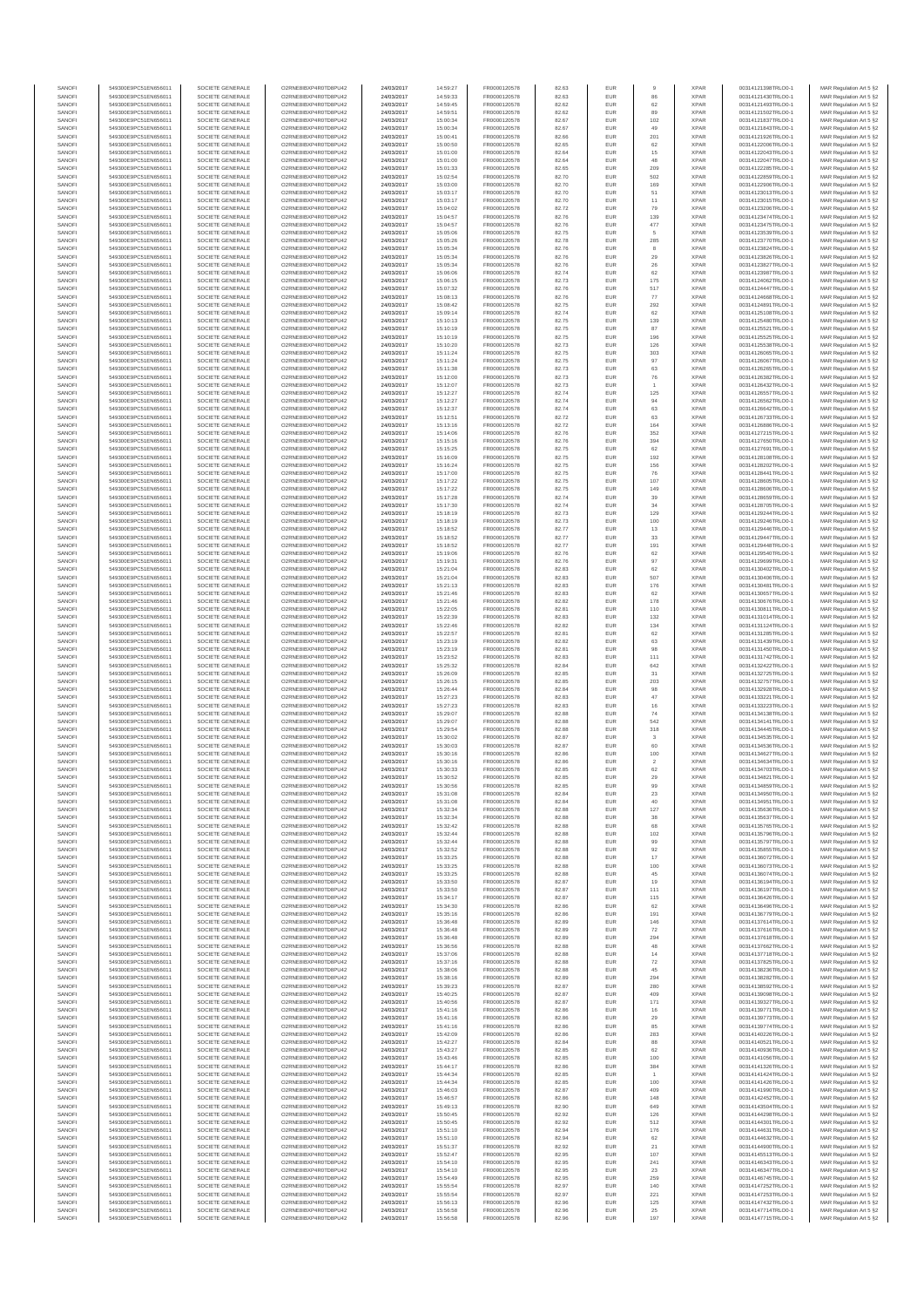| SANOFI<br>SANOFI | 549300E9PC51EN656011<br>549300E9PC51EN656011 | SOCIETE GENERALE<br>SOCIETE GENERALE | O2RNE8IBXP4R0TD8PU42<br>O2RNE8IBXP4R0TD8PU42 | 24/03/2017<br>24/03/2017 | 14:59:27<br>14:59:33 | FR0000120578<br>FR0000120578 | 82.63<br>82.63 | EUR<br>EUR        | 86                 | <b>XPAR</b><br><b>XPAR</b> | 00314121398TRLO0-1<br>00314121430TRLO0-1 | MAR Regulation Art 5 §2                            |
|------------------|----------------------------------------------|--------------------------------------|----------------------------------------------|--------------------------|----------------------|------------------------------|----------------|-------------------|--------------------|----------------------------|------------------------------------------|----------------------------------------------------|
| SANOFI           | 549300E9PC51EN656011                         | SOCIETE GENERALE                     | O2RNE8IBXP4R0TD8PU42                         | 24/03/2017               | 14:59:45             | FR0000120578                 | 82.62          | <b>EUR</b>        | 62                 | <b>XPAR</b>                | 00314121493TRLO0-1                       | MAR Regulation Art 5 §2<br>MAR Regulation Art 5 §2 |
| SANOFI           | 549300E9PC51EN656011                         | SOCIETE GENERALE                     | O2RNE8IBXP4R0TD8PU42                         | 24/03/2017               | 14:59:51             | FR0000120578                 | 82.62          | EUR               | 89                 | <b>XPAR</b>                | 00314121502TRLO0-1                       | MAR Regulation Art 5 §2                            |
| SANOFI<br>SANOFI | 549300E9PC51EN656011<br>549300E9PC51EN656011 | SOCIETE GENERALE<br>SOCIETE GENERALE | O2RNE8IBXP4R0TD8PU42<br>O2RNE8IBXP4R0TD8PU42 | 24/03/2017<br>24/03/2017 | 15:00:34<br>15:00:34 | FR0000120578<br>FR0000120578 | 82.67<br>82.67 | <b>EUR</b><br>EUR | 102<br>49          | <b>XPAR</b><br><b>XPAR</b> | 00314121837TRLO0-1<br>00314121843TRLO0-1 | MAR Regulation Art 5 §2<br>MAR Regulation Art 5 §2 |
| SANOFI           | 549300E9PC51EN656011                         | SOCIETE GENERALE                     | O2RNE8IBXP4R0TD8PU42                         | 24/03/2017               | 15:00:41             | FR0000120578                 | 82.66          | EUR               | 201                | <b>XPAR</b>                | 00314121926TRLO0-1                       | MAR Regulation Art 5 §2                            |
| SANOFI           | 549300E9PC51EN656011                         | SOCIETE GENERALE                     | O2RNE8IBXP4R0TD8PU42                         | 24/03/2017               | 15:00:50             | FR0000120578                 | 82.65          | EUR               | 62                 | <b>XPAR</b>                | 00314122006TRLO0-1                       | MAR Regulation Art 5 §2                            |
| SANOFI<br>SANOFI | 549300E9PC51EN656011<br>549300E9PC51EN656011 | SOCIETE GENERALE<br>SOCIETE GENERALE | O2RNE8IBXP4R0TD8PU42<br>O2RNE8IBXP4R0TD8PU42 | 24/03/2017<br>24/03/2017 | 15:01:00<br>15:01:00 | FR0000120578<br>FR0000120578 | 82.64<br>82.64 | EUR<br>EUR        | 15<br>48           | <b>XPAR</b><br><b>XPAR</b> | 00314122043TRLO0-1<br>00314122047TRLO0-1 | MAR Regulation Art 5 §2<br>MAR Regulation Art 5 §2 |
| SANOFI           | 549300E9PC51EN656011                         | SOCIETE GENERALE                     | O2RNE8IBXP4R0TD8PU42                         | 24/03/2017               | 15:01:33             | FR0000120578                 | 82.65          | EUR               | 209                | <b>XPAR</b>                | 00314122285TRLO0-1                       | MAR Regulation Art 5 §2                            |
| SANOFI<br>SANOFI | 549300E9PC51EN656011<br>549300E9PC51EN656011 | SOCIETE GENERALE<br>SOCIETE GENERALE | O2RNE8IBXP4R0TD8PU42<br>O2RNE8IBXP4R0TD8PU42 | 24/03/2017<br>24/03/2017 | 15:02:54<br>15:03:00 | FR0000120578<br>FR0000120578 | 82.70<br>82.70 | <b>EUR</b><br>EUR | 502<br>169         | <b>XPAR</b><br><b>XPAR</b> | 00314122859TRLO0-1<br>00314122906TRLO0-1 | MAR Regulation Art 5 §2<br>MAR Regulation Art 5 §2 |
| SANOFI           | 549300E9PC51EN656011                         | SOCIETE GENERALE                     | O2RNE8IBXP4R0TD8PU42                         | 24/03/2017               | 15:03:17             | FR0000120578                 | 82.70          | EUR               | 51                 | <b>XPAR</b>                | 00314123013TRLO0-1                       | MAR Regulation Art 5 §2                            |
| SANOFI<br>SANOFI | 549300E9PC51EN656011<br>549300E9PC51EN656011 | SOCIETE GENERALE<br>SOCIETE GENERALE | O2RNE8IBXP4R0TD8PU42<br>O2RNE8IBXP4R0TD8PU42 | 24/03/2017<br>24/03/2017 | 15:03:17<br>15:04:02 | FR0000120578<br>FR0000120578 | 82.70<br>82.72 | EUR<br>EUR        | 11<br>79           | <b>XPAR</b><br><b>XPAR</b> | 00314123015TRLO0-1<br>00314123206TRLO0-1 | MAR Regulation Art 5 §2<br>MAR Regulation Art 5 §2 |
| SANOFI           | 549300E9PC51EN656011                         | SOCIETE GENERALE                     | O2RNE8IBXP4R0TD8PU42                         | 24/03/2017               | 15:04:57             | FR0000120578                 | 82.76          | EUR               | 139                | <b>XPAR</b>                | 00314123474TRLO0-1                       | MAR Regulation Art 5 §2                            |
| SANOFI<br>SANOFI | 549300E9PC51EN656011<br>549300E9PC51EN656011 | SOCIETE GENERALE<br>SOCIETE GENERALE | O2RNE8IBXP4R0TD8PU42<br>O2RNE8IBXP4R0TD8PU42 | 24/03/2017<br>24/03/2017 | 15:04:57<br>15:05:06 | FR0000120578<br>FR0000120578 | 82.76          | EUR<br><b>EUR</b> | 477<br>5           | <b>XPAR</b><br><b>XPAR</b> | 00314123475TRLO0-1<br>00314123539TRLO0-1 | MAR Regulation Art 5 §2                            |
| SANOFI           | 549300E9PC51EN656011                         | SOCIETE GENERALE                     | O2RNE8IBXP4R0TD8PU42                         | 24/03/2017               | 15:05:26             | FR0000120578                 | 82.75<br>82.78 | EUR               | 285                | <b>XPAR</b>                | 00314123770TRLO0-1                       | MAR Regulation Art 5 §2<br>MAR Regulation Art 5 §2 |
| SANOFI           | 549300E9PC51EN656011                         | SOCIETE GENERALE                     | O2RNE8IBXP4R0TD8PU42                         | 24/03/2017               | 15:05:34             | FR0000120578                 | 82.76          | EUR               | 8                  | <b>XPAR</b>                | 00314123824TRLO0-1                       | MAR Regulation Art 5 §2                            |
| SANOFI<br>SANOFI | 549300E9PC51EN656011<br>549300E9PC51EN656011 | SOCIETE GENERALE<br>SOCIETE GENERALE | O2RNE8IBXP4R0TD8PU42<br>O2RNE8IBXP4R0TD8PU42 | 24/03/2017<br>24/03/2017 | 15:05:34<br>15:05:34 | FR0000120578<br>FR0000120578 | 82.76<br>82.76 | EUR<br>EUR        | 29<br>26           | <b>XPAR</b><br><b>XPAR</b> | 00314123826TRLO0-1<br>00314123827TRLO0-1 | MAR Regulation Art 5 §2<br>MAR Regulation Art 5 §2 |
| SANOFI           | 549300E9PC51EN656011                         | SOCIETE GENERALE                     | O2RNE8IBXP4R0TD8PU42                         | 24/03/2017               | 15:06:06             | FR0000120578                 | 82.74          | EUR               | 62                 | <b>XPAR</b>                | 00314123987TRLO0-1                       | MAR Regulation Art 5 §2                            |
| SANOFI<br>SANOFI | 549300E9PC51EN656011<br>549300E9PC51EN656011 | SOCIETE GENERALE                     | O2RNE8IBXP4R0TD8PU42<br>O2RNE8IBXP4R0TD8PU42 | 24/03/2017               | 15:06:15             | FR0000120578                 | 82.73          | EUR               | 175                | <b>XPAR</b>                | 00314124062TRLO0-1                       | MAR Regulation Art 5 §2                            |
| SANOFI           | 549300E9PC51EN656011                         | SOCIETE GENERALE<br>SOCIETE GENERALE | O2RNE8IBXP4R0TD8PU42                         | 24/03/2017<br>24/03/2017 | 15:07:32<br>15:08:13 | FR0000120578<br>FR0000120578 | 82.76<br>82.76 | EUR<br>EUR        | 517<br>77          | <b>XPAR</b><br><b>XPAR</b> | 00314124447TRLO0-1<br>00314124668TRLO0-1 | MAR Regulation Art 5 §2<br>MAR Regulation Art 5 §2 |
| SANOFI           | 549300E9PC51EN656011                         | SOCIETE GENERALE                     | O2RNE8IBXP4R0TD8PU42                         | 24/03/2017               | 15:08:42             | FR0000120578                 | 82.75          | EUR               | 292                | <b>XPAR</b>                | 00314124891TRLO0-1                       | MAR Regulation Art 5 §2                            |
| SANOFI<br>SANOFI | 549300E9PC51EN656011<br>549300E9PC51EN656011 | SOCIETE GENERALE<br>SOCIETE GENERALE | O2RNE8IBXP4R0TD8PU42<br>O2RNE8IBXP4R0TD8PU42 | 24/03/2017<br>24/03/2017 | 15:09:14<br>15:10:13 | FR0000120578<br>FR0000120578 | 82.74<br>82.75 | EUR<br>EUR        | 62<br>139          | <b>XPAR</b><br><b>XPAR</b> | 00314125108TRLO0-1<br>00314125480TRLO0-1 | MAR Regulation Art 5 §2<br>MAR Regulation Art 5 §2 |
| SANOFI           | 549300E9PC51EN656011                         | SOCIETE GENERALE                     | O2RNE8IBXP4R0TD8PU42                         | 24/03/2017               | 15:10:19             | FR0000120578                 | 82.75          | EUR               | 87                 | <b>XPAR</b>                | 00314125521TRLO0-1                       | MAR Regulation Art 5 §2                            |
| SANOFI<br>SANOFI | 549300E9PC51EN656011<br>549300E9PC51EN656011 | SOCIETE GENERALE<br>SOCIETE GENERALE | O2RNE8IBXP4R0TD8PU42<br>O2RNE8IBXP4R0TD8PU42 | 24/03/2017<br>24/03/2017 | 15:10:19<br>15:10:20 | FR0000120578<br>FR0000120578 | 82.75<br>82.73 | EUR<br>EUR        | 196<br>126         | <b>XPAR</b><br><b>XPAR</b> | 00314125525TRLO0-1<br>00314125538TRLO0-1 | MAR Regulation Art 5 §2<br>MAR Regulation Art 5 §2 |
| SANOFI           | 549300E9PC51EN656011                         | SOCIETE GENERALE                     | O2RNE8IBXP4R0TD8PU42                         | 24/03/2017               | 15:11:24             | FR0000120578                 | 82.75          | EUR               | 303                | <b>XPAR</b>                | 00314126065TRLO0-1                       | MAR Regulation Art 5 §2                            |
| SANOFI           | 549300E9PC51EN656011                         | SOCIETE GENERALE                     | O2RNE8IBXP4R0TD8PU42                         | 24/03/2017               | 15:11:24             | FR0000120578                 | 82.75          | EUR               | 97                 | <b>XPAR</b>                | 00314126067TRLO0-1                       | MAR Regulation Art 5 §2                            |
| SANOFI<br>SANOFI | 549300E9PC51EN656011<br>549300E9PC51EN656011 | SOCIETE GENERALE<br>SOCIETE GENERALE | O2RNE8IBXP4R0TD8PU42<br>O2RNE8IBXP4R0TD8PU42 | 24/03/2017<br>24/03/2017 | 15:11:38<br>15:12:00 | FR0000120578<br>FR0000120578 | 82.73<br>82.73 | EUR<br>EUR        | 63<br>76           | <b>XPAR</b><br><b>XPAR</b> | 00314126265TRLO0-1<br>00314126382TRLO0-1 | MAR Regulation Art 5 §2<br>MAR Regulation Art 5 §2 |
| SANOFI           | 549300E9PC51EN656011                         | SOCIETE GENERALE                     | O2RNE8IBXP4R0TD8PU42                         | 24/03/2017               | 15:12:07             | FR0000120578                 | 82.73          | EUR               |                    | <b>XPAR</b>                | 00314126432TRLO0-1                       | MAR Regulation Art 5 §2                            |
| SANOFI<br>SANOFI | 549300E9PC51EN656011<br>549300E9PC51EN656011 | SOCIETE GENERALE<br>SOCIETE GENERALE | O2RNE8IBXP4R0TD8PU42<br>O2RNE8IBXP4R0TD8PU42 | 24/03/2017<br>24/03/2017 | 15:12:27<br>15:12:27 | FR0000120578<br>FR0000120578 | 82.74<br>82.74 | EUR<br>EUR        | 125<br>94          | <b>XPAR</b><br><b>XPAR</b> | 00314126557TRLO0-1<br>00314126562TRLO0-1 | MAR Regulation Art 5 §2<br>MAR Regulation Art 5 §2 |
| SANOFI           | 549300E9PC51EN656011                         | SOCIETE GENERALE                     | O2RNE8IBXP4R0TD8PU42                         | 24/03/2017               | 15:12:37             | FR0000120578                 | 82.74          | EUR               | 63                 | <b>XPAR</b>                | 00314126642TRLO0-1                       | MAR Regulation Art 5 §2                            |
| SANOFI           | 549300E9PC51EN656011                         | SOCIETE GENERALE                     | O2RNE8IBXP4R0TD8PU42                         | 24/03/2017               | 15:12:51             | FR0000120578                 | 82.72          | EUR               | 63                 | <b>XPAR</b>                | 00314126733TRLO0-1                       | MAR Regulation Art 5 §2                            |
| SANOFI<br>SANOFI | 549300E9PC51EN656011<br>549300E9PC51EN656011 | SOCIETE GENERALE<br>SOCIETE GENERALE | O2RNE8IBXP4R0TD8PU42<br>O2RNE8IBXP4R0TD8PU42 | 24/03/2017<br>24/03/2017 | 15:13:16<br>15:14:06 | FR0000120578<br>FR0000120578 | 82.72<br>82.76 | EUR<br>EUR        | 164<br>352         | <b>XPAR</b><br><b>XPAR</b> | 00314126886TRLO0-1<br>00314127215TRLO0-1 | MAR Regulation Art 5 §2<br>MAR Regulation Art 5 §2 |
| SANOFI           | 549300E9PC51EN656011                         | SOCIETE GENERALE                     | O2RNE8IBXP4R0TD8PU42                         | 24/03/2017               | 15:15:16             | FR0000120578                 | 82.76          | EUR               | 394                | <b>XPAR</b>                | 00314127650TRLO0-1                       | MAR Regulation Art 5 §2                            |
| SANOFI<br>SANOFI | 549300E9PC51EN656011<br>549300E9PC51EN656011 | SOCIETE GENERALE<br>SOCIETE GENERALE | O2RNE8IBXP4R0TD8PU42<br>O2RNE8IBXP4R0TD8PU42 | 24/03/2017<br>24/03/2017 | 15:15:25<br>15:16:09 | FR0000120578<br>FR0000120578 | 82.75<br>82.75 | EUR<br>EUR        | 62<br>192          | <b>XPAR</b><br><b>XPAR</b> | 00314127691TRLO0-1<br>00314128108TRLO0-1 | MAR Regulation Art 5 §2<br>MAR Regulation Art 5 §2 |
| SANOFI           | 549300E9PC51EN656011                         | SOCIETE GENERALE                     | O2RNE8IBXP4R0TD8PU42                         | 24/03/2017               | 15:16:24             | FR0000120578                 | 82.75          | EUR               | 156                | <b>XPAR</b>                | 00314128202TRLO0-1                       | MAR Regulation Art 5 §2                            |
| SANOFI<br>SANOFI | 549300E9PC51EN656011<br>549300E9PC51EN656011 | SOCIETE GENERALE<br>SOCIETE GENERALE | O2RNE8IBXP4R0TD8PU42<br>O2RNE8IBXP4R0TD8PU42 | 24/03/2017<br>24/03/2017 | 15:17:00<br>15:17:22 | FR0000120578<br>FR0000120578 | 82.75<br>82.75 | EUR<br>EUR        | 76<br>107          | <b>XPAR</b><br><b>XPAR</b> | 00314128441TRLO0-1<br>00314128605TRLO0-1 | MAR Regulation Art 5 §2<br>MAR Regulation Art 5 §2 |
| SANOFI           | 549300E9PC51EN656011                         | SOCIETE GENERALE                     | O2RNE8IBXP4R0TD8PU42                         | 24/03/2017               | 15:17:22             | FR0000120578                 | 82.75          | EUR               | 149                | <b>XPAR</b>                | 00314128606TRLO0-1                       | MAR Regulation Art 5 §2                            |
| SANOFI           | 549300E9PC51EN656011                         | SOCIETE GENERALE<br>SOCIETE GENERALE | O2RNE8IBXP4R0TD8PU42                         | 24/03/2017               | 15:17:28             | FR0000120578                 | 82.74          | EUR               | 39<br>34           | <b>XPAR</b>                | 00314128659TRLO0-1                       | MAR Regulation Art 5 §2                            |
| SANOFI<br>SANOFI | 549300E9PC51EN656011<br>549300E9PC51EN656011 | SOCIETE GENERALE                     | O2RNE8IBXP4R0TD8PU42<br>O2RNE8IBXP4R0TD8PU42 | 24/03/2017<br>24/03/2017 | 15:17:30<br>15:18:19 | FR0000120578<br>FR0000120578 | 82.74<br>82.73 | EUR<br>EUR        | 129                | <b>XPAR</b><br><b>XPAR</b> | 00314128705TRLO0-1<br>00314129244TRLO0-1 | MAR Regulation Art 5 §2<br>MAR Regulation Art 5 §2 |
| SANOFI           | 549300E9PC51EN656011                         | SOCIETE GENERALE                     | O2RNE8IBXP4R0TD8PU42                         | 24/03/2017               | 15:18:19             | FR0000120578                 | 82.73          | EUR               | 100                | <b>XPAR</b>                | 00314129246TRLO0-1                       | MAR Regulation Art 5 §2                            |
| SANOFI<br>SANOFI | 549300E9PC51EN656011<br>549300E9PC51EN656011 | SOCIETE GENERALE<br>SOCIETE GENERALE | O2RNE8IBXP4R0TD8PU42<br>O2RNE8IBXP4R0TD8PU42 | 24/03/2017<br>24/03/2017 | 15:18:52<br>15:18:52 | FR0000120578<br>FR0000120578 | 82.77<br>82.77 | EUR<br>EUR        | 13<br>$_{33}$      | <b>XPAR</b><br><b>XPAR</b> | 00314129446TRLO0-1<br>00314129447TRLO0-1 | MAR Regulation Art 5 §2<br>MAR Regulation Art 5 §2 |
| SANOFI           | 549300E9PC51EN656011                         | SOCIETE GENERALE                     | O2RNE8IBXP4R0TD8PU42                         | 24/03/2017               | 15:18:52             | FR0000120578                 | 82.77          | EUR               | 191                | <b>XPAR</b>                | 00314129448TRLO0-1                       | MAR Regulation Art 5 §2                            |
| SANOFI<br>SANOFI | 549300E9PC51EN656011<br>549300E9PC51EN656011 | SOCIETE GENERALE<br>SOCIETE GENERALE | O2RNE8IBXP4R0TD8PU42<br>O2RNE8IBXP4R0TD8PU42 | 24/03/2017               | 15:19:06             | FR0000120578                 | 82.76          | EUR<br>EUR        | 62<br>97           | <b>XPAR</b><br><b>XPAR</b> | 00314129540TRLO0-1<br>00314129699TRLO0-1 | MAR Regulation Art 5 §2                            |
| SANOFI           | 549300E9PC51EN656011                         | SOCIETE GENERALE                     | O2RNE8IBXP4R0TD8PU42                         | 24/03/2017<br>24/03/2017 | 15:19:31<br>15:21:04 | FR0000120578<br>FR0000120578 | 82.76<br>82.83 | EUR               | 62                 | <b>XPAR</b>                | 00314130402TRLO0-1                       | MAR Regulation Art 5 §2<br>MAR Regulation Art 5 §2 |
| SANOFI           | 549300E9PC51EN656011                         | SOCIETE GENERALE                     | O2RNE8IBXP4R0TD8PU42                         | 24/03/2017               | 15:21:04             | FR0000120578                 | 82.83          | <b>EUR</b>        | 507                | <b>XPAR</b>                | 00314130406TRLO0-1                       | MAR Regulation Art 5 §2                            |
| SANOFI<br>SANOFI | 549300E9PC51EN656011<br>549300E9PC51EN656011 | SOCIETE GENERALE<br>SOCIETE GENERALE | O2RNE8IBXP4R0TD8PU42<br>O2RNE8IBXP4R0TD8PU42 | 24/03/2017<br>24/03/2017 | 15:21:13<br>15:21:46 | FR0000120578<br>FR0000120578 | 82.83<br>82.83 | EUR<br>EUR        | 176<br>62          | <b>XPAR</b><br><b>XPAR</b> | 00314130481TRLO0-1<br>00314130657TRLO0-1 | MAR Regulation Art 5 §2<br>MAR Regulation Art 5 §2 |
| SANOFI           | 549300E9PC51EN656011                         | SOCIETE GENERALE                     | O2RNE8IBXP4R0TD8PU42                         | 24/03/2017               | 15:21:46             | FR0000120578                 | 82.82          | EUR               | 178                | <b>XPAR</b>                | 00314130676TRLO0-1                       | MAR Regulation Art 5 §2                            |
| SANOFI<br>SANOFI | 549300E9PC51EN656011<br>549300E9PC51EN656011 | SOCIETE GENERALE<br>SOCIETE GENERALE | O2RNE8IBXP4R0TD8PU42<br>O2RNE8IBXP4R0TD8PU42 | 24/03/2017<br>24/03/2017 | 15:22:05<br>15:22:39 | FR0000120578<br>FR0000120578 | 82.81<br>82.83 | EUR<br>EUR        | 110<br>132         | <b>XPAR</b><br><b>XPAR</b> | 00314130811TRLO0-1<br>00314131014TRLO0-1 | MAR Regulation Art 5 §2<br>MAR Regulation Art 5 §2 |
| SANOFI           | 549300E9PC51EN656011                         | SOCIETE GENERALE                     | O2RNE8IBXP4R0TD8PU42                         | 24/03/2017               | 15:22:46             | FR0000120578                 | 82.82          | EUR               | 134                | <b>XPAR</b>                | 00314131124TRLO0-1                       | MAR Regulation Art 5 §2                            |
| SANOFI<br>SANOFI | 549300E9PC51EN656011<br>549300E9PC51EN656011 | SOCIETE GENERALE<br>SOCIETE GENERALE | O2RNE8IBXP4R0TD8PU42<br>O2RNE8IBXP4R0TD8PU42 | 24/03/2017<br>24/03/2017 | 15:22:57<br>15:23:19 | FR0000120578<br>FR0000120578 | 82.81<br>82.82 | EUR<br>EUR        | 62<br>63           | <b>XPAR</b><br><b>XPAR</b> | 00314131285TRLO0-1<br>00314131439TRLO0-1 | MAR Regulation Art 5 §2                            |
| SANOFI           | 549300E9PC51EN656011                         | SOCIETE GENERALE                     | O2RNE8IBXP4R0TD8PU42                         | 24/03/2017               | 15:23:19             | FR0000120578                 | 82.81          | EUR               | 98                 | <b>XPAR</b>                | 00314131450TRLO0-1                       | MAR Regulation Art 5 §2<br>MAR Regulation Art 5 §2 |
| SANOFI           | 549300E9PC51EN656011                         | SOCIETE GENERALE                     | O2RNE8IBXP4R0TD8PU42                         | 24/03/2017               | 15:23:52             | FR0000120578                 | 82.83          | EUR               | 111                | <b>XPAR</b>                | 00314131742TRLO0-1                       | MAR Regulation Art 5 §2                            |
| SANOFI<br>SANOFI | 549300E9PC51EN656011<br>549300E9PC51EN656011 | SOCIETE GENERALE<br>SOCIETE GENERALE | O2RNE8IBXP4R0TD8PU42<br>O2RNE8IBXP4R0TD8PU42 | 24/03/2017<br>24/03/2017 | 15:25:32<br>15:26:09 | FR0000120578<br>FR0000120578 | 82.84<br>82.85 | <b>EUR</b><br>EUR | 642<br>31          | <b>XPAR</b><br><b>XPAR</b> | 00314132422TRLO0-1<br>00314132725TRLO0-1 | MAR Regulation Art 5 §2<br>MAR Regulation Art 5 §2 |
| SANOFI           | 549300E9PC51EN656011                         | SOCIETE GENERALE                     | O2RNE8IBXP4R0TD8PU42                         | 24/03/2017               | 15:26:15             | FR0000120578                 | 82.85          | EUR               | 203                | <b>XPAR</b>                | 00314132757TRLO0-1                       | MAR Regulation Art 5 §2                            |
| SANOFI<br>SANOFI | 549300E9PC51EN656011<br>549300E9PC51EN656011 | SOCIETE GENERALE<br>SOCIETE GENERALE | O2RNE8IBXP4R0TD8PU42<br>O2RNE8IBXP4R0TD8PU42 | 24/03/2017<br>24/03/2017 | 15:26:44<br>15:27:23 | FR0000120578<br>FR0000120578 | 82.84<br>82.83 | EUR<br>EUR        | 98<br>47           | <b>XPAR</b><br><b>XPAR</b> | 00314132928TRLO0-1<br>00314133221TRLO0-1 | MAR Regulation Art 5 §2<br>MAR Regulation Art 5 §2 |
| SANOFI           | 549300E9PC51EN656011                         | SOCIETE GENERALE                     | O2RNE8IBXP4R0TD8PU42                         | 24/03/2017               | 15:27:23             | FR0000120578                 | 82.83          | EUR               | 16                 | <b>XPAR</b>                | 00314133223TRLO0-1                       | MAR Regulation Art 5 §2                            |
| SANOFI<br>SANOFI | 549300E9PC51EN656011<br>549300E9PC51EN656011 | SOCIETE GENERALE<br>SOCIETE GENERALE | O2RNE8IBXP4R0TD8PU42<br>O2RNE8IBXP4R0TD8PU42 | 24/03/2017               | 15:29:07             | FR0000120578<br>FR0000120578 | 82.88<br>82.88 | EUR<br><b>EUR</b> | 74<br>542          | <b>XPAR</b><br><b>XPAR</b> | 00314134138TRLO0-1<br>00314134141TRLO0-1 | MAR Regulation Art 5 §2                            |
| SANOFI           | 549300E9PC51EN656011                         | SOCIETE GENERALE                     | O2RNE8IBXP4R0TD8PU42                         | 24/03/2017<br>24/03/2017 | 15:29:07<br>15:29:54 | FR0000120578                 | 82.88          | EUR               | 318                | <b>XPAR</b>                | 00314134445TRLO0-1                       | MAR Regulation Art 5 §2<br>MAR Regulation Art 5 §2 |
| SANOFI           | 549300E9PC51EN656011                         | SOCIETE GENERALE                     | O2RNE8IBXP4R0TD8PU42                         | 24/03/2017               | 15:30:02             | FR0000120578                 | 82.87          | EUR               | $\mathbf{3}$       | <b>XPAR</b>                | 00314134535TRLO0-1                       | MAR Regulation Art 5 §2                            |
| SANOFI<br>SANOFI | 549300E9PC51EN656011<br>549300E9PC51EN656011 | SOCIETE GENERALE<br>SOCIETE GENERALE | O2RNE8IBXP4R0TD8PU42<br>O2RNE8IBXP4R0TD8PU42 | 24/03/2017<br>24/03/2017 | 15:30:03<br>15:30:16 | FR0000120578<br>FR0000120578 | 82.87<br>82.86 | EUR<br>EUR        | 60<br>100          | <b>XPAR</b><br><b>XPAR</b> | 00314134536TRLO0-1<br>00314134627TRLO0-1 | MAR Regulation Art 5 §2<br>MAR Regulation Art 5 §2 |
| SANOFI           | 549300E9PC51EN656011                         | SOCIETE GENERALE                     | O2RNE8IBXP4R0TD8PU42                         | 24/03/2017               | 15:30:16             | FR0000120578                 | 82.86          | EUR               | $\sqrt{2}$         | <b>XPAR</b>                | 00314134634TRLO0-1                       | MAR Regulation Art 5 §2                            |
| SANOFI<br>SANOFI | 549300E9PC51EN656011<br>549300E9PC51EN656011 | SOCIETE GENERALE<br>SOCIETE GENERALE | O2RNE8IBXP4R0TD8PU42<br>O2RNE8IBXP4R0TD8PU42 | 24/03/2017<br>24/03/2017 | 15:30:33<br>15:30:52 | FR0000120578<br>FR0000120578 | 82.85<br>82.85 | EUR<br><b>EUR</b> | $62\,$<br>29       | <b>XPAR</b><br><b>XPAR</b> | 00314134703TRLO0-1<br>00314134821TRLO0-1 | MAR Regulation Art 5 §2<br>MAR Regulation Art 5 §2 |
| SANOF            | 549300E9PC51EN656011                         | SOCIETE GENERALE                     | O2RNE8IBXP4R0TD8PU42                         | 24/03/2017               | 15:30:56             | FR0000120578                 | 82.85          |                   |                    | <b>XPAF</b>                | 00314134859TRLO0-1                       | MAR Regulation Art 5 §2                            |
| SANOFI<br>SANOFI | 549300E9PC51EN656011<br>549300E9PC51EN656011 | SOCIETE GENERALE<br>SOCIETE GENERALE | O2RNE8IBXP4R0TD8PU42<br>O2RNE8IBXP4R0TD8PU42 | 24/03/2017<br>24/03/2017 | 15:31:08<br>15:31:08 | FR0000120578<br>FR0000120578 | 82.84<br>82.84 | EUR<br>EUR        | 23<br>40           | <b>XPAR</b><br><b>XPAR</b> | 00314134950TRLO0-1<br>00314134951TRLO0-1 | MAR Regulation Art 5 §2                            |
| SANOFI           | 549300E9PC51EN656011                         | SOCIETE GENERALE                     | O2RNE8IBXP4R0TD8PU42                         | 24/03/2017               | 15:32:34             | FR0000120578                 | 82.88          | <b>EUR</b>        | 127                | <b>XPAR</b>                | 00314135636TRLO0-1                       | MAR Regulation Art 5 §2<br>MAR Regulation Art 5 §2 |
| SANOFI           | 549300E9PC51EN656011                         | SOCIETE GENERALE<br>SOCIETE GENERALE | O2RNE8IBXP4R0TD8PU42                         | 24/03/2017               | 15:32:34             | FR0000120578                 | 82.88          | EUR               | 38                 | <b>XPAR</b>                | 00314135637TRLO0-1                       | MAR Regulation Art 5 §2                            |
| SANOFI<br>SANOFI | 549300E9PC51EN656011<br>549300E9PC51EN656011 | SOCIETE GENERALE                     | O2RNE8IBXP4R0TD8PU42<br>O2RNE8IBXP4R0TD8PU42 | 24/03/2017<br>24/03/2017 | 15:32:42<br>15:32:44 | FR0000120578<br>FR0000120578 | 82.88<br>82.88 | EUR<br>EUR        | 68<br>$102\,$      | <b>XPAR</b><br><b>XPAR</b> | 00314135765TRLO0-1<br>00314135796TRLO0-1 | MAR Regulation Art 5 §2<br>MAR Regulation Art 5 §2 |
| SANOFI           | 549300E9PC51EN656011                         | SOCIETE GENERALE                     | O2RNE8IBXP4R0TD8PU42                         | 24/03/2017               | 15:32:44             | FR0000120578                 | 82.88          | EUR               | 99                 | <b>XPAR</b>                | 00314135797TRLO0-1                       | MAR Regulation Art 5 §2                            |
| SANOFI<br>SANOFI | 549300E9PC51EN656011<br>549300E9PC51EN656011 | SOCIETE GENERALE<br>SOCIETE GENERALE | O2RNE8IBXP4R0TD8PU42<br>O2RNE8IBXP4R0TD8PU42 | 24/03/2017<br>24/03/2017 | 15:32:52<br>15:33:25 | FR0000120578<br>FR0000120578 | 82.88<br>82.88 | <b>EUR</b><br>EUR | 92<br>17           | <b>XPAR</b><br><b>XPAR</b> | 00314135855TRLO0-1<br>00314136072TRLO0-1 | MAR Regulation Art 5 §2<br>MAR Regulation Art 5 §2 |
| SANOFI           | 549300E9PC51EN656011                         | SOCIETE GENERALE                     | O2RNE8IBXP4R0TD8PU42                         | 24/03/2017               | 15:33:25             | FR0000120578                 | 82.88          | <b>EUR</b>        | 100                | <b>XPAR</b>                | 00314136073TRLO0-1                       | MAR Regulation Art 5 §2                            |
| SANOFI<br>SANOFI | 549300E9PC51EN656011<br>549300E9PC51EN656011 | SOCIETE GENERALE<br>SOCIETE GENERALE | O2RNE8IBXP4R0TD8PU42<br>O2RNE8IBXP4R0TD8PU42 | 24/03/2017<br>24/03/2017 | 15:33:25<br>15:33:50 | FR0000120578<br>FR0000120578 | 82.88<br>82.87 | EUR<br>EUR        | 45<br>19           | <b>XPAR</b><br><b>XPAR</b> | 00314136074TRLO0-1<br>00314136194TRLO0-1 | MAR Regulation Art 5 §2<br>MAR Regulation Art 5 §2 |
| SANOFI           | 549300E9PC51EN656011                         | SOCIETE GENERALE                     | O2RNE8IBXP4R0TD8PU42                         | 24/03/2017               | 15:33:50             | FR0000120578                 | 82.87          | EUR               | 111                | <b>XPAR</b>                | 00314136197TRLO0-1                       | MAR Regulation Art 5 §2                            |
| SANOFI<br>SANOFI | 549300E9PC51EN656011<br>549300E9PC51EN656011 | SOCIETE GENERALE<br>SOCIETE GENERALE | O2RNE8IBXP4R0TD8PU42<br>O2RNE8IBXP4R0TD8PU42 | 24/03/2017<br>24/03/2017 | 15:34:17<br>15:34:30 | FR0000120578<br>FR0000120578 | 82.87<br>82.86 | EUR<br>EUR        | 115<br>62          | <b>XPAR</b><br><b>XPAR</b> | 00314136426TRLO0-1<br>00314136496TRLO0-1 | MAR Regulation Art 5 §2<br>MAR Regulation Art 5 §2 |
| SANOFI           | 549300E9PC51EN656011                         | SOCIETE GENERALE                     | O2RNE8IBXP4R0TD8PU42                         | 24/03/2017               | 15:35:16             | FR0000120578                 | 82.86          | EUR               | 191                | <b>XPAR</b>                | 00314136779TRLO0-1                       | MAR Regulation Art 5 §2                            |
| SANOFI<br>SANOFI | 549300E9PC51EN656011<br>549300E9PC51EN656011 | SOCIETE GENERALE<br>SOCIETE GENERALE | O2RNE8IBXP4R0TD8PU42<br>O2RNE8IBXP4R0TD8PU42 | 24/03/2017<br>24/03/2017 | 15:36:48<br>15:36:48 | FR0000120578<br>FR0000120578 | 82.89<br>82.89 | <b>EUR</b><br>EUR | 146<br>72          | <b>XPAR</b><br><b>XPAR</b> | 00314137614TRLO0-1<br>00314137616TRLO0-1 | MAR Regulation Art 5 §2<br>MAR Regulation Art 5 §2 |
| SANOFI           | 549300E9PC51EN656011                         | SOCIETE GENERALE                     | O2RNE8IBXP4R0TD8PU42                         | 24/03/2017               | 15:36:48             | FR0000120578                 | 82.89          | <b>EUR</b>        | 294                | <b>XPAR</b>                | 00314137618TRLO0-1                       | MAR Regulation Art 5 §2                            |
| SANOFI<br>SANOFI | 549300E9PC51EN656011<br>549300E9PC51EN656011 | SOCIETE GENERALE<br>SOCIETE GENERALE | O2RNE8IBXP4R0TD8PU42<br>O2RNE8IBXP4R0TD8PU42 | 24/03/2017<br>24/03/2017 | 15:36:56<br>15:37:06 | FR0000120578<br>FR0000120578 | 82.88<br>82.88 | EUR               | 48<br>14           | <b>XPAR</b><br><b>XPAR</b> | 00314137662TRLO0-1<br>00314137718TRLO0-1 | MAR Regulation Art 5 §2                            |
| SANOFI           | 549300E9PC51EN656011                         | SOCIETE GENERALE                     | O2RNE8IBXP4R0TD8PU42                         | 24/03/2017               | 15:37:16             | FR0000120578                 | 82.88          | EUR<br>EUR        | $\scriptstyle{72}$ | <b>XPAR</b>                | 00314137825TRLO0-1                       | MAR Regulation Art 5 §2<br>MAR Regulation Art 5 §2 |
| SANOFI           | 549300E9PC51EN656011                         | SOCIETE GENERALE                     | O2RNE8IBXP4R0TD8PU42                         | 24/03/2017               | 15:38:06             | FR0000120578                 | 82.88          | EUR               | 45                 | <b>XPAR</b>                | 00314138236TRLO0-1                       | MAR Regulation Art 5 §2                            |
| SANOFI<br>SANOFI | 549300E9PC51EN656011<br>549300E9PC51EN656011 | SOCIETE GENERALE<br>SOCIETE GENERALE | O2RNE8IBXP4R0TD8PU42<br>O2RNE8IBXP4R0TD8PU42 | 24/03/2017<br>24/03/2017 | 15:38:16<br>15:39:23 | FR0000120578<br>FR0000120578 | 82.89<br>82.87 | EUR<br>EUR        | 294<br>280         | <b>XPAR</b><br><b>XPAR</b> | 00314138282TRLO0-1<br>00314138592TRLO0-1 | MAR Regulation Art 5 §2<br>MAR Regulation Art 5 §2 |
| SANOFI           | 549300E9PC51EN656011                         | SOCIETE GENERALE                     | O2RNE8IBXP4R0TD8PU42                         | 24/03/2017               | 15:40:25             | FR0000120578                 | 82.87          | <b>EUR</b>        | 409                | <b>XPAR</b>                | 00314139098TRLO0-1                       | MAR Regulation Art 5 §2                            |
| SANOFI           | 549300E9PC51EN656011                         | SOCIETE GENERALE                     | O2RNE8IBXP4R0TD8PU42                         | 24/03/2017               | 15:40:56             | FR0000120578                 | 82.87          | EUR               | 171                | <b>XPAR</b>                | 00314139327TRLO0-1                       | MAR Regulation Art 5 §2                            |
| SANOFI<br>SANOFI | 549300E9PC51EN656011<br>549300E9PC51EN656011 | SOCIETE GENERALE<br>SOCIETE GENERALE | O2RNE8IBXP4R0TD8PU42<br>O2RNE8IBXP4R0TD8PU42 | 24/03/2017<br>24/03/2017 | 15:41:16<br>15:41:16 | FR0000120578<br>FR0000120578 | 82.86<br>82.86 | <b>EUR</b><br>EUR | 16<br>29           | <b>XPAR</b><br><b>XPAR</b> | 00314139771TRLO0-1<br>00314139773TRLO0-1 | MAR Regulation Art 5 §2<br>MAR Regulation Art 5 §2 |
| SANOFI           | 549300E9PC51EN656011                         | SOCIETE GENERALE                     | O2RNE8IBXP4R0TD8PU42                         | 24/03/2017               | 15:41:16             | FR0000120578                 | 82.86          | EUR               | 85                 | <b>XPAR</b>                | 00314139774TRLO0-1                       | MAR Regulation Art 5 §2                            |
| SANOFI<br>SANOFI | 549300E9PC51EN656011<br>549300E9PC51EN656011 | SOCIETE GENERALE<br>SOCIETE GENERALE | O2RNE8IBXP4R0TD8PU42<br>O2RNE8IBXP4R0TD8PU42 | 24/03/2017<br>24/03/2017 | 15:42:09<br>15:42:27 | FR0000120578<br>FR0000120578 | 82.86<br>82.84 | EUR<br>EUR        | 283<br>88          | <b>XPAR</b><br><b>XPAR</b> | 00314140226TRLO0-1<br>00314140521TRLO0-1 | MAR Regulation Art 5 §2<br>MAR Regulation Art 5 §2 |
| SANOFI           | 549300E9PC51EN656011                         | SOCIETE GENERALE                     | O2RNE8IBXP4R0TD8PU42                         | 24/03/2017               | 15:43:27             | FR0000120578                 | 82.85          | <b>EUR</b>        | 62                 | <b>XPAR</b>                | 00314140936TRLO0-1                       | MAR Regulation Art 5 §2                            |
| SANOFI<br>SANOFI | 549300E9PC51EN656011<br>549300E9PC51EN656011 | SOCIETE GENERALE<br>SOCIETE GENERALE | O2RNE8IBXP4R0TD8PU42<br>O2RNE8IBXP4R0TD8PU42 | 24/03/2017               | 15:43:46<br>15:44:17 | FR0000120578                 | 82.85<br>82.86 | EUR<br><b>EUR</b> | 100<br>384         | <b>XPAR</b><br><b>XPAR</b> | 00314141056TRLO0-1<br>00314141326TRLO0-1 | MAR Regulation Art 5 §2                            |
| SANOFI           | 549300E9PC51EN656011                         | SOCIETE GENERALE                     | O2RNE8IBXP4R0TD8PU42                         | 24/03/2017<br>24/03/2017 | 15:44:34             | FR0000120578<br>FR0000120578 | 82.85          | EUR               |                    | <b>XPAR</b>                | 00314141424TRLO0-1                       | MAR Regulation Art 5 §2<br>MAR Regulation Art 5 §2 |
| SANOFI           | 549300E9PC51EN656011                         | SOCIETE GENERALE                     | O2RNE8IBXP4R0TD8PU42                         | 24/03/2017               | 15:44:34             | FR0000120578                 | 82.85          | <b>EUR</b>        | 100                | <b>XPAR</b>                | 00314141426TRLO0-1                       | MAR Regulation Art 5 §2                            |
| SANOFI<br>SANOFI | 549300E9PC51EN656011<br>549300E9PC51EN656011 | SOCIETE GENERALE<br>SOCIETE GENERALE | O2RNE8IBXP4R0TD8PU42<br>O2RNE8IBXP4R0TD8PU42 | 24/03/2017<br>24/03/2017 | 15:46:03<br>15:46:57 | FR0000120578<br>FR0000120578 | 82.87<br>82.86 | EUR<br>EUR        | 409<br>148         | <b>XPAR</b><br><b>XPAR</b> | 00314141990TRLO0-1<br>00314142452TRLO0-1 | MAR Regulation Art 5 §2<br>MAR Regulation Art 5 §2 |
| SANOFI           | 549300E9PC51EN656011                         | SOCIETE GENERALE                     | O2RNE8IBXP4R0TD8PU42                         | 24/03/2017               | 15:49:13             | FR0000120578                 | 82.90          | EUR               | 649                | <b>XPAR</b>                | 00314143504TRLO0-1                       | MAR Regulation Art 5 §2                            |
| SANOFI<br>SANOFI | 549300E9PC51EN656011<br>549300E9PC51EN656011 | SOCIETE GENERALE<br>SOCIETE GENERALE | O2RNE8IBXP4R0TD8PU42<br>O2RNE8IBXP4R0TD8PU42 | 24/03/2017<br>24/03/2017 | 15:50:45<br>15:50:45 | FR0000120578<br>FR0000120578 | 82.92<br>82.92 | EUR<br><b>EUR</b> | 126<br>512         | <b>XPAR</b><br><b>XPAR</b> | 00314144298TRLO0-1<br>00314144301TRLO0-1 | MAR Regulation Art 5 §2                            |
| SANOFI           | 549300E9PC51EN656011                         | SOCIETE GENERALE                     | O2RNE8IBXP4R0TD8PU42                         | 24/03/2017               | 15:51:10             | FR0000120578                 | 82.94          | EUR               | 176                | <b>XPAR</b>                | 00314144631TRLO0-1                       | MAR Regulation Art 5 §2<br>MAR Regulation Art 5 §2 |
| SANOFI           | 549300E9PC51EN656011                         | SOCIETE GENERALE                     | O2RNE8IBXP4R0TD8PU42                         | 24/03/2017               | 15:51:10             | FR0000120578                 | 82.94          | <b>EUR</b>        | 62                 | <b>XPAR</b>                | 00314144632TRLO0-1                       | MAR Regulation Art 5 §2                            |
| SANOFI<br>SANOFI | 549300E9PC51EN656011<br>549300E9PC51EN656011 | SOCIETE GENERALE<br>SOCIETE GENERALE | O2RNE8IBXP4R0TD8PU42<br>O2RNE8IBXP4R0TD8PU42 | 24/03/2017<br>24/03/2017 | 15:51:37<br>15:52:47 | FR0000120578<br>FR0000120578 | 82.92<br>82.95 | EUR<br>EUR        | 21<br>107          | <b>XPAR</b><br><b>XPAR</b> | 00314144900TRLO0-1<br>00314145513TRLO0-1 | MAR Regulation Art 5 §2<br>MAR Regulation Art 5 §2 |
| SANOFI           | 549300E9PC51EN656011                         | SOCIETE GENERALE                     | O2RNE8IBXP4R0TD8PU42                         | 24/03/2017               | 15:54:10             | FR0000120578                 | 82.95          | EUR               | 241                | <b>XPAR</b>                | 00314146343TRLO0-1                       | MAR Regulation Art 5 §2                            |
| SANOFI<br>SANOFI | 549300E9PC51EN656011<br>549300E9PC51EN656011 | SOCIETE GENERALE<br>SOCIETE GENERALE | O2RNE8IBXP4R0TD8PU42<br>O2RNE8IBXP4R0TD8PU42 | 24/03/2017<br>24/03/2017 | 15:54:10<br>15:54:49 | FR0000120578<br>FR0000120578 | 82.95<br>82.95 | EUR<br>EUR        | $23\,$<br>259      | <b>XPAR</b><br><b>XPAR</b> | 00314146347TRLO0-1<br>00314146745TRLO0-1 | MAR Regulation Art 5 §2<br>MAR Regulation Art 5 §2 |
| SANOFI           | 549300E9PC51EN656011                         | SOCIETE GENERALE                     | O2RNE8IBXP4R0TD8PU42                         | 24/03/2017               | 15:55:54             | FR0000120578                 | 82.97          | EUR               | 140                | <b>XPAR</b>                | 00314147252TRLO0-1                       | MAR Regulation Art 5 §2                            |
| SANOFI<br>SANOFI | 549300E9PC51EN656011<br>549300E9PC51EN656011 | SOCIETE GENERALE<br>SOCIETE GENERALE | O2RNE8IBXP4R0TD8PU42<br>O2RNE8IBXP4R0TD8PU42 | 24/03/2017<br>24/03/2017 | 15:55:54<br>15:56:13 | FR0000120578<br>FR0000120578 | 82.97<br>82.96 | <b>EUR</b><br>EUR | 221<br>125         | <b>XPAR</b><br><b>XPAR</b> | 00314147253TRLO0-1<br>00314147432TRLO0-1 | MAR Regulation Art 5 §2<br>MAR Regulation Art 5 §2 |
| SANOFI           | 549300E9PC51EN656011                         | SOCIETE GENERALE                     | O2RNE8IBXP4R0TD8PU42                         | 24/03/2017               | 15:56:58             | FR0000120578                 | 82.96          | <b>EUR</b>        | 25                 | <b>XPAR</b>                | 00314147714TRLO0-1                       | MAR Regulation Art 5 §2                            |
| SANOFI           | 549300E9PC51EN656011                         | SOCIETE GENERALE                     | O2RNE8IBXP4R0TD8PU42                         | 24/03/2017               | 15:56:58             | FR0000120578                 | 82.96          | EUR               | 197                | <b>XPAR</b>                | 00314147715TRLO0-1                       | MAR Regulation Art 5 §2                            |